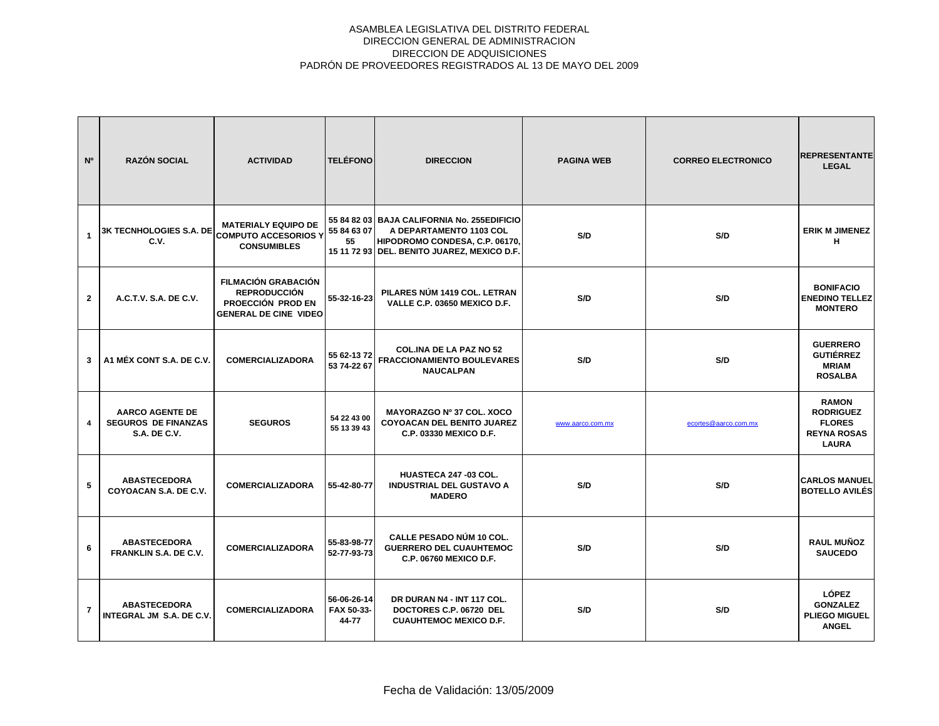| N <sup>o</sup> | <b>RAZÓN SOCIAL</b>                                                         | <b>ACTIVIDAD</b>                                                                                       | <b>TELÉFONO</b>                    | <b>DIRECCION</b>                                                                                                                                        | <b>PAGINA WEB</b> | <b>CORREO ELECTRONICO</b> | <b>REPRESENTANTE</b><br><b>LEGAL</b>                                                    |
|----------------|-----------------------------------------------------------------------------|--------------------------------------------------------------------------------------------------------|------------------------------------|---------------------------------------------------------------------------------------------------------------------------------------------------------|-------------------|---------------------------|-----------------------------------------------------------------------------------------|
| $\mathbf{1}$   | 3K TECNHOLOGIES S.A. DE<br>C.V.                                             | <b>MATERIALY EQUIPO DE</b><br><b>COMPUTO ACCESORIOS Y</b><br><b>CONSUMIBLES</b>                        | 55 84 63 07<br>55                  | 55 84 82 03 BAJA CALIFORNIA No. 255EDIFICIO<br>A DEPARTAMENTO 1103 COL<br>HIPODROMO CONDESA, C.P. 06170,<br>15 11 72 93 DEL. BENITO JUAREZ, MEXICO D.F. | S/D               | S/D                       | <b>ERIK M JIMENEZ</b><br>н                                                              |
| $\overline{2}$ | A.C.T.V. S.A. DE C.V.                                                       | <b>FILMACIÓN GRABACIÓN</b><br><b>REPRODUCCIÓN</b><br>PROECCIÓN PROD EN<br><b>GENERAL DE CINE VIDEO</b> | 55-32-16-23                        | PILARES NÚM 1419 COL. LETRAN<br>VALLE C.P. 03650 MEXICO D.F.                                                                                            | S/D               | S/D                       | <b>BONIFACIO</b><br><b>ENEDINO TELLEZ</b><br><b>MONTERO</b>                             |
| 3              | A1 MÉX CONT S.A. DE C.V.                                                    | <b>COMERCIALIZADORA</b>                                                                                | 55 62-13 72<br>53 74-22 67         | <b>COL.INA DE LA PAZ NO 52</b><br><b>FRACCIONAMIENTO BOULEVARES</b><br><b>NAUCALPAN</b>                                                                 | S/D               | S/D                       | <b>GUERRERO</b><br><b>GUTIÉRREZ</b><br><b>MRIAM</b><br><b>ROSALBA</b>                   |
| 4              | <b>AARCO AGENTE DE</b><br><b>SEGUROS DE FINANZAS</b><br><b>S.A. DE C.V.</b> | <b>SEGUROS</b>                                                                                         | 54 22 43 00<br>55 13 39 43         | MAYORAZGO Nº 37 COL. XOCO<br>COYOACAN DEL BENITO JUAREZ<br><b>C.P. 03330 MEXICO D.F.</b>                                                                | www.aarco.com.mx  | ecortes@aarco.com.mx      | <b>RAMON</b><br><b>RODRIGUEZ</b><br><b>FLORES</b><br><b>REYNA ROSAS</b><br><b>LAURA</b> |
| 5              | <b>ABASTECEDORA</b><br>COYOACAN S.A. DE C.V.                                | <b>COMERCIALIZADORA</b>                                                                                | 55-42-80-77                        | HUASTECA 247-03 COL.<br><b>INDUSTRIAL DEL GUSTAVO A</b><br><b>MADERO</b>                                                                                | S/D               | S/D                       | <b>CARLOS MANUEL</b><br><b>BOTELLO AVILÉS</b>                                           |
| 6              | <b>ABASTECEDORA</b><br>FRANKLIN S.A. DE C.V.                                | <b>COMERCIALIZADORA</b>                                                                                | 55-83-98-77<br>52-77-93-73         | <b>CALLE PESADO NÚM 10 COL.</b><br><b>GUERRERO DEL CUAUHTEMOC</b><br><b>C.P. 06760 MEXICO D.F.</b>                                                      | S/D               | S/D                       | <b>RAUL MUÑOZ</b><br><b>SAUCEDO</b>                                                     |
| $\overline{7}$ | <b>ABASTECEDORA</b><br>INTEGRAL JM S.A. DE C.V.                             | <b>COMERCIALIZADORA</b>                                                                                | 56-06-26-14<br>FAX 50-33-<br>44-77 | DR DURAN N4 - INT 117 COL.<br>DOCTORES C.P. 06720 DEL<br><b>CUAUHTEMOC MEXICO D.F.</b>                                                                  | S/D               | S/D                       | LÓPEZ<br><b>GONZALEZ</b><br><b>PLIEGO MIGUEL</b><br><b>ANGEL</b>                        |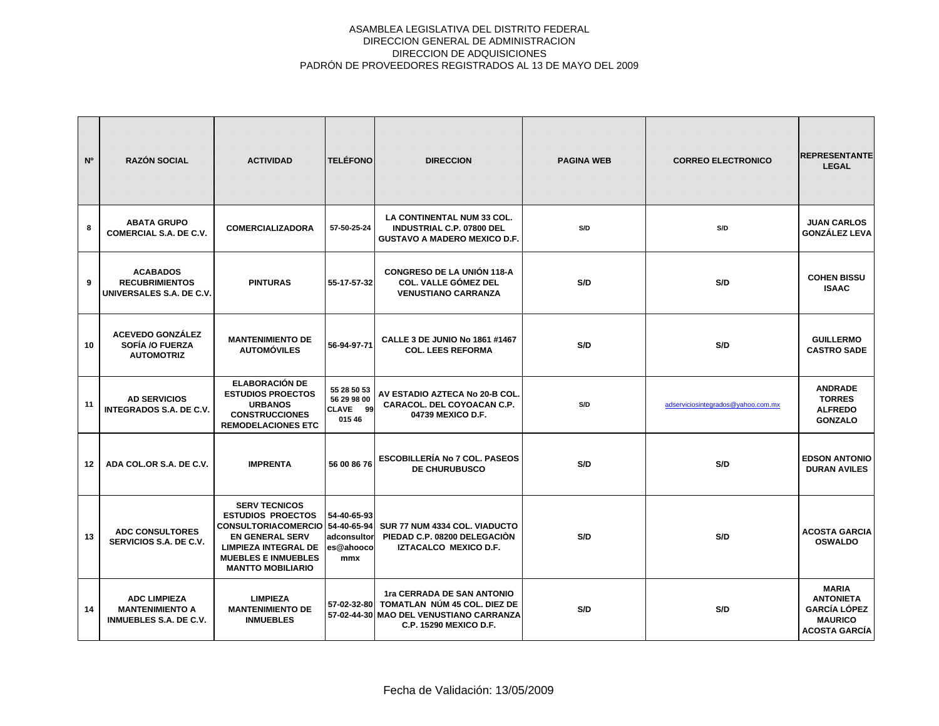| N <sup>o</sup> | <b>RAZÓN SOCIAL</b>                                                            | <b>ACTIVIDAD</b>                                                                                                                                                                                       | <b>TELÉFONO</b>                                  | <b>DIRECCION</b>                                                                                                                            | <b>PAGINA WEB</b> | <b>CORREO ELECTRONICO</b>          | <b>REPRESENTANTE</b><br><b>LEGAL</b>                                                              |
|----------------|--------------------------------------------------------------------------------|--------------------------------------------------------------------------------------------------------------------------------------------------------------------------------------------------------|--------------------------------------------------|---------------------------------------------------------------------------------------------------------------------------------------------|-------------------|------------------------------------|---------------------------------------------------------------------------------------------------|
| 8              | <b>ABATA GRUPO</b><br><b>COMERCIAL S.A. DE C.V.</b>                            | <b>COMERCIALIZADORA</b>                                                                                                                                                                                | 57-50-25-24                                      | LA CONTINENTAL NUM 33 COL.<br><b>INDUSTRIAL C.P. 07800 DEL</b><br><b>GUSTAVO A MADERO MEXICO D.F.</b>                                       | S/D               | S/D                                | <b>JUAN CARLOS</b><br>GONZÁLEZ LEVA                                                               |
| 9              | <b>ACABADOS</b><br><b>RECUBRIMIENTOS</b><br>UNIVERSALES S.A. DE C.V.           | <b>PINTURAS</b>                                                                                                                                                                                        | 55-17-57-32                                      | <b>CONGRESO DE LA UNIÓN 118-A</b><br><b>COL. VALLE GÓMEZ DEL</b><br><b>VENUSTIANO CARRANZA</b>                                              | S/D               | S/D                                | <b>COHEN BISSU</b><br><b>ISAAC</b>                                                                |
| 10             | <b>ACEVEDO GONZÁLEZ</b><br>SOFÍA /O FUERZA<br><b>AUTOMOTRIZ</b>                | <b>MANTENIMIENTO DE</b><br><b>AUTOMÓVILES</b>                                                                                                                                                          | 56-94-97-71                                      | <b>CALLE 3 DE JUNIO No 1861 #1467</b><br><b>COL. LEES REFORMA</b>                                                                           | S/D               | S/D                                | <b>GUILLERMO</b><br><b>CASTRO SADE</b>                                                            |
| 11             | <b>AD SERVICIOS</b><br><b>INTEGRADOS S.A. DE C.V.</b>                          | <b>ELABORACIÓN DE</b><br><b>ESTUDIOS PROECTOS</b><br><b>URBANOS</b><br><b>CONSTRUCCIONES</b><br><b>REMODELACIONES ETC</b>                                                                              | 55 28 50 53<br>56 29 98 00<br>CLAVE 99<br>015 46 | AV ESTADIO AZTECA No 20-B COL.<br>CARACOL. DEL COYOACAN C.P.<br>04739 MEXICO D.F.                                                           | S/D               | adserviciosintegrados@yahoo.com.mx | <b>ANDRADE</b><br><b>TORRES</b><br><b>ALFREDO</b><br><b>GONZALO</b>                               |
| 12             | ADA COL.OR S.A. DE C.V.                                                        | <b>IMPRENTA</b>                                                                                                                                                                                        | 56 00 86 76                                      | <b>ESCOBILLERÍA No 7 COL. PASEOS</b><br><b>DE CHURUBUSCO</b>                                                                                | S/D               | S/D                                | <b>EDSON ANTONIO</b><br><b>DURAN AVILES</b>                                                       |
| 13             | <b>ADC CONSULTORES</b><br>SERVICIOS S.A. DE C.V.                               | <b>SERV TECNICOS</b><br><b>ESTUDIOS PROECTOS</b><br>CONSULTORIACOMERCIO 54-40-65-94<br><b>EN GENERAL SERV</b><br><b>LIMPIEZA INTEGRAL DE</b><br><b>MUEBLES E INMUEBLES</b><br><b>MANTTO MOBILIARIO</b> | 54-40-65-93<br>adconsultor<br>es@ahooco<br>mmx   | SUR 77 NUM 4334 COL. VIADUCTO<br>PIEDAD C.P. 08200 DELEGACIÓN<br>IZTACALCO MEXICO D.F.                                                      | S/D               | S/D                                | <b>ACOSTA GARCIA</b><br><b>OSWALDO</b>                                                            |
| 14             | <b>ADC LIMPIEZA</b><br><b>MANTENIMIENTO A</b><br><b>INMUEBLES S.A. DE C.V.</b> | <b>LIMPIEZA</b><br><b>MANTENIMIENTO DE</b><br><b>INMUEBLES</b>                                                                                                                                         |                                                  | 1ra CERRADA DE SAN ANTONIO<br>57-02-32-80 TOMATLAN NÚM 45 COL, DIEZ DE<br>57-02-44-30 MAO DEL VENUSTIANO CARRANZA<br>C.P. 15290 MEXICO D.F. | S/D               | S/D                                | <b>MARIA</b><br><b>ANTONIETA</b><br><b>GARCÍA LÓPEZ</b><br><b>MAURICO</b><br><b>ACOSTA GARCIA</b> |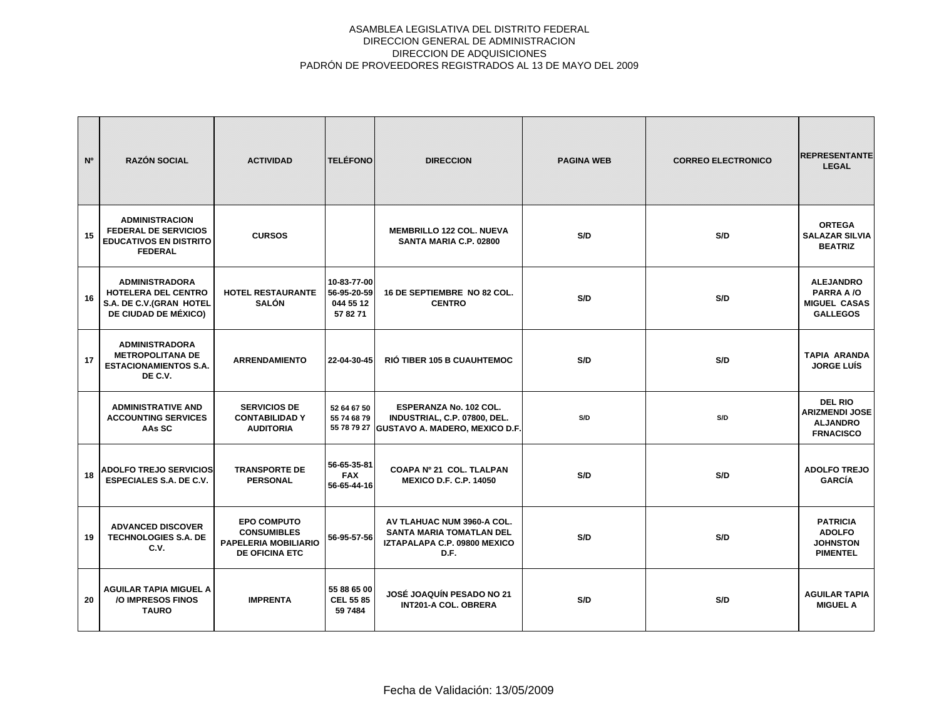| N <sup>o</sup> | <b>RAZÓN SOCIAL</b>                                                                                     | <b>ACTIVIDAD</b>                                                                                 | <b>TELÉFONO</b>                                     | <b>DIRECCION</b>                                                                                      | <b>PAGINA WEB</b> | <b>CORREO ELECTRONICO</b> | <b>REPRESENTANTE</b><br><b>LEGAL</b>                                           |
|----------------|---------------------------------------------------------------------------------------------------------|--------------------------------------------------------------------------------------------------|-----------------------------------------------------|-------------------------------------------------------------------------------------------------------|-------------------|---------------------------|--------------------------------------------------------------------------------|
| 15             | <b>ADMINISTRACION</b><br><b>FEDERAL DE SERVICIOS</b><br><b>EDUCATIVOS EN DISTRITO</b><br><b>FEDERAL</b> | <b>CURSOS</b>                                                                                    |                                                     | <b>MEMBRILLO 122 COL. NUEVA</b><br>SANTA MARIA C.P. 02800                                             | S/D               | S/D                       | <b>ORTEGA</b><br><b>SALAZAR SILVIA</b><br><b>BEATRIZ</b>                       |
| 16             | <b>ADMINISTRADORA</b><br><b>HOTELERA DEL CENTRO</b><br>S.A. DE C.V.(GRAN HOTEL<br>DE CIUDAD DE MÉXICO)  | <b>HOTEL RESTAURANTE</b><br><b>SALÓN</b>                                                         | 10-83-77-00<br>56-95-20-59<br>044 55 12<br>57 82 71 | 16 DE SEPTIEMBRE NO 82 COL.<br><b>CENTRO</b>                                                          | S/D               | S/D                       | <b>ALEJANDRO</b><br>PARRA A /O<br><b>MIGUEL CASAS</b><br><b>GALLEGOS</b>       |
| 17             | <b>ADMINISTRADORA</b><br><b>METROPOLITANA DE</b><br><b>ESTACIONAMIENTOS S.A.</b><br>DE C.V.             | <b>ARRENDAMIENTO</b>                                                                             | 22-04-30-45                                         | <b>RIÓ TIBER 105 B CUAUHTEMOC</b>                                                                     | S/D               | S/D                       | <b>TAPIA ARANDA</b><br><b>JORGE LUIS</b>                                       |
|                | <b>ADMINISTRATIVE AND</b><br><b>ACCOUNTING SERVICES</b><br>AAs SC                                       | <b>SERVICIOS DE</b><br><b>CONTABILIDAD Y</b><br><b>AUDITORIA</b>                                 | 52 64 67 50<br>55 74 68 79                          | ESPERANZA No. 102 COL.<br>INDUSTRIAL, C.P. 07800, DEL.<br>55 78 79 27 GUSTAVO A. MADERO, MEXICO D.F.  | S/D               | S/D                       | <b>DEL RIO</b><br><b>ARIZMENDI JOSE</b><br><b>ALJANDRO</b><br><b>FRNACISCO</b> |
| 18             | <b>ADOLFO TREJO SERVICIOS</b><br><b>ESPECIALES S.A. DE C.V.</b>                                         | <b>TRANSPORTE DE</b><br><b>PERSONAL</b>                                                          | 56-65-35-81<br><b>FAX</b><br>56-65-44-16            | COAPA Nº 21 COL. TLALPAN<br><b>MEXICO D.F. C.P. 14050</b>                                             | S/D               | S/D                       | <b>ADOLFO TREJO</b><br><b>GARCÍA</b>                                           |
| 19             | <b>ADVANCED DISCOVER</b><br><b>TECHNOLOGIES S.A. DE</b><br>C.V.                                         | <b>EPO COMPUTO</b><br><b>CONSUMIBLES</b><br><b>PAPELERIA MOBILIARIO</b><br><b>DE OFICINA ETC</b> | 56-95-57-56                                         | AV TLAHUAC NUM 3960-A COL.<br><b>SANTA MARIA TOMATLAN DEL</b><br>IZTAPALAPA C.P. 09800 MEXICO<br>D.F. | S/D               | S/D                       | <b>PATRICIA</b><br><b>ADOLFO</b><br><b>JOHNSTON</b><br><b>PIMENTEL</b>         |
| 20             | AGUILAR TAPIA MIGUEL A<br>/O IMPRESOS FINOS<br><b>TAURO</b>                                             | <b>IMPRENTA</b>                                                                                  | 55 88 65 00<br><b>CEL 55 85</b><br>59 7484          | JOSÉ JOAQUÍN PESADO NO 21<br><b>INT201-A COL. OBRERA</b>                                              | S/D               | S/D                       | <b>AGUILAR TAPIA</b><br><b>MIGUEL A</b>                                        |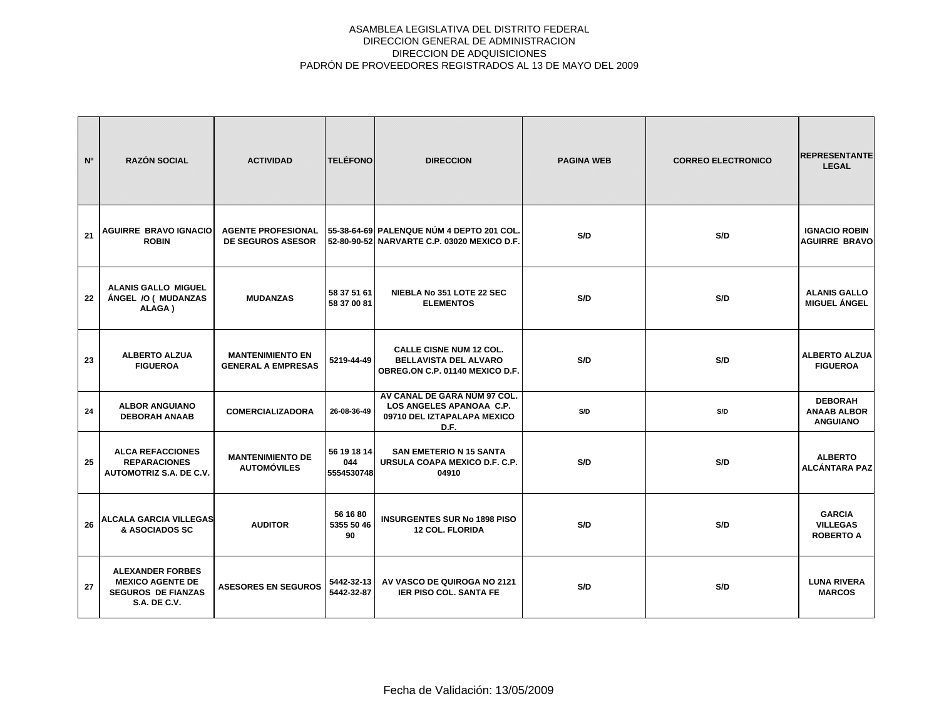| N° | <b>RAZÓN SOCIAL</b>                                                                                    | <b>ACTIVIDAD</b>                                      | <b>TELÉFONO</b>                  | <b>DIRECCION</b>                                                                                  | <b>PAGINA WEB</b> | <b>CORREO ELECTRONICO</b> | <b>REPRESENTANTE</b><br><b>LEGAL</b>                    |
|----|--------------------------------------------------------------------------------------------------------|-------------------------------------------------------|----------------------------------|---------------------------------------------------------------------------------------------------|-------------------|---------------------------|---------------------------------------------------------|
| 21 | <b>AGUIRRE BRAVO IGNACIO</b><br><b>ROBIN</b>                                                           | <b>AGENTE PROFESIONAL</b><br><b>DE SEGUROS ASESOR</b> |                                  | 55-38-64-69 PALENQUE NÚM 4 DEPTO 201 COL.<br>52-80-90-52 NARVARTE C.P. 03020 MEXICO D.F.          | S/D               | S/D                       | <b>IGNACIO ROBIN</b><br><b>AGUIRRE BRAVO</b>            |
| 22 | <b>ALANIS GALLO MIGUEL</b><br>ÁNGEL /O ( MUDANZAS<br>ALAGA)                                            | <b>MUDANZAS</b>                                       | 58 37 51 61<br>58 37 00 81       | NIEBLA No 351 LOTE 22 SEC<br><b>ELEMENTOS</b>                                                     | S/D               | S/D                       | <b>ALANIS GALLO</b><br><b>MIGUEL ÁNGEL</b>              |
| 23 | <b>ALBERTO ALZUA</b><br><b>FIGUEROA</b>                                                                | <b>MANTENIMIENTO EN</b><br><b>GENERAL A EMPRESAS</b>  | 5219-44-49                       | <b>CALLE CISNE NUM 12 COL.</b><br><b>BELLAVISTA DEL ALVARO</b><br>OBREG.ON C.P. 01140 MEXICO D.F. | S/D               | S/D                       | <b>ALBERTO ALZUA</b><br><b>FIGUEROA</b>                 |
| 24 | <b>ALBOR ANGUIANO</b><br><b>DEBORAH ANAAB</b>                                                          | <b>COMERCIALIZADORA</b>                               | 26-08-36-49                      | AV CANAL DE GARA NUM 97 COL.<br>LOS ANGELES APANOAA C.P.<br>09710 DEL IZTAPALAPA MEXICO<br>D.F.   | S/D               | S/D                       | <b>DEBORAH</b><br><b>ANAAB ALBOR</b><br><b>ANGUIANO</b> |
| 25 | <b>ALCA REFACCIONES</b><br><b>REPARACIONES</b><br><b>AUTOMOTRIZ S.A. DE C.V.</b>                       | <b>MANTENIMIENTO DE</b><br><b>AUTOMÓVILES</b>         | 56 19 18 14<br>044<br>5554530748 | <b>SAN EMETERIO N 15 SANTA</b><br>URSULA COAPA MEXICO D.F. C.P.<br>04910                          | S/D               | S/D                       | <b>ALBERTO</b><br><b>ALCÁNTARA PAZ</b>                  |
| 26 | <b>ALCALA GARCIA VILLEGAS</b><br>& ASOCIADOS SC                                                        | <b>AUDITOR</b>                                        | 56 16 80<br>5355 50 46<br>90     | <b>INSURGENTES SUR No 1898 PISO</b><br><b>12 COL. FLORIDA</b>                                     | S/D               | S/D                       | <b>GARCIA</b><br><b>VILLEGAS</b><br><b>ROBERTO A</b>    |
| 27 | <b>ALEXANDER FORBES</b><br><b>MEXICO AGENTE DE</b><br><b>SEGUROS DE FIANZAS</b><br><b>S.A. DE C.V.</b> | <b>ASESORES EN SEGUROS</b>                            | 5442-32-13<br>5442-32-87         | AV VASCO DE QUIROGA NO 2121<br><b>IER PISO COL. SANTA FE</b>                                      | S/D               | S/D                       | <b>LUNA RIVERA</b><br><b>MARCOS</b>                     |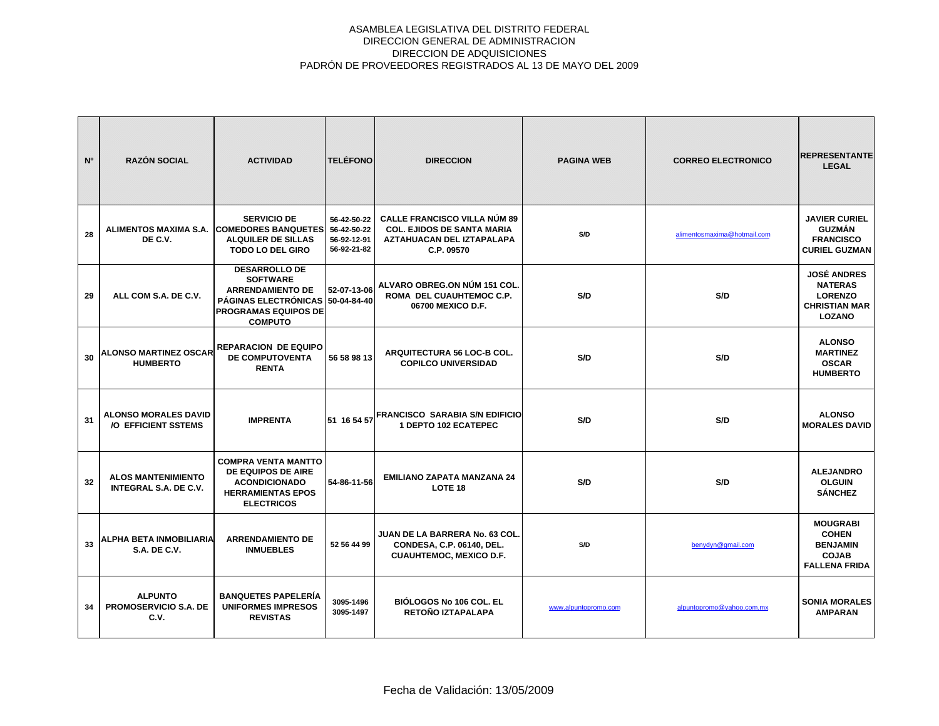| N <sup>o</sup> | <b>RAZÓN SOCIAL</b>                                       | <b>ACTIVIDAD</b>                                                                                                                                   | <b>TELÉFONO</b>                                          | <b>DIRECCION</b>                                                                                                    | <b>PAGINA WEB</b>    | <b>CORREO ELECTRONICO</b>   | <b>REPRESENTANTE</b><br><b>LEGAL</b>                                                            |
|----------------|-----------------------------------------------------------|----------------------------------------------------------------------------------------------------------------------------------------------------|----------------------------------------------------------|---------------------------------------------------------------------------------------------------------------------|----------------------|-----------------------------|-------------------------------------------------------------------------------------------------|
| 28             | DE C.V.                                                   | <b>SERVICIO DE</b><br>ALIMENTOS MAXIMA S.A. COMEDORES BANQUETES<br><b>ALQUILER DE SILLAS</b><br><b>TODO LO DEL GIRO</b>                            | 56-42-50-22<br>56-42-50-22<br>56-92-12-91<br>56-92-21-82 | <b>CALLE FRANCISCO VILLA NÚM 89</b><br><b>COL. EJIDOS DE SANTA MARIA</b><br>AZTAHUACAN DEL IZTAPALAPA<br>C.P. 09570 | S/D                  | alimentosmaxima@hotmail.com | <b>JAVIER CURIEL</b><br><b>GUZMÁN</b><br><b>FRANCISCO</b><br><b>CURIEL GUZMAN</b>               |
| 29             | ALL COM S.A. DE C.V.                                      | <b>DESARROLLO DE</b><br><b>SOFTWARE</b><br><b>ARRENDAMIENTO DE</b><br><b>PÁGINAS ELECTRÓNICAS</b><br><b>PROGRAMAS EQUIPOS DE</b><br><b>COMPUTO</b> | 52-07-13-06<br>50-04-84-40                               | ALVARO OBREG.ON NÚM 151 COL.<br>ROMA DEL CUAUHTEMOC C.P.<br>06700 MEXICO D.F.                                       | S/D                  | S/D                         | <b>JOSÉ ANDRES</b><br><b>NATERAS</b><br><b>LORENZO</b><br><b>CHRISTIAN MAR</b><br><b>LOZANO</b> |
| 30             | <b>ALONSO MARTINEZ OSCAR</b><br><b>HUMBERTO</b>           | <b>REPARACION DE EQUIPO</b><br>DE COMPUTOVENTA<br><b>RENTA</b>                                                                                     | 56 58 98 13                                              | ARQUITECTURA 56 LOC-B COL.<br><b>COPILCO UNIVERSIDAD</b>                                                            | S/D                  | S/D                         | <b>ALONSO</b><br><b>MARTINEZ</b><br><b>OSCAR</b><br><b>HUMBERTO</b>                             |
| 31             | <b>ALONSO MORALES DAVID</b><br>/O EFFICIENT SSTEMS        | <b>IMPRENTA</b>                                                                                                                                    |                                                          | 51 16 54 57 FRANCISCO SARABIA S/N EDIFICIO<br>1 DEPTO 102 ECATEPEC                                                  | S/D                  | S/D                         | <b>ALONSO</b><br><b>MORALES DAVID</b>                                                           |
| 32             | <b>ALOS MANTENIMIENTO</b><br><b>INTEGRAL S.A. DE C.V.</b> | <b>COMPRA VENTA MANTTO</b><br>DE EQUIPOS DE AIRE<br><b>ACONDICIONADO</b><br><b>HERRAMIENTAS EPOS</b><br><b>ELECTRICOS</b>                          | 54-86-11-56                                              | <b>EMILIANO ZAPATA MANZANA 24</b><br>LOTE <sub>18</sub>                                                             | S/D                  | S/D                         | <b>ALEJANDRO</b><br><b>OLGUIN</b><br><b>SÁNCHEZ</b>                                             |
| 33             | ALPHA BETA INMOBILIARIA<br><b>S.A. DE C.V.</b>            | <b>ARRENDAMIENTO DE</b><br><b>INMUEBLES</b>                                                                                                        | 52 56 44 99                                              | JUAN DE LA BARRERA No. 63 COL.<br>CONDESA, C.P. 06140, DEL.<br><b>CUAUHTEMOC, MEXICO D.F.</b>                       | S/D                  | benydyn@gmail.com           | <b>MOUGRABI</b><br><b>COHEN</b><br><b>BENJAMIN</b><br><b>COJAB</b><br><b>FALLENA FRIDA</b>      |
| 34             | <b>ALPUNTO</b><br><b>PROMOSERVICIO S.A. DE</b><br>C.V.    | <b>BANQUETES PAPELERÍA</b><br><b>UNIFORMES IMPRESOS</b><br><b>REVISTAS</b>                                                                         | 3095-1496<br>3095-1497                                   | BIÓLOGOS No 106 COL. EL<br>RETOÑO IZTAPALAPA                                                                        | www.alpuntopromo.com | alpuntopromo@yahoo.com.mx   | <b>SONIA MORALES</b><br><b>AMPARAN</b>                                                          |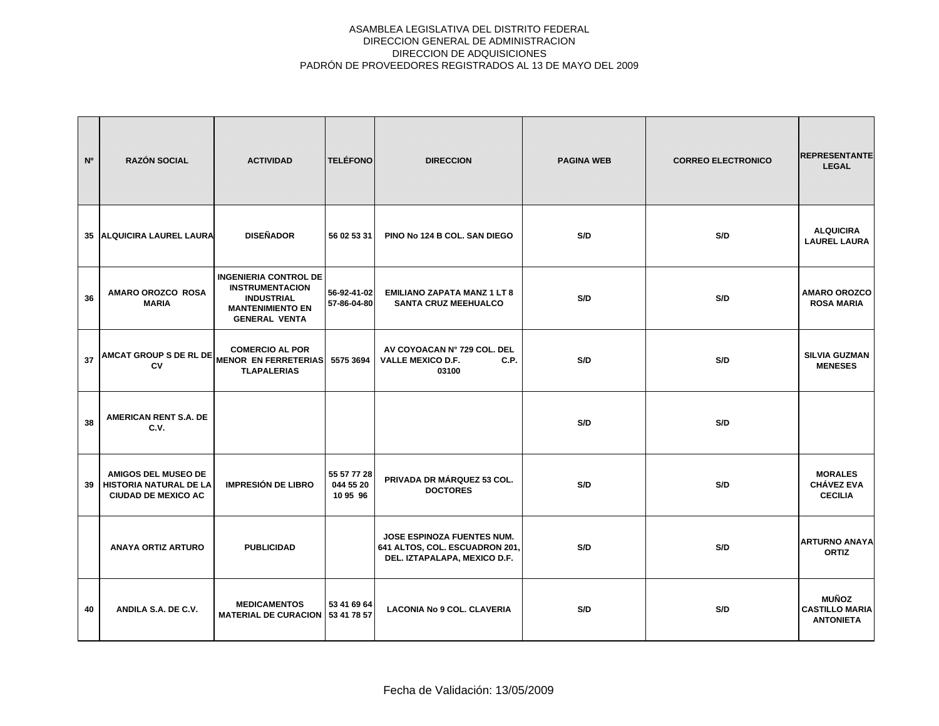| N <sup>o</sup> | <b>RAZÓN SOCIAL</b>                                                                       | <b>ACTIVIDAD</b>                                                                                                               | <b>TELÉFONO</b>                      | <b>DIRECCION</b>                                                                             | <b>PAGINA WEB</b> | <b>CORREO ELECTRONICO</b> | <b>REPRESENTANTE</b><br><b>LEGAL</b>                      |
|----------------|-------------------------------------------------------------------------------------------|--------------------------------------------------------------------------------------------------------------------------------|--------------------------------------|----------------------------------------------------------------------------------------------|-------------------|---------------------------|-----------------------------------------------------------|
|                | 35 ALQUICIRA LAUREL LAURA                                                                 | <b>DISEÑADOR</b>                                                                                                               | 56 02 53 31                          | PINO No 124 B COL. SAN DIEGO                                                                 | S/D               | S/D                       | <b>ALQUICIRA</b><br><b>LAUREL LAURA</b>                   |
| 36             | AMARO OROZCO ROSA<br><b>MARIA</b>                                                         | <b>INGENIERIA CONTROL DE</b><br><b>INSTRUMENTACION</b><br><b>INDUSTRIAL</b><br><b>MANTENIMIENTO EN</b><br><b>GENERAL VENTA</b> | 56-92-41-02<br>57-86-04-80           | <b>EMILIANO ZAPATA MANZ 1 LT 8</b><br><b>SANTA CRUZ MEEHUALCO</b>                            | S/D               | S/D                       | <b>AMARO OROZCO</b><br><b>ROSA MARIA</b>                  |
| 37             | AMCAT GROUP S DE RL DE MENOR EN FERRETERIAS 5575 3694                                     | <b>COMERCIO AL POR</b><br><b>TLAPALERIAS</b>                                                                                   |                                      | AV COYOACAN Nº 729 COL. DEL<br><b>VALLE MEXICO D.F.</b><br>C.P.<br>03100                     | S/D               | S/D                       | <b>SILVIA GUZMAN</b><br><b>MENESES</b>                    |
| 38             | AMERICAN RENT S.A. DE<br>C.V.                                                             |                                                                                                                                |                                      |                                                                                              | S/D               | S/D                       |                                                           |
| 39             | <b>AMIGOS DEL MUSEO DE</b><br><b>HISTORIA NATURAL DE LA</b><br><b>CIUDAD DE MEXICO AC</b> | <b>IMPRESIÓN DE LIBRO</b>                                                                                                      | 55 57 77 28<br>044 55 20<br>10 95 96 | PRIVADA DR MÁRQUEZ 53 COL.<br><b>DOCTORES</b>                                                | S/D               | S/D                       | <b>MORALES</b><br><b>CHÁVEZ EVA</b><br><b>CECILIA</b>     |
|                | <b>ANAYA ORTIZ ARTURO</b>                                                                 | <b>PUBLICIDAD</b>                                                                                                              |                                      | JOSE ESPINOZA FUENTES NUM.<br>641 ALTOS, COL. ESCUADRON 201,<br>DEL. IZTAPALAPA, MEXICO D.F. | S/D               | S/D                       | <b>ARTURNO ANAYA</b><br><b>ORTIZ</b>                      |
| 40             | ANDILA S.A. DE C.V.                                                                       | <b>MEDICAMENTOS</b><br><b>MATERIAL DE CURACION 53 41 78 57</b>                                                                 | 53 41 69 64                          | <b>LACONIA No 9 COL. CLAVERIA</b>                                                            | S/D               | S/D                       | <b>MUÑOZ</b><br><b>CASTILLO MARIA</b><br><b>ANTONIETA</b> |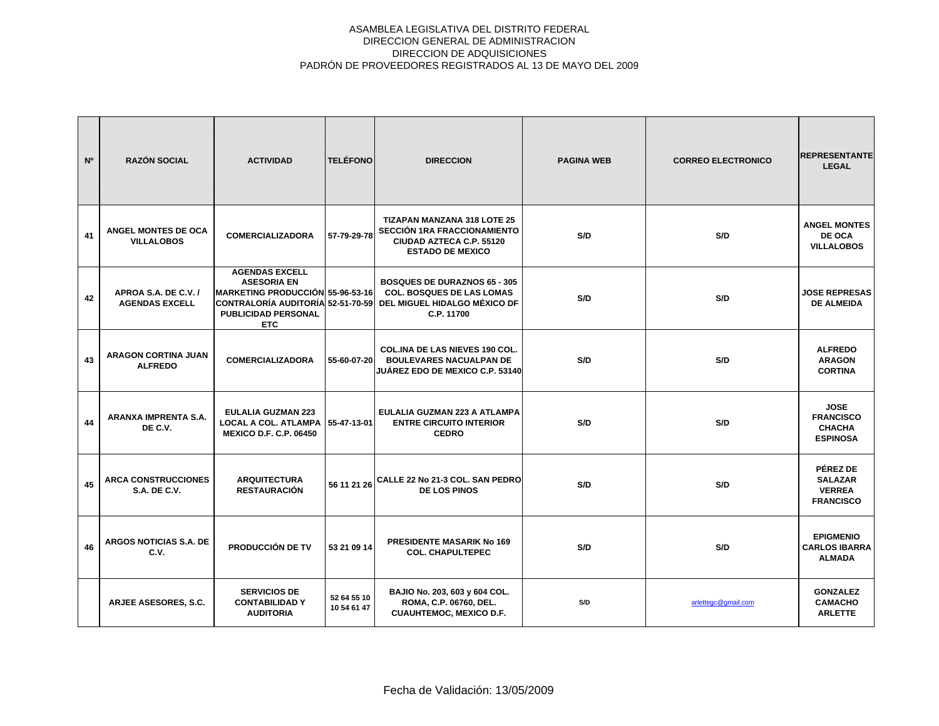| N <sup>o</sup> | <b>RAZÓN SOCIAL</b>                               | <b>ACTIVIDAD</b>                                                                                                                                                             | <b>TELÉFONO</b>            | <b>DIRECCION</b>                                                                                                         | <b>PAGINA WEB</b> | <b>CORREO ELECTRONICO</b> | <b>REPRESENTANTE</b><br><b>LEGAL</b>                                |
|----------------|---------------------------------------------------|------------------------------------------------------------------------------------------------------------------------------------------------------------------------------|----------------------------|--------------------------------------------------------------------------------------------------------------------------|-------------------|---------------------------|---------------------------------------------------------------------|
| 41             | ANGEL MONTES DE OCA<br><b>VILLALOBOS</b>          | <b>COMERCIALIZADORA</b>                                                                                                                                                      | 57-79-29-78                | <b>TIZAPAN MANZANA 318 LOTE 25</b><br>SECCIÓN 1RA FRACCIONAMIENTO<br>CIUDAD AZTECA C.P. 55120<br><b>ESTADO DE MEXICO</b> | S/D               | S/D                       | <b>ANGEL MONTES</b><br>DE OCA<br><b>VILLALOBOS</b>                  |
| 42             | APROA S.A. DE C.V. /<br><b>AGENDAS EXCELL</b>     | <b>AGENDAS EXCELL</b><br><b>ASESORIA EN</b><br><b>IMARKETING PRODUCCIÓN 55-96-53-16</b><br> CONTRALORÍA AUDITORÍA  52-51-70-59  <br><b>PUBLICIDAD PERSONAL</b><br><b>ETC</b> |                            | <b>BOSQUES DE DURAZNOS 65 - 305</b><br><b>COL. BOSQUES DE LAS LOMAS</b><br>DEL MIGUEL HIDALGO MÉXICO DF<br>C.P. 11700    | S/D               | S/D                       | <b>JOSE REPRESAS</b><br><b>DE ALMEIDA</b>                           |
| 43             | <b>ARAGON CORTINA JUAN</b><br><b>ALFREDO</b>      | <b>COMERCIALIZADORA</b>                                                                                                                                                      | 55-60-07-20                | COL.INA DE LAS NIEVES 190 COL.<br><b>BOULEVARES NACUALPAN DE</b><br>JUÁREZ EDO DE MEXICO C.P. 53140                      | S/D               | S/D                       | <b>ALFREDO</b><br><b>ARAGON</b><br><b>CORTINA</b>                   |
| 44             | ARANXA IMPRENTA S.A.<br>DE C.V.                   | <b>EULALIA GUZMAN 223</b><br><b>LOCAL A COL. ATLAMPA</b><br><b>MEXICO D.F. C.P. 06450</b>                                                                                    | 55-47-13-01                | EULALIA GUZMAN 223 A ATLAMPA<br><b>ENTRE CIRCUITO INTERIOR</b><br><b>CEDRO</b>                                           | S/D               | S/D                       | <b>JOSE</b><br><b>FRANCISCO</b><br><b>CHACHA</b><br><b>ESPINOSA</b> |
| 45             | <b>ARCA CONSTRUCCIONES</b><br><b>S.A. DE C.V.</b> | <b>ARQUITECTURA</b><br><b>RESTAURACIÓN</b>                                                                                                                                   | 56 11 21 26                | CALLE 22 No 21-3 COL. SAN PEDRO<br><b>DE LOS PINOS</b>                                                                   | S/D               | S/D                       | PÉREZ DE<br><b>SALAZAR</b><br><b>VERREA</b><br><b>FRANCISCO</b>     |
| 46             | <b>ARGOS NOTICIAS S.A. DE</b><br>C.V.             | PRODUCCIÓN DE TV                                                                                                                                                             | 53 21 09 14                | <b>PRESIDENTE MASARIK No 169</b><br><b>COL. CHAPULTEPEC</b>                                                              | S/D               | S/D                       | <b>EPIGMENIO</b><br><b>CARLOS IBARRA</b><br><b>ALMADA</b>           |
|                | ARJEE ASESORES, S.C.                              | <b>SERVICIOS DE</b><br><b>CONTABILIDAD Y</b><br><b>AUDITORIA</b>                                                                                                             | 52 64 55 10<br>10 54 61 47 | BAJIO No. 203, 603 y 604 COL.<br>ROMA, C.P. 06760, DEL.<br><b>CUAUHTEMOC, MEXICO D.F.</b>                                | S/D               | arlettegc@gmail.com       | <b>GONZALEZ</b><br><b>CAMACHO</b><br><b>ARLETTE</b>                 |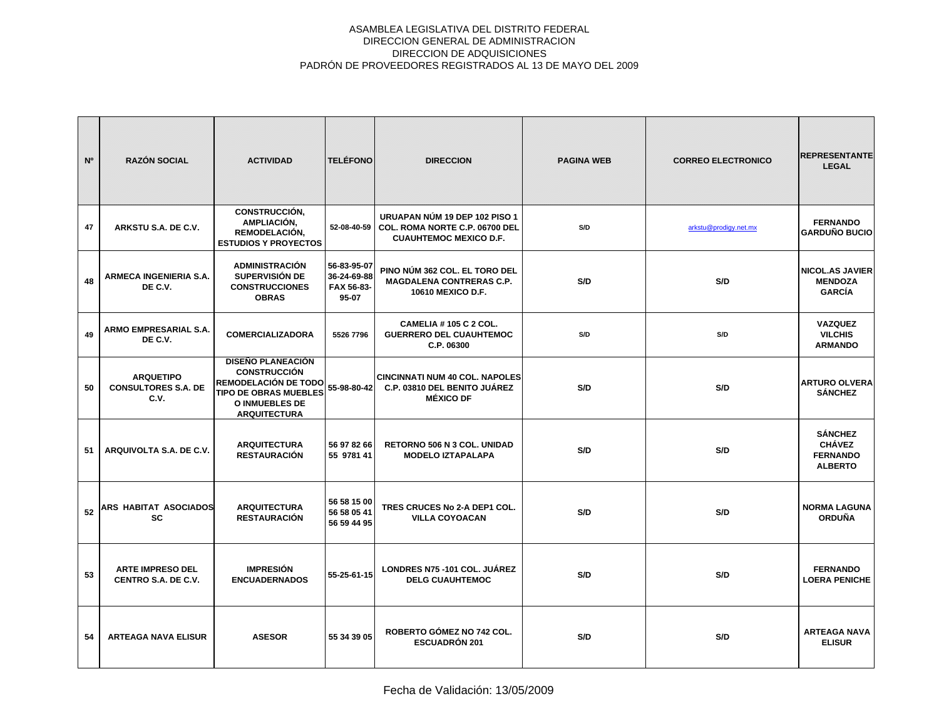| N <sup>o</sup> | <b>RAZÓN SOCIAL</b>                                    | <b>ACTIVIDAD</b>                                                                                                                                 | <b>TELÉFONO</b>                                   | <b>DIRECCION</b>                                                                                 | <b>PAGINA WEB</b> | <b>CORREO ELECTRONICO</b> | <b>REPRESENTANTE</b><br><b>LEGAL</b>                                 |
|----------------|--------------------------------------------------------|--------------------------------------------------------------------------------------------------------------------------------------------------|---------------------------------------------------|--------------------------------------------------------------------------------------------------|-------------------|---------------------------|----------------------------------------------------------------------|
| 47             | ARKSTU S.A. DE C.V.                                    | <b>CONSTRUCCIÓN,</b><br>AMPLIACIÓN,<br>REMODELACIÓN,<br><b>ESTUDIOS Y PROYECTOS</b>                                                              | 52-08-40-59                                       | URUAPAN NÚM 19 DEP 102 PISO 1<br>COL. ROMA NORTE C.P. 06700 DEL<br><b>CUAUHTEMOC MEXICO D.F.</b> | S/D               | arkstu@prodigy.net.mx     | <b>FERNANDO</b><br><b>GARDUÑO BUCIO</b>                              |
| 48             | <b>ARMECA INGENIERIA S.A.</b><br>DE C.V.               | <b>ADMINISTRACIÓN</b><br>SUPERVISIÓN DE<br><b>CONSTRUCCIONES</b><br><b>OBRAS</b>                                                                 | 56-83-95-07<br>36-24-69-88<br>FAX 56-83-<br>95-07 | PINO NÚM 362 COL. EL TORO DEL<br><b>MAGDALENA CONTRERAS C.P.</b><br>10610 MEXICO D.F.            | S/D               | S/D                       | NICOL.AS JAVIER<br><b>MENDOZA</b><br><b>GARCÍA</b>                   |
| 49             | ARMO EMPRESARIAL S.A.<br>DE C.V.                       | <b>COMERCIALIZADORA</b>                                                                                                                          | 5526 7796                                         | <b>CAMELIA # 105 C 2 COL.</b><br><b>GUERRERO DEL CUAUHTEMOC</b><br>C.P. 06300                    | S/D               | S/D                       | <b>VAZQUEZ</b><br><b>VILCHIS</b><br><b>ARMANDO</b>                   |
| 50             | <b>ARQUETIPO</b><br><b>CONSULTORES S.A. DE</b><br>C.V. | <b>DISEÑO PLANEACIÓN</b><br><b>CONSTRUCCIÓN</b><br>REMODELACIÓN DE TODO<br><b>TIPO DE OBRAS MUEBLES</b><br>O INMUEBLES DE<br><b>ARQUITECTURA</b> | 55-98-80-42                                       | <b>CINCINNATI NUM 40 COL. NAPOLES</b><br>C.P. 03810 DEL BENITO JUÁREZ<br><b>MÉXICO DF</b>        | S/D               | S/D                       | <b>ARTURO OLVERA</b><br><b>SÁNCHEZ</b>                               |
| 51             | ARQUIVOLTA S.A. DE C.V.                                | <b>ARQUITECTURA</b><br><b>RESTAURACIÓN</b>                                                                                                       | 56 97 82 66<br>55 9781 41                         | RETORNO 506 N 3 COL. UNIDAD<br><b>MODELO IZTAPALAPA</b>                                          | S/D               | S/D                       | <b>SÁNCHEZ</b><br><b>CHÁVEZ</b><br><b>FERNANDO</b><br><b>ALBERTO</b> |
| 52             | <b>ARS HABITAT ASOCIADOS</b><br><b>SC</b>              | <b>ARQUITECTURA</b><br><b>RESTAURACIÓN</b>                                                                                                       | 56 58 15 00<br>56 58 05 41<br>56 59 44 95         | TRES CRUCES No 2-A DEP1 COL.<br><b>VILLA COYOACAN</b>                                            | S/D               | S/D                       | <b>NORMA LAGUNA</b><br><b>ORDUÑA</b>                                 |
| 53             | <b>ARTE IMPRESO DEL</b><br>CENTRO S.A. DE C.V.         | <b>IMPRESIÓN</b><br><b>ENCUADERNADOS</b>                                                                                                         | 55-25-61-15                                       | LONDRES N75-101 COL. JUÁREZ<br><b>DELG CUAUHTEMOC</b>                                            | S/D               | S/D                       | <b>FERNANDO</b><br><b>LOERA PENICHE</b>                              |
| 54             | <b>ARTEAGA NAVA ELISUR</b>                             | <b>ASESOR</b>                                                                                                                                    | 55 34 39 05                                       | ROBERTO GÓMEZ NO 742 COL.<br><b>ESCUADRÓN 201</b>                                                | S/D               | S/D                       | <b>ARTEAGA NAVA</b><br><b>ELISUR</b>                                 |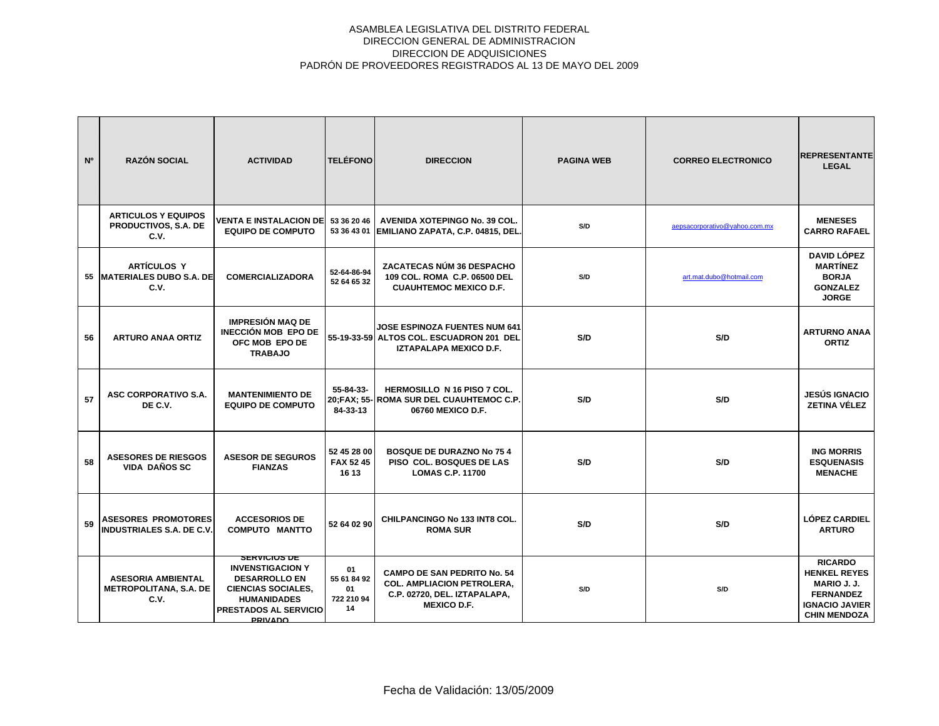| N <sup>o</sup> | <b>RAZÓN SOCIAL</b>                                                | <b>ACTIVIDAD</b>                                                                                                                                                     | <b>TELÉFONO</b>                             | <b>DIRECCION</b>                                                                                                              | <b>PAGINA WEB</b> | <b>CORREO ELECTRONICO</b>     | <b>REPRESENTANTE</b><br><b>LEGAL</b>                                                                                            |
|----------------|--------------------------------------------------------------------|----------------------------------------------------------------------------------------------------------------------------------------------------------------------|---------------------------------------------|-------------------------------------------------------------------------------------------------------------------------------|-------------------|-------------------------------|---------------------------------------------------------------------------------------------------------------------------------|
|                | <b>ARTICULOS Y EQUIPOS</b><br>PRODUCTIVOS, S.A. DE<br>C.V.         | VENTA E INSTALACION DE<br><b>EQUIPO DE COMPUTO</b>                                                                                                                   | 53 36 20 46                                 | AVENIDA XOTEPINGO No. 39 COL.<br>53 36 43 01   EMILIANO ZAPATA, C.P. 04815, DEL.                                              | S/D               | aepsacorporativo@yahoo.com.mx | <b>MENESES</b><br><b>CARRO RAFAEL</b>                                                                                           |
|                | <b>ARTÍCULOS Y</b><br>55 MATERIALES DUBO S.A. DE<br>C.V.           | <b>COMERCIALIZADORA</b>                                                                                                                                              | 52-64-86-94<br>52 64 65 32                  | ZACATECAS NÚM 36 DESPACHO<br>109 COL. ROMA C.P. 06500 DEL<br><b>CUAUHTEMOC MEXICO D.F.</b>                                    | S/D               | art.mat.dubo@hotmail.com      | <b>DAVID LÓPEZ</b><br><b>MARTÍNEZ</b><br><b>BORJA</b><br><b>GONZALEZ</b><br><b>JORGE</b>                                        |
| 56             | <b>ARTURO ANAA ORTIZ</b>                                           | <b>IMPRESIÓN MAQ DE</b><br>INECCIÓN MOB EPO DE<br>OFC MOB EPO DE<br><b>TRABAJO</b>                                                                                   |                                             | <b>JOSE ESPINOZA FUENTES NUM 641</b><br>55-19-33-59 ALTOS COL. ESCUADRON 201 DEL<br><b>IZTAPALAPA MEXICO D.F.</b>             | S/D               | S/D                           | <b>ARTURNO ANAA</b><br><b>ORTIZ</b>                                                                                             |
| 57             | ASC CORPORATIVO S.A.<br>DE C.V.                                    | <b>MANTENIMIENTO DE</b><br><b>EQUIPO DE COMPUTO</b>                                                                                                                  | 55-84-33-<br>84-33-13                       | <b>HERMOSILLO N 16 PISO 7 COL.</b><br>20:FAX: 55- ROMA SUR DEL CUAUHTEMOC C.P.<br>06760 MEXICO D.F.                           | S/D               | S/D                           | <b>JESÚS IGNACIO</b><br><b>ZETINA VÉLEZ</b>                                                                                     |
| 58             | <b>ASESORES DE RIESGOS</b><br>VIDA DAÑOS SC                        | <b>ASESOR DE SEGUROS</b><br><b>FIANZAS</b>                                                                                                                           | 52 45 28 00<br>FAX 52 45<br>16 13           | <b>BOSQUE DE DURAZNO No 75 4</b><br><b>PISO COL. BOSQUES DE LAS</b><br><b>LOMAS C.P. 11700</b>                                | S/D               | S/D                           | <b>ING MORRIS</b><br><b>ESQUENASIS</b><br><b>MENACHE</b>                                                                        |
| 59             | <b>ASESORES PROMOTORES</b><br><b>INDUSTRIALES S.A. DE C.V.</b>     | <b>ACCESORIOS DE</b><br><b>COMPUTO MANTTO</b>                                                                                                                        | 52 64 02 90                                 | CHILPANCINGO No 133 INT8 COL.<br><b>ROMA SUR</b>                                                                              | S/D               | S/D                           | <b>LÓPEZ CARDIEL</b><br><b>ARTURO</b>                                                                                           |
|                | <b>ASESORIA AMBIENTAL</b><br><b>METROPOLITANA, S.A. DE</b><br>C.V. | <b>SERVICIOS DE</b><br><b>INVENSTIGACION Y</b><br><b>DESARROLLO EN</b><br><b>CIENCIAS SOCIALES,</b><br><b>HUMANIDADES</b><br>PRESTADOS AL SERVICIO<br><b>PRIVADO</b> | 01<br>55 61 84 92<br>01<br>722 210 94<br>14 | <b>CAMPO DE SAN PEDRITO No. 54</b><br><b>COL. AMPLIACION PETROLERA.</b><br>C.P. 02720, DEL. IZTAPALAPA,<br><b>MEXICO D.F.</b> | S/D               | S/D                           | <b>RICARDO</b><br><b>HENKEL REYES</b><br><b>MARIO J. J.</b><br><b>FERNANDEZ</b><br><b>IGNACIO JAVIER</b><br><b>CHIN MENDOZA</b> |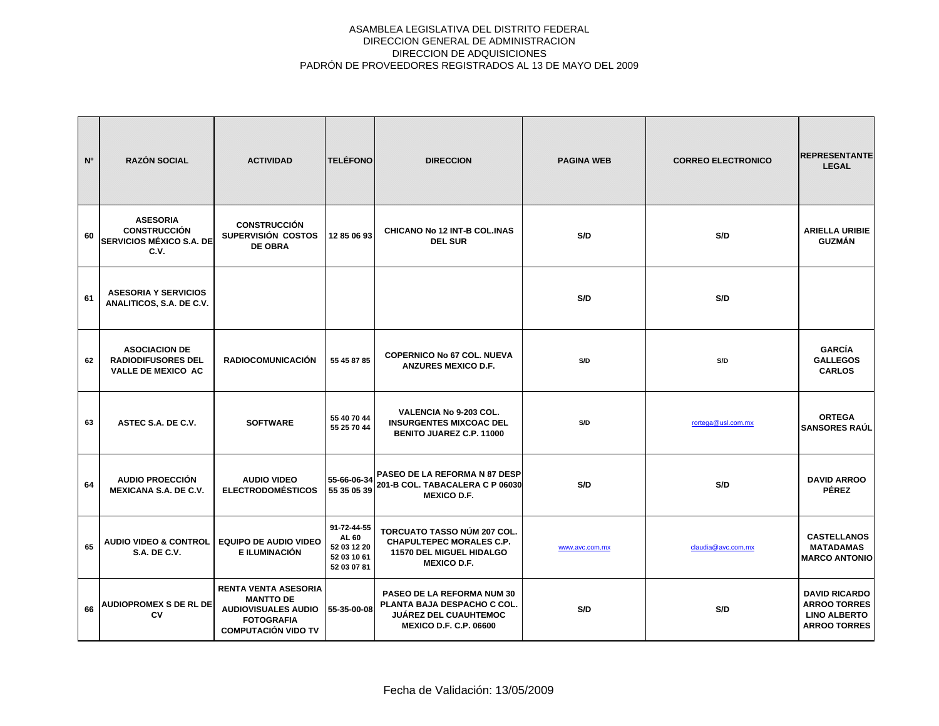| N <sup>o</sup> | <b>RAZÓN SOCIAL</b>                                                               | <b>ACTIVIDAD</b>                                                                                                                 | <b>TELÉFONO</b>                                                   | <b>DIRECCION</b>                                                                                                                  | <b>PAGINA WEB</b> | <b>CORREO ELECTRONICO</b> | <b>REPRESENTANTE</b><br><b>LEGAL</b>                                                      |
|----------------|-----------------------------------------------------------------------------------|----------------------------------------------------------------------------------------------------------------------------------|-------------------------------------------------------------------|-----------------------------------------------------------------------------------------------------------------------------------|-------------------|---------------------------|-------------------------------------------------------------------------------------------|
| 60             | <b>ASESORIA</b><br><b>CONSTRUCCIÓN</b><br><b>SERVICIOS MÉXICO S.A. DE</b><br>C.V. | <b>CONSTRUCCIÓN</b><br>SUPERVISIÓN COSTOS<br><b>DE OBRA</b>                                                                      | 12 85 06 93                                                       | <b>CHICANO No 12 INT-B COL.INAS</b><br><b>DEL SUR</b>                                                                             | S/D               | S/D                       | <b>ARIELLA URIBIE</b><br><b>GUZMÁN</b>                                                    |
| 61             | <b>ASESORIA Y SERVICIOS</b><br>ANALITICOS, S.A. DE C.V.                           |                                                                                                                                  |                                                                   |                                                                                                                                   | S/D               | S/D                       |                                                                                           |
| 62             | <b>ASOCIACION DE</b><br><b>RADIODIFUSORES DEL</b><br>VALLE DE MEXICO AC           | <b>RADIOCOMUNICACIÓN</b>                                                                                                         | 55 45 87 85                                                       | <b>COPERNICO No 67 COL. NUEVA</b><br><b>ANZURES MEXICO D.F.</b>                                                                   | S/D               | S/D                       | <b>GARCÍA</b><br><b>GALLEGOS</b><br><b>CARLOS</b>                                         |
| 63             | ASTEC S.A. DE C.V.                                                                | <b>SOFTWARE</b>                                                                                                                  | 55 40 70 44<br>55 25 70 44                                        | <b>VALENCIA No 9-203 COL.</b><br><b>INSURGENTES MIXCOAC DEL</b><br>BENITO JUAREZ C.P. 11000                                       | S/D               | rortega@usl.com.mx        | <b>ORTEGA</b><br><b>SANSORES RAÚL</b>                                                     |
| 64             | AUDIO PROECCIÓN<br><b>MEXICANA S.A. DE C.V.</b>                                   | <b>AUDIO VIDEO</b><br><b>ELECTRODOMÉSTICOS</b>                                                                                   | 55 35 05 39                                                       | 55-66-06-34 PASEO DE LA REFORMA N 87 DESP<br>201-B COL. TABACALERA C P 06030<br><b>MEXICO D.F.</b>                                | S/D               | S/D                       | <b>DAVID ARROO</b><br><b>PÉREZ</b>                                                        |
| 65             | <b>AUDIO VIDEO &amp; CONTROL</b><br><b>S.A. DE C.V.</b>                           | <b>EQUIPO DE AUDIO VIDEO</b><br>E ILUMINACIÓN                                                                                    | 91-72-44-55<br>AL 60<br>52 03 12 20<br>52 03 10 61<br>52 03 07 81 | TORCUATO TASSO NÚM 207 COL.<br><b>CHAPULTEPEC MORALES C.P.</b><br>11570 DEL MIGUEL HIDALGO<br><b>MEXICO D.F.</b>                  | www.avc.com.mx    | claudia@avc.com.mx        | <b>CASTELLANOS</b><br><b>MATADAMAS</b><br><b>MARCO ANTONIO</b>                            |
| 66             | <b>AUDIOPROMEX S DE RL DE</b><br>CV                                               | <b>RENTA VENTA ASESORIA</b><br><b>MANTTO DE</b><br><b>AUDIOVISUALES AUDIO</b><br><b>FOTOGRAFIA</b><br><b>COMPUTACIÓN VIDO TV</b> | 55-35-00-08                                                       | <b>PASEO DE LA REFORMA NUM 30</b><br>PLANTA BAJA DESPACHO C COL.<br><b>JUÁREZ DEL CUAUHTEMOC</b><br><b>MEXICO D.F. C.P. 06600</b> | S/D               | S/D                       | <b>DAVID RICARDO</b><br><b>ARROO TORRES</b><br><b>LINO ALBERTO</b><br><b>ARROO TORRES</b> |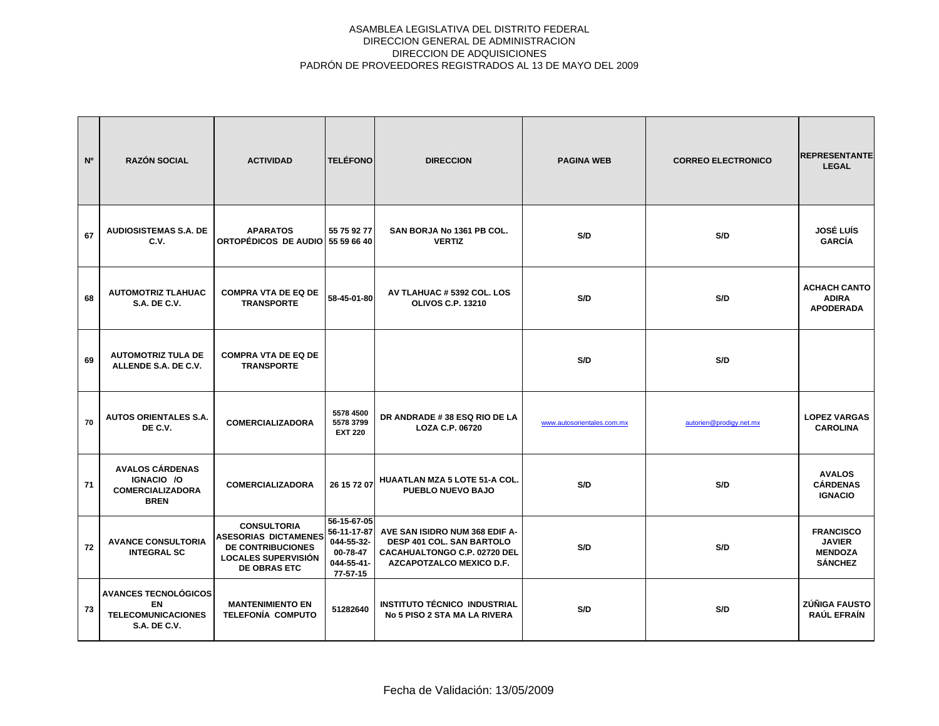| N <sup>o</sup> | <b>RAZÓN SOCIAL</b>                                                                    | <b>ACTIVIDAD</b>                                                                                                                   | <b>TELÉFONO</b>                                                                | <b>DIRECCION</b>                                                                                                        | <b>PAGINA WEB</b>          | <b>CORREO ELECTRONICO</b> | <b>REPRESENTANTE</b><br><b>LEGAL</b>                                  |
|----------------|----------------------------------------------------------------------------------------|------------------------------------------------------------------------------------------------------------------------------------|--------------------------------------------------------------------------------|-------------------------------------------------------------------------------------------------------------------------|----------------------------|---------------------------|-----------------------------------------------------------------------|
| 67             | <b>AUDIOSISTEMAS S.A. DE</b><br>C.V.                                                   | <b>APARATOS</b><br>ORTOPÉDICOS DE AUDIO 55 59 66 40                                                                                | 55 75 92 77                                                                    | SAN BORJA No 1361 PB COL.<br><b>VERTIZ</b>                                                                              | S/D                        | S/D                       | <b>JOSÉ LUÍS</b><br><b>GARCÍA</b>                                     |
| 68             | <b>AUTOMOTRIZ TLAHUAC</b><br><b>S.A. DE C.V.</b>                                       | <b>COMPRA VTA DE EQ DE</b><br><b>TRANSPORTE</b>                                                                                    | 58-45-01-80                                                                    | AV TLAHUAC # 5392 COL. LOS<br><b>OLIVOS C.P. 13210</b>                                                                  | S/D                        | S/D                       | <b>ACHACH CANTO</b><br><b>ADIRA</b><br><b>APODERADA</b>               |
| 69             | <b>AUTOMOTRIZ TULA DE</b><br>ALLENDE S.A. DE C.V.                                      | <b>COMPRA VTA DE EQ DE</b><br><b>TRANSPORTE</b>                                                                                    |                                                                                |                                                                                                                         | S/D                        | S/D                       |                                                                       |
| 70             | <b>AUTOS ORIENTALES S.A.</b><br>DE C.V.                                                | <b>COMERCIALIZADORA</b>                                                                                                            | 5578 4500<br>5578 3799<br><b>EXT 220</b>                                       | DR ANDRADE #38 ESQ RIO DE LA<br>LOZA C.P. 06720                                                                         | www.autosorientales.com.mx | autorien@prodigy.net.mx   | <b>LOPEZ VARGAS</b><br><b>CAROLINA</b>                                |
| 71             | <b>AVALOS CÁRDENAS</b><br>IGNACIO / O<br><b>COMERCIALIZADORA</b><br><b>BREN</b>        | <b>COMERCIALIZADORA</b>                                                                                                            | 26 15 72 07                                                                    | <b>HUAATLAN MZA 5 LOTE 51-A COL.</b><br>PUEBLO NUEVO BAJO                                                               | S/D                        | S/D                       | <b>AVALOS</b><br><b>CÁRDENAS</b><br><b>IGNACIO</b>                    |
| 72             | <b>AVANCE CONSULTORIA</b><br><b>INTEGRAL SC</b>                                        | <b>CONSULTORIA</b><br><b>ASESORIAS DICTAMENES</b><br><b>DE CONTRIBUCIONES</b><br><b>LOCALES SUPERVISIÓN</b><br><b>DE OBRAS ETC</b> | 56-15-67-05<br>56-11-17-87<br>044-55-32-<br>00-78-47<br>044-55-41-<br>77-57-15 | AVE SAN ISIDRO NUM 368 EDIF A-<br>DESP 401 COL. SAN BARTOLO<br>CACAHUALTONGO C.P. 02720 DEL<br>AZCAPOTZALCO MEXICO D.F. | S/D                        | S/D                       | <b>FRANCISCO</b><br><b>JAVIER</b><br><b>MENDOZA</b><br><b>SÁNCHEZ</b> |
| 73             | <b>AVANCES TECNOLÓGICOS</b><br>EN.<br><b>TELECOMUNICACIONES</b><br><b>S.A. DE C.V.</b> | <b>MANTENIMIENTO EN</b><br><b>TELEFONÍA COMPUTO</b>                                                                                | 51282640                                                                       | INSTITUTO TÉCNICO INDUSTRIAL<br>No 5 PISO 2 STA MA LA RIVERA                                                            | S/D                        | S/D                       | ZÚÑIGA FAUSTO<br>RAÚL EFRAÍN                                          |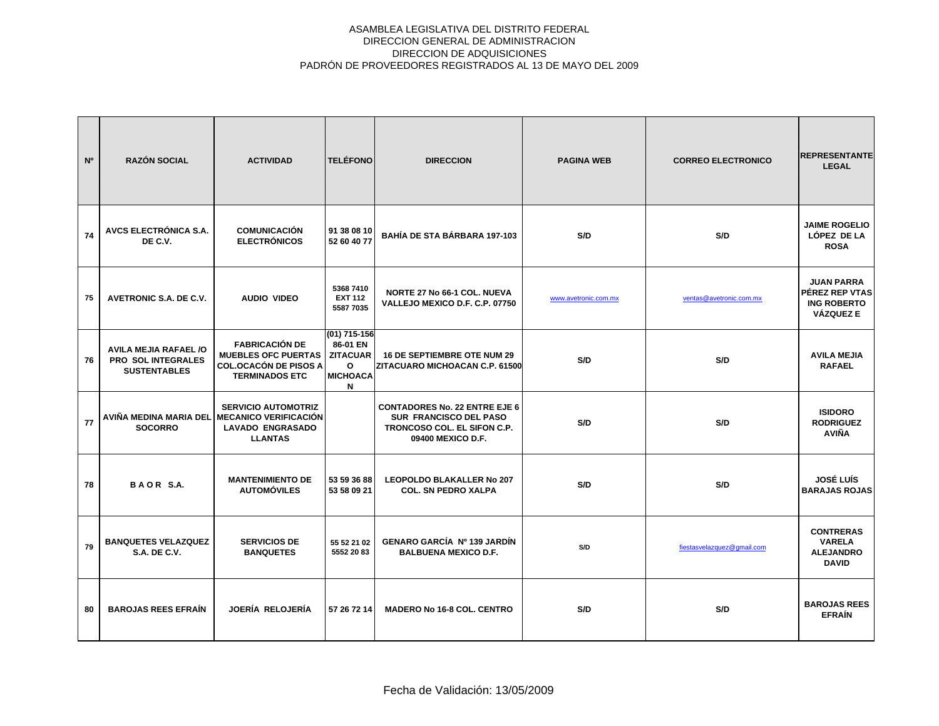| N <sup>o</sup> | <b>RAZÓN SOCIAL</b>                                                       | <b>ACTIVIDAD</b>                                                                                                        | <b>TELÉFONO</b>                                                                 | <b>DIRECCION</b>                                                                                                          | <b>PAGINA WEB</b>    | <b>CORREO ELECTRONICO</b>  | <b>REPRESENTANTE</b><br><b>LEGAL</b>                                          |
|----------------|---------------------------------------------------------------------------|-------------------------------------------------------------------------------------------------------------------------|---------------------------------------------------------------------------------|---------------------------------------------------------------------------------------------------------------------------|----------------------|----------------------------|-------------------------------------------------------------------------------|
| 74             | AVCS ELECTRÓNICA S.A.<br>DE C.V.                                          | <b>COMUNICACIÓN</b><br><b>ELECTRÓNICOS</b>                                                                              | 91 38 08 10<br>52 60 40 77                                                      | <b>BAHÍA DE STA BÁRBARA 197-103</b>                                                                                       | S/D                  | S/D                        | <b>JAIME ROGELIO</b><br>LÓPEZ DE LA<br><b>ROSA</b>                            |
| 75             | AVETRONIC S.A. DE C.V.                                                    | <b>AUDIO VIDEO</b>                                                                                                      | 5368 7410<br><b>EXT 112</b><br>5587 7035                                        | <b>NORTE 27 No 66-1 COL. NUEVA</b><br>VALLEJO MEXICO D.F. C.P. 07750                                                      | www.avetronic.com.mx | ventas@avetronic.com.mx    | <b>JUAN PARRA</b><br>PÉREZ REP VTAS<br><b>ING ROBERTO</b><br><b>VÁZQUEZ E</b> |
| 76             | <b>AVILA MEJIA RAFAEL /O</b><br>PRO SOL INTEGRALES<br><b>SUSTENTABLES</b> | <b>FABRICACIÓN DE</b><br><b>MUEBLES OFC PUERTAS</b><br><b>COL.OCACÓN DE PISOS A</b><br><b>TERMINADOS ETC</b>            | (01) 715-156<br>86-01 EN<br><b>ZITACUAR</b><br>$\Omega$<br><b>MICHOACA</b><br>N | <b>16 DE SEPTIEMBRE OTE NUM 29</b><br>ZITACUARO MICHOACAN C.P. 61500                                                      | S/D                  | S/D                        | <b>AVILA MEJIA</b><br><b>RAFAEL</b>                                           |
| 77             | <b>SOCORRO</b>                                                            | <b>SERVICIO AUTOMOTRIZ</b><br>AVIÑA MEDINA MARIA DEL MECANICO VERIFICACIÓN<br><b>LAVADO ENGRASADO</b><br><b>LLANTAS</b> |                                                                                 | <b>CONTADORES No. 22 ENTRE EJE 6</b><br><b>SUR FRANCISCO DEL PASO</b><br>TRONCOSO COL. EL SIFON C.P.<br>09400 MEXICO D.F. | S/D                  | S/D                        | <b>ISIDORO</b><br><b>RODRIGUEZ</b><br><b>AVIÑA</b>                            |
| 78             | BAOR S.A.                                                                 | <b>MANTENIMIENTO DE</b><br><b>AUTOMÓVILES</b>                                                                           | 53 59 36 88<br>53 58 09 21                                                      | <b>LEOPOLDO BLAKALLER No 207</b><br><b>COL. SN PEDRO XALPA</b>                                                            | S/D                  | S/D                        | <b>JOSÉ LUÍS</b><br><b>BARAJAS ROJAS</b>                                      |
| 79             | <b>BANQUETES VELAZQUEZ</b><br><b>S.A. DE C.V.</b>                         | <b>SERVICIOS DE</b><br><b>BANQUETES</b>                                                                                 | 55 52 21 02<br>5552 20 83                                                       | <b>GENARO GARCÍA Nº 139 JARDÍN</b><br><b>BALBUENA MEXICO D.F.</b>                                                         | S/D                  | fiestasvelazquez@gmail.com | <b>CONTRERAS</b><br><b>VARELA</b><br><b>ALEJANDRO</b><br><b>DAVID</b>         |
| 80             | <b>BAROJAS REES EFRAIN</b>                                                | JOERÍA RELOJERÍA                                                                                                        | 57 26 72 14                                                                     | <b>MADERO No 16-8 COL. CENTRO</b>                                                                                         | S/D                  | S/D                        | <b>BAROJAS REES</b><br><b>EFRAÍN</b>                                          |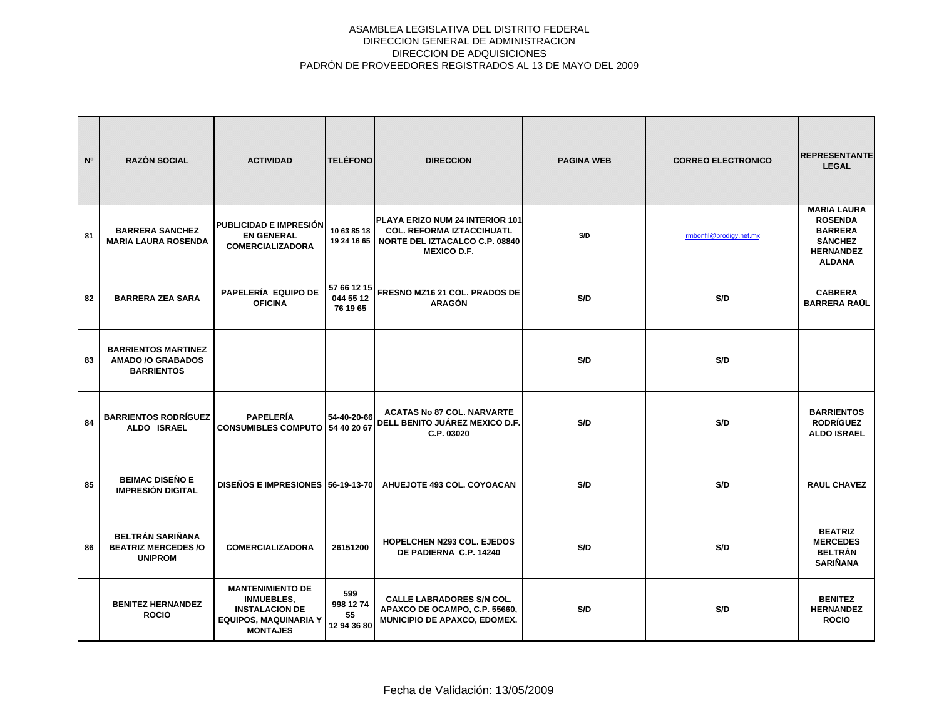| N <sup>o</sup> | <b>RAZÓN SOCIAL</b>                                                         | <b>ACTIVIDAD</b>                                                                                                         | <b>TELÉFONO</b>                       | <b>DIRECCION</b>                                                                                                                          | <b>PAGINA WEB</b> | <b>CORREO ELECTRONICO</b> | <b>REPRESENTANTE</b><br><b>LEGAL</b>                                                                          |
|----------------|-----------------------------------------------------------------------------|--------------------------------------------------------------------------------------------------------------------------|---------------------------------------|-------------------------------------------------------------------------------------------------------------------------------------------|-------------------|---------------------------|---------------------------------------------------------------------------------------------------------------|
| 81             | <b>BARRERA SANCHEZ</b><br><b>MARIA LAURA ROSENDA</b>                        | <b>PUBLICIDAD E IMPRESIÓN</b><br><b>EN GENERAL</b><br><b>COMERCIALIZADORA</b>                                            | 10 63 85 18                           | PLAYA ERIZO NUM 24 INTERIOR 101<br><b>COL. REFORMA IZTACCIHUATL</b><br>19 24 16 65   NORTE DEL IZTACALCO C.P. 08840<br><b>MEXICO D.F.</b> | S/D               | rmbonfil@prodigy.net.mx   | <b>MARIA LAURA</b><br><b>ROSENDA</b><br><b>BARRERA</b><br><b>SÁNCHEZ</b><br><b>HERNANDEZ</b><br><b>ALDANA</b> |
| 82             | <b>BARRERA ZEA SARA</b>                                                     | PAPELERÍA EQUIPO DE<br><b>OFICINA</b>                                                                                    | 57 66 12 15<br>044 55 12<br>76 19 65  | FRESNO MZ16 21 COL. PRADOS DE<br><b>ARAGÓN</b>                                                                                            | S/D               | S/D                       | <b>CABRERA</b><br><b>BARRERA RAÚL</b>                                                                         |
| 83             | <b>BARRIENTOS MARTINEZ</b><br><b>AMADO /O GRABADOS</b><br><b>BARRIENTOS</b> |                                                                                                                          |                                       |                                                                                                                                           | S/D               | S/D                       |                                                                                                               |
| 84             | <b>BARRIENTOS RODRÍGUEZ</b><br>ALDO ISRAEL                                  | <b>PAPELERÍA</b><br>CONSUMIBLES COMPUTO 54 40 20 67                                                                      | 54-40-20-66                           | <b>ACATAS No 87 COL. NARVARTE</b><br>DELL BENITO JUÁREZ MEXICO D.F.<br>C.P. 03020                                                         | S/D               | S/D                       | <b>BARRIENTOS</b><br><b>RODRÍGUEZ</b><br><b>ALDO ISRAEL</b>                                                   |
| 85             | <b>BEIMAC DISEÑO E</b><br><b>IMPRESIÓN DIGITAL</b>                          | DISEÑOS E IMPRESIONES 56-19-13-70                                                                                        |                                       | AHUEJOTE 493 COL, COYOACAN                                                                                                                | S/D               | S/D                       | <b>RAUL CHAVEZ</b>                                                                                            |
| 86             | <b>BELTRÁN SARIÑANA</b><br><b>BEATRIZ MERCEDES /O</b><br><b>UNIPROM</b>     | <b>COMERCIALIZADORA</b>                                                                                                  | 26151200                              | <b>HOPELCHEN N293 COL. EJEDOS</b><br>DE PADIERNA C.P. 14240                                                                               | S/D               | S/D                       | <b>BEATRIZ</b><br><b>MERCEDES</b><br><b>BELTRÁN</b><br><b>SARIÑANA</b>                                        |
|                | <b>BENITEZ HERNANDEZ</b><br><b>ROCIO</b>                                    | <b>MANTENIMIENTO DE</b><br><b>INMUEBLES,</b><br><b>INSTALACION DE</b><br><b>EQUIPOS, MAQUINARIA Y</b><br><b>MONTAJES</b> | 599<br>998 12 74<br>55<br>12 94 36 80 | <b>CALLE LABRADORES S/N COL.</b><br>APAXCO DE OCAMPO, C.P. 55660,<br>MUNICIPIO DE APAXCO, EDOMEX.                                         | S/D               | S/D                       | <b>BENITEZ</b><br><b>HERNANDEZ</b><br><b>ROCIO</b>                                                            |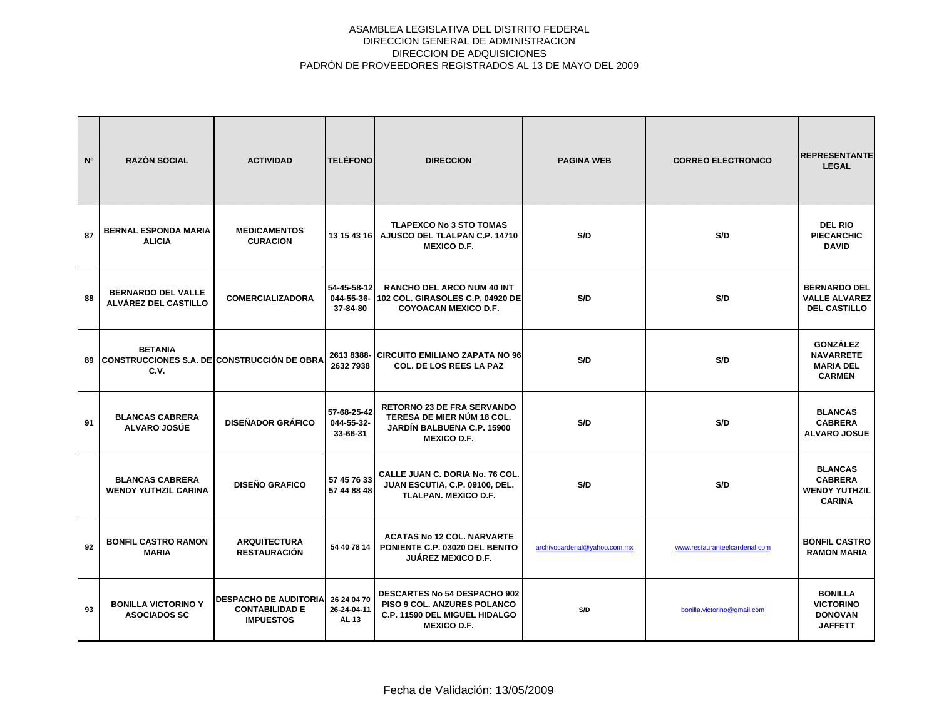| N <sup>o</sup> | <b>RAZÓN SOCIAL</b>                                                          | <b>ACTIVIDAD</b>                                                          | <b>TELÉFONO</b>                       | <b>DIRECCION</b>                                                                                                           | <b>PAGINA WEB</b>            | <b>CORREO ELECTRONICO</b>     | <b>REPRESENTANTE</b><br><b>LEGAL</b>                                      |
|----------------|------------------------------------------------------------------------------|---------------------------------------------------------------------------|---------------------------------------|----------------------------------------------------------------------------------------------------------------------------|------------------------------|-------------------------------|---------------------------------------------------------------------------|
| 87             | <b>BERNAL ESPONDA MARIA</b><br><b>ALICIA</b>                                 | <b>MEDICAMENTOS</b><br><b>CURACION</b>                                    | 13 15 43 16                           | <b>TLAPEXCO No 3 STO TOMAS</b><br>AJUSCO DEL TLALPAN C.P. 14710<br><b>MEXICO D.F.</b>                                      | S/D                          | S/D                           | <b>DEL RIO</b><br><b>PIECARCHIC</b><br><b>DAVID</b>                       |
| 88             | <b>BERNARDO DEL VALLE</b><br>ALVÁREZ DEL CASTILLO                            | <b>COMERCIALIZADORA</b>                                                   | 54-45-58-12<br>044-55-36-<br>37-84-80 | <b>RANCHO DEL ARCO NUM 40 INT</b><br>102 COL. GIRASOLES C.P. 04920 DE<br><b>COYOACAN MEXICO D.F.</b>                       | S/D                          | S/D                           | <b>BERNARDO DEL</b><br><b>VALLE ALVAREZ</b><br><b>DEL CASTILLO</b>        |
| 89             | <b>BETANIA</b><br><b>CONSTRUCCIONES S.A. DE CONSTRUCCIÓN DE OBRA</b><br>C.V. |                                                                           | 2613 8388-<br>2632 7938               | <b>CIRCUITO EMILIANO ZAPATA NO 96</b><br><b>COL. DE LOS REES LA PAZ</b>                                                    | S/D                          | S/D                           | <b>GONZÁLEZ</b><br><b>NAVARRETE</b><br><b>MARIA DEL</b><br><b>CARMEN</b>  |
| 91             | <b>BLANCAS CABRERA</b><br><b>ALVARO JOSÚE</b>                                | <b>DISEÑADOR GRÁFICO</b>                                                  | 57-68-25-42<br>044-55-32-<br>33-66-31 | <b>RETORNO 23 DE FRA SERVANDO</b><br>TERESA DE MIER NÚM 18 COL.<br><b>JARDÍN BALBUENA C.P. 15900</b><br><b>MEXICO D.F.</b> | S/D                          | S/D                           | <b>BLANCAS</b><br><b>CABRERA</b><br><b>ALVARO JOSUE</b>                   |
|                | <b>BLANCAS CABRERA</b><br><b>WENDY YUTHZIL CARINA</b>                        | <b>DISEÑO GRAFICO</b>                                                     | 57 45 76 33<br>57 44 88 48            | CALLE JUAN C. DORIA No. 76 COL.<br>JUAN ESCUTIA, C.P. 09100, DEL.<br><b>TLALPAN. MEXICO D.F.</b>                           | S/D                          | S/D                           | <b>BLANCAS</b><br><b>CABRERA</b><br><b>WENDY YUTHZIL</b><br><b>CARINA</b> |
| 92             | <b>BONFIL CASTRO RAMON</b><br><b>MARIA</b>                                   | <b>ARQUITECTURA</b><br><b>RESTAURACIÓN</b>                                | 54 40 78 14                           | <b>ACATAS No 12 COL. NARVARTE</b><br>PONIENTE C.P. 03020 DEL BENITO<br><b>JUÁREZ MEXICO D.F.</b>                           | archivocardenal@yahoo.com.mx | www.restauranteelcardenal.com | <b>BONFIL CASTRO</b><br><b>RAMON MARIA</b>                                |
| 93             | <b>BONILLA VICTORINO Y</b><br><b>ASOCIADOS SC</b>                            | <b>DESPACHO DE AUDITORIA</b><br><b>CONTABILIDAD E</b><br><b>IMPUESTOS</b> | 26 24 04 70<br>26-24-04-11<br>AL 13   | <b>DESCARTES No 54 DESPACHO 902</b><br>PISO 9 COL. ANZURES POLANCO<br>C.P. 11590 DEL MIGUEL HIDALGO<br><b>MEXICO D.F.</b>  | S/D                          | bonilla.victorino@gmail.com   | <b>BONILLA</b><br><b>VICTORINO</b><br><b>DONOVAN</b><br><b>JAFFETT</b>    |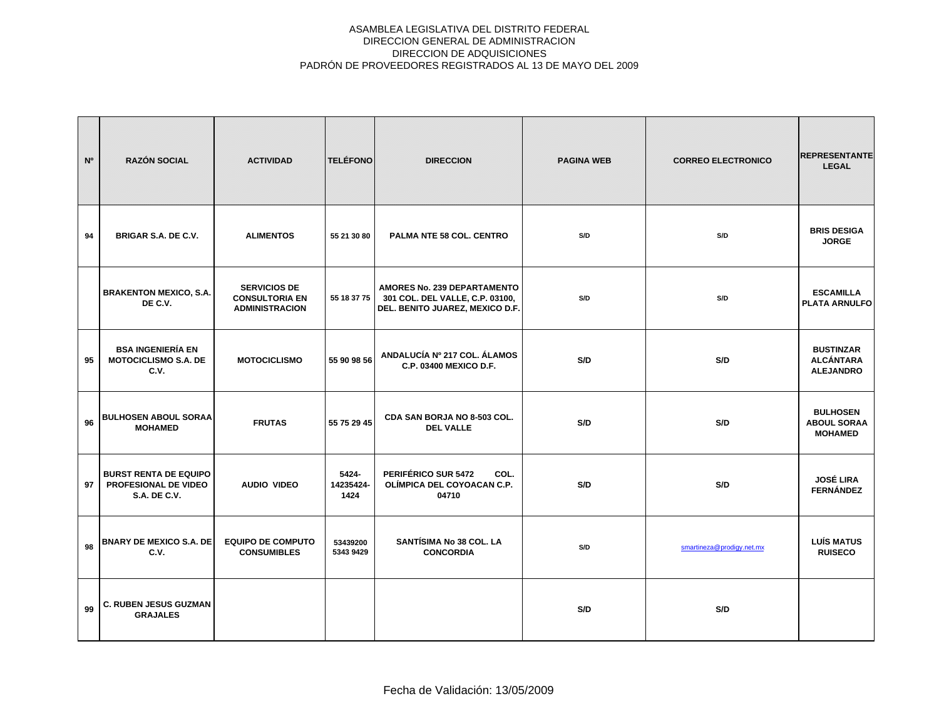| N <sup>o</sup> | <b>RAZÓN SOCIAL</b>                                                         | <b>ACTIVIDAD</b>                                                      | <b>TELÉFONO</b>            | <b>DIRECCION</b>                                                                                  | <b>PAGINA WEB</b> | <b>CORREO ELECTRONICO</b> | <b>REPRESENTANTE</b><br><b>LEGAL</b>                     |
|----------------|-----------------------------------------------------------------------------|-----------------------------------------------------------------------|----------------------------|---------------------------------------------------------------------------------------------------|-------------------|---------------------------|----------------------------------------------------------|
| 94             | BRIGAR S.A. DE C.V.                                                         | <b>ALIMENTOS</b>                                                      | 55 21 30 80                | PALMA NTE 58 COL. CENTRO                                                                          | S/D               | S/D                       | <b>BRIS DESIGA</b><br><b>JORGE</b>                       |
|                | <b>BRAKENTON MEXICO, S.A.</b><br>DE C.V.                                    | <b>SERVICIOS DE</b><br><b>CONSULTORIA EN</b><br><b>ADMINISTRACION</b> | 55 18 37 75                | AMORES No. 239 DEPARTAMENTO<br>301 COL. DEL VALLE, C.P. 03100,<br>DEL. BENITO JUAREZ, MEXICO D.F. | S/D               | S/D                       | <b>ESCAMILLA</b><br><b>PLATA ARNULFO</b>                 |
| 95             | <b>BSA INGENIERÍA EN</b><br><b>MOTOCICLISMO S.A. DE</b><br>C.V.             | <b>MOTOCICLISMO</b>                                                   | 55 90 98 56                | ANDALUCÍA Nº 217 COL. ÁLAMOS<br>C.P. 03400 MEXICO D.F.                                            | S/D               | S/D                       | <b>BUSTINZAR</b><br><b>ALCÁNTARA</b><br><b>ALEJANDRO</b> |
| 96             | <b>BULHOSEN ABOUL SORAA</b><br><b>MOHAMED</b>                               | <b>FRUTAS</b>                                                         | 55 75 29 45                | CDA SAN BORJA NO 8-503 COL.<br><b>DEL VALLE</b>                                                   | S/D               | S/D                       | <b>BULHOSEN</b><br><b>ABOUL SORAA</b><br><b>MOHAMED</b>  |
| 97             | <b>BURST RENTA DE EQUIPO</b><br>PROFESIONAL DE VIDEO<br><b>S.A. DE C.V.</b> | <b>AUDIO VIDEO</b>                                                    | 5424-<br>14235424-<br>1424 | PERIFÉRICO SUR 5472<br>COL.<br>OLÍMPICA DEL COYOACAN C.P.<br>04710                                | S/D               | S/D                       | <b>JOSÉ LIRA</b><br><b>FERNÁNDEZ</b>                     |
| 98             | <b>BNARY DE MEXICO S.A. DE</b><br>C.V.                                      | <b>EQUIPO DE COMPUTO</b><br><b>CONSUMIBLES</b>                        | 53439200<br>5343 9429      | <b>SANTÍSIMA No 38 COL. LA</b><br><b>CONCORDIA</b>                                                | S/D               | smartineza@prodigy.net.mx | <b>LUÍS MATUS</b><br><b>RUISECO</b>                      |
| 99             | <b>C. RUBEN JESUS GUZMAN</b><br><b>GRAJALES</b>                             |                                                                       |                            |                                                                                                   | S/D               | S/D                       |                                                          |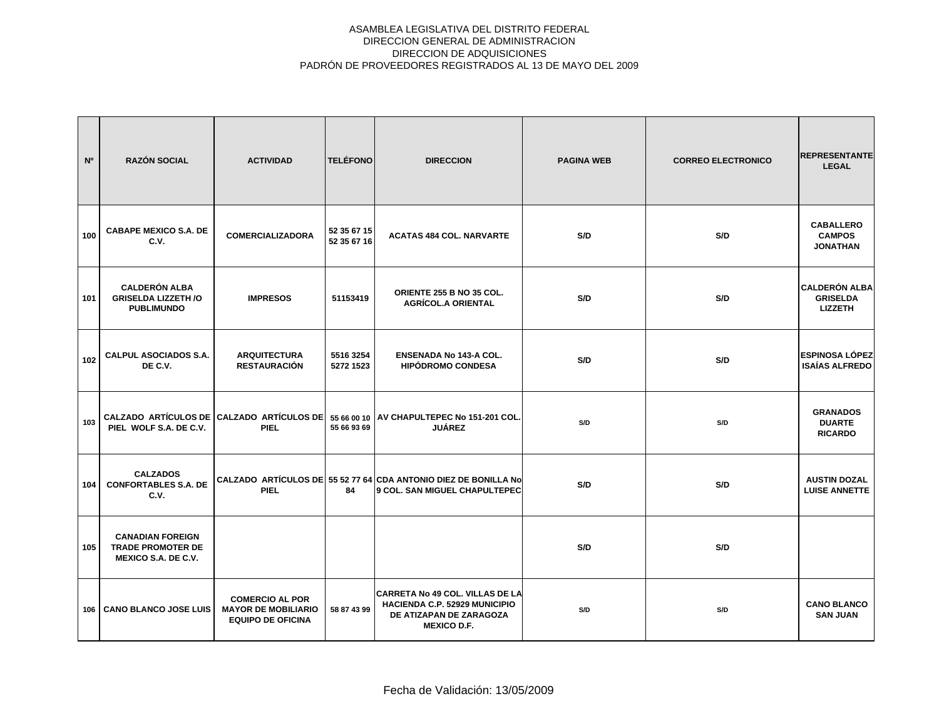| N°  | <b>RAZÓN SOCIAL</b>                                                        | <b>ACTIVIDAD</b>                                                                 | <b>TELÉFONO</b>            | <b>DIRECCION</b>                                                                                                         | <b>PAGINA WEB</b> | <b>CORREO ELECTRONICO</b> | <b>REPRESENTANTE</b><br><b>LEGAL</b>                      |
|-----|----------------------------------------------------------------------------|----------------------------------------------------------------------------------|----------------------------|--------------------------------------------------------------------------------------------------------------------------|-------------------|---------------------------|-----------------------------------------------------------|
| 100 | <b>CABAPE MEXICO S.A. DE</b><br>C.V.                                       | <b>COMERCIALIZADORA</b>                                                          | 52 35 67 15<br>52 35 67 16 | <b>ACATAS 484 COL. NARVARTE</b>                                                                                          | S/D               | S/D                       | <b>CABALLERO</b><br><b>CAMPOS</b><br><b>JONATHAN</b>      |
| 101 | <b>CALDERÓN ALBA</b><br><b>GRISELDA LIZZETH /O</b><br><b>PUBLIMUNDO</b>    | <b>IMPRESOS</b>                                                                  | 51153419                   | ORIENTE 255 B NO 35 COL.<br><b>AGRÍCOL.A ORIENTAL</b>                                                                    | S/D               | S/D                       | <b>CALDERÓN ALBA</b><br><b>GRISELDA</b><br><b>LIZZETH</b> |
| 102 | <b>CALPUL ASOCIADOS S.A.</b><br>DE C.V.                                    | <b>ARQUITECTURA</b><br><b>RESTAURACIÓN</b>                                       | 5516 3254<br>5272 1523     | <b>ENSENADA No 143-A COL.</b><br><b>HIPÓDROMO CONDESA</b>                                                                | S/D               | S/D                       | <b>ESPINOSA LÓPEZ</b><br><b>ISAÍAS ALFREDO</b>            |
| 103 | PIEL WOLF S.A. DE C.V.                                                     | <b>PIEL</b>                                                                      | 55 66 93 69                | CALZADO ARTÍCULOS DE CALZADO ARTÍCULOS DE 55 66 00 10 AV CHAPULTEPEC No 151-201 COL.<br><b>JUÁREZ</b>                    | S/D               | S/D                       | <b>GRANADOS</b><br><b>DUARTE</b><br><b>RICARDO</b>        |
| 104 | <b>CALZADOS</b><br><b>CONFORTABLES S.A. DE</b><br>C.V.                     | <b>PIEL</b>                                                                      | 84                         | CALZADO ARTÍCULOS DE 55 52 77 64 CDA ANTONIO DIEZ DE BONILLA No<br><b>9 COL. SAN MIGUEL CHAPULTEPEC</b>                  | S/D               | S/D                       | <b>AUSTIN DOZAL</b><br><b>LUISE ANNETTE</b>               |
| 105 | <b>CANADIAN FOREIGN</b><br><b>TRADE PROMOTER DE</b><br>MEXICO S.A. DE C.V. |                                                                                  |                            |                                                                                                                          | S/D               | S/D                       |                                                           |
| 106 | <b>CANO BLANCO JOSE LUIS</b>                                               | <b>COMERCIO AL POR</b><br><b>MAYOR DE MOBILIARIO</b><br><b>EQUIPO DE OFICINA</b> | 58 87 43 99                | <b>CARRETA No 49 COL. VILLAS DE LA</b><br>HACIENDA C.P. 52929 MUNICIPIO<br>DE ATIZAPAN DE ZARAGOZA<br><b>MEXICO D.F.</b> | S/D               | S/D                       | <b>CANO BLANCO</b><br><b>SAN JUAN</b>                     |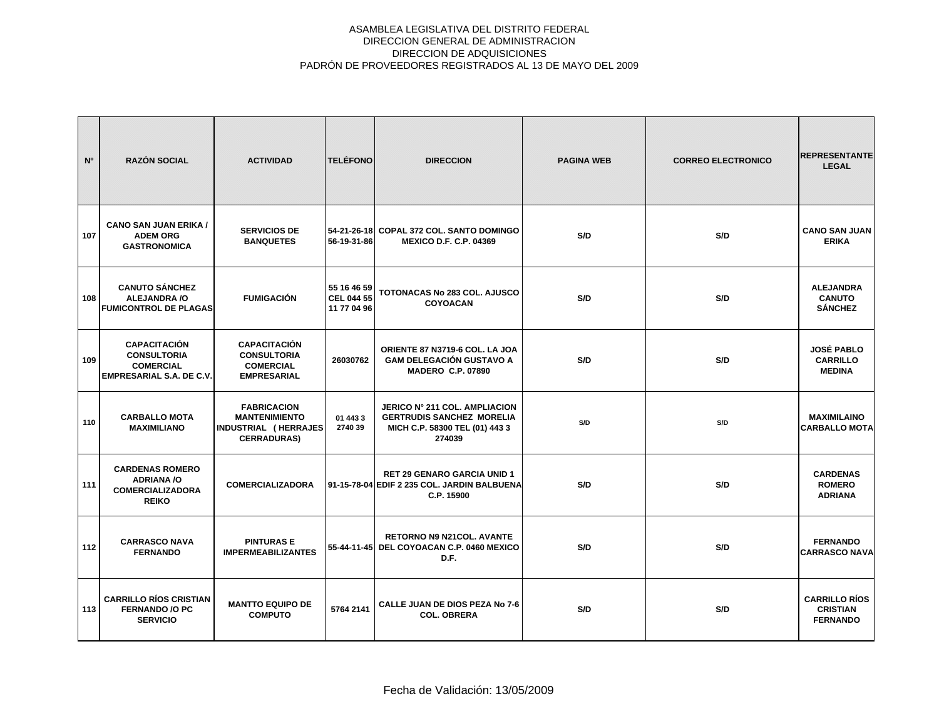| N°  | <b>RAZÓN SOCIAL</b>                                                                              | <b>ACTIVIDAD</b>                                                                                | <b>TELÉFONO</b>                                 | <b>DIRECCION</b>                                                                                                     | <b>PAGINA WEB</b> | <b>CORREO ELECTRONICO</b> | <b>REPRESENTANTE</b><br><b>LEGAL</b>                       |
|-----|--------------------------------------------------------------------------------------------------|-------------------------------------------------------------------------------------------------|-------------------------------------------------|----------------------------------------------------------------------------------------------------------------------|-------------------|---------------------------|------------------------------------------------------------|
| 107 | <b>CANO SAN JUAN ERIKA /</b><br><b>ADEM ORG</b><br><b>GASTRONOMICA</b>                           | <b>SERVICIOS DE</b><br><b>BANQUETES</b>                                                         | 56-19-31-86                                     | 54-21-26-18 COPAL 372 COL. SANTO DOMINGO<br><b>MEXICO D.F. C.P. 04369</b>                                            | S/D               | S/D                       | <b>CANO SAN JUAN</b><br><b>ERIKA</b>                       |
| 108 | <b>CANUTO SÁNCHEZ</b><br><b>ALEJANDRA/O</b><br><b>FUMICONTROL DE PLAGAS</b>                      | <b>FUMIGACIÓN</b>                                                                               | 55 16 46 59<br><b>CEL 044 55</b><br>11 77 04 96 | <b>TOTONACAS No 283 COL. AJUSCO</b><br><b>COYOACAN</b>                                                               | S/D               | S/D                       | <b>ALEJANDRA</b><br><b>CANUTO</b><br><b>SÁNCHEZ</b>        |
| 109 | <b>CAPACITACIÓN</b><br><b>CONSULTORIA</b><br><b>COMERCIAL</b><br><b>EMPRESARIAL S.A. DE C.V.</b> | <b>CAPACITACIÓN</b><br><b>CONSULTORIA</b><br><b>COMERCIAL</b><br><b>EMPRESARIAL</b>             | 26030762                                        | ORIENTE 87 N3719-6 COL. LA JOA<br><b>GAM DELEGACIÓN GUSTAVO A</b><br><b>MADERO C.P. 07890</b>                        | S/D               | S/D                       | <b>JOSÉ PABLO</b><br><b>CARRILLO</b><br><b>MEDINA</b>      |
| 110 | <b>CARBALLO MOTA</b><br><b>MAXIMILIANO</b>                                                       | <b>FABRICACION</b><br><b>MANTENIMIENTO</b><br><b>INDUSTRIAL (HERRAJES</b><br><b>CERRADURAS)</b> | 01 443 3<br>2740 39                             | <b>JERICO Nº 211 COL. AMPLIACION</b><br><b>GERTRUDIS SANCHEZ MORELIA</b><br>MICH C.P. 58300 TEL (01) 443 3<br>274039 | S/D               | S/D                       | <b>MAXIMILAINO</b><br><b>CARBALLO MOTA</b>                 |
| 111 | <b>CARDENAS ROMERO</b><br><b>ADRIANA/O</b><br><b>COMERCIALIZADORA</b><br><b>REIKO</b>            | <b>COMERCIALIZADORA</b>                                                                         |                                                 | <b>RET 29 GENARO GARCIA UNID 1</b><br>91-15-78-04 EDIF 2 235 COL. JARDIN BALBUENA<br>C.P. 15900                      | S/D               | S/D                       | <b>CARDENAS</b><br><b>ROMERO</b><br><b>ADRIANA</b>         |
| 112 | <b>CARRASCO NAVA</b><br><b>FERNANDO</b>                                                          | <b>PINTURAS E</b><br><b>IMPERMEABILIZANTES</b>                                                  |                                                 | <b>RETORNO N9 N21COL, AVANTE</b><br>55-44-11-45 DEL COYOACAN C.P. 0460 MEXICO<br>D.F.                                | S/D               | S/D                       | <b>FERNANDO</b><br><b>CARRASCO NAVA</b>                    |
| 113 | <b>CARRILLO RÍOS CRISTIAN</b><br><b>FERNANDO /O PC</b><br><b>SERVICIO</b>                        | <b>MANTTO EQUIPO DE</b><br><b>COMPUTO</b>                                                       | 5764 2141                                       | <b>CALLE JUAN DE DIOS PEZA No 7-6</b><br><b>COL. OBRERA</b>                                                          | S/D               | S/D                       | <b>CARRILLO RÍOS</b><br><b>CRISTIAN</b><br><b>FERNANDO</b> |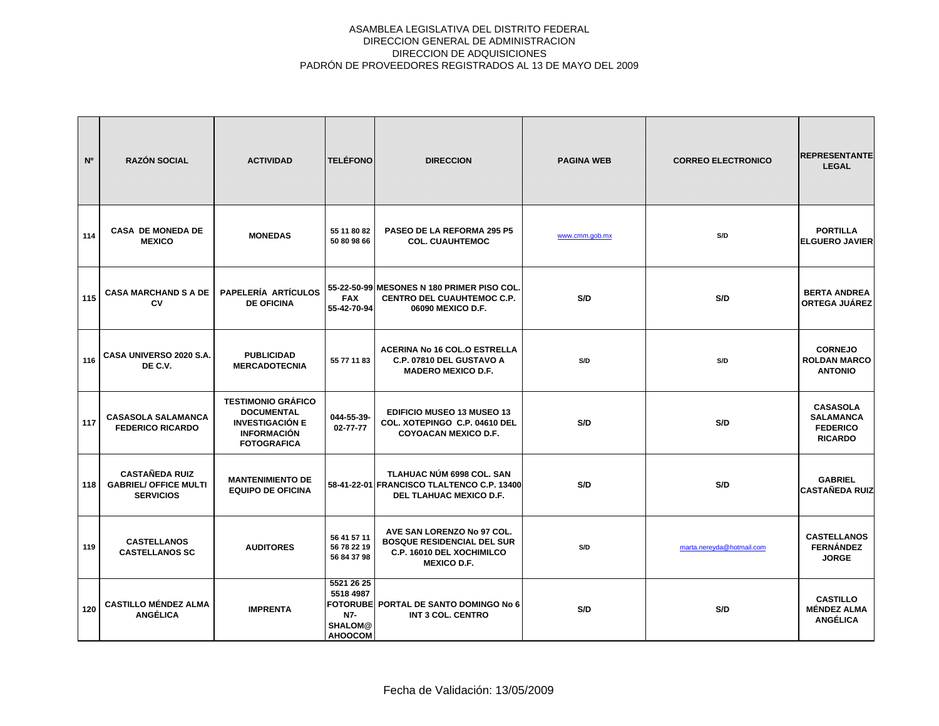| N°  | <b>RAZÓN SOCIAL</b>                                                       | <b>ACTIVIDAD</b>                                                                                                     | <b>TELÉFONO</b>                                                    | <b>DIRECCION</b>                                                                                                   | <b>PAGINA WEB</b> | <b>CORREO ELECTRONICO</b> | <b>REPRESENTANTE</b><br><b>LEGAL</b>                                     |
|-----|---------------------------------------------------------------------------|----------------------------------------------------------------------------------------------------------------------|--------------------------------------------------------------------|--------------------------------------------------------------------------------------------------------------------|-------------------|---------------------------|--------------------------------------------------------------------------|
| 114 | <b>CASA DE MONEDA DE</b><br><b>MEXICO</b>                                 | <b>MONEDAS</b>                                                                                                       | 55 11 80 82<br>50 80 98 66                                         | <b>PASEO DE LA REFORMA 295 P5</b><br><b>COL. CUAUHTEMOC</b>                                                        | www.cmm.gob.mx    | S/D                       | <b>PORTILLA</b><br><b>ELGUERO JAVIER</b>                                 |
| 115 | <b>CASA MARCHAND S A DE</b><br>CV                                         | <b>PAPELERÍA ARTÍCULOS</b><br><b>DE OFICINA</b>                                                                      | <b>FAX</b><br>55-42-70-94                                          | 55-22-50-99 MESONES N 180 PRIMER PISO COL.<br><b>CENTRO DEL CUAUHTEMOC C.P.</b><br>06090 MEXICO D.F.               | S/D               | S/D                       | <b>BERTA ANDREA</b><br><b>ORTEGA JUÁREZ</b>                              |
| 116 | CASA UNIVERSO 2020 S.A.<br>DE C.V.                                        | <b>PUBLICIDAD</b><br><b>MERCADOTECNIA</b>                                                                            | 55 77 11 83                                                        | <b>ACERINA No 16 COL.O ESTRELLA</b><br>C.P. 07810 DEL GUSTAVO A<br><b>MADERO MEXICO D.F.</b>                       | S/D               | S/D                       | <b>CORNEJO</b><br><b>ROLDAN MARCO</b><br><b>ANTONIO</b>                  |
| 117 | <b>CASASOLA SALAMANCA</b><br><b>FEDERICO RICARDO</b>                      | <b>TESTIMONIO GRÁFICO</b><br><b>DOCUMENTAL</b><br><b>INVESTIGACIÓN E</b><br><b>INFORMACIÓN</b><br><b>FOTOGRAFICA</b> | 044-55-39-<br>$02 - 77 - 77$                                       | <b>EDIFICIO MUSEO 13 MUSEO 13</b><br>COL. XOTEPINGO C.P. 04610 DEL<br><b>COYOACAN MEXICO D.F.</b>                  | S/D               | S/D                       | <b>CASASOLA</b><br><b>SALAMANCA</b><br><b>FEDERICO</b><br><b>RICARDO</b> |
| 118 | <b>CASTAÑEDA RUIZ</b><br><b>GABRIEL/ OFFICE MULTI</b><br><b>SERVICIOS</b> | <b>MANTENIMIENTO DE</b><br><b>EQUIPO DE OFICINA</b>                                                                  |                                                                    | TLAHUAC NÚM 6998 COL. SAN<br>58-41-22-01 FRANCISCO TLALTENCO C.P. 13400<br>DEL TLAHUAC MEXICO D.F.                 | S/D               | S/D                       | <b>GABRIEL</b><br><b>CASTAÑEDA RUIZ</b>                                  |
| 119 | <b>CASTELLANOS</b><br><b>CASTELLANOS SC</b>                               | <b>AUDITORES</b>                                                                                                     | 56 41 57 11<br>56 78 22 19<br>56 84 37 98                          | AVE SAN LORENZO No 97 COL.<br><b>BOSQUE RESIDENCIAL DEL SUR</b><br>C.P. 16010 DEL XOCHIMILCO<br><b>MEXICO D.F.</b> | S/D               | marta.nereyda@hotmail.com | <b>CASTELLANOS</b><br><b>FERNÁNDEZ</b><br><b>JORGE</b>                   |
| 120 | <b>CASTILLO MÉNDEZ ALMA</b><br><b>ANGÉLICA</b>                            | <b>IMPRENTA</b>                                                                                                      | 5521 26 25<br>5518 4987<br>N7-<br><b>SHALOM@</b><br><b>AHOOCOM</b> | FOTORUBE PORTAL DE SANTO DOMINGO No 6<br>INT 3 COL. CENTRO                                                         | S/D               | S/D                       | <b>CASTILLO</b><br><b>MÉNDEZ ALMA</b><br><b>ANGÉLICA</b>                 |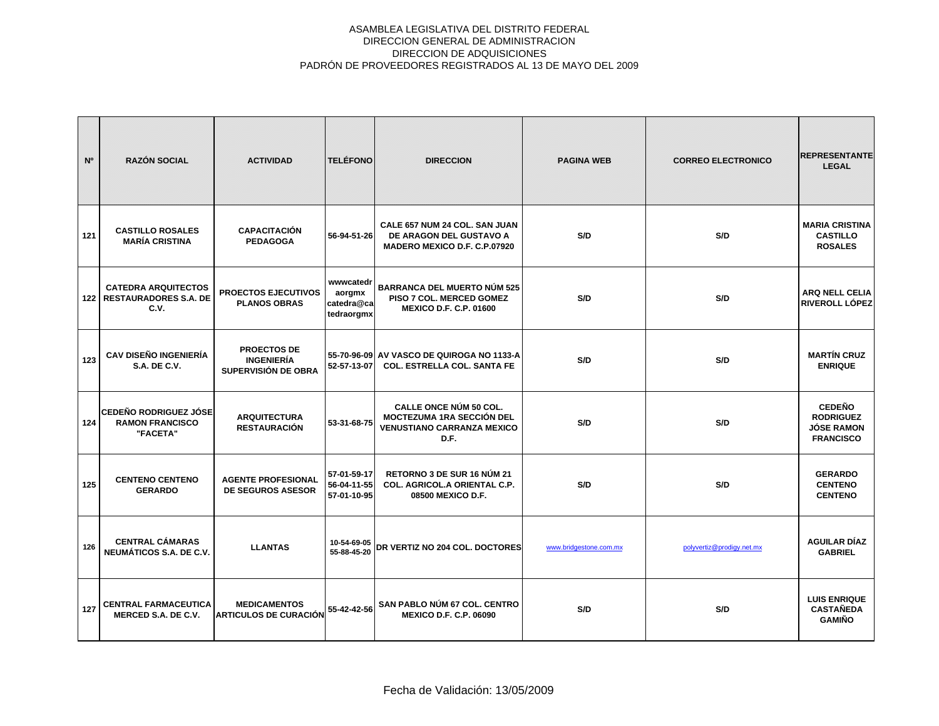| N <sup>o</sup> | <b>RAZÓN SOCIAL</b>                                                      | <b>ACTIVIDAD</b>                                               | <b>TELÉFONO</b>                                 | <b>DIRECCION</b>                                                                                               | <b>PAGINA WEB</b>      | <b>CORREO ELECTRONICO</b> | <b>REPRESENTANTE</b><br><b>LEGAL</b>                                       |
|----------------|--------------------------------------------------------------------------|----------------------------------------------------------------|-------------------------------------------------|----------------------------------------------------------------------------------------------------------------|------------------------|---------------------------|----------------------------------------------------------------------------|
| 121            | <b>CASTILLO ROSALES</b><br><b>MARÍA CRISTINA</b>                         | <b>CAPACITACIÓN</b><br><b>PEDAGOGA</b>                         | 56-94-51-26                                     | CALE 657 NUM 24 COL. SAN JUAN<br>DE ARAGON DEL GUSTAVO A<br>MADERO MEXICO D.F. C.P.07920                       | S/D                    | S/D                       | <b>MARIA CRISTINA</b><br><b>CASTILLO</b><br><b>ROSALES</b>                 |
|                | <b>CATEDRA ARQUITECTOS</b><br><b>122   RESTAURADORES S.A. DE</b><br>C.V. | <b>PROECTOS EJECUTIVOS</b><br><b>PLANOS OBRAS</b>              | wwwcatedr<br>aorgmx<br>catedra@ca<br>tedraorgmx | <b>BARRANCA DEL MUERTO NÚM 525</b><br>PISO 7 COL. MERCED GOMEZ<br><b>MEXICO D.F. C.P. 01600</b>                | S/D                    | S/D                       | <b>ARQ NELL CELIA</b><br><b>RIVEROLL LÓPEZ</b>                             |
| 123            | <b>CAV DISEÑO INGENIERÍA</b><br><b>S.A. DE C.V.</b>                      | <b>PROECTOS DE</b><br><b>INGENIERÍA</b><br>SUPERVISIÓN DE OBRA | 52-57-13-07                                     | 55-70-96-09 AV VASCO DE QUIROGA NO 1133-A<br><b>COL. ESTRELLA COL. SANTA FE</b>                                | S/D                    | S/D                       | <b>MARTÍN CRUZ</b><br><b>ENRIQUE</b>                                       |
| 124            | <b>CEDEÑO RODRIGUEZ JÓSE</b><br><b>RAMON FRANCISCO</b><br>"FACETA"       | <b>ARQUITECTURA</b><br><b>RESTAURACIÓN</b>                     | 53-31-68-75                                     | <b>CALLE ONCE NÚM 50 COL.</b><br><b>MOCTEZUMA 1RA SECCIÓN DEL</b><br><b>VENUSTIANO CARRANZA MEXICO</b><br>D.F. | S/D                    | S/D                       | <b>CEDEÑO</b><br><b>RODRIGUEZ</b><br><b>JÓSE RAMON</b><br><b>FRANCISCO</b> |
| 125            | <b>CENTENO CENTENO</b><br><b>GERARDO</b>                                 | <b>AGENTE PROFESIONAL</b><br><b>DE SEGUROS ASESOR</b>          | 57-01-59-17<br>56-04-11-55<br>57-01-10-95       | RETORNO 3 DE SUR 16 NÚM 21<br>COL. AGRICOL.A ORIENTAL C.P.<br>08500 MEXICO D.F.                                | S/D                    | S/D                       | <b>GERARDO</b><br><b>CENTENO</b><br><b>CENTENO</b>                         |
| 126            | <b>CENTRAL CÁMARAS</b><br>NEUMÁTICOS S.A. DE C.V.                        | <b>LLANTAS</b>                                                 | 10-54-69-05<br>55-88-45-20                      | DR VERTIZ NO 204 COL. DOCTORES                                                                                 | www.bridgestone.com.mx | polyvertiz@prodigy.net.mx | <b>AGUILAR DÍAZ</b><br><b>GABRIEL</b>                                      |
| 127            | <b>CENTRAL FARMACEUTICA</b><br>MERCED S.A. DE C.V.                       | <b>MEDICAMENTOS</b><br><b>ARTICULOS DE CURACIÓN</b>            | 55-42-42-56                                     | SAN PABLO NÚM 67 COL. CENTRO<br><b>MEXICO D.F. C.P. 06090</b>                                                  | S/D                    | S/D                       | <b>LUIS ENRIQUE</b><br><b>CASTAÑEDA</b><br><b>GAMIÑO</b>                   |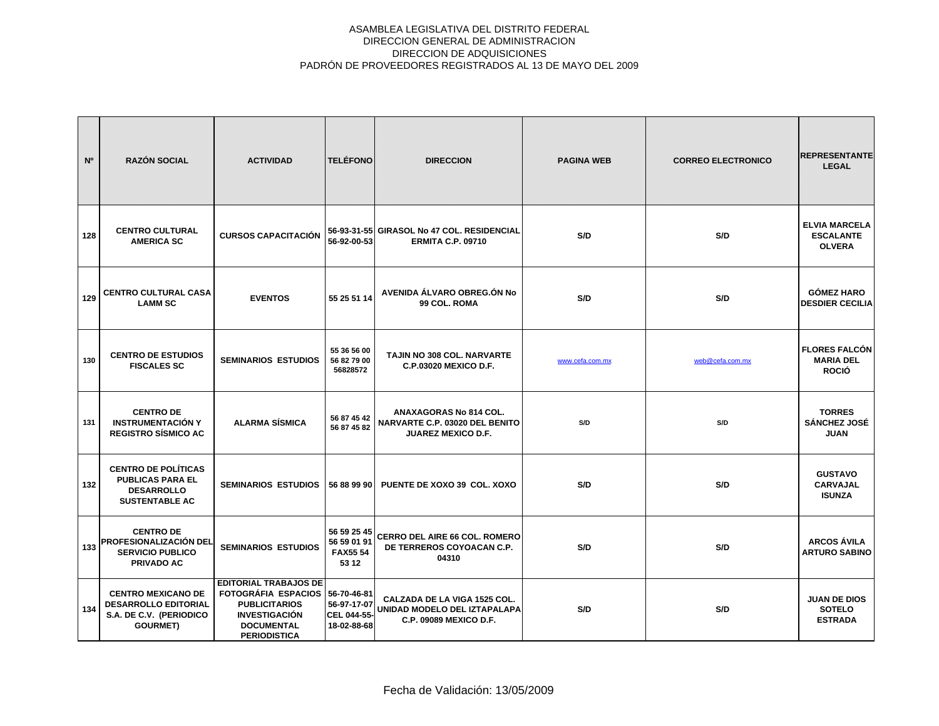| N°  | <b>RAZÓN SOCIAL</b>                                                                                    | <b>ACTIVIDAD</b>                                                                                                                                            | <b>TELÉFONO</b>                                       | <b>DIRECCION</b>                                                                       | <b>PAGINA WEB</b> | <b>CORREO ELECTRONICO</b> | <b>REPRESENTANTE</b><br><b>LEGAL</b>                      |
|-----|--------------------------------------------------------------------------------------------------------|-------------------------------------------------------------------------------------------------------------------------------------------------------------|-------------------------------------------------------|----------------------------------------------------------------------------------------|-------------------|---------------------------|-----------------------------------------------------------|
| 128 | <b>CENTRO CULTURAL</b><br><b>AMERICA SC</b>                                                            | <b>CURSOS CAPACITACIÓN</b>                                                                                                                                  | 56-92-00-53                                           | 56-93-31-55 GIRASOL No 47 COL. RESIDENCIAL<br><b>ERMITA C.P. 09710</b>                 | S/D               | S/D                       | <b>ELVIA MARCELA</b><br><b>ESCALANTE</b><br><b>OLVERA</b> |
| 129 | <b>CENTRO CULTURAL CASA</b><br><b>LAMM SC</b>                                                          | <b>EVENTOS</b>                                                                                                                                              | 55 25 51 14                                           | AVENIDA ÁLVARO OBREG.ÓN No<br>99 COL. ROMA                                             | S/D               | S/D                       | <b>GÓMEZ HARO</b><br><b>DESDIER CECILIA</b>               |
| 130 | <b>CENTRO DE ESTUDIOS</b><br><b>FISCALES SC</b>                                                        | <b>SEMINARIOS ESTUDIOS</b>                                                                                                                                  | 55 36 56 00<br>56 82 79 00<br>56828572                | <b>TAJIN NO 308 COL. NARVARTE</b><br>C.P.03020 MEXICO D.F.                             | www.cefa.com.mx   | web@cefa.com.mx           | <b>FLORES FALCÓN</b><br><b>MARIA DEL</b><br><b>ROCIÓ</b>  |
| 131 | <b>CENTRO DE</b><br><b>INSTRUMENTACIÓN Y</b><br><b>REGISTRO SÍSMICO AC</b>                             | <b>ALARMA SÍSMICA</b>                                                                                                                                       | 56 87 45 42<br>56 87 45 82                            | ANAXAGORAS No 814 COL.<br>NARVARTE C.P. 03020 DEL BENITO<br><b>JUAREZ MEXICO D.F.</b>  | S/D               | S/D                       | <b>TORRES</b><br>SÁNCHEZ JOSÉ<br><b>JUAN</b>              |
| 132 | <b>CENTRO DE POLÍTICAS</b><br><b>PUBLICAS PARA EL</b><br><b>DESARROLLO</b><br><b>SUSTENTABLE AC</b>    | <b>SEMINARIOS ESTUDIOS</b>                                                                                                                                  | 56 88 99 90                                           | PUENTE DE XOXO 39 COL. XOXO                                                            | S/D               | S/D                       | <b>GUSTAVO</b><br><b>CARVAJAL</b><br><b>ISUNZA</b>        |
|     | <b>CENTRO DE</b><br>133 PROFESIONALIZACIÓN DEL<br><b>SERVICIO PUBLICO</b><br><b>PRIVADO AC</b>         | <b>SEMINARIOS ESTUDIOS</b>                                                                                                                                  | 56 59 25 45<br>56 59 01 91<br><b>FAX5554</b><br>53 12 | CERRO DEL AIRE 66 COL. ROMERO<br>DE TERREROS COYOACAN C.P.<br>04310                    | S/D               | S/D                       | <b>ARCOS ÁVILA</b><br><b>ARTURO SABINO</b>                |
| 134 | <b>CENTRO MEXICANO DE</b><br><b>DESARROLLO EDITORIAL</b><br>S.A. DE C.V. (PERIODICO<br><b>GOURMET)</b> | <b>EDITORIAL TRABAJOS DE</b><br>FOTOGRÁFIA ESPACIOS 56-70-46-81<br><b>PUBLICITARIOS</b><br><b>INVESTIGACIÓN</b><br><b>DOCUMENTAL</b><br><b>PERIODISTICA</b> | 56-97-17-07<br>CEL 044-55-<br>18-02-88-68             | CALZADA DE LA VIGA 1525 COL.<br>UNIDAD MODELO DEL IZTAPALAPA<br>C.P. 09089 MEXICO D.F. | S/D               | S/D                       | <b>JUAN DE DIOS</b><br><b>SOTELO</b><br><b>ESTRADA</b>    |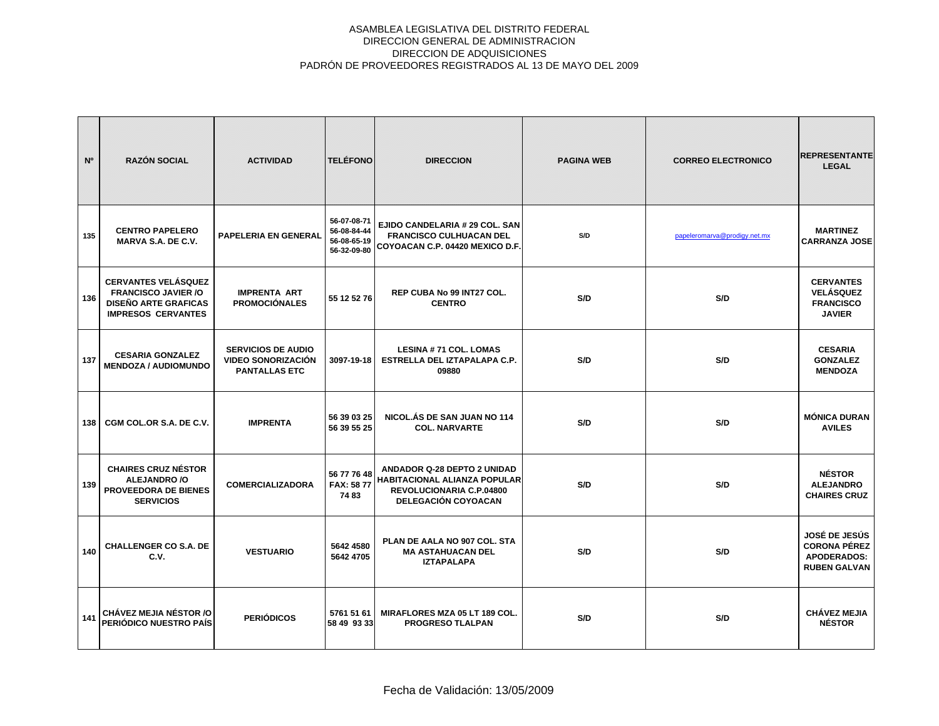| N°  | <b>RAZÓN SOCIAL</b>                                                                                                  | <b>ACTIVIDAD</b>                                                               | <b>TELÉFONO</b>                                          | <b>DIRECCION</b>                                                                                                             | <b>PAGINA WEB</b> | <b>CORREO ELECTRONICO</b>    | <b>REPRESENTANTE</b><br><b>LEGAL</b>                                                     |
|-----|----------------------------------------------------------------------------------------------------------------------|--------------------------------------------------------------------------------|----------------------------------------------------------|------------------------------------------------------------------------------------------------------------------------------|-------------------|------------------------------|------------------------------------------------------------------------------------------|
| 135 | <b>CENTRO PAPELERO</b><br>MARVA S.A. DE C.V.                                                                         | PAPELERIA EN GENERAL                                                           | 56-07-08-71<br>56-08-84-44<br>56-08-65-19<br>56-32-09-80 | EJIDO CANDELARIA # 29 COL. SAN<br><b>FRANCISCO CULHUACAN DEL</b><br>COYOACAN C.P. 04420 MEXICO D.F.                          | S/D               | papeleromarva@prodigy.net.mx | <b>MARTINEZ</b><br><b>CARRANZA JOSE</b>                                                  |
| 136 | <b>CERVANTES VELÁSQUEZ</b><br><b>FRANCISCO JAVIER /O</b><br><b>DISEÑO ARTE GRAFICAS</b><br><b>IMPRESOS CERVANTES</b> | <b>IMPRENTA ART</b><br><b>PROMOCIÓNALES</b>                                    | 55 12 52 76                                              | REP CUBA No 99 INT27 COL.<br><b>CENTRO</b>                                                                                   | S/D               | S/D                          | <b>CERVANTES</b><br><b>VELÁSQUEZ</b><br><b>FRANCISCO</b><br><b>JAVIER</b>                |
| 137 | <b>CESARIA GONZALEZ</b><br><b>MENDOZA / AUDIOMUNDO</b>                                                               | <b>SERVICIOS DE AUDIO</b><br><b>VIDEO SONORIZACIÓN</b><br><b>PANTALLAS ETC</b> | 3097-19-18                                               | <b>LESINA #71 COL. LOMAS</b><br>ESTRELLA DEL IZTAPALAPA C.P.<br>09880                                                        | S/D               | S/D                          | <b>CESARIA</b><br><b>GONZALEZ</b><br><b>MENDOZA</b>                                      |
| 138 | CGM COL.OR S.A. DE C.V.                                                                                              | <b>IMPRENTA</b>                                                                | 56 39 03 25<br>56 39 55 25                               | NICOL.ÁS DE SAN JUAN NO 114<br><b>COL. NARVARTE</b>                                                                          | S/D               | S/D                          | <b>MÓNICA DURAN</b><br><b>AVILES</b>                                                     |
| 139 | <b>CHAIRES CRUZ NÉSTOR</b><br>ALEJANDRO /O<br>PROVEEDORA DE BIENES<br><b>SERVICIOS</b>                               | <b>COMERCIALIZADORA</b>                                                        | 56 77 76 48<br><b>FAX: 5877</b><br>7483                  | ANDADOR Q-28 DEPTO 2 UNIDAD<br>HABITACIONAL ALIANZA POPULAR<br><b>REVOLUCIONARIA C.P.04800</b><br><b>DELEGACIÓN COYOACAN</b> | S/D               | S/D                          | <b>NÉSTOR</b><br><b>ALEJANDRO</b><br><b>CHAIRES CRUZ</b>                                 |
| 140 | <b>CHALLENGER CO S.A. DE</b><br>C.V.                                                                                 | <b>VESTUARIO</b>                                                               | 5642 4580<br>5642 4705                                   | PLAN DE AALA NO 907 COL. STA<br><b>MA ASTAHUACAN DEL</b><br><b>IZTAPALAPA</b>                                                | S/D               | S/D                          | <b>JOSÉ DE JESÚS</b><br><b>CORONA PÉREZ</b><br><b>APODERADOS:</b><br><b>RUBEN GALVAN</b> |
| 141 | <b>CHÁVEZ MEJIA NÉSTOR /O</b><br>PERIÓDICO NUESTRO PAÍS                                                              | <b>PERIÓDICOS</b>                                                              | 5761 51 61<br>58 49 93 33                                | MIRAFLORES MZA 05 LT 189 COL.<br><b>PROGRESO TLALPAN</b>                                                                     | S/D               | S/D                          | <b>CHÁVEZ MEJIA</b><br><b>NÉSTOR</b>                                                     |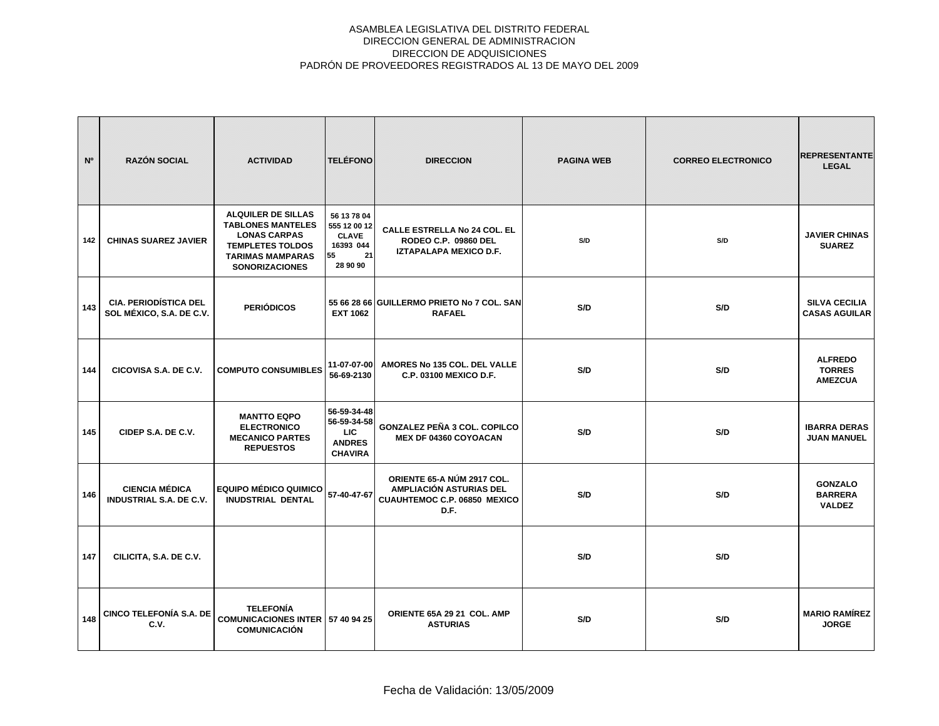| N <sup>o</sup> | <b>RAZÓN SOCIAL</b>                                      | <b>ACTIVIDAD</b>                                                                                                                                            | <b>TELÉFONO</b>                                                                  | <b>DIRECCION</b>                                                                              | <b>PAGINA WEB</b> | <b>CORREO ELECTRONICO</b> | <b>REPRESENTANTE</b><br><b>LEGAL</b>              |
|----------------|----------------------------------------------------------|-------------------------------------------------------------------------------------------------------------------------------------------------------------|----------------------------------------------------------------------------------|-----------------------------------------------------------------------------------------------|-------------------|---------------------------|---------------------------------------------------|
| 142            | <b>CHINAS SUAREZ JAVIER</b>                              | <b>ALQUILER DE SILLAS</b><br><b>TABLONES MANTELES</b><br><b>LONAS CARPAS</b><br><b>TEMPLETES TOLDOS</b><br><b>TARIMAS MAMPARAS</b><br><b>SONORIZACIONES</b> | 56 13 78 04<br>555 12 00 12<br><b>CLAVE</b><br>16393 044<br>21<br>55<br>28 90 90 | <b>CALLE ESTRELLA No 24 COL. EL</b><br>RODEO C.P. 09860 DEL<br>IZTAPALAPA MEXICO D.F.         | S/D               | S/D                       | <b>JAVIER CHINAS</b><br><b>SUAREZ</b>             |
| 143            | <b>CIA. PERIODÍSTICA DEL</b><br>SOL MÉXICO, S.A. DE C.V. | <b>PERIÓDICOS</b>                                                                                                                                           | <b>EXT 1062</b>                                                                  | 55 66 28 66 GUILLERMO PRIETO No 7 COL. SAN<br><b>RAFAEL</b>                                   | S/D               | S/D                       | <b>SILVA CECILIA</b><br><b>CASAS AGUILAR</b>      |
| 144            | CICOVISA S.A. DE C.V.                                    | <b>COMPUTO CONSUMIBLES</b>                                                                                                                                  | 11-07-07-00<br>56-69-2130                                                        | AMORES No 135 COL. DEL VALLE<br>C.P. 03100 MEXICO D.F.                                        | S/D               | S/D                       | <b>ALFREDO</b><br><b>TORRES</b><br><b>AMEZCUA</b> |
| 145            | CIDEP S.A. DE C.V.                                       | <b>MANTTO EQPO</b><br><b>ELECTRONICO</b><br><b>MECANICO PARTES</b><br><b>REPUESTOS</b>                                                                      | 56-59-34-48<br>56-59-34-58<br>LIC.<br><b>ANDRES</b><br><b>CHAVIRA</b>            | <b>GONZALEZ PEÑA 3 COL. COPILCO</b><br>MEX DF 04360 COYOACAN                                  | S/D               | S/D                       | <b>IBARRA DERAS</b><br><b>JUAN MANUEL</b>         |
| 146            | <b>CIENCIA MÉDICA</b><br><b>INDUSTRIAL S.A. DE C.V.</b>  | <b>EQUIPO MÉDICO QUIMICO</b><br><b>INUDSTRIAL DENTAL</b>                                                                                                    | 57-40-47-67                                                                      | ORIENTE 65-A NÚM 2917 COL.<br>AMPLIACIÓN ASTURIAS DEL<br>CUAUHTEMOC C.P. 06850 MEXICO<br>D.F. | S/D               | S/D                       | <b>GONZALO</b><br><b>BARRERA</b><br><b>VALDEZ</b> |
| 147            | CILICITA, S.A. DE C.V.                                   |                                                                                                                                                             |                                                                                  |                                                                                               | S/D               | S/D                       |                                                   |
| 148            | <b>CINCO TELEFONÍA S.A. DE</b><br>C.V.                   | <b>TELEFONÍA</b><br><b>COMUNICACIONES INTER</b><br><b>COMUNICACIÓN</b>                                                                                      | 57 40 94 25                                                                      | ORIENTE 65A 29 21 COL. AMP<br><b>ASTURIAS</b>                                                 | S/D               | S/D                       | <b>MARIO RAMÍREZ</b><br><b>JORGE</b>              |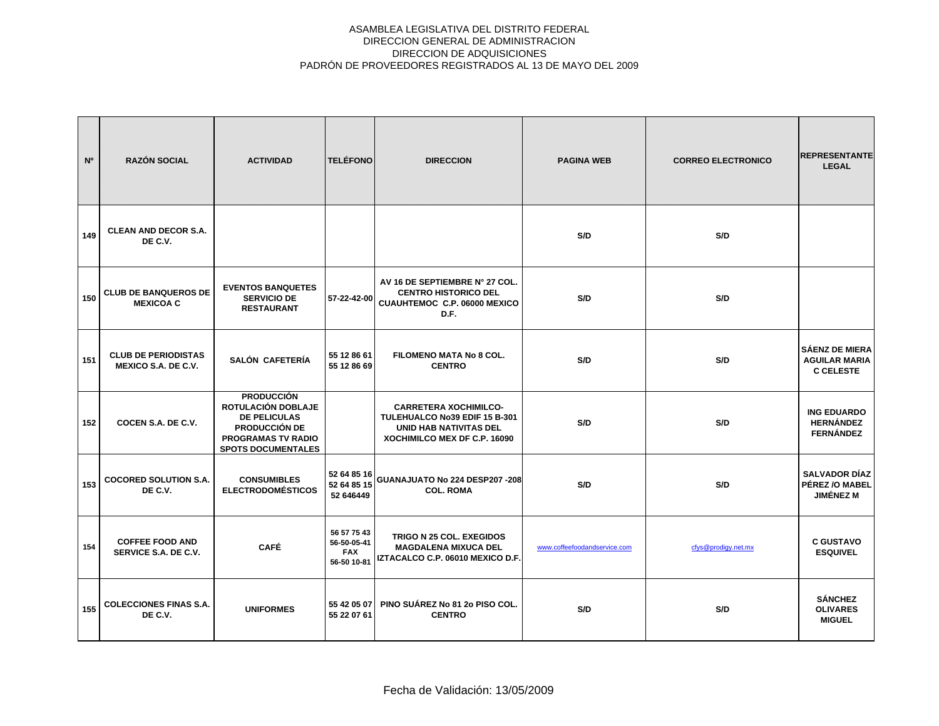| N°  | <b>RAZÓN SOCIAL</b>                                      | <b>ACTIVIDAD</b>                                                                                                                                 | <b>TELÉFONO</b>                                         | <b>DIRECCION</b>                                                                                                               | <b>PAGINA WEB</b>            | <b>CORREO ELECTRONICO</b> | <b>REPRESENTANTE</b><br><b>LEGAL</b>                              |
|-----|----------------------------------------------------------|--------------------------------------------------------------------------------------------------------------------------------------------------|---------------------------------------------------------|--------------------------------------------------------------------------------------------------------------------------------|------------------------------|---------------------------|-------------------------------------------------------------------|
| 149 | <b>CLEAN AND DECOR S.A.</b><br>DE C.V.                   |                                                                                                                                                  |                                                         |                                                                                                                                | S/D                          | S/D                       |                                                                   |
| 150 | <b>CLUB DE BANQUEROS DE</b><br><b>MEXICOA C</b>          | <b>EVENTOS BANQUETES</b><br><b>SERVICIO DE</b><br><b>RESTAURANT</b>                                                                              | 57-22-42-00                                             | AV 16 DE SEPTIEMBRE N° 27 COL.<br><b>CENTRO HISTORICO DEL</b><br>CUAUHTEMOC C.P. 06000 MEXICO<br>D.F.                          | S/D                          | S/D                       |                                                                   |
| 151 | <b>CLUB DE PERIODISTAS</b><br><b>MEXICO S.A. DE C.V.</b> | SALÓN CAFETERÍA                                                                                                                                  | 55 12 86 61<br>55 12 86 69                              | <b>FILOMENO MATA No 8 COL.</b><br><b>CENTRO</b>                                                                                | S/D                          | S/D                       | <b>SÁENZ DE MIERA</b><br><b>AGUILAR MARIA</b><br><b>C CELESTE</b> |
| 152 | COCEN S.A. DE C.V.                                       | <b>PRODUCCIÓN</b><br>ROTULACIÓN DOBLAJE<br><b>DE PELICULAS</b><br><b>PRODUCCIÓN DE</b><br><b>PROGRAMAS TV RADIO</b><br><b>SPOTS DOCUMENTALES</b> |                                                         | <b>CARRETERA XOCHIMILCO-</b><br>TULEHUALCO No39 EDIF 15 B-301<br><b>UNID HAB NATIVITAS DEL</b><br>XOCHIMILCO MEX DF C.P. 16090 | S/D                          | S/D                       | <b>ING EDUARDO</b><br><b>HERNÁNDEZ</b><br><b>FERNÁNDEZ</b>        |
| 153 | <b>COCORED SOLUTION S.A.</b><br>DE C.V.                  | <b>CONSUMIBLES</b><br><b>ELECTRODOMÉSTICOS</b>                                                                                                   | 52 64 85 16<br>52 64 85 15<br>52 646449                 | GUANAJUATO No 224 DESP207 -208<br><b>COL. ROMA</b>                                                                             | S/D                          | S/D                       | <b>SALVADOR DÍAZ</b><br>PÉREZ / OMABEL<br><b>JIMÉNEZ M</b>        |
| 154 | <b>COFFEE FOOD AND</b><br>SERVICE S.A. DE C.V.           | <b>CAFÉ</b>                                                                                                                                      | 56 57 75 43<br>56-50-05-41<br><b>FAX</b><br>56-50 10-81 | TRIGO N 25 COL. EXEGIDOS<br><b>MAGDALENA MIXUCA DEL</b><br>IZTACALCO C.P. 06010 MEXICO D.F.                                    | www.coffeefoodandservice.com | cfys@prodigy.net.mx       | <b>C GUSTAVO</b><br><b>ESQUIVEL</b>                               |
| 155 | <b>COLECCIONES FINAS S.A.</b><br>DE C.V.                 | <b>UNIFORMES</b>                                                                                                                                 | 55 42 05 07<br>55 22 07 61                              | PINO SUÁREZ No 81 2o PISO COL.<br><b>CENTRO</b>                                                                                | S/D                          | S/D                       | <b>SÁNCHEZ</b><br><b>OLIVARES</b><br><b>MIGUEL</b>                |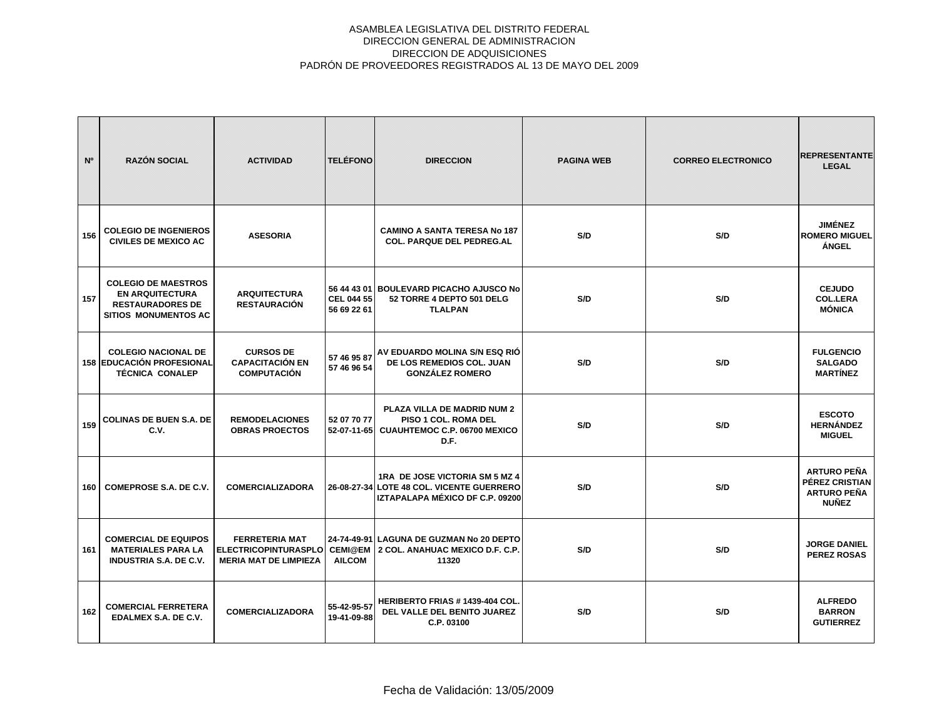| N <sup>o</sup> | <b>RAZÓN SOCIAL</b>                                                                                            | <b>ACTIVIDAD</b>                                                                     | <b>TELÉFONO</b>                  | <b>DIRECCION</b>                                                                                               | <b>PAGINA WEB</b> | <b>CORREO ELECTRONICO</b> | <b>REPRESENTANTE</b><br><b>LEGAL</b>                                       |
|----------------|----------------------------------------------------------------------------------------------------------------|--------------------------------------------------------------------------------------|----------------------------------|----------------------------------------------------------------------------------------------------------------|-------------------|---------------------------|----------------------------------------------------------------------------|
| 156            | <b>COLEGIO DE INGENIEROS</b><br><b>CIVILES DE MEXICO AC</b>                                                    | <b>ASESORIA</b>                                                                      |                                  | <b>CAMINO A SANTA TERESA No 187</b><br><b>COL. PARQUE DEL PEDREG.AL</b>                                        | S/D               | S/D                       | <b>JIMÉNEZ</b><br><b>ROMERO MIGUEL</b><br><b>ÁNGEL</b>                     |
| 157            | <b>COLEGIO DE MAESTROS</b><br><b>EN ARQUITECTURA</b><br><b>RESTAURADORES DE</b><br><b>SITIOS MONUMENTOS AC</b> | <b>ARQUITECTURA</b><br><b>RESTAURACIÓN</b>                                           | <b>CEL 044 55</b><br>56 69 22 61 | 56 44 43 01 BOULEVARD PICACHO AJUSCO No<br>52 TORRE 4 DEPTO 501 DELG<br><b>TLALPAN</b>                         | S/D               | S/D                       | <b>CEJUDO</b><br><b>COL.LERA</b><br><b>MÓNICA</b>                          |
|                | <b>COLEGIO NACIONAL DE</b><br><b>158 EDUCACIÓN PROFESIONAL</b><br><b>TÉCNICA CONALEP</b>                       | <b>CURSOS DE</b><br><b>CAPACITACIÓN EN</b><br><b>COMPUTACIÓN</b>                     | 57 46 95 87<br>57 46 96 54       | AV EDUARDO MOLINA S/N ESQ RIÓ<br>DE LOS REMEDIOS COL. JUAN<br><b>GONZÁLEZ ROMERO</b>                           | S/D               | S/D                       | <b>FULGENCIO</b><br><b>SALGADO</b><br><b>MARTÍNEZ</b>                      |
| 159            | <b>COLINAS DE BUEN S.A. DE</b><br>C.V.                                                                         | <b>REMODELACIONES</b><br><b>OBRAS PROECTOS</b>                                       | 52 07 70 77<br>52-07-11-65       | PLAZA VILLA DE MADRID NUM 2<br><b>PISO 1 COL. ROMA DEL</b><br>CUAUHTEMOC C.P. 06700 MEXICO<br>D.F.             | S/D               | S/D                       | <b>ESCOTO</b><br><b>HERNÁNDEZ</b><br><b>MIGUEL</b>                         |
| 160            | COMEPROSE S.A. DE C.V.                                                                                         | <b>COMERCIALIZADORA</b>                                                              |                                  | 1RA DE JOSE VICTORIA SM 5 MZ 4<br>26-08-27-34 LOTE 48 COL. VICENTE GUERRERO<br>IZTAPALAPA MÉXICO DF C.P. 09200 | S/D               | S/D                       | <b>ARTURO PEÑA</b><br>PÉREZ CRISTIAN<br><b>ARTURO PEÑA</b><br><b>NUÑEZ</b> |
| 161            | <b>COMERCIAL DE EQUIPOS</b><br><b>MATERIALES PARA LA</b><br><b>INDUSTRIA S.A. DE C.V.</b>                      | <b>FERRETERIA MAT</b><br><b>ELECTRICOPINTURASPLO</b><br><b>MERIA MAT DE LIMPIEZA</b> | <b>AILCOM</b>                    | 24-74-49-91 LAGUNA DE GUZMAN No 20 DEPTO<br>CEMI@EM 2 COL. ANAHUAC MEXICO D.F. C.P.<br>11320                   | S/D               | S/D                       | <b>JORGE DANIEL</b><br><b>PEREZ ROSAS</b>                                  |
| 162            | <b>COMERCIAL FERRETERA</b><br>EDALMEX S.A. DE C.V.                                                             | <b>COMERCIALIZADORA</b>                                                              | 55-42-95-57<br>19-41-09-88       | <b>HERIBERTO FRIAS # 1439-404 COL.</b><br>DEL VALLE DEL BENITO JUAREZ<br>C.P. 03100                            | S/D               | S/D                       | <b>ALFREDO</b><br><b>BARRON</b><br><b>GUTIERREZ</b>                        |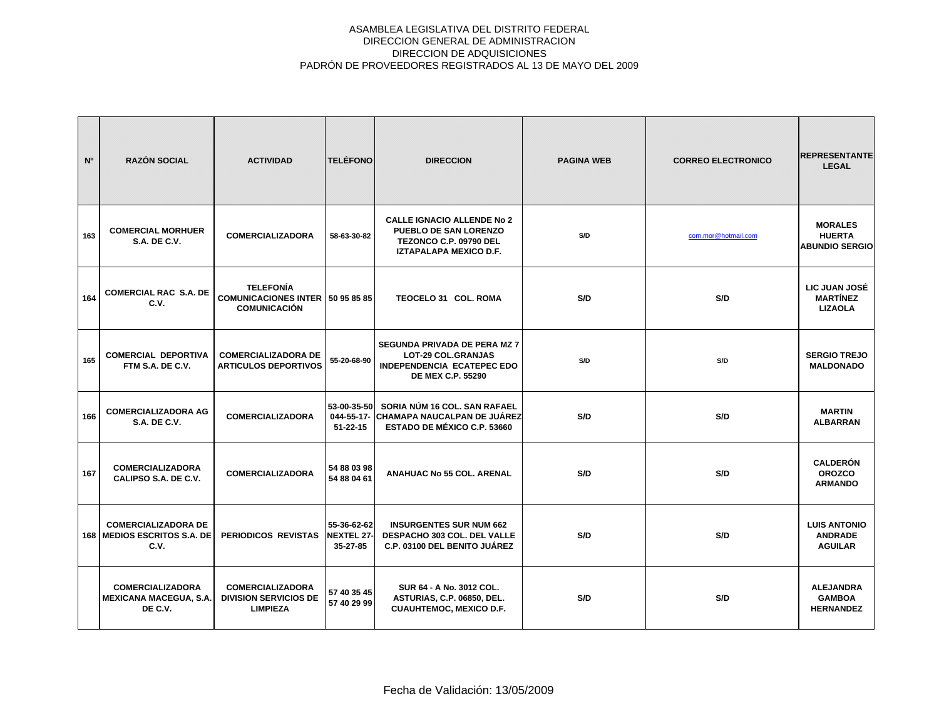| N <sup>o</sup> | <b>RAZÓN SOCIAL</b>                                                   | <b>ACTIVIDAD</b>                                                                     | <b>TELÉFONO</b>                              | <b>DIRECCION</b>                                                                                                           | <b>PAGINA WEB</b> | <b>CORREO ELECTRONICO</b> | <b>REPRESENTANTE</b><br><b>LEGAL</b>                     |
|----------------|-----------------------------------------------------------------------|--------------------------------------------------------------------------------------|----------------------------------------------|----------------------------------------------------------------------------------------------------------------------------|-------------------|---------------------------|----------------------------------------------------------|
| 163            | <b>COMERCIAL MORHUER</b><br><b>S.A. DE C.V.</b>                       | <b>COMERCIALIZADORA</b>                                                              | 58-63-30-82                                  | <b>CALLE IGNACIO ALLENDE No 2</b><br><b>PUEBLO DE SAN LORENZO</b><br>TEZONCO C.P. 09790 DEL<br>IZTAPALAPA MEXICO D.F.      | S/D               | com.mor@hotmail.com       | <b>MORALES</b><br><b>HUERTA</b><br><b>ABUNDIO SERGIO</b> |
| 164            | <b>COMERCIAL RAC S.A. DE</b><br>C.V.                                  | <b>TELEFONÍA</b><br><b>COMUNICACIONES INTER   50 95 85 85</b><br><b>COMUNICACIÓN</b> |                                              | TEOCELO 31 COL. ROMA                                                                                                       | S/D               | S/D                       | LIC JUAN JOSÉ<br><b>MARTÍNEZ</b><br><b>LIZAOLA</b>       |
| 165            | <b>COMERCIAL DEPORTIVA</b><br>FTM S.A. DE C.V.                        | <b>COMERCIALIZADORA DE</b><br><b>ARTICULOS DEPORTIVOS</b>                            | 55-20-68-90                                  | <b>SEGUNDA PRIVADA DE PERA MZ 7</b><br><b>LOT-29 COL.GRANJAS</b><br>INDEPENDENCIA ECATEPEC EDO<br><b>DE MEX C.P. 55290</b> | S/D               | S/D                       | <b>SERGIO TREJO</b><br><b>MALDONADO</b>                  |
| 166            | <b>COMERCIALIZADORA AG</b><br><b>S.A. DE C.V.</b>                     | <b>COMERCIALIZADORA</b>                                                              | 53-00-35-50<br>$51 - 22 - 15$                | SORIA NÚM 16 COL. SAN RAFAEL<br>044-55-17- CHAMAPA NAUCALPAN DE JUÁREZ<br><b>ESTADO DE MÉXICO C.P. 53660</b>               | S/D               | S/D                       | <b>MARTIN</b><br><b>ALBARRAN</b>                         |
| 167            | <b>COMERCIALIZADORA</b><br>CALIPSO S.A. DE C.V.                       | <b>COMERCIALIZADORA</b>                                                              | 54 88 03 98<br>54 88 04 61                   | <b>ANAHUAC No 55 COL. ARENAL</b>                                                                                           | S/D               | S/D                       | <b>CALDERÓN</b><br><b>OROZCO</b><br><b>ARMANDO</b>       |
|                | <b>COMERCIALIZADORA DE</b><br>168   MEDIOS ESCRITOS S.A. DE  <br>C.V. | PERIODICOS REVISTAS                                                                  | 55-36-62-62<br><b>NEXTEL 27-</b><br>35-27-85 | <b>INSURGENTES SUR NUM 662</b><br>DESPACHO 303 COL. DEL VALLE<br>C.P. 03100 DEL BENITO JUÁREZ                              | S/D               | S/D                       | <b>LUIS ANTONIO</b><br><b>ANDRADE</b><br><b>AGUILAR</b>  |
|                | <b>COMERCIALIZADORA</b><br><b>MEXICANA MACEGUA, S.A.</b><br>DE C.V.   | <b>COMERCIALIZADORA</b><br><b>DIVISION SERVICIOS DE</b><br><b>LIMPIEZA</b>           | 57 40 35 45<br>57 40 29 99                   | SUR 64 - A No. 3012 COL.<br>ASTURIAS, C.P. 06850, DEL.<br><b>CUAUHTEMOC, MEXICO D.F.</b>                                   | S/D               | S/D                       | <b>ALEJANDRA</b><br><b>GAMBOA</b><br><b>HERNANDEZ</b>    |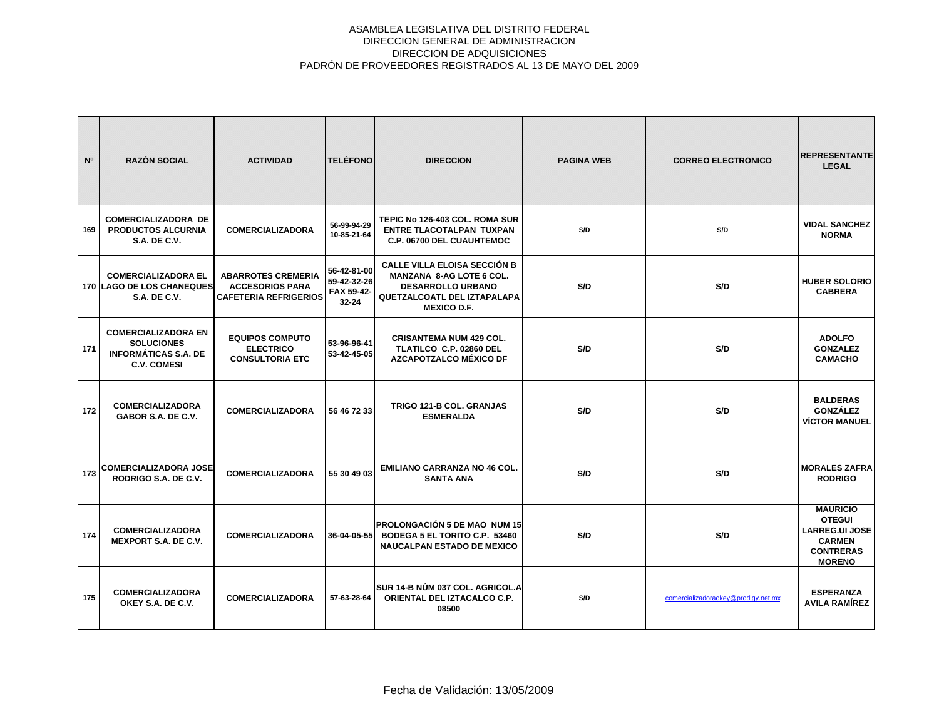| N <sup>o</sup> | <b>RAZÓN SOCIAL</b>                                                                                  | <b>ACTIVIDAD</b>                                                                    | <b>TELÉFONO</b>                                       | <b>DIRECCION</b>                                                                                                                                               | <b>PAGINA WEB</b> | <b>CORREO ELECTRONICO</b>           | <b>REPRESENTANTE</b><br><b>LEGAL</b>                                                                            |
|----------------|------------------------------------------------------------------------------------------------------|-------------------------------------------------------------------------------------|-------------------------------------------------------|----------------------------------------------------------------------------------------------------------------------------------------------------------------|-------------------|-------------------------------------|-----------------------------------------------------------------------------------------------------------------|
| 169            | <b>COMERCIALIZADORA DE</b><br><b>PRODUCTOS ALCURNIA</b><br><b>S.A. DE C.V.</b>                       | <b>COMERCIALIZADORA</b>                                                             | 56-99-94-29<br>10-85-21-64                            | TEPIC No 126-403 COL. ROMA SUR<br><b>ENTRE TLACOTALPAN TUXPAN</b><br>C.P. 06700 DEL CUAUHTEMOC                                                                 | S/D               | S/D                                 | <b>VIDAL SANCHEZ</b><br><b>NORMA</b>                                                                            |
|                | <b>COMERCIALIZADORA EL</b><br><b>170 LAGO DE LOS CHANEQUES</b><br><b>S.A. DE C.V.</b>                | <b>ABARROTES CREMERIA</b><br><b>ACCESORIOS PARA</b><br><b>CAFETERIA REFRIGERIOS</b> | 56-42-81-00<br>59-42-32-26<br>FAX 59-42-<br>$32 - 24$ | <b>CALLE VILLA ELOISA SECCIÓN B</b><br><b>MANZANA 8-AG LOTE 6 COL.</b><br><b>DESARROLLO URBANO</b><br><b>QUETZALCOATL DEL IZTAPALAPA</b><br><b>MEXICO D.F.</b> | S/D               | S/D                                 | <b>HUBER SOLORIO</b><br><b>CABRERA</b>                                                                          |
| 171            | <b>COMERCIALIZADORA EN</b><br><b>SOLUCIONES</b><br><b>INFORMÁTICAS S.A. DE</b><br><b>C.V. COMESI</b> | <b>EQUIPOS COMPUTO</b><br><b>ELECTRICO</b><br><b>CONSULTORIA ETC</b>                | 53-96-96-41<br>53-42-45-05                            | <b>CRISANTEMA NUM 429 COL.</b><br>TLATILCO C.P. 02860 DEL<br>AZCAPOTZALCO MÉXICO DF                                                                            | S/D               | S/D                                 | <b>ADOLFO</b><br><b>GONZALEZ</b><br><b>CAMACHO</b>                                                              |
| 172            | <b>COMERCIALIZADORA</b><br>GABOR S.A. DE C.V.                                                        | <b>COMERCIALIZADORA</b>                                                             | 56 46 72 33                                           | TRIGO 121-B COL. GRANJAS<br><b>ESMERALDA</b>                                                                                                                   | S/D               | S/D                                 | <b>BALDERAS</b><br><b>GONZÁLEZ</b><br><b>VÍCTOR MANUEL</b>                                                      |
| 173            | <b>COMERCIALIZADORA JOSE</b><br>RODRIGO S.A. DE C.V.                                                 | <b>COMERCIALIZADORA</b>                                                             | 55 30 49 03                                           | <b>EMILIANO CARRANZA NO 46 COL.</b><br><b>SANTA ANA</b>                                                                                                        | S/D               | S/D                                 | <b>MORALES ZAFRA</b><br><b>RODRIGO</b>                                                                          |
| 174            | <b>COMERCIALIZADORA</b><br><b>MEXPORT S.A. DE C.V.</b>                                               | <b>COMERCIALIZADORA</b>                                                             | 36-04-05-55                                           | IPROLONGACIÓN 5 DE MAO NUM 15<br>BODEGA 5 EL TORITO C.P. 53460<br><b>NAUCALPAN ESTADO DE MEXICO</b>                                                            | S/D               | S/D                                 | <b>MAURICIO</b><br><b>OTEGUI</b><br><b>LARREG.UI JOSE</b><br><b>CARMEN</b><br><b>CONTRERAS</b><br><b>MORENO</b> |
| 175            | <b>COMERCIALIZADORA</b><br>OKEY S.A. DE C.V.                                                         | <b>COMERCIALIZADORA</b>                                                             | 57-63-28-64                                           | ÍSUR 14-B NÚM 037 COL. AGRICOL.A<br>ORIENTAL DEL IZTACALCO C.P.<br>08500                                                                                       | S/D               | comercializadoraokey@prodigy.net.mx | <b>ESPERANZA</b><br><b>AVILA RAMÍREZ</b>                                                                        |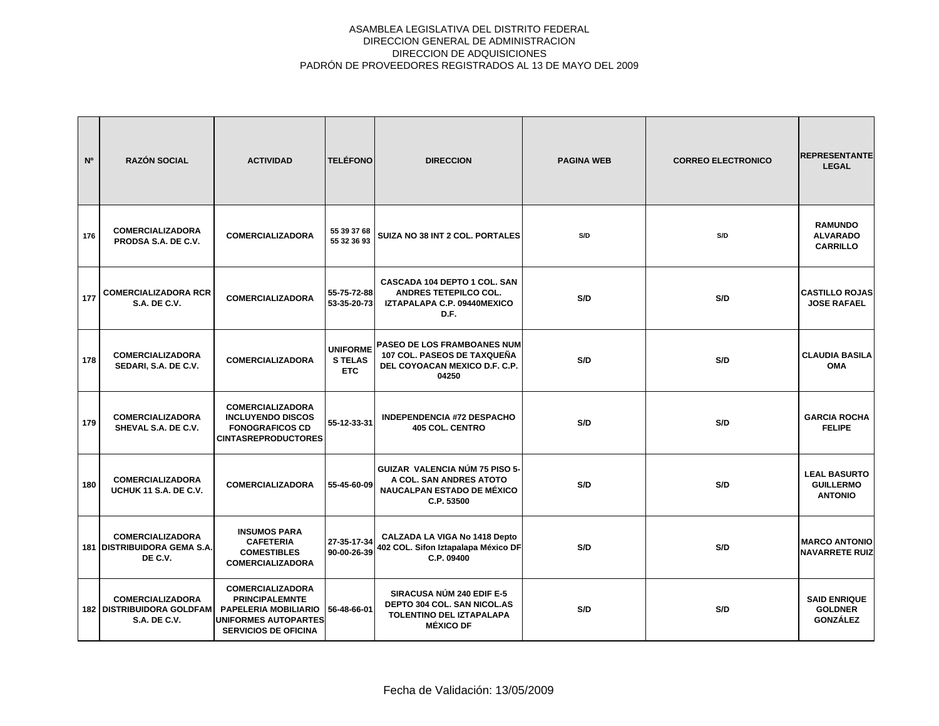| N <sup>o</sup> | <b>RAZÓN SOCIAL</b>                                                                  | <b>ACTIVIDAD</b>                                                                                                                              | <b>TELÉFONO</b>                         | <b>DIRECCION</b>                                                                                                       | <b>PAGINA WEB</b> | <b>CORREO ELECTRONICO</b> | <b>REPRESENTANTE</b><br><b>LEGAL</b>                      |
|----------------|--------------------------------------------------------------------------------------|-----------------------------------------------------------------------------------------------------------------------------------------------|-----------------------------------------|------------------------------------------------------------------------------------------------------------------------|-------------------|---------------------------|-----------------------------------------------------------|
| 176            | <b>COMERCIALIZADORA</b><br>PRODSA S.A. DE C.V.                                       | <b>COMERCIALIZADORA</b>                                                                                                                       | 55 39 37 68<br>55 32 36 93              | SUIZA NO 38 INT 2 COL. PORTALES                                                                                        | S/D               | S/D                       | <b>RAMUNDO</b><br><b>ALVARADO</b><br><b>CARRILLO</b>      |
| 177            | <b>COMERCIALIZADORA RCR</b><br><b>S.A. DE C.V.</b>                                   | <b>COMERCIALIZADORA</b>                                                                                                                       | 55-75-72-88<br>53-35-20-73              | CASCADA 104 DEPTO 1 COL. SAN<br><b>ANDRES TETEPILCO COL.</b><br>IZTAPALAPA C.P. 09440MEXICO<br>D.F.                    | S/D               | S/D                       | <b>CASTILLO ROJAS</b><br><b>JOSE RAFAEL</b>               |
| 178            | <b>COMERCIALIZADORA</b><br>SEDARI, S.A. DE C.V.                                      | <b>COMERCIALIZADORA</b>                                                                                                                       | <b>UNIFORME</b><br><b>STELAS</b><br>ETC | <b>PASEO DE LOS FRAMBOANES NUM</b><br>107 COL. PASEOS DE TAXQUEÑA<br>DEL COYOACAN MEXICO D.F. C.P.<br>04250            | S/D               | S/D                       | <b>CLAUDIA BASILA</b><br><b>OMA</b>                       |
| 179            | <b>COMERCIALIZADORA</b><br>SHEVAL S.A. DE C.V.                                       | <b>COMERCIALIZADORA</b><br><b>INCLUYENDO DISCOS</b><br><b>FONOGRAFICOS CD</b><br><b>CINTASREPRODUCTORES</b>                                   | 55-12-33-31                             | <b>INDEPENDENCIA #72 DESPACHO</b><br><b>405 COL. CENTRO</b>                                                            | S/D               | S/D                       | <b>GARCIA ROCHA</b><br><b>FELIPE</b>                      |
| 180            | <b>COMERCIALIZADORA</b><br>UCHUK 11 S.A. DE C.V.                                     | <b>COMERCIALIZADORA</b>                                                                                                                       | 55-45-60-09                             | <b>GUIZAR VALENCIA NÚM 75 PISO 5-</b><br>A COL. SAN ANDRES ATOTO<br><b>NAUCALPAN ESTADO DE MÉXICO</b><br>C.P. 53500    | S/D               | S/D                       | <b>LEAL BASURTO</b><br><b>GUILLERMO</b><br><b>ANTONIO</b> |
|                | <b>COMERCIALIZADORA</b><br>181 DISTRIBUIDORA GEMA S.A.<br>DE C.V.                    | <b>INSUMOS PARA</b><br><b>CAFETERIA</b><br><b>COMESTIBLES</b><br><b>COMERCIALIZADORA</b>                                                      | 27-35-17-34<br>90-00-26-39              | CALZADA LA VIGA No 1418 Depto<br>402 COL. Sifon Iztapalapa México DF<br>C.P. 09400                                     | S/D               | S/D                       | <b>MARCO ANTONIO</b><br><b>NAVARRETE RUIZ</b>             |
|                | <b>COMERCIALIZADORA</b><br><b>182   DISTRIBUIDORA GOLDFAM</b><br><b>S.A. DE C.V.</b> | <b>COMERCIALIZADORA</b><br><b>PRINCIPALEMNTE</b><br><b>PAPELERIA MOBILIARIO</b><br><b>UNIFORMES AUTOPARTES</b><br><b>SERVICIOS DE OFICINA</b> | 56-48-66-01                             | <b>SIRACUSA NÚM 240 EDIF E-5</b><br><b>DEPTO 304 COL. SAN NICOL.AS</b><br>TOLENTINO DEL IZTAPALAPA<br><b>MÉXICO DF</b> | S/D               | S/D                       | <b>SAID ENRIQUE</b><br><b>GOLDNER</b><br><b>GONZÁLEZ</b>  |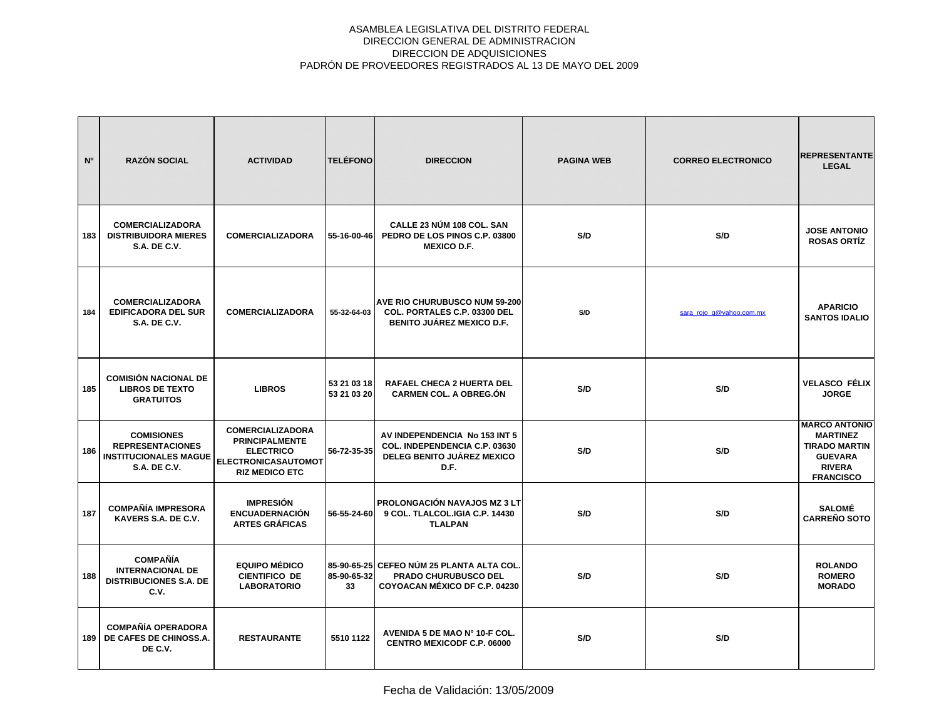| N°  | <b>RAZÓN SOCIAL</b>                                                                                 | <b>ACTIVIDAD</b>                                                                                                     | <b>TELÉFONO</b>            | <b>DIRECCION</b>                                                                                                 | <b>PAGINA WEB</b> | <b>CORREO ELECTRONICO</b> | <b>REPRESENTANTE</b><br><b>LEGAL</b>                                                                                   |
|-----|-----------------------------------------------------------------------------------------------------|----------------------------------------------------------------------------------------------------------------------|----------------------------|------------------------------------------------------------------------------------------------------------------|-------------------|---------------------------|------------------------------------------------------------------------------------------------------------------------|
| 183 | <b>COMERCIALIZADORA</b><br><b>DISTRIBUIDORA MIERES</b><br><b>S.A. DE C.V.</b>                       | <b>COMERCIALIZADORA</b>                                                                                              | 55-16-00-46                | CALLE 23 NÚM 108 COL. SAN<br>PEDRO DE LOS PINOS C.P. 03800<br><b>MEXICO D.F.</b>                                 | S/D               | S/D                       | <b>JOSE ANTONIO</b><br><b>ROSAS ORTÍZ</b>                                                                              |
| 184 | <b>COMERCIALIZADORA</b><br><b>EDIFICADORA DEL SUR</b><br><b>S.A. DE C.V.</b>                        | <b>COMERCIALIZADORA</b>                                                                                              | 55-32-64-03                | <b>AVE RIO CHURUBUSCO NUM 59-200</b><br>COL. PORTALES C.P. 03300 DEL<br><b>BENITO JUÁREZ MEXICO D.F.</b>         | S/D               | sara_rojo_g@yahoo.com.mx  | <b>APARICIO</b><br><b>SANTOS IDALIO</b>                                                                                |
| 185 | <b>COMISIÓN NACIONAL DE</b><br><b>LIBROS DE TEXTO</b><br><b>GRATUITOS</b>                           | <b>LIBROS</b>                                                                                                        | 53 21 03 18<br>53 21 03 20 | <b>RAFAEL CHECA 2 HUERTA DEL</b><br><b>CARMEN COL. A OBREG.ON</b>                                                | S/D               | S/D                       | <b>VELASCO FÉLIX</b><br><b>JORGE</b>                                                                                   |
| 186 | <b>COMISIONES</b><br><b>REPRESENTACIONES</b><br><b>INSTITUCIONALES MAGUE</b><br><b>S.A. DE C.V.</b> | <b>COMERCIALIZADORA</b><br><b>PRINCIPALMENTE</b><br><b>ELECTRICO</b><br>ELECTRONICASAUTOMOT<br><b>RIZ MEDICO ETC</b> | 56-72-35-35                | AV INDEPENDENCIA No 153 INT 5<br>COL. INDEPENDENCIA C.P. 03630<br>DELEG BENITO JUÁREZ MEXICO<br>D.F.             | S/D               | S/D                       | <b>MARCO ANTONIO</b><br><b>MARTINEZ</b><br><b>TIRADO MARTIN</b><br><b>GUEVARA</b><br><b>RIVERA</b><br><b>FRANCISCO</b> |
| 187 | <b>COMPAÑÍA IMPRESORA</b><br>KAVERS S.A. DE C.V.                                                    | <b>IMPRESIÓN</b><br><b>ENCUADERNACIÓN</b><br><b>ARTES GRÁFICAS</b>                                                   | 56-55-24-60                | <b>PROLONGACIÓN NAVAJOS MZ 3 LT</b><br>9 COL. TLALCOL.IGIA C.P. 14430<br><b>TLALPAN</b>                          | S/D               | S/D                       | <b>SALOMÉ</b><br><b>CARREÑO SOTO</b>                                                                                   |
| 188 | <b>COMPAÑÍA</b><br><b>INTERNACIONAL DE</b><br><b>DISTRIBUCIONES S.A. DE</b><br>C.V.                 | <b>EQUIPO MÉDICO</b><br><b>CIENTIFICO DE</b><br><b>LABORATORIO</b>                                                   | 85-90-65-32<br>33          | 85-90-65-25 CEFEO NÚM 25 PLANTA ALTA COL.<br><b>PRADO CHURUBUSCO DEL</b><br><b>COYOACAN MÉXICO DF C.P. 04230</b> | S/D               | S/D                       | <b>ROLANDO</b><br><b>ROMERO</b><br><b>MORADO</b>                                                                       |
| 189 | <b>COMPAÑÍA OPERADORA</b><br>DE CAFES DE CHINOSS.A.<br>DE C.V.                                      | <b>RESTAURANTE</b>                                                                                                   | 5510 1122                  | AVENIDA 5 DE MAO Nº 10-F COL.<br><b>CENTRO MEXICODF C.P. 06000</b>                                               | S/D               | S/D                       |                                                                                                                        |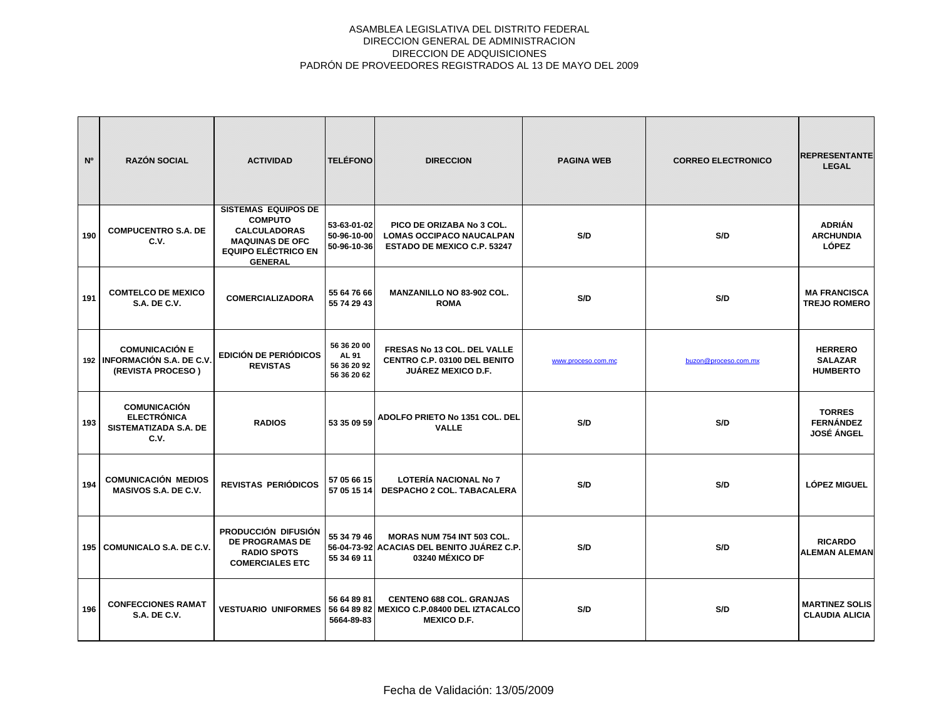| N°  | <b>RAZÓN SOCIAL</b>                                                        | <b>ACTIVIDAD</b>                                                                                                                              | <b>TELÉFONO</b>                                           | <b>DIRECCION</b>                                                                                   | <b>PAGINA WEB</b>  | <b>CORREO ELECTRONICO</b> | <b>REPRESENTANTE</b><br><b>LEGAL</b>                   |
|-----|----------------------------------------------------------------------------|-----------------------------------------------------------------------------------------------------------------------------------------------|-----------------------------------------------------------|----------------------------------------------------------------------------------------------------|--------------------|---------------------------|--------------------------------------------------------|
| 190 | <b>COMPUCENTRO S.A. DE</b><br>C.V.                                         | <b>SISTEMAS EQUIPOS DE</b><br><b>COMPUTO</b><br><b>CALCULADORAS</b><br><b>MAQUINAS DE OFC</b><br><b>EQUIPO ELÉCTRICO EN</b><br><b>GENERAL</b> | 53-63-01-02<br>50-96-10-00<br>50-96-10-36                 | PICO DE ORIZABA No 3 COL.<br><b>LOMAS OCCIPACO NAUCALPAN</b><br><b>ESTADO DE MEXICO C.P. 53247</b> | S/D                | S/D                       | <b>ADRIÁN</b><br><b>ARCHUNDIA</b><br><b>LÓPEZ</b>      |
| 191 | <b>COMTELCO DE MEXICO</b><br><b>S.A. DE C.V.</b>                           | <b>COMERCIALIZADORA</b>                                                                                                                       | 55 64 76 66<br>55 74 29 43                                | <b>MANZANILLO NO 83-902 COL.</b><br><b>ROMA</b>                                                    | S/D                | S/D                       | <b>MA FRANCISCA</b><br><b>TREJO ROMERO</b>             |
|     | <b>COMUNICACIÓN E</b><br>192 INFORMACIÓN S.A. DE C.V.<br>(REVISTA PROCESO) | <b>EDICIÓN DE PERIÓDICOS</b><br><b>REVISTAS</b>                                                                                               | 56 36 20 00<br><b>AL 91</b><br>56 36 20 92<br>56 36 20 62 | FRESAS No 13 COL. DEL VALLE<br><b>CENTRO C.P. 03100 DEL BENITO</b><br><b>JUÁREZ MEXICO D.F.</b>    | www.proceso.com.mc | buzon@proceso.com.mx      | <b>HERRERO</b><br><b>SALAZAR</b><br><b>HUMBERTO</b>    |
| 193 | <b>COMUNICACIÓN</b><br><b>ELECTRÓNICA</b><br>SISTEMATIZADA S.A. DE<br>C.V. | <b>RADIOS</b>                                                                                                                                 | 53 35 09 59                                               | ADOLFO PRIETO No 1351 COL. DEL<br><b>VALLE</b>                                                     | S/D                | S/D                       | <b>TORRES</b><br><b>FERNÁNDEZ</b><br><b>JOSÉ ÁNGEL</b> |
| 194 | <b>COMUNICACIÓN MEDIOS</b><br>MASIVOS S.A. DE C.V.                         | <b>REVISTAS PERIÓDICOS</b>                                                                                                                    | 57 05 66 15<br>57 05 15 14                                | <b>LOTERÍA NACIONAL No 7</b><br>DESPACHO 2 COL. TABACALERA                                         | S/D                | S/D                       | <b>LÓPEZ MIGUEL</b>                                    |
|     | 195 COMUNICALO S.A. DE C.V.                                                | PRODUCCIÓN DIFUSIÓN<br><b>DE PROGRAMAS DE</b><br><b>RADIO SPOTS</b><br><b>COMERCIALES ETC</b>                                                 | 55 34 79 46<br>56-04-73-92<br>55 34 69 11                 | <b>MORAS NUM 754 INT 503 COL.</b><br>ACACIAS DEL BENITO JUÁREZ C.P.<br>03240 MÉXICO DF             | S/D                | S/D                       | <b>RICARDO</b><br><b>ALEMAN ALEMAN</b>                 |
| 196 | <b>CONFECCIONES RAMAT</b><br><b>S.A. DE C.V.</b>                           | <b>VESTUARIO UNIFORMES</b>                                                                                                                    | 56 64 89 81<br>56 64 89 82<br>5664-89-83                  | <b>CENTENO 688 COL. GRANJAS</b><br>MEXICO C.P.08400 DEL IZTACALCO<br><b>MEXICO D.F.</b>            | S/D                | S/D                       | <b>MARTINEZ SOLIS</b><br><b>CLAUDIA ALICIA</b>         |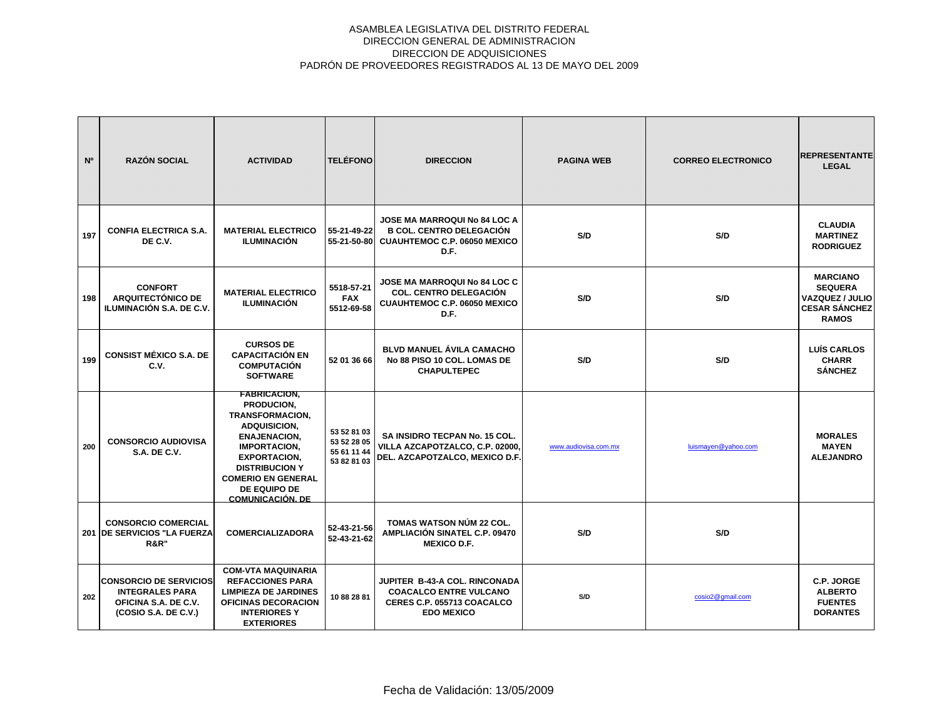| N°  | <b>RAZÓN SOCIAL</b>                                                                                     | <b>ACTIVIDAD</b>                                                                                                                                                                                                                                         | <b>TELÉFONO</b>                                          | <b>DIRECCION</b>                                                                                                      | <b>PAGINA WEB</b>    | <b>CORREO ELECTRONICO</b> | <b>REPRESENTANTE</b><br><b>LEGAL</b>                                                                |
|-----|---------------------------------------------------------------------------------------------------------|----------------------------------------------------------------------------------------------------------------------------------------------------------------------------------------------------------------------------------------------------------|----------------------------------------------------------|-----------------------------------------------------------------------------------------------------------------------|----------------------|---------------------------|-----------------------------------------------------------------------------------------------------|
| 197 | <b>CONFIA ELECTRICA S.A.</b><br>DE C.V.                                                                 | <b>MATERIAL ELECTRICO</b><br><b>ILUMINACIÓN</b>                                                                                                                                                                                                          | 55-21-49-22<br>55-21-50-80                               | <b>JOSE MA MARROQUI No 84 LOC A</b><br><b>B COL. CENTRO DELEGACIÓN</b><br><b>CUAUHTEMOC C.P. 06050 MEXICO</b><br>D.F. | S/D                  | S/D                       | <b>CLAUDIA</b><br><b>MARTINEZ</b><br><b>RODRIGUEZ</b>                                               |
| 198 | <b>CONFORT</b><br><b>ARQUITECTÓNICO DE</b><br>ILUMINACIÓN S.A. DE C.V.                                  | <b>MATERIAL ELECTRICO</b><br><b>ILUMINACIÓN</b>                                                                                                                                                                                                          | 5518-57-21<br><b>FAX</b><br>5512-69-58                   | <b>JOSE MA MARROQUI No 84 LOC C</b><br><b>COL. CENTRO DELEGACIÓN</b><br>CUAUHTEMOC C.P. 06050 MEXICO<br>D.F.          | S/D                  | S/D                       | <b>MARCIANO</b><br><b>SEQUERA</b><br><b>VAZQUEZ / JULIO</b><br><b>CESAR SÁNCHEZ</b><br><b>RAMOS</b> |
| 199 | <b>CONSIST MÉXICO S.A. DE</b><br>C.V.                                                                   | <b>CURSOS DE</b><br><b>CAPACITACIÓN EN</b><br><b>COMPUTACIÓN</b><br><b>SOFTWARE</b>                                                                                                                                                                      | 52 01 36 66                                              | <b>BLVD MANUEL ÁVILA CAMACHO</b><br>No 88 PISO 10 COL. LOMAS DE<br><b>CHAPULTEPEC</b>                                 | S/D                  | S/D                       | <b>LUÍS CARLOS</b><br><b>CHARR</b><br><b>SÁNCHEZ</b>                                                |
| 200 | <b>CONSORCIO AUDIOVISA</b><br><b>S.A. DE C.V.</b>                                                       | <b>FABRICACION,</b><br>PRODUCION,<br><b>TRANSFORMACION,</b><br><b>ADQUISICION,</b><br><b>ENAJENACION,</b><br><b>IMPORTACION,</b><br><b>EXPORTACION,</b><br><b>DISTRIBUCION Y</b><br><b>COMERIO EN GENERAL</b><br>DE EQUIPO DE<br><b>COMUNICACIÓN, DE</b> | 53 52 81 03<br>53 52 28 05<br>55 61 11 44<br>53 82 81 03 | SA INSIDRO TECPAN No. 15 COL.<br>VILLA AZCAPOTZALCO, C.P. 02000,<br>DEL. AZCAPOTZALCO, MEXICO D.F.                    | www.audiovisa.com.mx | luismayen@yahoo.com       | <b>MORALES</b><br><b>MAYEN</b><br><b>ALEJANDRO</b>                                                  |
|     | <b>CONSORCIO COMERCIAL</b><br>201 DE SERVICIOS "LA FUERZA<br><b>R&amp;R"</b>                            | <b>COMERCIALIZADORA</b>                                                                                                                                                                                                                                  | 52-43-21-56<br>52-43-21-62                               | <b>TOMAS WATSON NÚM 22 COL.</b><br>AMPLIACIÓN SINATEL C.P. 09470<br><b>MEXICO D.F.</b>                                | S/D                  | S/D                       |                                                                                                     |
| 202 | <b>CONSORCIO DE SERVICIOS</b><br><b>INTEGRALES PARA</b><br>OFICINA S.A. DE C.V.<br>(COSIO S.A. DE C.V.) | <b>COM-VTA MAQUINARIA</b><br><b>REFACCIONES PARA</b><br><b>LIMPIEZA DE JARDINES</b><br><b>OFICINAS DECORACION</b><br><b>INTERIORESY</b><br><b>EXTERIORES</b>                                                                                             | 10882881                                                 | JUPITER B-43-A COL. RINCONADA<br><b>COACALCO ENTRE VULCANO</b><br>CERES C.P. 055713 COACALCO<br><b>EDO MEXICO</b>     | S/D                  | cosio2@gmail.com          | C.P. JORGE<br><b>ALBERTO</b><br><b>FUENTES</b><br><b>DORANTES</b>                                   |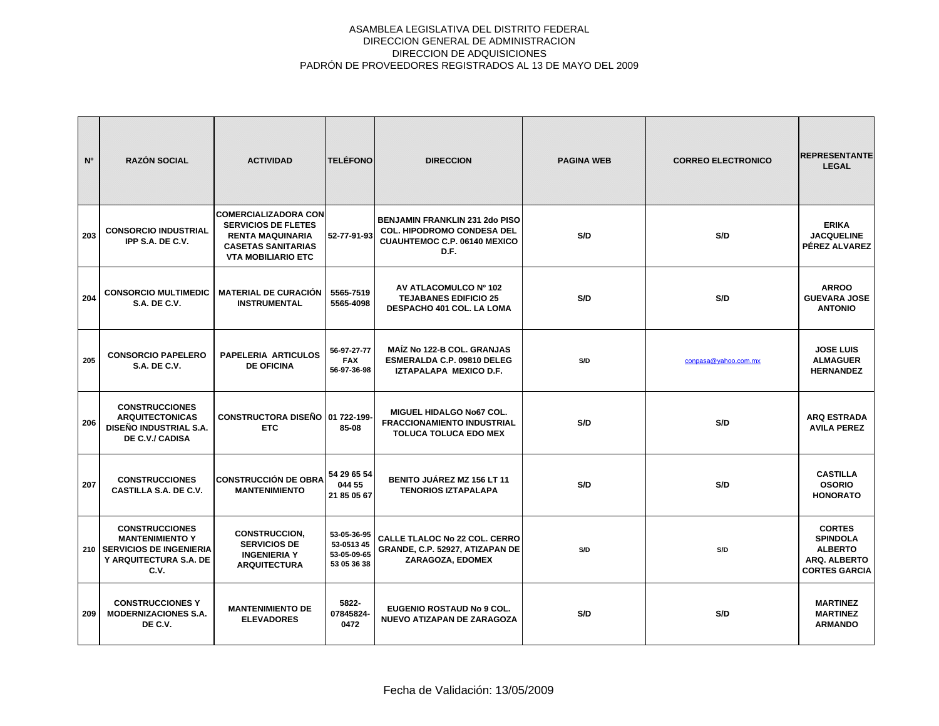| N°  | <b>RAZÓN SOCIAL</b>                                                                                                | <b>ACTIVIDAD</b>                                                                                                                               | <b>TELÉFONO</b>                                         | <b>DIRECCION</b>                                                                                                          | <b>PAGINA WEB</b> | <b>CORREO ELECTRONICO</b> | <b>REPRESENTANTE</b><br><b>LEGAL</b>                                                       |
|-----|--------------------------------------------------------------------------------------------------------------------|------------------------------------------------------------------------------------------------------------------------------------------------|---------------------------------------------------------|---------------------------------------------------------------------------------------------------------------------------|-------------------|---------------------------|--------------------------------------------------------------------------------------------|
| 203 | <b>CONSORCIO INDUSTRIAL</b><br>IPP S.A. DE C.V.                                                                    | <b>COMERCIALIZADORA CON</b><br><b>SERVICIOS DE FLETES</b><br><b>RENTA MAQUINARIA</b><br><b>CASETAS SANITARIAS</b><br><b>VTA MOBILIARIO ETC</b> | 52-77-91-93                                             | <b>BENJAMIN FRANKLIN 231 2do PISO</b><br><b>COL. HIPODROMO CONDESA DEL</b><br><b>CUAUHTEMOC C.P. 06140 MEXICO</b><br>D.F. | S/D               | S/D                       | <b>ERIKA</b><br><b>JACQUELINE</b><br>PÉREZ ALVAREZ                                         |
| 204 | <b>CONSORCIO MULTIMEDIC</b><br><b>S.A. DE C.V.</b>                                                                 | <b>MATERIAL DE CURACIÓN</b><br><b>INSTRUMENTAL</b>                                                                                             | 5565-7519<br>5565-4098                                  | AV ATLACOMULCO Nº 102<br><b>TEJABANES EDIFICIO 25</b><br>DESPACHO 401 COL. LA LOMA                                        | S/D               | S/D                       | <b>ARROO</b><br><b>GUEVARA JOSE</b><br><b>ANTONIO</b>                                      |
| 205 | <b>CONSORCIO PAPELERO</b><br><b>S.A. DE C.V.</b>                                                                   | <b>PAPELERIA ARTICULOS</b><br><b>DE OFICINA</b>                                                                                                | 56-97-27-77<br><b>FAX</b><br>56-97-36-98                | <b>MAÍZ No 122-B COL. GRANJAS</b><br>ESMERALDA C.P. 09810 DELEG<br>IZTAPALAPA MEXICO D.F.                                 | S/D               | conpasa@yahoo.com.mx      | <b>JOSE LUIS</b><br><b>ALMAGUER</b><br><b>HERNANDEZ</b>                                    |
| 206 | <b>CONSTRUCCIONES</b><br><b>ARQUITECTONICAS</b><br>DISEÑO INDUSTRIAL S.A.<br>DE C.V./ CADISA                       | CONSTRUCTORA DISEÑO 01 722-199-<br><b>ETC</b>                                                                                                  | 85-08                                                   | <b>MIGUEL HIDALGO No67 COL.</b><br><b>FRACCIONAMIENTO INDUSTRIAL</b><br><b>TOLUCA TOLUCA EDO MEX</b>                      | S/D               | S/D                       | <b>ARQ ESTRADA</b><br><b>AVILA PEREZ</b>                                                   |
| 207 | <b>CONSTRUCCIONES</b><br>CASTILLA S.A. DE C.V.                                                                     | <b>CONSTRUCCIÓN DE OBRA</b><br><b>MANTENIMIENTO</b>                                                                                            | 54 29 65 54<br>044 55<br>21 85 05 67                    | BENITO JUÁREZ MZ 156 LT 11<br><b>TENORIOS IZTAPALAPA</b>                                                                  | S/D               | S/D                       | <b>CASTILLA</b><br><b>OSORIO</b><br><b>HONORATO</b>                                        |
|     | <b>CONSTRUCCIONES</b><br><b>MANTENIMIENTO Y</b><br>210   SERVICIOS DE INGENIERIA<br>Y ARQUITECTURA S.A. DE<br>C.V. | <b>CONSTRUCCION,</b><br><b>SERVICIOS DE</b><br><b>INGENIERIA Y</b><br><b>ARQUITECTURA</b>                                                      | 53-05-36-95<br>53-0513 45<br>53-05-09-65<br>53 05 36 38 | <b>CALLE TLALOC No 22 COL. CERRO</b><br>GRANDE, C.P. 52927, ATIZAPAN DE<br>ZARAGOZA, EDOMEX                               | S/D               | S/D                       | <b>CORTES</b><br><b>SPINDOLA</b><br><b>ALBERTO</b><br>ARQ. ALBERTO<br><b>CORTES GARCIA</b> |
| 209 | <b>CONSTRUCCIONES Y</b><br><b>MODERNIZACIONES S.A.</b><br>DE C.V.                                                  | <b>MANTENIMIENTO DE</b><br><b>ELEVADORES</b>                                                                                                   | 5822-<br>07845824-<br>0472                              | <b>EUGENIO ROSTAUD No 9 COL.</b><br>NUEVO ATIZAPAN DE ZARAGOZA                                                            | S/D               | S/D                       | <b>MARTINEZ</b><br><b>MARTINEZ</b><br><b>ARMANDO</b>                                       |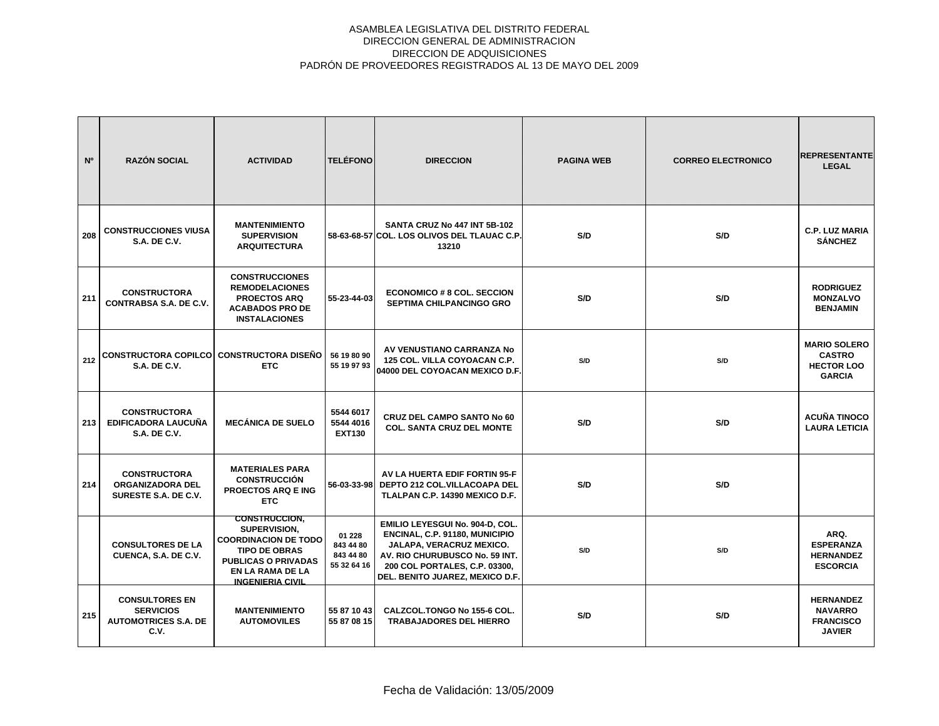| N°  | <b>RAZÓN SOCIAL</b>                                                              | <b>ACTIVIDAD</b>                                                                                                                                                                | <b>TELÉFONO</b>                                 | <b>DIRECCION</b>                                                                                                                                                                                    | <b>PAGINA WEB</b> | <b>CORREO ELECTRONICO</b> | <b>REPRESENTANTE</b><br><b>LEGAL</b>                                       |
|-----|----------------------------------------------------------------------------------|---------------------------------------------------------------------------------------------------------------------------------------------------------------------------------|-------------------------------------------------|-----------------------------------------------------------------------------------------------------------------------------------------------------------------------------------------------------|-------------------|---------------------------|----------------------------------------------------------------------------|
| 208 | <b>CONSTRUCCIONES VIUSA</b><br><b>S.A. DE C.V.</b>                               | <b>MANTENIMIENTO</b><br><b>SUPERVISION</b><br><b>ARQUITECTURA</b>                                                                                                               |                                                 | SANTA CRUZ No 447 INT 5B-102<br>58-63-68-57 COL. LOS OLIVOS DEL TLAUAC C.P.<br>13210                                                                                                                | S/D               | S/D                       | <b>C.P. LUZ MARIA</b><br><b>SÁNCHEZ</b>                                    |
| 211 | <b>CONSTRUCTORA</b><br><b>CONTRABSA S.A. DE C.V.</b>                             | <b>CONSTRUCCIONES</b><br><b>REMODELACIONES</b><br><b>PROECTOS ARQ</b><br><b>ACABADOS PRO DE</b><br><b>INSTALACIONES</b>                                                         | 55-23-44-03                                     | <b>ECONOMICO # 8 COL. SECCION</b><br><b>SEPTIMA CHILPANCINGO GRO</b>                                                                                                                                | S/D               | S/D                       | <b>RODRIGUEZ</b><br><b>MONZALVO</b><br><b>BENJAMIN</b>                     |
| 212 | CONSTRUCTORA COPILCO CONSTRUCTORA DISEÑO<br><b>S.A. DE C.V.</b>                  | <b>ETC</b>                                                                                                                                                                      | 56 19 80 90<br>55 19 97 93                      | AV VENUSTIANO CARRANZA No<br>125 COL. VILLA COYOACAN C.P.<br>04000 DEL COYOACAN MEXICO D.F.                                                                                                         | S/D               | S/D                       | <b>MARIO SOLERO</b><br><b>CASTRO</b><br><b>HECTOR LOO</b><br><b>GARCIA</b> |
| 213 | <b>CONSTRUCTORA</b><br><b>EDIFICADORA LAUCUÑA</b><br><b>S.A. DE C.V.</b>         | <b>MECÁNICA DE SUELO</b>                                                                                                                                                        | 5544 6017<br>5544 4016<br><b>EXT130</b>         | <b>CRUZ DEL CAMPO SANTO No 60</b><br><b>COL. SANTA CRUZ DEL MONTE</b>                                                                                                                               | S/D               | S/D                       | <b>ACUÑA TINOCO</b><br><b>LAURA LETICIA</b>                                |
| 214 | <b>CONSTRUCTORA</b><br><b>ORGANIZADORA DEL</b><br>SURESTE S.A. DE C.V.           | <b>MATERIALES PARA</b><br><b>CONSTRUCCIÓN</b><br><b>PROECTOS ARQ E ING</b><br><b>ETC</b>                                                                                        |                                                 | AV LA HUERTA EDIF FORTIN 95-F<br>56-03-33-98 DEPTO 212 COL.VILLACOAPA DEL<br>TLALPAN C.P. 14390 MEXICO D.F.                                                                                         | S/D               | S/D                       |                                                                            |
|     | <b>CONSULTORES DE LA</b><br>CUENCA, S.A. DE C.V.                                 | <b>CONSTRUCCION,</b><br>SUPERVISION,<br><b>COORDINACION DE TODO</b><br><b>TIPO DE OBRAS</b><br><b>PUBLICAS O PRIVADAS</b><br><b>EN LA RAMA DE LA</b><br><b>INGENIERIA CIVIL</b> | 01 228<br>843 44 80<br>843 44 80<br>55 32 64 16 | EMILIO LEYESGUI No. 904-D, COL.<br>ENCINAL, C.P. 91180, MUNICIPIO<br>JALAPA, VERACRUZ MEXICO.<br>AV. RIO CHURUBUSCO No. 59 INT.<br>200 COL PORTALES, C.P. 03300,<br>DEL. BENITO JUAREZ, MEXICO D.F. | S/D               | S/D                       | ARQ.<br><b>ESPERANZA</b><br><b>HERNANDEZ</b><br><b>ESCORCIA</b>            |
| 215 | <b>CONSULTORES EN</b><br><b>SERVICIOS</b><br><b>AUTOMOTRICES S.A. DE</b><br>C.V. | <b>MANTENIMIENTO</b><br><b>AUTOMOVILES</b>                                                                                                                                      | 55 87 10 43<br>55 87 08 15                      | CALZCOL.TONGO No 155-6 COL.<br><b>TRABAJADORES DEL HIERRO</b>                                                                                                                                       | S/D               | S/D                       | <b>HERNANDEZ</b><br><b>NAVARRO</b><br><b>FRANCISCO</b><br><b>JAVIER</b>    |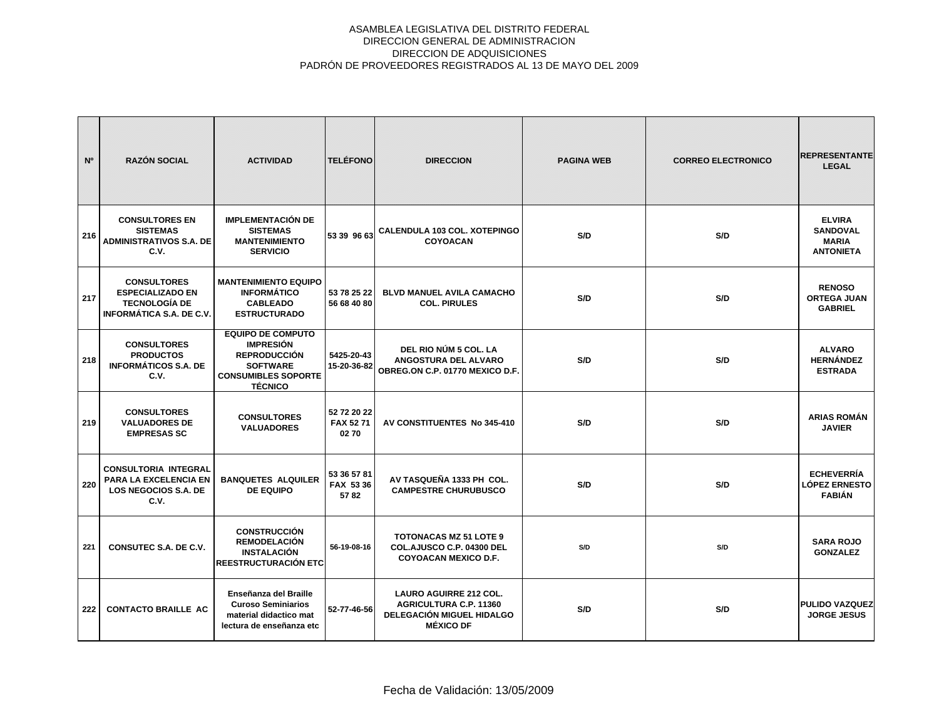| N°  | <b>RAZÓN SOCIAL</b>                                                                                      | <b>ACTIVIDAD</b>                                                                                                                       | <b>TELÉFONO</b>                  | <b>DIRECCION</b>                                                                                                       | <b>PAGINA WEB</b> | <b>CORREO ELECTRONICO</b> | <b>REPRESENTANTE</b><br><b>LEGAL</b>                                 |
|-----|----------------------------------------------------------------------------------------------------------|----------------------------------------------------------------------------------------------------------------------------------------|----------------------------------|------------------------------------------------------------------------------------------------------------------------|-------------------|---------------------------|----------------------------------------------------------------------|
| 216 | <b>CONSULTORES EN</b><br><b>SISTEMAS</b><br>ADMINISTRATIVOS S.A. DE<br>C.V.                              | <b>IMPLEMENTACIÓN DE</b><br><b>SISTEMAS</b><br><b>MANTENIMIENTO</b><br><b>SERVICIO</b>                                                 | 53 39 96 63                      | <b>CALENDULA 103 COL. XOTEPINGO</b><br><b>COYOACAN</b>                                                                 | S/D               | S/D                       | <b>ELVIRA</b><br><b>SANDOVAL</b><br><b>MARIA</b><br><b>ANTONIETA</b> |
| 217 | <b>CONSULTORES</b><br><b>ESPECIALIZADO EN</b><br><b>TECNOLOGÍA DE</b><br><b>INFORMÁTICA S.A. DE C.V.</b> | <b>MANTENIMIENTO EQUIPO</b><br><b>INFORMÁTICO</b><br><b>CABLEADO</b><br><b>ESTRUCTURADO</b>                                            | 53 78 25 22<br>56 68 40 80       | <b>BLVD MANUEL AVILA CAMACHO</b><br><b>COL. PIRULES</b>                                                                | S/D               | S/D                       | <b>RENOSO</b><br><b>ORTEGA JUAN</b><br><b>GABRIEL</b>                |
| 218 | <b>CONSULTORES</b><br><b>PRODUCTOS</b><br><b>INFORMÁTICOS S.A. DE</b><br>C.V.                            | <b>EQUIPO DE COMPUTO</b><br><b>IMPRESIÓN</b><br><b>REPRODUCCIÓN</b><br><b>SOFTWARE</b><br><b>CONSUMIBLES SOPORTE</b><br><b>TÉCNICO</b> | 5425-20-43<br>15-20-36-82        | DEL RIO NÚM 5 COL. LA<br>ANGOSTURA DEL ALVARO<br>OBREG.ON C.P. 01770 MEXICO D.F.                                       | S/D               | S/D                       | <b>ALVARO</b><br><b>HERNÁNDEZ</b><br><b>ESTRADA</b>                  |
| 219 | <b>CONSULTORES</b><br><b>VALUADORES DE</b><br><b>EMPRESAS SC</b>                                         | <b>CONSULTORES</b><br><b>VALUADORES</b>                                                                                                | 52 72 20 22<br>FAX 52 71<br>0270 | AV CONSTITUENTES No 345-410                                                                                            | S/D               | S/D                       | <b>ARIAS ROMÁN</b><br><b>JAVIER</b>                                  |
| 220 | <b>CONSULTORIA INTEGRAL</b><br>PARA LA EXCELENCIA EN<br><b>LOS NEGOCIOS S.A. DE</b><br>C.V.              | <b>BANQUETES ALQUILER</b><br><b>DE EQUIPO</b>                                                                                          | 53 36 57 81<br>FAX 53 36<br>5782 | AV TASQUEÑA 1333 PH COL.<br><b>CAMPESTRE CHURUBUSCO</b>                                                                | S/D               | S/D                       | <b>ECHEVERRÍA</b><br><b>LÓPEZ ERNESTO</b><br><b>FABIÁN</b>           |
| 221 | CONSUTEC S.A. DE C.V.                                                                                    | <b>CONSTRUCCIÓN</b><br><b>REMODELACIÓN</b><br><b>INSTALACIÓN</b><br><b>REESTRUCTURACIÓN ETC</b>                                        | 56-19-08-16                      | <b>TOTONACAS MZ 51 LOTE 9</b><br>COL.AJUSCO C.P. 04300 DEL<br><b>COYOACAN MEXICO D.F.</b>                              | S/D               | S/D                       | <b>SARA ROJO</b><br><b>GONZALEZ</b>                                  |
| 222 | <b>CONTACTO BRAILLE AC</b>                                                                               | Enseñanza del Braille<br><b>Curoso Seminiarios</b><br>material didactico mat<br>lectura de enseñanza etc                               | 52-77-46-56                      | <b>LAURO AGUIRRE 212 COL.</b><br><b>AGRICULTURA C.P. 11360</b><br><b>DELEGACIÓN MIGUEL HIDALGO</b><br><b>MÉXICO DF</b> | S/D               | S/D                       | <b>PULIDO VAZQUEZ</b><br><b>JORGE JESUS</b>                          |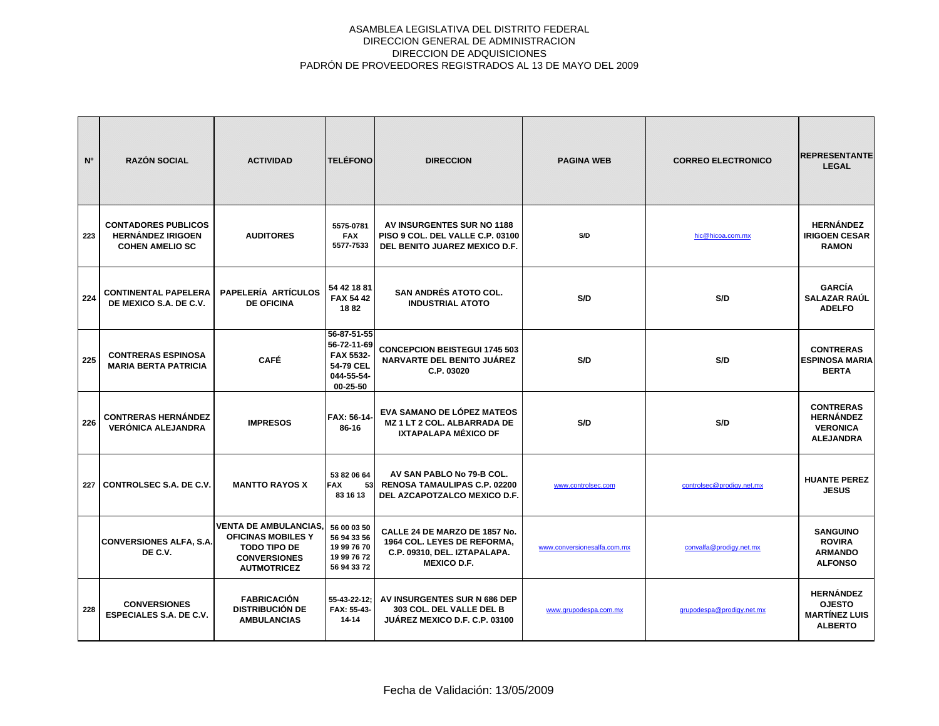| N <sup>o</sup> | <b>RAZÓN SOCIAL</b>                                                              | <b>ACTIVIDAD</b>                                                                                                              | <b>TELÉFONO</b>                                                                      | <b>DIRECCION</b>                                                                                                   | <b>PAGINA WEB</b>           | <b>CORREO ELECTRONICO</b> | <b>REPRESENTANTE</b><br><b>LEGAL</b>                                        |
|----------------|----------------------------------------------------------------------------------|-------------------------------------------------------------------------------------------------------------------------------|--------------------------------------------------------------------------------------|--------------------------------------------------------------------------------------------------------------------|-----------------------------|---------------------------|-----------------------------------------------------------------------------|
| 223            | <b>CONTADORES PUBLICOS</b><br><b>HERNÁNDEZ IRIGOEN</b><br><b>COHEN AMELIO SC</b> | <b>AUDITORES</b>                                                                                                              | 5575-0781<br><b>FAX</b><br>5577-7533                                                 | AV INSURGENTES SUR NO 1188<br>PISO 9 COL. DEL VALLE C.P. 03100<br>DEL BENITO JUAREZ MEXICO D.F.                    | S/D                         | hic@hicoa.com.mx          | <b>HERNÁNDEZ</b><br><b>IRIGOEN CESAR</b><br><b>RAMON</b>                    |
| 224            | <b>CONTINENTAL PAPELERA</b><br>DE MEXICO S.A. DE C.V.                            | <b>PAPELERÍA ARTÍCULOS</b><br><b>DE OFICINA</b>                                                                               | 54 42 18 81<br><b>FAX 54 42</b><br>1882                                              | <b>SAN ANDRÉS ATOTO COL.</b><br><b>INDUSTRIAL ATOTO</b>                                                            | S/D                         | S/D                       | <b>GARCÍA</b><br><b>SALAZAR RAÚL</b><br><b>ADELFO</b>                       |
| 225            | <b>CONTRERAS ESPINOSA</b><br><b>MARIA BERTA PATRICIA</b>                         | <b>CAFÉ</b>                                                                                                                   | 56-87-51-55<br>56-72-11-69<br>FAX 5532-<br>54-79 CEL<br>044-55-54-<br>$00 - 25 - 50$ | <b>CONCEPCION BEISTEGUI 1745 503</b><br>NARVARTE DEL BENITO JUÁREZ<br>C.P. 03020                                   | S/D                         | S/D                       | <b>CONTRERAS</b><br><b>ESPINOSA MARIA</b><br><b>BERTA</b>                   |
| 226            | <b>CONTRERAS HERNÁNDEZ</b><br><b>VERÓNICA ALEJANDRA</b>                          | <b>IMPRESOS</b>                                                                                                               | <b>FAX: 56-14-</b><br>86-16                                                          | EVA SAMANO DE LÓPEZ MATEOS<br><b>MZ 1 LT 2 COL. ALBARRADA DE</b><br>IXTAPALAPA MÉXICO DF                           | S/D                         | S/D                       | <b>CONTRERAS</b><br><b>HERNÁNDEZ</b><br><b>VERONICA</b><br><b>ALEJANDRA</b> |
| 227            | <b>CONTROLSEC S.A. DE C.V.</b>                                                   | <b>MANTTO RAYOS X</b>                                                                                                         | 53 82 06 64<br><b>FAX</b><br>53<br>83 16 13                                          | AV SAN PABLO No 79-B COL.<br><b>RENOSA TAMAULIPAS C.P. 02200</b><br>DEL AZCAPOTZALCO MEXICO D.F.                   | www.controlsec.com          | controlsec@prodigy.net.mx | <b>HUANTE PEREZ</b><br><b>JESUS</b>                                         |
|                | <b>CONVERSIONES ALFA, S.A.</b><br>DE C.V.                                        | <b>VENTA DE AMBULANCIAS,</b><br><b>OFICINAS MOBILES Y</b><br><b>TODO TIPO DE</b><br><b>CONVERSIONES</b><br><b>AUTMOTRICEZ</b> | 56 00 03 50<br>56 94 33 56<br>19 99 76 70<br>19 99 76 72<br>56 94 33 72              | CALLE 24 DE MARZO DE 1857 No.<br>1964 COL. LEYES DE REFORMA,<br>C.P. 09310, DEL. IZTAPALAPA.<br><b>MEXICO D.F.</b> | www.conversionesalfa.com.mx | convalfa@prodigy.net.mx   | <b>SANGUINO</b><br><b>ROVIRA</b><br><b>ARMANDO</b><br><b>ALFONSO</b>        |
| 228            | <b>CONVERSIONES</b><br><b>ESPECIALES S.A. DE C.V.</b>                            | <b>FABRICACIÓN</b><br><b>DISTRIBUCIÓN DE</b><br><b>AMBULANCIAS</b>                                                            | 55-43-22-12;<br>FAX: 55-43-<br>14-14                                                 | AV INSURGENTES SUR N 686 DEP<br>303 COL. DEL VALLE DEL B<br><b>JUÁREZ MEXICO D.F. C.P. 03100</b>                   | www.grupodespa.com.mx       | grupodespa@prodigy.net.mx | <b>HERNÁNDEZ</b><br><b>OJESTO</b><br><b>MARTÍNEZ LUIS</b><br><b>ALBERTO</b> |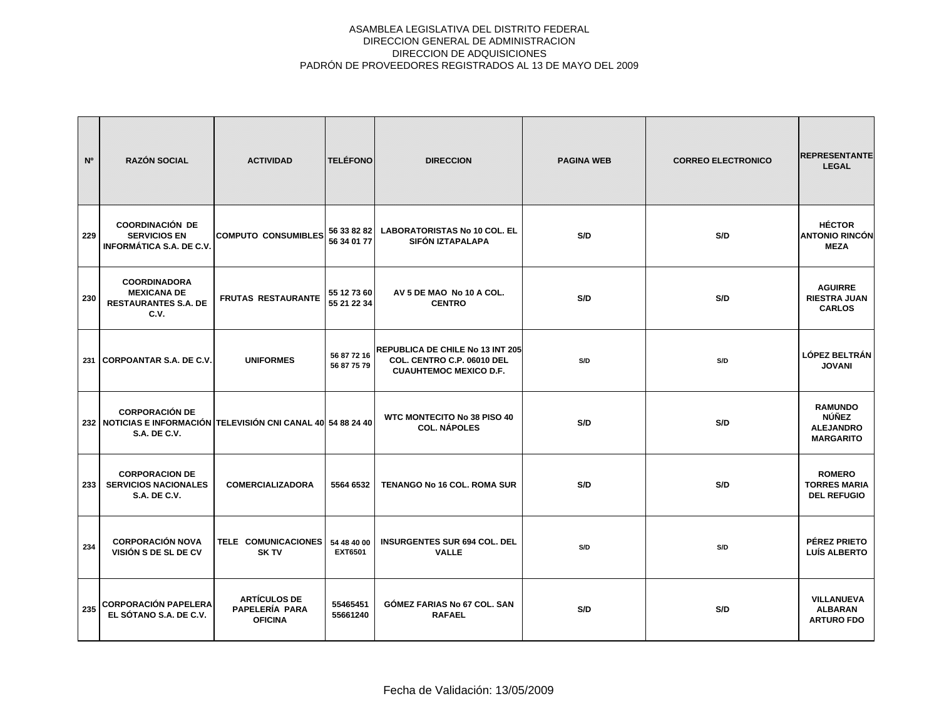| N <sup>o</sup> | <b>RAZÓN SOCIAL</b>                                                                                            | <b>ACTIVIDAD</b>                                        | <b>TELÉFONO</b>               | <b>DIRECCION</b>                                                                                       | <b>PAGINA WEB</b> | <b>CORREO ELECTRONICO</b> | <b>REPRESENTANTE</b><br><b>LEGAL</b>                                   |
|----------------|----------------------------------------------------------------------------------------------------------------|---------------------------------------------------------|-------------------------------|--------------------------------------------------------------------------------------------------------|-------------------|---------------------------|------------------------------------------------------------------------|
| 229            | <b>COORDINACIÓN DE</b><br><b>SERVICIOS EN</b><br><b>INFORMÁTICA S.A. DE C.V.</b>                               | <b>COMPUTO CONSUMIBLES</b>                              | 56 33 82 82<br>56 34 01 77    | <b>LABORATORISTAS No 10 COL. EL</b><br>SIFÓN IZTAPALAPA                                                | S/D               | S/D                       | <b>HÉCTOR</b><br><b>ANTONIO RINCÓN</b><br><b>MEZA</b>                  |
| 230            | <b>COORDINADORA</b><br><b>MEXICANA DE</b><br><b>RESTAURANTES S.A. DE</b><br>C.V.                               | <b>FRUTAS RESTAURANTE</b>                               | 55 12 73 60<br>55 21 22 34    | AV 5 DE MAO No 10 A COL.<br><b>CENTRO</b>                                                              | S/D               | S/D                       | <b>AGUIRRE</b><br><b>RIESTRA JUAN</b><br><b>CARLOS</b>                 |
|                | 231 CORPOANTAR S.A. DE C.V.                                                                                    | <b>UNIFORMES</b>                                        | 56 87 72 16<br>56 87 75 79    | <b>REPUBLICA DE CHILE No 13 INT 205</b><br>COL. CENTRO C.P. 06010 DEL<br><b>CUAUHTEMOC MEXICO D.F.</b> | S/D               | S/D                       | <b>LÓPEZ BELTRÁN</b><br><b>JOVANI</b>                                  |
|                | <b>CORPORACIÓN DE</b><br>232 NOTICIAS E INFORMACIÓN TELEVISIÓN CNI CANAL 40 54 88 24 40<br><b>S.A. DE C.V.</b> |                                                         |                               | <b>WTC MONTECITO No 38 PISO 40</b><br><b>COL. NÁPOLES</b>                                              | S/D               | S/D                       | <b>RAMUNDO</b><br><b>NÚÑEZ</b><br><b>ALEJANDRO</b><br><b>MARGARITO</b> |
| 233            | <b>CORPORACION DE</b><br><b>SERVICIOS NACIONALES</b><br><b>S.A. DE C.V.</b>                                    | <b>COMERCIALIZADORA</b>                                 | 5564 6532                     | TENANGO No 16 COL. ROMA SUR                                                                            | S/D               | S/D                       | <b>ROMERO</b><br><b>TORRES MARIA</b><br><b>DEL REFUGIO</b>             |
| 234            | <b>CORPORACIÓN NOVA</b><br>VISIÓN S DE SL DE CV                                                                | TELE COMUNICACIONES<br><b>SK TV</b>                     | 54 48 40 00<br><b>EXT6501</b> | <b>INSURGENTES SUR 694 COL. DEL</b><br><b>VALLE</b>                                                    | S/D               | S/D                       | PÉREZ PRIETO<br>LUÍS ALBERTO                                           |
| 235            | <b>CORPORACIÓN PAPELERA</b><br>EL SÓTANO S.A. DE C.V.                                                          | <b>ARTÍCULOS DE</b><br>PAPELERÍA PARA<br><b>OFICINA</b> | 55465451<br>55661240          | <b>GÓMEZ FARIAS No 67 COL. SAN</b><br><b>RAFAEL</b>                                                    | S/D               | S/D                       | VILLANUEVA<br><b>ALBARAN</b><br><b>ARTURO FDO</b>                      |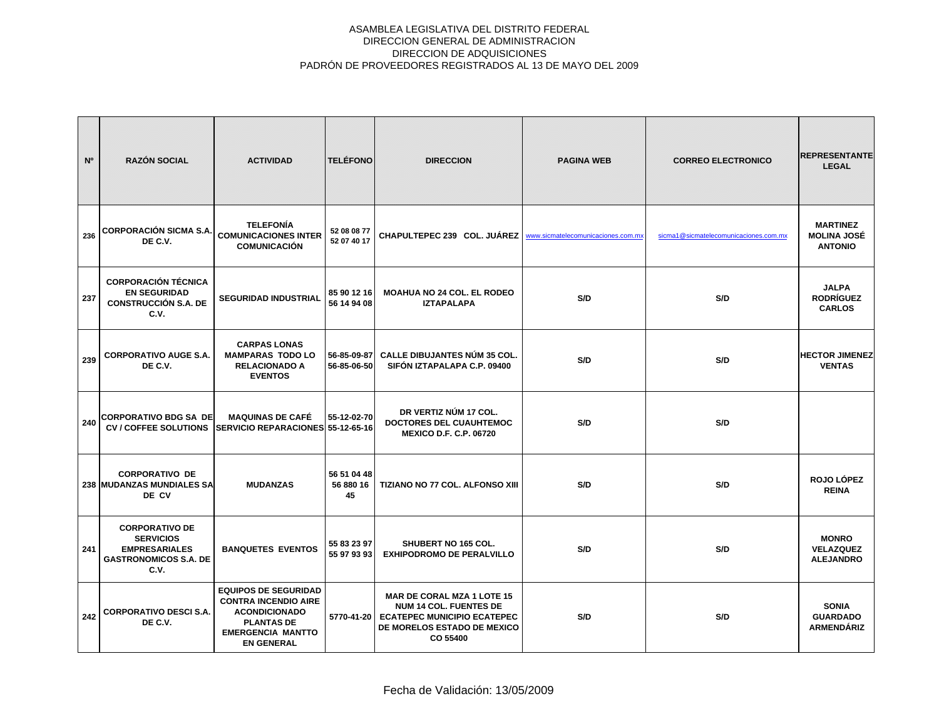| N <sup>o</sup> | <b>RAZÓN SOCIAL</b>                                                                                       | <b>ACTIVIDAD</b>                                                                                                                                         | <b>TELÉFONO</b>                | <b>DIRECCION</b>                                                                                                                                    | <b>PAGINA WEB</b>                  | <b>CORREO ELECTRONICO</b>             | <b>REPRESENTANTE</b><br><b>LEGAL</b>                    |
|----------------|-----------------------------------------------------------------------------------------------------------|----------------------------------------------------------------------------------------------------------------------------------------------------------|--------------------------------|-----------------------------------------------------------------------------------------------------------------------------------------------------|------------------------------------|---------------------------------------|---------------------------------------------------------|
| 236            | <b>CORPORACIÓN SICMA S.A.</b><br>DE C.V.                                                                  | <b>TELEFONÍA</b><br><b>COMUNICACIONES INTER</b><br><b>COMUNICACIÓN</b>                                                                                   | 52 08 08 77<br>52 07 40 17     | CHAPULTEPEC 239 COL. JUÁREZ                                                                                                                         | www.sicmatelecomunicaciones.com.mx | sicma1@sicmatelecomunicaciones.com.mx | <b>MARTINEZ</b><br><b>MOLINA JOSÉ</b><br><b>ANTONIO</b> |
| 237            | <b>CORPORACIÓN TÉCNICA</b><br><b>EN SEGURIDAD</b><br><b>CONSTRUCCIÓN S.A. DE</b><br>C.V.                  | <b>SEGURIDAD INDUSTRIAL</b>                                                                                                                              | 85 90 12 16<br>56 14 94 08     | <b>MOAHUA NO 24 COL. EL RODEO</b><br><b>IZTAPALAPA</b>                                                                                              | S/D                                | S/D                                   | <b>JALPA</b><br><b>RODRÍGUEZ</b><br><b>CARLOS</b>       |
| 239            | <b>CORPORATIVO AUGE S.A.</b><br>DE C.V.                                                                   | <b>CARPAS LONAS</b><br><b>MAMPARAS TODO LO</b><br><b>RELACIONADO A</b><br><b>EVENTOS</b>                                                                 | 56-85-09-87<br>56-85-06-50     | <b>CALLE DIBUJANTES NÚM 35 COL.</b><br>SIFÓN IZTAPALAPA C.P. 09400                                                                                  | S/D                                | S/D                                   | <b>HECTOR JIMENEZ</b><br><b>VENTAS</b>                  |
| 240            | <b>CORPORATIVO BDG SA DE</b><br><b>CV / COFFEE SOLUTIONS</b>                                              | <b>MAQUINAS DE CAFÉ</b><br>SERVICIO REPARACIONES 55-12-65-16                                                                                             | 55-12-02-70                    | DR VERTIZ NÚM 17 COL.<br><b>DOCTORES DEL CUAUHTEMOC</b><br><b>MEXICO D.F. C.P. 06720</b>                                                            | S/D                                | S/D                                   |                                                         |
|                | <b>CORPORATIVO DE</b><br><b>238 MUDANZAS MUNDIALES SA</b><br>DE CV                                        | <b>MUDANZAS</b>                                                                                                                                          | 56 51 04 48<br>56 880 16<br>45 | TIZIANO NO 77 COL. ALFONSO XIII                                                                                                                     | S/D                                | S/D                                   | ROJO LÓPEZ<br><b>REINA</b>                              |
| 241            | <b>CORPORATIVO DE</b><br><b>SERVICIOS</b><br><b>EMPRESARIALES</b><br><b>GASTRONOMICOS S.A. DE</b><br>C.V. | <b>BANQUETES EVENTOS</b>                                                                                                                                 | 55 83 23 97<br>55 97 93 93     | <b>SHUBERT NO 165 COL.</b><br><b>EXHIPODROMO DE PERALVILLO</b>                                                                                      | S/D                                | S/D                                   | <b>MONRO</b><br><b>VELAZQUEZ</b><br><b>ALEJANDRO</b>    |
| 242            | <b>CORPORATIVO DESCI S.A.</b><br>DE C.V.                                                                  | <b>EQUIPOS DE SEGURIDAD</b><br><b>CONTRA INCENDIO AIRE</b><br><b>ACONDICIONADO</b><br><b>PLANTAS DE</b><br><b>EMERGENCIA MANTTO</b><br><b>EN GENERAL</b> | 5770-41-20                     | <b>MAR DE CORAL MZA 1 LOTE 15</b><br><b>NUM 14 COL. FUENTES DE</b><br><b>ECATEPEC MUNICIPIO ECATEPEC</b><br>DE MORELOS ESTADO DE MEXICO<br>CO 55400 | S/D                                | S/D                                   | <b>SONIA</b><br><b>GUARDADO</b><br><b>ARMENDÁRIZ</b>    |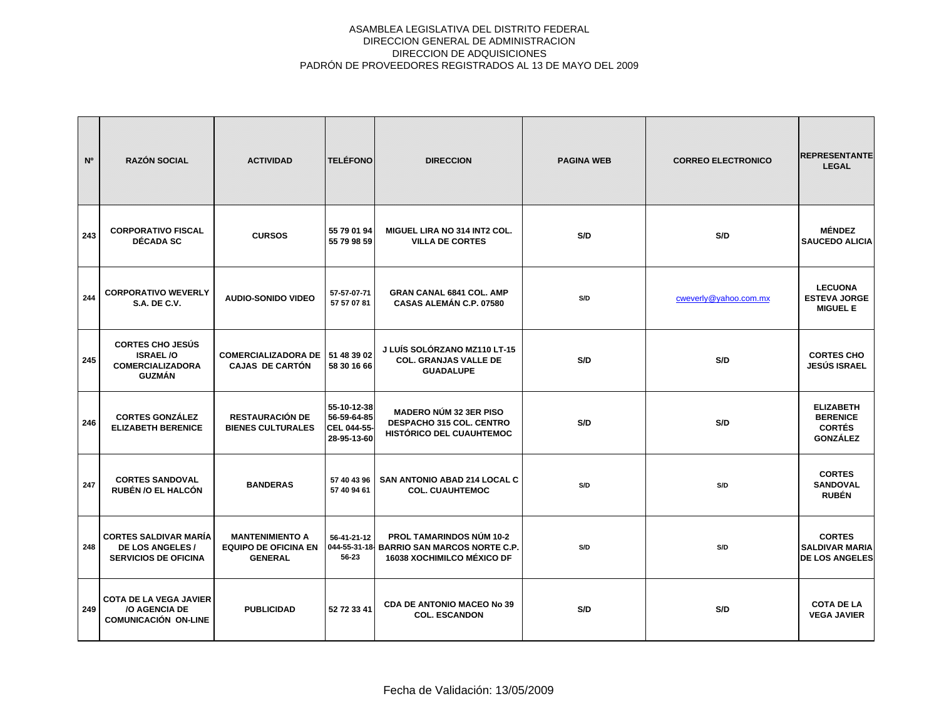| N <sup>o</sup> | <b>RAZÓN SOCIAL</b>                                                                    | <b>ACTIVIDAD</b>                                                        | <b>TELÉFONO</b>                                          | <b>DIRECCION</b>                                                                                                   | <b>PAGINA WEB</b> | <b>CORREO ELECTRONICO</b> | <b>REPRESENTANTE</b><br><b>LEGAL</b>                                    |
|----------------|----------------------------------------------------------------------------------------|-------------------------------------------------------------------------|----------------------------------------------------------|--------------------------------------------------------------------------------------------------------------------|-------------------|---------------------------|-------------------------------------------------------------------------|
| 243            | <b>CORPORATIVO FISCAL</b><br><b>DÉCADA SC</b>                                          | <b>CURSOS</b>                                                           | 55 79 01 94<br>55 79 98 59                               | MIGUEL LIRA NO 314 INT2 COL.<br><b>VILLA DE CORTES</b>                                                             | S/D               | S/D                       | <b>MÉNDEZ</b><br><b>SAUCEDO ALICIA</b>                                  |
| 244            | <b>CORPORATIVO WEVERLY</b><br><b>S.A. DE C.V.</b>                                      | <b>AUDIO-SONIDO VIDEO</b>                                               | 57-57-07-71<br>57 57 07 81                               | <b>GRAN CANAL 6841 COL. AMP</b><br>CASAS ALEMÁN C.P. 07580                                                         | S/D               | cweverly@yahoo.com.mx     | <b>LECUONA</b><br><b>ESTEVA JORGE</b><br><b>MIGUEL E</b>                |
| 245            | <b>CORTES CHO JESÚS</b><br><b>ISRAEL/O</b><br><b>COMERCIALIZADORA</b><br><b>GUZMÁN</b> | COMERCIALIZADORA DE 151 48 39 02<br><b>CAJAS DE CARTÓN</b>              | 58 30 16 66                                              | J LUÍS SOLÓRZANO MZ110 LT-15<br><b>COL. GRANJAS VALLE DE</b><br><b>GUADALUPE</b>                                   | S/D               | S/D                       | <b>CORTES CHO</b><br>JESÚS ISRAEL                                       |
| 246            | <b>CORTES GONZÁLEZ</b><br><b>ELIZABETH BERENICE</b>                                    | <b>RESTAURACIÓN DE</b><br><b>BIENES CULTURALES</b>                      | 55-10-12-38<br>56-59-64-85<br>CEL 044-55-<br>28-95-13-60 | <b>MADERO NÚM 32 3ER PISO</b><br>DESPACHO 315 COL. CENTRO<br><b>HISTÓRICO DEL CUAUHTEMOC</b>                       | S/D               | S/D                       | <b>ELIZABETH</b><br><b>BERENICE</b><br><b>CORTÉS</b><br><b>GONZÁLEZ</b> |
| 247            | <b>CORTES SANDOVAL</b><br><b>RUBÉN /O EL HALCÓN</b>                                    | <b>BANDERAS</b>                                                         | 57 40 43 96<br>57 40 94 61                               | <b>SAN ANTONIO ABAD 214 LOCAL C</b><br><b>COL. CUAUHTEMOC</b>                                                      | S/D               | S/D                       | <b>CORTES</b><br><b>SANDOVAL</b><br><b>RUBÉN</b>                        |
| 248            | <b>CORTES SALDIVAR MARÍA</b><br>DE LOS ANGELES /<br><b>SERVICIOS DE OFICINA</b>        | <b>MANTENIMIENTO A</b><br><b>EQUIPO DE OFICINA EN</b><br><b>GENERAL</b> | 56-41-21-12<br>56-23                                     | <b>PROL TAMARINDOS NÚM 10-2</b><br>044-55-31-18- BARRIO SAN MARCOS NORTE C.P.<br><b>16038 XOCHIMILCO MÉXICO DF</b> | S/D               | S/D                       | <b>CORTES</b><br><b>SALDIVAR MARIA</b><br><b>DE LOS ANGELES</b>         |
| 249            | <b>COTA DE LA VEGA JAVIER</b><br>/O AGENCIA DE<br><b>COMUNICACIÓN ON-LINE</b>          | <b>PUBLICIDAD</b>                                                       | 52 72 33 41                                              | <b>CDA DE ANTONIO MACEO No 39</b><br><b>COL. ESCANDON</b>                                                          | S/D               | S/D                       | <b>COTA DE LA</b><br><b>VEGA JAVIER</b>                                 |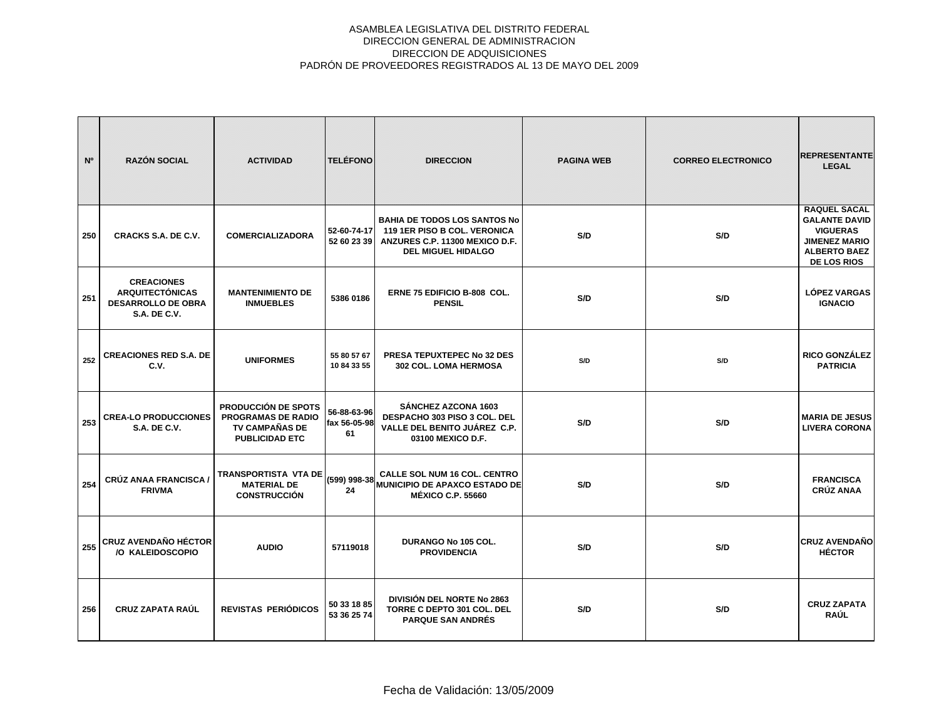| N°  | <b>RAZÓN SOCIAL</b>                                                                             | <b>ACTIVIDAD</b>                                                                                          | <b>TELÉFONO</b>                   | <b>DIRECCION</b>                                                                                                                   | <b>PAGINA WEB</b> | <b>CORREO ELECTRONICO</b> | <b>REPRESENTANTE</b><br><b>LEGAL</b>                                                                                                |
|-----|-------------------------------------------------------------------------------------------------|-----------------------------------------------------------------------------------------------------------|-----------------------------------|------------------------------------------------------------------------------------------------------------------------------------|-------------------|---------------------------|-------------------------------------------------------------------------------------------------------------------------------------|
| 250 | CRACKS S.A. DE C.V.                                                                             | <b>COMERCIALIZADORA</b>                                                                                   | 52-60-74-17<br>52 60 23 39        | <b>BAHIA DE TODOS LOS SANTOS No</b><br>119 1ER PISO B COL. VERONICA<br>ANZURES C.P. 11300 MEXICO D.F.<br><b>DEL MIGUEL HIDALGO</b> | S/D               | S/D                       | <b>RAQUEL SACAL</b><br><b>GALANTE DAVID</b><br><b>VIGUERAS</b><br><b>JIMENEZ MARIO</b><br><b>ALBERTO BAEZ</b><br><b>DE LOS RIOS</b> |
| 251 | <b>CREACIONES</b><br><b>ARQUITECTÓNICAS</b><br><b>DESARROLLO DE OBRA</b><br><b>S.A. DE C.V.</b> | <b>MANTENIMIENTO DE</b><br><b>INMUEBLES</b>                                                               | 5386 0186                         | ERNE 75 EDIFICIO B-808 COL.<br><b>PENSIL</b>                                                                                       | S/D               | S/D                       | <b>LÓPEZ VARGAS</b><br><b>IGNACIO</b>                                                                                               |
| 252 | <b>CREACIONES RED S.A. DE</b><br>C.V.                                                           | <b>UNIFORMES</b>                                                                                          | 55 80 57 67<br>10 84 33 55        | PRESA TEPUXTEPEC No 32 DES<br>302 COL. LOMA HERMOSA                                                                                | S/D               | S/D                       | <b>RICO GONZÁLEZ</b><br><b>PATRICIA</b>                                                                                             |
| 253 | <b>CREA-LO PRODUCCIONES</b><br><b>S.A. DE C.V.</b>                                              | <b>PRODUCCIÓN DE SPOTS</b><br><b>PROGRAMAS DE RADIO</b><br><b>TV CAMPAÑAS DE</b><br><b>PUBLICIDAD ETC</b> | 56-88-63-96<br>fax 56-05-98<br>61 | SÁNCHEZ AZCONA 1603<br>DESPACHO 303 PISO 3 COL. DEL<br>VALLE DEL BENITO JUÁREZ C.P.<br>03100 MEXICO D.F.                           | S/D               | S/D                       | <b>MARIA DE JESUS</b><br><b>LIVERA CORONA</b>                                                                                       |
| 254 | <b>CRÚZ ANAA FRANCISCA /</b><br><b>FRIVMA</b>                                                   | <b>TRANSPORTISTA VTA DE</b><br><b>MATERIAL DE</b><br><b>CONSTRUCCIÓN</b>                                  | (599) 998-38<br>24                | CALLE SOL NUM 16 COL. CENTRO<br><b>MUNICIPIO DE APAXCO ESTADO DE</b><br><b>MÉXICO C.P. 55660</b>                                   | S/D               | S/D                       | <b>FRANCISCA</b><br><b>CRÚZ ANAA</b>                                                                                                |
| 255 | <b>CRUZ AVENDAÑO HÉCTOR</b><br>/O KALEIDOSCOPIO                                                 | <b>AUDIO</b>                                                                                              | 57119018                          | DURANGO No 105 COL.<br><b>PROVIDENCIA</b>                                                                                          | S/D               | S/D                       | <b>CRUZ AVENDAÑO</b><br><b>HÉCTOR</b>                                                                                               |
| 256 | <b>CRUZ ZAPATA RAÚL</b>                                                                         | <b>REVISTAS PERIÓDICOS</b>                                                                                | 50 33 18 85<br>53 36 25 74        | DIVISIÓN DEL NORTE No 2863<br>TORRE C DEPTO 301 COL. DEL<br><b>PARQUE SAN ANDRÉS</b>                                               | S/D               | S/D                       | <b>CRUZ ZAPATA</b><br><b>RAÚL</b>                                                                                                   |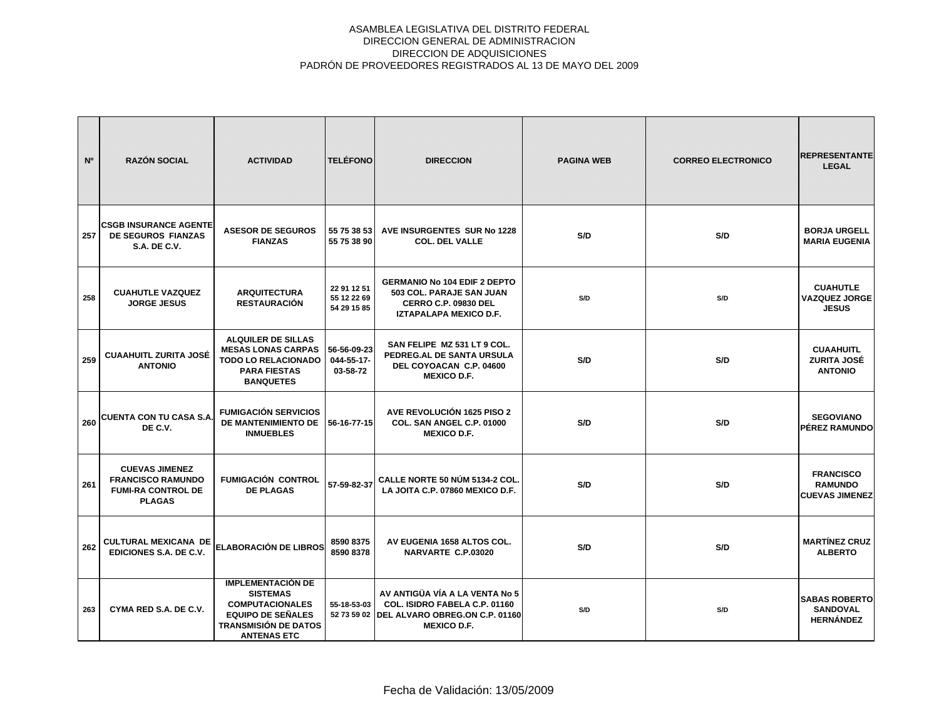| N <sup>o</sup> | <b>RAZÓN SOCIAL</b>                                                                             | <b>ACTIVIDAD</b>                                                                                                                                       | <b>TELÉFONO</b>                           | <b>DIRECCION</b>                                                                                                                    | <b>PAGINA WEB</b> | <b>CORREO ELECTRONICO</b> | <b>REPRESENTANTE</b><br><b>LEGAL</b>                        |
|----------------|-------------------------------------------------------------------------------------------------|--------------------------------------------------------------------------------------------------------------------------------------------------------|-------------------------------------------|-------------------------------------------------------------------------------------------------------------------------------------|-------------------|---------------------------|-------------------------------------------------------------|
| 257            | <b>CSGB INSURANCE AGENTE</b><br>DE SEGUROS FIANZAS<br><b>S.A. DE C.V.</b>                       | <b>ASESOR DE SEGUROS</b><br><b>FIANZAS</b>                                                                                                             | 55 75 38 53<br>55 75 38 90                | AVE INSURGENTES SUR No 1228<br><b>COL. DEL VALLE</b>                                                                                | S/D               | S/D                       | <b>BORJA URGELL</b><br><b>MARIA EUGENIA</b>                 |
| 258            | <b>CUAHUTLE VAZQUEZ</b><br><b>JORGE JESUS</b>                                                   | <b>ARQUITECTURA</b><br><b>RESTAURACIÓN</b>                                                                                                             | 22 91 12 51<br>55 12 22 69<br>54 29 15 85 | <b>GERMANIO No 104 EDIF 2 DEPTO</b><br>503 COL. PARAJE SAN JUAN<br><b>CERRO C.P. 09830 DEL</b><br>IZTAPALAPA MEXICO D.F.            | S/D               | S/D                       | <b>CUAHUTLE</b><br><b>VAZQUEZ JORGE</b><br><b>JESUS</b>     |
| 259            | <b>CUAAHUITL ZURITA JOSÉ</b><br><b>ANTONIO</b>                                                  | <b>ALQUILER DE SILLAS</b><br><b>MESAS LONAS CARPAS</b><br><b>TODO LO RELACIONADO</b><br><b>PARA FIESTAS</b><br><b>BANQUETES</b>                        | 56-56-09-23<br>044-55-17-<br>03-58-72     | SAN FELIPE MZ 531 LT 9 COL.<br>PEDREG.AL DE SANTA URSULA<br>DEL COYOACAN C.P. 04600<br><b>MEXICO D.F.</b>                           | S/D               | S/D                       | <b>CUAAHUITL</b><br><b>ZURITA JOSÉ</b><br><b>ANTONIO</b>    |
| 260            | <b>CUENTA CON TU CASA S.A.</b><br>DE C.V.                                                       | <b>FUMIGACIÓN SERVICIOS</b><br>DE MANTENIMIENTO DE<br><b>INMUEBLES</b>                                                                                 | 56-16-77-15                               | AVE REVOLUCIÓN 1625 PISO 2<br>COL. SAN ANGEL C.P. 01000<br><b>MEXICO D.F.</b>                                                       | S/D               | S/D                       | <b>SEGOVIANO</b><br><b>PÉREZ RAMUNDO</b>                    |
| 261            | <b>CUEVAS JIMENEZ</b><br><b>FRANCISCO RAMUNDO</b><br><b>FUMI-RA CONTROL DE</b><br><b>PLAGAS</b> | <b>FUMIGACIÓN CONTROL</b><br><b>DE PLAGAS</b>                                                                                                          | 57-59-82-37                               | <b>CALLE NORTE 50 NÚM 5134-2 COL.</b><br>LA JOITA C.P. 07860 MEXICO D.F.                                                            | S/D               | S/D                       | <b>FRANCISCO</b><br><b>RAMUNDO</b><br><b>CUEVAS JIMENEZ</b> |
| 262            | <b>CULTURAL MEXICANA DE</b><br>EDICIONES S.A. DE C.V.                                           | <b>ELABORACIÓN DE LIBROS</b>                                                                                                                           | 8590 8375<br>8590 8378                    | AV EUGENIA 1658 ALTOS COL.<br>NARVARTE C.P.03020                                                                                    | S/D               | S/D                       | <b>MARTÍNEZ CRUZ</b><br><b>ALBERTO</b>                      |
| 263            | CYMA RED S.A. DE C.V.                                                                           | <b>IMPLEMENTACIÓN DE</b><br><b>SISTEMAS</b><br><b>COMPUTACIONALES</b><br><b>EQUIPO DE SEÑALES</b><br><b>TRANSMISIÓN DE DATOS</b><br><b>ANTENAS ETC</b> | 55-18-53-03                               | AV ANTIGÜA VÍA A LA VENTA No 5<br>COL. ISIDRO FABELA C.P. 01160<br>52 73 59 02 DEL ALVARO OBREG.ON C.P. 01160<br><b>MEXICO D.F.</b> | S/D               | S/D                       | <b>SABAS ROBERTO</b><br><b>SANDOVAL</b><br><b>HERNÁNDEZ</b> |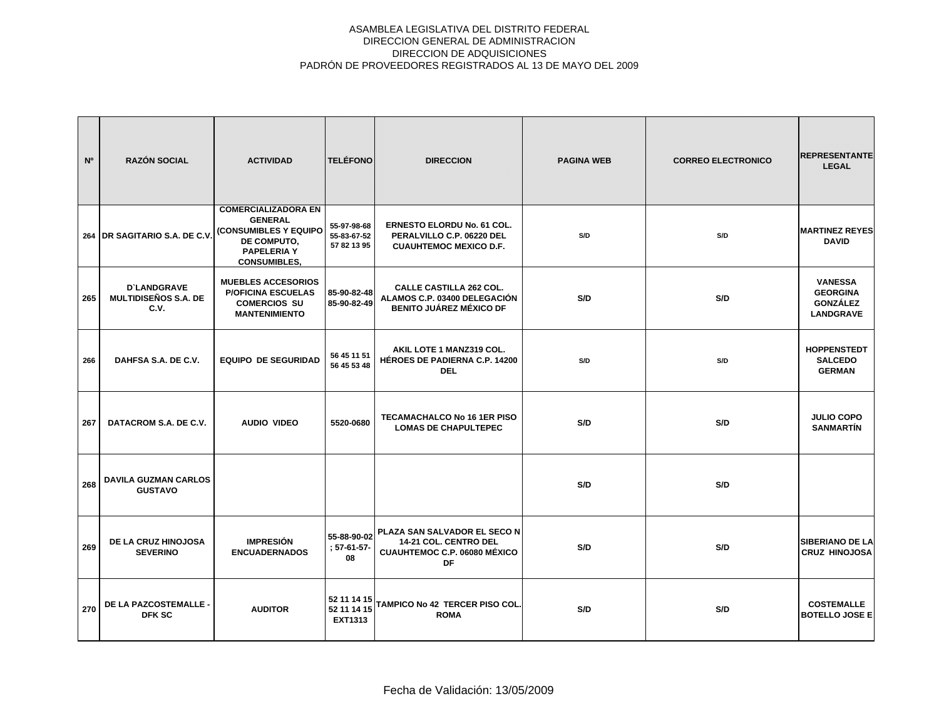| N°  | <b>RAZÓN SOCIAL</b>                                       | <b>ACTIVIDAD</b>                                                                                                                  | <b>TELÉFONO</b>                           | <b>DIRECCION</b>                                                                                                                                                   | <b>PAGINA WEB</b> | <b>CORREO ELECTRONICO</b> | <b>REPRESENTANTE</b><br><b>LEGAL</b>                                     |
|-----|-----------------------------------------------------------|-----------------------------------------------------------------------------------------------------------------------------------|-------------------------------------------|--------------------------------------------------------------------------------------------------------------------------------------------------------------------|-------------------|---------------------------|--------------------------------------------------------------------------|
|     | 264 DR SAGITARIO S.A. DE C.V.                             | <b>COMERCIALIZADORA EN</b><br><b>GENERAL</b><br>(CONSUMIBLES Y EQUIPO<br>DE COMPUTO,<br><b>PAPELERIA Y</b><br><b>CONSUMIBLES,</b> | 55-97-98-68<br>55-83-67-52<br>57 82 13 95 | <b>ERNESTO ELORDU No. 61 COL.</b><br>PERALVILLO C.P. 06220 DEL<br><b>CUAUHTEMOC MEXICO D.F.</b>                                                                    | S/D               | S/D                       | <b>MARTINEZ REYES</b><br><b>DAVID</b>                                    |
| 265 | <b>D'LANDGRAVE</b><br><b>MULTIDISEÑOS S.A. DE</b><br>C.V. | <b>MUEBLES ACCESORIOS</b><br><b>P/OFICINA ESCUELAS</b><br><b>COMERCIOS SU</b><br><b>MANTENIMIENTO</b>                             | 85-90-82-48<br>85-90-82-49                | <b>CALLE CASTILLA 262 COL.</b><br>ALAMOS C.P. 03400 DELEGACIÓN<br><b>BENITO JUÁREZ MÉXICO DF</b>                                                                   | S/D               | S/D                       | <b>VANESSA</b><br><b>GEORGINA</b><br><b>GONZÁLEZ</b><br><b>LANDGRAVE</b> |
| 266 | DAHFSA S.A. DE C.V.                                       | <b>EQUIPO DE SEGURIDAD</b>                                                                                                        | 56 45 11 51<br>56 45 53 48                | AKIL LOTE 1 MANZ319 COL.<br><b>HÉROES DE PADIERNA C.P. 14200</b><br><b>DEL</b>                                                                                     | S/D               | S/D                       | <b>HOPPENSTEDT</b><br><b>SALCEDO</b><br><b>GERMAN</b>                    |
| 267 | DATACROM S.A. DE C.V.                                     | <b>AUDIO VIDEO</b>                                                                                                                | 5520-0680                                 | <b>TECAMACHALCO No 16 1ER PISO</b><br><b>LOMAS DE CHAPULTEPEC</b>                                                                                                  | S/D               | S/D                       | <b>JULIO COPO</b><br><b>SANMARTÍN</b>                                    |
| 268 | <b>DAVILA GUZMAN CARLOS</b><br><b>GUSTAVO</b>             |                                                                                                                                   |                                           |                                                                                                                                                                    | S/D               | S/D                       |                                                                          |
| 269 | DE LA CRUZ HINOJOSA<br><b>SEVERINO</b>                    | <b>IMPRESIÓN</b><br><b>ENCUADERNADOS</b>                                                                                          | $: 57-61-57-$<br>08                       | $\left 55\text{-}88\text{-}90\text{-}02\right $ PLAZA SAN SALVADOR EL SECO N $\left $<br>14-21 COL. CENTRO DEL<br><b>CUAUHTEMOC C.P. 06080 MÉXICO</b><br><b>DF</b> | S/D               | S/D                       | <b>SIBERIANO DE LA</b><br><b>CRUZ HINOJOSA</b>                           |
| 270 | DE LA PAZCOSTEMALLE<br><b>DFK SC</b>                      | <b>AUDITOR</b>                                                                                                                    | 52 11 14 15<br>52 11 14 15<br>EXT1313     | TAMPICO No 42 TERCER PISO COL<br><b>ROMA</b>                                                                                                                       | S/D               | S/D                       | <b>COSTEMALLE</b><br><b>BOTELLO JOSE E</b>                               |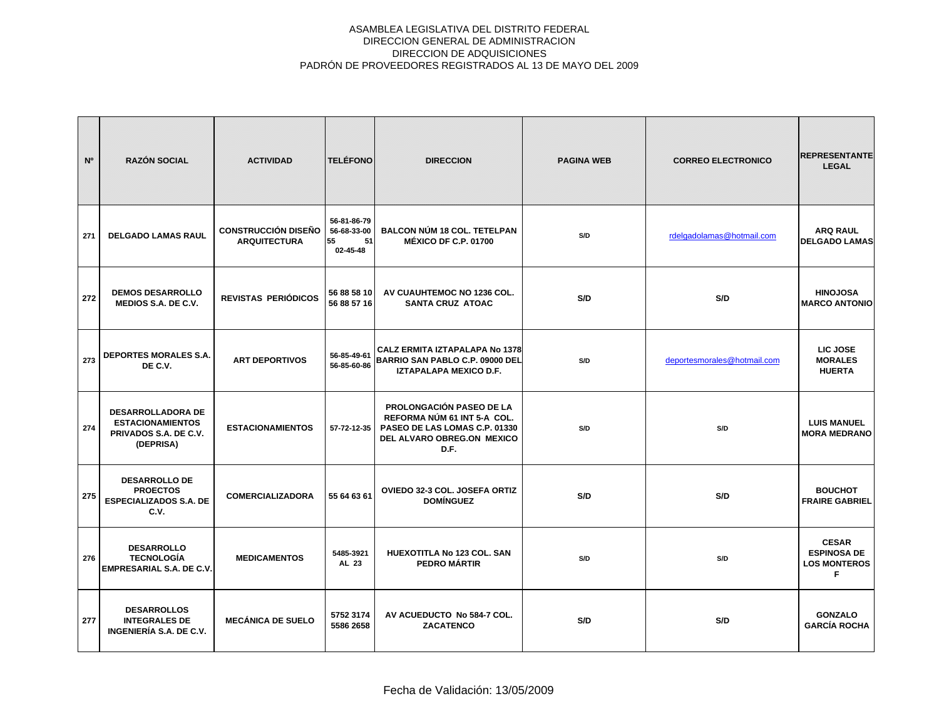| N <sup>o</sup> | <b>RAZÓN SOCIAL</b>                                                                       | <b>ACTIVIDAD</b>                                  | <b>TELÉFONO</b>                                    | <b>DIRECCION</b>                                                                                                                      | <b>PAGINA WEB</b> | <b>CORREO ELECTRONICO</b>   | <b>REPRESENTANTE</b><br><b>LEGAL</b>                           |
|----------------|-------------------------------------------------------------------------------------------|---------------------------------------------------|----------------------------------------------------|---------------------------------------------------------------------------------------------------------------------------------------|-------------------|-----------------------------|----------------------------------------------------------------|
| 271            | <b>DELGADO LAMAS RAUL</b>                                                                 | <b>CONSTRUCCIÓN DISEÑO</b><br><b>ARQUITECTURA</b> | 56-81-86-79<br>56-68-33-00<br>55<br>51<br>02-45-48 | <b>BALCON NÚM 18 COL. TETELPAN</b><br><b>MÉXICO DF C.P. 01700</b>                                                                     | S/D               | rdelgadolamas@hotmail.com   | <b>ARQ RAUL</b><br><b>DELGADO LAMAS</b>                        |
| 272            | <b>DEMOS DESARROLLO</b><br><b>MEDIOS S.A. DE C.V.</b>                                     | REVISTAS PERIÓDICOS                               | 56 88 58 10<br>56 88 57 16                         | AV CUAUHTEMOC NO 1236 COL.<br><b>SANTA CRUZ ATOAC</b>                                                                                 | S/D               | S/D                         | <b>HINOJOSA</b><br><b>MARCO ANTONIO</b>                        |
| 273            | <b>DEPORTES MORALES S.A.</b><br>DE C.V.                                                   | <b>ART DEPORTIVOS</b>                             | 56-85-49-61<br>56-85-60-86                         | <b>CALZ ERMITA IZTAPALAPA No 1378</b><br>BARRIO SAN PABLO C.P. 09000 DEL<br>IZTAPALAPA MEXICO D.F.                                    | S/D               | deportesmorales@hotmail.com | LIC JOSE<br><b>MORALES</b><br><b>HUERTA</b>                    |
| 274            | <b>DESARROLLADORA DE</b><br><b>ESTACIONAMIENTOS</b><br>PRIVADOS S.A. DE C.V.<br>(DEPRISA) | <b>ESTACIONAMIENTOS</b>                           | 57-72-12-35                                        | <b>PROLONGACIÓN PASEO DE LA</b><br>REFORMA NÚM 61 INT 5-A COL.<br>PASEO DE LAS LOMAS C.P. 01330<br>DEL ALVARO OBREG.ON MEXICO<br>D.F. | S/D               | S/D                         | <b>LUIS MANUEL</b><br><b>MORA MEDRANO</b>                      |
| 275            | <b>DESARROLLO DE</b><br><b>PROECTOS</b><br><b>ESPECIALIZADOS S.A. DE</b><br>C.V.          | <b>COMERCIALIZADORA</b>                           | 55 64 63 61                                        | OVIEDO 32-3 COL. JOSEFA ORTIZ<br><b>DOMÍNGUEZ</b>                                                                                     | S/D               | S/D                         | <b>BOUCHOT</b><br><b>FRAIRE GABRIEL</b>                        |
| 276            | <b>DESARROLLO</b><br><b>TECNOLOGÍA</b><br>EMPRESARIAL S.A. DE C.V.                        | <b>MEDICAMENTOS</b>                               | 5485-3921<br>AL 23                                 | HUEXOTITLA No 123 COL. SAN<br>PEDRO MÁRTIR                                                                                            | S/D               | S/D                         | <b>CESAR</b><br><b>ESPINOSA DE</b><br><b>LOS MONTEROS</b><br>F |
| 277            | <b>DESARROLLOS</b><br><b>INTEGRALES DE</b><br>INGENIERÍA S.A. DE C.V.                     | <b>MECÁNICA DE SUELO</b>                          | 5752 3174<br>5586 2658                             | AV ACUEDUCTO No 584-7 COL.<br><b>ZACATENCO</b>                                                                                        | S/D               | S/D                         | <b>GONZALO</b><br><b>GARCÍA ROCHA</b>                          |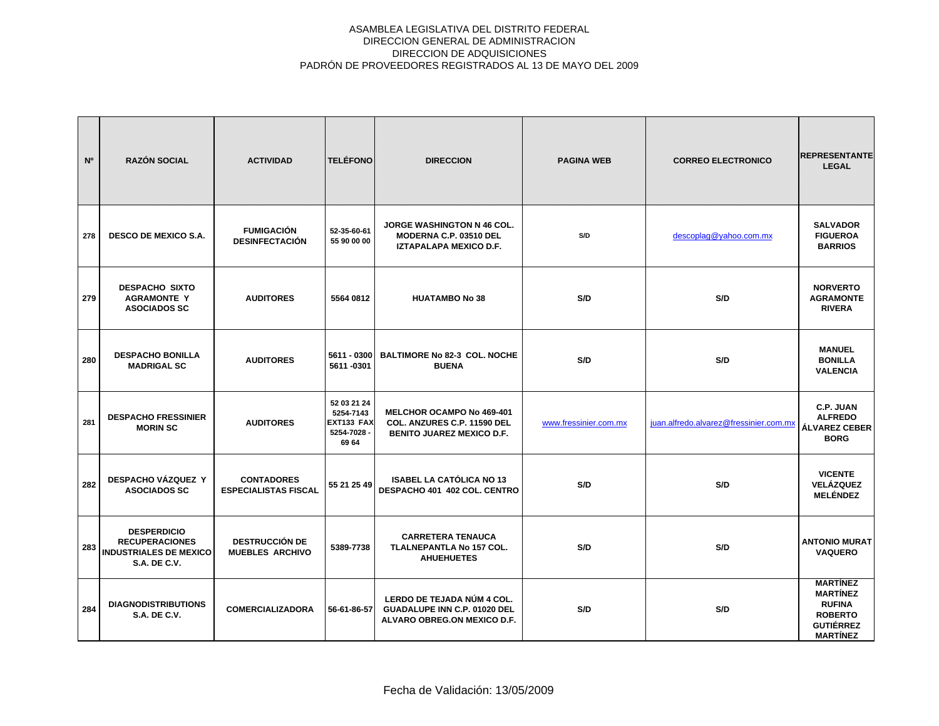| N <sup>o</sup> | <b>RAZÓN SOCIAL</b>                                                                                 | <b>ACTIVIDAD</b>                                 | <b>TELÉFONO</b>                                                | <b>DIRECCION</b>                                                                             | <b>PAGINA WEB</b>     | <b>CORREO ELECTRONICO</b>              | <b>REPRESENTANTE</b><br><b>LEGAL</b>                                                                         |
|----------------|-----------------------------------------------------------------------------------------------------|--------------------------------------------------|----------------------------------------------------------------|----------------------------------------------------------------------------------------------|-----------------------|----------------------------------------|--------------------------------------------------------------------------------------------------------------|
| 278            | <b>DESCO DE MEXICO S.A.</b>                                                                         | <b>FUMIGACIÓN</b><br><b>DESINFECTACIÓN</b>       | 52-35-60-61<br>55 90 00 00                                     | JORGE WASHINGTON N 46 COL.<br>MODERNA C.P. 03510 DEL<br><b>IZTAPALAPA MEXICO D.F.</b>        | S/D                   | descoplag@yahoo.com.mx                 | <b>SALVADOR</b><br><b>FIGUEROA</b><br><b>BARRIOS</b>                                                         |
| 279            | <b>DESPACHO SIXTO</b><br><b>AGRAMONTE Y</b><br><b>ASOCIADOS SC</b>                                  | <b>AUDITORES</b>                                 | 5564 0812                                                      | <b>HUATAMBO No 38</b>                                                                        | S/D                   | S/D                                    | <b>NORVERTO</b><br><b>AGRAMONTE</b><br><b>RIVERA</b>                                                         |
| 280            | <b>DESPACHO BONILLA</b><br><b>MADRIGAL SC</b>                                                       | <b>AUDITORES</b>                                 | 5611 - 0300<br>5611-0301                                       | <b>BALTIMORE No 82-3 COL. NOCHE</b><br><b>BUENA</b>                                          | S/D                   | S/D                                    | <b>MANUEL</b><br><b>BONILLA</b><br><b>VALENCIA</b>                                                           |
| 281            | <b>DESPACHO FRESSINIER</b><br><b>MORIN SC</b>                                                       | <b>AUDITORES</b>                                 | 52 03 21 24<br>5254-7143<br>EXT133 FAX<br>5254-7028 -<br>69 64 | MELCHOR OCAMPO No 469-401<br>COL. ANZURES C.P. 11590 DEL<br><b>BENITO JUAREZ MEXICO D.F.</b> | www.fressinier.com.mx | juan.alfredo.alvarez@fressinier.com.mx | C.P. JUAN<br><b>ALFREDO</b><br><b>ÁLVAREZ CEBER</b><br><b>BORG</b>                                           |
| 282            | <b>DESPACHO VÁZQUEZ Y</b><br><b>ASOCIADOS SC</b>                                                    | <b>CONTADORES</b><br><b>ESPECIALISTAS FISCAL</b> | 55 21 25 49                                                    | <b>ISABEL LA CATÓLICA NO 13</b><br>DESPACHO 401 402 COL. CENTRO                              | S/D                   | S/D                                    | <b>VICENTE</b><br><b>VELÁZQUEZ</b><br><b>MELÉNDEZ</b>                                                        |
| 283            | <b>DESPERDICIO</b><br><b>RECUPERACIONES</b><br><b>INDUSTRIALES DE MEXICO</b><br><b>S.A. DE C.V.</b> | <b>DESTRUCCIÓN DE</b><br><b>MUEBLES ARCHIVO</b>  | 5389-7738                                                      | <b>CARRETERA TENAUCA</b><br><b>TLALNEPANTLA No 157 COL.</b><br><b>AHUEHUETES</b>             | S/D                   | S/D                                    | <b>ANTONIO MURAT</b><br><b>VAQUERO</b>                                                                       |
| 284            | <b>DIAGNODISTRIBUTIONS</b><br><b>S.A. DE C.V.</b>                                                   | <b>COMERCIALIZADORA</b>                          | 56-61-86-57                                                    | LERDO DE TEJADA NÚM 4 COL.<br>GUADALUPE INN C.P. 01020 DEL<br>ALVARO OBREG.ON MEXICO D.F.    | S/D                   | S/D                                    | <b>MARTINEZ</b><br><b>MARTÍNEZ</b><br><b>RUFINA</b><br><b>ROBERTO</b><br><b>GUTIÉRREZ</b><br><b>MARTÍNEZ</b> |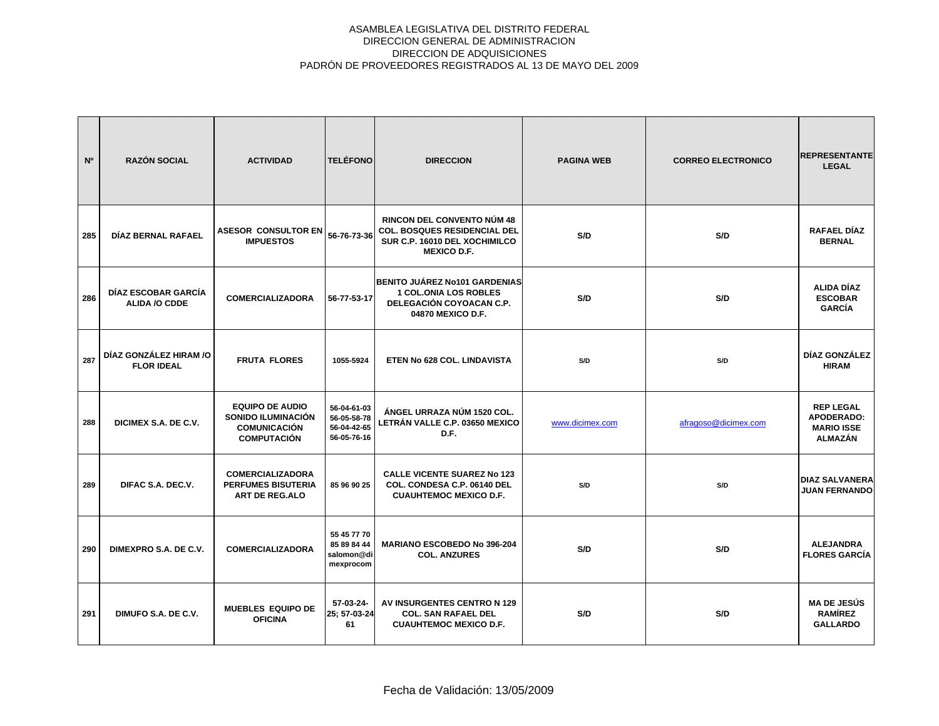| N <sup>o</sup> | <b>RAZÓN SOCIAL</b>                         | <b>ACTIVIDAD</b>                                                                          | <b>TELÉFONO</b>                                          | <b>DIRECCION</b>                                                                                                                | <b>PAGINA WEB</b> | <b>CORREO ELECTRONICO</b> | <b>REPRESENTANTE</b><br><b>LEGAL</b>                                  |
|----------------|---------------------------------------------|-------------------------------------------------------------------------------------------|----------------------------------------------------------|---------------------------------------------------------------------------------------------------------------------------------|-------------------|---------------------------|-----------------------------------------------------------------------|
| 285            | DÍAZ BERNAL RAFAEL                          | <b>ASESOR CONSULTOR EN</b><br><b>IMPUESTOS</b>                                            | 56-76-73-36                                              | <b>RINCON DEL CONVENTO NÚM 48</b><br><b>COL. BOSQUES RESIDENCIAL DEL</b><br>SUR C.P. 16010 DEL XOCHIMILCO<br><b>MEXICO D.F.</b> | S/D               | S/D                       | RAFAEL DÍAZ<br><b>BERNAL</b>                                          |
| 286            | DÍAZ ESCOBAR GARCÍA<br><b>ALIDA /O CDDE</b> | <b>COMERCIALIZADORA</b>                                                                   | 56-77-53-17                                              | BENITO JUÁREZ No101 GARDENIAS<br><b>1 COL.ONIA LOS ROBLES</b><br>DELEGACIÓN COYOACAN C.P.<br>04870 MEXICO D.F.                  | S/D               | S/D                       | <b>ALIDA DÍAZ</b><br><b>ESCOBAR</b><br><b>GARCÍA</b>                  |
| 287            | DÍAZ GONZÁLEZ HIRAM /O<br><b>FLOR IDEAL</b> | <b>FRUTA FLORES</b>                                                                       | 1055-5924                                                | ETEN No 628 COL. LINDAVISTA                                                                                                     | S/D               | S/D                       | DÍAZ GONZÁLEZ<br><b>HIRAM</b>                                         |
| 288            | DICIMEX S.A. DE C.V.                        | <b>EQUIPO DE AUDIO</b><br>SONIDO ILUMINACIÓN<br><b>COMUNICACIÓN</b><br><b>COMPUTACIÓN</b> | 56-04-61-03<br>56-05-58-78<br>56-04-42-65<br>56-05-76-16 | ÁNGEL URRAZA NÚM 1520 COL.<br>LETRÁN VALLE C.P. 03650 MEXICO<br>D.F.                                                            | www.dicimex.com   | afragoso@dicimex.com      | <b>REP LEGAL</b><br>APODERADO:<br><b>MARIO ISSE</b><br><b>ALMAZÁN</b> |
| 289            | DIFAC S.A. DEC.V.                           | <b>COMERCIALIZADORA</b><br><b>PERFUMES BISUTERIA</b><br><b>ART DE REG.ALO</b>             | 85 96 90 25                                              | <b>CALLE VICENTE SUAREZ No 123</b><br>COL. CONDESA C.P. 06140 DEL<br><b>CUAUHTEMOC MEXICO D.F.</b>                              | S/D               | S/D                       | <b>DIAZ SALVANERA</b><br><b>JUAN FERNANDO</b>                         |
| 290            | DIMEXPRO S.A. DE C.V.                       | <b>COMERCIALIZADORA</b>                                                                   | 55 45 77 70<br>85 89 84 44<br>salomon@di<br>mexprocom    | <b>MARIANO ESCOBEDO No 396-204</b><br><b>COL. ANZURES</b>                                                                       | S/D               | S/D                       | <b>ALEJANDRA</b><br><b>FLORES GARCÍA</b>                              |
| 291            | DIMUFO S.A. DE C.V.                         | <b>MUEBLES EQUIPO DE</b><br><b>OFICINA</b>                                                | 57-03-24-<br>25; 57-03-24<br>61                          | AV INSURGENTES CENTRO N 129<br><b>COL. SAN RAFAEL DEL</b><br><b>CUAUHTEMOC MEXICO D.F.</b>                                      | S/D               | S/D                       | <b>MA DE JESÚS</b><br><b>RAMÍREZ</b><br><b>GALLARDO</b>               |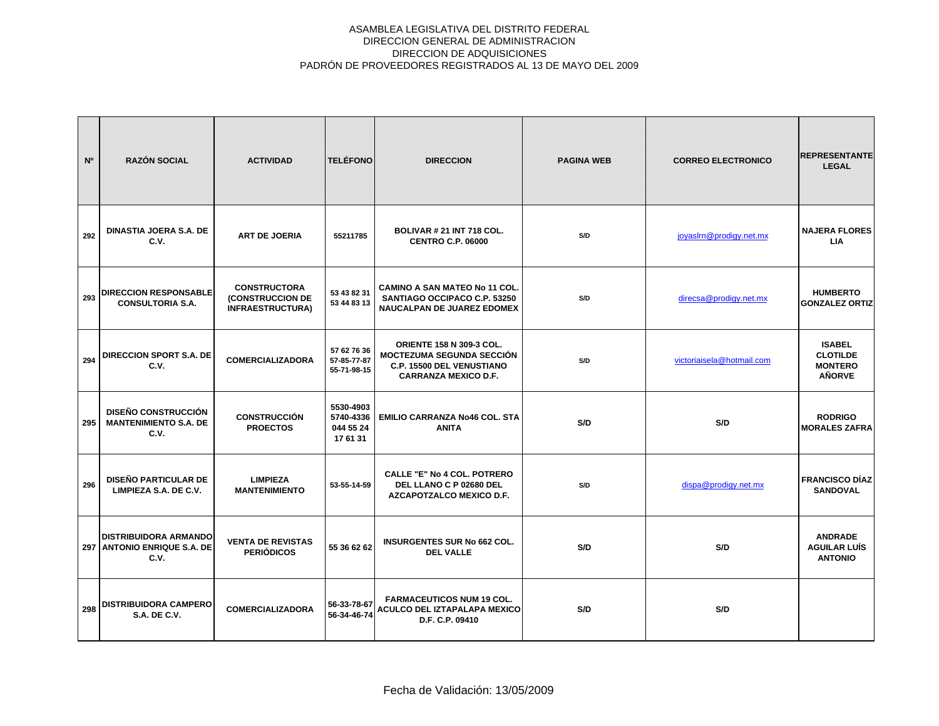| N <sup>o</sup> | <b>RAZÓN SOCIAL</b>                                                    | <b>ACTIVIDAD</b>                                                   | <b>TELÉFONO</b>                                 | <b>DIRECCION</b>                                                                                                                       | <b>PAGINA WEB</b> | <b>CORREO ELECTRONICO</b> | <b>REPRESENTANTE</b><br><b>LEGAL</b>                                |
|----------------|------------------------------------------------------------------------|--------------------------------------------------------------------|-------------------------------------------------|----------------------------------------------------------------------------------------------------------------------------------------|-------------------|---------------------------|---------------------------------------------------------------------|
| 292            | <b>DINASTIA JOERA S.A. DE</b><br>C.V.                                  | <b>ART DE JOERIA</b>                                               | 55211785                                        | <b>BOLIVAR # 21 INT 718 COL.</b><br><b>CENTRO C.P. 06000</b>                                                                           | S/D               | joyaslrn@prodigy.net.mx   | <b>NAJERA FLORES</b><br><b>LIA</b>                                  |
| 293            | <b>DIRECCION RESPONSABLE</b><br><b>CONSULTORIA S.A.</b>                | <b>CONSTRUCTORA</b><br>(CONSTRUCCION DE<br><b>INFRAESTRUCTURA)</b> | 53 43 82 31<br>53 44 83 13                      | <b>CAMINO A SAN MATEO No 11 COL.</b><br>SANTIAGO OCCIPACO C.P. 53250<br>NAUCALPAN DE JUAREZ EDOMEX                                     | S/D               | direcsa@prodigy.net.mx    | <b>HUMBERTO</b><br><b>GONZALEZ ORTIZ</b>                            |
| 294            | <b>DIRECCION SPORT S.A. DE</b><br>C.V.                                 | <b>COMERCIALIZADORA</b>                                            | 57 62 76 36<br>57-85-77-87<br>55-71-98-15       | <b>ORIENTE 158 N 309-3 COL.</b><br><b>MOCTEZUMA SEGUNDA SECCIÓN</b><br><b>C.P. 15500 DEL VENUSTIANO</b><br><b>CARRANZA MEXICO D.F.</b> | S/D               | victoriaisela@hotmail.com | <b>ISABEL</b><br><b>CLOTILDE</b><br><b>MONTERO</b><br><b>AÑORVE</b> |
| 295            | <b>DISEÑO CONSTRUCCIÓN</b><br><b>MANTENIMIENTO S.A. DE</b><br>C.V.     | <b>CONSTRUCCIÓN</b><br><b>PROECTOS</b>                             | 5530-4903<br>5740-4336<br>044 55 24<br>17 61 31 | EMILIO CARRANZA No46 COL. STA<br><b>ANITA</b>                                                                                          | S/D               | S/D                       | <b>RODRIGO</b><br><b>MORALES ZAFRA</b>                              |
| 296            | <b>DISEÑO PARTICULAR DE</b><br>LIMPIEZA S.A. DE C.V.                   | <b>LIMPIEZA</b><br><b>MANTENIMIENTO</b>                            | 53-55-14-59                                     | <b>CALLE "E" No 4 COL. POTRERO</b><br>DEL LLANO C P 02680 DEL<br>AZCAPOTZALCO MEXICO D.F.                                              | S/D               | dispa@prodigy.net.mx      | <b>FRANCISCO DÍAZ</b><br><b>SANDOVAL</b>                            |
| 297            | <b>DISTRIBUIDORA ARMANDO</b><br><b>ANTONIO ENRIQUE S.A. DE</b><br>C.V. | <b>VENTA DE REVISTAS</b><br><b>PERIÓDICOS</b>                      | 55 36 62 62                                     | <b>INSURGENTES SUR No 662 COL.</b><br><b>DEL VALLE</b>                                                                                 | S/D               | S/D                       | <b>ANDRADE</b><br><b>AGUILAR LUÍS</b><br><b>ANTONIO</b>             |
| 298            | <b>DISTRIBUIDORA CAMPERO</b><br><b>S.A. DE C.V.</b>                    | <b>COMERCIALIZADORA</b>                                            | 56-33-78-67<br>56-34-46-74                      | <b>FARMACEUTICOS NUM 19 COL.</b><br><b>ACULCO DEL IZTAPALAPA MEXICO</b><br>D.F. C.P. 09410                                             | S/D               | S/D                       |                                                                     |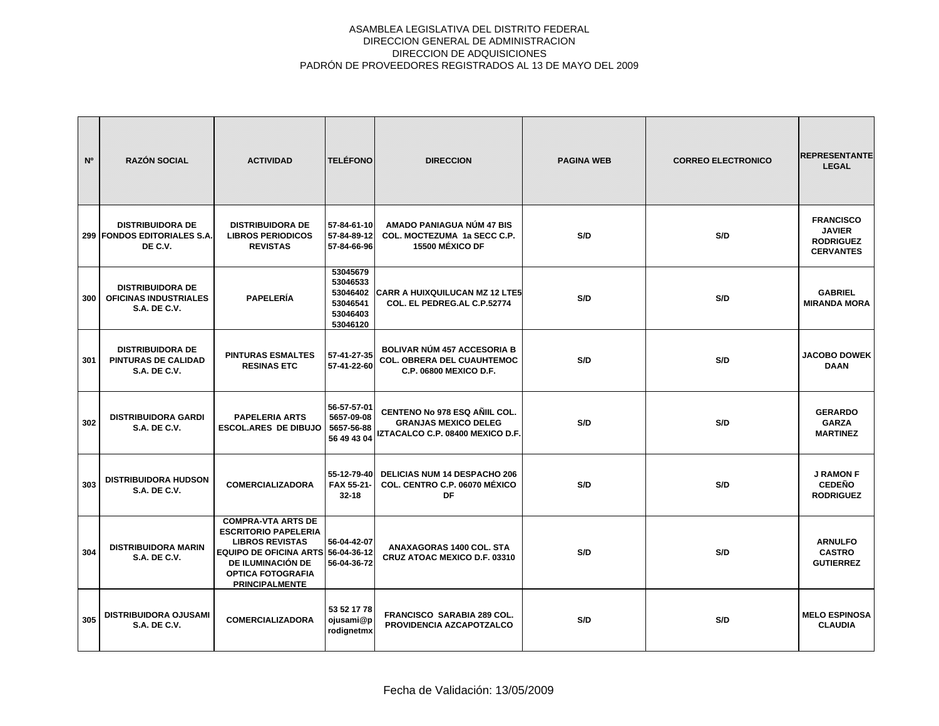| N <sup>o</sup> | <b>RAZÓN SOCIAL</b>                                                          | <b>ACTIVIDAD</b>                                                                                                                                                                                   | <b>TELÉFONO</b>                                                      | <b>DIRECCION</b>                                                                                         | <b>PAGINA WEB</b> | <b>CORREO ELECTRONICO</b> | <b>REPRESENTANTE</b><br><b>LEGAL</b>                                      |
|----------------|------------------------------------------------------------------------------|----------------------------------------------------------------------------------------------------------------------------------------------------------------------------------------------------|----------------------------------------------------------------------|----------------------------------------------------------------------------------------------------------|-------------------|---------------------------|---------------------------------------------------------------------------|
|                | <b>DISTRIBUIDORA DE</b><br>299 FONDOS EDITORIALES S.A.<br>DE C.V.            | <b>DISTRIBUIDORA DE</b><br><b>LIBROS PERIODICOS</b><br><b>REVISTAS</b>                                                                                                                             | 57-84-61-10<br>57-84-89-12<br>57-84-66-96                            | AMADO PANIAGUA NÚM 47 BIS<br>COL. MOCTEZUMA 1a SECC C.P.<br><b>15500 MÉXICO DF</b>                       | S/D               | S/D                       | <b>FRANCISCO</b><br><b>JAVIER</b><br><b>RODRIGUEZ</b><br><b>CERVANTES</b> |
| 300            | <b>DISTRIBUIDORA DE</b><br>OFICINAS INDUSTRIALES<br><b>S.A. DE C.V.</b>      | <b>PAPELERÍA</b>                                                                                                                                                                                   | 53045679<br>53046533<br>53046402<br>53046541<br>53046403<br>53046120 | <b>CARR A HUIXQUILUCAN MZ 12 LTE5</b><br>COL. EL PEDREG.AL C.P.52774                                     | S/D               | S/D                       | <b>GABRIEL</b><br><b>MIRANDA MORA</b>                                     |
| 301            | <b>DISTRIBUIDORA DE</b><br><b>PINTURAS DE CALIDAD</b><br><b>S.A. DE C.V.</b> | <b>PINTURAS ESMALTES</b><br><b>RESINAS ETC</b>                                                                                                                                                     | 57-41-27-35<br>57-41-22-60                                           | <b>BOLIVAR NÚM 457 ACCESORIA B</b><br><b>COL. OBRERA DEL CUAUHTEMOC</b><br><b>C.P. 06800 MEXICO D.F.</b> | S/D               | S/D                       | <b>JACOBO DOWEK</b><br><b>DAAN</b>                                        |
| 302            | <b>DISTRIBUIDORA GARDI</b><br><b>S.A. DE C.V.</b>                            | <b>PAPELERIA ARTS</b><br><b>ESCOL.ARES DE DIBUJO</b>                                                                                                                                               | 56-57-57-01<br>5657-09-08<br>5657-56-88<br>56 49 43 04               | CENTENO No 978 ESQ AÑIIL COL.<br><b>GRANJAS MEXICO DELEG</b><br>IZTACALCO C.P. 08400 MEXICO D.F.         | S/D               | S/D                       | <b>GERARDO</b><br><b>GARZA</b><br><b>MARTINEZ</b>                         |
| 303            | <b>DISTRIBUIDORA HUDSON</b><br><b>S.A. DE C.V.</b>                           | <b>COMERCIALIZADORA</b>                                                                                                                                                                            | 55-12-79-40<br>FAX 55-21-<br>$32 - 18$                               | DELICIAS NUM 14 DESPACHO 206<br>COL. CENTRO C.P. 06070 MÉXICO<br>DF                                      | S/D               | S/D                       | <b>J RAMON F</b><br><b>CEDEÑO</b><br><b>RODRIGUEZ</b>                     |
| 304            | <b>DISTRIBUIDORA MARIN</b><br><b>S.A. DE C.V.</b>                            | <b>COMPRA-VTA ARTS DE</b><br><b>ESCRITORIO PAPELERIA</b><br><b>LIBROS REVISTAS</b><br>EQUIPO DE OFICINA ARTS 56-04-36-12<br>DE ILUMINACIÓN DE<br><b>OPTICA FOTOGRAFIA</b><br><b>PRINCIPALMENTE</b> | 56-04-42-07<br>56-04-36-72                                           | ANAXAGORAS 1400 COL. STA<br>CRUZ ATOAC MEXICO D.F. 03310                                                 | S/D               | S/D                       | <b>ARNULFO</b><br><b>CASTRO</b><br><b>GUTIERREZ</b>                       |
| 305            | <b>DISTRIBUIDORA OJUSAMI</b><br><b>S.A. DE C.V.</b>                          | <b>COMERCIALIZADORA</b>                                                                                                                                                                            | 53 52 17 78<br>ojusami@p<br>rodignetmx                               | <b>FRANCISCO SARABIA 289 COL.</b><br>PROVIDENCIA AZCAPOTZALCO                                            | S/D               | S/D                       | <b>MELO ESPINOSA</b><br><b>CLAUDIA</b>                                    |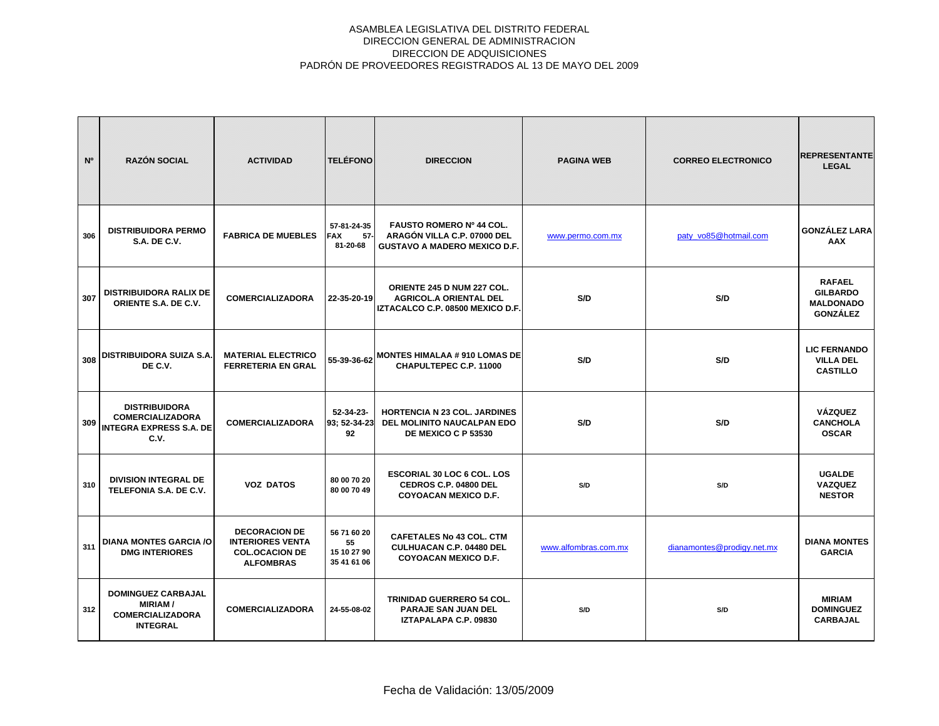| N <sup>o</sup> | <b>RAZÓN SOCIAL</b>                                                                       | <b>ACTIVIDAD</b>                                                                             | <b>TELÉFONO</b>                                 | <b>DIRECCION</b>                                                                                | <b>PAGINA WEB</b>    | <b>CORREO ELECTRONICO</b>  | <b>REPRESENTANTE</b><br><b>LEGAL</b>                                    |
|----------------|-------------------------------------------------------------------------------------------|----------------------------------------------------------------------------------------------|-------------------------------------------------|-------------------------------------------------------------------------------------------------|----------------------|----------------------------|-------------------------------------------------------------------------|
| 306            | <b>DISTRIBUIDORA PERMO</b><br><b>S.A. DE C.V.</b>                                         | <b>FABRICA DE MUEBLES</b>                                                                    | 57-81-24-35<br><b>FAX</b><br>$57-$<br>81-20-68  | FAUSTO ROMERO Nº 44 COL.<br>ARAGÓN VILLA C.P. 07000 DEL<br><b>GUSTAVO A MADERO MEXICO D.F.</b>  | www.permo.com.mx     | paty_vo85@hotmail.com      | <b>GONZÁLEZ LARA</b><br><b>AAX</b>                                      |
| 307            | <b>DISTRIBUIDORA RALIX DE</b><br>ORIENTE S.A. DE C.V.                                     | <b>COMERCIALIZADORA</b>                                                                      | 22-35-20-19                                     | ORIENTE 245 D NUM 227 COL.<br><b>AGRICOL.A ORIENTAL DEL</b><br>IZTACALCO C.P. 08500 MEXICO D.F. | S/D                  | S/D                        | <b>RAFAEL</b><br><b>GILBARDO</b><br><b>MALDONADO</b><br><b>GONZÁLEZ</b> |
| 308            | <b>DISTRIBUIDORA SUIZA S.A.</b><br>DE C.V.                                                | <b>MATERIAL ELECTRICO</b><br><b>FERRETERIA EN GRAL</b>                                       | 55-39-36-62                                     | <b>MONTES HIMALAA # 910 LOMAS DE</b><br>CHAPULTEPEC C.P. 11000                                  | S/D                  | S/D                        | <b>LIC FERNANDO</b><br><b>VILLA DEL</b><br><b>CASTILLO</b>              |
| 309            | <b>DISTRIBUIDORA</b><br><b>COMERCIALIZADORA</b><br><b>INTEGRA EXPRESS S.A. DE</b><br>C.V. | <b>COMERCIALIZADORA</b>                                                                      | $52 - 34 - 23 -$<br>93: 52-34-23<br>92          | <b>HORTENCIA N 23 COL. JARDINES</b><br><b>DEL MOLINITO NAUCALPAN EDO</b><br>DE MEXICO C P 53530 | S/D                  | S/D                        | <b>VÁZQUEZ</b><br><b>CANCHOLA</b><br><b>OSCAR</b>                       |
| 310            | <b>DIVISION INTEGRAL DE</b><br>TELEFONIA S.A. DE C.V.                                     | <b>VOZ DATOS</b>                                                                             | 80 00 70 20<br>80 00 70 49                      | <b>ESCORIAL 30 LOC 6 COL. LOS</b><br>CEDROS C.P. 04800 DEL<br><b>COYOACAN MEXICO D.F.</b>       | S/D                  | S/D                        | <b>UGALDE</b><br><b>VAZQUEZ</b><br><b>NESTOR</b>                        |
| 311            | <b>DIANA MONTES GARCIA /O</b><br><b>DMG INTERIORES</b>                                    | <b>DECORACION DE</b><br><b>INTERIORES VENTA</b><br><b>COL.OCACION DE</b><br><b>ALFOMBRAS</b> | 56 71 60 20<br>55<br>15 10 27 90<br>35 41 61 06 | <b>CAFETALES No 43 COL. CTM</b><br>CULHUACAN C.P. 04480 DEL<br><b>COYOACAN MEXICO D.F.</b>      | www.alfombras.com.mx | dianamontes@prodigy.net.mx | <b>DIANA MONTES</b><br><b>GARCIA</b>                                    |
| 312            | <b>DOMINGUEZ CARBAJAL</b><br><b>MIRIAM/</b><br><b>COMERCIALIZADORA</b><br><b>INTEGRAL</b> | <b>COMERCIALIZADORA</b>                                                                      | 24-55-08-02                                     | <b>TRINIDAD GUERRERO 54 COL.</b><br><b>PARAJE SAN JUAN DEL</b><br>IZTAPALAPA C.P. 09830         | S/D                  | S/D                        | <b>MIRIAM</b><br><b>DOMINGUEZ</b><br><b>CARBAJAL</b>                    |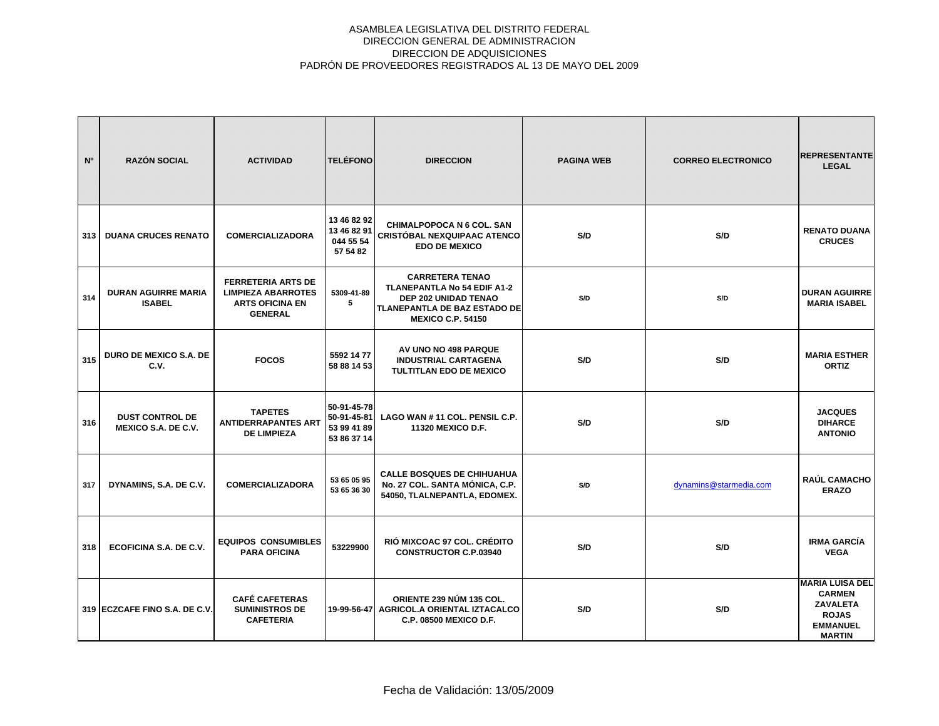| N <sup>o</sup> | <b>RAZÓN SOCIAL</b>                                  | <b>ACTIVIDAD</b>                                                                                   | <b>TELÉFONO</b>                                          | <b>DIRECCION</b>                                                                                                                                        | <b>PAGINA WEB</b> | <b>CORREO ELECTRONICO</b> | <b>REPRESENTANTE</b><br><b>LEGAL</b>                                                                           |
|----------------|------------------------------------------------------|----------------------------------------------------------------------------------------------------|----------------------------------------------------------|---------------------------------------------------------------------------------------------------------------------------------------------------------|-------------------|---------------------------|----------------------------------------------------------------------------------------------------------------|
| 313            | <b>DUANA CRUCES RENATO</b>                           | <b>COMERCIALIZADORA</b>                                                                            | 13 46 82 92<br>13 46 82 91<br>044 55 54<br>57 54 82      | CHIMALPOPOCA N 6 COL. SAN<br><b>CRISTÓBAL NEXQUIPAAC ATENCO</b><br><b>EDO DE MEXICO</b>                                                                 | S/D               | S/D                       | <b>RENATO DUANA</b><br><b>CRUCES</b>                                                                           |
| 314            | <b>DURAN AGUIRRE MARIA</b><br><b>ISABEL</b>          | <b>FERRETERIA ARTS DE</b><br><b>LIMPIEZA ABARROTES</b><br><b>ARTS OFICINA EN</b><br><b>GENERAL</b> | 5309-41-89<br>5                                          | <b>CARRETERA TENAO</b><br><b>TLANEPANTLA No 54 EDIF A1-2</b><br>DEP 202 UNIDAD TENAO<br><b>TLANEPANTLA DE BAZ ESTADO DE</b><br><b>MEXICO C.P. 54150</b> | S/D               | S/D                       | <b>DURAN AGUIRRE</b><br><b>MARIA ISABEL</b>                                                                    |
| 315            | <b>DURO DE MEXICO S.A. DE</b><br>C.V.                | <b>FOCOS</b>                                                                                       | 5592 14 77<br>58 88 14 53                                | AV UNO NO 498 PARQUE<br><b>INDUSTRIAL CARTAGENA</b><br><b>TULTITLAN EDO DE MEXICO</b>                                                                   | S/D               | S/D                       | <b>MARIA ESTHER</b><br><b>ORTIZ</b>                                                                            |
| 316            | <b>DUST CONTROL DE</b><br><b>MEXICO S.A. DE C.V.</b> | <b>TAPETES</b><br><b>ANTIDERRAPANTES ART</b><br><b>DE LIMPIEZA</b>                                 | 50-91-45-78<br>50-91-45-81<br>53 99 41 89<br>53 86 37 14 | LAGO WAN #11 COL. PENSIL C.P.<br>11320 MEXICO D.F.                                                                                                      | S/D               | S/D                       | <b>JACQUES</b><br><b>DIHARCE</b><br><b>ANTONIO</b>                                                             |
| 317            | DYNAMINS, S.A. DE C.V.                               | <b>COMERCIALIZADORA</b>                                                                            | 53 65 05 95<br>53 65 36 30                               | <b>CALLE BOSQUES DE CHIHUAHUA</b><br>No. 27 COL. SANTA MÓNICA, C.P.<br>54050, TLALNEPANTLA, EDOMEX.                                                     | S/D               | dynamins@starmedia.com    | <b>RAÚL CAMACHO</b><br><b>ERAZO</b>                                                                            |
| 318            | ECOFICINA S.A. DE C.V.                               | <b>EQUIPOS CONSUMIBLES</b><br><b>PARA OFICINA</b>                                                  | 53229900                                                 | RIÓ MIXCOAC 97 COL. CRÉDITO<br><b>CONSTRUCTOR C.P.03940</b>                                                                                             | S/D               | S/D                       | <b>IRMA GARCÍA</b><br><b>VEGA</b>                                                                              |
|                | 319 ECZCAFE FINO S.A. DE C.V.                        | <b>CAFÉ CAFETERAS</b><br><b>SUMINISTROS DE</b><br><b>CAFETERIA</b>                                 |                                                          | ORIENTE 239 NÚM 135 COL.<br>19-99-56-47 AGRICOL.A ORIENTAL IZTACALCO<br><b>C.P. 08500 MEXICO D.F.</b>                                                   | S/D               | S/D                       | <b>MARIA LUISA DEL</b><br><b>CARMEN</b><br><b>ZAVALETA</b><br><b>ROJAS</b><br><b>EMMANUEL</b><br><b>MARTIN</b> |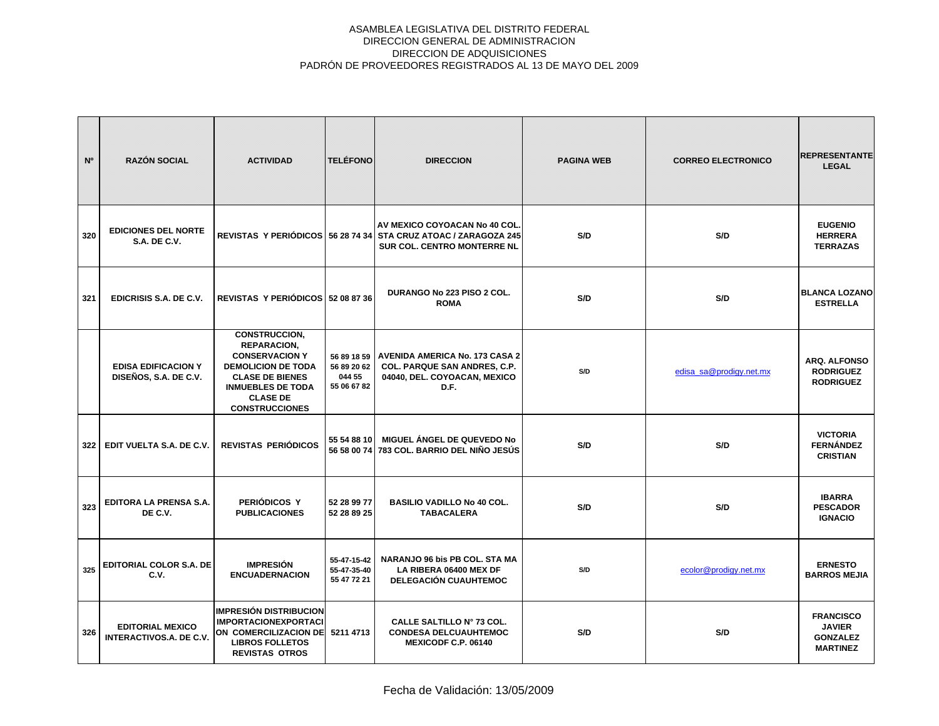| N <sup>o</sup> | <b>RAZÓN SOCIAL</b>                                       | <b>ACTIVIDAD</b>                                                                                                                                                                            | <b>TELÉFONO</b>                           | <b>DIRECCION</b>                                                                                                                | <b>PAGINA WEB</b> | <b>CORREO ELECTRONICO</b> | <b>REPRESENTANTE</b><br><b>LEGAL</b>                                    |
|----------------|-----------------------------------------------------------|---------------------------------------------------------------------------------------------------------------------------------------------------------------------------------------------|-------------------------------------------|---------------------------------------------------------------------------------------------------------------------------------|-------------------|---------------------------|-------------------------------------------------------------------------|
| 320            | <b>EDICIONES DEL NORTE</b><br>S.A. DE C.V.                |                                                                                                                                                                                             |                                           | AV MEXICO COYOACAN No 40 COL.<br>REVISTAS Y PERIÓDICOS 56 28 74 34 STA CRUZ ATOAC / ZARAGOZA 245<br>SUR COL. CENTRO MONTERRE NL | S/D               | S/D                       | <b>EUGENIO</b><br><b>HERRERA</b><br><b>TERRAZAS</b>                     |
| 321            | EDICRISIS S.A. DE C.V.                                    | REVISTAS Y PERIÓDICOS 52 08 87 36                                                                                                                                                           |                                           | DURANGO No 223 PISO 2 COL.<br><b>ROMA</b>                                                                                       | S/D               | S/D                       | <b>BLANCA LOZANO</b><br><b>ESTRELLA</b>                                 |
|                | <b>EDISA EDIFICACION Y</b><br>DISEÑOS, S.A. DE C.V.       | CONSTRUCCION,<br><b>REPARACION,</b><br><b>CONSERVACION Y</b><br><b>DEMOLICION DE TODA</b><br><b>CLASE DE BIENES</b><br><b>INMUEBLES DE TODA</b><br><b>CLASE DE</b><br><b>CONSTRUCCIONES</b> | 56 89 20 62<br>044 55<br>55 06 67 82      | 56 89 18 59   AVENIDA AMERICA No. 173 CASA 2<br>COL. PARQUE SAN ANDRES, C.P.<br>04040, DEL. COYOACAN, MEXICO<br>D.F.            | S/D               | edisa_sa@prodigy.net.mx   | ARQ. ALFONSO<br><b>RODRIGUEZ</b><br><b>RODRIGUEZ</b>                    |
| 322            | EDIT VUELTA S.A. DE C.V.                                  | REVISTAS PERIÓDICOS                                                                                                                                                                         | 55 54 88 10                               | <b>MIGUEL ÁNGEL DE QUEVEDO No</b><br>56 58 00 74 783 COL. BARRIO DEL NIÑO JESÚS                                                 | S/D               | S/D                       | <b>VICTORIA</b><br><b>FERNÁNDEZ</b><br><b>CRISTIAN</b>                  |
| 323            | EDITORA LA PRENSA S.A.<br>DE C.V.                         | PERIÓDICOS Y<br><b>PUBLICACIONES</b>                                                                                                                                                        | 52 28 99 77<br>52 28 89 25                | <b>BASILIO VADILLO No 40 COL.</b><br><b>TABACALERA</b>                                                                          | S/D               | S/D                       | <b>IBARRA</b><br><b>PESCADOR</b><br><b>IGNACIO</b>                      |
| 325            | EDITORIAL COLOR S.A. DE<br>C.V.                           | <b>IMPRESIÓN</b><br><b>ENCUADERNACION</b>                                                                                                                                                   | 55-47-15-42<br>55-47-35-40<br>55 47 72 21 | NARANJO 96 bis PB COL. STA MA<br>LA RIBERA 06400 MEX DF<br><b>DELEGACIÓN CUAUHTEMOC</b>                                         | S/D               | ecolor@prodigy.net.mx     | <b>ERNESTO</b><br><b>BARROS MEJIA</b>                                   |
| 326            | <b>EDITORIAL MEXICO</b><br><b>INTERACTIVOS.A. DE C.V.</b> | <b>IMPRESIÓN DISTRIBUCION</b><br><b>IMPORTACIONEXPORTACI</b><br>ON COMERCILIZACION DE 5211 4713<br><b>LIBROS FOLLETOS</b><br><b>REVISTAS OTROS</b>                                          |                                           | CALLE SALTILLO Nº 73 COL.<br><b>CONDESA DELCUAUHTEMOC</b><br>MEXICODF C.P. 06140                                                | S/D               | S/D                       | <b>FRANCISCO</b><br><b>JAVIER</b><br><b>GONZALEZ</b><br><b>MARTINEZ</b> |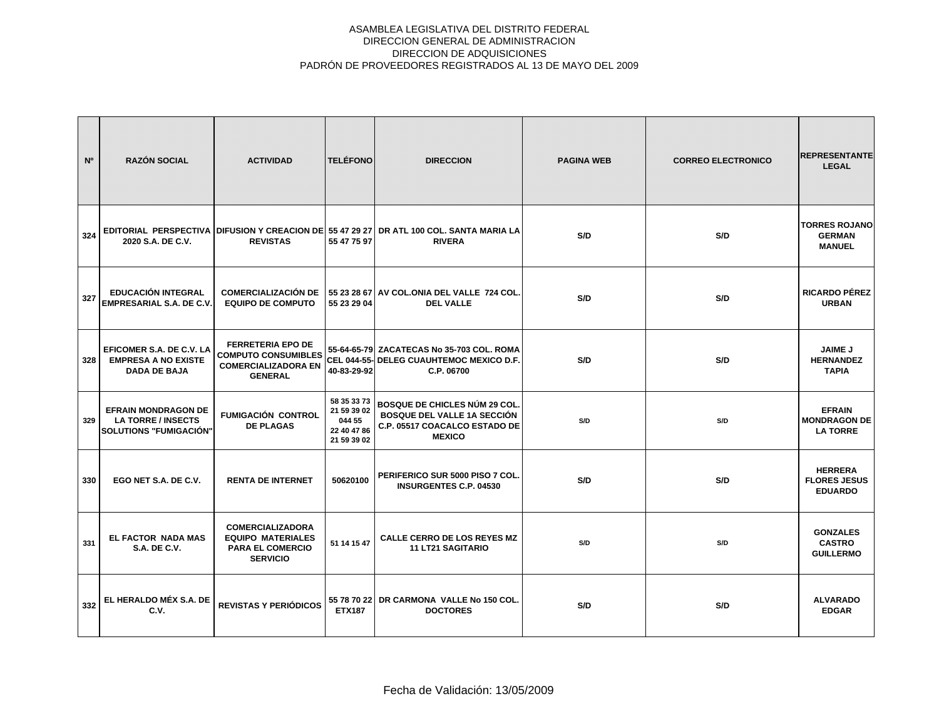| N°  | <b>RAZÓN SOCIAL</b>                                                               | <b>ACTIVIDAD</b>                                                                                       | <b>TELÉFONO</b>                                                    | <b>DIRECCION</b>                                                                                                      | <b>PAGINA WEB</b> | <b>CORREO ELECTRONICO</b> | <b>REPRESENTANTE</b><br><b>LEGAL</b>                    |
|-----|-----------------------------------------------------------------------------------|--------------------------------------------------------------------------------------------------------|--------------------------------------------------------------------|-----------------------------------------------------------------------------------------------------------------------|-------------------|---------------------------|---------------------------------------------------------|
| 324 | 2020 S.A. DE C.V.                                                                 | <b>REVISTAS</b>                                                                                        | 55 47 75 97                                                        | EDITORIAL PERSPECTIVA DIFUSION Y CREACION DE 55 47 29 27 DR ATL 100 COL. SANTA MARIA LA<br><b>RIVERA</b>              | S/D               | S/D                       | <b>TORRES ROJANO</b><br><b>GERMAN</b><br><b>MANUEL</b>  |
| 327 | <b>EDUCACIÓN INTEGRAL</b><br><b>EMPRESARIAL S.A. DE C.V.</b>                      | <b>COMERCIALIZACIÓN DE</b><br><b>EQUIPO DE COMPUTO</b>                                                 | 55 23 29 04                                                        | 55 23 28 67 AV COL.ONIA DEL VALLE 724 COL.<br><b>DEL VALLE</b>                                                        | S/D               | S/D                       | RICARDO PÉREZ<br><b>URBAN</b>                           |
| 328 | EFICOMER S.A. DE C.V. LA<br><b>EMPRESA A NO EXISTE</b><br><b>DADA DE BAJA</b>     | <b>FERRETERIA EPO DE</b><br><b>COMPUTO CONSUMIBLES</b><br><b>COMERCIALIZADORA EN</b><br><b>GENERAL</b> | 40-83-29-92                                                        | 55-64-65-79 ZACATECAS No 35-703 COL. ROMA<br>CEL 044-55- DELEG CUAUHTEMOC MEXICO D.F.<br>C.P. 06700                   | S/D               | S/D                       | <b>JAIME J</b><br><b>HERNANDEZ</b><br><b>TAPIA</b>      |
| 329 | <b>EFRAIN MONDRAGON DE</b><br><b>LA TORRE / INSECTS</b><br>SOLUTIONS "FUMIGACIÓN" | <b>FUMIGACIÓN CONTROL</b><br><b>DE PLAGAS</b>                                                          | 58 35 33 73<br>21 59 39 02<br>044 55<br>22 40 47 86<br>21 59 39 02 | BOSQUE DE CHICLES NÚM 29 COL.<br><b>BOSQUE DEL VALLE 1A SECCIÓN</b><br>C.P. 05517 COACALCO ESTADO DE<br><b>MEXICO</b> | S/D               | S/D                       | <b>EFRAIN</b><br><b>MONDRAGON DE</b><br><b>LA TORRE</b> |
| 330 | EGO NET S.A. DE C.V.                                                              | <b>RENTA DE INTERNET</b>                                                                               | 50620100                                                           | PERIFERICO SUR 5000 PISO 7 COL.<br><b>INSURGENTES C.P. 04530</b>                                                      | S/D               | S/D                       | <b>HERRERA</b><br><b>FLORES JESUS</b><br><b>EDUARDO</b> |
| 331 | <b>EL FACTOR NADA MAS</b><br><b>S.A. DE C.V.</b>                                  | <b>COMERCIALIZADORA</b><br><b>EQUIPO MATERIALES</b><br><b>PARA EL COMERCIO</b><br><b>SERVICIO</b>      | 51 14 15 47                                                        | <b>CALLE CERRO DE LOS REYES MZ</b><br><b>11 LT21 SAGITARIO</b>                                                        | S/D               | S/D                       | <b>GONZALES</b><br><b>CASTRO</b><br><b>GUILLERMO</b>    |
| 332 | EL HERALDO MÉX S.A. DE<br>C.V.                                                    | <b>REVISTAS Y PERIÓDICOS</b>                                                                           | <b>ETX187</b>                                                      | 55 78 70 22 DR CARMONA VALLE No 150 COL.<br><b>DOCTORES</b>                                                           | S/D               | S/D                       | <b>ALVARADO</b><br><b>EDGAR</b>                         |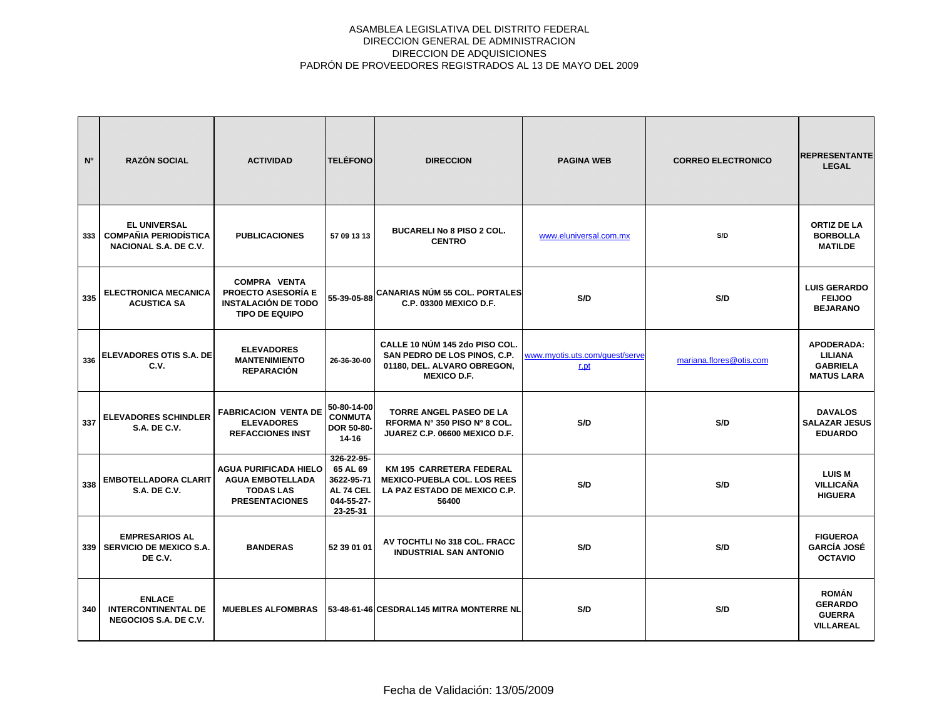| N°  | <b>RAZÓN SOCIAL</b>                                                          | <b>ACTIVIDAD</b>                                                                                        | <b>TELÉFONO</b>                                                             | <b>DIRECCION</b>                                                                                                    | <b>PAGINA WEB</b>                      | <b>CORREO ELECTRONICO</b> | <b>REPRESENTANTE</b><br><b>LEGAL</b>                                        |
|-----|------------------------------------------------------------------------------|---------------------------------------------------------------------------------------------------------|-----------------------------------------------------------------------------|---------------------------------------------------------------------------------------------------------------------|----------------------------------------|---------------------------|-----------------------------------------------------------------------------|
| 333 | <b>EL UNIVERSAL</b><br><b>COMPAÑIA PERIODÍSTICA</b><br>NACIONAL S.A. DE C.V. | <b>PUBLICACIONES</b>                                                                                    | 57 09 13 13                                                                 | <b>BUCARELI No 8 PISO 2 COL.</b><br><b>CENTRO</b>                                                                   | www.eluniversal.com.mx                 | S/D                       | <b>ORTIZ DE LA</b><br><b>BORBOLLA</b><br><b>MATILDE</b>                     |
| 335 | <b>ELECTRONICA MECANICA</b><br><b>ACUSTICA SA</b>                            | <b>COMPRA VENTA</b><br><b>PROECTO ASESORÍA E</b><br><b>INSTALACIÓN DE TODO</b><br><b>TIPO DE EQUIPO</b> |                                                                             | 55-39-05-88 CANARIAS NÚM 55 COL. PORTALES<br>C.P. 03300 MEXICO D.F.                                                 | S/D                                    | S/D                       | <b>LUIS GERARDO</b><br><b>FEIJOO</b><br><b>BEJARANO</b>                     |
| 336 | <b>ELEVADORES OTIS S.A. DE</b><br>C.V.                                       | <b>ELEVADORES</b><br><b>MANTENIMIENTO</b><br><b>REPARACIÓN</b>                                          | 26-36-30-00                                                                 | CALLE 10 NÚM 145 2do PISO COL.<br>SAN PEDRO DE LOS PINOS, C.P.<br>01180, DEL. ALVARO OBREGON,<br><b>MEXICO D.F.</b> | www.myotis.uts.com/quest/serve<br>r.pt | mariana.flores@otis.com   | <b>APODERADA:</b><br><b>LILIANA</b><br><b>GABRIELA</b><br><b>MATUS LARA</b> |
| 337 | <b>ELEVADORES SCHINDLER</b><br><b>S.A. DE C.V.</b>                           | <b>FABRICACION VENTA DE</b><br><b>ELEVADORES</b><br><b>REFACCIONES INST</b>                             | 50-80-14-00<br><b>CONMUTA</b><br>DOR 50-80-<br>14-16                        | <b>TORRE ANGEL PASEO DE LA</b><br>RFORMA Nº 350 PISO Nº 8 COL.<br>JUAREZ C.P. 06600 MEXICO D.F.                     | S/D                                    | S/D                       | <b>DAVALOS</b><br><b>SALAZAR JESUS</b><br><b>EDUARDO</b>                    |
| 338 | <b>EMBOTELLADORA CLARIT</b><br><b>S.A. DE C.V.</b>                           | <b>AGUA PURIFICADA HIELO</b><br><b>AGUA EMBOTELLADA</b><br><b>TODAS LAS</b><br><b>PRESENTACIONES</b>    | 326-22-95-<br>65 AL 69<br>3622-95-71<br>AL 74 CEL<br>044-55-27-<br>23-25-31 | <b>KM 195 CARRETERA FEDERAL</b><br><b>MEXICO-PUEBLA COL. LOS REES</b><br>LA PAZ ESTADO DE MEXICO C.P.<br>56400      | S/D                                    | S/D                       | <b>LUIS M</b><br>VILLICAÑA<br><b>HIGUERA</b>                                |
|     | <b>EMPRESARIOS AL</b><br>339   SERVICIO DE MEXICO S.A.<br>DE C.V.            | <b>BANDERAS</b>                                                                                         | 52 39 01 01                                                                 | AV TOCHTLI No 318 COL. FRACC<br><b>INDUSTRIAL SAN ANTONIO</b>                                                       | S/D                                    | S/D                       | <b>FIGUEROA</b><br><b>GARCÍA JOSÉ</b><br><b>OCTAVIO</b>                     |
| 340 | <b>ENLACE</b><br><b>INTERCONTINENTAL DE</b><br>NEGOCIOS S.A. DE C.V.         | <b>MUEBLES ALFOMBRAS</b>                                                                                |                                                                             | 53-48-61-46 CESDRAL145 MITRA MONTERRE NL                                                                            | S/D                                    | S/D                       | <b>ROMÁN</b><br><b>GERARDO</b><br><b>GUERRA</b><br><b>VILLAREAL</b>         |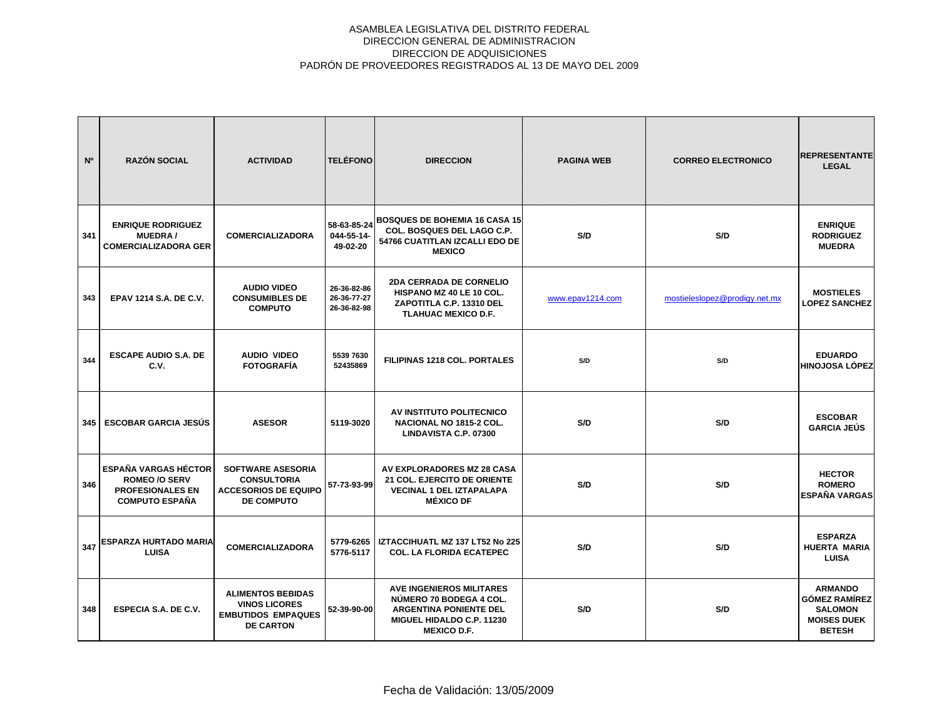| N°  | <b>RAZÓN SOCIAL</b>                                                                                     | <b>ACTIVIDAD</b>                                                                                   | <b>TELÉFONO</b>                           | <b>DIRECCION</b>                                                                                                                               | <b>PAGINA WEB</b> | <b>CORREO ELECTRONICO</b>     | <b>REPRESENTANTE</b><br><b>LEGAL</b>                                                            |
|-----|---------------------------------------------------------------------------------------------------------|----------------------------------------------------------------------------------------------------|-------------------------------------------|------------------------------------------------------------------------------------------------------------------------------------------------|-------------------|-------------------------------|-------------------------------------------------------------------------------------------------|
| 341 | <b>ENRIQUE RODRIGUEZ</b><br><b>MUEDRA/</b><br><b>COMERCIALIZADORA GER</b>                               | <b>COMERCIALIZADORA</b>                                                                            | 58-63-85-24<br>044-55-14-<br>49-02-20     | <b>BOSQUES DE BOHEMIA 16 CASA 15</b><br>COL. BOSQUES DEL LAGO C.P.<br>54766 CUATITLAN IZCALLI EDO DE<br><b>MEXICO</b>                          | S/D               | S/D                           | <b>ENRIQUE</b><br><b>RODRIGUEZ</b><br><b>MUEDRA</b>                                             |
| 343 | <b>EPAV 1214 S.A. DE C.V.</b>                                                                           | <b>AUDIO VIDEO</b><br><b>CONSUMIBLES DE</b><br><b>COMPUTO</b>                                      | 26-36-82-86<br>26-36-77-27<br>26-36-82-98 | <b>2DA CERRADA DE CORNELIO</b><br>HISPANO MZ 40 LE 10 COL.<br>ZAPOTITLA C.P. 13310 DEL<br><b>TLAHUAC MEXICO D.F.</b>                           | www.epav1214.com  | mostieleslopez@prodigy.net.mx | <b>MOSTIELES</b><br><b>LOPEZ SANCHEZ</b>                                                        |
| 344 | <b>ESCAPE AUDIO S.A. DE</b><br>C.V.                                                                     | <b>AUDIO VIDEO</b><br><b>FOTOGRAFÍA</b>                                                            | 5539 7630<br>52435869                     | <b>FILIPINAS 1218 COL. PORTALES</b>                                                                                                            | S/D               | S/D                           | <b>EDUARDO</b><br><b>HINOJOSA LÓPEZ</b>                                                         |
| 345 | <b>ESCOBAR GARCIA JESÚS</b>                                                                             | <b>ASESOR</b>                                                                                      | 5119-3020                                 | AV INSTITUTO POLITECNICO<br><b>NACIONAL NO 1815-2 COL.</b><br>LINDAVISTA C.P. 07300                                                            | S/D               | S/D                           | <b>ESCOBAR</b><br><b>GARCIA JEÚS</b>                                                            |
| 346 | <b>ESPAÑA VARGAS HÉCTOR</b><br><b>ROMEO /O SERV</b><br><b>PROFESIONALES EN</b><br><b>COMPUTO ESPAÑA</b> | <b>SOFTWARE ASESORIA</b><br><b>CONSULTORIA</b><br><b>ACCESORIOS DE EQUIPO</b><br><b>DE COMPUTO</b> | 57-73-93-99                               | AV EXPLORADORES MZ 28 CASA<br>21 COL. EJERCITO DE ORIENTE<br><b>VECINAL 1 DEL IZTAPALAPA</b><br><b>MÉXICO DF</b>                               | S/D               | S/D                           | <b>HECTOR</b><br><b>ROMERO</b><br><b>ESPAÑA VARGAS</b>                                          |
| 347 | ESPARZA HURTADO MARIA<br><b>LUISA</b>                                                                   | <b>COMERCIALIZADORA</b>                                                                            | 5779-6265<br>5776-5117                    | IZTACCIHUATL MZ 137 LT52 No 225<br><b>COL. LA FLORIDA ECATEPEC</b>                                                                             | S/D               | S/D                           | <b>ESPARZA</b><br><b>HUERTA MARIA</b><br><b>LUISA</b>                                           |
| 348 | <b>ESPECIA S.A. DE C.V.</b>                                                                             | <b>ALIMENTOS BEBIDAS</b><br><b>VINOS LICORES</b><br><b>EMBUTIDOS EMPAQUES</b><br><b>DE CARTON</b>  | 52-39-90-00                               | <b>AVE INGENIEROS MILITARES</b><br>NÚMERO 70 BODEGA 4 COL.<br><b>ARGENTINA PONIENTE DEL</b><br>MIGUEL HIDALDO C.P. 11230<br><b>MEXICO D.F.</b> | S/D               | S/D                           | <b>ARMANDO</b><br><b>GÓMEZ RAMÍREZ</b><br><b>SALOMON</b><br><b>MOISES DUEK</b><br><b>BETESH</b> |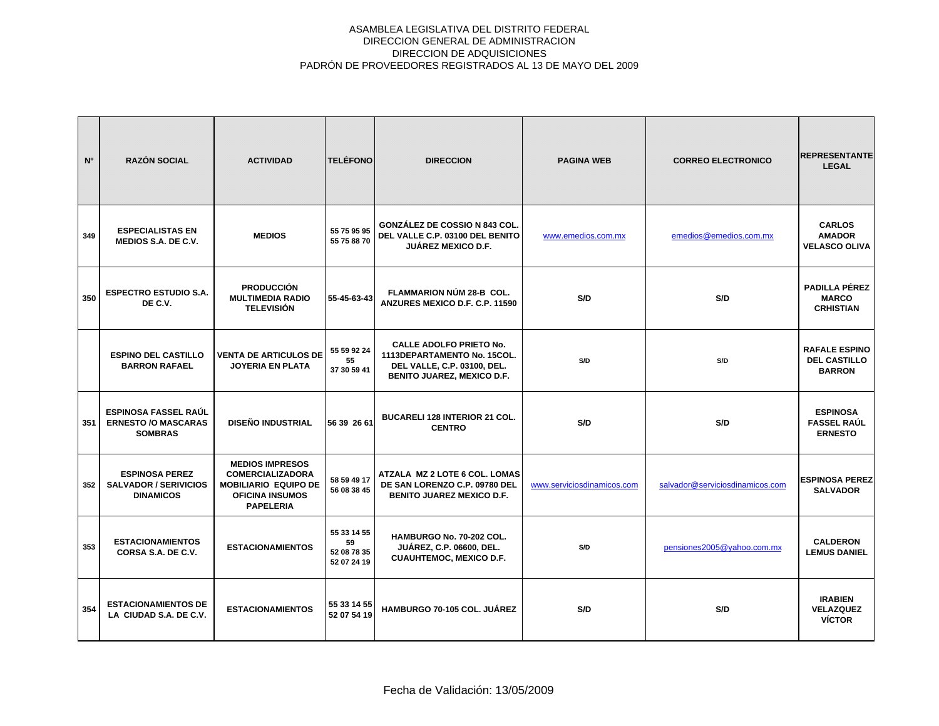| N <sup>o</sup> | <b>RAZÓN SOCIAL</b>                                                         | <b>ACTIVIDAD</b>                                                                                                               | <b>TELÉFONO</b>                                 | <b>DIRECCION</b>                                                                                                                  | <b>PAGINA WEB</b>          | <b>CORREO ELECTRONICO</b>       | <b>REPRESENTANTE</b><br><b>LEGAL</b>                         |
|----------------|-----------------------------------------------------------------------------|--------------------------------------------------------------------------------------------------------------------------------|-------------------------------------------------|-----------------------------------------------------------------------------------------------------------------------------------|----------------------------|---------------------------------|--------------------------------------------------------------|
| 349            | <b>ESPECIALISTAS EN</b><br><b>MEDIOS S.A. DE C.V.</b>                       | <b>MEDIOS</b>                                                                                                                  | 55 75 95 95<br>55 75 88 70                      | <b>GONZÁLEZ DE COSSIO N 843 COL.</b><br>DEL VALLE C.P. 03100 DEL BENITO<br><b>JUÁREZ MEXICO D.F.</b>                              | www.emedios.com.mx         | emedios@emedios.com.mx          | <b>CARLOS</b><br><b>AMADOR</b><br><b>VELASCO OLIVA</b>       |
| 350            | <b>ESPECTRO ESTUDIO S.A.</b><br>DE C.V.                                     | <b>PRODUCCIÓN</b><br><b>MULTIMEDIA RADIO</b><br><b>TELEVISIÓN</b>                                                              | 55-45-63-43                                     | FLAMMARION NÚM 28-B COL.<br>ANZURES MEXICO D.F. C.P. 11590                                                                        | S/D                        | S/D                             | PADILLA PÉREZ<br><b>MARCO</b><br><b>CRHISTIAN</b>            |
|                | <b>ESPINO DEL CASTILLO</b><br><b>BARRON RAFAEL</b>                          | <b>VENTA DE ARTICULOS DE</b><br><b>JOYERIA EN PLATA</b>                                                                        | 55 59 92 24<br>55<br>37 30 59 41                | <b>CALLE ADOLFO PRIETO No.</b><br>1113DEPARTAMENTO No. 15COL.<br>DEL VALLE, C.P. 03100, DEL.<br><b>BENITO JUAREZ, MEXICO D.F.</b> | S/D                        | S/D                             | <b>RAFALE ESPINO</b><br><b>DEL CASTILLO</b><br><b>BARRON</b> |
| 351            | <b>ESPINOSA FASSEL RAÚL</b><br><b>ERNESTO /O MASCARAS</b><br><b>SOMBRAS</b> | <b>DISEÑO INDUSTRIAL</b>                                                                                                       | 56 39 26 61                                     | <b>BUCARELI 128 INTERIOR 21 COL.</b><br><b>CENTRO</b>                                                                             | S/D                        | S/D                             | <b>ESPINOSA</b><br><b>FASSEL RAUL</b><br><b>ERNESTO</b>      |
| 352            | <b>ESPINOSA PEREZ</b><br><b>SALVADOR / SERIVICIOS</b><br><b>DINAMICOS</b>   | <b>MEDIOS IMPRESOS</b><br><b>COMERCIALIZADORA</b><br><b>MOBILIARIO EQUIPO DE</b><br><b>OFICINA INSUMOS</b><br><b>PAPELERIA</b> | 58 59 49 17<br>56 08 38 45                      | ATZALA MZ 2 LOTE 6 COL. LOMAS<br>DE SAN LORENZO C.P. 09780 DEL<br><b>BENITO JUAREZ MEXICO D.F.</b>                                | www.serviciosdinamicos.com | salvador@serviciosdinamicos.com | <b>ESPINOSA PEREZ</b><br><b>SALVADOR</b>                     |
| 353            | <b>ESTACIONAMIENTOS</b><br>CORSA S.A. DE C.V.                               | <b>ESTACIONAMIENTOS</b>                                                                                                        | 55 33 14 55<br>59<br>52 08 78 35<br>52 07 24 19 | HAMBURGO No. 70-202 COL.<br><b>JUÁREZ, C.P. 06600, DEL.</b><br><b>CUAUHTEMOC, MEXICO D.F.</b>                                     | S/D                        | pensiones2005@yahoo.com.mx      | <b>CALDERON</b><br><b>LEMUS DANIEL</b>                       |
| 354            | <b>ESTACIONAMIENTOS DE</b><br>LA CIUDAD S.A. DE C.V.                        | <b>ESTACIONAMIENTOS</b>                                                                                                        | 55 33 14 55<br>52 07 54 19                      | <b>HAMBURGO 70-105 COL. JUÁREZ</b>                                                                                                | S/D                        | S/D                             | <b>IRABIEN</b><br><b>VELAZQUEZ</b><br><b>VÍCTOR</b>          |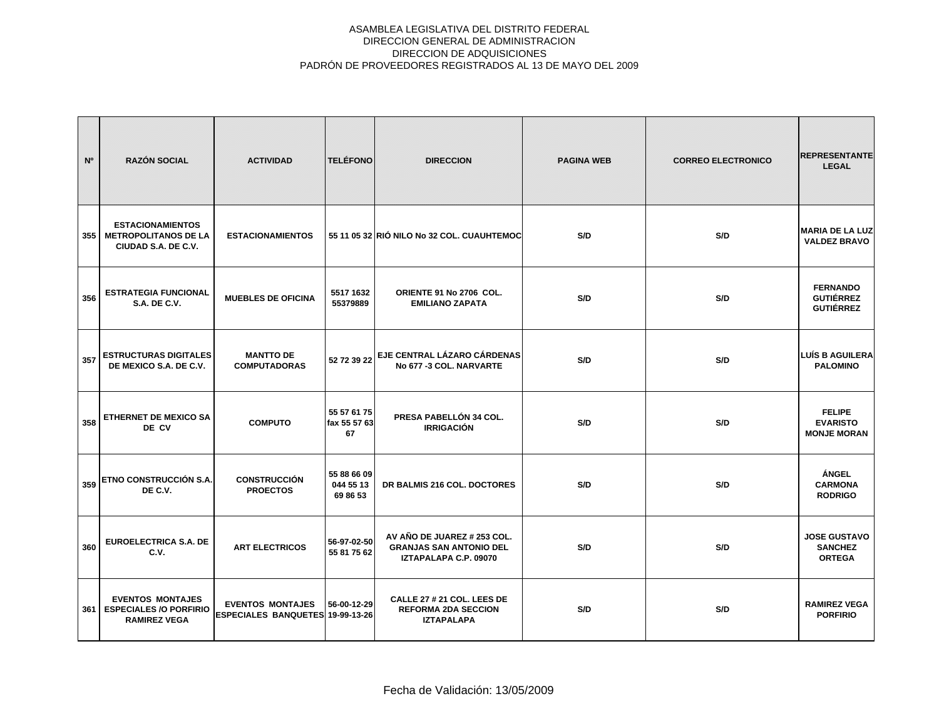| N <sup>o</sup> | <b>RAZÓN SOCIAL</b>                                                             | <b>ACTIVIDAD</b>                                                   | <b>TELÉFONO</b>                      | <b>DIRECCION</b>                                                                       | <b>PAGINA WEB</b> | <b>CORREO ELECTRONICO</b> | <b>REPRESENTANTE</b><br><b>LEGAL</b>                    |
|----------------|---------------------------------------------------------------------------------|--------------------------------------------------------------------|--------------------------------------|----------------------------------------------------------------------------------------|-------------------|---------------------------|---------------------------------------------------------|
| 355            | <b>ESTACIONAMIENTOS</b><br><b>METROPOLITANOS DE LA</b><br>CIUDAD S.A. DE C.V.   | <b>ESTACIONAMIENTOS</b>                                            |                                      | 55 11 05 32 RIÓ NILO No 32 COL. CUAUHTEMOC                                             | S/D               | S/D                       | <b>MARIA DE LA LUZ</b><br><b>VALDEZ BRAVO</b>           |
| 356            | <b>ESTRATEGIA FUNCIONAL</b><br><b>S.A. DE C.V.</b>                              | <b>MUEBLES DE OFICINA</b>                                          | 5517 1632<br>55379889                | ORIENTE 91 No 2706 COL.<br><b>EMILIANO ZAPATA</b>                                      | S/D               | S/D                       | <b>FERNANDO</b><br><b>GUTIÉRREZ</b><br><b>GUTIÉRREZ</b> |
| 357            | <b>ESTRUCTURAS DIGITALES</b><br>DE MEXICO S.A. DE C.V.                          | <b>MANTTO DE</b><br><b>COMPUTADORAS</b>                            | 52 72 39 22                          | EJE CENTRAL LÁZARO CÁRDENAS<br>No 677 -3 COL. NARVARTE                                 | S/D               | S/D                       | <b>LUÍS B AGUILERA</b><br><b>PALOMINO</b>               |
| 358            | ETHERNET DE MEXICO SA<br>DE CV                                                  | <b>COMPUTO</b>                                                     | 55 57 61 75<br>fax 55 57 63<br>67    | PRESA PABELLÓN 34 COL.<br><b>IRRIGACIÓN</b>                                            | S/D               | S/D                       | <b>FELIPE</b><br><b>EVARISTO</b><br><b>MONJE MORAN</b>  |
| 359            | <b>ETNO CONSTRUCCIÓN S.A.</b><br>DE C.V.                                        | <b>CONSTRUCCIÓN</b><br><b>PROECTOS</b>                             | 55 88 66 09<br>044 55 13<br>69 86 53 | DR BALMIS 216 COL. DOCTORES                                                            | S/D               | S/D                       | <b>ÁNGEL</b><br><b>CARMONA</b><br><b>RODRIGO</b>        |
| 360            | <b>EUROELECTRICA S.A. DE</b><br>C.V.                                            | <b>ART ELECTRICOS</b>                                              | 56-97-02-50<br>55 81 75 62           | AV AÑO DE JUAREZ # 253 COL.<br><b>GRANJAS SAN ANTONIO DEL</b><br>IZTAPALAPA C.P. 09070 | S/D               | S/D                       | <b>JOSE GUSTAVO</b><br><b>SANCHEZ</b><br><b>ORTEGA</b>  |
| 361            | <b>EVENTOS MONTAJES</b><br><b>ESPECIALES /O PORFIRIO</b><br><b>RAMIREZ VEGA</b> | <b>EVENTOS MONTAJES</b><br><b>ESPECIALES BANQUETES 19-99-13-26</b> | 56-00-12-29                          | CALLE 27 # 21 COL. LEES DE<br><b>REFORMA 2DA SECCION</b><br><b>IZTAPALAPA</b>          | S/D               | S/D                       | <b>RAMIREZ VEGA</b><br><b>PORFIRIO</b>                  |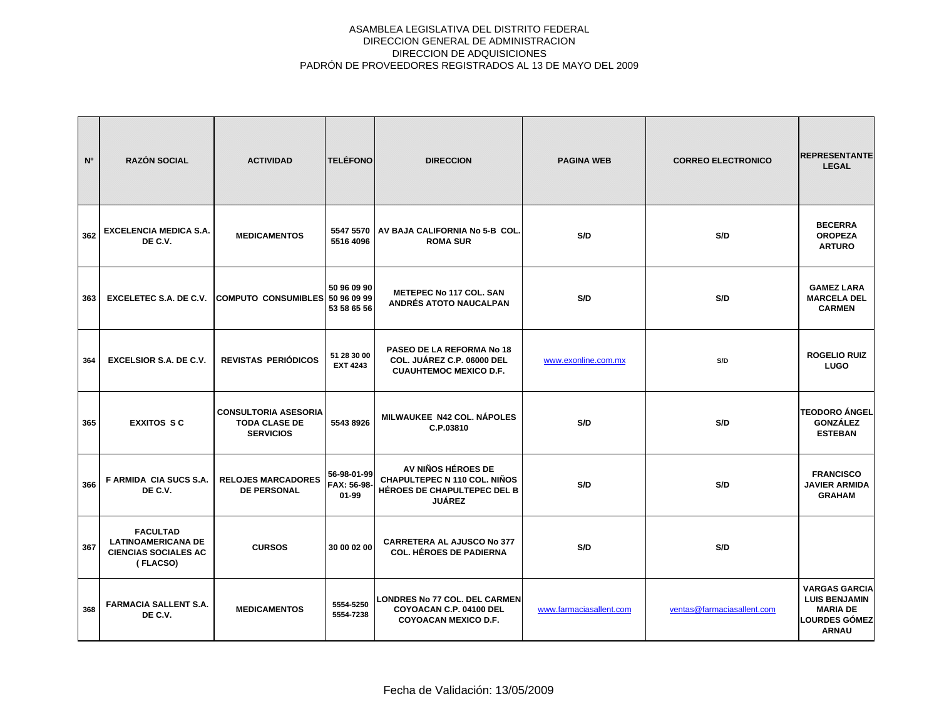| N <sup>o</sup> | <b>RAZÓN SOCIAL</b>                                                                     | <b>ACTIVIDAD</b>                                                        | <b>TELÉFONO</b>                         | <b>DIRECCION</b>                                                                                          | <b>PAGINA WEB</b>       | <b>CORREO ELECTRONICO</b>  | <b>REPRESENTANTE</b><br><b>LEGAL</b>                                                                    |
|----------------|-----------------------------------------------------------------------------------------|-------------------------------------------------------------------------|-----------------------------------------|-----------------------------------------------------------------------------------------------------------|-------------------------|----------------------------|---------------------------------------------------------------------------------------------------------|
| 362            | <b>EXCELENCIA MEDICA S.A.</b><br>DE C.V.                                                | <b>MEDICAMENTOS</b>                                                     | 5547 5570<br>5516 4096                  | AV BAJA CALIFORNIA No 5-B COL.<br><b>ROMA SUR</b>                                                         | S/D                     | S/D                        | <b>BECERRA</b><br><b>OROPEZA</b><br><b>ARTURO</b>                                                       |
| 363            | <b>EXCELETEC S.A. DE C.V.</b>                                                           | COMPUTO CONSUMIBLES 50 96 09 99                                         | 50 96 09 90<br>53 58 65 56              | <b>METEPEC No 117 COL. SAN</b><br>ANDRÉS ATOTO NAUCALPAN                                                  | S/D                     | S/D                        | <b>GAMEZ LARA</b><br><b>MARCELA DEL</b><br><b>CARMEN</b>                                                |
| 364            | <b>EXCELSIOR S.A. DE C.V.</b>                                                           | REVISTAS PERIÓDICOS                                                     | 51 28 30 00<br><b>EXT 4243</b>          | PASEO DE LA REFORMA No 18<br>COL. JUÁREZ C.P. 06000 DEL<br><b>CUAUHTEMOC MEXICO D.F.</b>                  | www.exonline.com.mx     | S/D                        | <b>ROGELIO RUIZ</b><br><b>LUGO</b>                                                                      |
| 365            | <b>EXXITOS SC</b>                                                                       | <b>CONSULTORIA ASESORIA</b><br><b>TODA CLASE DE</b><br><b>SERVICIOS</b> | 5543 8926                               | MILWAUKEE N42 COL. NÁPOLES<br>C.P.03810                                                                   | S/D                     | S/D                        | <b>TEODORO ÁNGEL</b><br><b>GONZÁLEZ</b><br><b>ESTEBAN</b>                                               |
| 366            | <b>F ARMIDA CIA SUCS S.A.</b><br>DE C.V.                                                | <b>RELOJES MARCADORES</b><br><b>DE PERSONAL</b>                         | 56-98-01-99<br>FAX: 56-98-<br>$01 - 99$ | AV NIÑOS HÉROES DE<br>CHAPULTEPEC N 110 COL. NIÑOS<br><b>HÉROES DE CHAPULTEPEC DEL B</b><br><b>JUÁREZ</b> | S/D                     | S/D                        | <b>FRANCISCO</b><br><b>JAVIER ARMIDA</b><br><b>GRAHAM</b>                                               |
| 367            | <b>FACULTAD</b><br><b>LATINOAMERICANA DE</b><br><b>CIENCIAS SOCIALES AC</b><br>(FLACSO) | <b>CURSOS</b>                                                           | 30 00 02 00                             | <b>CARRETERA AL AJUSCO No 377</b><br><b>COL. HÉROES DE PADIERNA</b>                                       | S/D                     | S/D                        |                                                                                                         |
| 368            | <b>FARMACIA SALLENT S.A.</b><br>DE C.V.                                                 | <b>MEDICAMENTOS</b>                                                     | 5554-5250<br>5554-7238                  | <b>LONDRES No 77 COL. DEL CARMEN</b><br>COYOACAN C.P. 04100 DEL<br><b>COYOACAN MEXICO D.F.</b>            | www.farmaciasallent.com | ventas@farmaciasallent.com | <b>VARGAS GARCIA</b><br><b>LUIS BENJAMIN</b><br><b>MARIA DE</b><br><b>LOURDES GÓMEZ</b><br><b>ARNAU</b> |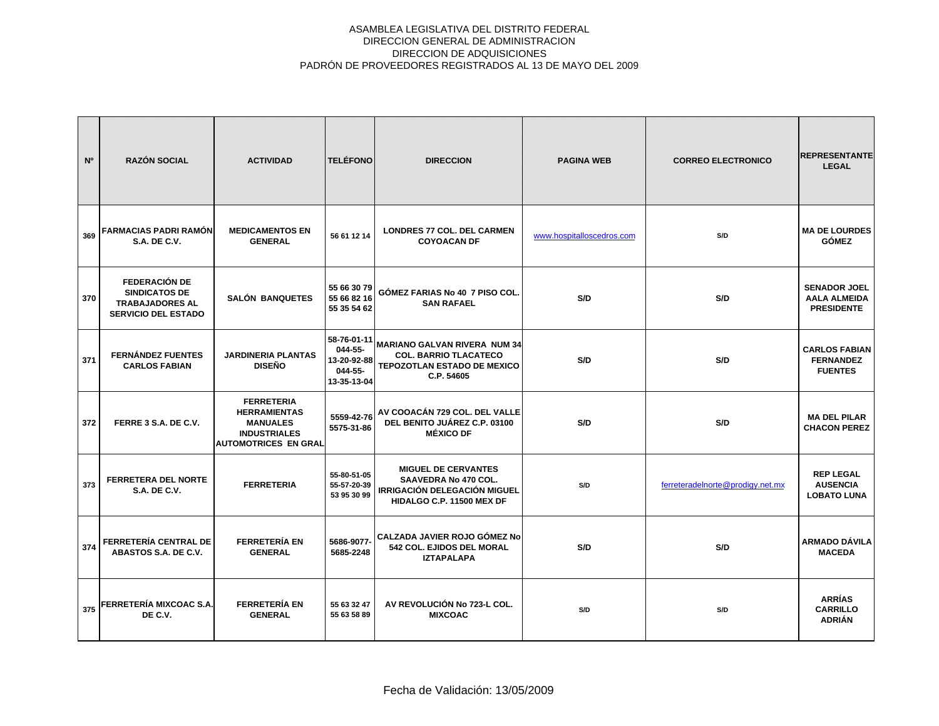| N°  | <b>RAZÓN SOCIAL</b>                                                                                  | <b>ACTIVIDAD</b>                                                                                                  | <b>TELÉFONO</b>                                                 | <b>DIRECCION</b>                                                                                                              | <b>PAGINA WEB</b>         | <b>CORREO ELECTRONICO</b>        | <b>REPRESENTANTE</b><br><b>LEGAL</b>                            |
|-----|------------------------------------------------------------------------------------------------------|-------------------------------------------------------------------------------------------------------------------|-----------------------------------------------------------------|-------------------------------------------------------------------------------------------------------------------------------|---------------------------|----------------------------------|-----------------------------------------------------------------|
| 369 | FARMACIAS PADRI RAMÓN<br><b>S.A. DE C.V.</b>                                                         | <b>MEDICAMENTOS EN</b><br><b>GENERAL</b>                                                                          | 56 61 12 14                                                     | LONDRES 77 COL. DEL CARMEN<br><b>COYOACAN DF</b>                                                                              | www.hospitalloscedros.com | S/D                              | <b>MA DE LOURDES</b><br><b>GÓMEZ</b>                            |
| 370 | <b>FEDERACIÓN DE</b><br><b>SINDICATOS DE</b><br><b>TRABAJADORES AL</b><br><b>SERVICIO DEL ESTADO</b> | <b>SALÓN BANQUETES</b>                                                                                            | 55 66 30 79<br>55 66 82 16<br>55 35 54 62                       | GÓMEZ FARIAS No 40 7 PISO COL.<br><b>SAN RAFAEL</b>                                                                           | S/D                       | S/D                              | <b>SENADOR JOEL</b><br><b>AALA ALMEIDA</b><br><b>PRESIDENTE</b> |
| 371 | <b>FERNÁNDEZ FUENTES</b><br><b>CARLOS FABIAN</b>                                                     | <b>JARDINERIA PLANTAS</b><br><b>DISEÑO</b>                                                                        | 58-76-01-11<br>044-55-<br>13-20-92-88<br>044-55-<br>13-35-13-04 | <b>MARIANO GALVAN RIVERA NUM 34</b><br><b>COL. BARRIO TLACATECO</b><br>TEPOZOTLAN ESTADO DE MEXICO<br>C.P. 54605              | S/D                       | S/D                              | <b>CARLOS FABIAN</b><br><b>FERNANDEZ</b><br><b>FUENTES</b>      |
| 372 | FERRE 3 S.A. DE C.V.                                                                                 | <b>FERRETERIA</b><br><b>HERRAMIENTAS</b><br><b>MANUALES</b><br><b>INDUSTRIALES</b><br><b>AUTOMOTRICES EN GRAL</b> | 5559-42-76<br>5575-31-86                                        | AV COOACÁN 729 COL. DEL VALLE<br>DEL BENITO JUÁREZ C.P. 03100<br><b>MÉXICO DF</b>                                             | S/D                       | S/D                              | <b>MA DEL PILAR</b><br><b>CHACON PEREZ</b>                      |
| 373 | <b>FERRETERA DEL NORTE</b><br><b>S.A. DE C.V.</b>                                                    | <b>FERRETERIA</b>                                                                                                 | 55-80-51-05<br>55-57-20-39<br>53 95 30 99                       | <b>MIGUEL DE CERVANTES</b><br><b>SAAVEDRA No 470 COL.</b><br><b>IRRIGACIÓN DELEGACIÓN MIGUEL</b><br>HIDALGO C.P. 11500 MEX DF | S/D                       | ferreteradelnorte@prodigy.net.mx | <b>REP LEGAL</b><br><b>AUSENCIA</b><br><b>LOBATO LUNA</b>       |
| 374 | FERRETERÍA CENTRAL DE<br>ABASTOS S.A. DE C.V.                                                        | <b>FERRETERÍA EN</b><br><b>GENERAL</b>                                                                            | 5686-9077<br>5685-2248                                          | CALZADA JAVIER ROJO GÓMEZ No<br>542 COL. EJIDOS DEL MORAL<br><b>IZTAPALAPA</b>                                                | S/D                       | S/D                              | <b>ARMADO DÁVILA</b><br><b>MACEDA</b>                           |
| 375 | FERRETERÍA MIXCOAC S.A.<br>DE C.V.                                                                   | <b>FERRETERÍA EN</b><br><b>GENERAL</b>                                                                            | 55 63 32 47<br>55 63 58 89                                      | AV REVOLUCIÓN No 723-L COL.<br><b>MIXCOAC</b>                                                                                 | S/D                       | S/D                              | <b>ARRÍAS</b><br><b>CARRILLO</b><br><b>ADRIÁN</b>               |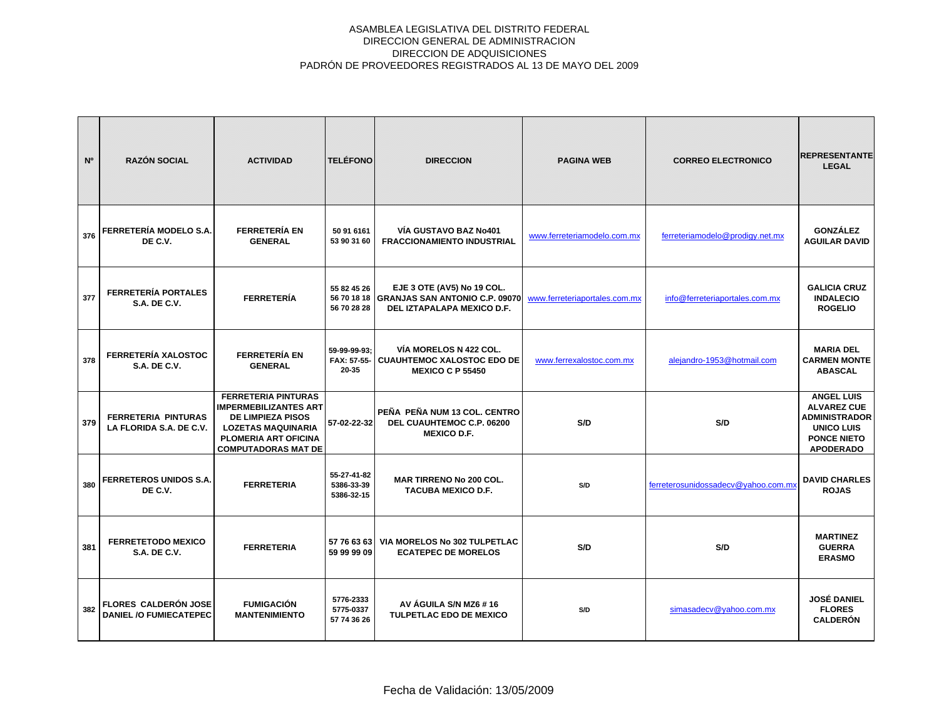| N°  | <b>RAZÓN SOCIAL</b>                                          | <b>ACTIVIDAD</b>                                                                                                                                                          | <b>TELÉFONO</b>                         | <b>DIRECCION</b>                                                                                       | <b>PAGINA WEB</b>             | <b>CORREO ELECTRONICO</b>           | <b>REPRESENTANTE</b><br><b>LEGAL</b>                                                                                           |
|-----|--------------------------------------------------------------|---------------------------------------------------------------------------------------------------------------------------------------------------------------------------|-----------------------------------------|--------------------------------------------------------------------------------------------------------|-------------------------------|-------------------------------------|--------------------------------------------------------------------------------------------------------------------------------|
| 376 | FERRETERÍA MODELO S.A.<br>DE C.V.                            | <b>FERRETERÍA EN</b><br><b>GENERAL</b>                                                                                                                                    | 50 91 6161<br>53 90 31 60               | VÍA GUSTAVO BAZ No401<br><b>FRACCIONAMIENTO INDUSTRIAL</b>                                             | www.ferreteriamodelo.com.mx   | ferreteriamodelo@prodigy.net.mx     | <b>GONZÁLEZ</b><br><b>AGUILAR DAVID</b>                                                                                        |
| 377 | <b>FERRETERÍA PORTALES</b><br><b>S.A. DE C.V.</b>            | <b>FERRETERÍA</b>                                                                                                                                                         | 55 82 45 26<br>56 70 28 28              | EJE 3 OTE (AV5) No 19 COL.<br>56 70 18 18 GRANJAS SAN ANTONIO C.P. 09070<br>DEL IZTAPALAPA MEXICO D.F. | www.ferreteriaportales.com.mx | info@ferreteriaportales.com.mx      | <b>GALICIA CRUZ</b><br><b>INDALECIO</b><br><b>ROGELIO</b>                                                                      |
| 378 | FERRETERÍA XALOSTOC<br><b>S.A. DE C.V.</b>                   | <b>FERRETERÍA EN</b><br><b>GENERAL</b>                                                                                                                                    | 59-99-99-93:<br>20-35                   | VÍA MORELOS N 422 COL.<br>FAX: 57-55- CUAUHTEMOC XALOSTOC EDO DE<br><b>MEXICO C P 55450</b>            | www.ferrexalostoc.com.mx      | alejandro-1953@hotmail.com          | <b>MARIA DEL</b><br><b>CARMEN MONTE</b><br><b>ABASCAL</b>                                                                      |
| 379 | <b>FERRETERIA PINTURAS</b><br>LA FLORIDA S.A. DE C.V.        | <b>FERRETERIA PINTURAS</b><br><b>IMPERMEBILIZANTES ART</b><br><b>DE LIMPIEZA PISOS</b><br><b>LOZETAS MAQUINARIA</b><br>PLOMERIA ART OFICINA<br><b>COMPUTADORAS MAT DE</b> | 57-02-22-32                             | PEÑA PEÑA NUM 13 COL. CENTRO<br>DEL CUAUHTEMOC C.P. 06200<br><b>MEXICO D.F.</b>                        | S/D                           | S/D                                 | <b>ANGEL LUIS</b><br><b>ALVAREZ CUE</b><br><b>ADMINISTRADOR</b><br><b>UNICO LUIS</b><br><b>PONCE NIETO</b><br><b>APODERADO</b> |
| 380 | FERRETEROS UNIDOS S.A.<br>DE C.V.                            | <b>FERRETERIA</b>                                                                                                                                                         | 55-27-41-82<br>5386-33-39<br>5386-32-15 | <b>MAR TIRRENO No 200 COL.</b><br><b>TACUBA MEXICO D.F.</b>                                            | S/D                           | ferreterosunidossadecy@vahoo.com.mx | <b>DAVID CHARLES</b><br><b>ROJAS</b>                                                                                           |
| 381 | <b>FERRETETODO MEXICO</b><br><b>S.A. DE C.V.</b>             | <b>FERRETERIA</b>                                                                                                                                                         | 57 76 63 63<br>59 99 99 09              | VIA MORELOS No 302 TULPETLAC<br><b>ECATEPEC DE MORELOS</b>                                             | S/D                           | S/D                                 | <b>MARTINEZ</b><br><b>GUERRA</b><br><b>ERASMO</b>                                                                              |
| 382 | <b>FLORES CALDERÓN JOSE</b><br><b>DANIEL /O FUMIECATEPEC</b> | <b>FUMIGACIÓN</b><br><b>MANTENIMIENTO</b>                                                                                                                                 | 5776-2333<br>5775-0337<br>57 74 36 26   | AV AGUILA S/N MZ6 #16<br><b>TULPETLAC EDO DE MEXICO</b>                                                | S/D                           | simasadecv@yahoo.com.mx             | <b>JOSÉ DANIEL</b><br><b>FLORES</b><br><b>CALDERÓN</b>                                                                         |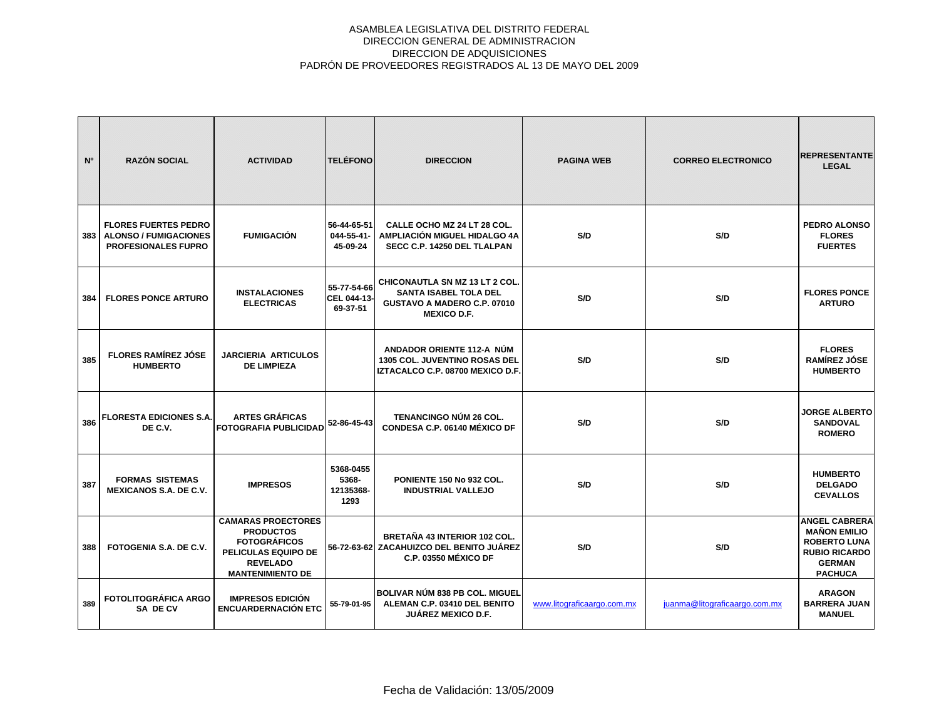| N°  | <b>RAZÓN SOCIAL</b>                                                                       | <b>ACTIVIDAD</b>                                                                                                                          | <b>TELÉFONO</b>                         | <b>DIRECCION</b>                                                                                                           | <b>PAGINA WEB</b>          | <b>CORREO ELECTRONICO</b>     | <b>REPRESENTANTE</b><br><b>LEGAL</b>                                                                                          |
|-----|-------------------------------------------------------------------------------------------|-------------------------------------------------------------------------------------------------------------------------------------------|-----------------------------------------|----------------------------------------------------------------------------------------------------------------------------|----------------------------|-------------------------------|-------------------------------------------------------------------------------------------------------------------------------|
| 383 | <b>FLORES FUERTES PEDRO</b><br><b>ALONSO / FUMIGACIONES</b><br><b>PROFESIONALES FUPRO</b> | <b>FUMIGACIÓN</b>                                                                                                                         | 56-44-65-51<br>044-55-41-<br>45-09-24   | CALLE OCHO MZ 24 LT 28 COL.<br>AMPLIACIÓN MIGUEL HIDALGO 4A<br>SECC C.P. 14250 DEL TLALPAN                                 | S/D                        | S/D                           | <b>PEDRO ALONSO</b><br><b>FLORES</b><br><b>FUERTES</b>                                                                        |
| 384 | <b>FLORES PONCE ARTURO</b>                                                                | <b>INSTALACIONES</b><br><b>ELECTRICAS</b>                                                                                                 | 55-77-54-66<br>CEL 044-13-<br>69-37-51  | <b>CHICONAUTLA SN MZ 13 LT 2 COL.</b><br><b>SANTA ISABEL TOLA DEL</b><br>GUSTAVO A MADERO C.P. 07010<br><b>MEXICO D.F.</b> | S/D                        | S/D                           | <b>FLORES PONCE</b><br><b>ARTURO</b>                                                                                          |
| 385 | <b>FLORES RAMÍREZ JÓSE</b><br><b>HUMBERTO</b>                                             | <b>JARCIERIA ARTICULOS</b><br><b>DE LIMPIEZA</b>                                                                                          |                                         | ANDADOR ORIENTE 112-A NÚM<br><b>1305 COL. JUVENTINO ROSAS DEL</b><br>IZTACALCO C.P. 08700 MEXICO D.F.                      | S/D                        | S/D                           | <b>FLORES</b><br><b>RAMÍREZ JÓSE</b><br><b>HUMBERTO</b>                                                                       |
| 386 | <b>FLORESTA EDICIONES S.A.I</b><br>DE C.V.                                                | <b>ARTES GRÁFICAS</b><br><b>FOTOGRAFIA PUBLICIDAD</b>                                                                                     | 52-86-45-43                             | <b>TENANCINGO NÚM 26 COL.</b><br>CONDESA C.P. 06140 MÉXICO DF                                                              | S/D                        | S/D                           | <b>JORGE ALBERTO</b><br><b>SANDOVAL</b><br><b>ROMERO</b>                                                                      |
| 387 | <b>FORMAS SISTEMAS</b><br><b>MEXICANOS S.A. DE C.V.</b>                                   | <b>IMPRESOS</b>                                                                                                                           | 5368-0455<br>5368-<br>12135368-<br>1293 | PONIENTE 150 No 932 COL.<br><b>INDUSTRIAL VALLEJO</b>                                                                      | S/D                        | S/D                           | <b>HUMBERTO</b><br><b>DELGADO</b><br><b>CEVALLOS</b>                                                                          |
| 388 | <b>FOTOGENIA S.A. DE C.V.</b>                                                             | <b>CAMARAS PROECTORES</b><br><b>PRODUCTOS</b><br><b>FOTOGRÁFICOS</b><br>PELICULAS EQUIPO DE<br><b>REVELADO</b><br><b>MANTENIMIENTO DE</b> |                                         | <b>BRETAÑA 43 INTERIOR 102 COL.</b><br>56-72-63-62 ZACAHUIZCO DEL BENITO JUÁREZ<br>C.P. 03550 MÉXICO DF                    | S/D                        | S/D                           | <b>ANGEL CABRERA</b><br><b>MAÑON EMILIO</b><br><b>ROBERTO LUNA</b><br><b>RUBIO RICARDO</b><br><b>GERMAN</b><br><b>PACHUCA</b> |
| 389 | <b>FOTOLITOGRÁFICA ARGO</b><br>SA DE CV                                                   | <b>IMPRESOS EDICIÓN</b><br><b>ENCUARDERNACIÓN ETC</b>                                                                                     | 55-79-01-95                             | <b>BOLIVAR NÚM 838 PB COL. MIGUEL</b><br>ALEMAN C.P. 03410 DEL BENITO<br><b>JUÁREZ MEXICO D.F.</b>                         | www.litograficaargo.com.mx | juanma@litograficaargo.com.mx | <b>ARAGON</b><br><b>BARRERA JUAN</b><br><b>MANUEL</b>                                                                         |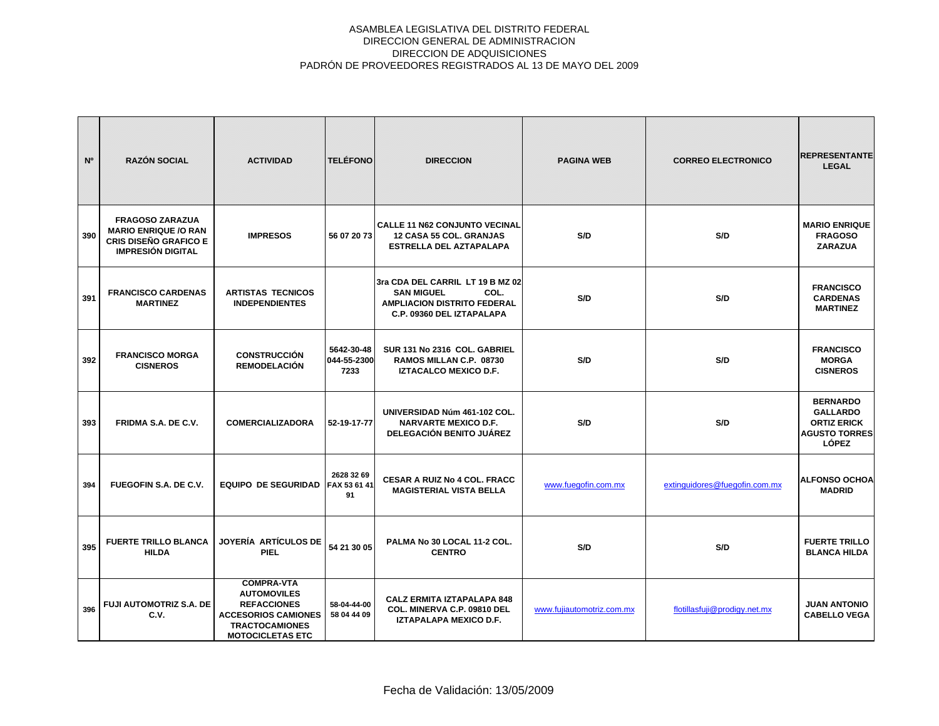| N <sup>o</sup> | <b>RAZÓN SOCIAL</b>                                                                                               | <b>ACTIVIDAD</b>                                                                                                                                | <b>TELÉFONO</b>                   | <b>DIRECCION</b>                                                                                                                 | <b>PAGINA WEB</b>         | <b>CORREO ELECTRONICO</b>     | <b>REPRESENTANTE</b><br><b>LEGAL</b>                                                             |
|----------------|-------------------------------------------------------------------------------------------------------------------|-------------------------------------------------------------------------------------------------------------------------------------------------|-----------------------------------|----------------------------------------------------------------------------------------------------------------------------------|---------------------------|-------------------------------|--------------------------------------------------------------------------------------------------|
| 390            | <b>FRAGOSO ZARAZUA</b><br><b>MARIO ENRIQUE /O RAN</b><br><b>CRIS DISEÑO GRAFICO E</b><br><b>IMPRESIÓN DIGITAL</b> | <b>IMPRESOS</b>                                                                                                                                 | 56 07 20 73                       | <b>CALLE 11 N62 CONJUNTO VECINAL</b><br><b>12 CASA 55 COL. GRANJAS</b><br><b>ESTRELLA DEL AZTAPALAPA</b>                         | S/D                       | S/D                           | <b>MARIO ENRIQUE</b><br><b>FRAGOSO</b><br><b>ZARAZUA</b>                                         |
| 391            | <b>FRANCISCO CARDENAS</b><br><b>MARTINEZ</b>                                                                      | <b>ARTISTAS TECNICOS</b><br><b>INDEPENDIENTES</b>                                                                                               |                                   | 3ra CDA DEL CARRIL LT 19 B MZ 02<br><b>SAN MIGUEL</b><br>COL.<br><b>AMPLIACION DISTRITO FEDERAL</b><br>C.P. 09360 DEL IZTAPALAPA | S/D                       | S/D                           | <b>FRANCISCO</b><br><b>CARDENAS</b><br><b>MARTINEZ</b>                                           |
| 392            | <b>FRANCISCO MORGA</b><br><b>CISNEROS</b>                                                                         | <b>CONSTRUCCIÓN</b><br><b>REMODELACIÓN</b>                                                                                                      | 5642-30-48<br>044-55-2300<br>7233 | SUR 131 No 2316 COL. GABRIEL<br>RAMOS MILLAN C.P. 08730<br>IZTACALCO MEXICO D.F.                                                 | S/D                       | S/D                           | <b>FRANCISCO</b><br><b>MORGA</b><br><b>CISNEROS</b>                                              |
| 393            | <b>FRIDMA S.A. DE C.V.</b>                                                                                        | <b>COMERCIALIZADORA</b>                                                                                                                         | 52-19-17-77                       | UNIVERSIDAD Núm 461-102 COL.<br><b>NARVARTE MEXICO D.F.</b><br>DELEGACIÓN BENITO JUÁREZ                                          | S/D                       | S/D                           | <b>BERNARDO</b><br><b>GALLARDO</b><br><b>ORTIZ ERICK</b><br><b>AGUSTO TORRES</b><br><b>LÓPEZ</b> |
| 394            | FUEGOFIN S.A. DE C.V.                                                                                             | <b>EQUIPO DE SEGURIDAD</b>                                                                                                                      | 2628 32 69<br>FAX 53 61 41<br>91  | <b>CESAR A RUIZ No 4 COL. FRACC</b><br><b>MAGISTERIAL VISTA BELLA</b>                                                            | www.fuegofin.com.mx       | extinguidores@fuegofin.com.mx | <b>ALFONSO OCHOA</b><br><b>MADRID</b>                                                            |
| 395            | <b>FUERTE TRILLO BLANCA</b><br><b>HILDA</b>                                                                       | JOYERÍA ARTÍCULOS DE<br><b>PIEL</b>                                                                                                             | 54 21 30 05                       | PALMA No 30 LOCAL 11-2 COL.<br><b>CENTRO</b>                                                                                     | S/D                       | S/D                           | <b>FUERTE TRILLO</b><br><b>BLANCA HILDA</b>                                                      |
| 396            | <b>FUJI AUTOMOTRIZ S.A. DE</b><br>C.V.                                                                            | <b>COMPRA-VTA</b><br><b>AUTOMOVILES</b><br><b>REFACCIONES</b><br><b>ACCESORIOS CAMIONES</b><br><b>TRACTOCAMIONES</b><br><b>MOTOCICLETAS ETC</b> | 58-04-44-00<br>58 04 44 09        | <b>CALZ ERMITA IZTAPALAPA 848</b><br><b>COL. MINERVA C.P. 09810 DEL</b><br>IZTAPALAPA MEXICO D.F.                                | www.fujiautomotriz.com.mx | flotillasfuji@prodigy.net.mx  | <b>JUAN ANTONIO</b><br><b>CABELLO VEGA</b>                                                       |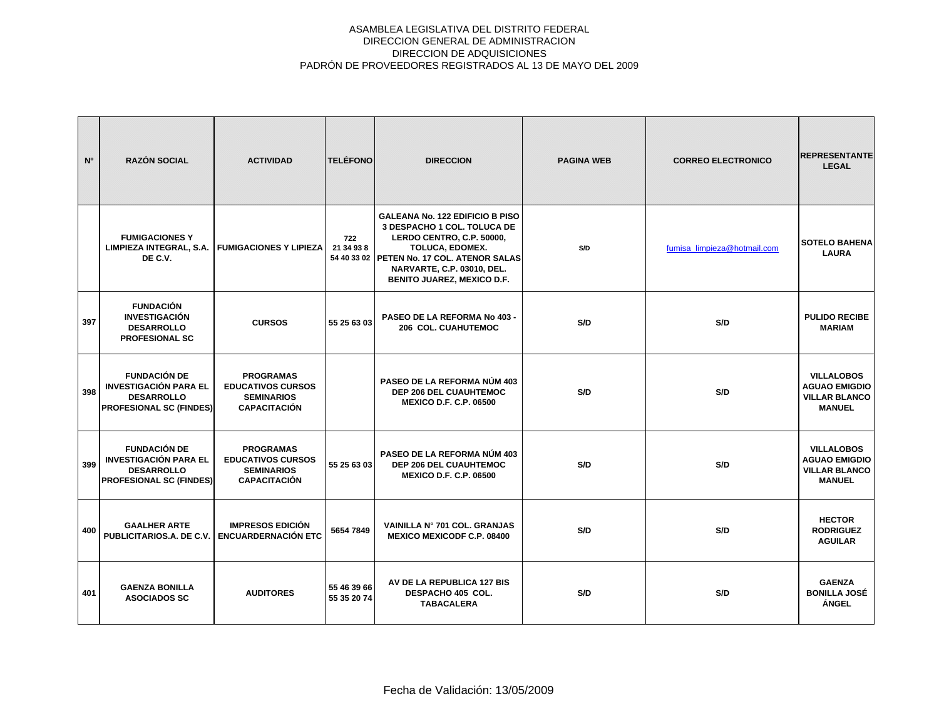| N <sup>o</sup> | <b>RAZÓN SOCIAL</b>                                                                                        | <b>ACTIVIDAD</b>                                                                         | <b>TELÉFONO</b>            | <b>DIRECCION</b>                                                                                                                                                                                                                              | <b>PAGINA WEB</b> | <b>CORREO ELECTRONICO</b>   | <b>REPRESENTANTE</b><br><b>LEGAL</b>                                               |
|----------------|------------------------------------------------------------------------------------------------------------|------------------------------------------------------------------------------------------|----------------------------|-----------------------------------------------------------------------------------------------------------------------------------------------------------------------------------------------------------------------------------------------|-------------------|-----------------------------|------------------------------------------------------------------------------------|
|                | <b>FUMIGACIONES Y</b><br>LIMPIEZA INTEGRAL, S.A.<br>DE C.V.                                                | <b>FUMIGACIONES Y LIPIEZA</b>                                                            | 722<br>21 34 93 8          | <b>GALEANA No. 122 EDIFICIO B PISO</b><br>3 DESPACHO 1 COL. TOLUCA DE<br>LERDO CENTRO, C.P. 50000,<br><b>TOLUCA, EDOMEX.</b><br>54 40 33 02 PETEN No. 17 COL. ATENOR SALAS<br>NARVARTE, C.P. 03010, DEL.<br><b>BENITO JUAREZ, MEXICO D.F.</b> | S/D               | fumisa limpieza@hotmail.com | <b>SOTELO BAHENA</b><br><b>LAURA</b>                                               |
| 397            | <b>FUNDACIÓN</b><br><b>INVESTIGACIÓN</b><br><b>DESARROLLO</b><br><b>PROFESIONAL SC</b>                     | <b>CURSOS</b>                                                                            | 55 25 63 03                | PASEO DE LA REFORMA No 403 -<br><b>206 COL. CUAHUTEMOC</b>                                                                                                                                                                                    | S/D               | S/D                         | <b>PULIDO RECIBE</b><br><b>MARIAM</b>                                              |
| 398            | <b>FUNDACIÓN DE</b><br><b>INVESTIGACIÓN PARA EL</b><br><b>DESARROLLO</b><br><b>PROFESIONAL SC (FINDES)</b> | <b>PROGRAMAS</b><br><b>EDUCATIVOS CURSOS</b><br><b>SEMINARIOS</b><br><b>CAPACITACIÓN</b> |                            | PASEO DE LA REFORMA NÚM 403<br><b>DEP 206 DEL CUAUHTEMOC</b><br><b>MEXICO D.F. C.P. 06500</b>                                                                                                                                                 | S/D               | S/D                         | <b>VILLALOBOS</b><br><b>AGUAO EMIGDIO</b><br><b>VILLAR BLANCO</b><br><b>MANUEL</b> |
| 399            | <b>FUNDACIÓN DE</b><br><b>INVESTIGACIÓN PARA EL</b><br><b>DESARROLLO</b><br><b>PROFESIONAL SC (FINDES)</b> | <b>PROGRAMAS</b><br><b>EDUCATIVOS CURSOS</b><br><b>SEMINARIOS</b><br><b>CAPACITACIÓN</b> | 55 25 63 03                | PASEO DE LA REFORMA NÚM 403<br><b>DEP 206 DEL CUAUHTEMOC</b><br><b>MEXICO D.F. C.P. 06500</b>                                                                                                                                                 | S/D               | S/D                         | <b>VILLALOBOS</b><br><b>AGUAO EMIGDIO</b><br><b>VILLAR BLANCO</b><br><b>MANUEL</b> |
| 400            | <b>GAALHER ARTE</b><br>PUBLICITARIOS.A. DE C.V.                                                            | <b>IMPRESOS EDICIÓN</b><br><b>ENCUARDERNACIÓN ETC</b>                                    | 5654 7849                  | VAINILLA Nº 701 COL. GRANJAS<br><b>MEXICO MEXICODF C.P. 08400</b>                                                                                                                                                                             | S/D               | S/D                         | <b>HECTOR</b><br><b>RODRIGUEZ</b><br><b>AGUILAR</b>                                |
| 401            | <b>GAENZA BONILLA</b><br><b>ASOCIADOS SC</b>                                                               | <b>AUDITORES</b>                                                                         | 55 46 39 66<br>55 35 20 74 | AV DE LA REPUBLICA 127 BIS<br>DESPACHO 405 COL.<br><b>TABACALERA</b>                                                                                                                                                                          | S/D               | S/D                         | <b>GAENZA</b><br><b>BONILLA JOSÉ</b><br><b>ÁNGEL</b>                               |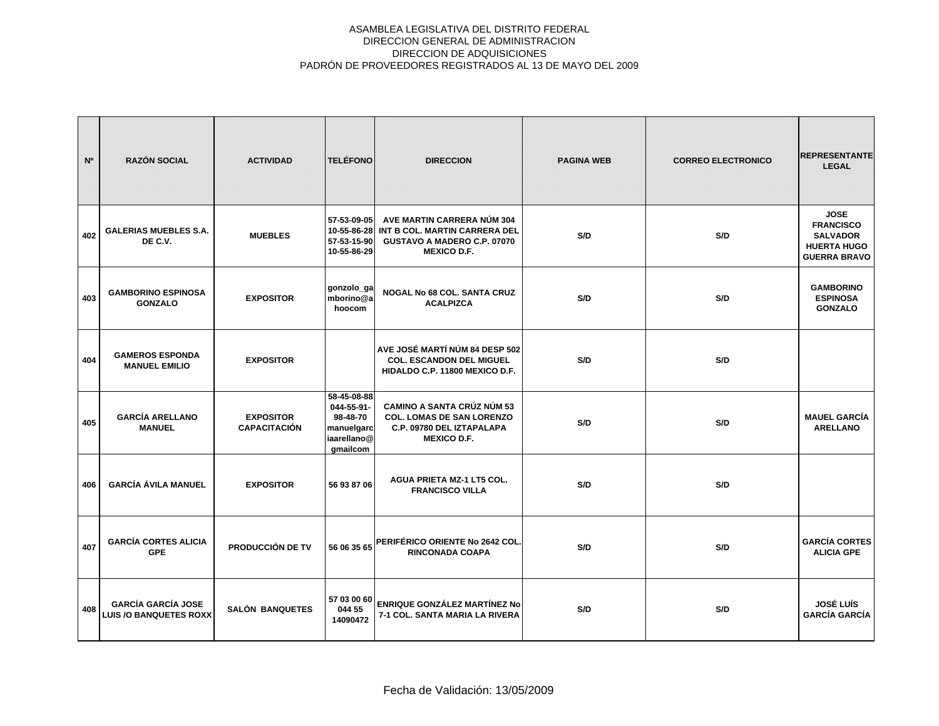| N <sup>o</sup> | <b>RAZÓN SOCIAL</b>                                        | <b>ACTIVIDAD</b>                        | <b>TELÉFONO</b>                                                                | <b>DIRECCION</b>                                                                                                         | <b>PAGINA WEB</b> | <b>CORREO ELECTRONICO</b> | <b>REPRESENTANTE</b><br><b>LEGAL</b>                                                            |
|----------------|------------------------------------------------------------|-----------------------------------------|--------------------------------------------------------------------------------|--------------------------------------------------------------------------------------------------------------------------|-------------------|---------------------------|-------------------------------------------------------------------------------------------------|
| 402            | <b>GALERIAS MUEBLES S.A.</b><br>DE C.V.                    | <b>MUEBLES</b>                          | 57-53-09-05<br>10-55-86-28<br>57-53-15-90<br>10-55-86-29                       | AVE MARTIN CARRERA NÚM 304<br>INT B COL. MARTIN CARRERA DEL<br>GUSTAVO A MADERO C.P. 07070<br><b>MEXICO D.F.</b>         | S/D               | S/D                       | <b>JOSE</b><br><b>FRANCISCO</b><br><b>SALVADOR</b><br><b>HUERTA HUGO</b><br><b>GUERRA BRAVO</b> |
| 403            | <b>GAMBORINO ESPINOSA</b><br><b>GONZALO</b>                | <b>EXPOSITOR</b>                        | gonzolo_ga<br>mborino@a<br>hoocom                                              | NOGAL No 68 COL. SANTA CRUZ<br><b>ACALPIZCA</b>                                                                          | S/D               | S/D                       | <b>GAMBORINO</b><br><b>ESPINOSA</b><br><b>GONZALO</b>                                           |
| 404            | <b>GAMEROS ESPONDA</b><br><b>MANUEL EMILIO</b>             | <b>EXPOSITOR</b>                        |                                                                                | AVE JOSÉ MARTÍ NÚM 84 DESP 502<br><b>COL. ESCANDON DEL MIGUEL</b><br>HIDALDO C.P. 11800 MEXICO D.F.                      | S/D               | S/D                       |                                                                                                 |
| 405            | <b>GARCÍA ARELLANO</b><br><b>MANUEL</b>                    | <b>EXPOSITOR</b><br><b>CAPACITACIÓN</b> | 58-45-08-88<br>044-55-91-<br>98-48-70<br>manuelgarc<br>iaarellano@<br>gmailcom | <b>CAMINO A SANTA CRÚZ NÚM 53</b><br><b>COL. LOMAS DE SAN LORENZO</b><br>C.P. 09780 DEL IZTAPALAPA<br><b>MEXICO D.F.</b> | S/D               | S/D                       | <b>MAUEL GARCÍA</b><br><b>ARELLANO</b>                                                          |
| 406            | <b>GARCÍA ÁVILA MANUEL</b>                                 | <b>EXPOSITOR</b>                        | 56 93 87 06                                                                    | <b>AGUA PRIETA MZ-1 LT5 COL.</b><br><b>FRANCISCO VILLA</b>                                                               | S/D               | S/D                       |                                                                                                 |
| 407            | <b>GARCÍA CORTES ALICIA</b><br><b>GPE</b>                  | <b>PRODUCCIÓN DE TV</b>                 | 56 06 35 65                                                                    | PERIFÉRICO ORIENTE No 2642 COL<br><b>RINCONADA COAPA</b>                                                                 | S/D               | S/D                       | <b>GARCÍA CORTES</b><br><b>ALICIA GPE</b>                                                       |
| 408            | <b>GARCÍA GARCÍA JOSE</b><br><b>LUIS /O BANQUETES ROXX</b> | <b>SALÓN BANQUETES</b>                  | 57 03 00 60<br>044 55<br>14090472                                              | ENRIQUE GONZÁLEZ MARTÍNEZ No<br>7-1 COL. SANTA MARIA LA RIVERA                                                           | S/D               | S/D                       | <b>JOSÉ LUÍS</b><br><b>GARCÍA GARCÍA</b>                                                        |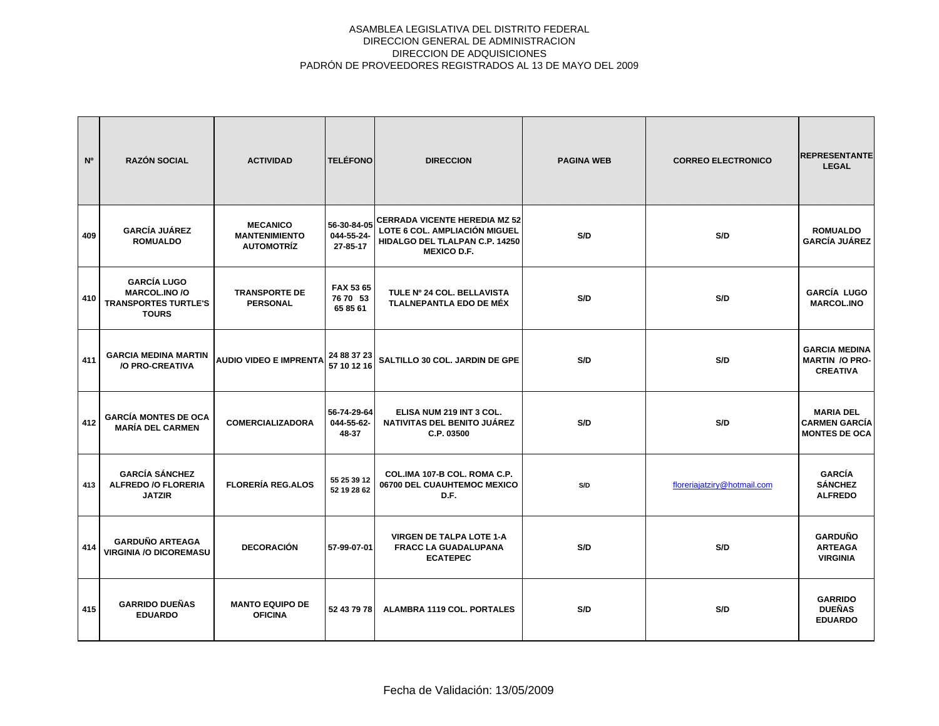| N <sup>o</sup> | <b>RAZÓN SOCIAL</b>                                                                       | <b>ACTIVIDAD</b>                                             | <b>TELÉFONO</b>                       | <b>DIRECCION</b>                                                                                                              | <b>PAGINA WEB</b> | <b>CORREO ELECTRONICO</b>   | <b>REPRESENTANTE</b><br><b>LEGAL</b>                             |
|----------------|-------------------------------------------------------------------------------------------|--------------------------------------------------------------|---------------------------------------|-------------------------------------------------------------------------------------------------------------------------------|-------------------|-----------------------------|------------------------------------------------------------------|
| 409            | <b>GARCÍA JUÁREZ</b><br><b>ROMUALDO</b>                                                   | <b>MECANICO</b><br><b>MANTENIMIENTO</b><br><b>AUTOMOTRÍZ</b> | 56-30-84-05<br>044-55-24-<br>27-85-17 | <b>CERRADA VICENTE HEREDIA MZ 52</b><br>LOTE 6 COL. AMPLIACIÓN MIGUEL<br>HIDALGO DEL TLALPAN C.P. 14250<br><b>MEXICO D.F.</b> | S/D               | S/D                         | <b>ROMUALDO</b><br><b>GARCÍA JUÁREZ</b>                          |
| 410            | <b>GARCÍA LUGO</b><br><b>MARCOL.INO /O</b><br><b>TRANSPORTES TURTLE'S</b><br><b>TOURS</b> | <b>TRANSPORTE DE</b><br><b>PERSONAL</b>                      | FAX 53 65<br>76 70 53<br>65 85 61     | TULE Nº 24 COL. BELLAVISTA<br>TLALNEPANTLA EDO DE MÉX                                                                         | S/D               | S/D                         | GARCÍA LUGO<br><b>MARCOL.INO</b>                                 |
| 411            | <b>GARCIA MEDINA MARTIN</b><br>/O PRO-CREATIVA                                            | <b>AUDIO VIDEO E IMPRENTA</b>                                | 24 88 37 23<br>57 10 12 16            | SALTILLO 30 COL. JARDIN DE GPE                                                                                                | S/D               | S/D                         | <b>GARCIA MEDINA</b><br><b>MARTIN /O PRO-</b><br><b>CREATIVA</b> |
| 412            | <b>GARCÍA MONTES DE OCA</b><br><b>MARÍA DEL CARMEN</b>                                    | <b>COMERCIALIZADORA</b>                                      | 56-74-29-64<br>044-55-62-<br>48-37    | ELISA NUM 219 INT 3 COL.<br>NATIVITAS DEL BENITO JUÁREZ<br>C.P. 03500                                                         | S/D               | S/D                         | <b>MARIA DEL</b><br><b>CARMEN GARCÍA</b><br><b>MONTES DE OCA</b> |
| 413            | <b>GARCÍA SÁNCHEZ</b><br><b>ALFREDO /O FLORERIA</b><br><b>JATZIR</b>                      | <b>FLORERÍA REG.ALOS</b>                                     | 55 25 39 12<br>52 19 28 62            | COL.IMA 107-B COL. ROMA C.P.<br>06700 DEL CUAUHTEMOC MEXICO<br>D.F.                                                           | S/D               | floreriajatziry@hotmail.com | <b>GARCÍA</b><br><b>SÁNCHEZ</b><br><b>ALFREDO</b>                |
| 414            | <b>GARDUÑO ARTEAGA</b><br><b>VIRGINIA /O DICOREMASU</b>                                   | DECORACIÓN                                                   | 57-99-07-01                           | <b>VIRGEN DE TALPA LOTE 1-A</b><br><b>FRACC LA GUADALUPANA</b><br><b>ECATEPEC</b>                                             | S/D               | S/D                         | <b>GARDUÑO</b><br><b>ARTEAGA</b><br><b>VIRGINIA</b>              |
| 415            | <b>GARRIDO DUEÑAS</b><br><b>EDUARDO</b>                                                   | <b>MANTO EQUIPO DE</b><br><b>OFICINA</b>                     | 52 43 79 78                           | <b>ALAMBRA 1119 COL. PORTALES</b>                                                                                             | S/D               | S/D                         | <b>GARRIDO</b><br><b>DUEÑAS</b><br><b>EDUARDO</b>                |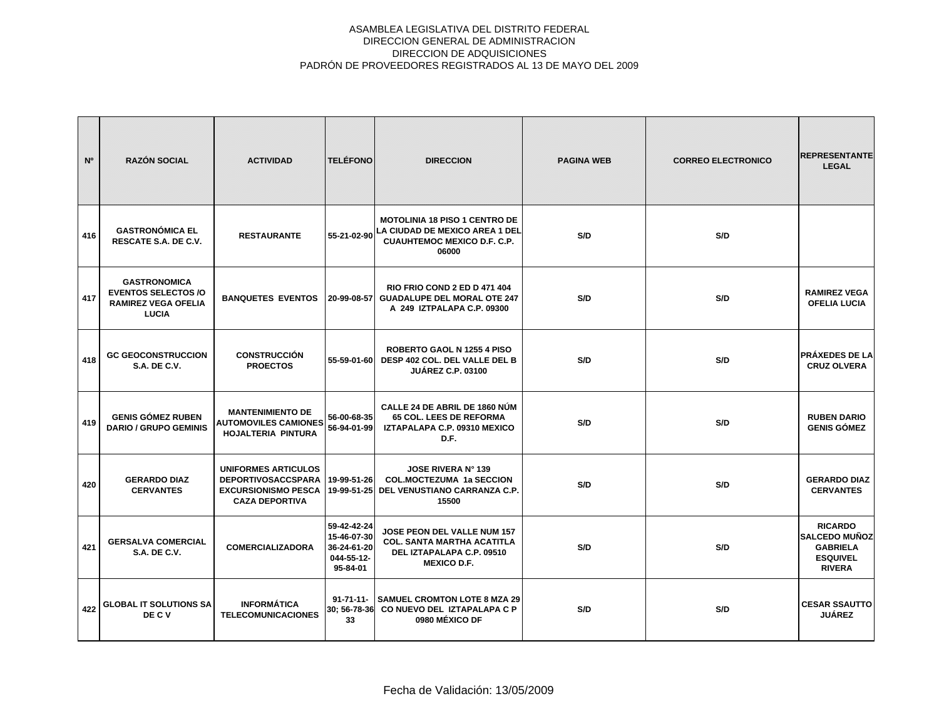| N <sup>o</sup> | <b>RAZÓN SOCIAL</b>                                                                            | <b>ACTIVIDAD</b>                                                                                               | <b>TELÉFONO</b>                                                     | <b>DIRECCION</b>                                                                                                      | <b>PAGINA WEB</b> | <b>CORREO ELECTRONICO</b> | <b>REPRESENTANTE</b><br><b>LEGAL</b>                                                          |
|----------------|------------------------------------------------------------------------------------------------|----------------------------------------------------------------------------------------------------------------|---------------------------------------------------------------------|-----------------------------------------------------------------------------------------------------------------------|-------------------|---------------------------|-----------------------------------------------------------------------------------------------|
| 416            | <b>GASTRONÓMICA EL</b><br>RESCATE S.A. DE C.V.                                                 | <b>RESTAURANTE</b>                                                                                             | 55-21-02-90                                                         | <b>MOTOLINIA 18 PISO 1 CENTRO DE</b><br>LA CIUDAD DE MEXICO AREA 1 DEL<br><b>CUAUHTEMOC MEXICO D.F. C.P.</b><br>06000 | S/D               | S/D                       |                                                                                               |
| 417            | <b>GASTRONOMICA</b><br><b>EVENTOS SELECTOS/O</b><br><b>RAMIREZ VEGA OFELIA</b><br><b>LUCIA</b> | <b>BANQUETES EVENTOS</b>                                                                                       | 20-99-08-57                                                         | <b>RIO FRIO COND 2 ED D 471 404</b><br><b>GUADALUPE DEL MORAL OTE 247</b><br>A 249 IZTPALAPA C.P. 09300               | S/D               | S/D                       | <b>RAMIREZ VEGA</b><br><b>OFELIA LUCIA</b>                                                    |
| 418            | <b>GC GEOCONSTRUCCION</b><br><b>S.A. DE C.V.</b>                                               | <b>CONSTRUCCIÓN</b><br><b>PROECTOS</b>                                                                         | 55-59-01-60                                                         | <b>ROBERTO GAOL N 1255 4 PISO</b><br>DESP 402 COL. DEL VALLE DEL B<br><b>JUÁREZ C.P. 03100</b>                        | S/D               | S/D                       | <b>PRÁXEDES DE LA</b><br><b>CRUZ OLVERA</b>                                                   |
| 419            | <b>GENIS GÓMEZ RUBEN</b><br><b>DARIO / GRUPO GEMINIS</b>                                       | <b>MANTENIMIENTO DE</b><br><b>AUTOMOVILES CAMIONES</b><br><b>HOJALTERIA PINTURA</b>                            | 56-00-68-35<br>56-94-01-99                                          | CALLE 24 DE ABRIL DE 1860 NÚM<br><b>65 COL. LEES DE REFORMA</b><br>IZTAPALAPA C.P. 09310 MEXICO<br>D.F.               | S/D               | S/D                       | <b>RUBEN DARIO</b><br><b>GENIS GÓMEZ</b>                                                      |
| 420            | <b>GERARDO DIAZ</b><br><b>CERVANTES</b>                                                        | <b>UNIFORMES ARTICULOS</b><br><b>DEPORTIVOSACCSPARA</b><br><b>EXCURSIONISMO PESCA</b><br><b>CAZA DEPORTIVA</b> | 19-99-51-26<br>19-99-51-25                                          | <b>JOSE RIVERA Nº 139</b><br><b>COL.MOCTEZUMA 1a SECCION</b><br>DEL VENUSTIANO CARRANZA C.P.<br>15500                 | S/D               | S/D                       | <b>GERARDO DIAZ</b><br><b>CERVANTES</b>                                                       |
| 421            | <b>GERSALVA COMERCIAL</b><br><b>S.A. DE C.V.</b>                                               | <b>COMERCIALIZADORA</b>                                                                                        | 59-42-42-24<br>15-46-07-30<br>36-24-61-20<br>044-55-12-<br>95-84-01 | JOSE PEON DEL VALLE NUM 157<br><b>COL. SANTA MARTHA ACATITLA</b><br>DEL IZTAPALAPA C.P. 09510<br><b>MEXICO D.F.</b>   | S/D               | S/D                       | <b>RICARDO</b><br><b>SALCEDO MUÑOZ</b><br><b>GABRIELA</b><br><b>ESQUIVEL</b><br><b>RIVERA</b> |
| 422            | <b>GLOBAL IT SOLUTIONS SA</b><br>DE C V                                                        | <b>INFORMÁTICA</b><br><b>TELECOMUNICACIONES</b>                                                                | $91 - 71 - 11 -$<br>30: 56-78-36<br>33                              | <b>SAMUEL CROMTON LOTE 8 MZA 29</b><br>CO NUEVO DEL IZTAPALAPA C P<br>0980 MÉXICO DF                                  | S/D               | S/D                       | <b>CESAR SSAUTTO</b><br><b>JUÁREZ</b>                                                         |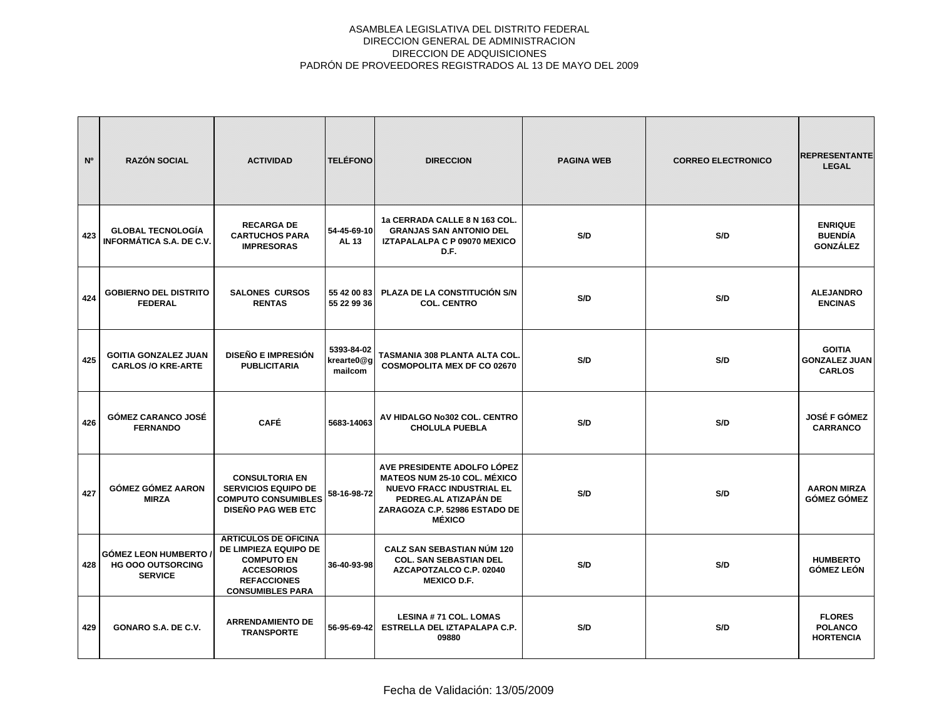| N <sup>o</sup> | <b>RAZÓN SOCIAL</b>                                                      | <b>ACTIVIDAD</b>                                                                                                                                | <b>TELÉFONO</b>                     | <b>DIRECCION</b>                                                                                                                                                                  | <b>PAGINA WEB</b> | <b>CORREO ELECTRONICO</b> | <b>REPRESENTANTE</b><br><b>LEGAL</b>                   |
|----------------|--------------------------------------------------------------------------|-------------------------------------------------------------------------------------------------------------------------------------------------|-------------------------------------|-----------------------------------------------------------------------------------------------------------------------------------------------------------------------------------|-------------------|---------------------------|--------------------------------------------------------|
| 423            | <b>GLOBAL TECNOLOGÍA</b><br>INFORMÁTICA S.A. DE C.V.                     | <b>RECARGA DE</b><br><b>CARTUCHOS PARA</b><br><b>IMPRESORAS</b>                                                                                 | 54-45-69-10<br><b>AL 13</b>         | 1a CERRADA CALLE 8 N 163 COL.<br><b>GRANJAS SAN ANTONIO DEL</b><br>IZTAPALALPA C P 09070 MEXICO<br>D.F.                                                                           | S/D               | S/D                       | <b>ENRIQUE</b><br><b>BUENDÍA</b><br><b>GONZÁLEZ</b>    |
| 424            | <b>GOBIERNO DEL DISTRITO</b><br><b>FEDERAL</b>                           | <b>SALONES CURSOS</b><br><b>RENTAS</b>                                                                                                          | 55 42 00 83<br>55 22 99 36          | PLAZA DE LA CONSTITUCIÓN S/N<br><b>COL. CENTRO</b>                                                                                                                                | S/D               | S/D                       | <b>ALEJANDRO</b><br><b>ENCINAS</b>                     |
| 425            | <b>GOITIA GONZALEZ JUAN</b><br><b>CARLOS /O KRE-ARTE</b>                 | <b>DISEÑO E IMPRESIÓN</b><br><b>PUBLICITARIA</b>                                                                                                | 5393-84-02<br>krearte0@g<br>mailcom | TASMANIA 308 PLANTA ALTA COL.<br><b>COSMOPOLITA MEX DF CO 02670</b>                                                                                                               | S/D               | S/D                       | <b>GOITIA</b><br><b>GONZALEZ JUAN</b><br><b>CARLOS</b> |
| 426            | <b>GÓMEZ CARANCO JOSÉ</b><br><b>FERNANDO</b>                             | <b>CAFÉ</b>                                                                                                                                     | 5683-14063                          | AV HIDALGO No302 COL. CENTRO<br><b>CHOLULA PUEBLA</b>                                                                                                                             | S/D               | S/D                       | <b>JOSÉ F GÓMEZ</b><br><b>CARRANCO</b>                 |
| 427            | <b>GÓMEZ GÓMEZ AARON</b><br><b>MIRZA</b>                                 | <b>CONSULTORIA EN</b><br><b>SERVICIOS EQUIPO DE</b><br><b>COMPUTO CONSUMIBLES</b><br><b>DISEÑO PAG WEB ETC</b>                                  | 58-16-98-72                         | AVE PRESIDENTE ADOLFO LÓPEZ<br><b>MATEOS NUM 25-10 COL. MÉXICO</b><br><b>NUEVO FRACC INDUSTRIAL EL</b><br>PEDREG.AL ATIZAPÁN DE<br>ZARAGOZA C.P. 52986 ESTADO DE<br><b>MÉXICO</b> | S/D               | S/D                       | <b>AARON MIRZA</b><br><b>GÓMEZ GÓMEZ</b>               |
| 428            | <b>GÓMEZ LEON HUMBERTO</b><br><b>HG OOO OUTSORCING</b><br><b>SERVICE</b> | <b>ARTICULOS DE OFICINA</b><br>DE LIMPIEZA EQUIPO DE<br><b>COMPUTO EN</b><br><b>ACCESORIOS</b><br><b>REFACCIONES</b><br><b>CONSUMIBLES PARA</b> | 36-40-93-98                         | <b>CALZ SAN SEBASTIAN NÚM 120</b><br><b>COL. SAN SEBASTIAN DEL</b><br>AZCAPOTZALCO C.P. 02040<br><b>MEXICO D.F.</b>                                                               | S/D               | S/D                       | <b>HUMBERTO</b><br><b>GÓMEZ LEÓN</b>                   |
| 429            | GONARO S.A. DE C.V.                                                      | <b>ARRENDAMIENTO DE</b><br><b>TRANSPORTE</b>                                                                                                    | 56-95-69-42                         | <b>LESINA #71 COL. LOMAS</b><br>ESTRELLA DEL IZTAPALAPA C.P.<br>09880                                                                                                             | S/D               | S/D                       | <b>FLORES</b><br><b>POLANCO</b><br><b>HORTENCIA</b>    |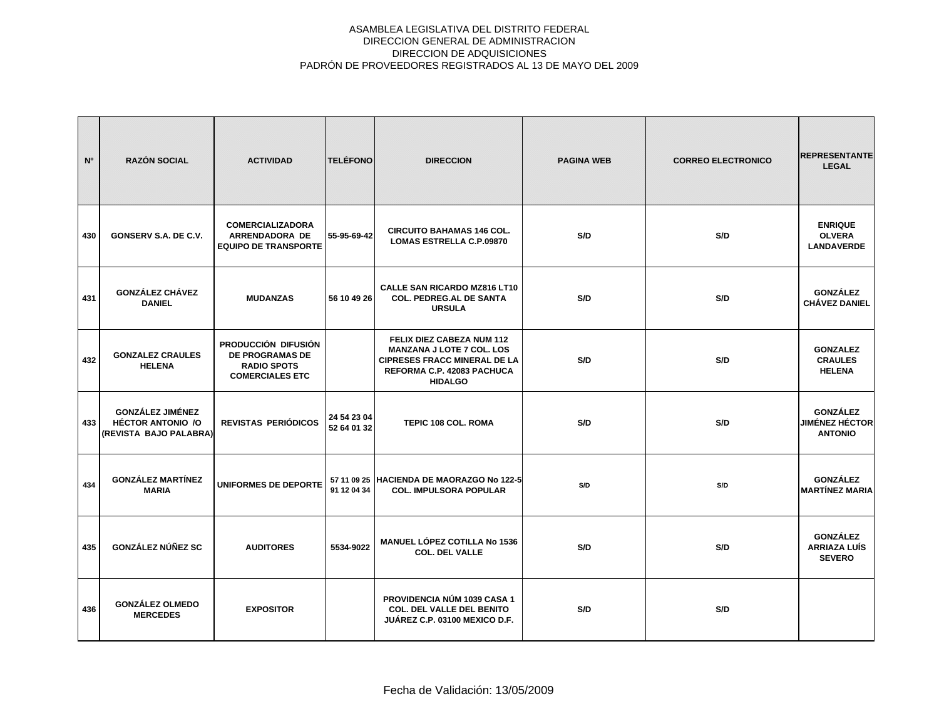| N°  | <b>RAZÓN SOCIAL</b>                                                           | <b>ACTIVIDAD</b>                                                                              | <b>TELÉFONO</b>            | <b>DIRECCION</b>                                                                                                                                     | <b>PAGINA WEB</b> | <b>CORREO ELECTRONICO</b> | <b>REPRESENTANTE</b><br><b>LEGAL</b>                       |
|-----|-------------------------------------------------------------------------------|-----------------------------------------------------------------------------------------------|----------------------------|------------------------------------------------------------------------------------------------------------------------------------------------------|-------------------|---------------------------|------------------------------------------------------------|
| 430 | GONSERV S.A. DE C.V.                                                          | <b>COMERCIALIZADORA</b><br>ARRENDADORA DE<br><b>EQUIPO DE TRANSPORTE</b>                      | 55-95-69-42                | <b>CIRCUITO BAHAMAS 146 COL.</b><br><b>LOMAS ESTRELLA C.P.09870</b>                                                                                  | S/D               | S/D                       | <b>ENRIQUE</b><br><b>OLVERA</b><br><b>LANDAVERDE</b>       |
| 431 | <b>GONZÁLEZ CHÁVEZ</b><br><b>DANIEL</b>                                       | <b>MUDANZAS</b>                                                                               | 56 10 49 26                | <b>CALLE SAN RICARDO MZ816 LT10</b><br><b>COL. PEDREG.AL DE SANTA</b><br><b>URSULA</b>                                                               | S/D               | S/D                       | <b>GONZÁLEZ</b><br><b>CHÁVEZ DANIEL</b>                    |
| 432 | <b>GONZALEZ CRAULES</b><br><b>HELENA</b>                                      | PRODUCCIÓN DIFUSIÓN<br><b>DE PROGRAMAS DE</b><br><b>RADIO SPOTS</b><br><b>COMERCIALES ETC</b> |                            | FELIX DIEZ CABEZA NUM 112<br><b>MANZANA J LOTE 7 COL. LOS</b><br><b>CIPRESES FRACC MINERAL DE LA</b><br>REFORMA C.P. 42083 PACHUCA<br><b>HIDALGO</b> | S/D               | S/D                       | <b>GONZALEZ</b><br><b>CRAULES</b><br><b>HELENA</b>         |
| 433 | <b>GONZÁLEZ JIMÉNEZ</b><br><b>HÉCTOR ANTONIO /O</b><br>(REVISTA BAJO PALABRA) | <b>REVISTAS PERIÓDICOS</b>                                                                    | 24 54 23 04<br>52 64 01 32 | <b>TEPIC 108 COL, ROMA</b>                                                                                                                           | S/D               | S/D                       | <b>GONZÁLEZ</b><br><b>JIMÉNEZ HÉCTOR</b><br><b>ANTONIO</b> |
| 434 | <b>GONZÁLEZ MARTÍNEZ</b><br><b>MARIA</b>                                      | <b>UNIFORMES DE DEPORTE</b>                                                                   | 91 12 04 34                | 57 11 09 25 HACIENDA DE MAORAZGO No 122-5<br><b>COL. IMPULSORA POPULAR</b>                                                                           | S/D               | S/D                       | <b>GONZÁLEZ</b><br><b>MARTÍNEZ MARIA</b>                   |
| 435 | GONZÁLEZ NÚÑEZ SC                                                             | <b>AUDITORES</b>                                                                              | 5534-9022                  | <b>MANUEL LÓPEZ COTILLA No 1536</b><br><b>COL. DEL VALLE</b>                                                                                         | S/D               | S/D                       | <b>GONZÁLEZ</b><br><b>ARRIAZA LUÍS</b><br><b>SEVERO</b>    |
| 436 | <b>GONZÁLEZ OLMEDO</b><br><b>MERCEDES</b>                                     | <b>EXPOSITOR</b>                                                                              |                            | PROVIDENCIA NÚM 1039 CASA 1<br><b>COL. DEL VALLE DEL BENITO</b><br>JUÁREZ C.P. 03100 MEXICO D.F.                                                     | S/D               | S/D                       |                                                            |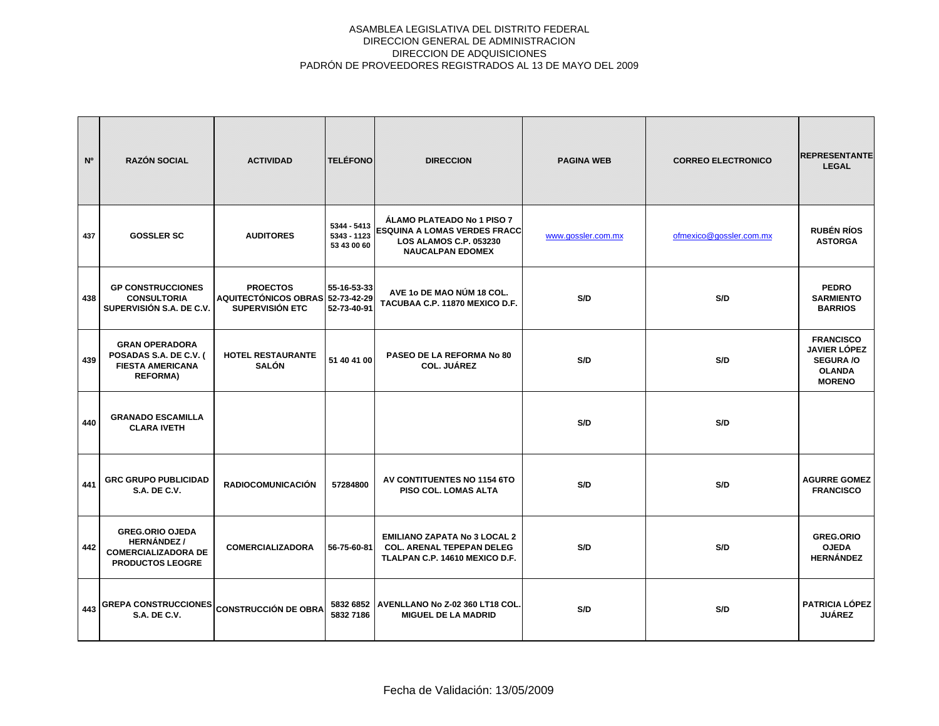| N <sup>o</sup> | <b>RAZÓN SOCIAL</b>                                                                                  | <b>ACTIVIDAD</b>                                                       | <b>TELÉFONO</b>                           | <b>DIRECCION</b>                                                                                                              | <b>PAGINA WEB</b>  | <b>CORREO ELECTRONICO</b> | <b>REPRESENTANTE</b><br><b>LEGAL</b>                                                          |
|----------------|------------------------------------------------------------------------------------------------------|------------------------------------------------------------------------|-------------------------------------------|-------------------------------------------------------------------------------------------------------------------------------|--------------------|---------------------------|-----------------------------------------------------------------------------------------------|
| 437            | <b>GOSSLER SC</b>                                                                                    | <b>AUDITORES</b>                                                       | 5344 - 5413<br>5343 - 1123<br>53 43 00 60 | ÁLAMO PLATEADO No 1 PISO 7<br><b>ESQUINA A LOMAS VERDES FRACC</b><br><b>LOS ALAMOS C.P. 053230</b><br><b>NAUCALPAN EDOMEX</b> | www.gossler.com.mx | ofmexico@gossler.com.mx   | <b>RUBÉN RÍOS</b><br><b>ASTORGA</b>                                                           |
| 438            | <b>GP CONSTRUCCIONES</b><br><b>CONSULTORIA</b><br>SUPERVISIÓN S.A. DE C.V.                           | <b>PROECTOS</b><br>AQUITECTÓNICOS OBRAS 52-73-42-29<br>SUPERVISIÓN ETC | 55-16-53-33<br>52-73-40-91                | AVE 1o DE MAO NÚM 18 COL.<br>TACUBAA C.P. 11870 MEXICO D.F.                                                                   | S/D                | S/D                       | <b>PEDRO</b><br><b>SARMIENTO</b><br><b>BARRIOS</b>                                            |
| 439            | <b>GRAN OPERADORA</b><br>POSADAS S.A. DE C.V. (<br><b>FIESTA AMERICANA</b><br><b>REFORMA)</b>        | <b>HOTEL RESTAURANTE</b><br><b>SALÓN</b>                               | 51 40 41 00                               | PASEO DE LA REFORMA No 80<br><b>COL. JUÁREZ</b>                                                                               | S/D                | S/D                       | <b>FRANCISCO</b><br><b>JAVIER LÓPEZ</b><br><b>SEGURA /O</b><br><b>OLANDA</b><br><b>MORENO</b> |
| 440            | <b>GRANADO ESCAMILLA</b><br><b>CLARA IVETH</b>                                                       |                                                                        |                                           |                                                                                                                               | S/D                | S/D                       |                                                                                               |
| 441            | <b>GRC GRUPO PUBLICIDAD</b><br><b>S.A. DE C.V.</b>                                                   | <b>RADIOCOMUNICACIÓN</b>                                               | 57284800                                  | AV CONTITUENTES NO 1154 6TO<br>PISO COL. LOMAS ALTA                                                                           | S/D                | S/D                       | <b>AGURRE GOMEZ</b><br><b>FRANCISCO</b>                                                       |
| 442            | <b>GREG.ORIO OJEDA</b><br><b>HERNÁNDEZ/</b><br><b>COMERCIALIZADORA DE</b><br><b>PRODUCTOS LEOGRE</b> | <b>COMERCIALIZADORA</b>                                                | 56-75-60-81                               | <b>EMILIANO ZAPATA No 3 LOCAL 2</b><br><b>COL. ARENAL TEPEPAN DELEG</b><br>TLALPAN C.P. 14610 MEXICO D.F.                     | S/D                | S/D                       | <b>GREG.ORIO</b><br><b>OJEDA</b><br><b>HERNÁNDEZ</b>                                          |
| 443            | <b>GREPA CONSTRUCCIONES</b><br><b>S.A. DE C.V.</b>                                                   | <b>CONSTRUCCIÓN DE OBRA</b>                                            | 5832 7186                                 | 5832 6852   AVENLLANO No Z-02 360 LT18 COL<br><b>MIGUEL DE LA MADRID</b>                                                      | S/D                | S/D                       | <b>PATRICIA LÓPEZ</b><br><b>JUÁREZ</b>                                                        |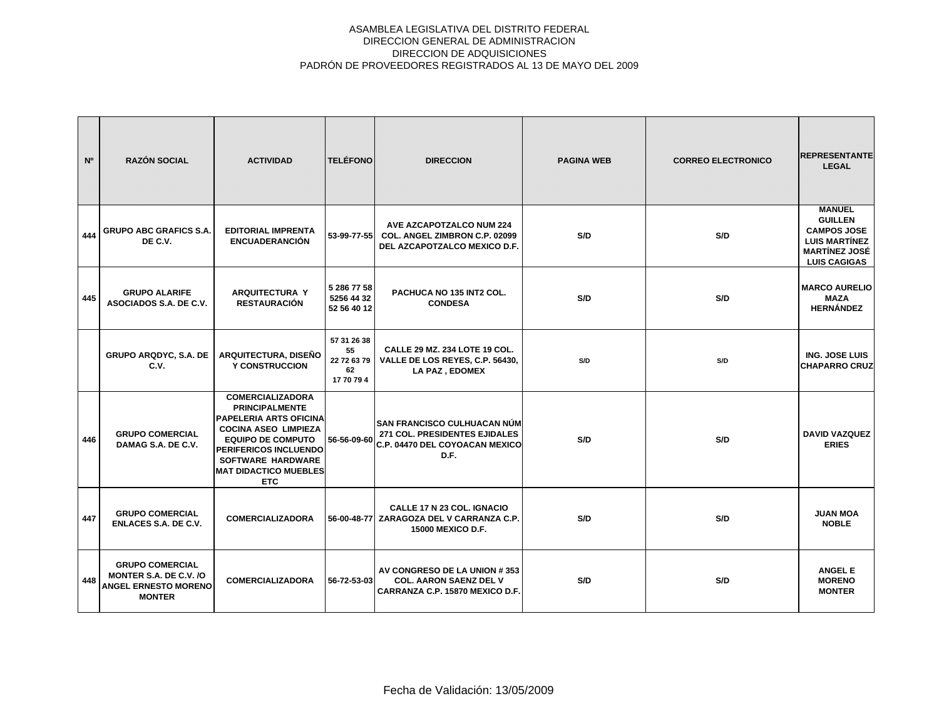| N°  | <b>RAZÓN SOCIAL</b>                                                                              | <b>ACTIVIDAD</b>                                                                                                                                                                                                                                | <b>TELÉFONO</b>                                      | <b>DIRECCION</b>                                                                                        | <b>PAGINA WEB</b> | <b>CORREO ELECTRONICO</b> | <b>REPRESENTANTE</b><br><b>LEGAL</b>                                                                                         |
|-----|--------------------------------------------------------------------------------------------------|-------------------------------------------------------------------------------------------------------------------------------------------------------------------------------------------------------------------------------------------------|------------------------------------------------------|---------------------------------------------------------------------------------------------------------|-------------------|---------------------------|------------------------------------------------------------------------------------------------------------------------------|
| 444 | <b>GRUPO ABC GRAFICS S.A.</b><br>DE C.V.                                                         | <b>EDITORIAL IMPRENTA</b><br><b>ENCUADERANCIÓN</b>                                                                                                                                                                                              | 53-99-77-55                                          | <b>AVE AZCAPOTZALCO NUM 224</b><br><b>COL. ANGEL ZIMBRON C.P. 02099</b><br>DEL AZCAPOTZALCO MEXICO D.F. | S/D               | S/D                       | <b>MANUEL</b><br><b>GUILLEN</b><br><b>CAMPOS JOSE</b><br><b>LUIS MARTINEZ</b><br><b>MARTÍNEZ JOSÉ</b><br><b>LUIS CAGIGAS</b> |
| 445 | <b>GRUPO ALARIFE</b><br>ASOCIADOS S.A. DE C.V.                                                   | <b>ARQUITECTURA Y</b><br><b>RESTAURACIÓN</b>                                                                                                                                                                                                    | 5 286 77 58<br>5256 44 32<br>52 56 40 12             | PACHUCA NO 135 INT2 COL.<br><b>CONDESA</b>                                                              | S/D               | S/D                       | <b>MARCO AURELIO</b><br><b>MAZA</b><br><b>HERNÁNDEZ</b>                                                                      |
|     | <b>GRUPO ARQDYC, S.A. DE</b><br>C.V.                                                             | ARQUITECTURA, DISEÑO<br><b>Y CONSTRUCCION</b>                                                                                                                                                                                                   | 57 31 26 38<br>55<br>22 72 63 79<br>62<br>17 70 79 4 | CALLE 29 MZ. 234 LOTE 19 COL.<br>VALLE DE LOS REYES, C.P. 56430,<br>LA PAZ, EDOMEX                      | S/D               | S/D                       | <b>ING. JOSE LUIS</b><br><b>CHAPARRO CRUZ</b>                                                                                |
| 446 | <b>GRUPO COMERCIAL</b><br>DAMAG S.A. DE C.V.                                                     | <b>COMERCIALIZADORA</b><br><b>PRINCIPALMENTE</b><br><b>PAPELERIA ARTS OFICINA</b><br><b>COCINA ASEO LIMPIEZA</b><br><b>EQUIPO DE COMPUTO</b><br>PERIFERICOS INCLUENDO<br><b>SOFTWARE HARDWARE</b><br><b>MAT DIDACTICO MUEBLES</b><br><b>ETC</b> | 56-56-09-60                                          | SAN FRANCISCO CULHUACAN NÚM<br>271 COL. PRESIDENTES EJIDALES<br>C.P. 04470 DEL COYOACAN MEXICO<br>D.F.  | S/D               | S/D                       | <b>DAVID VAZQUEZ</b><br><b>ERIES</b>                                                                                         |
| 447 | <b>GRUPO COMERCIAL</b><br><b>ENLACES S.A. DE C.V.</b>                                            | <b>COMERCIALIZADORA</b>                                                                                                                                                                                                                         |                                                      | <b>CALLE 17 N 23 COL. IGNACIO</b><br>56-00-48-77 ZARAGOZA DEL V CARRANZA C.P.<br>15000 MEXICO D.F.      | S/D               | S/D                       | <b>JUAN MOA</b><br><b>NOBLE</b>                                                                                              |
| 448 | <b>GRUPO COMERCIAL</b><br>MONTER S.A. DE C.V. /O<br><b>ANGEL ERNESTO MORENO</b><br><b>MONTER</b> | <b>COMERCIALIZADORA</b>                                                                                                                                                                                                                         | 56-72-53-03                                          | AV CONGRESO DE LA UNION #353<br><b>COL. AARON SAENZ DEL V</b><br>CARRANZA C.P. 15870 MEXICO D.F.        | S/D               | S/D                       | <b>ANGEL E</b><br><b>MORENO</b><br><b>MONTER</b>                                                                             |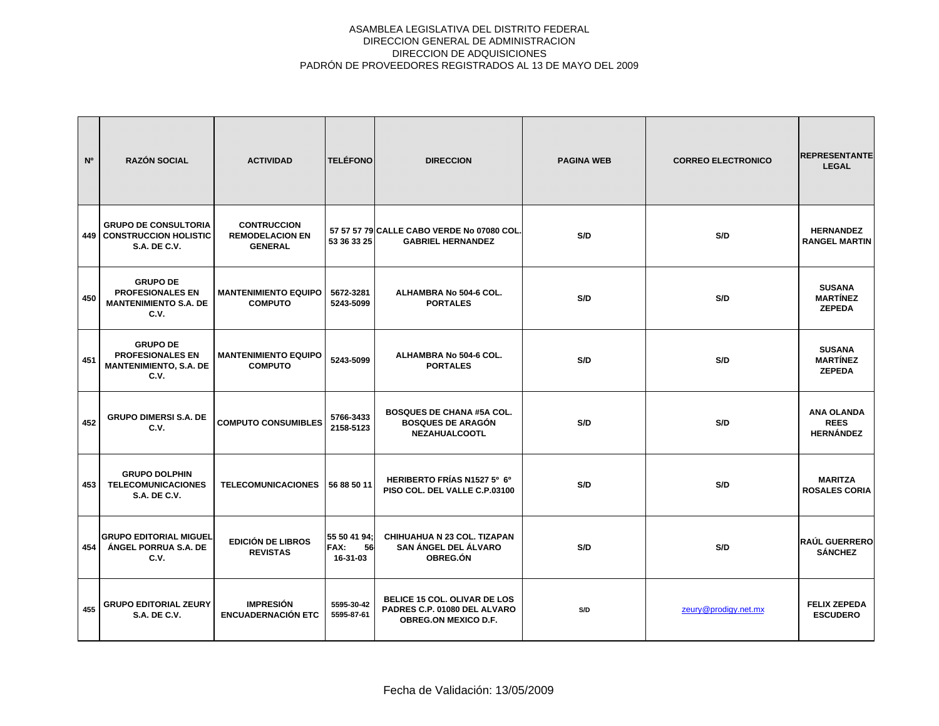| N <sup>o</sup> | <b>RAZÓN SOCIAL</b>                                                                 | <b>ACTIVIDAD</b>                                               | <b>TELÉFONO</b>                               | <b>DIRECCION</b>                                                                                   | <b>PAGINA WEB</b> | <b>CORREO ELECTRONICO</b> | <b>REPRESENTANTE</b><br><b>LEGAL</b>                 |
|----------------|-------------------------------------------------------------------------------------|----------------------------------------------------------------|-----------------------------------------------|----------------------------------------------------------------------------------------------------|-------------------|---------------------------|------------------------------------------------------|
| 449            | <b>GRUPO DE CONSULTORIA</b><br><b>CONSTRUCCION HOLISTIC</b><br><b>S.A. DE C.V.</b>  | <b>CONTRUCCION</b><br><b>REMODELACION EN</b><br><b>GENERAL</b> | 53 36 33 25                                   | 57 57 57 79 CALLE CABO VERDE No 07080 COL<br><b>GABRIEL HERNANDEZ</b>                              | S/D               | S/D                       | <b>HERNANDEZ</b><br><b>RANGEL MARTIN</b>             |
| 450            | <b>GRUPO DE</b><br><b>PROFESIONALES EN</b><br><b>MANTENIMIENTO S.A. DE</b><br>C.V.  | <b>MANTENIMIENTO EQUIPO</b><br><b>COMPUTO</b>                  | 5672-3281<br>5243-5099                        | ALHAMBRA No 504-6 COL.<br><b>PORTALES</b>                                                          | S/D               | S/D                       | <b>SUSANA</b><br><b>MARTÍNEZ</b><br><b>ZEPEDA</b>    |
| 451            | <b>GRUPO DE</b><br><b>PROFESIONALES EN</b><br><b>MANTENIMIENTO, S.A. DE</b><br>C.V. | <b>MANTENIMIENTO EQUIPO</b><br><b>COMPUTO</b>                  | 5243-5099                                     | ALHAMBRA No 504-6 COL.<br><b>PORTALES</b>                                                          | S/D               | S/D                       | <b>SUSANA</b><br><b>MARTÍNEZ</b><br><b>ZEPEDA</b>    |
| 452            | <b>GRUPO DIMERSI S.A. DE</b><br>C.V.                                                | <b>COMPUTO CONSUMIBLES</b>                                     | 5766-3433<br>2158-5123                        | <b>BOSQUES DE CHANA #5A COL.</b><br><b>BOSQUES DE ARAGÓN</b><br><b>NEZAHUALCOOTL</b>               | S/D               | S/D                       | <b>ANA OLANDA</b><br><b>REES</b><br><b>HERNÁNDEZ</b> |
| 453            | <b>GRUPO DOLPHIN</b><br><b>TELECOMUNICACIONES</b><br><b>S.A. DE C.V.</b>            | <b>TELECOMUNICACIONES</b>                                      | 56 88 50 11                                   | HERIBERTO FRÍAS N1527 5º 6º<br>PISO COL. DEL VALLE C.P.03100                                       | S/D               | S/D                       | <b>MARITZA</b><br><b>ROSALES CORIA</b>               |
| 454            | <b>GRUPO EDITORIAL MIGUEL</b><br>ÁNGEL PORRUA S.A. DE<br>C.V.                       | <b>EDICIÓN DE LIBROS</b><br><b>REVISTAS</b>                    | 55 50 41 94:<br><b>FAX:</b><br>56<br>16-31-03 | <b>CHIHUAHUA N 23 COL. TIZAPAN</b><br>SAN ÁNGEL DEL ÁLVARO<br>OBREG.ÓN                             | S/D               | S/D                       | <b>RAÚL GUERRERO</b><br><b>SÁNCHEZ</b>               |
| 455            | <b>GRUPO EDITORIAL ZEURY</b><br><b>S.A. DE C.V.</b>                                 | <b>IMPRESIÓN</b><br><b>ENCUADERNACIÓN ETC</b>                  | 5595-30-42<br>5595-87-61                      | <b>BELICE 15 COL. OLIVAR DE LOS</b><br>PADRES C.P. 01080 DEL ALVARO<br><b>OBREG.ON MEXICO D.F.</b> | S/D               | zeury@prodigy.net.mx      | <b>FELIX ZEPEDA</b><br><b>ESCUDERO</b>               |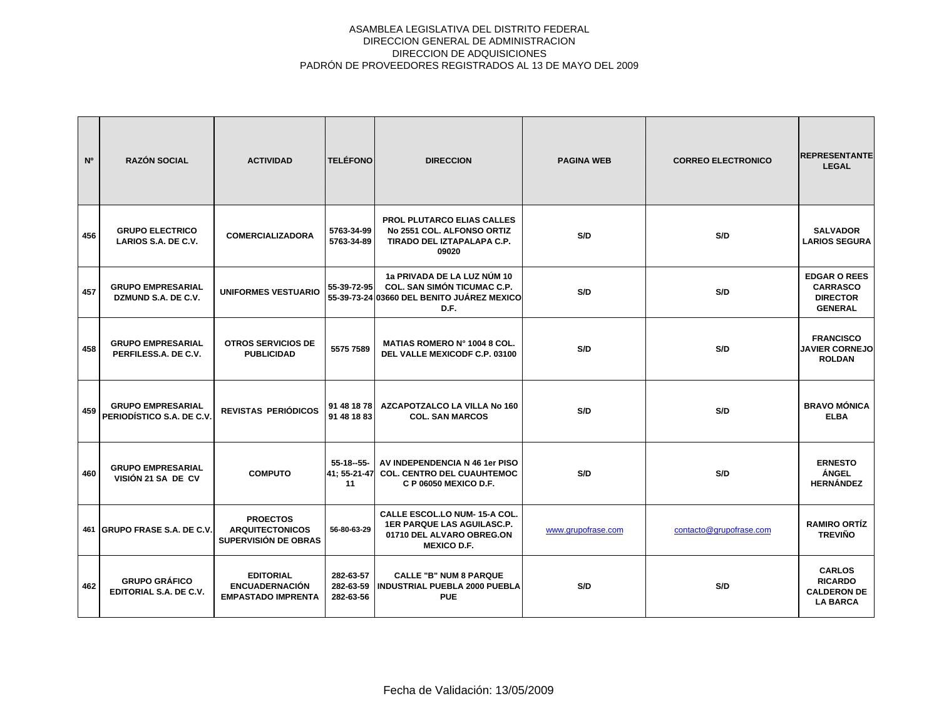| N°  | <b>RAZÓN SOCIAL</b>                                   | <b>ACTIVIDAD</b>                                                       | <b>TELÉFONO</b>                     | <b>DIRECCION</b>                                                                                                            | <b>PAGINA WEB</b>  | <b>CORREO ELECTRONICO</b> | <b>REPRESENTANTE</b><br><b>LEGAL</b>                                        |
|-----|-------------------------------------------------------|------------------------------------------------------------------------|-------------------------------------|-----------------------------------------------------------------------------------------------------------------------------|--------------------|---------------------------|-----------------------------------------------------------------------------|
| 456 | <b>GRUPO ELECTRICO</b><br>LARIOS S.A. DE C.V.         | <b>COMERCIALIZADORA</b>                                                | 5763-34-99<br>5763-34-89            | <b>PROL PLUTARCO ELIAS CALLES</b><br>No 2551 COL. ALFONSO ORTIZ<br>TIRADO DEL IZTAPALAPA C.P.<br>09020                      | S/D                | S/D                       | <b>SALVADOR</b><br><b>LARIOS SEGURA</b>                                     |
| 457 | <b>GRUPO EMPRESARIAL</b><br>DZMUND S.A. DE C.V.       | <b>UNIFORMES VESTUARIO</b>                                             | 55-39-72-95                         | 1a PRIVADA DE LA LUZ NÚM 10<br>COL. SAN SIMÓN TICUMAC C.P.<br>55-39-73-24 03660 DEL BENITO JUÁREZ MEXICO<br>D.F.            | S/D                | S/D                       | <b>EDGAR O REES</b><br><b>CARRASCO</b><br><b>DIRECTOR</b><br><b>GENERAL</b> |
| 458 | <b>GRUPO EMPRESARIAL</b><br>PERFILESS.A. DE C.V.      | <b>OTROS SERVICIOS DE</b><br><b>PUBLICIDAD</b>                         | 5575 7589                           | <b>MATIAS ROMERO N° 1004 8 COL.</b><br>DEL VALLE MEXICODF C.P. 03100                                                        | S/D                | S/D                       | <b>FRANCISCO</b><br><b>JAVIER CORNEJO</b><br><b>ROLDAN</b>                  |
| 459 | <b>GRUPO EMPRESARIAL</b><br>PERIODÍSTICO S.A. DE C.V. | REVISTAS PERIÓDICOS                                                    | 91 48 18 78<br>91 48 18 83          | AZCAPOTZALCO LA VILLA No 160<br><b>COL. SAN MARCOS</b>                                                                      | S/D                | S/D                       | <b>BRAVO MÓNICA</b><br><b>ELBA</b>                                          |
| 460 | <b>GRUPO EMPRESARIAL</b><br>VISIÓN 21 SA DE CV        | <b>COMPUTO</b>                                                         | $55-18-55-$<br>41: 55-21-47<br>11   | AV INDEPENDENCIA N 46 1er PISO<br><b>COL. CENTRO DEL CUAUHTEMOC</b><br>C P 06050 MEXICO D.F.                                | S/D                | S/D                       | <b>ERNESTO</b><br><b>ÁNGEL</b><br><b>HERNÁNDEZ</b>                          |
|     | 461 GRUPO FRASE S.A. DE C.V.                          | <b>PROECTOS</b><br><b>ARQUITECTONICOS</b><br>SUPERVISIÓN DE OBRAS      | 56-80-63-29                         | <b>CALLE ESCOL.LO NUM-15-A COL.</b><br><b>1ER PARQUE LAS AGUILASC.P.</b><br>01710 DEL ALVARO OBREG.ON<br><b>MEXICO D.F.</b> | www.grupofrase.com | contacto@grupofrase.com   | <b>RAMIRO ORTÍZ</b><br><b>TREVIÑO</b>                                       |
| 462 | <b>GRUPO GRÁFICO</b><br>EDITORIAL S.A. DE C.V.        | <b>EDITORIAL</b><br><b>ENCUADERNACIÓN</b><br><b>EMPASTADO IMPRENTA</b> | 282-63-57<br>282-63-59<br>282-63-56 | <b>CALLE "B" NUM 8 PARQUE</b><br>INDUSTRIAL PUEBLA 2000 PUEBLA<br><b>PUE</b>                                                | S/D                | S/D                       | <b>CARLOS</b><br><b>RICARDO</b><br><b>CALDERON DE</b><br><b>LA BARCA</b>    |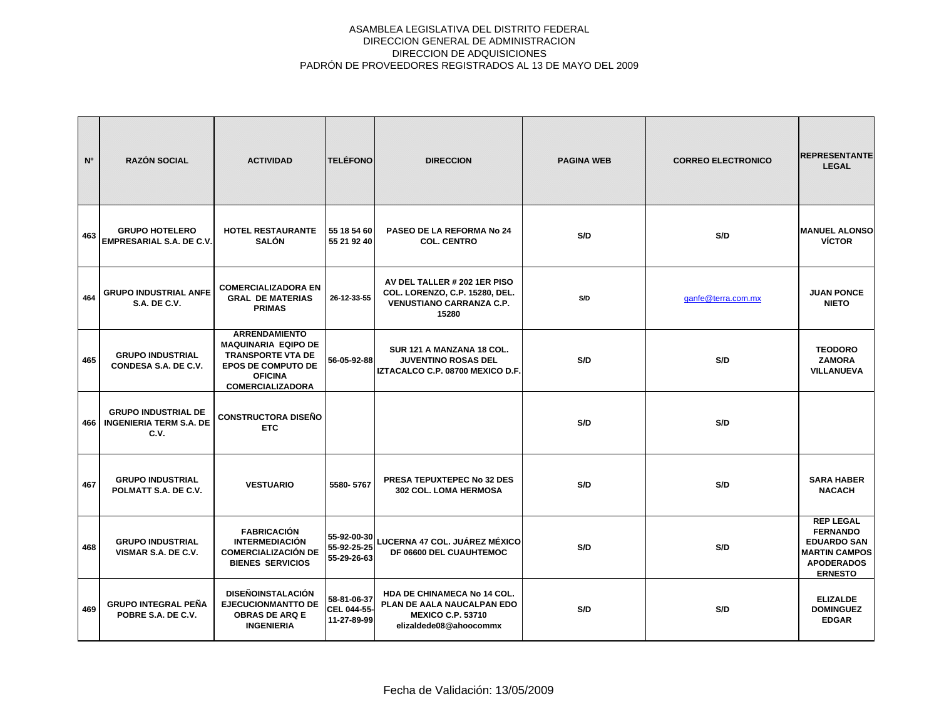| N <sup>o</sup> | <b>RAZÓN SOCIAL</b>                                                  | <b>ACTIVIDAD</b>                                                                                                                                         | <b>TELÉFONO</b>                           | <b>DIRECCION</b>                                                                                                | <b>PAGINA WEB</b> | <b>CORREO ELECTRONICO</b> | <b>REPRESENTANTE</b><br><b>LEGAL</b>                                                                                     |
|----------------|----------------------------------------------------------------------|----------------------------------------------------------------------------------------------------------------------------------------------------------|-------------------------------------------|-----------------------------------------------------------------------------------------------------------------|-------------------|---------------------------|--------------------------------------------------------------------------------------------------------------------------|
| 463            | <b>GRUPO HOTELERO</b><br><b>EMPRESARIAL S.A. DE C.V.</b>             | <b>HOTEL RESTAURANTE</b><br><b>SALÓN</b>                                                                                                                 | 55 18 54 60<br>55 21 92 40                | <b>PASEO DE LA REFORMA No 24</b><br><b>COL. CENTRO</b>                                                          | S/D               | S/D                       | <b>MANUEL ALONSO</b><br><b>VÍCTOR</b>                                                                                    |
| 464            | <b>GRUPO INDUSTRIAL ANFE</b><br><b>S.A. DE C.V.</b>                  | <b>COMERCIALIZADORA EN</b><br><b>GRAL DE MATERIAS</b><br><b>PRIMAS</b>                                                                                   | 26-12-33-55                               | AV DEL TALLER # 202 1ER PISO<br>COL. LORENZO, C.P. 15280, DEL.<br><b>VENUSTIANO CARRANZA C.P.</b><br>15280      | S/D               | ganfe@terra.com.mx        | <b>JUAN PONCE</b><br><b>NIETO</b>                                                                                        |
| 465            | <b>GRUPO INDUSTRIAL</b><br>CONDESA S.A. DE C.V.                      | <b>ARRENDAMIENTO</b><br><b>MAQUINARIA EQIPO DE</b><br><b>TRANSPORTE VTA DE</b><br><b>EPOS DE COMPUTO DE</b><br><b>OFICINA</b><br><b>COMERCIALIZADORA</b> | 56-05-92-88                               | SUR 121 A MANZANA 18 COL.<br><b>JUVENTINO ROSAS DEL</b><br>IZTACALCO C.P. 08700 MEXICO D.F.                     | S/D               | S/D                       | <b>TEODORO</b><br><b>ZAMORA</b><br><b>VILLANUEVA</b>                                                                     |
| 466            | <b>GRUPO INDUSTRIAL DE</b><br><b>INGENIERIA TERM S.A. DE</b><br>C.V. | CONSTRUCTORA DISEÑO<br><b>ETC</b>                                                                                                                        |                                           |                                                                                                                 | S/D               | S/D                       |                                                                                                                          |
| 467            | <b>GRUPO INDUSTRIAL</b><br>POLMATT S.A. DE C.V.                      | <b>VESTUARIO</b>                                                                                                                                         | 5580-5767                                 | <b>PRESA TEPUXTEPEC No 32 DES</b><br><b>302 COL. LOMA HERMOSA</b>                                               | S/D               | S/D                       | <b>SARA HABER</b><br><b>NACACH</b>                                                                                       |
| 468            | <b>GRUPO INDUSTRIAL</b><br>VISMAR S.A. DE C.V.                       | <b>FABRICACIÓN</b><br><b>INTERMEDIACIÓN</b><br><b>COMERCIALIZACIÓN DE</b><br><b>BIENES SERVICIOS</b>                                                     | 55-92-00-30<br>55-92-25-25<br>55-29-26-63 | LUCERNA 47 COL. JUÁREZ MÉXICO<br>DF 06600 DEL CUAUHTEMOC                                                        | S/D               | S/D                       | <b>REP LEGAL</b><br><b>FERNANDO</b><br><b>EDUARDO SAN</b><br><b>MARTIN CAMPOS</b><br><b>APODERADOS</b><br><b>ERNESTO</b> |
| 469            | <b>GRUPO INTEGRAL PEÑA</b><br>POBRE S.A. DE C.V.                     | <b>DISEÑOINSTALACIÓN</b><br><b>EJECUCIONMANTTO DE</b><br><b>OBRAS DE ARQ E</b><br><b>INGENIERIA</b>                                                      | 58-81-06-37<br>CEL 044-55-<br>11-27-89-99 | HDA DE CHINAMECA No 14 COL.<br>PLAN DE AALA NAUCALPAN EDO<br><b>MEXICO C.P. 53710</b><br>elizaldede08@ahoocommx | S/D               | S/D                       | <b>ELIZALDE</b><br><b>DOMINGUEZ</b><br><b>EDGAR</b>                                                                      |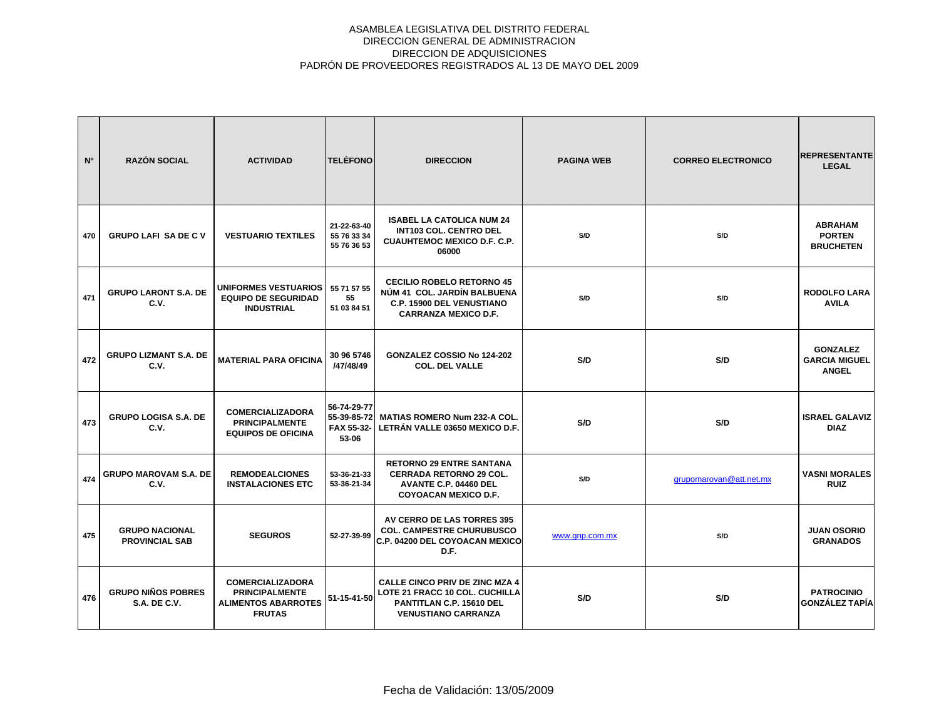| N <sup>o</sup> | <b>RAZÓN SOCIAL</b>                              | <b>ACTIVIDAD</b>                                                                                | <b>TELÉFONO</b>                                   | <b>DIRECCION</b>                                                                                                                  | <b>PAGINA WEB</b> | <b>CORREO ELECTRONICO</b> | <b>REPRESENTANTE</b><br><b>LEGAL</b>                    |
|----------------|--------------------------------------------------|-------------------------------------------------------------------------------------------------|---------------------------------------------------|-----------------------------------------------------------------------------------------------------------------------------------|-------------------|---------------------------|---------------------------------------------------------|
| 470            | <b>GRUPO LAFI SA DE C V</b>                      | <b>VESTUARIO TEXTILES</b>                                                                       | 21-22-63-40<br>55 76 33 34<br>55 76 36 53         | <b>ISABEL LA CATOLICA NUM 24</b><br><b>INT103 COL. CENTRO DEL</b><br><b>CUAUHTEMOC MEXICO D.F. C.P.</b><br>06000                  | S/D               | S/D                       | <b>ABRAHAM</b><br><b>PORTEN</b><br><b>BRUCHETEN</b>     |
| 471            | <b>GRUPO LARONT S.A. DE</b><br>C.V.              | <b>UNIFORMES VESTUARIOS</b><br><b>EQUIPO DE SEGURIDAD</b><br><b>INDUSTRIAL</b>                  | 55 71 57 55<br>55<br>51 03 84 51                  | <b>CECILIO ROBELO RETORNO 45</b><br>NÚM 41 COL. JARDÍN BALBUENA<br>C.P. 15900 DEL VENUSTIANO<br><b>CARRANZA MEXICO D.F.</b>       | S/D               | S/D                       | <b>RODOLFO LARA</b><br><b>AVILA</b>                     |
| 472            | <b>GRUPO LIZMANT S.A. DE</b><br>C.V.             | <b>MATERIAL PARA OFICINA</b>                                                                    | 30 96 5746<br>/47/48/49                           | GONZALEZ COSSIO No 124-202<br><b>COL. DEL VALLE</b>                                                                               | S/D               | S/D                       | <b>GONZALEZ</b><br><b>GARCIA MIGUEL</b><br><b>ANGEL</b> |
| 473            | <b>GRUPO LOGISA S.A. DE</b><br>C.V.              | <b>COMERCIALIZADORA</b><br><b>PRINCIPALMENTE</b><br><b>EQUIPOS DE OFICINA</b>                   | 56-74-29-77<br>55-39-85-72<br>FAX 55-32-<br>53-06 | MATIAS ROMERO Num 232-A COL.<br>LETRÁN VALLE 03650 MEXICO D.F.                                                                    | S/D               | S/D                       | <b>ISRAEL GALAVIZ</b><br><b>DIAZ</b>                    |
| 474            | <b>GRUPO MAROVAM S.A. DE</b><br>C.V.             | <b>REMODEALCIONES</b><br><b>INSTALACIONES ETC</b>                                               | 53-36-21-33<br>53-36-21-34                        | <b>RETORNO 29 ENTRE SANTANA</b><br><b>CERRADA RETORNO 29 COL.</b><br>AVANTE C.P. 04460 DEL<br><b>COYOACAN MEXICO D.F.</b>         | S/D               | grupomarovan@att.net.mx   | <b>VASNI MORALES</b><br><b>RUIZ</b>                     |
| 475            | <b>GRUPO NACIONAL</b><br><b>PROVINCIAL SAB</b>   | <b>SEGUROS</b>                                                                                  | 52-27-39-99                                       | AV CERRO DE LAS TORRES 395<br><b>COL. CAMPESTRE CHURUBUSCO</b><br>C.P. 04200 DEL COYOACAN MEXICO<br>D.F.                          | www.gnp.com.mx    | S/D                       | <b>JUAN OSORIO</b><br><b>GRANADOS</b>                   |
| 476            | <b>GRUPO NIÑOS POBRES</b><br><b>S.A. DE C.V.</b> | <b>COMERCIALIZADORA</b><br><b>PRINCIPALMENTE</b><br><b>ALIMENTOS ABARROTES</b><br><b>FRUTAS</b> | 51-15-41-50                                       | <b>CALLE CINCO PRIV DE ZINC MZA 4</b><br>LOTE 21 FRACC 10 COL. CUCHILLA<br>PANTITLAN C.P. 15610 DEL<br><b>VENUSTIANO CARRANZA</b> | S/D               | S/D                       | <b>PATROCINIO</b><br><b>GONZÁLEZ TAPÍA</b>              |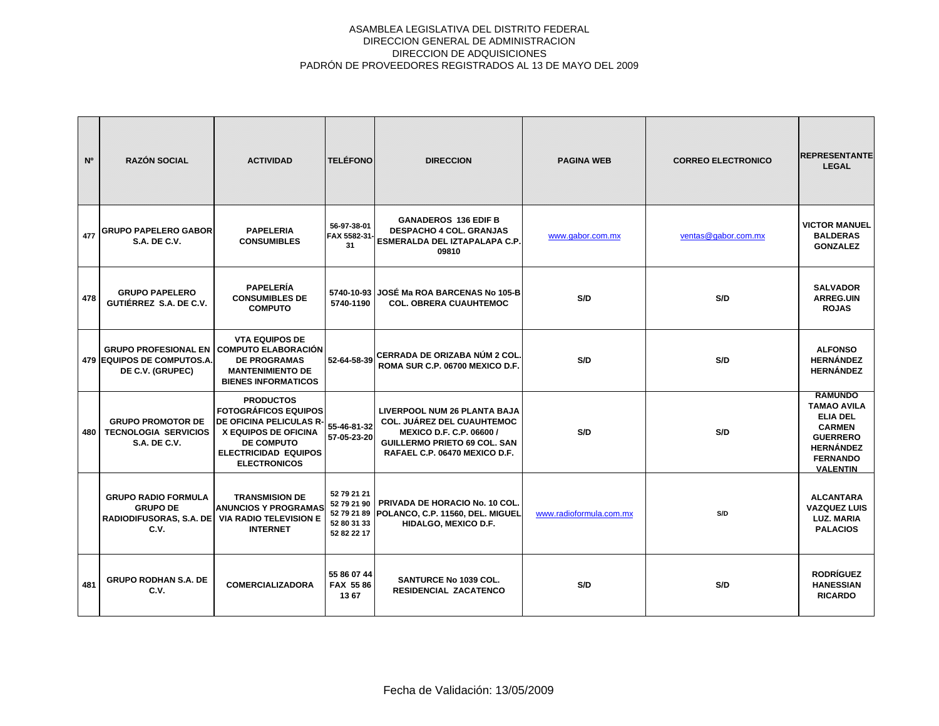| N°  | <b>RAZÓN SOCIAL</b>                                                                                     | <b>ACTIVIDAD</b>                                                                                                                                                              | <b>TELÉFONO</b>                           | <b>DIRECCION</b>                                                                                                                                                                    | <b>PAGINA WEB</b>       | <b>CORREO ELECTRONICO</b> | <b>REPRESENTANTE</b><br><b>LEGAL</b>                                                                                                                  |
|-----|---------------------------------------------------------------------------------------------------------|-------------------------------------------------------------------------------------------------------------------------------------------------------------------------------|-------------------------------------------|-------------------------------------------------------------------------------------------------------------------------------------------------------------------------------------|-------------------------|---------------------------|-------------------------------------------------------------------------------------------------------------------------------------------------------|
| 477 | <b>GRUPO PAPELERO GABOR</b><br><b>S.A. DE C.V.</b>                                                      | <b>PAPELERIA</b><br><b>CONSUMIBLES</b>                                                                                                                                        | 56-97-38-01<br>FAX 5582-31-<br>31         | <b>GANADEROS 136 EDIF B</b><br><b>DESPACHO 4 COL. GRANJAS</b><br><b>ESMERALDA DEL IZTAPALAPA C.P.</b><br>09810                                                                      | www.gabor.com.mx        | ventas@gabor.com.mx       | <b>VICTOR MANUEL</b><br><b>BALDERAS</b><br><b>GONZALEZ</b>                                                                                            |
| 478 | <b>GRUPO PAPELERO</b><br>GUTIÉRREZ S.A. DE C.V.                                                         | <b>PAPELERÍA</b><br><b>CONSUMIBLES DE</b><br><b>COMPUTO</b>                                                                                                                   | 5740-1190                                 | 5740-10-93 JOSÉ Ma ROA BARCENAS No 105-B<br><b>COL. OBRERA CUAUHTEMOC</b>                                                                                                           | S/D                     | S/D                       | <b>SALVADOR</b><br><b>ARREG.UIN</b><br><b>ROJAS</b>                                                                                                   |
|     | <b>GRUPO PROFESIONAL EN</b><br><b>479 EQUIPOS DE COMPUTOS.A.</b><br>DE C.V. (GRUPEC)                    | <b>VTA EQUIPOS DE</b><br><b>COMPUTO ELABORACIÓN</b><br><b>DE PROGRAMAS</b><br><b>MANTENIMIENTO DE</b><br><b>BIENES INFORMATICOS</b>                                           | 52-64-58-39                               | CERRADA DE ORIZABA NÚM 2 COL.<br>ROMA SUR C.P. 06700 MEXICO D.F.                                                                                                                    | S/D                     | S/D                       | <b>ALFONSO</b><br><b>HERNÁNDEZ</b><br><b>HERNÁNDEZ</b>                                                                                                |
| 480 | <b>GRUPO PROMOTOR DE</b><br><b>TECNOLOGIA SERVICIOS</b><br><b>S.A. DE C.V.</b>                          | <b>PRODUCTOS</b><br><b>FOTOGRÁFICOS EQUIPOS</b><br>DE OFICINA PELICULAS R-<br>X EQUIPOS DE OFICINA<br><b>DE COMPUTO</b><br><b>ELECTRICIDAD EQUIPOS</b><br><b>ELECTRONICOS</b> | 55-46-81-32<br>57-05-23-20                | <b>LIVERPOOL NUM 26 PLANTA BAJA</b><br><b>COL. JUÁREZ DEL CUAUHTEMOC</b><br><b>MEXICO D.F. C.P. 06600 /</b><br><b>GUILLERMO PRIETO 69 COL. SAN</b><br>RAFAEL C.P. 06470 MEXICO D.F. | S/D                     | S/D                       | <b>RAMUNDO</b><br><b>TAMAO AVILA</b><br><b>ELIA DEL</b><br><b>CARMEN</b><br><b>GUERRERO</b><br><b>HERNÁNDEZ</b><br><b>FERNANDO</b><br><b>VALENTIN</b> |
|     | <b>GRUPO RADIO FORMULA</b><br><b>GRUPO DE</b><br>RADIODIFUSORAS, S.A. DE VIA RADIO TELEVISION E<br>C.V. | <b>TRANSMISION DE</b><br><b>ANUNCIOS Y PROGRAMAS</b><br><b>INTERNET</b>                                                                                                       | 52 79 21 21<br>52 80 31 33<br>52 82 22 17 | 52 79 21 90   PRIVADA DE HORACIO No. 10 COL.<br>52 79 21 89 POLANCO, C.P. 11560, DEL. MIGUEL<br>HIDALGO, MEXICO D.F.                                                                | www.radioformula.com.mx | S/D                       | <b>ALCANTARA</b><br><b>VAZQUEZ LUIS</b><br><b>LUZ. MARIA</b><br><b>PALACIOS</b>                                                                       |
| 481 | <b>GRUPO RODHAN S.A. DE</b><br>C.V.                                                                     | <b>COMERCIALIZADORA</b>                                                                                                                                                       | 55 86 07 44<br>FAX 5586<br>1367           | <b>SANTURCE No 1039 COL.</b><br><b>RESIDENCIAL ZACATENCO</b>                                                                                                                        | S/D                     | S/D                       | <b>RODRÍGUEZ</b><br><b>HANESSIAN</b><br><b>RICARDO</b>                                                                                                |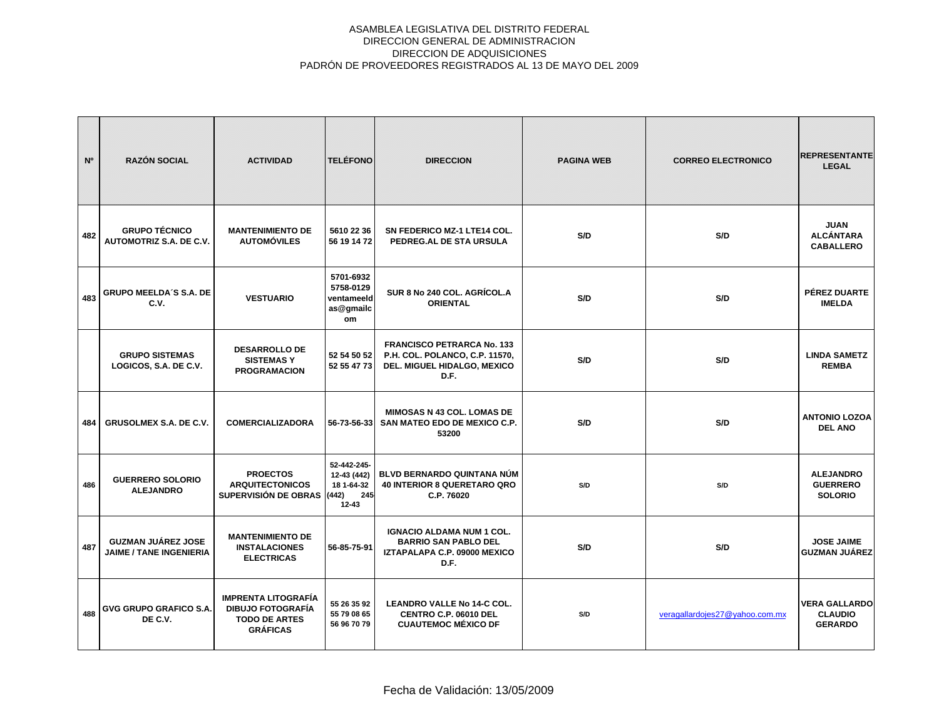| N°  | <b>RAZÓN SOCIAL</b>                                         | <b>ACTIVIDAD</b>                                                                                  | <b>TELÉFONO</b>                                                       | <b>DIRECCION</b>                                                                                           | <b>PAGINA WEB</b> | <b>CORREO ELECTRONICO</b>      | <b>REPRESENTANTE</b><br><b>LEGAL</b>                     |
|-----|-------------------------------------------------------------|---------------------------------------------------------------------------------------------------|-----------------------------------------------------------------------|------------------------------------------------------------------------------------------------------------|-------------------|--------------------------------|----------------------------------------------------------|
| 482 | <b>GRUPO TÉCNICO</b><br>AUTOMOTRIZ S.A. DE C.V.             | <b>MANTENIMIENTO DE</b><br><b>AUTOMÓVILES</b>                                                     | 5610 22 36<br>56 19 14 72                                             | SN FEDERICO MZ-1 LTE14 COL.<br>PEDREG.AL DE STA URSULA                                                     | S/D               | S/D                            | <b>JUAN</b><br><b>ALCÁNTARA</b><br><b>CABALLERO</b>      |
| 483 | <b>GRUPO MEELDA'S S.A. DE</b><br>C.V.                       | <b>VESTUARIO</b>                                                                                  | 5701-6932<br>5758-0129<br>ventameeld<br>as@gmailc<br>om               | SUR 8 No 240 COL. AGRÍCOL.A<br><b>ORIENTAL</b>                                                             | S/D               | S/D                            | <b>PÉREZ DUARTE</b><br><b>IMELDA</b>                     |
|     | <b>GRUPO SISTEMAS</b><br>LOGICOS, S.A. DE C.V.              | <b>DESARROLLO DE</b><br><b>SISTEMASY</b><br><b>PROGRAMACION</b>                                   | 52 54 50 52<br>52 55 47 73                                            | <b>FRANCISCO PETRARCA No. 133</b><br>P.H. COL. POLANCO, C.P. 11570,<br>DEL. MIGUEL HIDALGO, MEXICO<br>D.F. | S/D               | S/D                            | <b>LINDA SAMETZ</b><br><b>REMBA</b>                      |
| 484 | <b>GRUSOLMEX S.A. DE C.V.</b>                               | <b>COMERCIALIZADORA</b>                                                                           | 56-73-56-33                                                           | <b>MIMOSAS N 43 COL. LOMAS DE</b><br>SAN MATEO EDO DE MEXICO C.P.<br>53200                                 | S/D               | S/D                            | <b>ANTONIO LOZOA</b><br><b>DEL ANO</b>                   |
| 486 | <b>GUERRERO SOLORIO</b><br><b>ALEJANDRO</b>                 | <b>PROECTOS</b><br><b>ARQUITECTONICOS</b><br><b>SUPERVISIÓN DE OBRAS</b>                          | 52-442-245-<br>12-43 (442)<br>18 1-64-32<br>(442)<br>245<br>$12 - 43$ | <b>BLVD BERNARDO QUINTANA NÚM</b><br><b>40 INTERIOR 8 QUERETARO QRO</b><br>C.P. 76020                      | S/D               | S/D                            | <b>ALEJANDRO</b><br><b>GUERRERO</b><br><b>SOLORIO</b>    |
| 487 | <b>GUZMAN JUÁREZ JOSE</b><br><b>JAIME / TANE INGENIERIA</b> | <b>MANTENIMIENTO DE</b><br><b>INSTALACIONES</b><br><b>ELECTRICAS</b>                              | 56-85-75-91                                                           | <b>IGNACIO ALDAMA NUM 1 COL.</b><br><b>BARRIO SAN PABLO DEL</b><br>IZTAPALAPA C.P. 09000 MEXICO<br>D.F.    | S/D               | S/D                            | <b>JOSE JAIME</b><br><b>GUZMAN JUÁREZ</b>                |
| 488 | <b>GVG GRUPO GRAFICO S.A.</b><br>DE C.V.                    | <b>IMPRENTA LITOGRAFÍA</b><br><b>DIBUJO FOTOGRAFÍA</b><br><b>TODO DE ARTES</b><br><b>GRÁFICAS</b> | 55 26 35 92<br>55 79 08 65<br>56 96 70 79                             | <b>LEANDRO VALLE No 14-C COL.</b><br>CENTRO C.P. 06010 DEL<br><b>CUAUTEMOC MÉXICO DF</b>                   | S/D               | veragallardojes27@yahoo.com.mx | <b>VERA GALLARDO</b><br><b>CLAUDIO</b><br><b>GERARDO</b> |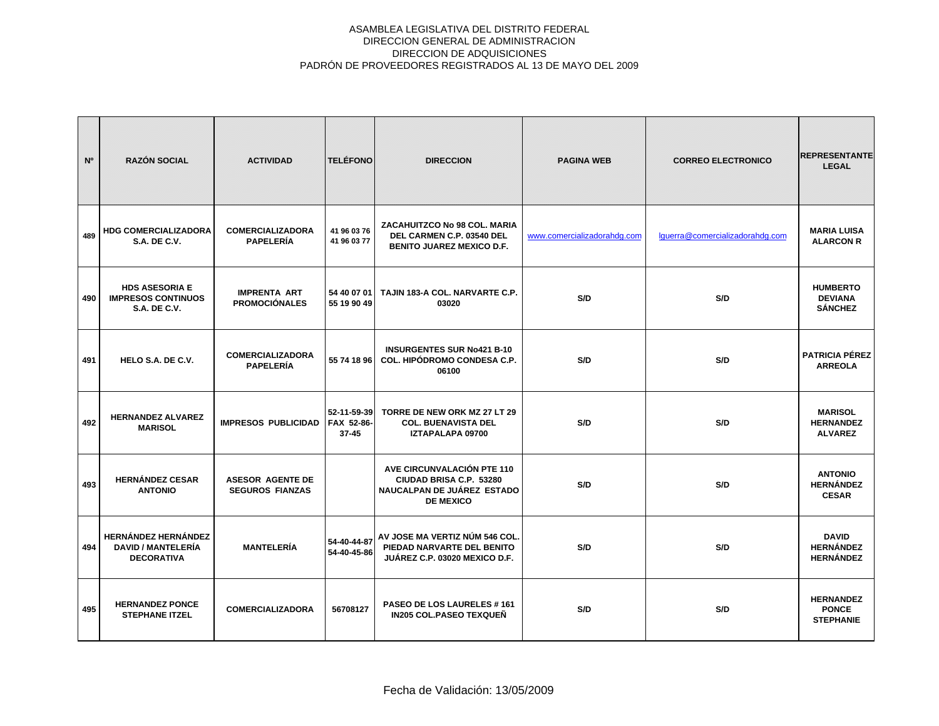| N°  | <b>RAZÓN SOCIAL</b>                                                          | <b>ACTIVIDAD</b>                                  | <b>TELÉFONO</b>                        | <b>DIRECCION</b>                                                                                        | <b>PAGINA WEB</b>           | <b>CORREO ELECTRONICO</b>       | <b>REPRESENTANTE</b><br><b>LEGAL</b>                 |
|-----|------------------------------------------------------------------------------|---------------------------------------------------|----------------------------------------|---------------------------------------------------------------------------------------------------------|-----------------------------|---------------------------------|------------------------------------------------------|
| 489 | <b>HDG COMERCIALIZADORA</b><br><b>S.A. DE C.V.</b>                           | <b>COMERCIALIZADORA</b><br><b>PAPELERÍA</b>       | 41 96 03 76<br>41 96 03 77             | ZACAHUITZCO No 98 COL. MARIA<br>DEL CARMEN C.P. 03540 DEL<br><b>BENITO JUAREZ MEXICO D.F.</b>           | www.comercializadorahdg.com | lguerra@comercializadorahdg.com | <b>MARIA LUISA</b><br><b>ALARCON R</b>               |
| 490 | <b>HDS ASESORIA E</b><br><b>IMPRESOS CONTINUOS</b><br><b>S.A. DE C.V.</b>    | <b>IMPRENTA ART</b><br><b>PROMOCIÓNALES</b>       | 54 40 07 01<br>55 19 90 49             | TAJIN 183-A COL. NARVARTE C.P.<br>03020                                                                 | S/D                         | S/D                             | <b>HUMBERTO</b><br><b>DEVIANA</b><br><b>SÁNCHEZ</b>  |
| 491 | HELO S.A. DE C.V.                                                            | <b>COMERCIALIZADORA</b><br><b>PAPELERÍA</b>       | 55 74 18 96                            | <b>INSURGENTES SUR No421 B-10</b><br>COL. HIPÓDROMO CONDESA C.P.<br>06100                               | S/D                         | S/D                             | <b>PATRICIA PÉREZ</b><br><b>ARREOLA</b>              |
| 492 | <b>HERNANDEZ ALVAREZ</b><br><b>MARISOL</b>                                   | <b>IMPRESOS PUBLICIDAD</b>                        | 52-11-59-39<br>FAX 52-86-<br>$37 - 45$ | TORRE DE NEW ORK MZ 27 LT 29<br><b>COL. BUENAVISTA DEL</b><br>IZTAPALAPA 09700                          | S/D                         | S/D                             | <b>MARISOL</b><br><b>HERNANDEZ</b><br><b>ALVAREZ</b> |
| 493 | <b>HERNÁNDEZ CESAR</b><br><b>ANTONIO</b>                                     | <b>ASESOR AGENTE DE</b><br><b>SEGUROS FIANZAS</b> |                                        | AVE CIRCUNVALACIÓN PTE 110<br>CIUDAD BRISA C.P. 53280<br>NAUCALPAN DE JUÁREZ ESTADO<br><b>DE MEXICO</b> | S/D                         | S/D                             | <b>ANTONIO</b><br><b>HERNÁNDEZ</b><br><b>CESAR</b>   |
| 494 | <b>HERNÁNDEZ HERNÁNDEZ</b><br><b>DAVID / MANTELERÍA</b><br><b>DECORATIVA</b> | <b>MANTELERÍA</b>                                 | 54-40-44-87<br>54-40-45-86             | AV JOSE MA VERTIZ NÚM 546 COL.<br>PIEDAD NARVARTE DEL BENITO<br>JUÁREZ C.P. 03020 MEXICO D.F.           | S/D                         | S/D                             | <b>DAVID</b><br><b>HERNÁNDEZ</b><br><b>HERNÁNDEZ</b> |
| 495 | <b>HERNANDEZ PONCE</b><br><b>STEPHANE ITZEL</b>                              | <b>COMERCIALIZADORA</b>                           | 56708127                               | PASEO DE LOS LAURELES #161<br><b>IN205 COL.PASEO TEXQUEÑ</b>                                            | S/D                         | S/D                             | <b>HERNANDEZ</b><br><b>PONCE</b><br><b>STEPHANIE</b> |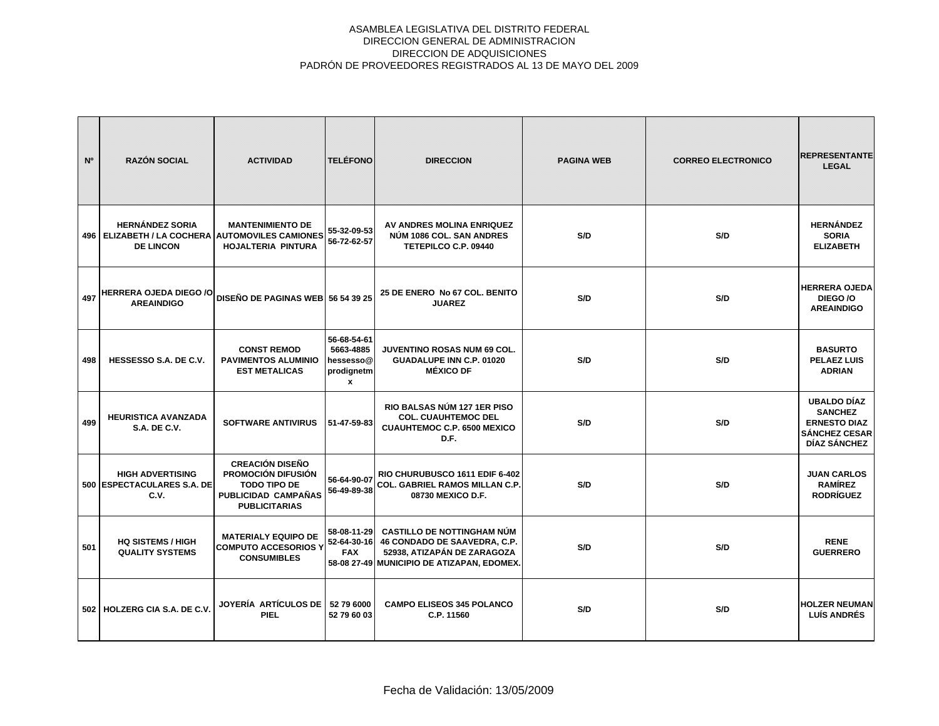| N <sup>o</sup> | <b>RAZÓN SOCIAL</b>                                                                             | <b>ACTIVIDAD</b>                                                                                                   | <b>TELÉFONO</b>                                                           | <b>DIRECCION</b>                                                                                                                               | <b>PAGINA WEB</b> | <b>CORREO ELECTRONICO</b> | <b>REPRESENTANTE</b><br><b>LEGAL</b>                                                                |
|----------------|-------------------------------------------------------------------------------------------------|--------------------------------------------------------------------------------------------------------------------|---------------------------------------------------------------------------|------------------------------------------------------------------------------------------------------------------------------------------------|-------------------|---------------------------|-----------------------------------------------------------------------------------------------------|
|                | <b>HERNÁNDEZ SORIA</b><br>496   ELIZABETH / LA COCHERA AUTOMOVILES CAMIONES<br><b>DE LINCON</b> | <b>MANTENIMIENTO DE</b><br>HOJALTERIA PINTURA                                                                      | 55-32-09-53<br>56-72-62-57                                                | AV ANDRES MOLINA ENRIQUEZ<br>NÚM 1086 COL. SAN ANDRES<br>TETEPILCO C.P. 09440                                                                  | S/D               | S/D                       | <b>HERNÁNDEZ</b><br><b>SORIA</b><br><b>ELIZABETH</b>                                                |
| 497            | <b>HERRERA OJEDA DIEGO /O</b><br><b>AREAINDIGO</b>                                              | DISEÑO DE PAGINAS WEB 56 54 39 25                                                                                  |                                                                           | 25 DE ENERO No 67 COL. BENITO<br><b>JUAREZ</b>                                                                                                 | S/D               | S/D                       | <b>HERRERA OJEDA</b><br>DIEGO/O<br><b>AREAINDIGO</b>                                                |
| 498            | HESSESSO S.A. DE C.V.                                                                           | <b>CONST REMOD</b><br><b>PAVIMENTOS ALUMINIO</b><br><b>EST METALICAS</b>                                           | 56-68-54-61<br>5663-4885<br>hessesso@<br>prodignetm<br>$\pmb{\mathsf{x}}$ | JUVENTINO ROSAS NUM 69 COL.<br><b>GUADALUPE INN C.P. 01020</b><br><b>MÉXICO DF</b>                                                             | S/D               | S/D                       | <b>BASURTO</b><br><b>PELAEZ LUIS</b><br><b>ADRIAN</b>                                               |
| 499            | <b>HEURISTICA AVANZADA</b><br><b>S.A. DE C.V.</b>                                               | <b>SOFTWARE ANTIVIRUS</b>                                                                                          | 51-47-59-83                                                               | RIO BALSAS NÚM 127 1ER PISO<br><b>COL. CUAUHTEMOC DEL</b><br><b>CUAUHTEMOC C.P. 6500 MEXICO</b><br>D.F.                                        | S/D               | S/D                       | <b>UBALDO DÍAZ</b><br><b>SANCHEZ</b><br><b>ERNESTO DIAZ</b><br><b>SÁNCHEZ CESAR</b><br>DÍAZ SÁNCHEZ |
|                | <b>HIGH ADVERTISING</b><br>500 ESPECTACULARES S.A. DE<br>C.V.                                   | <b>CREACIÓN DISEÑO</b><br>PROMOCIÓN DIFUSIÓN<br><b>TODO TIPO DE</b><br>PUBLICIDAD CAMPAÑAS<br><b>PUBLICITARIAS</b> | 56-64-90-07<br>56-49-89-38                                                | RIO CHURUBUSCO 1611 EDIF 6-402<br><b>COL. GABRIEL RAMOS MILLAN C.P.</b><br>08730 MEXICO D.F.                                                   | S/D               | S/D                       | <b>JUAN CARLOS</b><br><b>RAMÍREZ</b><br><b>RODRÍGUEZ</b>                                            |
| 501            | <b>HQ SISTEMS / HIGH</b><br><b>QUALITY SYSTEMS</b>                                              | <b>MATERIALY EQUIPO DE</b><br><b>COMPUTO ACCESORIOS Y</b><br><b>CONSUMIBLES</b>                                    | 58-08-11-29<br>52-64-30-16<br><b>FAX</b>                                  | <b>CASTILLO DE NOTTINGHAM NÚM</b><br>46 CONDADO DE SAAVEDRA, C.P.<br>52938, ATIZAPÁN DE ZARAGOZA<br>58-08 27-49 MUNICIPIO DE ATIZAPAN, EDOMEX. | S/D               | S/D                       | <b>RENE</b><br><b>GUERRERO</b>                                                                      |
|                | 502 HOLZERG CIA S.A. DE C.V.                                                                    | JOYERÍA ARTÍCULOS DE<br><b>PIEL</b>                                                                                | 52 79 6000<br>52 79 60 03                                                 | <b>CAMPO ELISEOS 345 POLANCO</b><br>C.P. 11560                                                                                                 | S/D               | S/D                       | <b>HOLZER NEUMAN</b><br><b>LUÍS ANDRÉS</b>                                                          |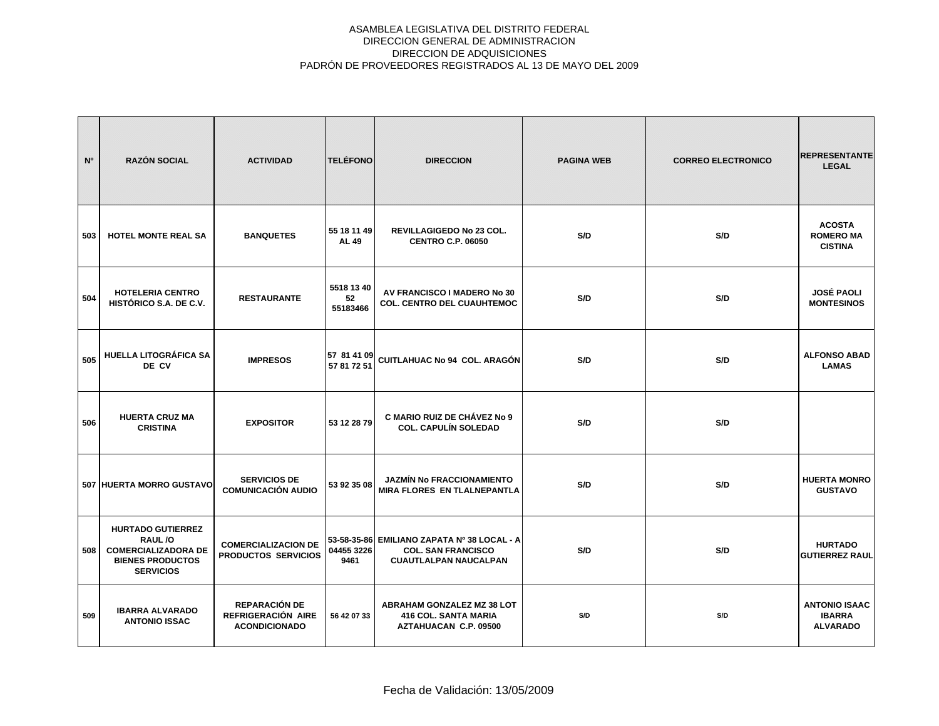| N°  | <b>RAZÓN SOCIAL</b>                                                                                             | <b>ACTIVIDAD</b>                                                   | <b>TELÉFONO</b>              | <b>DIRECCION</b>                                                                                         | <b>PAGINA WEB</b> | <b>CORREO ELECTRONICO</b> | <b>REPRESENTANTE</b><br><b>LEGAL</b>                     |
|-----|-----------------------------------------------------------------------------------------------------------------|--------------------------------------------------------------------|------------------------------|----------------------------------------------------------------------------------------------------------|-------------------|---------------------------|----------------------------------------------------------|
| 503 | <b>HOTEL MONTE REAL SA</b>                                                                                      | <b>BANQUETES</b>                                                   | 55 18 11 49<br><b>AL 49</b>  | REVILLAGIGEDO No 23 COL.<br><b>CENTRO C.P. 06050</b>                                                     | S/D               | S/D                       | <b>ACOSTA</b><br><b>ROMERO MA</b><br><b>CISTINA</b>      |
| 504 | <b>HOTELERIA CENTRO</b><br>HISTÓRICO S.A. DE C.V.                                                               | <b>RESTAURANTE</b>                                                 | 5518 13 40<br>52<br>55183466 | AV FRANCISCO I MADERO No 30<br><b>COL. CENTRO DEL CUAUHTEMOC</b>                                         | S/D               | S/D                       | <b>JOSÉ PAOLI</b><br><b>MONTESINOS</b>                   |
| 505 | <b>HUELLA LITOGRÁFICA SA</b><br>DE CV                                                                           | <b>IMPRESOS</b>                                                    | 57 81 41 09<br>57 81 72 51   | CUITLAHUAC No 94 COL. ARAGÓN                                                                             | S/D               | S/D                       | <b>ALFONSO ABAD</b><br><b>LAMAS</b>                      |
| 506 | <b>HUERTA CRUZ MA</b><br><b>CRISTINA</b>                                                                        | <b>EXPOSITOR</b>                                                   | 53 12 28 79                  | <b>C MARIO RUIZ DE CHÁVEZ No 9</b><br><b>COL. CAPULÍN SOLEDAD</b>                                        | S/D               | S/D                       |                                                          |
|     | 507 HUERTA MORRO GUSTAVO                                                                                        | <b>SERVICIOS DE</b><br><b>COMUNICACIÓN AUDIO</b>                   | 53 92 35 08                  | JAZMÍN No FRACCIONAMIENTO<br><b>MIRA FLORES EN TLALNEPANTLA</b>                                          | S/D               | S/D                       | <b>HUERTA MONRO</b><br><b>GUSTAVO</b>                    |
| 508 | <b>HURTADO GUTIERREZ</b><br>RAUL/O<br><b>COMERCIALIZADORA DE</b><br><b>BIENES PRODUCTOS</b><br><b>SERVICIOS</b> | <b>COMERCIALIZACION DE</b><br><b>PRODUCTOS SERVICIOS</b>           | 04455 3226<br>9461           | 53-58-35-86 EMILIANO ZAPATA Nº 38 LOCAL - A<br><b>COL. SAN FRANCISCO</b><br><b>CUAUTLALPAN NAUCALPAN</b> | S/D               | S/D                       | <b>HURTADO</b><br><b>GUTIERREZ RAUL</b>                  |
| 509 | <b>IBARRA ALVARADO</b><br><b>ANTONIO ISSAC</b>                                                                  | <b>REPARACIÓN DE</b><br>REFRIGERACIÓN AIRE<br><b>ACONDICIONADO</b> | 56 42 07 33                  | ABRAHAM GONZALEZ MZ 38 LOT<br><b>416 COL. SANTA MARIA</b><br>AZTAHUACAN C.P. 09500                       | S/D               | S/D                       | <b>ANTONIO ISAAC</b><br><b>IBARRA</b><br><b>ALVARADO</b> |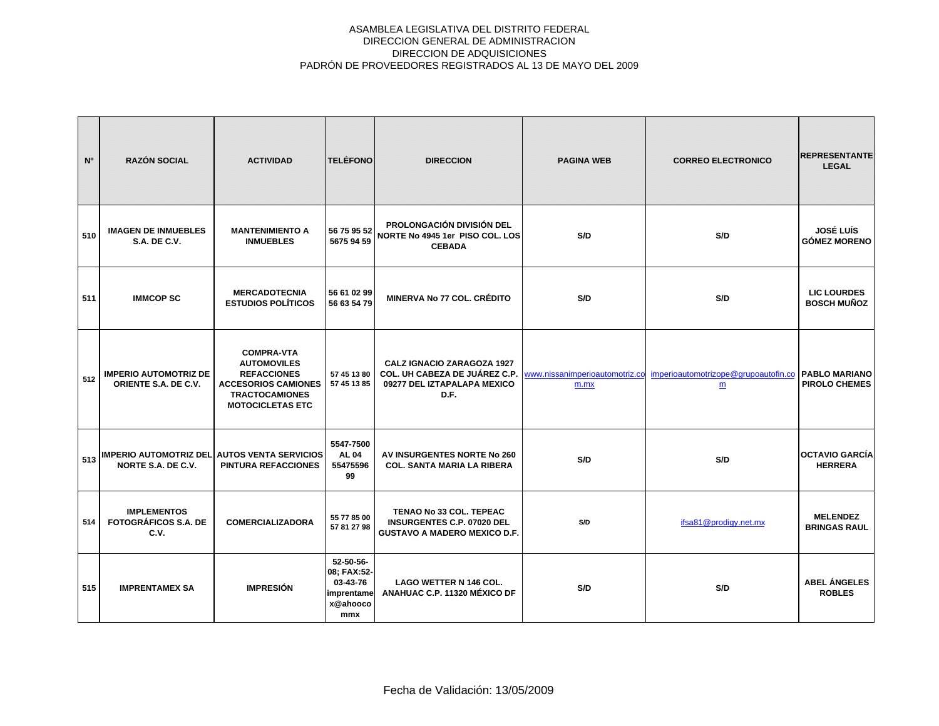| N <sup>o</sup> | <b>RAZÓN SOCIAL</b>                                                       | <b>ACTIVIDAD</b>                                                                                                                                | <b>TELÉFONO</b>                                                       | <b>DIRECCION</b>                                                                                           | <b>PAGINA WEB</b> | <b>CORREO ELECTRONICO</b>                                                | <b>REPRESENTANTE</b><br><b>LEGAL</b>         |
|----------------|---------------------------------------------------------------------------|-------------------------------------------------------------------------------------------------------------------------------------------------|-----------------------------------------------------------------------|------------------------------------------------------------------------------------------------------------|-------------------|--------------------------------------------------------------------------|----------------------------------------------|
| 510            | <b>IMAGEN DE INMUEBLES</b><br><b>S.A. DE C.V.</b>                         | <b>MANTENIMIENTO A</b><br><b>INMUEBLES</b>                                                                                                      | 56 75 95 52<br>5675 94 59                                             | <b>PROLONGACIÓN DIVISIÓN DEL</b><br>NORTE No 4945 1er PISO COL. LOS<br><b>CEBADA</b>                       | S/D               | S/D                                                                      | <b>JOSÉ LUÍS</b><br><b>GÓMEZ MORENO</b>      |
| 511            | <b>IMMCOP SC</b>                                                          | <b>MERCADOTECNIA</b><br><b>ESTUDIOS POLÍTICOS</b>                                                                                               | 56 61 02 99<br>56 63 54 79                                            | <b>MINERVA No 77 COL. CRÉDITO</b>                                                                          | S/D               | S/D                                                                      | <b>LIC LOURDES</b><br><b>BOSCH MUÑOZ</b>     |
| 512            | <b>IMPERIO AUTOMOTRIZ DE</b><br>ORIENTE S.A. DE C.V.                      | <b>COMPRA-VTA</b><br><b>AUTOMOVILES</b><br><b>REFACCIONES</b><br><b>ACCESORIOS CAMIONES</b><br><b>TRACTOCAMIONES</b><br><b>MOTOCICLETAS ETC</b> | 57 45 13 80<br>57 45 13 85                                            | <b>CALZ IGNACIO ZARAGOZA 1927</b><br>COL. UH CABEZA DE JUÁREZ C.P.<br>09277 DEL IZTAPALAPA MEXICO<br>D.F.  | m.mx              | www.nissanimperioautomotriz.co imperioautomotrizope@grupoautofin.co<br>m | <b>PABLO MARIANO</b><br><b>PIROLO CHEMES</b> |
| 513            | <b>IMPERIO AUTOMOTRIZ DEL AUTOS VENTA SERVICIOS</b><br>NORTE S.A. DE C.V. | <b>PINTURA REFACCIONES</b>                                                                                                                      | 5547-7500<br><b>AL 04</b><br>55475596<br>99                           | AV INSURGENTES NORTE No 260<br><b>COL. SANTA MARIA LA RIBERA</b>                                           | S/D               | S/D                                                                      | <b>OCTAVIO GARCÍA</b><br><b>HERRERA</b>      |
| 514            | <b>IMPLEMENTOS</b><br><b>FOTOGRÁFICOS S.A. DE</b><br>C.V.                 | <b>COMERCIALIZADORA</b>                                                                                                                         | 55 77 85 00<br>57 81 27 98                                            | <b>TENAO No 33 COL. TEPEAC</b><br><b>INSURGENTES C.P. 07020 DEL</b><br><b>GUSTAVO A MADERO MEXICO D.F.</b> | S/D               | ifsa81@prodigy.net.mx                                                    | <b>MELENDEZ</b><br><b>BRINGAS RAUL</b>       |
| 515            | <b>IMPRENTAMEX SA</b>                                                     | <b>IMPRESIÓN</b>                                                                                                                                | 52-50-56-<br>08; FAX:52-<br>03-43-76<br>imprentame<br>x@ahooco<br>mmx | <b>LAGO WETTER N 146 COL.</b><br>ANAHUAC C.P. 11320 MÉXICO DF                                              | S/D               | S/D                                                                      | <b>ABEL ÁNGELES</b><br><b>ROBLES</b>         |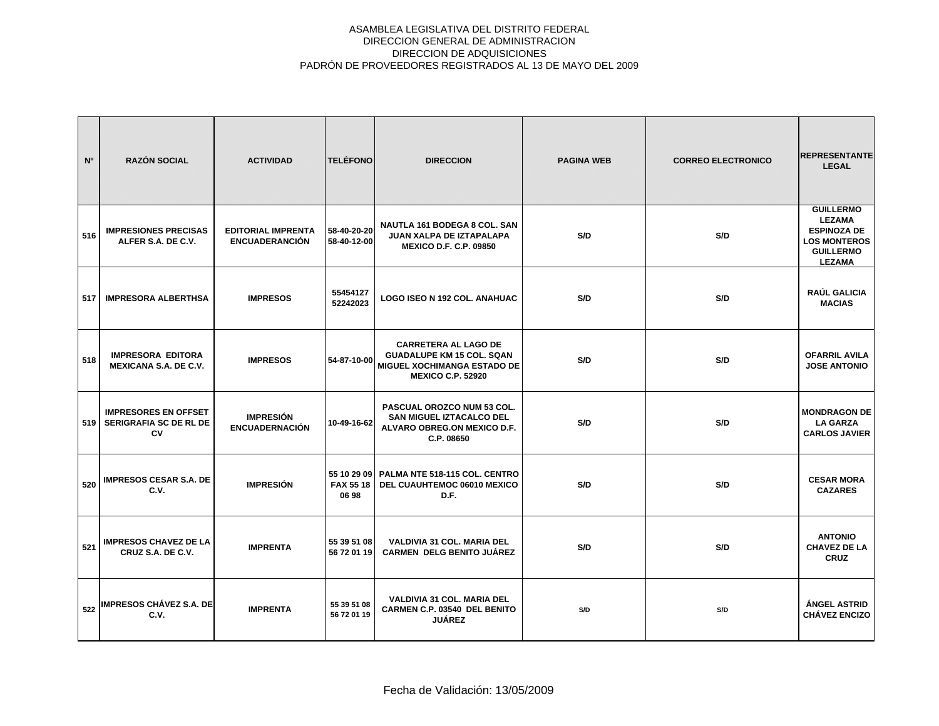| N <sup>o</sup> | <b>RAZÓN SOCIAL</b>                                                | <b>ACTIVIDAD</b>                                   | <b>TELÉFONO</b>            | <b>DIRECCION</b>                                                                                                           | <b>PAGINA WEB</b> | <b>CORREO ELECTRONICO</b> | <b>REPRESENTANTE</b><br><b>LEGAL</b>                                                                                |
|----------------|--------------------------------------------------------------------|----------------------------------------------------|----------------------------|----------------------------------------------------------------------------------------------------------------------------|-------------------|---------------------------|---------------------------------------------------------------------------------------------------------------------|
| 516            | <b>IMPRESIONES PRECISAS</b><br>ALFER S.A. DE C.V.                  | <b>EDITORIAL IMPRENTA</b><br><b>ENCUADERANCIÓN</b> | 58-40-20-20<br>58-40-12-00 | NAUTLA 161 BODEGA 8 COL. SAN<br>JUAN XALPA DE IZTAPALAPA<br><b>MEXICO D.F. C.P. 09850</b>                                  | S/D               | S/D                       | <b>GUILLERMO</b><br><b>LEZAMA</b><br><b>ESPINOZA DE</b><br><b>LOS MONTEROS</b><br><b>GUILLERMO</b><br><b>LEZAMA</b> |
| 517            | <b>IMPRESORA ALBERTHSA</b>                                         | <b>IMPRESOS</b>                                    | 55454127<br>52242023       | LOGO ISEO N 192 COL. ANAHUAC                                                                                               | S/D               | S/D                       | RAÚL GALICIA<br><b>MACIAS</b>                                                                                       |
| 518            | <b>IMPRESORA EDITORA</b><br><b>MEXICANA S.A. DE C.V.</b>           | <b>IMPRESOS</b>                                    | 54-87-10-00                | <b>CARRETERA AL LAGO DE</b><br><b>GUADALUPE KM 15 COL. SQAN</b><br>MIGUEL XOCHIMANGA ESTADO DE<br><b>MEXICO C.P. 52920</b> | S/D               | S/D                       | <b>OFARRIL AVILA</b><br><b>JOSE ANTONIO</b>                                                                         |
| 519            | <b>IMPRESORES EN OFFSET</b><br><b>SERIGRAFIA SC DE RL DE</b><br>CV | <b>IMPRESIÓN</b><br><b>ENCUADERNACIÓN</b>          | 10-49-16-62                | <b>PASCUAL OROZCO NUM 53 COL.</b><br>SAN MIGUEL IZTACALCO DEL<br>ALVARO OBREG.ON MEXICO D.F.<br>C.P. 08650                 | S/D               | S/D                       | <b>MONDRAGON DE</b><br><b>LA GARZA</b><br><b>CARLOS JAVIER</b>                                                      |
| 520            | <b>IMPRESOS CESAR S.A. DE</b><br>C.V.                              | <b>IMPRESIÓN</b>                                   | <b>FAX 55 18</b><br>06 98  | 55 10 29 09   PALMA NTE 518-115 COL. CENTRO<br>DEL CUAUHTEMOC 06010 MEXICO<br>D.F.                                         | S/D               | S/D                       | <b>CESAR MORA</b><br><b>CAZARES</b>                                                                                 |
| 521            | <b>IMPRESOS CHAVEZ DE LA</b><br>CRUZ S.A. DE C.V.                  | <b>IMPRENTA</b>                                    | 55 39 51 08<br>56 72 01 19 | VALDIVIA 31 COL. MARIA DEL<br><b>CARMEN DELG BENITO JUÁREZ</b>                                                             | S/D               | S/D                       | <b>ANTONIO</b><br><b>CHAVEZ DE LA</b><br><b>CRUZ</b>                                                                |
| 522            | <b>IMPRESOS CHÁVEZ S.A. DE</b><br>C.V.                             | <b>IMPRENTA</b>                                    | 55 39 51 08<br>56 72 01 19 | <b>VALDIVIA 31 COL. MARIA DEL</b><br><b>CARMEN C.P. 03540 DEL BENITO</b><br><b>JUÁREZ</b>                                  | S/D               | S/D                       | ÁNGEL ASTRID<br><b>CHÁVEZ ENCIZO</b>                                                                                |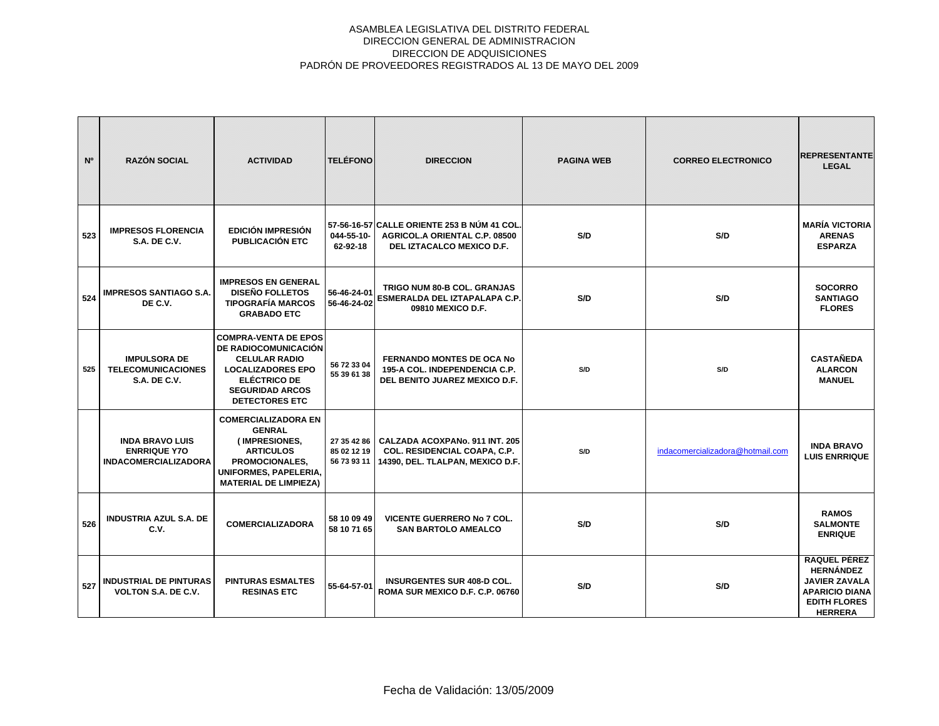| N°  | <b>RAZÓN SOCIAL</b>                                                          | <b>ACTIVIDAD</b>                                                                                                                                                                  | <b>TELÉFONO</b>                           | <b>DIRECCION</b>                                                                                          | <b>PAGINA WEB</b> | <b>CORREO ELECTRONICO</b>        | <b>REPRESENTANTE</b><br><b>LEGAL</b>                                                                                       |
|-----|------------------------------------------------------------------------------|-----------------------------------------------------------------------------------------------------------------------------------------------------------------------------------|-------------------------------------------|-----------------------------------------------------------------------------------------------------------|-------------------|----------------------------------|----------------------------------------------------------------------------------------------------------------------------|
| 523 | <b>IMPRESOS FLORENCIA</b><br><b>S.A. DE C.V.</b>                             | <b>EDICIÓN IMPRESIÓN</b><br><b>PUBLICACIÓN ETC</b>                                                                                                                                | 044-55-10-<br>62-92-18                    | 57-56-16-57 CALLE ORIENTE 253 B NÚM 41 COL<br>AGRICOL.A ORIENTAL C.P. 08500<br>DEL IZTACALCO MEXICO D.F.  | S/D               | S/D                              | <b>MARÍA VICTORIA</b><br><b>ARENAS</b><br><b>ESPARZA</b>                                                                   |
| 524 | <b>IMPRESOS SANTIAGO S.A.</b><br>DE C.V.                                     | <b>IMPRESOS EN GENERAL</b><br><b>DISEÑO FOLLETOS</b><br><b>TIPOGRAFÍA MARCOS</b><br><b>GRABADO ETC</b>                                                                            | 56-46-24-01<br>56-46-24-02                | TRIGO NUM 80-B COL. GRANJAS<br>ESMERALDA DEL IZTAPALAPA C.P.<br>09810 MEXICO D.F.                         | S/D               | S/D                              | <b>SOCORRO</b><br><b>SANTIAGO</b><br><b>FLORES</b>                                                                         |
| 525 | <b>IMPULSORA DE</b><br><b>TELECOMUNICACIONES</b><br><b>S.A. DE C.V.</b>      | <b>COMPRA-VENTA DE EPOS</b><br>DE RADIOCOMUNICACIÓN<br><b>CELULAR RADIO</b><br><b>LOCALIZADORES EPO</b><br><b>ELÉCTRICO DE</b><br><b>SEGURIDAD ARCOS</b><br><b>DETECTORES ETC</b> | 56 72 33 04<br>55 39 61 38                | <b>FERNANDO MONTES DE OCA No</b><br>195-A COL. INDEPENDENCIA C.P.<br>DEL BENITO JUAREZ MEXICO D.F.        | S/D               | S/D                              | <b>CASTAÑEDA</b><br><b>ALARCON</b><br><b>MANUEL</b>                                                                        |
|     | <b>INDA BRAVO LUIS</b><br><b>ENRRIQUE Y70</b><br><b>INDACOMERCIALIZADORA</b> | <b>COMERCIALIZADORA EN</b><br><b>GENRAL</b><br>(IMPRESIONES,<br><b>ARTICULOS</b><br>PROMOCIONALES,<br><b>UNIFORMES, PAPELERIA.</b><br><b>MATERIAL DE LIMPIEZA)</b>                | 27 35 42 86<br>85 02 12 19<br>56 73 93 11 | CALZADA ACOXPANo, 911 INT, 205<br><b>COL. RESIDENCIAL COAPA, C.P.</b><br>14390, DEL. TLALPAN, MEXICO D.F. | S/D               | indacomercializadora@hotmail.com | <b>INDA BRAVO</b><br><b>LUIS ENRRIQUE</b>                                                                                  |
| 526 | <b>INDUSTRIA AZUL S.A. DE</b><br>C.V.                                        | <b>COMERCIALIZADORA</b>                                                                                                                                                           | 58 10 09 49<br>58 10 71 65                | <b>VICENTE GUERRERO No 7 COL.</b><br><b>SAN BARTOLO AMEALCO</b>                                           | S/D               | S/D                              | <b>RAMOS</b><br><b>SALMONTE</b><br><b>ENRIQUE</b>                                                                          |
| 527 | <b>INDUSTRIAL DE PINTURAS</b><br><b>VOLTON S.A. DE C.V.</b>                  | <b>PINTURAS ESMALTES</b><br><b>RESINAS ETC</b>                                                                                                                                    | 55-64-57-01                               | <b>INSURGENTES SUR 408-D COL.</b><br>ROMA SUR MEXICO D.F. C.P. 06760                                      | S/D               | S/D                              | RAQUEL PÉREZ<br><b>HERNÁNDEZ</b><br><b>JAVIER ZAVALA</b><br><b>APARICIO DIANA</b><br><b>EDITH FLORES</b><br><b>HERRERA</b> |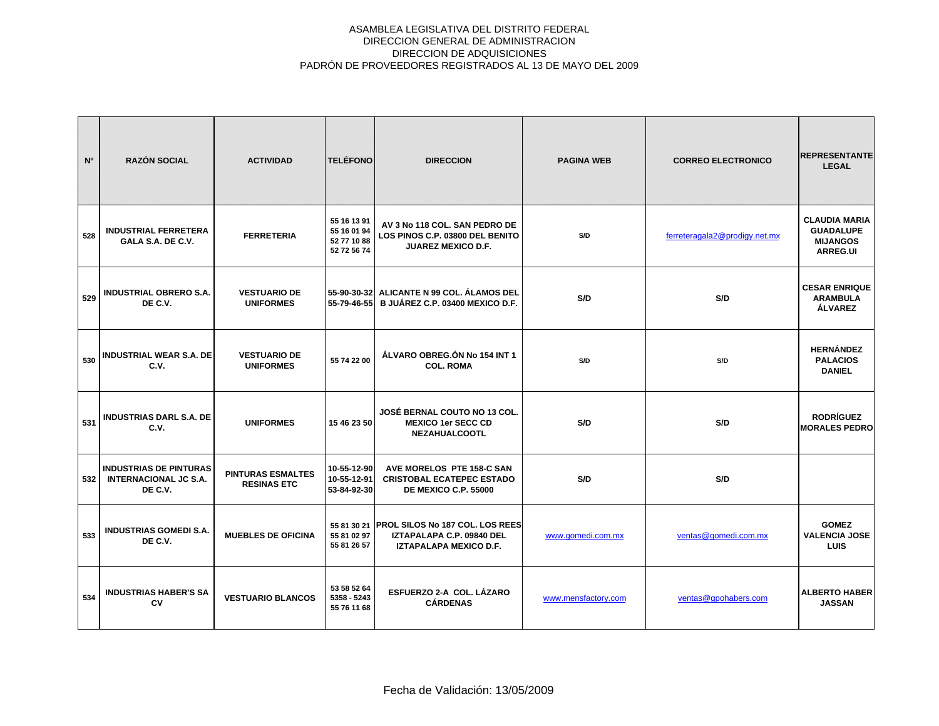| N <sup>o</sup> | <b>RAZÓN SOCIAL</b>                                                      | <b>ACTIVIDAD</b>                               | <b>TELÉFONO</b>                                          | <b>DIRECCION</b>                                                                                   | <b>PAGINA WEB</b>   | <b>CORREO ELECTRONICO</b>     | <b>REPRESENTANTE</b><br><b>LEGAL</b>                                           |
|----------------|--------------------------------------------------------------------------|------------------------------------------------|----------------------------------------------------------|----------------------------------------------------------------------------------------------------|---------------------|-------------------------------|--------------------------------------------------------------------------------|
| 528            | <b>INDUSTRIAL FERRETERA</b><br>GALA S.A. DE C.V.                         | <b>FERRETERIA</b>                              | 55 16 13 91<br>55 16 01 94<br>52 77 10 88<br>52 72 56 74 | AV 3 No 118 COL, SAN PEDRO DE<br>LOS PINOS C.P. 03800 DEL BENITO<br><b>JUAREZ MEXICO D.F.</b>      | S/D                 | ferreteragala2@prodigy.net.mx | <b>CLAUDIA MARIA</b><br><b>GUADALUPE</b><br><b>MIJANGOS</b><br><b>ARREG.UI</b> |
| 529            | <b>INDUSTRIAL OBRERO S.A.</b><br>DE C.V.                                 | <b>VESTUARIO DE</b><br><b>UNIFORMES</b>        |                                                          | 55-90-30-32 ALICANTE N 99 COL. ÁLAMOS DEL<br>55-79-46-55 B JUÁREZ C.P. 03400 MEXICO D.F.           | S/D                 | S/D                           | <b>CESAR ENRIQUE</b><br><b>ARAMBULA</b><br><b>ALVAREZ</b>                      |
| 530            | <b>INDUSTRIAL WEAR S.A. DE</b><br>C.V.                                   | <b>VESTUARIO DE</b><br><b>UNIFORMES</b>        | 55 74 22 00                                              | ÁLVARO OBREG.ÓN No 154 INT 1<br><b>COL. ROMA</b>                                                   | S/D                 | S/D                           | <b>HERNÁNDEZ</b><br><b>PALACIOS</b><br><b>DANIEL</b>                           |
| 531            | <b>INDUSTRIAS DARL S.A. DE</b><br>C.V.                                   | <b>UNIFORMES</b>                               | 15 46 23 50                                              | JOSÉ BERNAL COUTO NO 13 COL.<br><b>MEXICO 1er SECC CD</b><br><b>NEZAHUALCOOTL</b>                  | S/D                 | S/D                           | <b>RODRÍGUEZ</b><br><b>MORALES PEDRO</b>                                       |
| 532            | <b>INDUSTRIAS DE PINTURAS</b><br><b>INTERNACIONAL JC S.A.</b><br>DE C.V. | <b>PINTURAS ESMALTES</b><br><b>RESINAS ETC</b> | 10-55-12-90<br>10-55-12-91<br>53-84-92-30                | AVE MORELOS PTE 158-C SAN<br><b>CRISTOBAL ECATEPEC ESTADO</b><br>DE MEXICO C.P. 55000              | S/D                 | S/D                           |                                                                                |
| 533            | <b>INDUSTRIAS GOMEDI S.A.</b><br>DE C.V.                                 | <b>MUEBLES DE OFICINA</b>                      | 55 81 02 97<br>55 81 26 57                               | 55 81 30 21 PROL SILOS No 187 COL. LOS REES<br>IZTAPALAPA C.P. 09840 DEL<br>IZTAPALAPA MEXICO D.F. | www.gomedi.com.mx   | ventas@gomedi.com.mx          | <b>GOMEZ</b><br><b>VALENCIA JOSE</b><br><b>LUIS</b>                            |
| 534            | <b>INDUSTRIAS HABER'S SA</b><br>CV                                       | <b>VESTUARIO BLANCOS</b>                       | 53 58 52 64<br>5358 - 5243<br>55 76 11 68                | ESFUERZO 2-A COL. LÁZARO<br><b>CÁRDENAS</b>                                                        | www.mensfactory.com | ventas@gpohabers.com          | <b>ALBERTO HABER</b><br><b>JASSAN</b>                                          |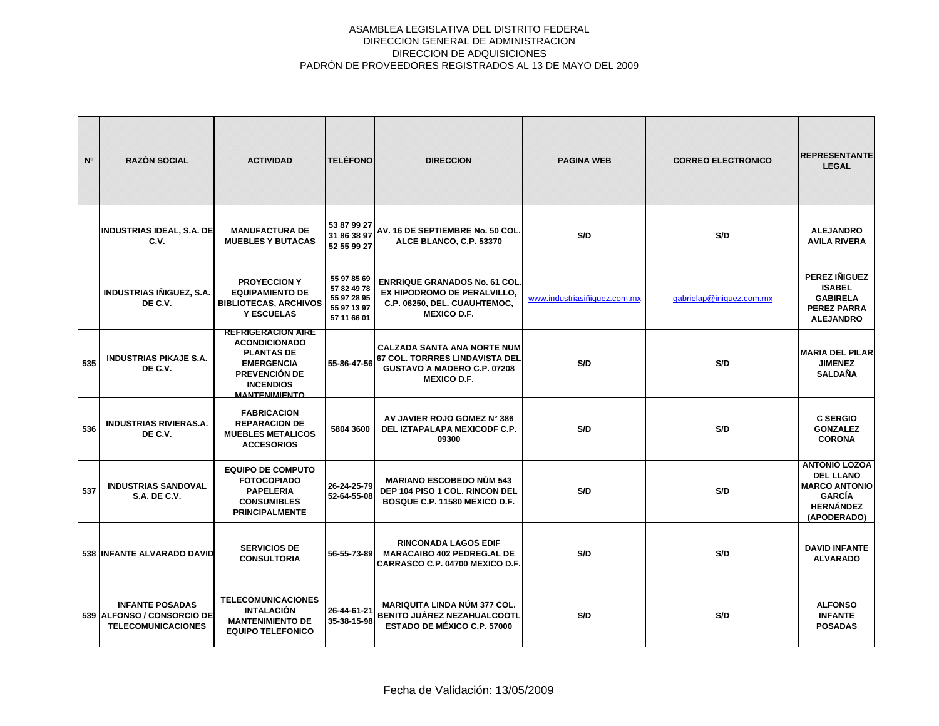| N <sup>o</sup> | <b>RAZÓN SOCIAL</b>                                                               | <b>ACTIVIDAD</b>                                                                                                                                         | <b>TELÉFONO</b>                                                         | <b>DIRECCION</b>                                                                                                          | <b>PAGINA WEB</b>            | <b>CORREO ELECTRONICO</b> | <b>REPRESENTANTE</b><br><b>LEGAL</b>                                                                                 |
|----------------|-----------------------------------------------------------------------------------|----------------------------------------------------------------------------------------------------------------------------------------------------------|-------------------------------------------------------------------------|---------------------------------------------------------------------------------------------------------------------------|------------------------------|---------------------------|----------------------------------------------------------------------------------------------------------------------|
|                | <b>INDUSTRIAS IDEAL, S.A. DE</b><br>C.V.                                          | <b>MANUFACTURA DE</b><br><b>MUEBLES Y BUTACAS</b>                                                                                                        | 53 87 99 27<br>31 86 38 97<br>52 55 99 27                               | AV. 16 DE SEPTIEMBRE No. 50 COL.<br>ALCE BLANCO, C.P. 53370                                                               | S/D                          | S/D                       | <b>ALEJANDRO</b><br><b>AVILA RIVERA</b>                                                                              |
|                | <b>INDUSTRIAS IÑIGUEZ, S.A.</b><br>DE C.V.                                        | <b>PROYECCION Y</b><br><b>EQUIPAMIENTO DE</b><br><b>BIBLIOTECAS, ARCHIVOS</b><br><b>Y ESCUELAS</b>                                                       | 55 97 85 69<br>57 82 49 78<br>55 97 28 95<br>55 97 13 97<br>57 11 66 01 | <b>ENRRIQUE GRANADOS No. 61 COL.</b><br>EX HIPODROMO DE PERALVILLO,<br>C.P. 06250, DEL. CUAUHTEMOC,<br><b>MEXICO D.F.</b> | www.industriasiñiquez.com.mx | gabrielap@iniguez.com.mx  | <b>PEREZ IÑIGUEZ</b><br><b>ISABEL</b><br><b>GABIRELA</b><br><b>PEREZ PARRA</b><br><b>ALEJANDRO</b>                   |
| 535            | <b>INDUSTRIAS PIKAJE S.A.</b><br>DE C.V.                                          | <b>REFRIGERACION AIRE</b><br><b>ACONDICIONADO</b><br><b>PLANTAS DE</b><br><b>EMERGENCIA</b><br>PREVENCIÓN DE<br><b>INCENDIOS</b><br><b>MANTENIMIENTO</b> | 55-86-47-56                                                             | <b>CALZADA SANTA ANA NORTE NUM</b><br>67 COL. TORRRES LINDAVISTA DEL<br>GUSTAVO A MADERO C.P. 07208<br><b>MEXICO D.F.</b> | S/D                          | S/D                       | <b>MARIA DEL PILAR</b><br><b>JIMENEZ</b><br><b>SALDAÑA</b>                                                           |
| 536            | <b>INDUSTRIAS RIVIERAS.A.</b><br>DE C.V.                                          | <b>FABRICACION</b><br><b>REPARACION DE</b><br><b>MUEBLES METALICOS</b><br><b>ACCESORIOS</b>                                                              | 5804 3600                                                               | AV JAVIER ROJO GOMEZ N° 386<br>DEL IZTAPALAPA MEXICODF C.P.<br>09300                                                      | S/D                          | S/D                       | <b>C SERGIO</b><br><b>GONZALEZ</b><br><b>CORONA</b>                                                                  |
| 537            | <b>INDUSTRIAS SANDOVAL</b><br><b>S.A. DE C.V.</b>                                 | <b>EQUIPO DE COMPUTO</b><br><b>FOTOCOPIADO</b><br><b>PAPELERIA</b><br><b>CONSUMIBLES</b><br><b>PRINCIPALMENTE</b>                                        | 26-24-25-79<br>52-64-55-08                                              | <b>MARIANO ESCOBEDO NÚM 543</b><br>DEP 104 PISO 1 COL. RINCON DEL<br>BOSQUE C.P. 11580 MEXICO D.F.                        | S/D                          | S/D                       | <b>ANTONIO LOZOA</b><br><b>DEL LLANO</b><br><b>MARCO ANTONIO</b><br><b>GARCÍA</b><br><b>HERNÁNDEZ</b><br>(APODERADO) |
|                | 538 INFANTE ALVARADO DAVID                                                        | <b>SERVICIOS DE</b><br><b>CONSULTORIA</b>                                                                                                                | 56-55-73-89                                                             | <b>RINCONADA LAGOS EDIF</b><br><b>MARACAIBO 402 PEDREG.AL DE</b><br>CARRASCO C.P. 04700 MEXICO D.F.                       | S/D                          | S/D                       | <b>DAVID INFANTE</b><br><b>ALVARADO</b>                                                                              |
|                | <b>INFANTE POSADAS</b><br>539 ALFONSO / CONSORCIO DE<br><b>TELECOMUNICACIONES</b> | <b>TELECOMUNICACIONES</b><br><b>INTALACIÓN</b><br><b>MANTENIMIENTO DE</b><br><b>EQUIPO TELEFONICO</b>                                                    | 26-44-61-21<br>35-38-15-98                                              | <b>MARIQUITA LINDA NÚM 377 COL.</b><br><b>BENITO JUÁREZ NEZAHUALCOOTL</b><br><b>ESTADO DE MÉXICO C.P. 57000</b>           | S/D                          | S/D                       | <b>ALFONSO</b><br><b>INFANTE</b><br><b>POSADAS</b>                                                                   |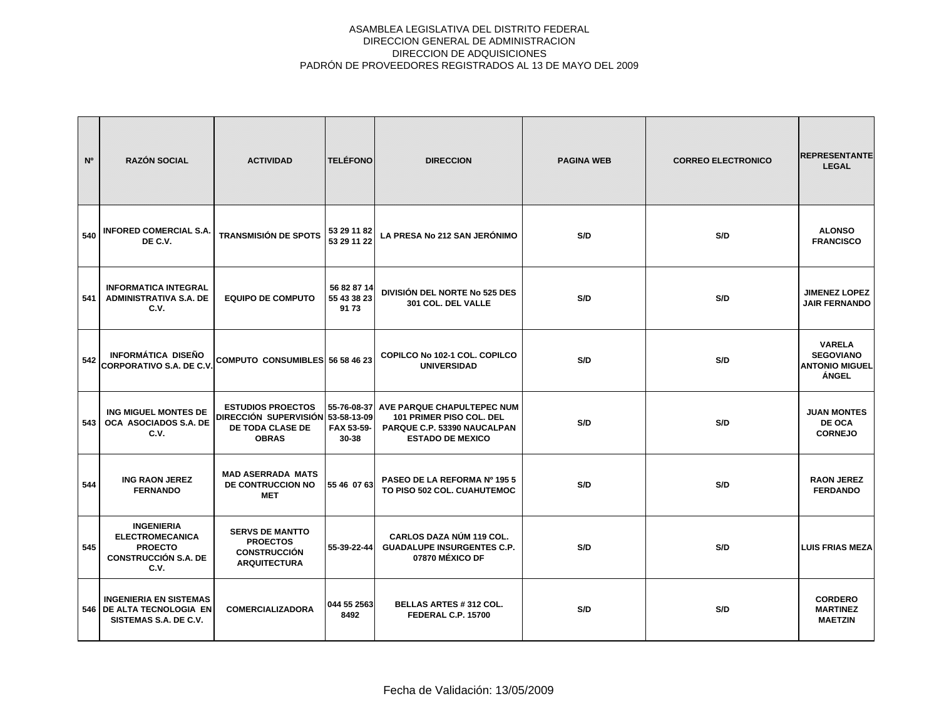| N°  | <b>RAZÓN SOCIAL</b>                                                                                  | <b>ACTIVIDAD</b>                                                                                  | <b>TELÉFONO</b>                        | <b>DIRECCION</b>                                                                                                 | <b>PAGINA WEB</b> | <b>CORREO ELECTRONICO</b> | <b>REPRESENTANTE</b><br><b>LEGAL</b>                                |
|-----|------------------------------------------------------------------------------------------------------|---------------------------------------------------------------------------------------------------|----------------------------------------|------------------------------------------------------------------------------------------------------------------|-------------------|---------------------------|---------------------------------------------------------------------|
| 540 | <b>INFORED COMERCIAL S.A.</b><br>DE C.V.                                                             | <b>TRANSMISIÓN DE SPOTS</b>                                                                       | 53 29 11 82<br>53 29 11 22             | LA PRESA No 212 SAN JERÓNIMO                                                                                     | S/D               | S/D                       | <b>ALONSO</b><br><b>FRANCISCO</b>                                   |
| 541 | <b>INFORMATICA INTEGRAL</b><br><b>ADMINISTRATIVA S.A. DE</b><br>C.V.                                 | <b>EQUIPO DE COMPUTO</b>                                                                          | 56 82 87 14<br>55 43 38 23<br>9173     | <b>DIVISIÓN DEL NORTE No 525 DES</b><br>301 COL. DEL VALLE                                                       | S/D               | S/D                       | <b>JIMENEZ LOPEZ</b><br><b>JAIR FERNANDO</b>                        |
| 542 | <b>INFORMÁTICA DISEÑO</b><br><b>CORPORATIVO S.A. DE C.V.</b>                                         | COMPUTO CONSUMIBLES 56 58 46 23                                                                   |                                        | COPILCO No 102-1 COL, COPILCO<br><b>UNIVERSIDAD</b>                                                              | S/D               | S/D                       | <b>VARELA</b><br><b>SEGOVIANO</b><br><b>ANTONIO MIGUEL</b><br>ÁNGEL |
| 543 | ING MIGUEL MONTES DE<br>OCA ASOCIADOS S.A. DE<br>C.V.                                                | <b>ESTUDIOS PROECTOS</b><br>DIRECCIÓN SUPERVISIÓN 53-58-13-09<br>DE TODA CLASE DE<br><b>OBRAS</b> | 55-76-08-37<br>FAX 53-59-<br>$30 - 38$ | AVE PARQUE CHAPULTEPEC NUM<br>101 PRIMER PISO COL. DEL<br>PARQUE C.P. 53390 NAUCALPAN<br><b>ESTADO DE MEXICO</b> | S/D               | S/D                       | <b>JUAN MONTES</b><br>DE OCA<br><b>CORNEJO</b>                      |
| 544 | <b>ING RAON JEREZ</b><br><b>FERNANDO</b>                                                             | <b>MAD ASERRADA MATS</b><br>DE CONTRUCCION NO<br><b>MET</b>                                       | 55 46 07 63                            | PASEO DE LA REFORMA Nº 1955<br>TO PISO 502 COL. CUAHUTEMOC                                                       | S/D               | S/D                       | <b>RAON JEREZ</b><br><b>FERDANDO</b>                                |
| 545 | <b>INGENIERIA</b><br><b>ELECTROMECANICA</b><br><b>PROECTO</b><br><b>CONSTRUCCIÓN S.A. DE</b><br>C.V. | <b>SERVS DE MANTTO</b><br><b>PROECTOS</b><br><b>CONSTRUCCIÓN</b><br><b>ARQUITECTURA</b>           | 55-39-22-44                            | CARLOS DAZA NÚM 119 COL.<br><b>GUADALUPE INSURGENTES C.P.</b><br>07870 MÉXICO DF                                 | S/D               | S/D                       | <b>LUIS FRIAS MEZA</b>                                              |
|     | <b>INGENIERIA EN SISTEMAS</b><br>546   DE ALTA TECNOLOGIA EN<br>SISTEMAS S.A. DE C.V.                | <b>COMERCIALIZADORA</b>                                                                           | 044 55 2563<br>8492                    | <b>BELLAS ARTES #312 COL.</b><br>FEDERAL C.P. 15700                                                              | S/D               | S/D                       | <b>CORDERO</b><br><b>MARTINEZ</b><br><b>MAETZIN</b>                 |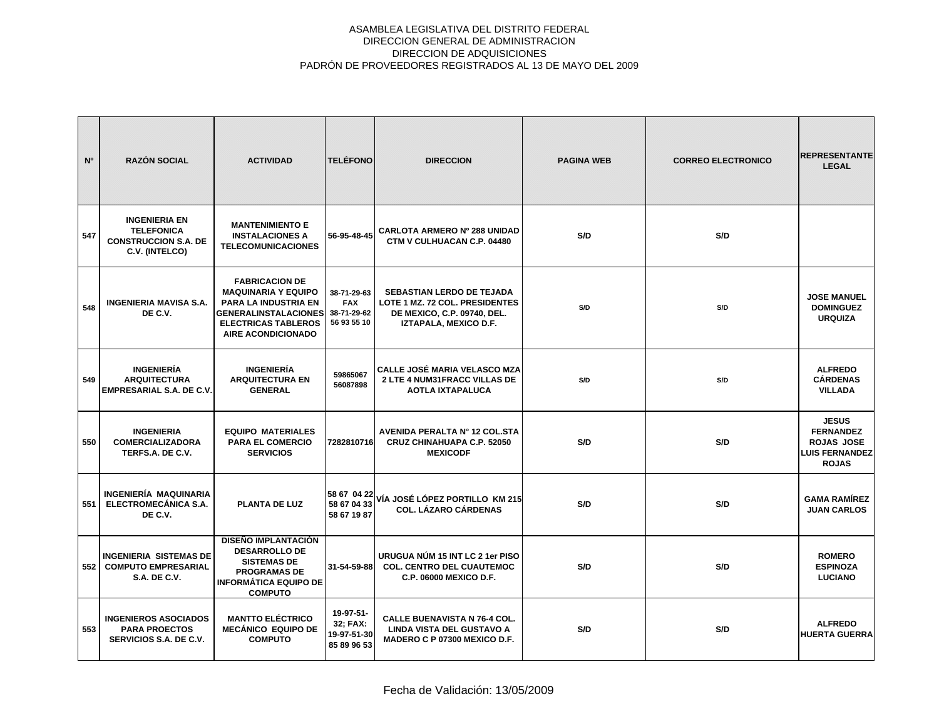| <b>N°</b> | <b>RAZÓN SOCIAL</b>                                                                        | <b>ACTIVIDAD</b>                                                                                                                                                             | <b>TELÉFONO</b>                                         | <b>DIRECCION</b>                                                                                                           | <b>PAGINA WEB</b> | <b>CORREO ELECTRONICO</b> | <b>REPRESENTANTE</b><br><b>LEGAL</b>                                                           |
|-----------|--------------------------------------------------------------------------------------------|------------------------------------------------------------------------------------------------------------------------------------------------------------------------------|---------------------------------------------------------|----------------------------------------------------------------------------------------------------------------------------|-------------------|---------------------------|------------------------------------------------------------------------------------------------|
| 547       | <b>INGENIERIA EN</b><br><b>TELEFONICA</b><br><b>CONSTRUCCION S.A. DE</b><br>C.V. (INTELCO) | <b>MANTENIMIENTO E</b><br><b>INSTALACIONES A</b><br><b>TELECOMUNICACIONES</b>                                                                                                | 56-95-48-45                                             | <b>CARLOTA ARMERO Nº 288 UNIDAD</b><br>CTM V CULHUACAN C.P. 04480                                                          | S/D               | S/D                       |                                                                                                |
| 548       | <b>INGENIERIA MAVISA S.A.</b><br>DE C.V.                                                   | <b>FABRICACION DE</b><br><b>MAQUINARIA Y EQUIPO</b><br><b>PARA LA INDUSTRIA EN</b><br><b>GENERALINSTALACIONES</b><br><b>ELECTRICAS TABLEROS</b><br><b>AIRE ACONDICIONADO</b> | 38-71-29-63<br><b>FAX</b><br>38-71-29-62<br>56 93 55 10 | <b>SEBASTIAN LERDO DE TEJADA</b><br>LOTE 1 MZ. 72 COL. PRESIDENTES<br>DE MEXICO, C.P. 09740, DEL.<br>IZTAPALA, MEXICO D.F. | S/D               | S/D                       | <b>JOSE MANUEL</b><br><b>DOMINGUEZ</b><br><b>URQUIZA</b>                                       |
| 549       | <b>INGENIERÍA</b><br><b>ARQUITECTURA</b><br><b>EMPRESARIAL S.A. DE C.V.</b>                | <b>INGENIERÍA</b><br><b>ARQUITECTURA EN</b><br><b>GENERAL</b>                                                                                                                | 59865067<br>56087898                                    | CALLE JOSÉ MARIA VELASCO MZA<br>2 LTE 4 NUM31FRACC VILLAS DE<br><b>AOTLA IXTAPALUCA</b>                                    | S/D               | S/D                       | <b>ALFREDO</b><br><b>CÁRDENAS</b><br><b>VILLADA</b>                                            |
| 550       | <b>INGENIERIA</b><br><b>COMERCIALIZADORA</b><br>TERFS.A. DE C.V.                           | <b>EQUIPO MATERIALES</b><br><b>PARA EL COMERCIO</b><br><b>SERVICIOS</b>                                                                                                      | 7282810716                                              | AVENIDA PERALTA Nº 12 COL.STA<br><b>CRUZ CHINAHUAPA C.P. 52050</b><br><b>MEXICODF</b>                                      | S/D               | S/D                       | <b>JESUS</b><br><b>FERNANDEZ</b><br><b>ROJAS JOSE</b><br><b>LUIS FERNANDEZ</b><br><b>ROJAS</b> |
| 551       | INGENIERÍA MAQUINARIA<br>ELECTROMECÁNICA S.A.<br>DE C.V.                                   | PLANTA DE LUZ                                                                                                                                                                | 58 67 04 33<br>58 67 19 87                              | 58 67 04 22 VÍA JOSÉ LÓPEZ PORTILLO KM 215<br><b>COL. LÁZARO CÁRDENAS</b>                                                  | S/D               | S/D                       | <b>GAMA RAMÍREZ</b><br><b>JUAN CARLOS</b>                                                      |
| 552       | <b>INGENIERIA SISTEMAS DE</b><br><b>COMPUTO EMPRESARIAL</b><br><b>S.A. DE C.V.</b>         | <b>DISEÑO IMPLANTACIÓN</b><br><b>DESARROLLO DE</b><br><b>SISTEMAS DE</b><br><b>PROGRAMAS DE</b><br><b>INFORMÁTICA EQUIPO DE</b><br><b>COMPUTO</b>                            | 31-54-59-88                                             | URUGUA NÚM 15 INT LC 2 1er PISO<br><b>COL. CENTRO DEL CUAUTEMOC</b><br><b>C.P. 06000 MEXICO D.F.</b>                       | S/D               | S/D                       | <b>ROMERO</b><br><b>ESPINOZA</b><br><b>LUCIANO</b>                                             |
| 553       | <b>INGENIEROS ASOCIADOS</b><br><b>PARA PROECTOS</b><br>SERVICIOS S.A. DE C.V.              | <b>MANTTO ELÉCTRICO</b><br><b>MECÁNICO EQUIPO DE</b><br><b>COMPUTO</b>                                                                                                       | 19-97-51-<br>32; FAX:<br>19-97-51-30<br>85 89 96 53     | <b>CALLE BUENAVISTA N 76-4 COL.</b><br>LINDA VISTA DEL GUSTAVO A<br>MADERO C P 07300 MEXICO D.F.                           | S/D               | S/D                       | <b>ALFREDO</b><br><b>HUERTA GUERRA</b>                                                         |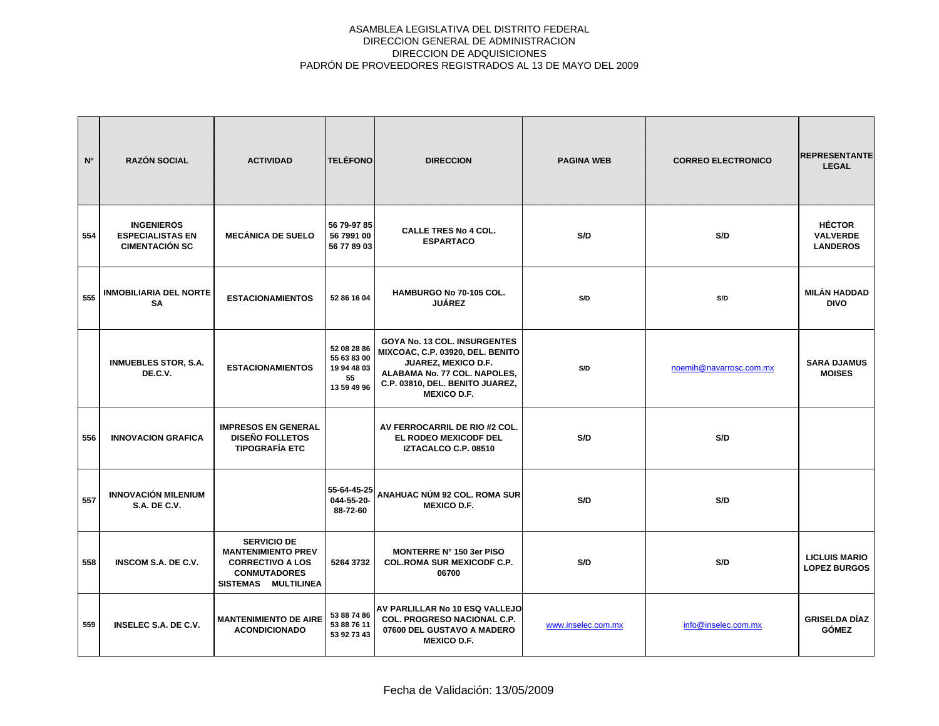| N°  | <b>RAZÓN SOCIAL</b>                                                   | <b>ACTIVIDAD</b>                                                                                                         | <b>TELÉFONO</b>                                                | <b>DIRECCION</b>                                                                                                                                                                        | <b>PAGINA WEB</b>  | <b>CORREO ELECTRONICO</b> | <b>REPRESENTANTE</b><br><b>LEGAL</b>                |
|-----|-----------------------------------------------------------------------|--------------------------------------------------------------------------------------------------------------------------|----------------------------------------------------------------|-----------------------------------------------------------------------------------------------------------------------------------------------------------------------------------------|--------------------|---------------------------|-----------------------------------------------------|
| 554 | <b>INGENIEROS</b><br><b>ESPECIALISTAS EN</b><br><b>CIMENTACIÓN SC</b> | <b>MECÁNICA DE SUELO</b>                                                                                                 | 56 79-97 85<br>56 7991 00<br>56 77 89 03                       | <b>CALLE TRES No 4 COL.</b><br><b>ESPARTACO</b>                                                                                                                                         | S/D                | S/D                       | <b>HÉCTOR</b><br><b>VALVERDE</b><br><b>LANDEROS</b> |
| 555 | <b>INMOBILIARIA DEL NORTE</b><br><b>SA</b>                            | <b>ESTACIONAMIENTOS</b>                                                                                                  | 52 86 16 04                                                    | HAMBURGO No 70-105 COL.<br><b>JUÁREZ</b>                                                                                                                                                | S/D                | S/D                       | <b>MILÁN HADDAD</b><br><b>DIVO</b>                  |
|     | <b>INMUEBLES STOR, S.A.</b><br>DE.C.V.                                | <b>ESTACIONAMIENTOS</b>                                                                                                  | 52 08 28 86<br>55 63 83 00<br>19 94 48 03<br>55<br>13 59 49 96 | GOYA No. 13 COL. INSURGENTES<br>MIXCOAC, C.P. 03920, DEL. BENITO<br><b>JUAREZ, MEXICO D.F.</b><br>ALABAMA No. 77 COL. NAPOLES,<br>C.P. 03810, DEL. BENITO JUAREZ,<br><b>MEXICO D.F.</b> | S/D                | noemih@navarrosc.com.mx   | <b>SARA DJAMUS</b><br><b>MOISES</b>                 |
| 556 | <b>INNOVACION GRAFICA</b>                                             | <b>IMPRESOS EN GENERAL</b><br><b>DISEÑO FOLLETOS</b><br><b>TIPOGRAFÍA ETC</b>                                            |                                                                | AV FERROCARRIL DE RIO #2 COL.<br><b>EL RODEO MEXICODF DEL</b><br>IZTACALCO C.P. 08510                                                                                                   | S/D                | S/D                       |                                                     |
| 557 | <b>INNOVACIÓN MILENIUM</b><br><b>S.A. DE C.V.</b>                     |                                                                                                                          | 55-64-45-25<br>044-55-20-<br>88-72-60                          | ANAHUAC NÚM 92 COL. ROMA SUR<br><b>MEXICO D.F.</b>                                                                                                                                      | S/D                | S/D                       |                                                     |
| 558 | <b>INSCOM S.A. DE C.V.</b>                                            | <b>SERVICIO DE</b><br><b>MANTENIMIENTO PREV</b><br><b>CORRECTIVO A LOS</b><br><b>CONMUTADORES</b><br>SISTEMAS MULTILINEA | 5264 3732                                                      | MONTERRE Nº 150 3er PISO<br><b>COL.ROMA SUR MEXICODF C.P.</b><br>06700                                                                                                                  | S/D                | S/D                       | <b>LICLUIS MARIO</b><br><b>LOPEZ BURGOS</b>         |
| 559 | <b>INSELEC S.A. DE C.V.</b>                                           | <b>MANTENIMIENTO DE AIRE</b><br><b>ACONDICIONADO</b>                                                                     | 53 88 74 86<br>53 88 76 11<br>53 92 73 43                      | AV PARLILLAR No 10 ESQ VALLEJO<br>COL. PROGRESO NACIONAL C.P.<br>07600 DEL GUSTAVO A MADERO<br><b>MEXICO D.F.</b>                                                                       | www.inselec.com.mx | info@inselec.com.mx       | <b>GRISELDA DÍAZ</b><br><b>GÓMEZ</b>                |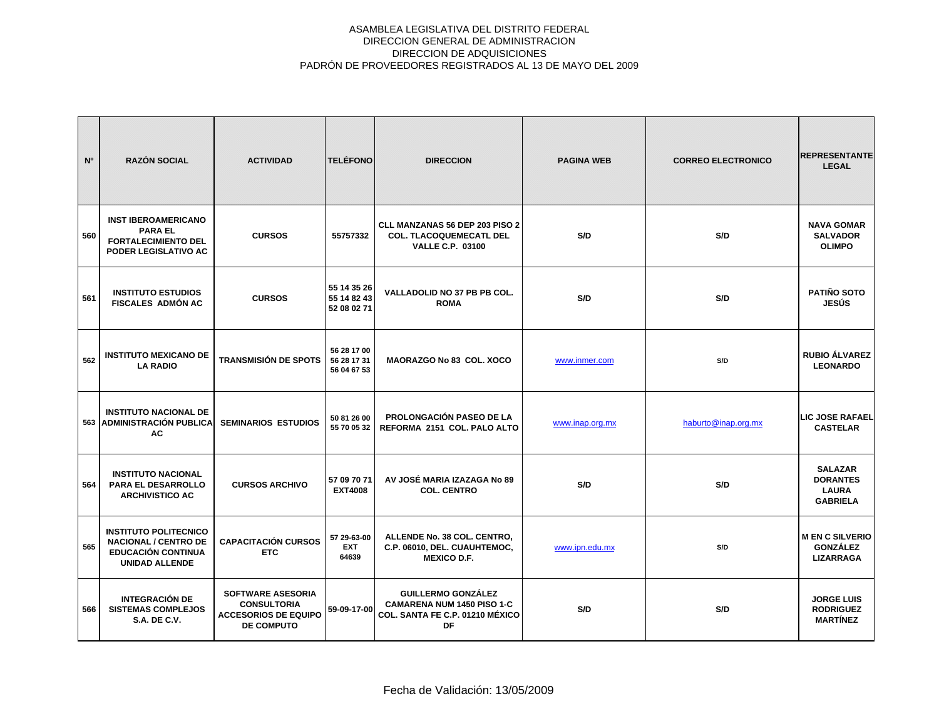| N <sup>o</sup> | <b>RAZÓN SOCIAL</b>                                                                                               | <b>ACTIVIDAD</b>                                                                                   | <b>TELÉFONO</b>                           | <b>DIRECCION</b>                                                                                        | <b>PAGINA WEB</b> | <b>CORREO ELECTRONICO</b> | <b>REPRESENTANTE</b><br><b>LEGAL</b>                                 |
|----------------|-------------------------------------------------------------------------------------------------------------------|----------------------------------------------------------------------------------------------------|-------------------------------------------|---------------------------------------------------------------------------------------------------------|-------------------|---------------------------|----------------------------------------------------------------------|
| 560            | <b>INST IBEROAMERICANO</b><br><b>PARA EL</b><br><b>FORTALECIMIENTO DEL</b><br><b>PODER LEGISLATIVO AC</b>         | <b>CURSOS</b>                                                                                      | 55757332                                  | CLL MANZANAS 56 DEP 203 PISO 2<br><b>COL. TLACOQUEMECATL DEL</b><br><b>VALLE C.P. 03100</b>             | S/D               | S/D                       | <b>NAVA GOMAR</b><br><b>SALVADOR</b><br><b>OLIMPO</b>                |
| 561            | <b>INSTITUTO ESTUDIOS</b><br><b>FISCALES ADMÓN AC</b>                                                             | <b>CURSOS</b>                                                                                      | 55 14 35 26<br>55 14 82 43<br>52 08 02 71 | VALLADOLID NO 37 PB PB COL.<br><b>ROMA</b>                                                              | S/D               | S/D                       | <b>PATIÑO SOTO</b><br><b>JESÚS</b>                                   |
| 562            | <b>INSTITUTO MEXICANO DE</b><br><b>LA RADIO</b>                                                                   | <b>TRANSMISIÓN DE SPOTS</b>                                                                        | 56 28 17 00<br>56 28 17 31<br>56 04 67 53 | <b>MAORAZGO No 83 COL. XOCO</b>                                                                         | www.inmer.com     | S/D                       | <b>RUBIO ÁLVAREZ</b><br><b>LEONARDO</b>                              |
|                | <b>INSTITUTO NACIONAL DE</b><br>563 ADMINISTRACIÓN PUBLICA<br>AC                                                  | <b>SEMINARIOS ESTUDIOS</b>                                                                         | 50 81 26 00<br>55 70 05 32                | <b>PROLONGACIÓN PASEO DE LA</b><br>REFORMA 2151 COL. PALO ALTO                                          | www.inap.org.mx   | haburto@inap.org.mx       | <b>LIC JOSE RAFAEL</b><br><b>CASTELAR</b>                            |
| 564            | <b>INSTITUTO NACIONAL</b><br><b>PARA EL DESARROLLO</b><br><b>ARCHIVISTICO AC</b>                                  | <b>CURSOS ARCHIVO</b>                                                                              | 57 09 70 71<br><b>EXT4008</b>             | AV JOSÉ MARIA IZAZAGA No 89<br><b>COL. CENTRO</b>                                                       | S/D               | S/D                       | <b>SALAZAR</b><br><b>DORANTES</b><br><b>LAURA</b><br><b>GABRIELA</b> |
| 565            | <b>INSTITUTO POLITECNICO</b><br><b>NACIONAL / CENTRO DE</b><br><b>EDUCACIÓN CONTINUA</b><br><b>UNIDAD ALLENDE</b> | <b>CAPACITACIÓN CURSOS</b><br><b>ETC</b>                                                           | 57 29-63-00<br><b>EXT</b><br>64639        | ALLENDE No. 38 COL. CENTRO,<br>C.P. 06010, DEL. CUAUHTEMOC,<br><b>MEXICO D.F.</b>                       | www.ipn.edu.mx    | S/D                       | <b>M EN C SILVERIO</b><br><b>GONZÁLEZ</b><br><b>LIZARRAGA</b>        |
| 566            | <b>INTEGRACIÓN DE</b><br><b>SISTEMAS COMPLEJOS</b><br><b>S.A. DE C.V.</b>                                         | <b>SOFTWARE ASESORIA</b><br><b>CONSULTORIA</b><br><b>ACCESORIOS DE EQUIPO</b><br><b>DE COMPUTO</b> | 59-09-17-00                               | <b>GUILLERMO GONZÁLEZ</b><br><b>CAMARENA NUM 1450 PISO 1-C</b><br>COL. SANTA FE C.P. 01210 MÉXICO<br>DF | S/D               | S/D                       | <b>JORGE LUIS</b><br><b>RODRIGUEZ</b><br><b>MARTÍNEZ</b>             |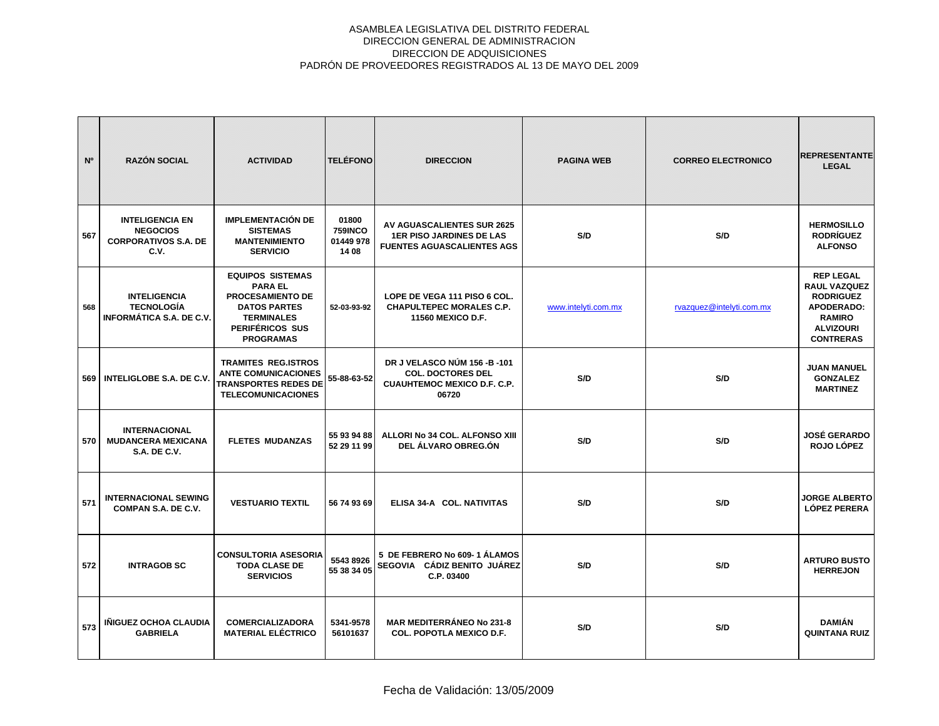| N <sup>o</sup> | <b>RAZÓN SOCIAL</b>                                                              | <b>ACTIVIDAD</b>                                                                                                                                        | <b>TELÉFONO</b>                               | <b>DIRECCION</b>                                                                                          | <b>PAGINA WEB</b>   | <b>CORREO ELECTRONICO</b> | <b>REPRESENTANTE</b><br><b>LEGAL</b>                                                                                        |
|----------------|----------------------------------------------------------------------------------|---------------------------------------------------------------------------------------------------------------------------------------------------------|-----------------------------------------------|-----------------------------------------------------------------------------------------------------------|---------------------|---------------------------|-----------------------------------------------------------------------------------------------------------------------------|
| 567            | <b>INTELIGENCIA EN</b><br><b>NEGOCIOS</b><br><b>CORPORATIVOS S.A. DE</b><br>C.V. | <b>IMPLEMENTACIÓN DE</b><br><b>SISTEMAS</b><br><b>MANTENIMIENTO</b><br><b>SERVICIO</b>                                                                  | 01800<br><b>759INCO</b><br>01449 978<br>14 08 | <b>AV AGUASCALIENTES SUR 2625</b><br><b>1ER PISO JARDINES DE LAS</b><br><b>FUENTES AGUASCALIENTES AGS</b> | S/D                 | S/D                       | <b>HERMOSILLO</b><br><b>RODRÍGUEZ</b><br><b>ALFONSO</b>                                                                     |
| 568            | <b>INTELIGENCIA</b><br><b>TECNOLOGÍA</b><br><b>INFORMÁTICA S.A. DE C.V.</b>      | <b>EQUIPOS SISTEMAS</b><br><b>PARA EL</b><br><b>PROCESAMIENTO DE</b><br><b>DATOS PARTES</b><br><b>TERMINALES</b><br>PERIFÉRICOS SUS<br><b>PROGRAMAS</b> | 52-03-93-92                                   | LOPE DE VEGA 111 PISO 6 COL.<br><b>CHAPULTEPEC MORALES C.P.</b><br><b>11560 MEXICO D.F.</b>               | www.intelyti.com.mx | rvazquez@intelyti.com.mx  | <b>REP LEGAL</b><br>RAUL VAZQUEZ<br><b>RODRIGUEZ</b><br>APODERADO:<br><b>RAMIRO</b><br><b>ALVIZOURI</b><br><b>CONTRERAS</b> |
| 569            | <b>INTELIGLOBE S.A. DE C.V.</b>                                                  | <b>TRAMITES REG.ISTROS</b><br><b>ANTE COMUNICACIONES</b><br><b>TRANSPORTES REDES DE</b><br><b>TELECOMUNICACIONES</b>                                    | 55-88-63-52                                   | DR J VELASCO NÚM 156 -B -101<br><b>COL. DOCTORES DEL</b><br><b>CUAUHTEMOC MEXICO D.F. C.P.</b><br>06720   | S/D                 | S/D                       | <b>JUAN MANUEL</b><br><b>GONZALEZ</b><br><b>MARTINEZ</b>                                                                    |
| 570            | <b>INTERNACIONAL</b><br><b>MUDANCERA MEXICANA</b><br><b>S.A. DE C.V.</b>         | <b>FLETES MUDANZAS</b>                                                                                                                                  | 55 93 94 88<br>52 29 11 99                    | ALLORI No 34 COL. ALFONSO XIII<br>DEL ÁLVARO OBREG.ÓN                                                     | S/D                 | S/D                       | <b>JOSÉ GERARDO</b><br>ROJO LÓPEZ                                                                                           |
| 571            | <b>INTERNACIONAL SEWING</b><br>COMPAN S.A. DE C.V.                               | <b>VESTUARIO TEXTIL</b>                                                                                                                                 | 56 74 93 69                                   | ELISA 34-A COL. NATIVITAS                                                                                 | S/D                 | S/D                       | <b>JORGE ALBERTO</b><br><b>LÓPEZ PERERA</b>                                                                                 |
| 572            | <b>INTRAGOB SC</b>                                                               | <b>CONSULTORIA ASESORIA</b><br><b>TODA CLASE DE</b><br><b>SERVICIOS</b>                                                                                 | 5543 8926<br>55 38 34 05                      | 5 DE FEBRERO No 609-1 ÁLAMOS<br>SEGOVIA CÁDIZ BENITO JUÁREZ<br>C.P. 03400                                 | S/D                 | S/D                       | <b>ARTURO BUSTO</b><br><b>HERREJON</b>                                                                                      |
| 573            | IÑIGUEZ OCHOA CLAUDIA<br><b>GABRIELA</b>                                         | <b>COMERCIALIZADORA</b><br><b>MATERIAL ELÉCTRICO</b>                                                                                                    | 5341-9578<br>56101637                         | <b>MAR MEDITERRÁNEO No 231-8</b><br><b>COL. POPOTLA MEXICO D.F.</b>                                       | S/D                 | S/D                       | <b>DAMIÁN</b><br><b>QUINTANA RUIZ</b>                                                                                       |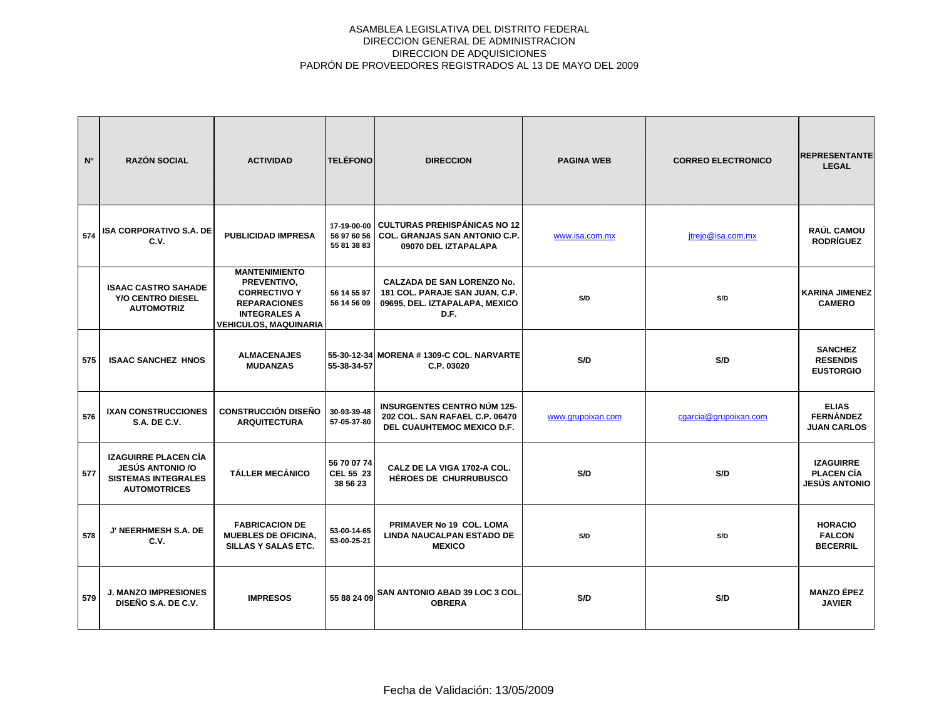| N <sup>o</sup> | <b>RAZÓN SOCIAL</b>                                                                                         | <b>ACTIVIDAD</b>                                                                                                                         | <b>TELÉFONO</b>                      | <b>DIRECCION</b>                                                                                              | <b>PAGINA WEB</b> | <b>CORREO ELECTRONICO</b> | <b>REPRESENTANTE</b><br><b>LEGAL</b>                          |
|----------------|-------------------------------------------------------------------------------------------------------------|------------------------------------------------------------------------------------------------------------------------------------------|--------------------------------------|---------------------------------------------------------------------------------------------------------------|-------------------|---------------------------|---------------------------------------------------------------|
| 574            | <b>ISA CORPORATIVO S.A. DE</b><br>C.V.                                                                      | <b>PUBLICIDAD IMPRESA</b>                                                                                                                | 56 97 60 56<br>55 81 38 83           | 17-19-00-00 CULTURAS PREHISPÁNICAS NO 12<br><b>COL. GRANJAS SAN ANTONIO C.P.</b><br>09070 DEL IZTAPALAPA      | www.isa.com.mx    | jtrejo@isa.com.mx         | <b>RAÚL CAMOU</b><br><b>RODRÍGUEZ</b>                         |
|                | <b>ISAAC CASTRO SAHADE</b><br><b>Y/O CENTRO DIESEL</b><br><b>AUTOMOTRIZ</b>                                 | <b>MANTENIMIENTO</b><br>PREVENTIVO,<br><b>CORRECTIVO Y</b><br><b>REPARACIONES</b><br><b>INTEGRALES A</b><br><b>VEHICULOS, MAQUINARIA</b> | 56 14 55 97<br>56 14 56 09           | <b>CALZADA DE SAN LORENZO No.</b><br>181 COL. PARAJE SAN JUAN, C.P.<br>09695, DEL. IZTAPALAPA, MEXICO<br>D.F. | S/D               | S/D                       | <b>KARINA JIMENEZ</b><br><b>CAMERO</b>                        |
| 575            | <b>ISAAC SANCHEZ HNOS</b>                                                                                   | <b>ALMACENAJES</b><br><b>MUDANZAS</b>                                                                                                    | 55-38-34-57                          | 55-30-12-34 MORENA # 1309-C COL. NARVARTE<br>C.P. 03020                                                       | S/D               | S/D                       | <b>SANCHEZ</b><br><b>RESENDIS</b><br><b>EUSTORGIO</b>         |
| 576            | <b>IXAN CONSTRUCCIONES</b><br><b>S.A. DE C.V.</b>                                                           | <b>CONSTRUCCIÓN DISEÑO</b><br><b>ARQUITECTURA</b>                                                                                        | 30-93-39-48<br>57-05-37-80           | <b>INSURGENTES CENTRO NÚM 125-</b><br>202 COL. SAN RAFAEL C.P. 06470<br>DEL CUAUHTEMOC MEXICO D.F.            | www.grupoixan.com | cgarcia@grupoixan.com     | <b>ELIAS</b><br><b>FERNÁNDEZ</b><br><b>JUAN CARLOS</b>        |
| 577            | <b>IZAGUIRRE PLACEN CÍA</b><br><b>JESÚS ANTONIO /O</b><br><b>SISTEMAS INTEGRALES</b><br><b>AUTOMOTRICES</b> | <b>TÁLLER MECÁNICO</b>                                                                                                                   | 56 70 07 74<br>CEL 55 23<br>38 56 23 | CALZ DE LA VIGA 1702-A COL.<br><b>HÉROES DE CHURRUBUSCO</b>                                                   | S/D               | S/D                       | <b>IZAGUIRRE</b><br><b>PLACEN CÍA</b><br><b>JESÚS ANTONIO</b> |
| 578            | J' NEERHMESH S.A. DE<br>C.V.                                                                                | <b>FABRICACION DE</b><br><b>MUEBLES DE OFICINA,</b><br>SILLAS Y SALAS ETC.                                                               | 53-00-14-65<br>53-00-25-21           | PRIMAVER No 19 COL. LOMA<br><b>LINDA NAUCALPAN ESTADO DE</b><br><b>MEXICO</b>                                 | S/D               | S/D                       | <b>HORACIO</b><br><b>FALCON</b><br><b>BECERRIL</b>            |
| 579            | <b>J. MANZO IMPRESIONES</b><br>DISEÑO S.A. DE C.V.                                                          | <b>IMPRESOS</b>                                                                                                                          | 55 88 24 09                          | <b>SAN ANTONIO ABAD 39 LOC 3 COL</b><br><b>OBRERA</b>                                                         | S/D               | S/D                       | <b>MANZO ÉPEZ</b><br><b>JAVIER</b>                            |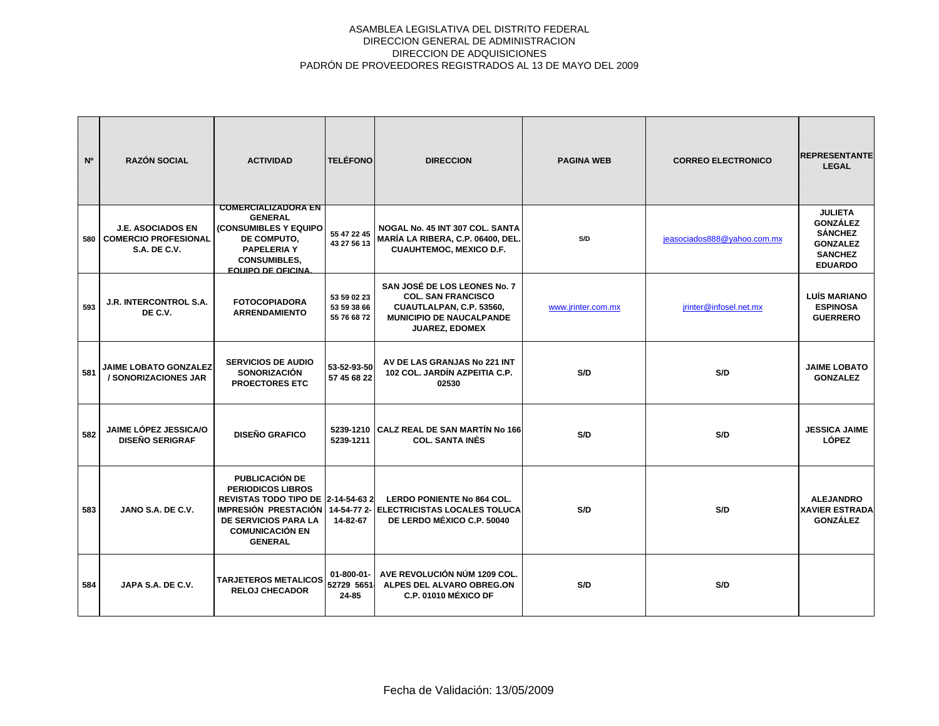| N <sup>o</sup> | <b>RAZÓN SOCIAL</b>                                                            | <b>ACTIVIDAD</b>                                                                                                                                                                                         | <b>TELÉFONO</b>                           | <b>DIRECCION</b>                                                                                                                           | <b>PAGINA WEB</b>  | <b>CORREO ELECTRONICO</b>   | <b>REPRESENTANTE</b><br><b>LEGAL</b>                                                                       |
|----------------|--------------------------------------------------------------------------------|----------------------------------------------------------------------------------------------------------------------------------------------------------------------------------------------------------|-------------------------------------------|--------------------------------------------------------------------------------------------------------------------------------------------|--------------------|-----------------------------|------------------------------------------------------------------------------------------------------------|
| 580            | <b>J.E. ASOCIADOS EN</b><br><b>COMERCIO PROFESIONAL</b><br><b>S.A. DE C.V.</b> | <b>COMERCIALIZADORA EN</b><br><b>GENERAL</b><br>(CONSUMIBLES Y EQUIPO<br>DE COMPUTO,<br><b>PAPELERIA Y</b><br><b>CONSUMIBLES,</b><br><b>EQUIPO DE OFICINA</b>                                            | 55 47 22 45<br>43 27 56 13                | NOGAL No. 45 INT 307 COL. SANTA<br>MARÍA LA RIBERA, C.P. 06400, DEL.<br><b>CUAUHTEMOC, MEXICO D.F.</b>                                     | S/D                | jeasociados888@yahoo.com.mx | <b>JULIETA</b><br><b>GONZÁLEZ</b><br><b>SÁNCHEZ</b><br><b>GONZALEZ</b><br><b>SANCHEZ</b><br><b>EDUARDO</b> |
| 593            | <b>J.R. INTERCONTROL S.A.</b><br>DE C.V.                                       | <b>FOTOCOPIADORA</b><br><b>ARRENDAMIENTO</b>                                                                                                                                                             | 53 59 02 23<br>53 59 38 66<br>55 76 68 72 | SAN JOSÉ DE LOS LEONES No. 7<br><b>COL. SAN FRANCISCO</b><br>CUAUTLALPAN, C.P. 53560,<br><b>MUNICIPIO DE NAUCALPANDE</b><br>JUAREZ, EDOMEX | www.jrinter.com.mx | jrinter@infosel.net.mx      | <b>LUÍS MARIANO</b><br><b>ESPINOSA</b><br><b>GUERRERO</b>                                                  |
| 581            | JAIME LOBATO GONZALEZ<br>/ SONORIZACIONES JAR                                  | <b>SERVICIOS DE AUDIO</b><br><b>SONORIZACIÓN</b><br><b>PROECTORES ETC</b>                                                                                                                                | 53-52-93-50<br>57 45 68 22                | AV DE LAS GRANJAS No 221 INT<br>102 COL. JARDÍN AZPEITIA C.P.<br>02530                                                                     | S/D                | S/D                         | <b>JAIME LOBATO</b><br><b>GONZALEZ</b>                                                                     |
| 582            | JAIME LÓPEZ JESSICA/O<br><b>DISEÑO SERIGRAF</b>                                | <b>DISEÑO GRAFICO</b>                                                                                                                                                                                    | 5239-1211                                 | 5239-1210 CALZ REAL DE SAN MARTÍN No 166<br><b>COL. SANTA INÉS</b>                                                                         | S/D                | S/D                         | <b>JESSICA JAIME</b><br>LÓPEZ                                                                              |
| 583            | JANO S.A. DE C.V.                                                              | <b>PUBLICACIÓN DE</b><br><b>PERIODICOS LIBROS</b><br><b>REVISTAS TODO TIPO DE 2-14-54-63 2</b><br><b>IMPRESIÓN PRESTACIÓN</b><br><b>DE SERVICIOS PARA LA</b><br><b>COMUNICACIÓN EN</b><br><b>GENERAL</b> | 14-82-67                                  | <b>LERDO PONIENTE No 864 COL.</b><br>14-54-77 2- ELECTRICISTAS LOCALES TOLUCA<br>DE LERDO MÉXICO C.P. 50040                                | S/D                | S/D                         | <b>ALEJANDRO</b><br><b>XAVIER ESTRADA</b><br><b>GONZALEZ</b>                                               |
| 584            | JAPA S.A. DE C.V.                                                              | <b>TARJETEROS METALICOS</b><br><b>RELOJ CHECADOR</b>                                                                                                                                                     | $01 - 800 - 01$<br>52729 5651<br>24-85    | AVE REVOLUCIÓN NÚM 1209 COL.<br>ALPES DEL ALVARO OBREG.ON<br>C.P. 01010 MÉXICO DF                                                          | S/D                | S/D                         |                                                                                                            |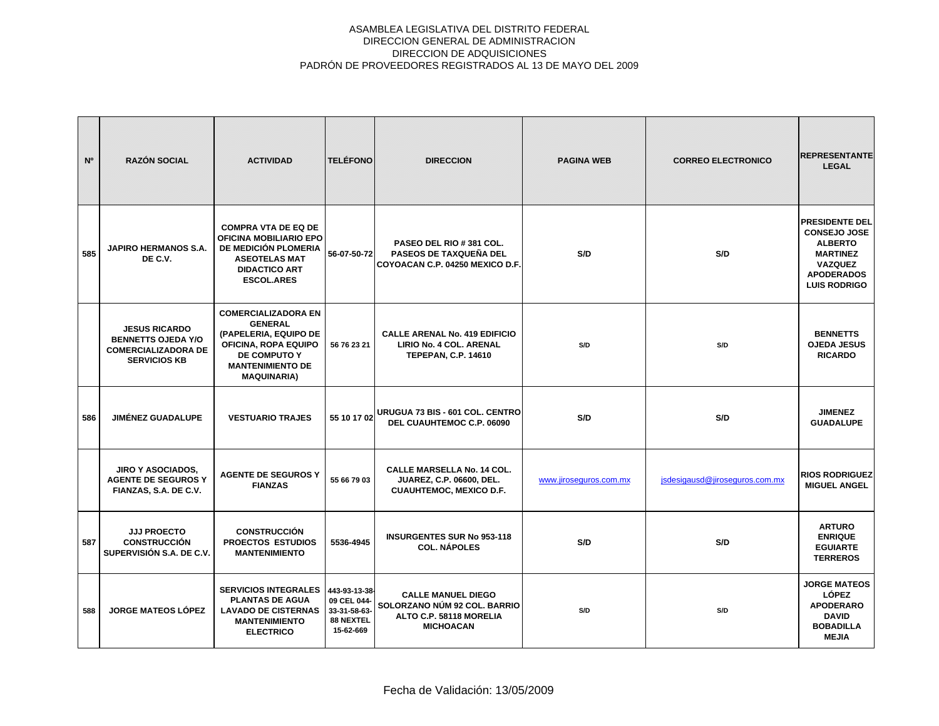| N°  | <b>RAZÓN SOCIAL</b>                                                                                    | <b>ACTIVIDAD</b>                                                                                                                                               | <b>TELÉFONO</b>                                                        | <b>DIRECCION</b>                                                                                         | <b>PAGINA WEB</b>      | <b>CORREO ELECTRONICO</b>      | <b>REPRESENTANTE</b><br><b>LEGAL</b>                                                                                                            |
|-----|--------------------------------------------------------------------------------------------------------|----------------------------------------------------------------------------------------------------------------------------------------------------------------|------------------------------------------------------------------------|----------------------------------------------------------------------------------------------------------|------------------------|--------------------------------|-------------------------------------------------------------------------------------------------------------------------------------------------|
| 585 | <b>JAPIRO HERMANOS S.A.</b><br>DE C.V.                                                                 | <b>COMPRA VTA DE EQ DE</b><br>OFICINA MOBILIARIO EPO<br>DE MEDICIÓN PLOMERIA<br><b>ASEOTELAS MAT</b><br><b>DIDACTICO ART</b><br><b>ESCOL.ARES</b>              | 56-07-50-72                                                            | PASEO DEL RIO # 381 COL.<br>PASEOS DE TAXQUEÑA DEL<br>COYOACAN C.P. 04250 MEXICO D.F.                    | S/D                    | S/D                            | <b>PRESIDENTE DEL</b><br><b>CONSEJO JOSE</b><br><b>ALBERTO</b><br><b>MARTINEZ</b><br><b>VAZQUEZ</b><br><b>APODERADOS</b><br><b>LUIS RODRIGO</b> |
|     | <b>JESUS RICARDO</b><br><b>BENNETTS OJEDA Y/O</b><br><b>COMERCIALIZADORA DE</b><br><b>SERVICIOS KB</b> | <b>COMERCIALIZADORA EN</b><br><b>GENERAL</b><br>(PAPELERIA, EQUIPO DE<br>OFICINA, ROPA EQUIPO<br>DE COMPUTO Y<br><b>MANTENIMIENTO DE</b><br><b>MAQUINARIA)</b> | 56 76 23 21                                                            | <b>CALLE ARENAL No. 419 EDIFICIO</b><br>LIRIO No. 4 COL. ARENAL<br><b>TEPEPAN, C.P. 14610</b>            | S/D                    | S/D                            | <b>BENNETTS</b><br><b>OJEDA JESUS</b><br><b>RICARDO</b>                                                                                         |
| 586 | <b>JIMÉNEZ GUADALUPE</b>                                                                               | <b>VESTUARIO TRAJES</b>                                                                                                                                        |                                                                        | 55 10 17 02 URUGUA 73 BIS - 601 COL. CENTRO<br>DEL CUAUHTEMOC C.P. 06090                                 | S/D                    | S/D                            | <b>JIMENEZ</b><br><b>GUADALUPE</b>                                                                                                              |
|     | <b>JIRO Y ASOCIADOS,</b><br><b>AGENTE DE SEGUROS Y</b><br>FIANZAS, S.A. DE C.V.                        | <b>AGENTE DE SEGUROS Y</b><br><b>FIANZAS</b>                                                                                                                   | 55 66 79 03                                                            | <b>CALLE MARSELLA No. 14 COL.</b><br><b>JUAREZ, C.P. 06600, DEL.</b><br><b>CUAUHTEMOC, MEXICO D.F.</b>   | www.jiroseguros.com.mx | jsdesigausd@jiroseguros.com.mx | <b>RIOS RODRIGUEZ</b><br><b>MIGUEL ANGEL</b>                                                                                                    |
| 587 | <b>JJJ PROECTO</b><br><b>CONSTRUCCIÓN</b><br>SUPERVISIÓN S.A. DE C.V.                                  | <b>CONSTRUCCIÓN</b><br>PROECTOS ESTUDIOS<br><b>MANTENIMIENTO</b>                                                                                               | 5536-4945                                                              | <b>INSURGENTES SUR No 953-118</b><br><b>COL. NÁPOLES</b>                                                 | S/D                    | S/D                            | <b>ARTURO</b><br><b>ENRIQUE</b><br><b>EGUIARTE</b><br><b>TERREROS</b>                                                                           |
| 588 | <b>JORGE MATEOS LÓPEZ</b>                                                                              | <b>SERVICIOS INTEGRALES</b><br><b>PLANTAS DE AGUA</b><br><b>LAVADO DE CISTERNAS</b><br><b>MANTENIMIENTO</b><br><b>ELECTRICO</b>                                | 443-93-13-38-<br>09 CEL 044-<br>33-31-58-63-<br>88 NEXTEL<br>15-62-669 | <b>CALLE MANUEL DIEGO</b><br>SOLORZANO NÚM 92 COL. BARRIO<br>ALTO C.P. 58118 MORELIA<br><b>MICHOACAN</b> | S/D                    | S/D                            | <b>JORGE MATEOS</b><br><b>LÓPEZ</b><br><b>APODERARO</b><br><b>DAVID</b><br><b>BOBADILLA</b><br><b>MEJIA</b>                                     |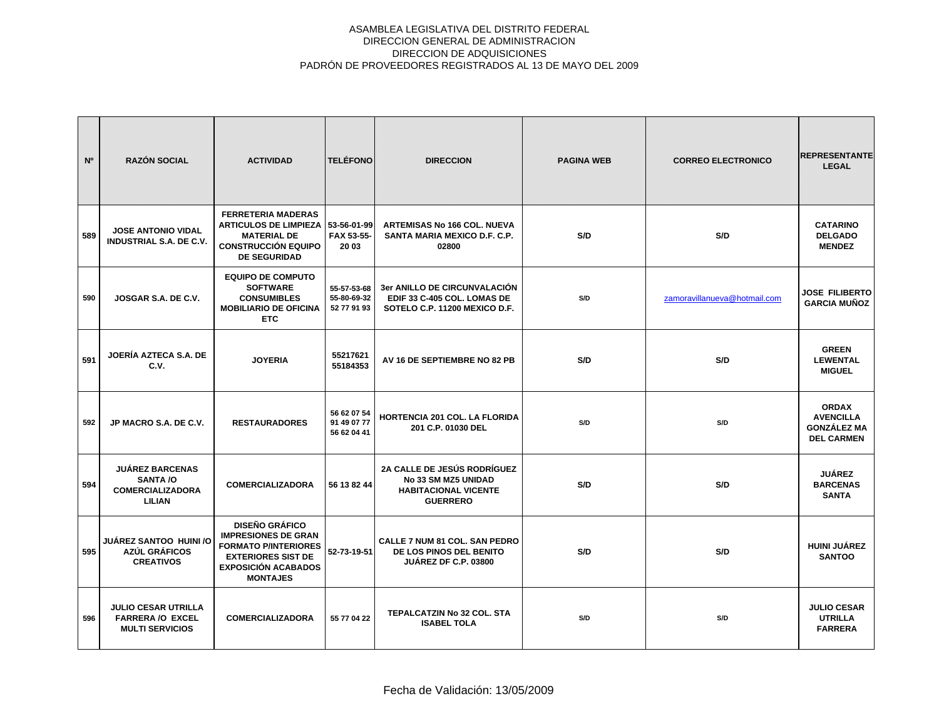| N°  | <b>RAZÓN SOCIAL</b>                                                             | <b>ACTIVIDAD</b>                                                                                                                                                 | <b>TELÉFONO</b>                           | <b>DIRECCION</b>                                                                                            | <b>PAGINA WEB</b> | <b>CORREO ELECTRONICO</b>    | <b>REPRESENTANTE</b><br><b>LEGAL</b>                                        |
|-----|---------------------------------------------------------------------------------|------------------------------------------------------------------------------------------------------------------------------------------------------------------|-------------------------------------------|-------------------------------------------------------------------------------------------------------------|-------------------|------------------------------|-----------------------------------------------------------------------------|
| 589 | <b>JOSE ANTONIO VIDAL</b><br><b>INDUSTRIAL S.A. DE C.V.</b>                     | <b>FERRETERIA MADERAS</b><br><b>ARTICULOS DE LIMPIEZA</b><br><b>MATERIAL DE</b><br><b>CONSTRUCCIÓN EQUIPO</b><br><b>DE SEGURIDAD</b>                             | 53-56-01-99<br>FAX 53-55-<br>20 03        | <b>ARTEMISAS No 166 COL. NUEVA</b><br>SANTA MARIA MEXICO D.F. C.P.<br>02800                                 | S/D               | S/D                          | <b>CATARINO</b><br><b>DELGADO</b><br><b>MENDEZ</b>                          |
| 590 | JOSGAR S.A. DE C.V.                                                             | <b>EQUIPO DE COMPUTO</b><br><b>SOFTWARE</b><br><b>CONSUMIBLES</b><br><b>MOBILIARIO DE OFICINA</b><br><b>ETC</b>                                                  | 55-57-53-68<br>55-80-69-32<br>52 77 91 93 | 3er ANILLO DE CIRCUNVALACIÓN<br>EDIF 33 C-405 COL. LOMAS DE<br>SOTELO C.P. 11200 MEXICO D.F.                | S/D               | zamoravillanueva@hotmail.com | <b>JOSE FILIBERTO</b><br><b>GARCIA MUÑOZ</b>                                |
| 591 | JOERÍA AZTECA S.A. DE<br>C.V.                                                   | <b>JOYERIA</b>                                                                                                                                                   | 55217621<br>55184353                      | AV 16 DE SEPTIEMBRE NO 82 PB                                                                                | S/D               | S/D                          | <b>GREEN</b><br><b>LEWENTAL</b><br><b>MIGUEL</b>                            |
| 592 | JP MACRO S.A. DE C.V.                                                           | <b>RESTAURADORES</b>                                                                                                                                             | 56 62 07 54<br>91 49 07 77<br>56 62 04 41 | HORTENCIA 201 COL. LA FLORIDA<br>201 C.P. 01030 DEL                                                         | S/D               | S/D                          | <b>ORDAX</b><br><b>AVENCILLA</b><br><b>GONZÁLEZ MA</b><br><b>DEL CARMEN</b> |
| 594 | <b>JUÁREZ BARCENAS</b><br><b>SANTA /O</b><br><b>COMERCIALIZADORA</b><br>LILIAN  | <b>COMERCIALIZADORA</b>                                                                                                                                          | 56 13 82 44                               | <b>2A CALLE DE JESÚS RODRÍGUEZ</b><br>No 33 SM MZ5 UNIDAD<br><b>HABITACIONAL VICENTE</b><br><b>GUERRERO</b> | S/D               | S/D                          | <b>JUÁREZ</b><br><b>BARCENAS</b><br><b>SANTA</b>                            |
| 595 | JUÁREZ SANTOO HUINI /O<br>AZÚL GRÁFICOS<br><b>CREATIVOS</b>                     | <b>DISEÑO GRÁFICO</b><br><b>IMPRESIONES DE GRAN</b><br><b>FORMATO P/INTERIORES</b><br><b>EXTERIORES SIST DE</b><br><b>EXPOSICIÓN ACABADOS</b><br><b>MONTAJES</b> | 52-73-19-51                               | CALLE 7 NUM 81 COL. SAN PEDRO<br>DE LOS PINOS DEL BENITO<br><b>JUÁREZ DF C.P. 03800</b>                     | S/D               | S/D                          | <b>HUINI JUÁREZ</b><br><b>SANTOO</b>                                        |
| 596 | <b>JULIO CESAR UTRILLA</b><br><b>FARRERA /O EXCEL</b><br><b>MULTI SERVICIOS</b> | <b>COMERCIALIZADORA</b>                                                                                                                                          | 55 77 04 22                               | TEPALCATZIN No 32 COL. STA<br><b>ISABEL TOLA</b>                                                            | S/D               | S/D                          | <b>JULIO CESAR</b><br><b>UTRILLA</b><br><b>FARRERA</b>                      |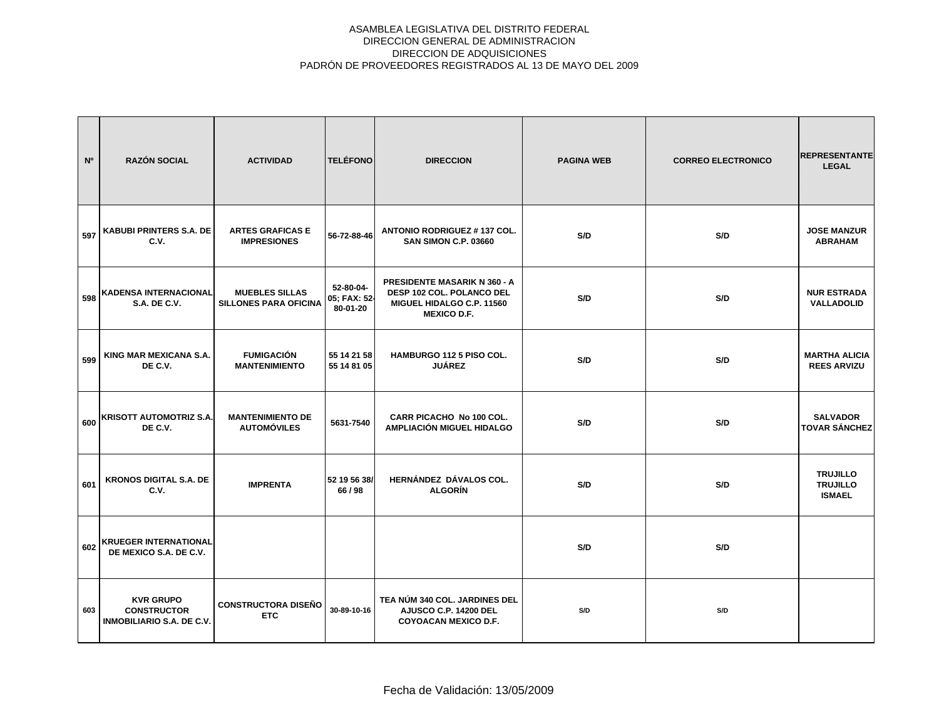| N <sup>o</sup> | <b>RAZÓN SOCIAL</b>                                                        | <b>ACTIVIDAD</b>                                      | <b>TELÉFONO</b>                       | <b>DIRECCION</b>                                                                                                           | <b>PAGINA WEB</b> | <b>CORREO ELECTRONICO</b> | <b>REPRESENTANTE</b><br><b>LEGAL</b>                |
|----------------|----------------------------------------------------------------------------|-------------------------------------------------------|---------------------------------------|----------------------------------------------------------------------------------------------------------------------------|-------------------|---------------------------|-----------------------------------------------------|
| 597            | <b>KABUBI PRINTERS S.A. DE</b><br>C.V.                                     | <b>ARTES GRAFICAS E</b><br><b>IMPRESIONES</b>         | 56-72-88-46                           | ANTONIO RODRIGUEZ #137 COL.<br><b>SAN SIMON C.P. 03660</b>                                                                 | S/D               | S/D                       | <b>JOSE MANZUR</b><br><b>ABRAHAM</b>                |
| 598            | <b>KADENSA INTERNACIONAL</b><br><b>S.A. DE C.V.</b>                        | <b>MUEBLES SILLAS</b><br><b>SILLONES PARA OFICINA</b> | 52-80-04-<br>05; FAX: 52-<br>80-01-20 | <b>PRESIDENTE MASARIK N 360 - A</b><br><b>DESP 102 COL. POLANCO DEL</b><br>MIGUEL HIDALGO C.P. 11560<br><b>MEXICO D.F.</b> | S/D               | S/D                       | <b>NUR ESTRADA</b><br>VALLADOLID                    |
| 599            | KING MAR MEXICANA S.A.<br>DE C.V.                                          | <b>FUMIGACIÓN</b><br><b>MANTENIMIENTO</b>             | 55 14 21 58<br>55 14 81 05            | HAMBURGO 112 5 PISO COL.<br><b>JUÁREZ</b>                                                                                  | S/D               | S/D                       | <b>MARTHA ALICIA</b><br><b>REES ARVIZU</b>          |
| 600            | <b>KRISOTT AUTOMOTRIZ S.A.</b><br>DE C.V.                                  | <b>MANTENIMIENTO DE</b><br><b>AUTOMÓVILES</b>         | 5631-7540                             | <b>CARR PICACHO No 100 COL.</b><br>AMPLIACIÓN MIGUEL HIDALGO                                                               | S/D               | S/D                       | <b>SALVADOR</b><br><b>TOVAR SÁNCHEZ</b>             |
| 601            | <b>KRONOS DIGITAL S.A. DE</b><br>C.V.                                      | <b>IMPRENTA</b>                                       | 52 19 56 38/<br>66 / 98               | HERNÁNDEZ DÁVALOS COL.<br><b>ALGORÍN</b>                                                                                   | S/D               | S/D                       | <b>TRUJILLO</b><br><b>TRUJILLO</b><br><b>ISMAEL</b> |
| 602            | <b>KRUEGER INTERNATIONAL</b><br>DE MEXICO S.A. DE C.V.                     |                                                       |                                       |                                                                                                                            | S/D               | S/D                       |                                                     |
| 603            | <b>KVR GRUPO</b><br><b>CONSTRUCTOR</b><br><b>INMOBILIARIO S.A. DE C.V.</b> | <b>CONSTRUCTORA DISEÑO</b><br><b>ETC</b>              | 30-89-10-16                           | TEA NÚM 340 COL. JARDINES DEL<br>AJUSCO C.P. 14200 DEL<br><b>COYOACAN MEXICO D.F.</b>                                      | S/D               | S/D                       |                                                     |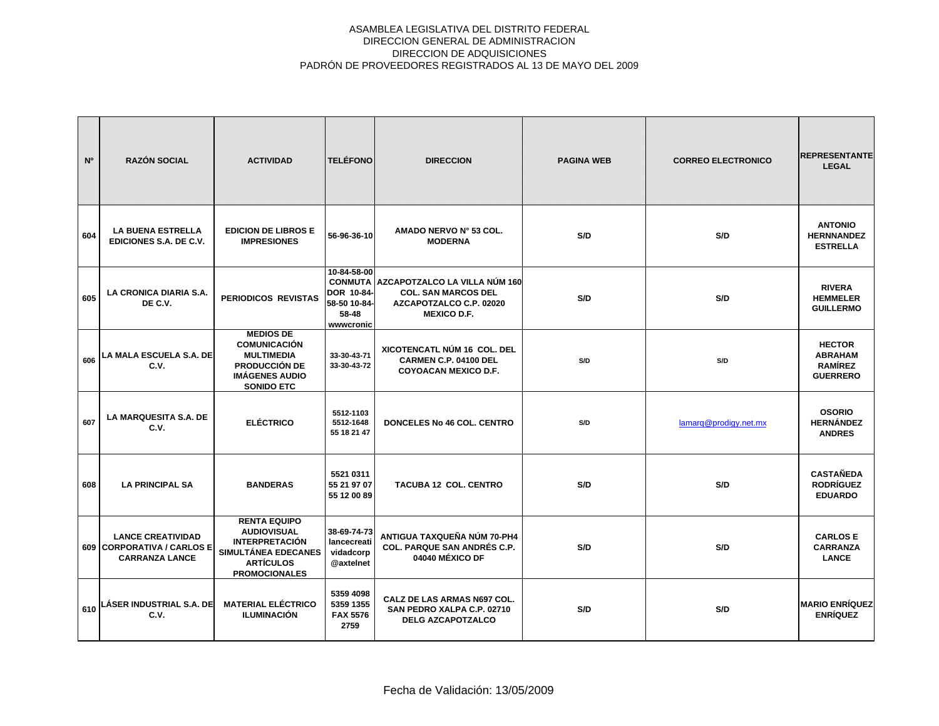| N <sup>o</sup> | <b>RAZÓN SOCIAL</b>                                                             | <b>ACTIVIDAD</b>                                                                                                                      | <b>TELÉFONO</b>                                                  | <b>DIRECCION</b>                                                                                                            | <b>PAGINA WEB</b> | <b>CORREO ELECTRONICO</b> | <b>REPRESENTANTE</b><br><b>LEGAL</b>                                 |
|----------------|---------------------------------------------------------------------------------|---------------------------------------------------------------------------------------------------------------------------------------|------------------------------------------------------------------|-----------------------------------------------------------------------------------------------------------------------------|-------------------|---------------------------|----------------------------------------------------------------------|
| 604            | <b>LA BUENA ESTRELLA</b><br>EDICIONES S.A. DE C.V.                              | <b>EDICION DE LIBROS E</b><br><b>IMPRESIONES</b>                                                                                      | 56-96-36-10                                                      | AMADO NERVO Nº 53 COL.<br><b>MODERNA</b>                                                                                    | S/D               | S/D                       | <b>ANTONIO</b><br><b>HERNNANDEZ</b><br><b>ESTRELLA</b>               |
| 605            | LA CRONICA DIARIA S.A.<br>DE C.V.                                               | PERIODICOS REVISTAS                                                                                                                   | 10-84-58-00<br>DOR 10-84-<br>58-50 10-84-<br>58-48<br>www.cronic | <b>CONMUTA AZCAPOTZALCO LA VILLA NÚM 160</b><br><b>COL. SAN MARCOS DEL</b><br>AZCAPOTZALCO C.P. 02020<br><b>MEXICO D.F.</b> | S/D               | S/D                       | <b>RIVERA</b><br><b>HEMMELER</b><br><b>GUILLERMO</b>                 |
| 606            | LA MALA ESCUELA S.A. DE<br>C.V.                                                 | <b>MEDIOS DE</b><br><b>COMUNICACIÓN</b><br><b>MULTIMEDIA</b><br><b>PRODUCCIÓN DE</b><br><b>IMÁGENES AUDIO</b><br><b>SONIDO ETC</b>    | 33-30-43-71<br>33-30-43-72                                       | XICOTENCATL NÚM 16 COL. DEL<br>CARMEN C.P. 04100 DEL<br><b>COYOACAN MEXICO D.F.</b>                                         | S/D               | S/D                       | <b>HECTOR</b><br><b>ABRAHAM</b><br><b>RAMÍREZ</b><br><b>GUERRERO</b> |
| 607            | <b>LA MARQUESITA S.A. DE</b><br>C.V.                                            | <b>ELÉCTRICO</b>                                                                                                                      | 5512-1103<br>5512-1648<br>55 18 21 47                            | DONCELES No 46 COL. CENTRO                                                                                                  | S/D               | lamarg@prodigy.net.mx     | <b>OSORIO</b><br><b>HERNÁNDEZ</b><br><b>ANDRES</b>                   |
| 608            | <b>LA PRINCIPAL SA</b>                                                          | <b>BANDERAS</b>                                                                                                                       | 5521 0311<br>55 21 97 07<br>55 12 00 89                          | <b>TACUBA 12 COL. CENTRO</b>                                                                                                | S/D               | S/D                       | <b>CASTAÑEDA</b><br><b>RODRÍGUEZ</b><br><b>EDUARDO</b>               |
|                | <b>LANCE CREATIVIDAD</b><br>609 CORPORATIVA / CARLOS E<br><b>CARRANZA LANCE</b> | <b>RENTA EQUIPO</b><br><b>AUDIOVISUAL</b><br><b>INTERPRETACIÓN</b><br>SIMULTÁNEA EDECANES<br><b>ARTÍCULOS</b><br><b>PROMOCIONALES</b> | 38-69-74-73<br>lancecreati<br>vidadcorp<br>@axtelnet             | ANTIGUA TAXQUEÑA NÚM 70-PH4<br><b>COL. PARQUE SAN ANDRÉS C.P.</b><br>04040 MÉXICO DF                                        | S/D               | S/D                       | <b>CARLOS E</b><br><b>CARRANZA</b><br><b>LANCE</b>                   |
| 610            | LÁSER INDUSTRIAL S.A. DE<br>C.V.                                                | <b>MATERIAL ELÉCTRICO</b><br><b>ILUMINACIÓN</b>                                                                                       | 5359 4098<br>5359 1355<br><b>FAX 5576</b><br>2759                | CALZ DE LAS ARMAS N697 COL.<br>SAN PEDRO XALPA C.P. 02710<br><b>DELG AZCAPOTZALCO</b>                                       | S/D               | S/D                       | <b>MARIO ENRÍQUEZ</b><br><b>ENRÍQUEZ</b>                             |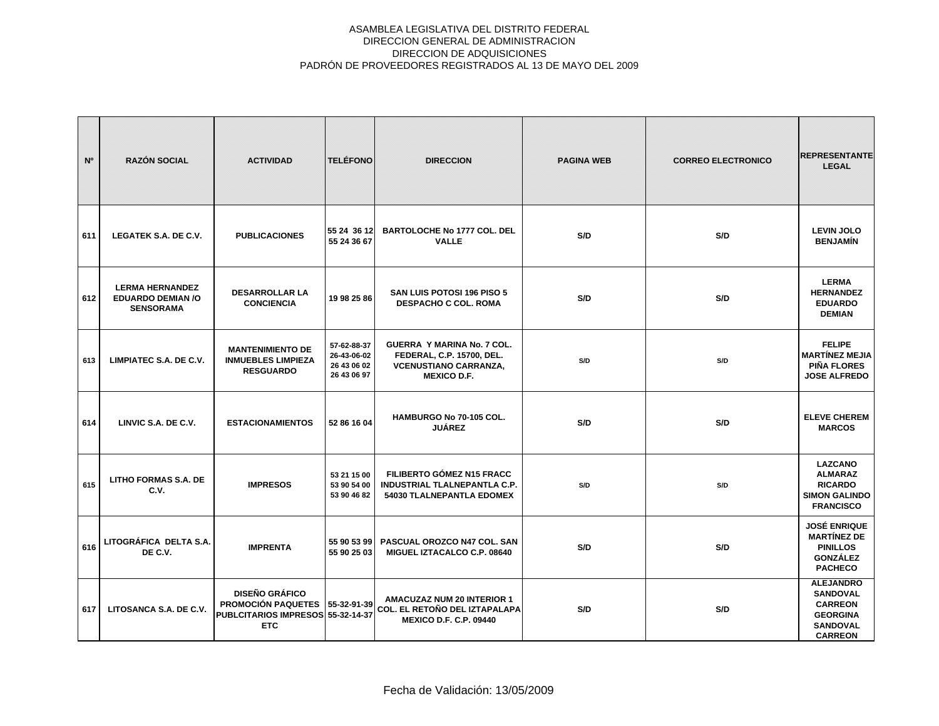| N <sup>o</sup> | <b>RAZÓN SOCIAL</b>                                                    | <b>ACTIVIDAD</b>                                                                                      | <b>TELÉFONO</b>                                          | <b>DIRECCION</b>                                                                                                     | <b>PAGINA WEB</b> | <b>CORREO ELECTRONICO</b> | <b>REPRESENTANTE</b><br><b>LEGAL</b>                                                                          |
|----------------|------------------------------------------------------------------------|-------------------------------------------------------------------------------------------------------|----------------------------------------------------------|----------------------------------------------------------------------------------------------------------------------|-------------------|---------------------------|---------------------------------------------------------------------------------------------------------------|
| 611            | LEGATEK S.A. DE C.V.                                                   | <b>PUBLICACIONES</b>                                                                                  | 55 24 36 12<br>55 24 36 67                               | <b>BARTOLOCHE No 1777 COL. DEL</b><br><b>VALLE</b>                                                                   | S/D               | S/D                       | <b>LEVIN JOLO</b><br><b>BENJAMÍN</b>                                                                          |
| 612            | <b>LERMA HERNANDEZ</b><br><b>EDUARDO DEMIAN /O</b><br><b>SENSORAMA</b> | <b>DESARROLLAR LA</b><br><b>CONCIENCIA</b>                                                            | 19 98 25 86                                              | SAN LUIS POTOSI 196 PISO 5<br><b>DESPACHO C COL. ROMA</b>                                                            | S/D               | S/D                       | <b>LERMA</b><br><b>HERNANDEZ</b><br><b>EDUARDO</b><br><b>DEMIAN</b>                                           |
| 613            | LIMPIATEC S.A. DE C.V.                                                 | <b>MANTENIMIENTO DE</b><br><b>INMUEBLES LIMPIEZA</b><br><b>RESGUARDO</b>                              | 57-62-88-37<br>26-43-06-02<br>26 43 06 02<br>26 43 06 97 | <b>GUERRA Y MARINA No. 7 COL.</b><br>FEDERAL, C.P. 15700, DEL.<br><b>VCENUSTIANO CARRANZA,</b><br><b>MEXICO D.F.</b> | S/D               | S/D                       | <b>FELIPE</b><br><b>MARTÍNEZ MEJIA</b><br><b>PIÑA FLORES</b><br><b>JOSE ALFREDO</b>                           |
| 614            | LINVIC S.A. DE C.V.                                                    | <b>ESTACIONAMIENTOS</b>                                                                               | 52 86 16 04                                              | HAMBURGO No 70-105 COL.<br><b>JUÁREZ</b>                                                                             | S/D               | S/D                       | <b>ELEVE CHEREM</b><br><b>MARCOS</b>                                                                          |
| 615            | <b>LITHO FORMAS S.A. DE</b><br>C.V.                                    | <b>IMPRESOS</b>                                                                                       | 53 21 15 00<br>53 90 54 00<br>53 90 46 82                | <b>FILIBERTO GÓMEZ N15 FRACC</b><br><b>INDUSTRIAL TLALNEPANTLA C.P.</b><br><b>54030 TLALNEPANTLA EDOMEX</b>          | S/D               | S/D                       | <b>LAZCANO</b><br><b>ALMARAZ</b><br><b>RICARDO</b><br><b>SIMON GALINDO</b><br><b>FRANCISCO</b>                |
| 616            | LITOGRÁFICA DELTA S.A.<br>DE C.V.                                      | <b>IMPRENTA</b>                                                                                       | 55 90 53 99<br>55 90 25 03                               | PASCUAL OROZCO N47 COL. SAN<br>MIGUEL IZTACALCO C.P. 08640                                                           | S/D               | S/D                       | <b>JOSÉ ENRIQUE</b><br><b>MARTÍNEZ DE</b><br><b>PINILLOS</b><br><b>GONZÁLEZ</b><br><b>PACHECO</b>             |
| 617            | LITOSANCA S.A. DE C.V.                                                 | <b>DISEÑO GRÁFICO</b><br><b>PROMOCIÓN PAQUETES</b><br>PUBLCITARIOS IMPRESOS 55-32-14-37<br><b>ETC</b> | 55-32-91-39                                              | <b>AMACUZAZ NUM 20 INTERIOR 1</b><br>COL. EL RETOÑO DEL IZTAPALAPA<br><b>MEXICO D.F. C.P. 09440</b>                  | S/D               | S/D                       | <b>ALEJANDRO</b><br><b>SANDOVAL</b><br><b>CARREON</b><br><b>GEORGINA</b><br><b>SANDOVAL</b><br><b>CARREON</b> |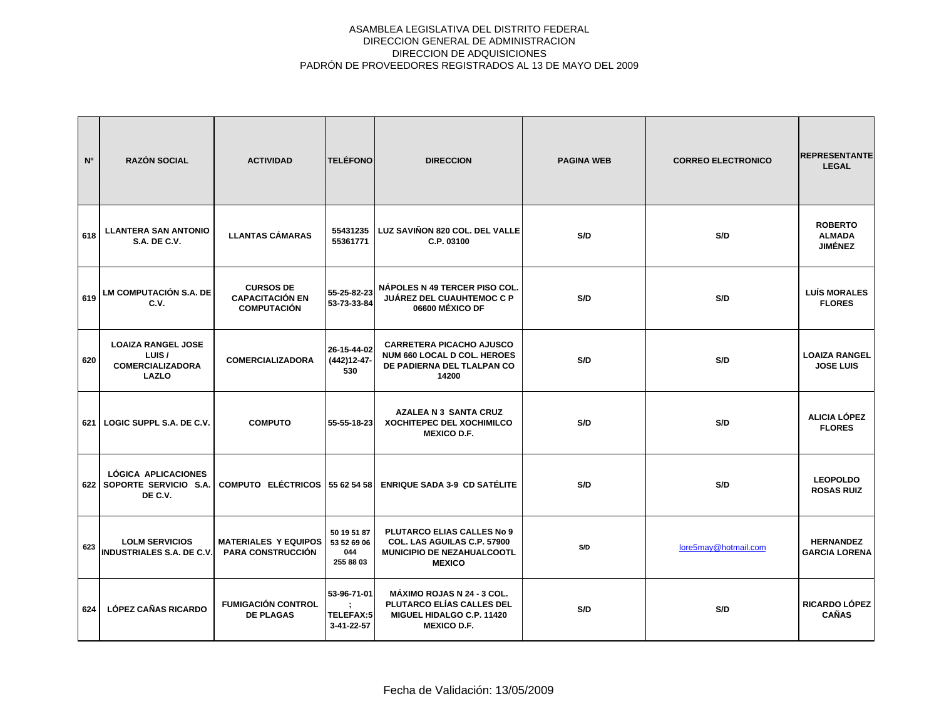| N°  | <b>RAZÓN SOCIAL</b>                                                           | <b>ACTIVIDAD</b>                                                 | <b>TELÉFONO</b>                                | <b>DIRECCION</b>                                                                                                  | <b>PAGINA WEB</b> | <b>CORREO ELECTRONICO</b> | <b>REPRESENTANTE</b><br><b>LEGAL</b>              |
|-----|-------------------------------------------------------------------------------|------------------------------------------------------------------|------------------------------------------------|-------------------------------------------------------------------------------------------------------------------|-------------------|---------------------------|---------------------------------------------------|
| 618 | <b>LLANTERA SAN ANTONIO</b><br><b>S.A. DE C.V.</b>                            | <b>LLANTAS CÁMARAS</b>                                           | 55431235<br>55361771                           | LUZ SAVIÑON 820 COL. DEL VALLE<br>C.P. 03100                                                                      | S/D               | S/D                       | <b>ROBERTO</b><br><b>ALMADA</b><br><b>JIMÉNEZ</b> |
| 619 | LM COMPUTACIÓN S.A. DE<br>C.V.                                                | <b>CURSOS DE</b><br><b>CAPACITACIÓN EN</b><br><b>COMPUTACIÓN</b> | 55-25-82-23<br>53-73-33-84                     | NÁPOLES N 49 TERCER PISO COL.<br><b>JUÁREZ DEL CUAUHTEMOC C P</b><br>06600 MÉXICO DF                              | S/D               | S/D                       | <b>LUÍS MORALES</b><br><b>FLORES</b>              |
| 620 | <b>LOAIZA RANGEL JOSE</b><br>LUIS/<br><b>COMERCIALIZADORA</b><br><b>LAZLO</b> | <b>COMERCIALIZADORA</b>                                          | 26-15-44-02<br>(442) 12-47-<br>530             | <b>CARRETERA PICACHO AJUSCO</b><br><b>NUM 660 LOCAL D COL. HEROES</b><br>DE PADIERNA DEL TLALPAN CO<br>14200      | S/D               | S/D                       | <b>LOAIZA RANGEL</b><br><b>JOSE LUIS</b>          |
| 621 | LOGIC SUPPL S.A. DE C.V.                                                      | <b>COMPUTO</b>                                                   | 55-55-18-23                                    | <b>AZALEA N 3 SANTA CRUZ</b><br><b>XOCHITEPEC DEL XOCHIMILCO</b><br><b>MEXICO D.F.</b>                            | S/D               | S/D                       | <b>ALICIA LÓPEZ</b><br><b>FLORES</b>              |
| 622 | LÓGICA APLICACIONES<br>SOPORTE SERVICIO S.A.<br>DE C.V.                       | COMPUTO ELÉCTRICOS 55 62 54 58                                   |                                                | <b>ENRIQUE SADA 3-9 CD SATÉLITE</b>                                                                               | S/D               | S/D                       | <b>LEOPOLDO</b><br><b>ROSAS RUIZ</b>              |
| 623 | <b>LOLM SERVICIOS</b><br><b>INDUSTRIALES S.A. DE C.V.</b>                     | <b>MATERIALES Y EQUIPOS</b><br><b>PARA CONSTRUCCIÓN</b>          | 50 19 51 87<br>53 52 69 06<br>044<br>255 88 03 | PLUTARCO ELIAS CALLES No 9<br><b>COL. LAS AGUILAS C.P. 57900</b><br>MUNICIPIO DE NEZAHUALCOOTL<br><b>MEXICO</b>   | S/D               | lore5may@hotmail.com      | <b>HERNANDEZ</b><br><b>GARCIA LORENA</b>          |
| 624 | <b>LÓPEZ CAÑAS RICARDO</b>                                                    | <b>FUMIGACIÓN CONTROL</b><br><b>DE PLAGAS</b>                    | 53-96-71-01<br>TELEFAX:5<br>3-41-22-57         | <b>MÁXIMO ROJAS N 24 - 3 COL.</b><br>PLUTARCO ELÍAS CALLES DEL<br>MIGUEL HIDALGO C.P. 11420<br><b>MEXICO D.F.</b> | S/D               | S/D                       | RICARDO LÓPEZ<br><b>CAÑAS</b>                     |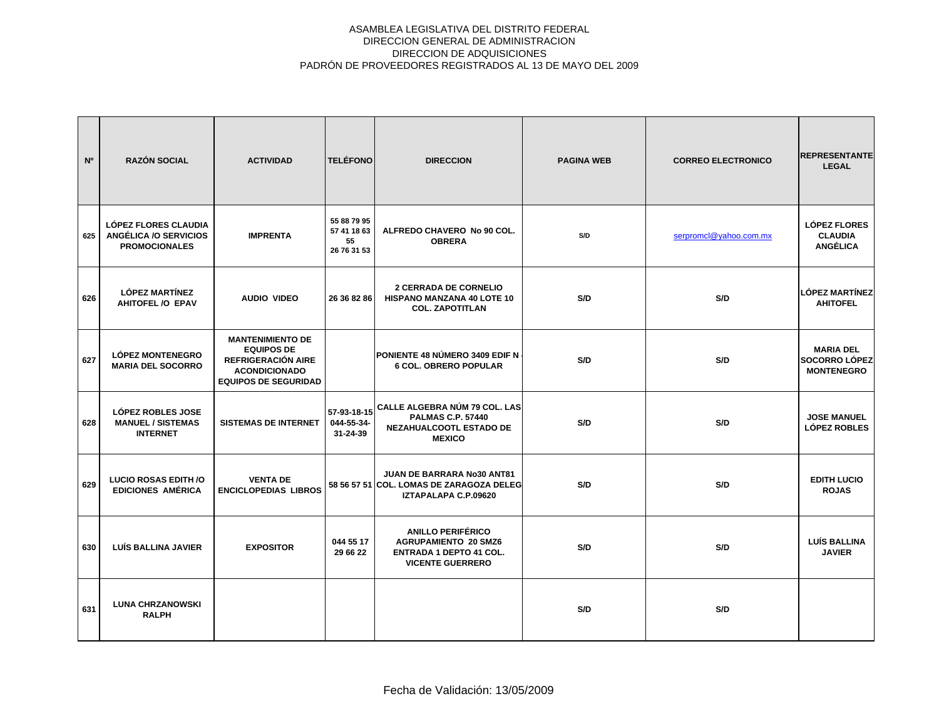| N <sup>o</sup> | <b>RAZÓN SOCIAL</b>                                                          | <b>ACTIVIDAD</b>                                                                                                                 | <b>TELÉFONO</b>                                 | <b>DIRECCION</b>                                                                                                     | <b>PAGINA WEB</b> | <b>CORREO ELECTRONICO</b> | <b>REPRESENTANTE</b><br><b>LEGAL</b>                          |
|----------------|------------------------------------------------------------------------------|----------------------------------------------------------------------------------------------------------------------------------|-------------------------------------------------|----------------------------------------------------------------------------------------------------------------------|-------------------|---------------------------|---------------------------------------------------------------|
| 625            | <b>LÓPEZ FLORES CLAUDIA</b><br>ANGÉLICA /O SERVICIOS<br><b>PROMOCIONALES</b> | <b>IMPRENTA</b>                                                                                                                  | 55 88 79 95<br>57 41 18 63<br>55<br>26 76 31 53 | ALFREDO CHAVERO No 90 COL.<br><b>OBRERA</b>                                                                          | S/D               | serpromcl@yahoo.com.mx    | <b>LÓPEZ FLORES</b><br><b>CLAUDIA</b><br><b>ANGÉLICA</b>      |
| 626            | <b>LÓPEZ MARTÍNEZ</b><br>AHITOFEL /O EPAV                                    | <b>AUDIO VIDEO</b>                                                                                                               | 26 36 82 86                                     | <b>2 CERRADA DE CORNELIO</b><br><b>HISPANO MANZANA 40 LOTE 10</b><br><b>COL. ZAPOTITLAN</b>                          | S/D               | S/D                       | LÓPEZ MARTÍNEZ<br><b>AHITOFEL</b>                             |
| 627            | <b>LÓPEZ MONTENEGRO</b><br><b>MARIA DEL SOCORRO</b>                          | <b>MANTENIMIENTO DE</b><br><b>EQUIPOS DE</b><br><b>REFRIGERACIÓN AIRE</b><br><b>ACONDICIONADO</b><br><b>EQUIPOS DE SEGURIDAD</b> |                                                 | PONIENTE 48 NÚMERO 3409 EDIF N<br><b>6 COL. OBRERO POPULAR</b>                                                       | S/D               | S/D                       | <b>MARIA DEL</b><br><b>SOCORRO LÓPEZ</b><br><b>MONTENEGRO</b> |
| 628            | <b>LÓPEZ ROBLES JOSE</b><br><b>MANUEL / SISTEMAS</b><br><b>INTERNET</b>      | <b>SISTEMAS DE INTERNET</b>                                                                                                      | 57-93-18-15<br>044-55-34-<br>31-24-39           | CALLE ALGEBRA NÚM 79 COL. LAS<br><b>PALMAS C.P. 57440</b><br>NEZAHUALCOOTL ESTADO DE<br><b>MEXICO</b>                | S/D               | S/D                       | <b>JOSE MANUEL</b><br><b>LÓPEZ ROBLES</b>                     |
| 629            | <b>LUCIO ROSAS EDITH /O</b><br><b>EDICIONES AMÉRICA</b>                      | <b>VENTA DE</b><br><b>ENCICLOPEDIAS LIBROS</b>                                                                                   |                                                 | <b>JUAN DE BARRARA No30 ANT81</b><br>58 56 57 51 COL. LOMAS DE ZARAGOZA DELEG<br>IZTAPALAPA C.P.09620                | S/D               | S/D                       | <b>EDITH LUCIO</b><br><b>ROJAS</b>                            |
| 630            | LUÍS BALLINA JAVIER                                                          | <b>EXPOSITOR</b>                                                                                                                 | 044 55 17<br>29 66 22                           | <b>ANILLO PERIFÉRICO</b><br><b>AGRUPAMIENTO 20 SMZ6</b><br><b>ENTRADA 1 DEPTO 41 COL.</b><br><b>VICENTE GUERRERO</b> | S/D               | S/D                       | <b>LUÍS BALLINA</b><br><b>JAVIER</b>                          |
| 631            | <b>LUNA CHRZANOWSKI</b><br><b>RALPH</b>                                      |                                                                                                                                  |                                                 |                                                                                                                      | S/D               | S/D                       |                                                               |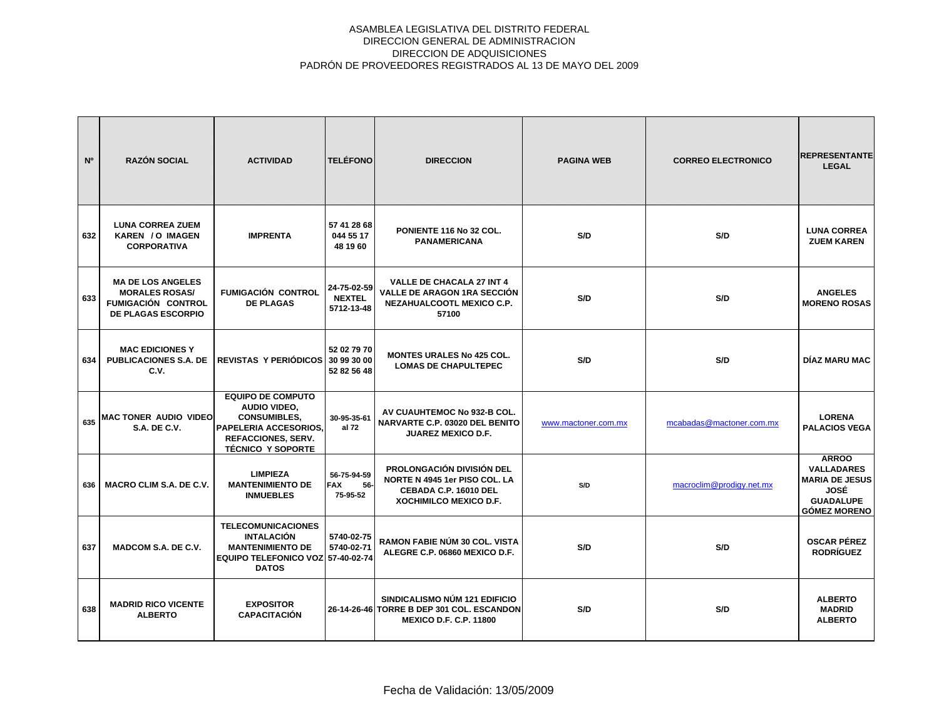| N <sup>o</sup> | <b>RAZÓN SOCIAL</b>                                                                                         | <b>ACTIVIDAD</b>                                                                                                                                  | <b>TELÉFONO</b>                              | <b>DIRECCION</b>                                                                                                     | <b>PAGINA WEB</b>   | <b>CORREO ELECTRONICO</b> | <b>REPRESENTANTE</b><br><b>LEGAL</b>                                                                          |
|----------------|-------------------------------------------------------------------------------------------------------------|---------------------------------------------------------------------------------------------------------------------------------------------------|----------------------------------------------|----------------------------------------------------------------------------------------------------------------------|---------------------|---------------------------|---------------------------------------------------------------------------------------------------------------|
| 632            | <b>LUNA CORREA ZUEM</b><br>KAREN / O IMAGEN<br><b>CORPORATIVA</b>                                           | <b>IMPRENTA</b>                                                                                                                                   | 57 41 28 68<br>044 55 17<br>48 19 60         | PONIENTE 116 No 32 COL.<br><b>PANAMERICANA</b>                                                                       | S/D                 | S/D                       | <b>LUNA CORREA</b><br><b>ZUEM KAREN</b>                                                                       |
| 633            | <b>MA DE LOS ANGELES</b><br><b>MORALES ROSAS/</b><br><b>FUMIGACIÓN CONTROL</b><br><b>DE PLAGAS ESCORPIO</b> | <b>FUMIGACIÓN CONTROL</b><br><b>DE PLAGAS</b>                                                                                                     | 24-75-02-59<br><b>NEXTEL</b><br>5712-13-48   | <b>VALLE DE CHACALA 27 INT 4</b><br>VALLE DE ARAGON 1RA SECCIÓN<br>NEZAHUALCOOTL MEXICO C.P.<br>57100                | S/D                 | S/D                       | <b>ANGELES</b><br><b>MORENO ROSAS</b>                                                                         |
| 634            | <b>MAC EDICIONES Y</b><br><b>PUBLICACIONES S.A. DE</b><br>C.V.                                              | REVISTAS Y PERIÓDICOS 30 99 30 00                                                                                                                 | 52 02 79 70<br>52 82 56 48                   | <b>MONTES URALES No 425 COL.</b><br><b>LOMAS DE CHAPULTEPEC</b>                                                      | S/D                 | S/D                       | DÍAZ MARU MAC                                                                                                 |
| 635            | MAC TONER AUDIO VIDEO<br>S.A. DE C.V.                                                                       | <b>EQUIPO DE COMPUTO</b><br>AUDIO VIDEO,<br><b>CONSUMIBLES.</b><br>PAPELERIA ACCESORIOS,<br><b>REFACCIONES, SERV.</b><br><b>TÉCNICO Y SOPORTE</b> | 30-95-35-61<br>al 72                         | AV CUAUHTEMOC No 932-B COL.<br><b>NARVARTE C.P. 03020 DEL BENITO</b><br><b>JUAREZ MEXICO D.F.</b>                    | www.mactoner.com.mx | mcabadas@mactoner.com.mx  | <b>LORENA</b><br><b>PALACIOS VEGA</b>                                                                         |
| 636            | <b>MACRO CLIM S.A. DE C.V.</b>                                                                              | <b>LIMPIEZA</b><br><b>MANTENIMIENTO DE</b><br><b>INMUEBLES</b>                                                                                    | 56-75-94-59<br><b>FAX</b><br>56-<br>75-95-52 | <b>PROLONGACIÓN DIVISIÓN DEL</b><br>NORTE N 4945 1er PISO COL. LA<br>CEBADA C.P. 16010 DEL<br>XOCHIMILCO MEXICO D.F. | S/D                 | macroclim@prodigy.net.mx  | <b>ARROO</b><br><b>VALLADARES</b><br><b>MARIA DE JESUS</b><br>JOSÉ<br><b>GUADALUPE</b><br><b>GÓMEZ MORENO</b> |
| 637            | <b>MADCOM S.A. DE C.V.</b>                                                                                  | <b>TELECOMUNICACIONES</b><br><b>INTALACIÓN</b><br><b>MANTENIMIENTO DE</b><br>EQUIPO TELEFONICO VOZ 57-40-02-74<br><b>DATOS</b>                    | 5740-02-75<br>5740-02-71                     | <b>RAMON FABIE NÚM 30 COL. VISTA</b><br>ALEGRE C.P. 06860 MEXICO D.F.                                                | S/D                 | S/D                       | <b>OSCAR PÉREZ</b><br><b>RODRÍGUEZ</b>                                                                        |
| 638            | <b>MADRID RICO VICENTE</b><br><b>ALBERTO</b>                                                                | <b>EXPOSITOR</b><br><b>CAPACITACIÓN</b>                                                                                                           |                                              | SINDICALISMO NÚM 121 EDIFICIO<br>26-14-26-46 TORRE B DEP 301 COL. ESCANDON<br><b>MEXICO D.F. C.P. 11800</b>          | S/D                 | S/D                       | <b>ALBERTO</b><br><b>MADRID</b><br><b>ALBERTO</b>                                                             |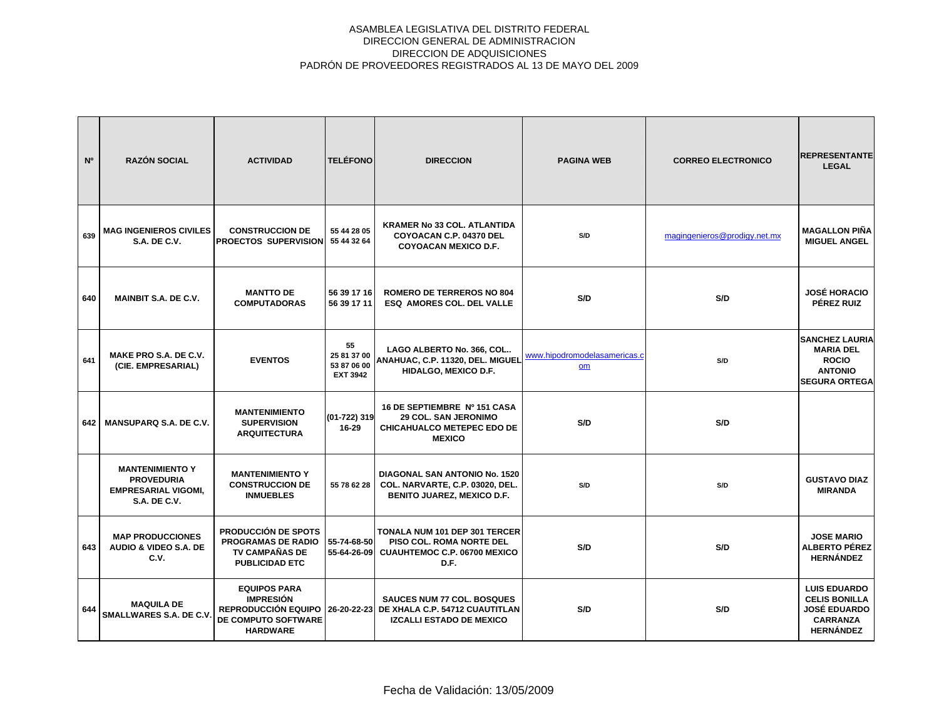| N <sup>o</sup> | <b>RAZÓN SOCIAL</b>                                                                              | <b>ACTIVIDAD</b>                                                                                          | <b>TELÉFONO</b>                                     | <b>DIRECCION</b>                                                                                                   | <b>PAGINA WEB</b>                  | <b>CORREO ELECTRONICO</b>    | <b>REPRESENTANTE</b><br><b>LEGAL</b>                                                                      |
|----------------|--------------------------------------------------------------------------------------------------|-----------------------------------------------------------------------------------------------------------|-----------------------------------------------------|--------------------------------------------------------------------------------------------------------------------|------------------------------------|------------------------------|-----------------------------------------------------------------------------------------------------------|
| 639            | <b>MAG INGENIEROS CIVILES</b><br><b>S.A. DE C.V.</b>                                             | <b>CONSTRUCCION DE</b><br><b>PROECTOS SUPERVISION</b>                                                     | 55 44 28 05<br>55 44 32 64                          | <b>KRAMER No 33 COL. ATLANTIDA</b><br>COYOACAN C.P. 04370 DEL<br><b>COYOACAN MEXICO D.F.</b>                       | S/D                                | magingenieros@prodigy.net.mx | <b>MAGALLON PIÑA</b><br><b>MIGUEL ANGEL</b>                                                               |
| 640            | <b>MAINBIT S.A. DE C.V.</b>                                                                      | <b>MANTTO DE</b><br><b>COMPUTADORAS</b>                                                                   | 56 39 17 16<br>56 39 17 11                          | <b>ROMERO DE TERREROS NO 804</b><br>ESQ AMORES COL. DEL VALLE                                                      | S/D                                | S/D                          | <b>JOSÉ HORACIO</b><br>PÉREZ RUIZ                                                                         |
| 641            | MAKE PRO S.A. DE C.V.<br>(CIE. EMPRESARIAL)                                                      | <b>EVENTOS</b>                                                                                            | 55<br>25 81 37 00<br>53 87 06 00<br><b>EXT 3942</b> | LAGO ALBERTO No. 366, COL<br>ANAHUAC, C.P. 11320, DEL. MIGUEL<br>HIDALGO, MEXICO D.F.                              | www.hipodromodelasamericas.c<br>om | S/D                          | <b>SANCHEZ LAURIA</b><br><b>MARIA DEL</b><br><b>ROCIO</b><br><b>ANTONIO</b><br><b>ISEGURA ORTEGA</b>      |
| 642            | <b>MANSUPARQ S.A. DE C.V.</b>                                                                    | <b>MANTENIMIENTO</b><br><b>SUPERVISION</b><br><b>ARQUITECTURA</b>                                         | (01-722) 319<br>16-29                               | 16 DE SEPTIEMBRE Nº 151 CASA<br><b>29 COL. SAN JERONIMO</b><br><b>CHICAHUALCO METEPEC EDO DE</b><br><b>MEXICO</b>  | S/D                                | S/D                          |                                                                                                           |
|                | <b>MANTENIMIENTO Y</b><br><b>PROVEDURIA</b><br><b>EMPRESARIAL VIGOMI,</b><br><b>S.A. DE C.V.</b> | <b>MANTENIMIENTO Y</b><br><b>CONSTRUCCION DE</b><br><b>INMUEBLES</b>                                      | 55 78 62 28                                         | <b>DIAGONAL SAN ANTONIO No. 1520</b><br>COL. NARVARTE, C.P. 03020, DEL.<br><b>BENITO JUAREZ, MEXICO D.F.</b>       | S/D                                | S/D                          | <b>GUSTAVO DIAZ</b><br><b>MIRANDA</b>                                                                     |
| 643            | <b>MAP PRODUCCIONES</b><br>AUDIO & VIDEO S.A. DE<br>C.V.                                         | <b>PRODUCCIÓN DE SPOTS</b><br><b>PROGRAMAS DE RADIO</b><br><b>TV CAMPAÑAS DE</b><br><b>PUBLICIDAD ETC</b> | 55-74-68-50<br>55-64-26-09                          | TONALA NUM 101 DEP 301 TERCER<br>PISO COL. ROMA NORTE DEL<br><b>CUAUHTEMOC C.P. 06700 MEXICO</b><br>D.F.           | S/D                                | S/D                          | <b>JOSE MARIO</b><br><b>ALBERTO PÉREZ</b><br><b>HERNÁNDEZ</b>                                             |
| 644            | <b>MAQUILA DE</b><br><b>SMALLWARES S.A. DE C.V</b>                                               | <b>EQUIPOS PARA</b><br><b>IMPRESIÓN</b><br>REPRODUCCIÓN EQUIPO<br>DE COMPUTO SOFTWARE<br><b>HARDWARE</b>  |                                                     | <b>SAUCES NUM 77 COL. BOSQUES</b><br>26-20-22-23 DE XHALA C.P. 54712 CUAUTITLAN<br><b>IZCALLI ESTADO DE MEXICO</b> | S/D                                | S/D                          | <b>LUIS EDUARDO</b><br><b>CELIS BONILLA</b><br><b>JOSÉ EDUARDO</b><br><b>CARRANZA</b><br><b>HERNÁNDEZ</b> |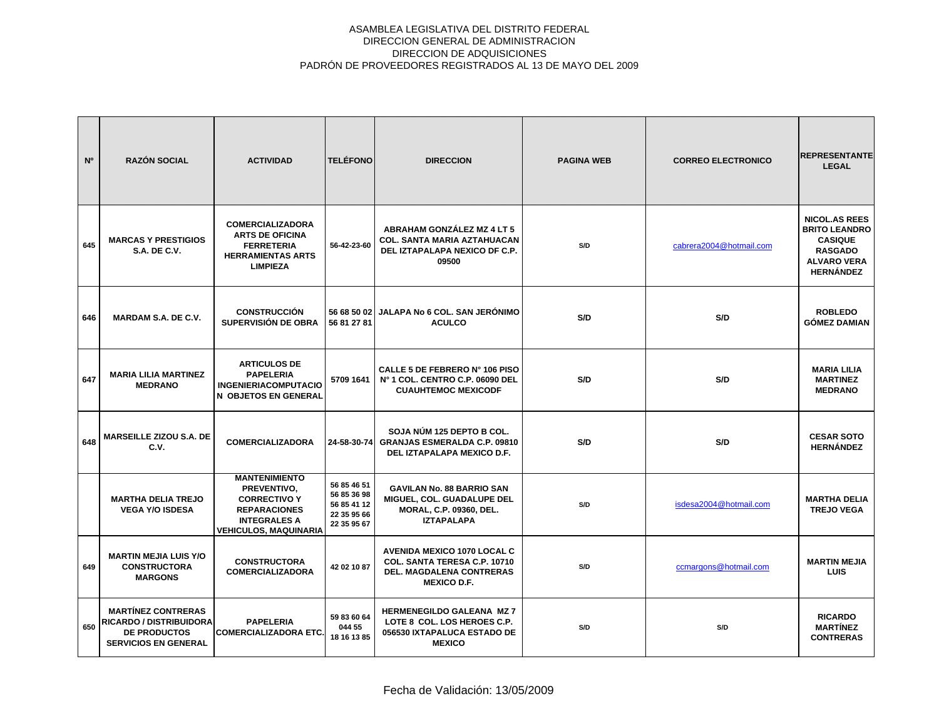| N <sup>o</sup> | <b>RAZÓN SOCIAL</b>                                                                                        | <b>ACTIVIDAD</b>                                                                                                                         | <b>TELÉFONO</b>                                                         | <b>DIRECCION</b>                                                                                                            | <b>PAGINA WEB</b> | <b>CORREO ELECTRONICO</b> | <b>REPRESENTANTE</b><br><b>LEGAL</b>                                                                                       |
|----------------|------------------------------------------------------------------------------------------------------------|------------------------------------------------------------------------------------------------------------------------------------------|-------------------------------------------------------------------------|-----------------------------------------------------------------------------------------------------------------------------|-------------------|---------------------------|----------------------------------------------------------------------------------------------------------------------------|
| 645            | <b>MARCAS Y PRESTIGIOS</b><br><b>S.A. DE C.V.</b>                                                          | <b>COMERCIALIZADORA</b><br><b>ARTS DE OFICINA</b><br><b>FERRETERIA</b><br><b>HERRAMIENTAS ARTS</b><br><b>LIMPIEZA</b>                    | 56-42-23-60                                                             | ABRAHAM GONZÁLEZ MZ 4 LT 5<br>COL. SANTA MARIA AZTAHUACAN<br>DEL IZTAPALAPA NEXICO DF C.P.<br>09500                         | S/D               | cabrera2004@hotmail.com   | <b>NICOL.AS REES</b><br><b>BRITO LEANDRO</b><br><b>CASIQUE</b><br><b>RASGADO</b><br><b>ALVARO VERA</b><br><b>HERNÁNDEZ</b> |
| 646            | <b>MARDAM S.A. DE C.V.</b>                                                                                 | <b>CONSTRUCCIÓN</b><br>SUPERVISIÓN DE OBRA                                                                                               | 56 81 27 81                                                             | 56 68 50 02 JALAPA No 6 COL. SAN JERÓNIMO<br><b>ACULCO</b>                                                                  | S/D               | S/D                       | <b>ROBLEDO</b><br><b>GÓMEZ DAMIAN</b>                                                                                      |
| 647            | <b>MARIA LILIA MARTINEZ</b><br><b>MEDRANO</b>                                                              | <b>ARTICULOS DE</b><br><b>PAPELERIA</b><br><b>INGENIERIACOMPUTACIO</b><br>N OBJETOS EN GENERAL                                           | 5709 1641                                                               | CALLE 5 DE FEBRERO Nº 106 PISO<br>Nº 1 COL. CENTRO C.P. 06090 DEL<br><b>CUAUHTEMOC MEXICODF</b>                             | S/D               | S/D                       | <b>MARIA LILIA</b><br><b>MARTINEZ</b><br><b>MEDRANO</b>                                                                    |
| 648            | <b>MARSEILLE ZIZOU S.A. DE</b><br>C.V.                                                                     | <b>COMERCIALIZADORA</b>                                                                                                                  | 24-58-30-74                                                             | SOJA NÚM 125 DEPTO B COL.<br><b>GRANJAS ESMERALDA C.P. 09810</b><br>DEL IZTAPALAPA MEXICO D.F.                              | S/D               | S/D                       | <b>CESAR SOTO</b><br><b>HERNÁNDEZ</b>                                                                                      |
|                | <b>MARTHA DELIA TREJO</b><br><b>VEGA Y/O ISDESA</b>                                                        | <b>MANTENIMIENTO</b><br>PREVENTIVO.<br><b>CORRECTIVO Y</b><br><b>REPARACIONES</b><br><b>INTEGRALES A</b><br><b>VEHICULOS, MAQUINARIA</b> | 56 85 46 51<br>56 85 36 98<br>56 85 41 12<br>22 35 95 66<br>22 35 95 67 | <b>GAVILAN No. 88 BARRIO SAN</b><br>MIGUEL, COL. GUADALUPE DEL<br>MORAL, C.P. 09360, DEL.<br><b>IZTAPALAPA</b>              | S/D               | isdesa2004@hotmail.com    | <b>MARTHA DELIA</b><br><b>TREJO VEGA</b>                                                                                   |
| 649            | <b>MARTIN MEJIA LUIS Y/O</b><br><b>CONSTRUCTORA</b><br><b>MARGONS</b>                                      | <b>CONSTRUCTORA</b><br><b>COMERCIALIZADORA</b>                                                                                           | 42 02 10 87                                                             | <b>AVENIDA MEXICO 1070 LOCAL C</b><br>COL. SANTA TERESA C.P. 10710<br><b>DEL. MAGDALENA CONTRERAS</b><br><b>MEXICO D.F.</b> | S/D               | ccmargons@hotmail.com     | <b>MARTIN MEJIA</b><br><b>LUIS</b>                                                                                         |
| 650            | <b>MARTÍNEZ CONTRERAS</b><br>RICARDO / DISTRIBUIDORA<br><b>DE PRODUCTOS</b><br><b>SERVICIOS EN GENERAL</b> | <b>PAPELERIA</b><br><b>COMERCIALIZADORA ETC.</b>                                                                                         | 59 83 60 64<br>044 55<br>18 16 13 85                                    | <b>HERMENEGILDO GALEANA MZ 7</b><br>LOTE 8 COL. LOS HEROES C.P.<br>056530 IXTAPALUCA ESTADO DE<br><b>MEXICO</b>             | S/D               | S/D                       | <b>RICARDO</b><br><b>MARTÍNEZ</b><br><b>CONTRERAS</b>                                                                      |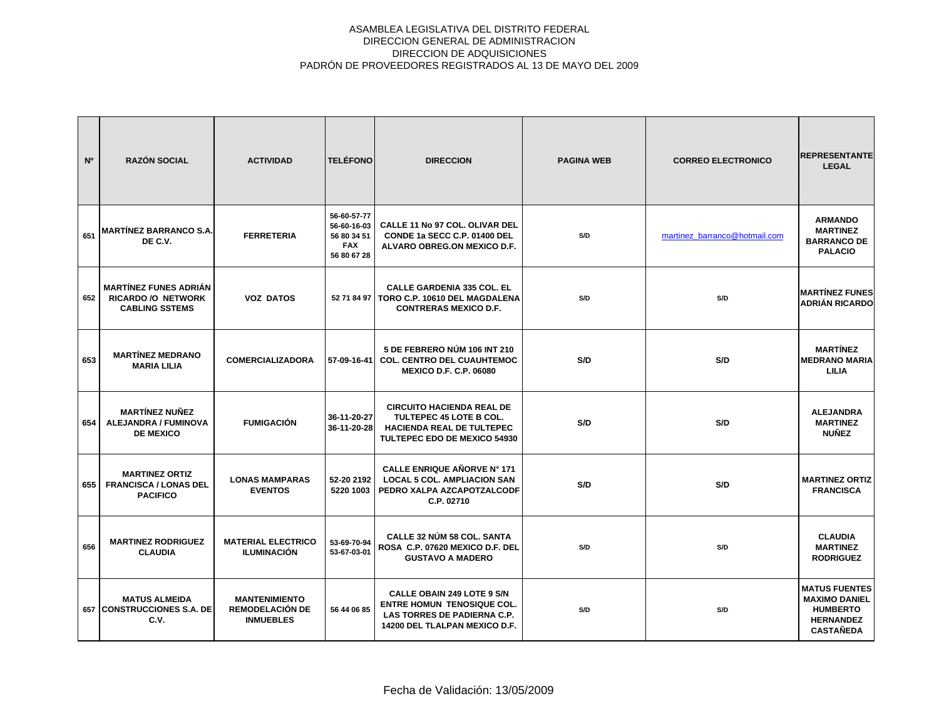| N <sup>o</sup> | <b>RAZÓN SOCIAL</b>                                                                | <b>ACTIVIDAD</b>                                                   | <b>TELÉFONO</b>                                                        | <b>DIRECCION</b>                                                                                                                       | <b>PAGINA WEB</b> | <b>CORREO ELECTRONICO</b>     | <b>REPRESENTANTE</b><br><b>LEGAL</b>                                                                    |
|----------------|------------------------------------------------------------------------------------|--------------------------------------------------------------------|------------------------------------------------------------------------|----------------------------------------------------------------------------------------------------------------------------------------|-------------------|-------------------------------|---------------------------------------------------------------------------------------------------------|
| 651            | MARTÍNEZ BARRANCO S.A.<br>DE C.V.                                                  | <b>FERRETERIA</b>                                                  | 56-60-57-77<br>56-60-16-03<br>56 80 34 51<br><b>FAX</b><br>56 80 67 28 | <b>CALLE 11 No 97 COL. OLIVAR DEL</b><br>CONDE 1a SECC C.P. 01400 DEL<br>ALVARO OBREG.ON MEXICO D.F.                                   | S/D               | martinez_barranco@hotmail.com | <b>ARMANDO</b><br><b>MARTINEZ</b><br><b>BARRANCO DE</b><br><b>PALACIO</b>                               |
| 652            | <b>MARTÍNEZ FUNES ADRIÁN</b><br><b>RICARDO /O NETWORK</b><br><b>CABLING SSTEMS</b> | <b>VOZ DATOS</b>                                                   |                                                                        | <b>CALLE GARDENIA 335 COL. EL</b><br>52 71 84 97   TORO C.P. 10610 DEL MAGDALENA<br><b>CONTRERAS MEXICO D.F.</b>                       | S/D               | S/D                           | <b>MARTÍNEZ FUNES</b><br><b>ADRIÁN RICARDO</b>                                                          |
| 653            | <b>MARTÍNEZ MEDRANO</b><br><b>MARIA LILIA</b>                                      | <b>COMERCIALIZADORA</b>                                            | 57-09-16-41                                                            | 5 DE FEBRERO NÚM 106 INT 210<br><b>COL. CENTRO DEL CUAUHTEMOC</b><br><b>MEXICO D.F. C.P. 06080</b>                                     | S/D               | S/D                           | <b>MARTÍNEZ</b><br><b>MEDRANO MARIA</b><br>LILIA                                                        |
| 654            | <b>MARTÍNEZ NUÑEZ</b><br><b>ALEJANDRA / FUMINOVA</b><br><b>DE MEXICO</b>           | <b>FUMIGACIÓN</b>                                                  | 36-11-20-27<br>36-11-20-28                                             | <b>CIRCUITO HACIENDA REAL DE</b><br>TULTEPEC 45 LOTE B COL.<br><b>HACIENDA REAL DE TULTEPEC</b><br>TULTEPEC EDO DE MEXICO 54930        | S/D               | S/D                           | <b>ALEJANDRA</b><br><b>MARTINEZ</b><br><b>NUÑEZ</b>                                                     |
| 655            | <b>MARTINEZ ORTIZ</b><br><b>FRANCISCA / LONAS DEL</b><br><b>PACIFICO</b>           | <b>LONAS MAMPARAS</b><br><b>EVENTOS</b>                            | 52-20 2192<br>5220 1003                                                | CALLE ENRIQUE AÑORVE Nº 171<br><b>LOCAL 5 COL. AMPLIACION SAN</b><br>PEDRO XALPA AZCAPOTZALCODF<br>C.P. 02710                          | S/D               | S/D                           | <b>MARTINEZ ORTIZ</b><br><b>FRANCISCA</b>                                                               |
| 656            | <b>MARTINEZ RODRIGUEZ</b><br><b>CLAUDIA</b>                                        | <b>MATERIAL ELECTRICO</b><br><b>ILUMINACIÓN</b>                    | 53-69-70-94<br>53-67-03-01                                             | <b>CALLE 32 NÚM 58 COL. SANTA</b><br>ROSA C.P. 07620 MEXICO D.F. DEL<br><b>GUSTAVO A MADERO</b>                                        | S/D               | S/D                           | <b>CLAUDIA</b><br><b>MARTINEZ</b><br><b>RODRIGUEZ</b>                                                   |
|                | <b>MATUS ALMEIDA</b><br>657 CONSTRUCCIONES S.A. DE<br>C.V.                         | <b>MANTENIMIENTO</b><br><b>REMODELACIÓN DE</b><br><b>INMUEBLES</b> | 56 44 06 85                                                            | <b>CALLE OBAIN 249 LOTE 9 S/N</b><br><b>ENTRE HOMUN TENOSIQUE COL.</b><br>LAS TORRES DE PADIERNA C.P.<br>14200 DEL TLALPAN MEXICO D.F. | S/D               | S/D                           | <b>MATUS FUENTES</b><br><b>MAXIMO DANIEL</b><br><b>HUMBERTO</b><br><b>HERNANDEZ</b><br><b>CASTAÑEDA</b> |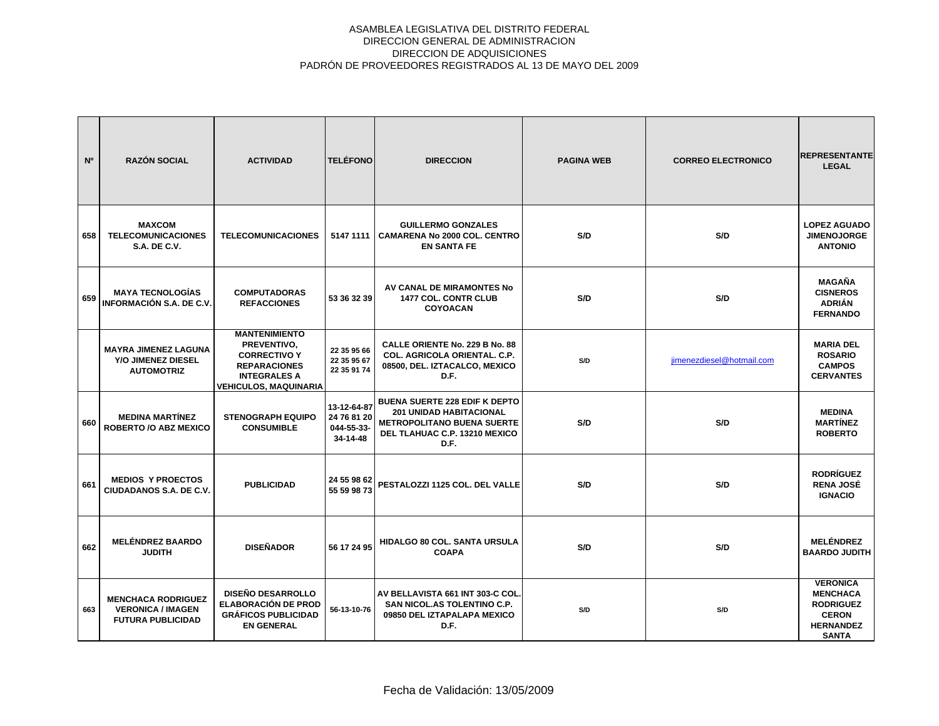| N <sup>o</sup> | <b>RAZÓN SOCIAL</b>                                                               | <b>ACTIVIDAD</b>                                                                                                                         | <b>TELÉFONO</b>                                      | <b>DIRECCION</b>                                                                                                                                     | <b>PAGINA WEB</b> | <b>CORREO ELECTRONICO</b> | <b>REPRESENTANTE</b><br><b>LEGAL</b>                                                                       |
|----------------|-----------------------------------------------------------------------------------|------------------------------------------------------------------------------------------------------------------------------------------|------------------------------------------------------|------------------------------------------------------------------------------------------------------------------------------------------------------|-------------------|---------------------------|------------------------------------------------------------------------------------------------------------|
| 658            | <b>MAXCOM</b><br><b>TELECOMUNICACIONES</b><br><b>S.A. DE C.V.</b>                 | <b>TELECOMUNICACIONES</b>                                                                                                                | 5147 1111                                            | <b>GUILLERMO GONZALES</b><br><b>CAMARENA No 2000 COL. CENTRO</b><br><b>EN SANTA FE</b>                                                               | S/D               | S/D                       | <b>LOPEZ AGUADO</b><br><b>JIMENOJORGE</b><br><b>ANTONIO</b>                                                |
| 659            | <b>MAYA TECNOLOGÍAS</b><br>INFORMACIÓN S.A. DE C.V.                               | <b>COMPUTADORAS</b><br><b>REFACCIONES</b>                                                                                                | 53 36 32 39                                          | AV CANAL DE MIRAMONTES No<br>1477 COL. CONTR CLUB<br><b>COYOACAN</b>                                                                                 | S/D               | S/D                       | <b>MAGAÑA</b><br><b>CISNEROS</b><br><b>ADRIÁN</b><br><b>FERNANDO</b>                                       |
|                | <b>MAYRA JIMENEZ LAGUNA</b><br>Y/O JIMENEZ DIESEL<br><b>AUTOMOTRIZ</b>            | <b>MANTENIMIENTO</b><br>PREVENTIVO,<br><b>CORRECTIVO Y</b><br><b>REPARACIONES</b><br><b>INTEGRALES A</b><br><b>VEHICULOS, MAQUINARIA</b> | 22 35 95 66<br>22 35 95 67<br>22 35 91 74            | <b>CALLE ORIENTE No. 229 B No. 88</b><br><b>COL. AGRICOLA ORIENTAL. C.P.</b><br>08500, DEL. IZTACALCO, MEXICO<br>D.F.                                | S/D               | jimenezdiesel@hotmail.com | <b>MARIA DEL</b><br><b>ROSARIO</b><br><b>CAMPOS</b><br><b>CERVANTES</b>                                    |
| 660            | <b>MEDINA MARTÍNEZ</b><br><b>ROBERTO /O ABZ MEXICO</b>                            | <b>STENOGRAPH EQUIPO</b><br><b>CONSUMIBLE</b>                                                                                            | 13-12-64-87<br>24 76 81 20<br>044-55-33-<br>34-14-48 | <b>BUENA SUERTE 228 EDIF K DEPTO</b><br><b>201 UNIDAD HABITACIONAL</b><br><b>METROPOLITANO BUENA SUERTE</b><br>DEL TLAHUAC C.P. 13210 MEXICO<br>D.F. | S/D               | S/D                       | <b>MEDINA</b><br><b>MARTÍNEZ</b><br><b>ROBERTO</b>                                                         |
| 661            | <b>MEDIOS Y PROECTOS</b><br>CIUDADANOS S.A. DE C.V.                               | <b>PUBLICIDAD</b>                                                                                                                        | 24 55 98 62<br>55 59 98 73                           | PESTALOZZI 1125 COL. DEL VALLE                                                                                                                       | S/D               | S/D                       | <b>RODRÍGUEZ</b><br><b>RENA JOSÉ</b><br><b>IGNACIO</b>                                                     |
| 662            | <b>MELÉNDREZ BAARDO</b><br><b>JUDITH</b>                                          | <b>DISEÑADOR</b>                                                                                                                         | 56 17 24 95                                          | <b>HIDALGO 80 COL. SANTA URSULA</b><br><b>COAPA</b>                                                                                                  | S/D               | S/D                       | <b>MELÉNDREZ</b><br><b>BAARDO JUDITH</b>                                                                   |
| 663            | <b>MENCHACA RODRIGUEZ</b><br><b>VERONICA / IMAGEN</b><br><b>FUTURA PUBLICIDAD</b> | <b>DISEÑO DESARROLLO</b><br><b>ELABORACIÓN DE PROD</b><br><b>GRÁFICOS PUBLICIDAD</b><br><b>EN GENERAL</b>                                | 56-13-10-76                                          | AV BELLAVISTA 661 INT 303-C COL.<br>SAN NICOL.AS TOLENTINO C.P.<br>09850 DEL IZTAPALAPA MEXICO<br>D.F.                                               | S/D               | S/D                       | <b>VERONICA</b><br><b>MENCHACA</b><br><b>RODRIGUEZ</b><br><b>CERON</b><br><b>HERNANDEZ</b><br><b>SANTA</b> |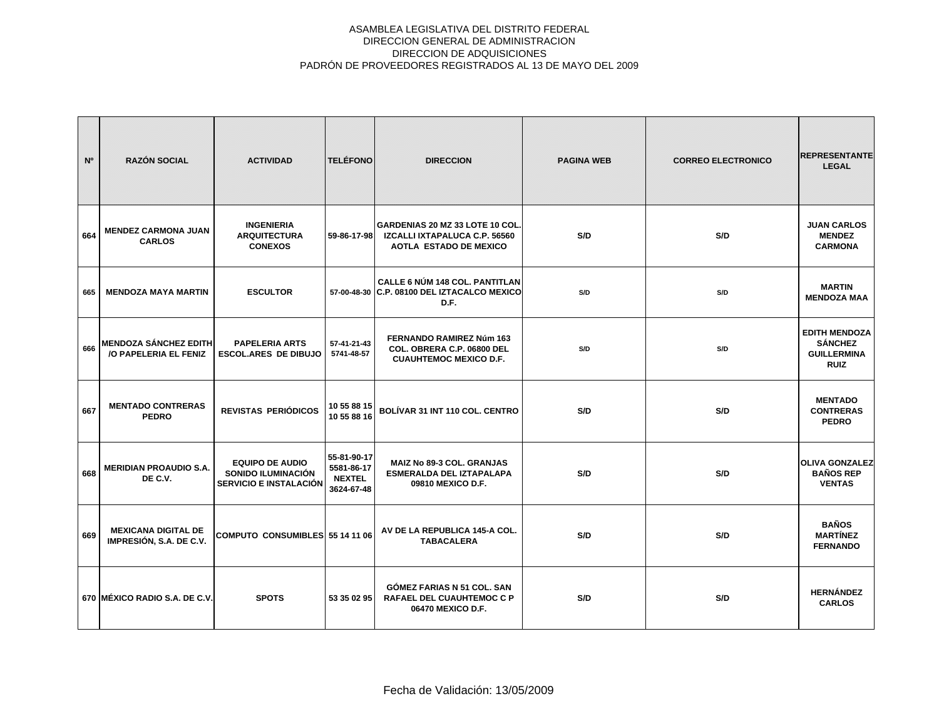| N <sup>o</sup> | <b>RAZÓN SOCIAL</b>                                   | <b>ACTIVIDAD</b>                                                              | <b>TELÉFONO</b>                                          | <b>DIRECCION</b>                                                                                 | <b>PAGINA WEB</b> | <b>CORREO ELECTRONICO</b> | <b>REPRESENTANTE</b><br><b>LEGAL</b>                                        |
|----------------|-------------------------------------------------------|-------------------------------------------------------------------------------|----------------------------------------------------------|--------------------------------------------------------------------------------------------------|-------------------|---------------------------|-----------------------------------------------------------------------------|
| 664            | <b>MENDEZ CARMONA JUAN</b><br><b>CARLOS</b>           | <b>INGENIERIA</b><br><b>ARQUITECTURA</b><br><b>CONEXOS</b>                    | 59-86-17-98                                              | GARDENIAS 20 MZ 33 LOTE 10 COL<br>IZCALLI IXTAPALUCA C.P. 56560<br><b>AOTLA ESTADO DE MEXICO</b> | S/D               | S/D                       | <b>JUAN CARLOS</b><br><b>MENDEZ</b><br><b>CARMONA</b>                       |
| 665            | <b>MENDOZA MAYA MARTIN</b>                            | <b>ESCULTOR</b>                                                               |                                                          | <b>CALLE 6 NÚM 148 COL. PANTITLAN</b><br>57-00-48-30 C.P. 08100 DEL IZTACALCO MEXICO<br>D.F.     | S/D               | S/D                       | <b>MARTIN</b><br><b>MENDOZA MAA</b>                                         |
| 666            | <b>MENDOZA SÁNCHEZ EDITH</b><br>/O PAPELERIA EL FENIZ | <b>PAPELERIA ARTS</b><br><b>ESCOL.ARES DE DIBUJO</b>                          | 57-41-21-43<br>5741-48-57                                | <b>FERNANDO RAMIREZ Núm 163</b><br>COL. OBRERA C.P. 06800 DEL<br><b>CUAUHTEMOC MEXICO D.F.</b>   | S/D               | S/D                       | <b>EDITH MENDOZA</b><br><b>SÁNCHEZ</b><br><b>GUILLERMINA</b><br><b>RUIZ</b> |
| 667            | <b>MENTADO CONTRERAS</b><br><b>PEDRO</b>              | <b>REVISTAS PERIÓDICOS</b>                                                    | 10 55 88 15<br>10 55 88 16                               | BOLÍVAR 31 INT 110 COL. CENTRO                                                                   | S/D               | S/D                       | <b>MENTADO</b><br><b>CONTRERAS</b><br><b>PEDRO</b>                          |
| 668            | <b>MERIDIAN PROAUDIO S.A.</b><br>DE C.V.              | <b>EQUIPO DE AUDIO</b><br>SONIDO ILUMINACIÓN<br><b>SERVICIO E INSTALACIÓN</b> | 55-81-90-17<br>5581-86-17<br><b>NEXTEL</b><br>3624-67-48 | <b>MAIZ No 89-3 COL. GRANJAS</b><br><b>ESMERALDA DEL IZTAPALAPA</b><br>09810 MEXICO D.F.         | S/D               | S/D                       | <b>OLIVA GONZALEZ</b><br><b>BAÑOS REP</b><br><b>VENTAS</b>                  |
| 669            | <b>MEXICANA DIGITAL DE</b><br>IMPRESIÓN, S.A. DE C.V. | COMPUTO CONSUMIBLES 55 14 11 06                                               |                                                          | AV DE LA REPUBLICA 145-A COL.<br><b>TABACALERA</b>                                               | S/D               | S/D                       | <b>BAÑOS</b><br><b>MARTÍNEZ</b><br><b>FERNANDO</b>                          |
|                | 670 MÉXICO RADIO S.A. DE C.V.                         | <b>SPOTS</b>                                                                  | 53 35 02 95                                              | GÓMEZ FARIAS N 51 COL. SAN<br><b>RAFAEL DEL CUAUHTEMOC C P</b><br>06470 MEXICO D.F.              | S/D               | S/D                       | <b>HERNÁNDEZ</b><br><b>CARLOS</b>                                           |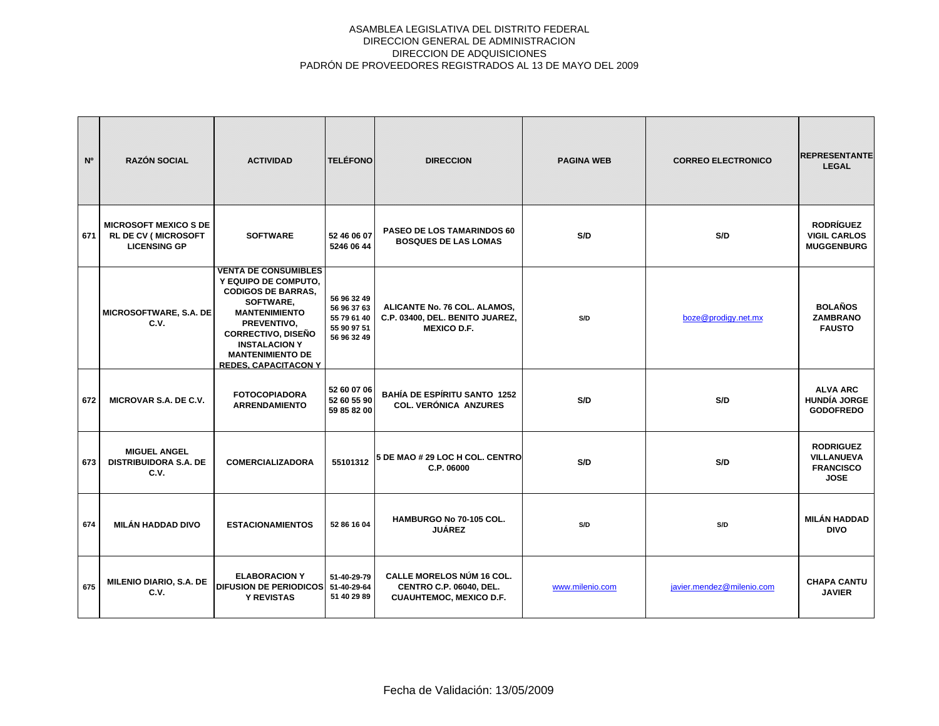| N <sup>o</sup> | <b>RAZÓN SOCIAL</b>                                                               | <b>ACTIVIDAD</b>                                                                                                                                                                                                                                    | <b>TELÉFONO</b>                                                         | <b>DIRECCION</b>                                                                                     | <b>PAGINA WEB</b> | <b>CORREO ELECTRONICO</b> | <b>REPRESENTANTE</b><br><b>LEGAL</b>                                     |
|----------------|-----------------------------------------------------------------------------------|-----------------------------------------------------------------------------------------------------------------------------------------------------------------------------------------------------------------------------------------------------|-------------------------------------------------------------------------|------------------------------------------------------------------------------------------------------|-------------------|---------------------------|--------------------------------------------------------------------------|
| 671            | <b>MICROSOFT MEXICO S DE</b><br><b>RL DE CV (MICROSOFT</b><br><b>LICENSING GP</b> | <b>SOFTWARE</b>                                                                                                                                                                                                                                     | 52 46 06 07<br>5246 06 44                                               | <b>PASEO DE LOS TAMARINDOS 60</b><br><b>BOSQUES DE LAS LOMAS</b>                                     | S/D               | S/D                       | <b>RODRÍGUEZ</b><br><b>VIGIL CARLOS</b><br><b>MUGGENBURG</b>             |
|                | MICROSOFTWARE, S.A. DE<br>C.V.                                                    | <b>VENTA DE CONSUMIBLES</b><br>Y EQUIPO DE COMPUTO,<br><b>CODIGOS DE BARRAS,</b><br>SOFTWARE,<br><b>MANTENIMIENTO</b><br>PREVENTIVO.<br><b>CORRECTIVO, DISEÑO</b><br><b>INSTALACION Y</b><br><b>MANTENIMIENTO DE</b><br><b>REDES, CAPACITACON Y</b> | 56 96 32 49<br>56 96 37 63<br>55 79 61 40<br>55 90 97 51<br>56 96 32 49 | ALICANTE No. 76 COL. ALAMOS,<br>C.P. 03400, DEL. BENITO JUAREZ,<br><b>MEXICO D.F.</b>                | S/D               | boze@prodigy.net.mx       | <b>BOLAÑOS</b><br><b>ZAMBRANO</b><br><b>FAUSTO</b>                       |
| 672            | MICROVAR S.A. DE C.V.                                                             | <b>FOTOCOPIADORA</b><br><b>ARRENDAMIENTO</b>                                                                                                                                                                                                        | 52 60 07 06<br>52 60 55 90<br>59 85 82 00                               | <b>BAHÍA DE ESPÍRITU SANTO 1252</b><br><b>COL. VERÓNICA ANZURES</b>                                  | S/D               | S/D                       | <b>ALVA ARC</b><br><b>HUNDÍA JORGE</b><br><b>GODOFREDO</b>               |
| 673            | <b>MIGUEL ANGEL</b><br><b>DISTRIBUIDORA S.A. DE</b><br>C.V.                       | <b>COMERCIALIZADORA</b>                                                                                                                                                                                                                             | 55101312                                                                | 5 DE MAO # 29 LOC H COL. CENTRO<br>C.P. 06000                                                        | S/D               | S/D                       | <b>RODRIGUEZ</b><br><b>VILLANUEVA</b><br><b>FRANCISCO</b><br><b>JOSE</b> |
| 674            | <b>MILÁN HADDAD DIVO</b>                                                          | <b>ESTACIONAMIENTOS</b>                                                                                                                                                                                                                             | 52 86 16 04                                                             | HAMBURGO No 70-105 COL.<br><b>JUÁREZ</b>                                                             | S/D               | S/D                       | <b>MILÁN HADDAD</b><br><b>DIVO</b>                                       |
| 675            | MILENIO DIARIO, S.A. DE<br>C.V.                                                   | <b>ELABORACION Y</b><br><b>DIFUSION DE PERIODICOS</b><br><b>Y REVISTAS</b>                                                                                                                                                                          | 51-40-29-79<br>51-40-29-64<br>51 40 29 89                               | <b>CALLE MORELOS NÚM 16 COL.</b><br><b>CENTRO C.P. 06040, DEL.</b><br><b>CUAUHTEMOC, MEXICO D.F.</b> | www.milenio.com   | javier.mendez@milenio.com | <b>CHAPA CANTU</b><br><b>JAVIER</b>                                      |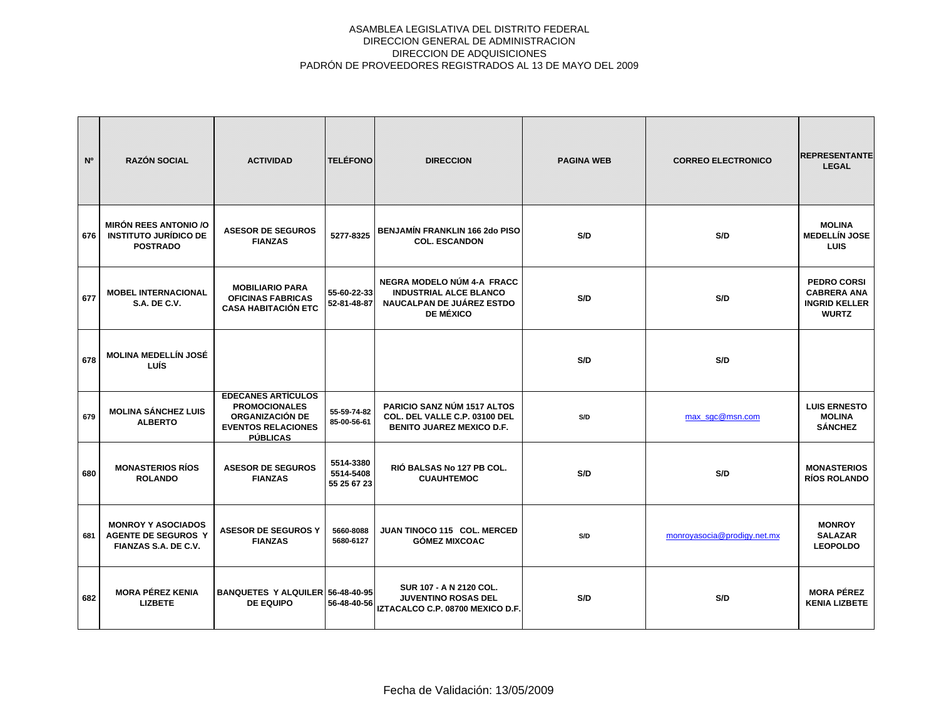| N <sup>o</sup> | <b>RAZÓN SOCIAL</b>                                                             | <b>ACTIVIDAD</b>                                                                                                     | <b>TELÉFONO</b>                       | <b>DIRECCION</b>                                                                                             | <b>PAGINA WEB</b> | <b>CORREO ELECTRONICO</b>   | <b>REPRESENTANTE</b><br><b>LEGAL</b>                                             |
|----------------|---------------------------------------------------------------------------------|----------------------------------------------------------------------------------------------------------------------|---------------------------------------|--------------------------------------------------------------------------------------------------------------|-------------------|-----------------------------|----------------------------------------------------------------------------------|
| 676            | <b>MIRÓN REES ANTONIO /O</b><br><b>INSTITUTO JURÍDICO DE</b><br><b>POSTRADO</b> | <b>ASESOR DE SEGUROS</b><br><b>FIANZAS</b>                                                                           | 5277-8325                             | <b>BENJAMÍN FRANKLIN 166 2do PISO</b><br><b>COL. ESCANDON</b>                                                | S/D               | S/D                         | <b>MOLINA</b><br><b>MEDELLÍN JOSE</b><br><b>LUIS</b>                             |
| 677            | <b>MOBEL INTERNACIONAL</b><br><b>S.A. DE C.V.</b>                               | <b>MOBILIARIO PARA</b><br><b>OFICINAS FABRICAS</b><br><b>CASA HABITACIÓN ETC</b>                                     | 55-60-22-33<br>52-81-48-87            | NEGRA MODELO NÚM 4-A FRACC<br><b>INDUSTRIAL ALCE BLANCO</b><br>NAUCALPAN DE JUÁREZ ESTDO<br><b>DE MÉXICO</b> | S/D               | S/D                         | <b>PEDRO CORSI</b><br><b>CABRERA ANA</b><br><b>INGRID KELLER</b><br><b>WURTZ</b> |
| 678            | <b>MOLINA MEDELLÍN JOSÉ</b><br>LUÍS                                             |                                                                                                                      |                                       |                                                                                                              | S/D               | S/D                         |                                                                                  |
| 679            | <b>MOLINA SÁNCHEZ LUIS</b><br><b>ALBERTO</b>                                    | <b>EDECANES ARTICULOS</b><br><b>PROMOCIONALES</b><br>ORGANIZACIÓN DE<br><b>EVENTOS RELACIONES</b><br><b>PÚBLICAS</b> | 55-59-74-82<br>85-00-56-61            | PARICIO SANZ NÚM 1517 ALTOS<br>COL. DEL VALLE C.P. 03100 DEL<br><b>BENITO JUAREZ MEXICO D.F.</b>             | S/D               | max sqc@msn.com             | <b>LUIS ERNESTO</b><br><b>MOLINA</b><br><b>SÁNCHEZ</b>                           |
| 680            | <b>MONASTERIOS RÍOS</b><br><b>ROLANDO</b>                                       | <b>ASESOR DE SEGUROS</b><br><b>FIANZAS</b>                                                                           | 5514-3380<br>5514-5408<br>55 25 67 23 | RIÓ BALSAS No 127 PB COL.<br><b>CUAUHTEMOC</b>                                                               | S/D               | S/D                         | <b>MONASTERIOS</b><br><b>RÍOS ROLANDO</b>                                        |
| 681            | <b>MONROY Y ASOCIADOS</b><br><b>AGENTE DE SEGUROS Y</b><br>FIANZAS S.A. DE C.V. | <b>ASESOR DE SEGUROS Y</b><br><b>FIANZAS</b>                                                                         | 5660-8088<br>5680-6127                | JUAN TINOCO 115 COL. MERCED<br><b>GÓMEZ MIXCOAC</b>                                                          | S/D               | monroyasocia@prodigy.net.mx | <b>MONROY</b><br><b>SALAZAR</b><br><b>LEOPOLDO</b>                               |
| 682            | <b>MORA PÉREZ KENIA</b><br><b>LIZBETE</b>                                       | BANQUETES Y ALQUILER 56-48-40-95<br><b>DE EQUIPO</b>                                                                 |                                       | SUR 107 - A N 2120 COL.<br><b>JUVENTINO ROSAS DEL</b><br>56-48-40-56 IZTACALCO C.P. 08700 MEXICO D.F.        | S/D               | S/D                         | <b>MORA PÉREZ</b><br><b>KENIA LIZBETE</b>                                        |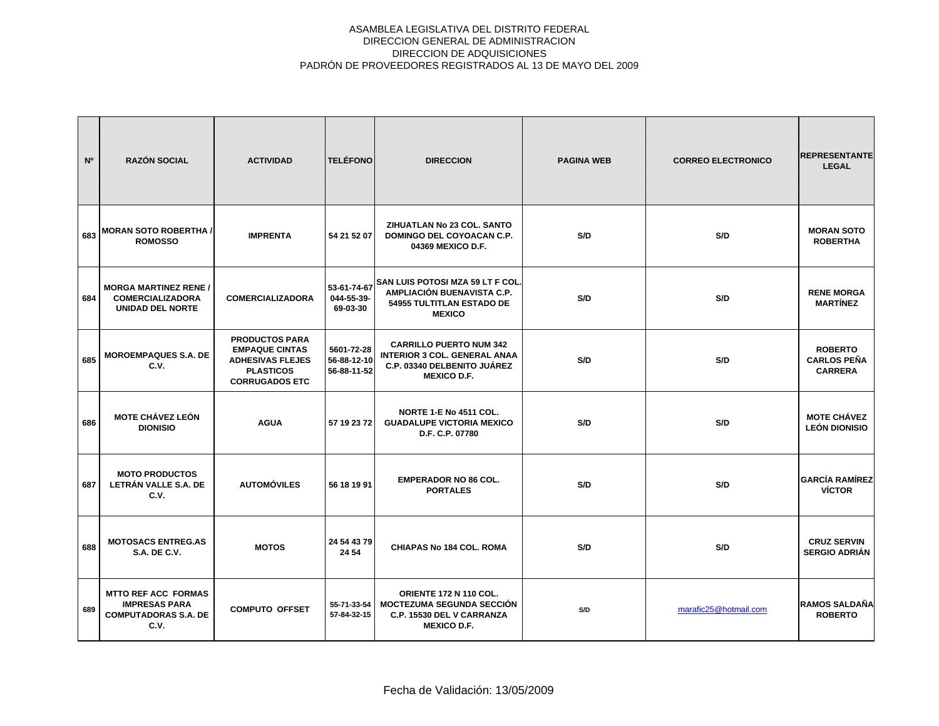| N <sup>o</sup> | <b>RAZÓN SOCIAL</b>                                                                       | <b>ACTIVIDAD</b>                                                                                                       | <b>TELÉFONO</b>                          | <b>DIRECCION</b>                                                                                                           | <b>PAGINA WEB</b> | <b>CORREO ELECTRONICO</b> | <b>REPRESENTANTE</b><br><b>LEGAL</b>                   |
|----------------|-------------------------------------------------------------------------------------------|------------------------------------------------------------------------------------------------------------------------|------------------------------------------|----------------------------------------------------------------------------------------------------------------------------|-------------------|---------------------------|--------------------------------------------------------|
| 683            | <b>MORAN SOTO ROBERTHA /</b><br><b>ROMOSSO</b>                                            | <b>IMPRENTA</b>                                                                                                        | 54 21 52 07                              | ZIHUATLAN No 23 COL. SANTO<br>DOMINGO DEL COYOACAN C.P.<br>04369 MEXICO D.F.                                               | S/D               | S/D                       | <b>MORAN SOTO</b><br><b>ROBERTHA</b>                   |
| 684            | <b>MORGA MARTINEZ RENE /</b><br><b>COMERCIALIZADORA</b><br><b>UNIDAD DEL NORTE</b>        | <b>COMERCIALIZADORA</b>                                                                                                | 53-61-74-67<br>044-55-39-<br>69-03-30    | <b>SAN LUIS POTOSI MZA 59 LT F COL.</b><br>AMPLIACIÓN BUENAVISTA C.P.<br>54955 TULTITLAN ESTADO DE<br><b>MEXICO</b>        | S/D               | S/D                       | <b>RENE MORGA</b><br><b>MARTINEZ</b>                   |
| 685            | <b>MOROEMPAQUES S.A. DE</b><br>C.V.                                                       | <b>PRODUCTOS PARA</b><br><b>EMPAQUE CINTAS</b><br><b>ADHESIVAS FLEJES</b><br><b>PLASTICOS</b><br><b>CORRUGADOS ETC</b> | 5601-72-28<br>56-88-12-10<br>56-88-11-52 | <b>CARRILLO PUERTO NUM 342</b><br><b>INTERIOR 3 COL. GENERAL ANAA</b><br>C.P. 03340 DELBENITO JUÁREZ<br><b>MEXICO D.F.</b> | S/D               | S/D                       | <b>ROBERTO</b><br><b>CARLOS PEÑA</b><br><b>CARRERA</b> |
| 686            | <b>MOTE CHÁVEZ LEÓN</b><br><b>DIONISIO</b>                                                | <b>AGUA</b>                                                                                                            | 57 19 23 72                              | NORTE 1-E No 4511 COL.<br><b>GUADALUPE VICTORIA MEXICO</b><br>D.F. C.P. 07780                                              | S/D               | S/D                       | <b>MOTE CHÁVEZ</b><br><b>LEÓN DIONISIO</b>             |
| 687            | <b>MOTO PRODUCTOS</b><br>LETRÁN VALLE S.A. DE<br>C.V.                                     | <b>AUTOMÓVILES</b>                                                                                                     | 56 18 19 91                              | <b>EMPERADOR NO 86 COL.</b><br><b>PORTALES</b>                                                                             | S/D               | S/D                       | <b>GARCÍA RAMÍREZ</b><br><b>VÍCTOR</b>                 |
| 688            | <b>MOTOSACS ENTREG.AS</b><br><b>S.A. DE C.V.</b>                                          | <b>MOTOS</b>                                                                                                           | 24 54 43 79<br>24 54                     | <b>CHIAPAS No 184 COL. ROMA</b>                                                                                            | S/D               | S/D                       | <b>CRUZ SERVIN</b><br><b>SERGIO ADRIÁN</b>             |
| 689            | <b>MTTO REF ACC FORMAS</b><br><b>IMPRESAS PARA</b><br><b>COMPUTADORAS S.A. DE</b><br>C.V. | <b>COMPUTO OFFSET</b>                                                                                                  | 55-71-33-54<br>57-84-32-15               | ORIENTE 172 N 110 COL.<br><b>MOCTEZUMA SEGUNDA SECCIÓN</b><br>C.P. 15530 DEL V CARRANZA<br><b>MEXICO D.F.</b>              | S/D               | marafic25@hotmail.com     | <b>RAMOS SALDAÑA</b><br><b>ROBERTO</b>                 |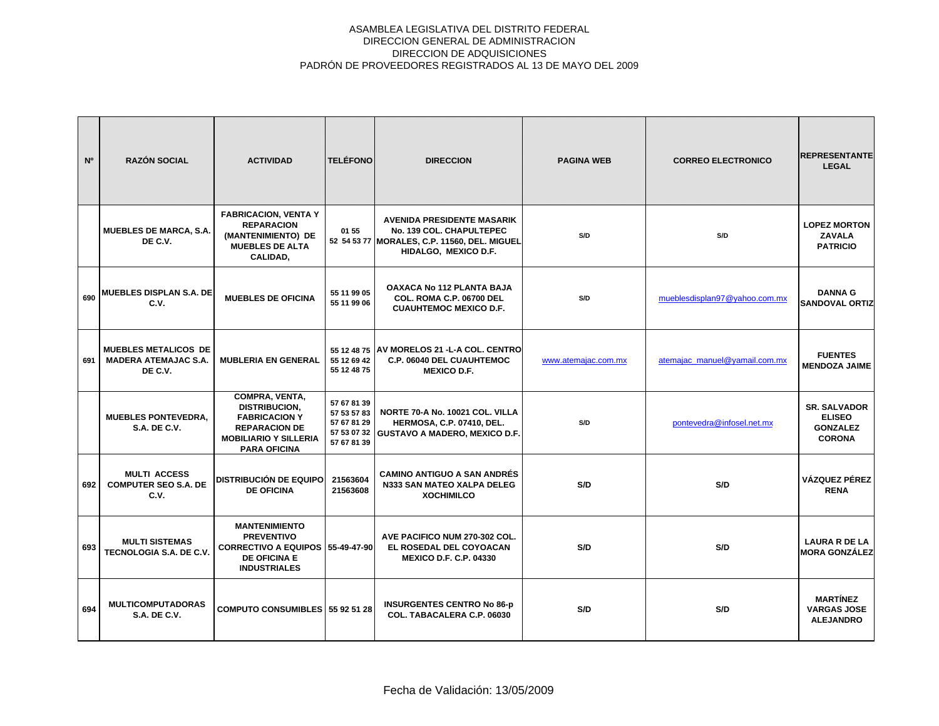| N <sup>o</sup> | <b>RAZÓN SOCIAL</b>                                                   | <b>ACTIVIDAD</b>                                                                                                                              | <b>TELÉFONO</b>                                          | <b>DIRECCION</b>                                                                                                                      | <b>PAGINA WEB</b>   | <b>CORREO ELECTRONICO</b>     | <b>REPRESENTANTE</b><br><b>LEGAL</b>                                     |
|----------------|-----------------------------------------------------------------------|-----------------------------------------------------------------------------------------------------------------------------------------------|----------------------------------------------------------|---------------------------------------------------------------------------------------------------------------------------------------|---------------------|-------------------------------|--------------------------------------------------------------------------|
|                | <b>MUEBLES DE MARCA, S.A.</b><br>DE C.V.                              | <b>FABRICACION, VENTA Y</b><br><b>REPARACION</b><br>(MANTENIMIENTO) DE<br><b>MUEBLES DE ALTA</b><br>CALIDAD,                                  | 01 55                                                    | <b>AVENIDA PRESIDENTE MASARIK</b><br>No. 139 COL. CHAPULTEPEC<br>52 54 53 77 MORALES, C.P. 11560, DEL. MIGUEL<br>HIDALGO, MEXICO D.F. | S/D                 | S/D                           | <b>LOPEZ MORTON</b><br><b>ZAVALA</b><br><b>PATRICIO</b>                  |
| 690            | <b>MUEBLES DISPLAN S.A. DE</b><br>C.V.                                | <b>MUEBLES DE OFICINA</b>                                                                                                                     | 55 11 99 05<br>55 11 99 06                               | <b>OAXACA No 112 PLANTA BAJA</b><br><b>COL. ROMA C.P. 06700 DEL</b><br><b>CUAUHTEMOC MEXICO D.F.</b>                                  | S/D                 | mueblesdisplan97@yahoo.com.mx | <b>DANNA G</b><br><b>SANDOVAL ORTIZ</b>                                  |
| 691            | <b>MUEBLES METALICOS DE</b><br><b>MADERA ATEMAJAC S.A.</b><br>DE C.V. | <b>MUBLERIA EN GENERAL</b>                                                                                                                    | 55 12 69 42<br>55 12 48 75                               | 55 12 48 75 AV MORELOS 21 - L-A COL. CENTRO<br>C.P. 06040 DEL CUAUHTEMOC<br><b>MEXICO D.F.</b>                                        | www.atemajac.com.mx | atemajac manuel@yamail.com.mx | <b>FUENTES</b><br><b>MENDOZA JAIME</b>                                   |
|                | <b>MUEBLES PONTEVEDRA.</b><br><b>S.A. DE C.V.</b>                     | COMPRA, VENTA,<br><b>DISTRIBUCION,</b><br><b>FABRICACION Y</b><br><b>REPARACION DE</b><br><b>MOBILIARIO Y SILLERIA</b><br><b>PARA OFICINA</b> | 57 67 81 39<br>57 53 57 83<br>57 67 81 29<br>57 67 81 39 | NORTE 70-A No. 10021 COL. VILLA<br><b>HERMOSA, C.P. 07410, DEL.</b><br>57 53 07 32 GUSTAVO A MADERO, MEXICO D.F.                      | S/D                 | pontevedra@infosel.net.mx     | <b>SR. SALVADOR</b><br><b>ELISEO</b><br><b>GONZALEZ</b><br><b>CORONA</b> |
| 692            | <b>MULTI ACCESS</b><br><b>COMPUTER SEO S.A. DE</b><br>C.V.            | <b>DISTRIBUCIÓN DE EQUIPO</b><br><b>DE OFICINA</b>                                                                                            | 21563604<br>21563608                                     | <b>CAMINO ANTIGUO A SAN ANDRÉS</b><br>N333 SAN MATEO XALPA DELEG<br><b>XOCHIMILCO</b>                                                 | S/D                 | S/D                           | VÁZQUEZ PÉREZ<br><b>RENA</b>                                             |
| 693            | <b>MULTI SISTEMAS</b><br>TECNOLOGIA S.A. DE C.V.                      | <b>MANTENIMIENTO</b><br><b>PREVENTIVO</b><br><b>CORRECTIVO A EQUIPOS</b><br><b>DE OFICINA E</b><br><b>INDUSTRIALES</b>                        | 55-49-47-90                                              | AVE PACIFICO NUM 270-302 COL.<br>EL ROSEDAL DEL COYOACAN<br><b>MEXICO D.F. C.P. 04330</b>                                             | S/D                 | S/D                           | <b>LAURA R DE LA</b><br><b>MORA GONZÁLEZ</b>                             |
| 694            | <b>MULTICOMPUTADORAS</b><br>S.A. DE C.V.                              | <b>COMPUTO CONSUMIBLES 55 92 51 28</b>                                                                                                        |                                                          | <b>INSURGENTES CENTRO No 86-p</b><br>COL. TABACALERA C.P. 06030                                                                       | S/D                 | S/D                           | <b>MARTÍNEZ</b><br><b>VARGAS JOSE</b><br><b>ALEJANDRO</b>                |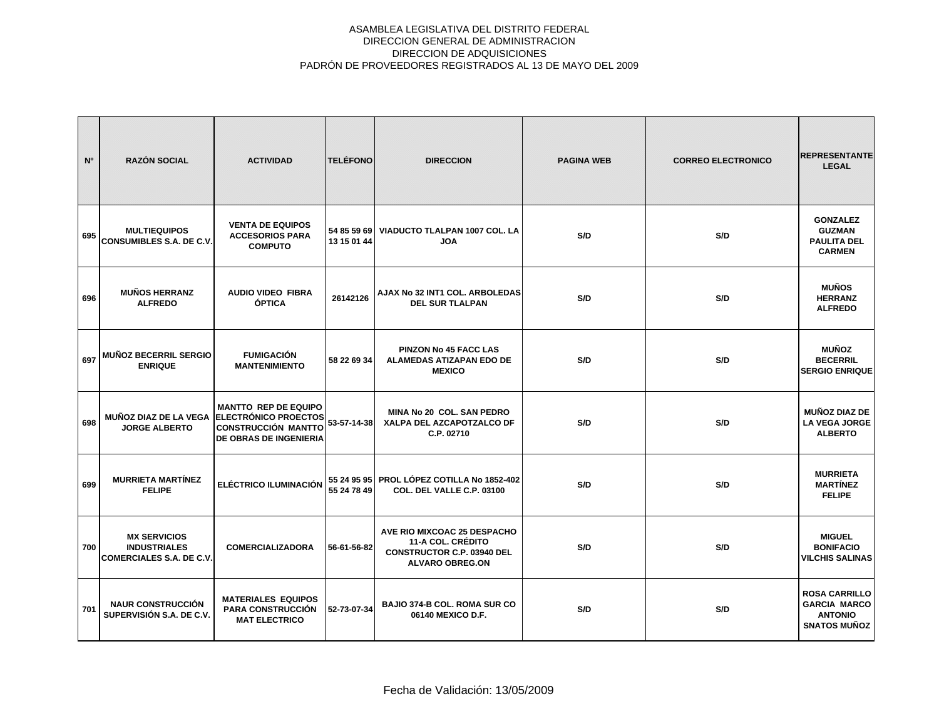| N°  | <b>RAZÓN SOCIAL</b>                                                           | <b>ACTIVIDAD</b>                                                                                                                         | <b>TELÉFONO</b>            | <b>DIRECCION</b>                                                                                                       | <b>PAGINA WEB</b> | <b>CORREO ELECTRONICO</b> | <b>REPRESENTANTE</b><br><b>LEGAL</b>                                                 |
|-----|-------------------------------------------------------------------------------|------------------------------------------------------------------------------------------------------------------------------------------|----------------------------|------------------------------------------------------------------------------------------------------------------------|-------------------|---------------------------|--------------------------------------------------------------------------------------|
| 695 | <b>MULTIEQUIPOS</b><br><b>CONSUMIBLES S.A. DE C.V.</b>                        | <b>VENTA DE EQUIPOS</b><br><b>ACCESORIOS PARA</b><br><b>COMPUTO</b>                                                                      | 54 85 59 69<br>13 15 01 44 | VIADUCTO TLALPAN 1007 COL. LA<br><b>JOA</b>                                                                            | S/D               | S/D                       | <b>GONZALEZ</b><br><b>GUZMAN</b><br><b>PAULITA DEL</b><br><b>CARMEN</b>              |
| 696 | <b>MUÑOS HERRANZ</b><br><b>ALFREDO</b>                                        | <b>AUDIO VIDEO FIBRA</b><br><b>ÓPTICA</b>                                                                                                | 26142126                   | AJAX No 32 INT1 COL. ARBOLEDAS<br><b>DEL SUR TLALPAN</b>                                                               | S/D               | S/D                       | <b>MUÑOS</b><br><b>HERRANZ</b><br><b>ALFREDO</b>                                     |
| 697 | MUÑOZ BECERRIL SERGIO<br><b>ENRIQUE</b>                                       | <b>FUMIGACIÓN</b><br><b>MANTENIMIENTO</b>                                                                                                | 58 22 69 34                | <b>PINZON No 45 FACC LAS</b><br><b>ALAMEDAS ATIZAPAN EDO DE</b><br><b>MEXICO</b>                                       | S/D               | S/D                       | <b>MUÑOZ</b><br><b>BECERRIL</b><br><b>SERGIO ENRIQUE</b>                             |
| 698 | <b>JORGE ALBERTO</b>                                                          | <b>MANTTO REP DE EQUIPO</b><br>MUÑOZ DIAZ DE LA VEGA ELECTRÓNICO PROECTOS<br><b>CONSTRUCCIÓN MANTTO</b><br><b>DE OBRAS DE INGENIERIA</b> | 53-57-14-38                | <b>MINA No 20 COL. SAN PEDRO</b><br>XALPA DEL AZCAPOTZALCO DF<br>C.P. 02710                                            | S/D               | S/D                       | <b>MUÑOZ DIAZ DE</b><br><b>LA VEGA JORGE</b><br><b>ALBERTO</b>                       |
| 699 | <b>MURRIETA MARTÍNEZ</b><br><b>FELIPE</b>                                     | <b>ELÉCTRICO ILUMINACIÓN</b>                                                                                                             | 55 24 78 49                | 55 24 95 95 PROL LÓPEZ COTILLA No 1852-402<br>COL. DEL VALLE C.P. 03100                                                | S/D               | S/D                       | <b>MURRIETA</b><br><b>MARTÍNEZ</b><br><b>FELIPE</b>                                  |
| 700 | <b>MX SERVICIOS</b><br><b>INDUSTRIALES</b><br><b>COMERCIALES S.A. DE C.V.</b> | <b>COMERCIALIZADORA</b>                                                                                                                  | 56-61-56-82                | AVE RIO MIXCOAC 25 DESPACHO<br><b>11-A COL. CRÉDITO</b><br><b>CONSTRUCTOR C.P. 03940 DEL</b><br><b>ALVARO OBREG.ON</b> | S/D               | S/D                       | <b>MIGUEL</b><br><b>BONIFACIO</b><br><b>VILCHIS SALINAS</b>                          |
| 701 | <b>NAUR CONSTRUCCIÓN</b><br>SUPERVISIÓN S.A. DE C.V.                          | <b>MATERIALES EQUIPOS</b><br><b>PARA CONSTRUCCIÓN</b><br><b>MAT ELECTRICO</b>                                                            | 52-73-07-34                | <b>BAJIO 374-B COL. ROMA SUR CO</b><br>06140 MEXICO D.F.                                                               | S/D               | S/D                       | <b>ROSA CARRILLO</b><br><b>GARCIA MARCO</b><br><b>ANTONIO</b><br><b>SNATOS MUÑOZ</b> |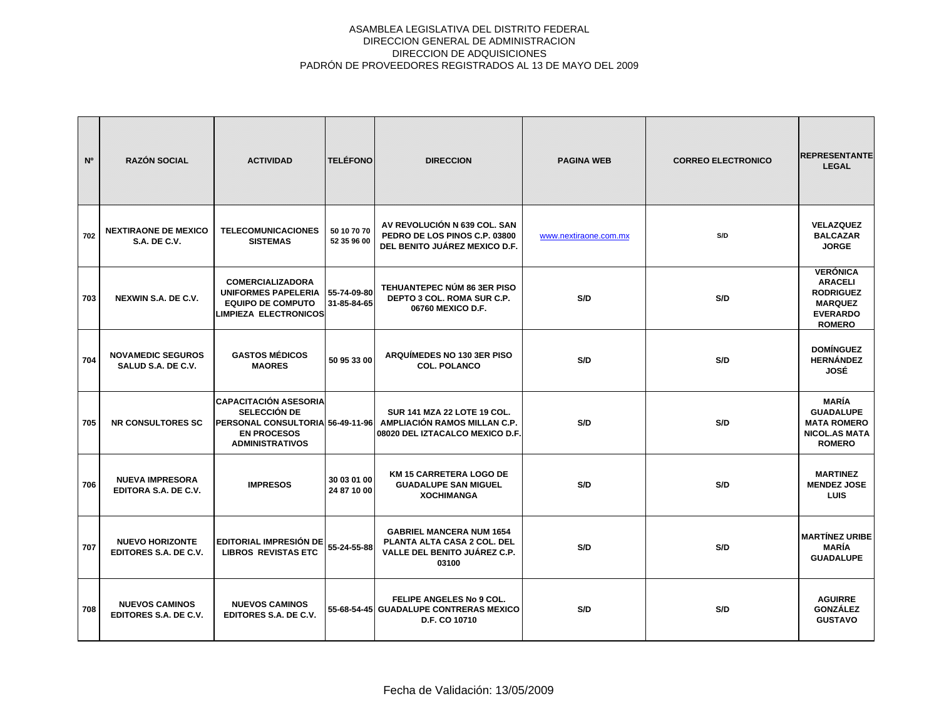| N°  | <b>RAZÓN SOCIAL</b>                                   | <b>ACTIVIDAD</b>                                                                                    | <b>TELÉFONO</b>            | <b>DIRECCION</b>                                                                                                                | <b>PAGINA WEB</b>     | <b>CORREO ELECTRONICO</b> | <b>REPRESENTANTE</b><br><b>LEGAL</b>                                                                        |
|-----|-------------------------------------------------------|-----------------------------------------------------------------------------------------------------|----------------------------|---------------------------------------------------------------------------------------------------------------------------------|-----------------------|---------------------------|-------------------------------------------------------------------------------------------------------------|
| 702 | <b>NEXTIRAONE DE MEXICO</b><br><b>S.A. DE C.V.</b>    | <b>TELECOMUNICACIONES</b><br><b>SISTEMAS</b>                                                        | 50 10 70 70<br>52 35 96 00 | AV REVOLUCIÓN N 639 COL. SAN<br>PEDRO DE LOS PINOS C.P. 03800<br>DEL BENITO JUÁREZ MEXICO D.F.                                  | www.nextiraone.com.mx | S/D                       | <b>VELAZQUEZ</b><br><b>BALCAZAR</b><br><b>JORGE</b>                                                         |
| 703 | NEXWIN S.A. DE C.V.                                   | <b>COMERCIALIZADORA</b><br>UNIFORMES PAPELERIA<br><b>EQUIPO DE COMPUTO</b><br>LIMPIEZA ELECTRONICOS | 55-74-09-80<br>31-85-84-65 | TEHUANTEPEC NÚM 86 3ER PISO<br>DEPTO 3 COL. ROMA SUR C.P.<br>06760 MEXICO D.F.                                                  | S/D                   | S/D                       | <b>VERÓNICA</b><br><b>ARACELI</b><br><b>RODRIGUEZ</b><br><b>MARQUEZ</b><br><b>EVERARDO</b><br><b>ROMERO</b> |
| 704 | <b>NOVAMEDIC SEGUROS</b><br>SALUD S.A. DE C.V.        | <b>GASTOS MÉDICOS</b><br><b>MAORES</b>                                                              | 50 95 33 00                | ARQUÍMEDES NO 130 3ER PISO<br><b>COL. POLANCO</b>                                                                               | S/D                   | S/D                       | <b>DOMÍNGUEZ</b><br><b>HERNÁNDEZ</b><br>JOSÉ                                                                |
| 705 | <b>NR CONSULTORES SC</b>                              | <b>CAPACITACIÓN ASESORIA</b><br>SELECCIÓN DE<br><b>EN PROCESOS</b><br><b>ADMINISTRATIVOS</b>        |                            | SUR 141 MZA 22 LOTE 19 COL.<br>PERSONAL CONSULTORIA 56-49-11-96 AMPLIACIÓN RAMOS MILLAN C.P.<br>08020 DEL IZTACALCO MEXICO D.F. | S/D                   | S/D                       | <b>MARÍA</b><br><b>GUADALUPE</b><br><b>MATA ROMERO</b><br><b>NICOL.AS MATA</b><br><b>ROMERO</b>             |
| 706 | <b>NUEVA IMPRESORA</b><br>EDITORA S.A. DE C.V.        | <b>IMPRESOS</b>                                                                                     | 30 03 01 00<br>24 87 10 00 | <b>KM 15 CARRETERA LOGO DE</b><br><b>GUADALUPE SAN MIGUEL</b><br><b>XOCHIMANGA</b>                                              | S/D                   | S/D                       | <b>MARTINEZ</b><br><b>MENDEZ JOSE</b><br><b>LUIS</b>                                                        |
| 707 | <b>NUEVO HORIZONTE</b><br>EDITORES S.A. DE C.V.       | EDITORIAL IMPRESIÓN DE<br><b>LIBROS REVISTAS ETC</b>                                                | 55-24-55-88                | <b>GABRIEL MANCERA NUM 1654</b><br>PLANTA ALTA CASA 2 COL. DEL<br>VALLE DEL BENITO JUÁREZ C.P.<br>03100                         | S/D                   | S/D                       | <b>MARTÍNEZ URIBE</b><br><b>MARÍA</b><br><b>GUADALUPE</b>                                                   |
| 708 | <b>NUEVOS CAMINOS</b><br><b>EDITORES S.A. DE C.V.</b> | <b>NUEVOS CAMINOS</b><br>EDITORES S.A. DE C.V.                                                      |                            | FELIPE ANGELES No 9 COL.<br>55-68-54-45 GUADALUPE CONTRERAS MEXICO<br>D.F. CO 10710                                             | S/D                   | S/D                       | <b>AGUIRRE</b><br><b>GONZÁLEZ</b><br><b>GUSTAVO</b>                                                         |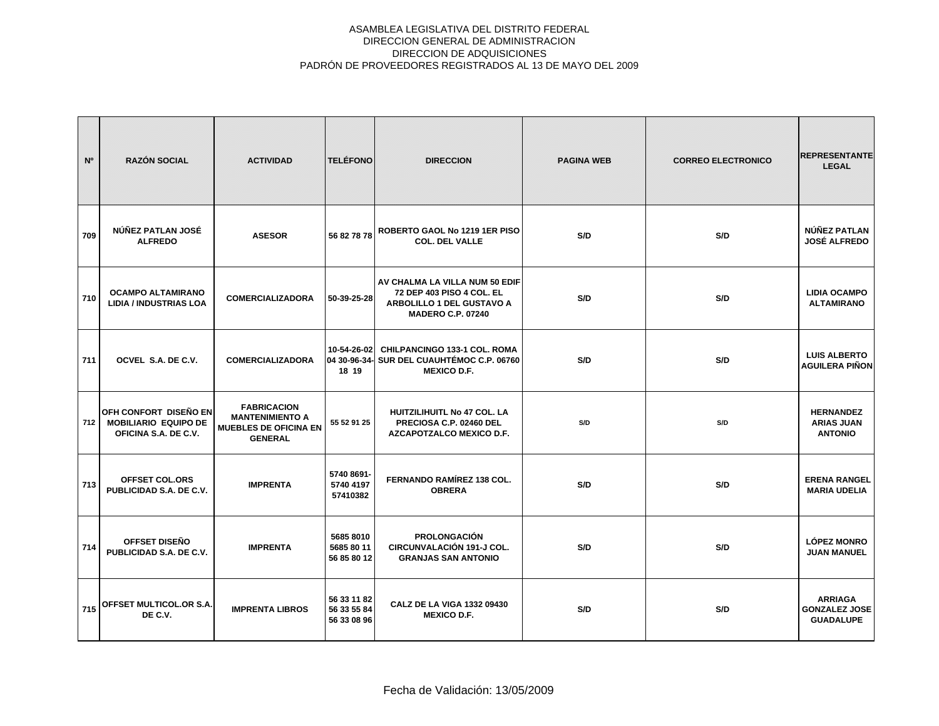| N <sup>o</sup> | <b>RAZÓN SOCIAL</b>                                                          | <b>ACTIVIDAD</b>                                                                               | <b>TELÉFONO</b>                           | <b>DIRECCION</b>                                                                                                     | <b>PAGINA WEB</b> | <b>CORREO ELECTRONICO</b> | <b>REPRESENTANTE</b><br><b>LEGAL</b>                       |
|----------------|------------------------------------------------------------------------------|------------------------------------------------------------------------------------------------|-------------------------------------------|----------------------------------------------------------------------------------------------------------------------|-------------------|---------------------------|------------------------------------------------------------|
| 709            | NÚÑEZ PATLAN JOSÉ<br><b>ALFREDO</b>                                          | <b>ASESOR</b>                                                                                  | 56 82 78 78                               | ROBERTO GAOL No 1219 1ER PISO<br><b>COL. DEL VALLE</b>                                                               | S/D               | S/D                       | NÚÑEZ PATLAN<br><b>JOSÉ ALFREDO</b>                        |
| 710            | <b>OCAMPO ALTAMIRANO</b><br><b>LIDIA / INDUSTRIAS LOA</b>                    | <b>COMERCIALIZADORA</b>                                                                        | 50-39-25-28                               | AV CHALMA LA VILLA NUM 50 EDIF<br>72 DEP 403 PISO 4 COL. EL<br>ARBOLILLO 1 DEL GUSTAVO A<br><b>MADERO C.P. 07240</b> | S/D               | S/D                       | <b>LIDIA OCAMPO</b><br><b>ALTAMIRANO</b>                   |
| 711            | OCVEL S.A. DE C.V.                                                           | <b>COMERCIALIZADORA</b>                                                                        | 10-54-26-02<br>18 19                      | <b>CHILPANCINGO 133-1 COL. ROMA</b><br>04 30-96-34- SUR DEL CUAUHTÉMOC C.P. 06760<br><b>MEXICO D.F.</b>              | S/D               | S/D                       | <b>LUIS ALBERTO</b><br><b>AGUILERA PIÑON</b>               |
| 712            | OFH CONFORT DISEÑO EN<br><b>MOBILIARIO EQUIPO DE</b><br>OFICINA S.A. DE C.V. | <b>FABRICACION</b><br><b>MANTENIMIENTO A</b><br><b>MUEBLES DE OFICINA EN</b><br><b>GENERAL</b> | 55 52 91 25                               | HUITZILIHUITL No 47 COL. LA<br>PRECIOSA C.P. 02460 DEL<br>AZCAPOTZALCO MEXICO D.F.                                   | S/D               | S/D                       | <b>HERNANDEZ</b><br><b>ARIAS JUAN</b><br><b>ANTONIO</b>    |
| 713            | <b>OFFSET COL.ORS</b><br>PUBLICIDAD S.A. DE C.V.                             | <b>IMPRENTA</b>                                                                                | 5740 8691-<br>5740 4197<br>57410382       | <b>FERNANDO RAMÍREZ 138 COL.</b><br><b>OBRERA</b>                                                                    | S/D               | S/D                       | <b>ERENA RANGEL</b><br><b>MARIA UDELIA</b>                 |
| 714            | OFFSET DISEÑO<br>PUBLICIDAD S.A. DE C.V.                                     | <b>IMPRENTA</b>                                                                                | 5685 8010<br>5685 80 11<br>56 85 80 12    | <b>PROLONGACIÓN</b><br><b>CIRCUNVALACIÓN 191-J COL.</b><br><b>GRANJAS SAN ANTONIO</b>                                | S/D               | S/D                       | <b>LÓPEZ MONRO</b><br><b>JUAN MANUEL</b>                   |
| 715            | OFFSET MULTICOL.OR S.A.<br>DE C.V.                                           | <b>IMPRENTA LIBROS</b>                                                                         | 56 33 11 82<br>56 33 55 84<br>56 33 08 96 | CALZ DE LA VIGA 1332 09430<br><b>MEXICO D.F.</b>                                                                     | S/D               | S/D                       | <b>ARRIAGA</b><br><b>GONZALEZ JOSE</b><br><b>GUADALUPE</b> |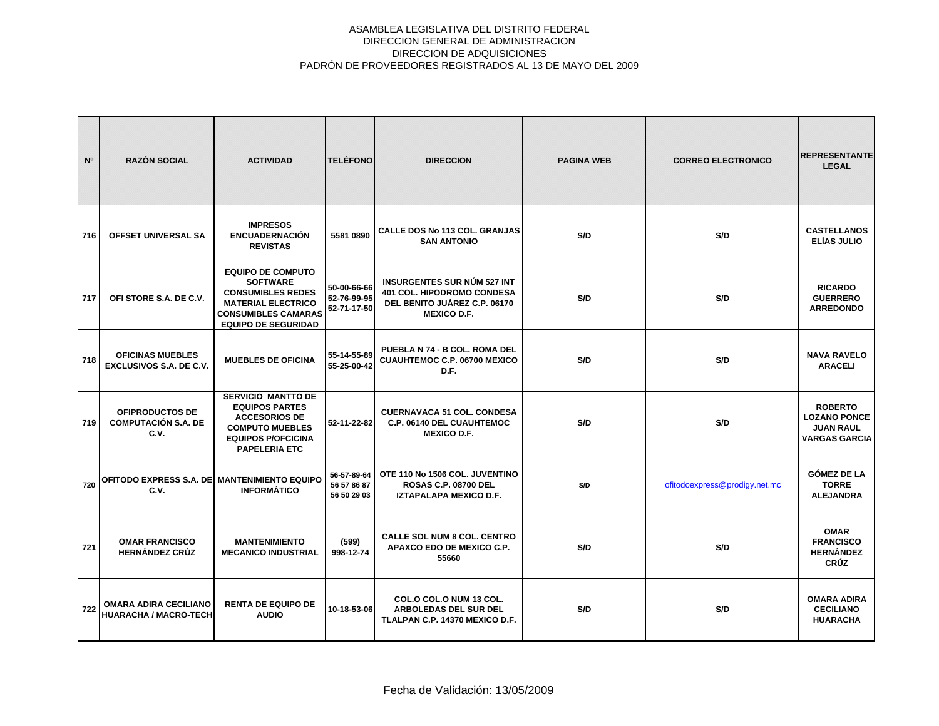| N <sup>o</sup> | <b>RAZÓN SOCIAL</b>                                          | <b>ACTIVIDAD</b>                                                                                                                                                 | <b>TELÉFONO</b>                           | <b>DIRECCION</b>                                                                                                       | <b>PAGINA WEB</b> | <b>CORREO ELECTRONICO</b>     | <b>IREPRESENTANTE</b><br><b>LEGAL</b>                                             |
|----------------|--------------------------------------------------------------|------------------------------------------------------------------------------------------------------------------------------------------------------------------|-------------------------------------------|------------------------------------------------------------------------------------------------------------------------|-------------------|-------------------------------|-----------------------------------------------------------------------------------|
| 716            | OFFSET UNIVERSAL SA                                          | <b>IMPRESOS</b><br><b>ENCUADERNACIÓN</b><br><b>REVISTAS</b>                                                                                                      | 5581 0890                                 | <b>CALLE DOS No 113 COL. GRANJAS</b><br><b>SAN ANTONIO</b>                                                             | S/D               | S/D                           | <b>CASTELLANOS</b><br>ELÍAS JULIO                                                 |
| 717            | OFI STORE S.A. DE C.V.                                       | <b>EQUIPO DE COMPUTO</b><br><b>SOFTWARE</b><br><b>CONSUMIBLES REDES</b><br><b>MATERIAL ELECTRICO</b><br><b>CONSUMIBLES CAMARAS</b><br><b>EQUIPO DE SEGURIDAD</b> | 50-00-66-66<br>52-76-99-95<br>52-71-17-50 | <b>INSURGENTES SUR NÚM 527 INT</b><br>401 COL. HIPODROMO CONDESA<br>DEL BENITO JUÁREZ C.P. 06170<br><b>MEXICO D.F.</b> | S/D               | S/D                           | <b>RICARDO</b><br><b>GUERRERO</b><br><b>ARREDONDO</b>                             |
| 718            | <b>OFICINAS MUEBLES</b><br>EXCLUSIVOS S.A. DE C.V.           | <b>MUEBLES DE OFICINA</b>                                                                                                                                        | 55-14-55-89<br>55-25-00-42                | PUEBLA N 74 - B COL. ROMA DEL<br><b>CUAUHTEMOC C.P. 06700 MEXICO</b><br>D.F.                                           | S/D               | S/D                           | <b>NAVA RAVELO</b><br><b>ARACELI</b>                                              |
| 719            | OFIPRODUCTOS DE<br><b>COMPUTACIÓN S.A. DE</b><br>C.V.        | <b>SERVICIO MANTTO DE</b><br><b>EQUIPOS PARTES</b><br><b>ACCESORIOS DE</b><br><b>COMPUTO MUEBLES</b><br><b>EQUIPOS P/OFCICINA</b><br><b>PAPELERIA ETC</b>        | 52-11-22-82                               | <b>CUERNAVACA 51 COL. CONDESA</b><br>C.P. 06140 DEL CUAUHTEMOC<br><b>MEXICO D.F.</b>                                   | S/D               | S/D                           | <b>ROBERTO</b><br><b>LOZANO PONCE</b><br><b>JUAN RAUL</b><br><b>VARGAS GARCIA</b> |
| 720            | OFITODO EXPRESS S.A. DE MANTENIMIENTO EQUIPO<br>C.V.         | <b>INFORMÁTICO</b>                                                                                                                                               | 56-57-89-64<br>56 57 86 87<br>56 50 29 03 | OTE 110 No 1506 COL. JUVENTINO<br><b>ROSAS C.P. 08700 DEL</b><br>IZTAPALAPA MEXICO D.F.                                | S/D               | ofitodoexpress@prodigy.net.mc | <b>GÓMEZ DE LA</b><br><b>TORRE</b><br><b>ALEJANDRA</b>                            |
| 721            | <b>OMAR FRANCISCO</b><br><b>HERNÁNDEZ CRÚZ</b>               | <b>MANTENIMIENTO</b><br><b>MECANICO INDUSTRIAL</b>                                                                                                               | (599)<br>998-12-74                        | <b>CALLE SOL NUM 8 COL. CENTRO</b><br>APAXCO EDO DE MEXICO C.P.<br>55660                                               | S/D               | S/D                           | <b>OMAR</b><br><b>FRANCISCO</b><br><b>HERNÁNDEZ</b><br><b>CRÚZ</b>                |
| 722            | <b>OMARA ADIRA CECILIANO</b><br><b>HUARACHA / MACRO-TECH</b> | <b>RENTA DE EQUIPO DE</b><br><b>AUDIO</b>                                                                                                                        | 10-18-53-06                               | COL.O COL.O NUM 13 COL.<br>ARBOLEDAS DEL SUR DEL<br>TLALPAN C.P. 14370 MEXICO D.F.                                     | S/D               | S/D                           | <b>OMARA ADIRA</b><br><b>CECILIANO</b><br><b>HUARACHA</b>                         |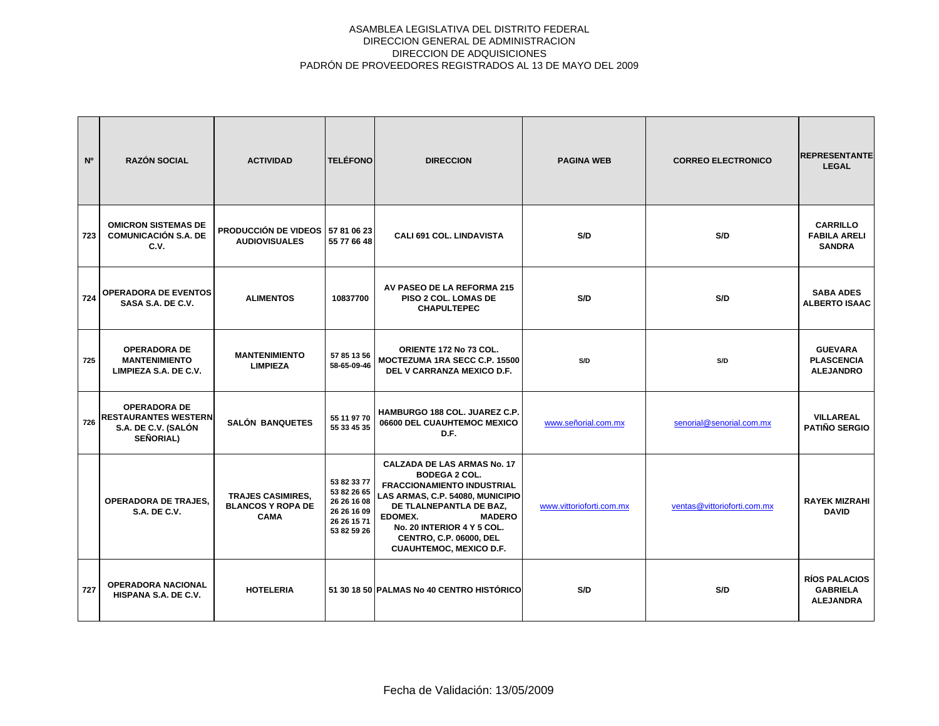| N <sup>o</sup> | <b>RAZÓN SOCIAL</b>                                                                           | <b>ACTIVIDAD</b>                                                    | <b>TELÉFONO</b>                                                                        | <b>DIRECCION</b>                                                                                                                                                                                                                                                                      | <b>PAGINA WEB</b>        | <b>CORREO ELECTRONICO</b>   | <b>REPRESENTANTE</b><br><b>LEGAL</b>                        |
|----------------|-----------------------------------------------------------------------------------------------|---------------------------------------------------------------------|----------------------------------------------------------------------------------------|---------------------------------------------------------------------------------------------------------------------------------------------------------------------------------------------------------------------------------------------------------------------------------------|--------------------------|-----------------------------|-------------------------------------------------------------|
| 723            | <b>OMICRON SISTEMAS DE</b><br><b>COMUNICACIÓN S.A. DE</b><br>C.V.                             | <b>PRODUCCIÓN DE VIDEOS</b><br><b>AUDIOVISUALES</b>                 | 57 81 06 23<br>55 77 66 48                                                             | <b>CALI 691 COL. LINDAVISTA</b>                                                                                                                                                                                                                                                       | S/D                      | S/D                         | <b>CARRILLO</b><br><b>FABILA ARELI</b><br><b>SANDRA</b>     |
| 724            | <b>OPERADORA DE EVENTOS</b><br>SASA S.A. DE C.V.                                              | <b>ALIMENTOS</b>                                                    | 10837700                                                                               | AV PASEO DE LA REFORMA 215<br>PISO 2 COL. LOMAS DE<br><b>CHAPULTEPEC</b>                                                                                                                                                                                                              | S/D                      | S/D                         | <b>SABA ADES</b><br><b>ALBERTO ISAAC</b>                    |
| 725            | <b>OPERADORA DE</b><br><b>MANTENIMIENTO</b><br>LIMPIEZA S.A. DE C.V.                          | <b>MANTENIMIENTO</b><br><b>LIMPIEZA</b>                             | 57 85 13 56<br>58-65-09-46                                                             | ORIENTE 172 No 73 COL.<br>MOCTEZUMA 1RA SECC C.P. 15500<br>DEL V CARRANZA MEXICO D.F.                                                                                                                                                                                                 | S/D                      | S/D                         | <b>GUEVARA</b><br><b>PLASCENCIA</b><br><b>ALEJANDRO</b>     |
| 726            | <b>OPERADORA DE</b><br><b>RESTAURANTES WESTERN</b><br>S.A. DE C.V. (SALÓN<br><b>SEÑORIAL)</b> | <b>SALÓN BANQUETES</b>                                              | 55 11 97 70<br>55 33 45 35                                                             | <b>HAMBURGO 188 COL. JUAREZ C.P.</b><br>06600 DEL CUAUHTEMOC MEXICO<br>D.F.                                                                                                                                                                                                           | www.señorial.com.mx      | senorial@senorial.com.mx    | <b>VILLAREAL</b><br><b>PATIÑO SERGIO</b>                    |
|                | <b>OPERADORA DE TRAJES.</b><br>S.A. DE C.V.                                                   | <b>TRAJES CASIMIRES.</b><br><b>BLANCOS Y ROPA DE</b><br><b>CAMA</b> | 53 82 33 77<br>53 82 26 65<br>26 26 16 08<br>26 26 16 09<br>26 26 15 71<br>53 82 59 26 | <b>CALZADA DE LAS ARMAS No. 17</b><br><b>BODEGA 2 COL.</b><br>FRACCIONAMIENTO INDUSTRIAL<br>LAS ARMAS, C.P. 54080, MUNICIPIO<br>DE TLALNEPANTLA DE BAZ.<br>EDOMEX.<br><b>MADERO</b><br>No. 20 INTERIOR 4 Y 5 COL.<br><b>CENTRO, C.P. 06000, DEL</b><br><b>CUAUHTEMOC, MEXICO D.F.</b> | www.vittorioforti.com.mx | ventas@vittorioforti.com.mx | <b>RAYEK MIZRAHI</b><br><b>DAVID</b>                        |
| 727            | <b>OPERADORA NACIONAL</b><br>HISPANA S.A. DE C.V.                                             | <b>HOTELERIA</b>                                                    |                                                                                        | 51 30 18 50 PALMAS No 40 CENTRO HISTÓRICO                                                                                                                                                                                                                                             | S/D                      | S/D                         | <b>RÍOS PALACIOS</b><br><b>GABRIELA</b><br><b>ALEJANDRA</b> |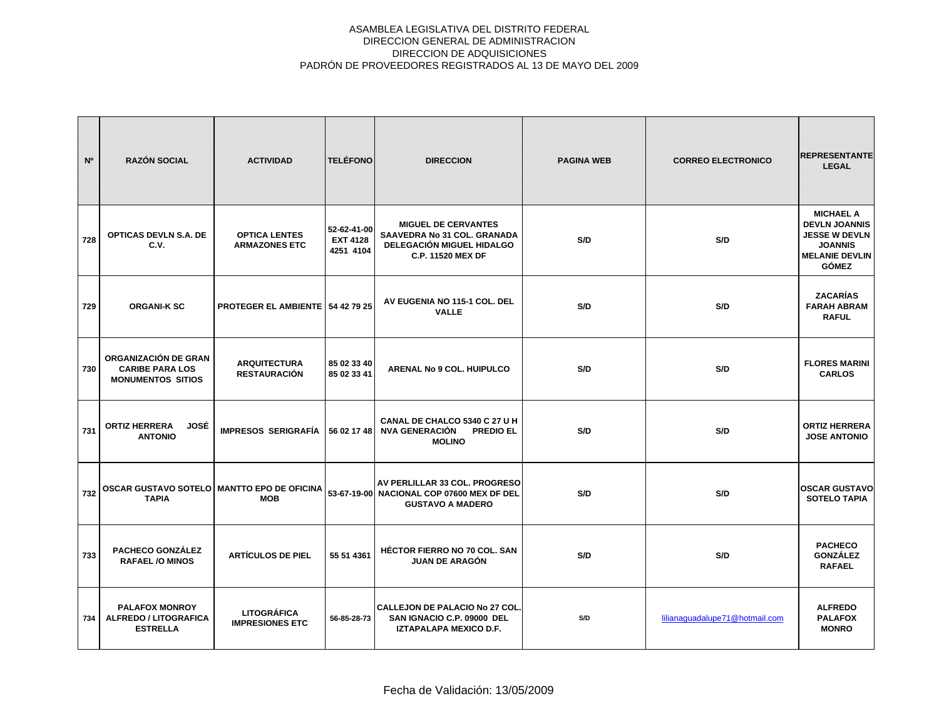| N°  | <b>RAZÓN SOCIAL</b>                                                        | <b>ACTIVIDAD</b>                                           | <b>TELÉFONO</b>                             | <b>DIRECCION</b>                                                                                                          | <b>PAGINA WEB</b> | <b>CORREO ELECTRONICO</b>      | <b>REPRESENTANTE</b><br><b>LEGAL</b>                                                                                        |
|-----|----------------------------------------------------------------------------|------------------------------------------------------------|---------------------------------------------|---------------------------------------------------------------------------------------------------------------------------|-------------------|--------------------------------|-----------------------------------------------------------------------------------------------------------------------------|
| 728 | <b>OPTICAS DEVLN S.A. DE</b><br>C.V.                                       | <b>OPTICA LENTES</b><br><b>ARMAZONES ETC</b>               | 52-62-41-00<br><b>EXT 4128</b><br>4251 4104 | <b>MIGUEL DE CERVANTES</b><br><b>SAAVEDRA No 31 COL. GRANADA</b><br>DELEGACIÓN MIGUEL HIDALGO<br><b>C.P. 11520 MEX DF</b> | S/D               | S/D                            | <b>MICHAEL A</b><br><b>DEVLN JOANNIS</b><br><b>JESSE W DEVLN</b><br><b>JOANNIS</b><br><b>MELANIE DEVLIN</b><br><b>GÓMEZ</b> |
| 729 | <b>ORGANI-K SC</b>                                                         | <b>PROTEGER EL AMBIENTE   54 42 79 25</b>                  |                                             | AV EUGENIA NO 115-1 COL. DEL<br><b>VALLE</b>                                                                              | S/D               | S/D                            | <b>ZACARÍAS</b><br><b>FARAH ABRAM</b><br><b>RAFUL</b>                                                                       |
| 730 | ORGANIZACIÓN DE GRAN<br><b>CARIBE PARA LOS</b><br><b>MONUMENTOS SITIOS</b> | <b>ARQUITECTURA</b><br><b>RESTAURACIÓN</b>                 | 85 02 33 40<br>85 02 33 41                  | ARENAL No 9 COL. HUIPULCO                                                                                                 | S/D               | S/D                            | <b>FLORES MARINI</b><br><b>CARLOS</b>                                                                                       |
| 731 | <b>ORTIZ HERRERA</b><br>JOSÉ<br><b>ANTONIO</b>                             | <b>IMPRESOS SERIGRAFÍA</b>                                 | 56 02 17 48                                 | CANAL DE CHALCO 5340 C 27 U H<br><b>NVA GENERACIÓN</b><br><b>PREDIO EL</b><br><b>MOLINO</b>                               | S/D               | S/D                            | <b>ORTIZ HERRERA</b><br><b>JOSE ANTONIO</b>                                                                                 |
| 732 | <b>TAPIA</b>                                                               | OSCAR GUSTAVO SOTELO   MANTTO EPO DE OFICINA<br><b>MOB</b> |                                             | AV PERLILLAR 33 COL. PROGRESO<br>53-67-19-00 NACIONAL COP 07600 MEX DF DEL<br><b>GUSTAVO A MADERO</b>                     | S/D               | S/D                            | <b>OSCAR GUSTAVO</b><br><b>SOTELO TAPIA</b>                                                                                 |
| 733 | <b>PACHECO GONZÁLEZ</b><br><b>RAFAEL /O MINOS</b>                          | <b>ARTICULOS DE PIEL</b>                                   | 55 51 4361                                  | <b>HÉCTOR FIERRO NO 70 COL. SAN</b><br><b>JUAN DE ARAGÓN</b>                                                              | S/D               | S/D                            | <b>PACHECO</b><br><b>GONZÁLEZ</b><br><b>RAFAEL</b>                                                                          |
| 734 | <b>PALAFOX MONROY</b><br><b>ALFREDO / LITOGRAFICA</b><br><b>ESTRELLA</b>   | LITOGRÁFICA<br><b>IMPRESIONES ETC</b>                      | 56-85-28-73                                 | <b>CALLEJON DE PALACIO No 27 COL.</b><br>SAN IGNACIO C.P. 09000 DEL<br>IZTAPALAPA MEXICO D.F.                             | S/D               | lilianaguadalupe71@hotmail.com | <b>ALFREDO</b><br><b>PALAFOX</b><br><b>MONRO</b>                                                                            |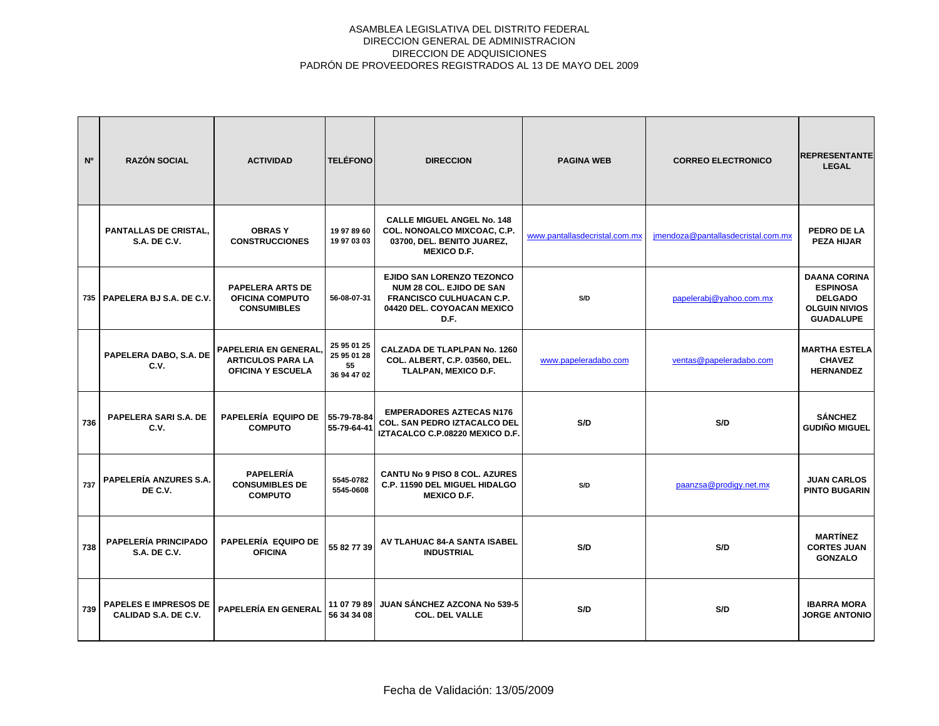| N <sup>o</sup> | <b>RAZÓN SOCIAL</b>                                  | <b>ACTIVIDAD</b>                                                              | <b>TELÉFONO</b>                                 | <b>DIRECCION</b>                                                                                                                             | <b>PAGINA WEB</b>             | <b>CORREO ELECTRONICO</b>          | <b>REPRESENTANTE</b><br><b>LEGAL</b>                                                                 |
|----------------|------------------------------------------------------|-------------------------------------------------------------------------------|-------------------------------------------------|----------------------------------------------------------------------------------------------------------------------------------------------|-------------------------------|------------------------------------|------------------------------------------------------------------------------------------------------|
|                | <b>PANTALLAS DE CRISTAL.</b><br><b>S.A. DE C.V.</b>  | <b>OBRASY</b><br><b>CONSTRUCCIONES</b>                                        | 19 97 89 60<br>19 97 03 03                      | <b>CALLE MIGUEL ANGEL No. 148</b><br>COL. NONOALCO MIXCOAC, C.P.<br>03700, DEL. BENITO JUAREZ,<br><b>MEXICO D.F.</b>                         | www.pantallasdecristal.com.mx | imendoza@pantallasdecristal.com.mx | PEDRO DE LA<br><b>PEZA HIJAR</b>                                                                     |
|                | 735   PAPELERA BJ S.A. DE C.V.                       | <b>PAPELERA ARTS DE</b><br><b>OFICINA COMPUTO</b><br><b>CONSUMIBLES</b>       | 56-08-07-31                                     | <b>EJIDO SAN LORENZO TEZONCO</b><br><b>NUM 28 COL. EJIDO DE SAN</b><br><b>FRANCISCO CULHUACAN C.P.</b><br>04420 DEL. COYOACAN MEXICO<br>D.F. | S/D                           | papelerabj@yahoo.com.mx            | <b>DAANA CORINA</b><br><b>ESPINOSA</b><br><b>DELGADO</b><br><b>OLGUIN NIVIOS</b><br><b>GUADALUPE</b> |
|                | PAPELERA DABO, S.A. DE<br>C.V.                       | PAPELERIA EN GENERAL.<br><b>ARTICULOS PARA LA</b><br><b>OFICINA Y ESCUELA</b> | 25 95 01 25<br>25 95 01 28<br>55<br>36 94 47 02 | <b>CALZADA DE TLAPLPAN No. 1260</b><br>COL. ALBERT, C.P. 03560, DEL.<br>TLALPAN, MEXICO D.F.                                                 | www.papeleradabo.com          | ventas@papeleradabo.com            | <b>MARTHA ESTELA</b><br><b>CHAVEZ</b><br><b>HERNANDEZ</b>                                            |
| 736            | PAPELERA SARI S.A. DE<br>C.V.                        | PAPELERÍA EQUIPO DE<br><b>COMPUTO</b>                                         | 55-79-78-84<br>55-79-64-41                      | <b>EMPERADORES AZTECAS N176</b><br><b>COL. SAN PEDRO IZTACALCO DEL</b><br>IZTACALCO C.P.08220 MEXICO D.F.                                    | S/D                           | S/D                                | <b>SÁNCHEZ</b><br><b>GUDIÑO MIGUEL</b>                                                               |
| 737            | <b>PAPELERÍA ANZURES S.A.</b><br>DE C.V.             | <b>PAPELERÍA</b><br><b>CONSUMIBLES DE</b><br><b>COMPUTO</b>                   | 5545-0782<br>5545-0608                          | <b>CANTU No 9 PISO 8 COL. AZURES</b><br>C.P. 11590 DEL MIGUEL HIDALGO<br><b>MEXICO D.F.</b>                                                  | S/D                           | paanzsa@prodigy.net.mx             | <b>JUAN CARLOS</b><br><b>PINTO BUGARIN</b>                                                           |
| 738            | PAPELERÍA PRINCIPADO<br><b>S.A. DE C.V.</b>          | PAPELERÍA EQUIPO DE<br><b>OFICINA</b>                                         | 55 82 77 39                                     | AV TLAHUAC 84-A SANTA ISABEL<br><b>INDUSTRIAL</b>                                                                                            | S/D                           | S/D                                | <b>MARTÍNEZ</b><br><b>CORTES JUAN</b><br><b>GONZALO</b>                                              |
| 739            | <b>PAPELES E IMPRESOS DE</b><br>CALIDAD S.A. DE C.V. | PAPELERÍA EN GENERAL                                                          | 11 07 79 89<br>56 34 34 08                      | JUAN SÁNCHEZ AZCONA No 539-5<br><b>COL. DEL VALLE</b>                                                                                        | S/D                           | S/D                                | <b>IBARRA MORA</b><br><b>JORGE ANTONIO</b>                                                           |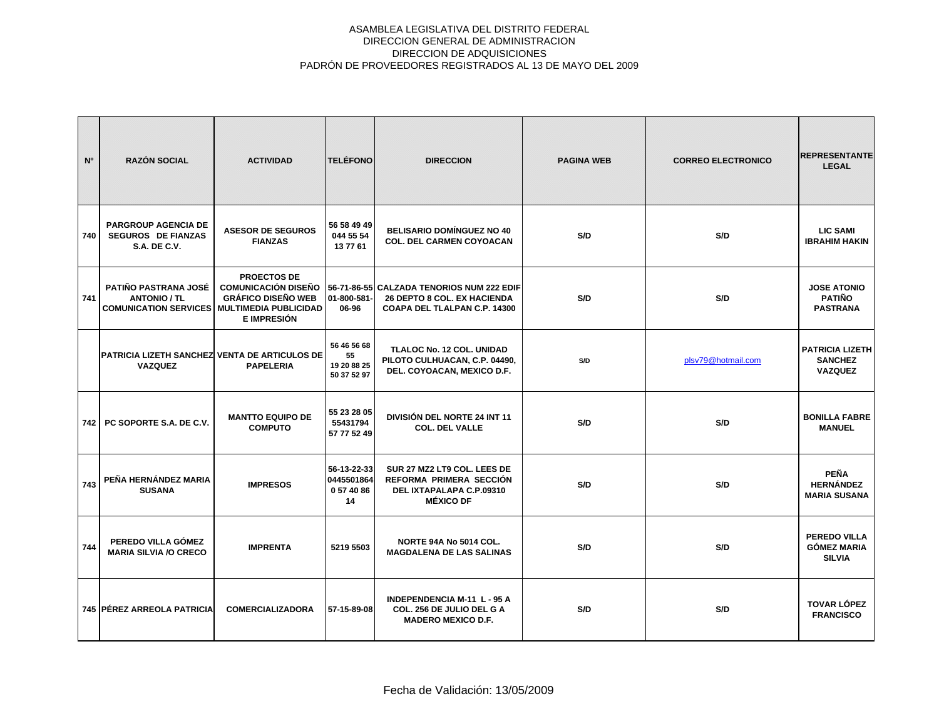| N <sup>o</sup> | <b>RAZÓN SOCIAL</b>                                                                               | <b>ACTIVIDAD</b>                                                                             | <b>TELÉFONO</b>                                 | <b>DIRECCION</b>                                                                                                | <b>PAGINA WEB</b> | <b>CORREO ELECTRONICO</b> | <b>REPRESENTANTE</b><br><b>LEGAL</b>                       |
|----------------|---------------------------------------------------------------------------------------------------|----------------------------------------------------------------------------------------------|-------------------------------------------------|-----------------------------------------------------------------------------------------------------------------|-------------------|---------------------------|------------------------------------------------------------|
| 740            | <b>PARGROUP AGENCIA DE</b><br><b>SEGUROS DE FIANZAS</b><br><b>S.A. DE C.V.</b>                    | <b>ASESOR DE SEGUROS</b><br><b>FIANZAS</b>                                                   | 56 58 49 49<br>044 55 54<br>13 77 61            | <b>BELISARIO DOMÍNGUEZ NO 40</b><br><b>COL. DEL CARMEN COYOACAN</b>                                             | S/D               | S/D                       | <b>LIC SAMI</b><br><b>IBRAHIM HAKIN</b>                    |
| 741            | PATIÑO PASTRANA JOSÉ<br><b>ANTONIO / TL</b><br><b>COMUNICATION SERVICES MULTIMEDIA PUBLICIDAD</b> | <b>PROECTOS DE</b><br><b>COMUNICACIÓN DISEÑO</b><br><b>GRÁFICO DISEÑO WEB</b><br>E IMPRESIÓN | 01-800-581-<br>06-96                            | 56-71-86-55 CALZADA TENORIOS NUM 222 EDIF<br><b>26 DEPTO 8 COL. EX HACIENDA</b><br>COAPA DEL TLALPAN C.P. 14300 | S/D               | S/D                       | <b>JOSE ATONIO</b><br><b>PATIÑO</b><br><b>PASTRANA</b>     |
|                | <b>PATRICIA LIZETH SANCHEZ VENTA DE ARTICULOS DE</b><br><b>VAZQUEZ</b>                            | <b>PAPELERIA</b>                                                                             | 56 46 56 68<br>55<br>19 20 88 25<br>50 37 52 97 | <b>TLALOC No. 12 COL. UNIDAD</b><br>PILOTO CULHUACAN, C.P. 04490,<br>DEL. COYOACAN, MEXICO D.F.                 | S/D               | plsv79@hotmail.com        | <b>PATRICIA LIZETH</b><br><b>SANCHEZ</b><br><b>VAZQUEZ</b> |
| 742            | PC SOPORTE S.A. DE C.V.                                                                           | <b>MANTTO EQUIPO DE</b><br><b>COMPUTO</b>                                                    | 55 23 28 05<br>55431794<br>57 77 52 49          | DIVISIÓN DEL NORTE 24 INT 11<br><b>COL. DEL VALLE</b>                                                           | S/D               | S/D                       | <b>BONILLA FABRE</b><br><b>MANUEL</b>                      |
| 743            | PEÑA HERNÁNDEZ MARIA<br><b>SUSANA</b>                                                             | <b>IMPRESOS</b>                                                                              | 56-13-22-33<br>0445501864<br>0574086<br>14      | SUR 27 MZ2 LT9 COL. LEES DE<br>REFORMA PRIMERA SECCIÓN<br>DEL IXTAPALAPA C.P.09310<br><b>MÉXICO DF</b>          | S/D               | S/D                       | <b>PEÑA</b><br><b>HERNÁNDEZ</b><br><b>MARIA SUSANA</b>     |
| 744            | PEREDO VILLA GÓMEZ<br><b>MARIA SILVIA /O CRECO</b>                                                | <b>IMPRENTA</b>                                                                              | 5219 5503                                       | NORTE 94A No 5014 COL.<br><b>MAGDALENA DE LAS SALINAS</b>                                                       | S/D               | S/D                       | <b>PEREDO VILLA</b><br><b>GÓMEZ MARIA</b><br><b>SILVIA</b> |
|                | 745 PÉREZ ARREOLA PATRICIA                                                                        | <b>COMERCIALIZADORA</b>                                                                      | 57-15-89-08                                     | <b>INDEPENDENCIA M-11 L-95 A</b><br>COL. 256 DE JULIO DEL G A<br><b>MADERO MEXICO D.F.</b>                      | S/D               | S/D                       | <b>TOVAR LÓPEZ</b><br><b>FRANCISCO</b>                     |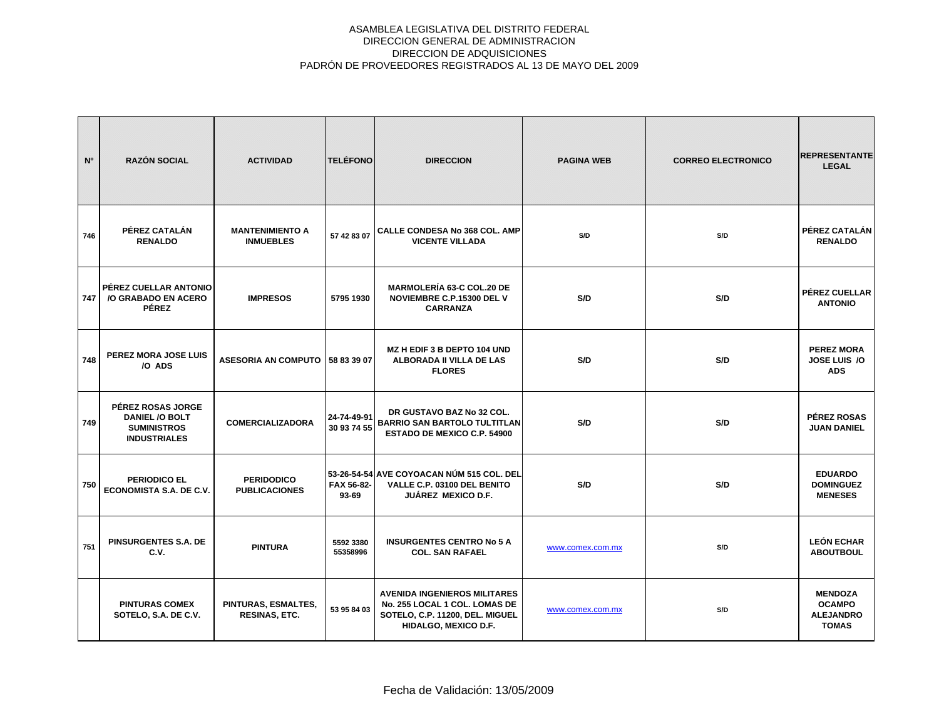| N <sup>o</sup> | <b>RAZÓN SOCIAL</b>                                                                     | <b>ACTIVIDAD</b>                           | <b>TELÉFONO</b>            | <b>DIRECCION</b>                                                                                                                | <b>PAGINA WEB</b> | <b>CORREO ELECTRONICO</b> | <b>REPRESENTANTE</b><br><b>LEGAL</b>                                |
|----------------|-----------------------------------------------------------------------------------------|--------------------------------------------|----------------------------|---------------------------------------------------------------------------------------------------------------------------------|-------------------|---------------------------|---------------------------------------------------------------------|
| 746            | PÉREZ CATALÁN<br><b>RENALDO</b>                                                         | <b>MANTENIMIENTO A</b><br><b>INMUEBLES</b> | 57 42 83 07                | <b>CALLE CONDESA No 368 COL. AMP</b><br><b>VICENTE VILLADA</b>                                                                  | S/D               | S/D                       | PÉREZ CATALÁN<br><b>RENALDO</b>                                     |
| 747            | PÉREZ CUELLAR ANTONIO<br>/O GRABADO EN ACERO<br><b>PÉREZ</b>                            | <b>IMPRESOS</b>                            | 5795 1930                  | <b>MARMOLERÍA 63-C COL.20 DE</b><br>NOVIEMBRE C.P.15300 DEL V<br><b>CARRANZA</b>                                                | S/D               | S/D                       | <b>PÉREZ CUELLAR</b><br><b>ANTONIO</b>                              |
| 748            | PEREZ MORA JOSE LUIS<br>/O ADS                                                          | ASESORIA AN COMPUTO   58 83 39 07          |                            | MZ H EDIF 3 B DEPTO 104 UND<br>ALBORADA II VILLA DE LAS<br><b>FLORES</b>                                                        | S/D               | S/D                       | <b>PEREZ MORA</b><br>JOSE LUIS /O<br><b>ADS</b>                     |
| 749            | PÉREZ ROSAS JORGE<br><b>DANIEL /O BOLT</b><br><b>SUMINISTROS</b><br><b>INDUSTRIALES</b> | <b>COMERCIALIZADORA</b>                    | 24-74-49-91<br>30 93 74 55 | DR GUSTAVO BAZ No 32 COL.<br><b>BARRIO SAN BARTOLO TULTITLAN</b><br><b>ESTADO DE MEXICO C.P. 54900</b>                          | S/D               | S/D                       | PÉREZ ROSAS<br><b>JUAN DANIEL</b>                                   |
| 750            | <b>PERIODICO EL</b><br>ECONOMISTA S.A. DE C.V.                                          | <b>PERIDODICO</b><br><b>PUBLICACIONES</b>  | FAX 56-82-<br>$93 - 69$    | 53-26-54-54 AVE COYOACAN NÚM 515 COL. DEL<br>VALLE C.P. 03100 DEL BENITO<br><b>JUÁREZ MEXICO D.F.</b>                           | S/D               | S/D                       | <b>EDUARDO</b><br><b>DOMINGUEZ</b><br><b>MENESES</b>                |
| 751            | PINSURGENTES S.A. DE<br>C.V.                                                            | <b>PINTURA</b>                             | 5592 3380<br>55358996      | <b>INSURGENTES CENTRO No 5 A</b><br><b>COL. SAN RAFAEL</b>                                                                      | www.comex.com.mx  | S/D                       | <b>LEÓN ECHAR</b><br><b>ABOUTBOUL</b>                               |
|                | <b>PINTURAS COMEX</b><br>SOTELO, S.A. DE C.V.                                           | PINTURAS, ESMALTES,<br>RESINAS, ETC.       | 53 95 84 03                | <b>AVENIDA INGENIEROS MILITARES</b><br>No. 255 LOCAL 1 COL. LOMAS DE<br>SOTELO, C.P. 11200, DEL. MIGUEL<br>HIDALGO, MEXICO D.F. | www.comex.com.mx  | S/D                       | <b>MENDOZA</b><br><b>OCAMPO</b><br><b>ALEJANDRO</b><br><b>TOMAS</b> |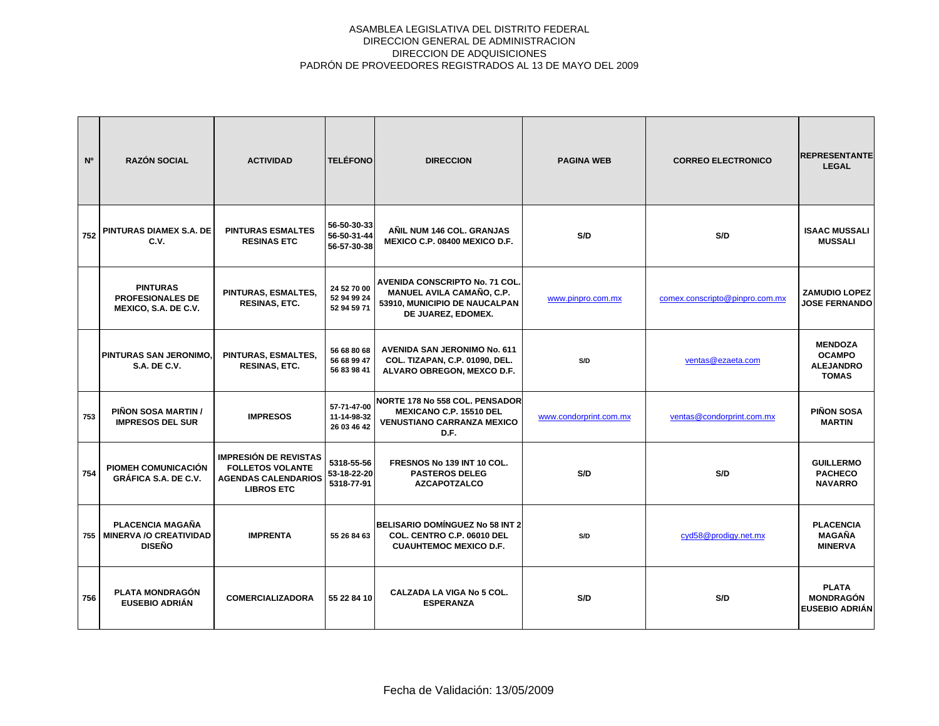| N <sup>o</sup> | <b>RAZÓN SOCIAL</b>                                                | <b>ACTIVIDAD</b>                                                                                           | <b>TELÉFONO</b>                           | <b>DIRECCION</b>                                                                                                                 | <b>PAGINA WEB</b>      | <b>CORREO ELECTRONICO</b>      | <b>REPRESENTANTE</b><br><b>LEGAL</b>                                |
|----------------|--------------------------------------------------------------------|------------------------------------------------------------------------------------------------------------|-------------------------------------------|----------------------------------------------------------------------------------------------------------------------------------|------------------------|--------------------------------|---------------------------------------------------------------------|
| 752            | PINTURAS DIAMEX S.A. DE<br>C.V.                                    | <b>PINTURAS ESMALTES</b><br><b>RESINAS ETC</b>                                                             | 56-50-30-33<br>56-50-31-44<br>56-57-30-38 | ANIL NUM 146 COL. GRANJAS<br>MEXICO C.P. 08400 MEXICO D.F.                                                                       | S/D                    | S/D                            | <b>ISAAC MUSSALI</b><br><b>MUSSALI</b>                              |
|                | <b>PINTURAS</b><br><b>PROFESIONALES DE</b><br>MEXICO, S.A. DE C.V. | PINTURAS, ESMALTES,<br><b>RESINAS, ETC.</b>                                                                | 24 52 70 00<br>52 94 99 24<br>52 94 59 71 | <b>AVENIDA CONSCRIPTO No. 71 COL.</b><br><b>MANUEL AVILA CAMAÑO, C.P.</b><br>53910, MUNICIPIO DE NAUCALPAN<br>DE JUAREZ, EDOMEX. | www.pinpro.com.mx      | comex.conscripto@pinpro.com.mx | <b>ZAMUDIO LOPEZ</b><br><b>JOSE FERNANDO</b>                        |
|                | PINTURAS SAN JERONIMO,<br><b>S.A. DE C.V.</b>                      | PINTURAS, ESMALTES,<br><b>RESINAS, ETC.</b>                                                                | 56 68 80 68<br>56 68 99 47<br>56 83 98 41 | <b>AVENIDA SAN JERONIMO No. 611</b><br>COL. TIZAPAN, C.P. 01090, DEL.<br>ALVARO OBREGON, MEXCO D.F.                              | S/D                    | ventas@ezaeta.com              | <b>MENDOZA</b><br><b>OCAMPO</b><br><b>ALEJANDRO</b><br><b>TOMAS</b> |
| 753            | PIÑON SOSA MARTIN /<br><b>IMPRESOS DEL SUR</b>                     | <b>IMPRESOS</b>                                                                                            | 57-71-47-00<br>11-14-98-32<br>26 03 46 42 | <b>NORTE 178 No 558 COL. PENSADOR</b><br><b>MEXICANO C.P. 15510 DEL</b><br><b>VENUSTIANO CARRANZA MEXICO</b><br>D.F.             | www.condorprint.com.mx | ventas@condorprint.com.mx      | <b>PIÑON SOSA</b><br><b>MARTIN</b>                                  |
| 754            | PIOMEH COMUNICACIÓN<br><b>GRÁFICA S.A. DE C.V.</b>                 | <b>IMPRESIÓN DE REVISTAS</b><br><b>FOLLETOS VOLANTE</b><br><b>AGENDAS CALENDARIOS</b><br><b>LIBROS ETC</b> | 5318-55-56<br>53-18-22-20<br>5318-77-91   | FRESNOS No 139 INT 10 COL.<br><b>PASTEROS DELEG</b><br><b>AZCAPOTZALCO</b>                                                       | S/D                    | S/D                            | <b>GUILLERMO</b><br><b>PACHECO</b><br><b>NAVARRO</b>                |
| 755            | PLACENCIA MAGAÑA<br><b>MINERVA /O CREATIVIDAD</b><br><b>DISEÑO</b> | <b>IMPRENTA</b>                                                                                            | 55 26 84 63                               | <b>BELISARIO DOMÍNGUEZ No 58 INT 2</b><br>COL. CENTRO C.P. 06010 DEL<br><b>CUAUHTEMOC MEXICO D.F.</b>                            | S/D                    | cyd58@prodigy.net.mx           | <b>PLACENCIA</b><br><b>MAGAÑA</b><br><b>MINERVA</b>                 |
| 756            | <b>PLATA MONDRAGÓN</b><br><b>EUSEBIO ADRIÁN</b>                    | <b>COMERCIALIZADORA</b>                                                                                    | 55 22 84 10                               | <b>CALZADA LA VIGA No 5 COL.</b><br><b>ESPERANZA</b>                                                                             | S/D                    | S/D                            | <b>PLATA</b><br><b>MONDRAGÓN</b><br><b>EUSEBIO ADRIÁN</b>           |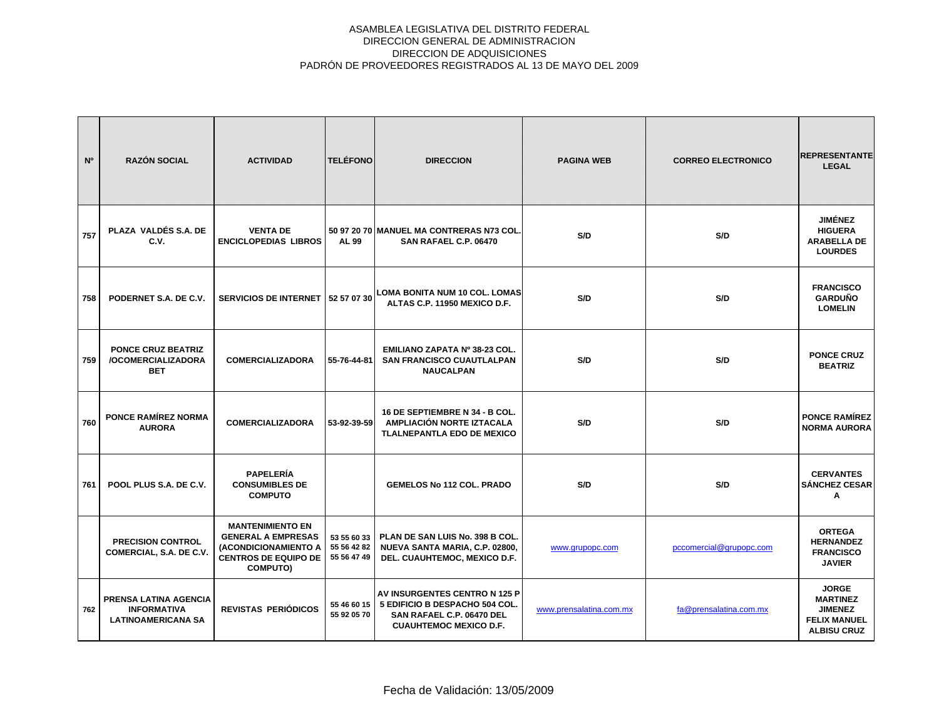| N°  | <b>RAZÓN SOCIAL</b>                                                      | <b>ACTIVIDAD</b>                                                                                                               | <b>TELÉFONO</b>                           | <b>DIRECCION</b>                                                                                                              | <b>PAGINA WEB</b>       | <b>CORREO ELECTRONICO</b> | <b>REPRESENTANTE</b><br><b>LEGAL</b>                                                           |
|-----|--------------------------------------------------------------------------|--------------------------------------------------------------------------------------------------------------------------------|-------------------------------------------|-------------------------------------------------------------------------------------------------------------------------------|-------------------------|---------------------------|------------------------------------------------------------------------------------------------|
| 757 | PLAZA VALDÉS S.A. DE<br>C.V.                                             | <b>VENTA DE</b><br><b>ENCICLOPEDIAS LIBROS</b>                                                                                 | AL 99                                     | 50 97 20 70 MANUEL MA CONTRERAS N73 COL.<br>SAN RAFAEL C.P. 06470                                                             | S/D                     | S/D                       | <b>JIMÉNEZ</b><br><b>HIGUERA</b><br><b>ARABELLA DE</b><br><b>LOURDES</b>                       |
| 758 | PODERNET S.A. DE C.V.                                                    |                                                                                                                                |                                           | SERVICIOS DE INTERNET 52 57 07 30 LOMA BONITA NUM 10 COL. LOMAS<br>ALTAS C.P. 11950 MEXICO D.F.                               | S/D                     | S/D                       | <b>FRANCISCO</b><br><b>GARDUÑO</b><br><b>LOMELIN</b>                                           |
| 759 | <b>PONCE CRUZ BEATRIZ</b><br>/OCOMERCIALIZADORA<br>BET                   | <b>COMERCIALIZADORA</b>                                                                                                        | 55-76-44-81                               | EMILIANO ZAPATA Nº 38-23 COL.<br><b>SAN FRANCISCO CUAUTLALPAN</b><br><b>NAUCALPAN</b>                                         | S/D                     | S/D                       | <b>PONCE CRUZ</b><br><b>BEATRIZ</b>                                                            |
| 760 | <b>PONCE RAMÍREZ NORMA</b><br><b>AURORA</b>                              | <b>COMERCIALIZADORA</b>                                                                                                        | 53-92-39-59                               | 16 DE SEPTIEMBRE N 34 - B COL.<br>AMPLIACIÓN NORTE IZTACALA<br><b>TLALNEPANTLA EDO DE MEXICO</b>                              | S/D                     | S/D                       | <b>PONCE RAMÍREZ</b><br><b>NORMA AURORA</b>                                                    |
| 761 | POOL PLUS S.A. DE C.V.                                                   | <b>PAPELERÍA</b><br><b>CONSUMIBLES DE</b><br><b>COMPUTO</b>                                                                    |                                           | <b>GEMELOS No 112 COL. PRADO</b>                                                                                              | S/D                     | S/D                       | <b>CERVANTES</b><br><b>SÁNCHEZ CESAR</b><br>Α                                                  |
|     | <b>PRECISION CONTROL</b><br>COMERCIAL, S.A. DE C.V.                      | <b>MANTENIMIENTO EN</b><br><b>GENERAL A EMPRESAS</b><br>(ACONDICIONAMIENTO A<br><b>CENTROS DE EQUIPO DE</b><br><b>COMPUTO)</b> | 53 55 60 33<br>55 56 42 82<br>55 56 47 49 | PLAN DE SAN LUIS No. 398 B COL.<br>NUEVA SANTA MARIA, C.P. 02800,<br>DEL. CUAUHTEMOC, MEXICO D.F.                             | www.grupopc.com         | pccomercial@grupopc.com   | <b>ORTEGA</b><br><b>HERNANDEZ</b><br><b>FRANCISCO</b><br><b>JAVIER</b>                         |
| 762 | PRENSA LATINA AGENCIA<br><b>INFORMATIVA</b><br><b>LATINOAMERICANA SA</b> | <b>REVISTAS PERIÓDICOS</b>                                                                                                     | 55 46 60 15<br>55 92 05 70                | AV INSURGENTES CENTRO N 125 P<br>5 EDIFICIO B DESPACHO 504 COL.<br>SAN RAFAEL C.P. 06470 DEL<br><b>CUAUHTEMOC MEXICO D.F.</b> | www.prensalatina.com.mx | fa@prensalatina.com.mx    | <b>JORGE</b><br><b>MARTINEZ</b><br><b>JIMENEZ</b><br><b>FELIX MANUEL</b><br><b>ALBISU CRUZ</b> |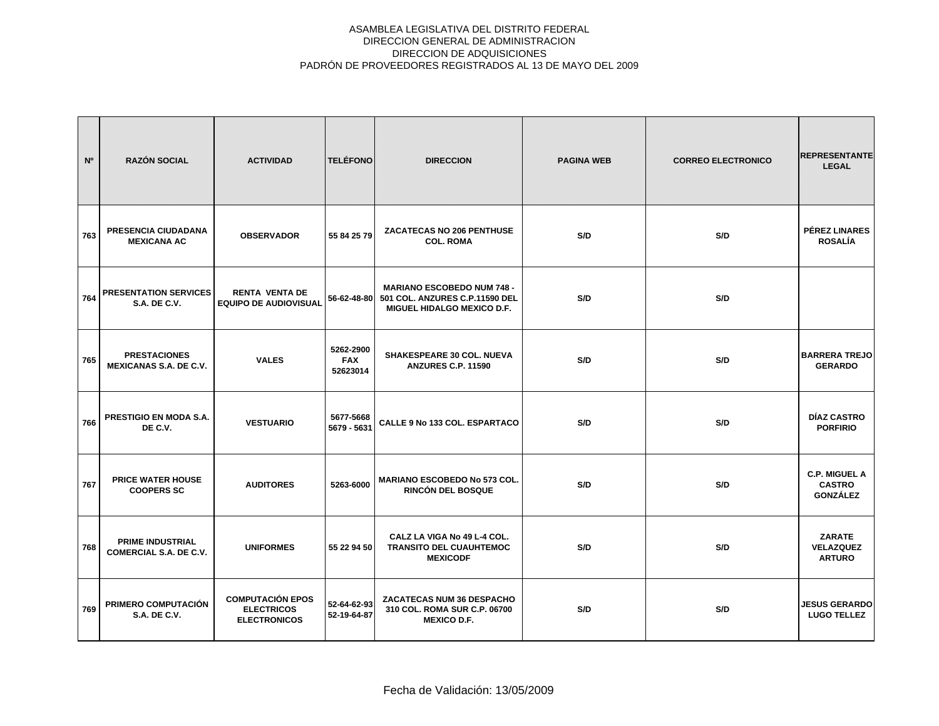| N <sup>o</sup> | <b>RAZÓN SOCIAL</b>                                      | <b>ACTIVIDAD</b>                                                    | <b>TELÉFONO</b>                     | <b>DIRECCION</b>                                                                                  | <b>PAGINA WEB</b> | <b>CORREO ELECTRONICO</b> | <b>REPRESENTANTE</b><br><b>LEGAL</b>                     |
|----------------|----------------------------------------------------------|---------------------------------------------------------------------|-------------------------------------|---------------------------------------------------------------------------------------------------|-------------------|---------------------------|----------------------------------------------------------|
| 763            | PRESENCIA CIUDADANA<br><b>MEXICANA AC</b>                | <b>OBSERVADOR</b>                                                   | 55 84 25 79                         | <b>ZACATECAS NO 206 PENTHUSE</b><br><b>COL. ROMA</b>                                              | S/D               | S/D                       | <b>PÉREZ LINARES</b><br><b>ROSALÍA</b>                   |
| 764            | <b>PRESENTATION SERVICES</b><br><b>S.A. DE C.V.</b>      | <b>RENTA VENTA DE</b><br><b>EQUIPO DE AUDIOVISUAL</b>               | 56-62-48-80                         | <b>MARIANO ESCOBEDO NUM 748 -</b><br>501 COL. ANZURES C.P.11590 DEL<br>MIGUEL HIDALGO MEXICO D.F. | S/D               | S/D                       |                                                          |
| 765            | <b>PRESTACIONES</b><br><b>MEXICANAS S.A. DE C.V.</b>     | <b>VALES</b>                                                        | 5262-2900<br><b>FAX</b><br>52623014 | SHAKESPEARE 30 COL. NUEVA<br><b>ANZURES C.P. 11590</b>                                            | S/D               | S/D                       | <b>BARRERA TREJO</b><br><b>GERARDO</b>                   |
| 766            | PRESTIGIO EN MODA S.A.<br>DE C.V.                        | <b>VESTUARIO</b>                                                    | 5677-5668<br>5679 - 5631            | <b>CALLE 9 No 133 COL. ESPARTACO</b>                                                              | S/D               | S/D                       | DÍAZ CASTRO<br><b>PORFIRIO</b>                           |
| 767            | <b>PRICE WATER HOUSE</b><br><b>COOPERS SC</b>            | <b>AUDITORES</b>                                                    | 5263-6000                           | <b>MARIANO ESCOBEDO No 573 COL.</b><br><b>RINCÓN DEL BOSQUE</b>                                   | S/D               | S/D                       | <b>C.P. MIGUEL A</b><br><b>CASTRO</b><br><b>GONZÁLEZ</b> |
| 768            | <b>PRIME INDUSTRIAL</b><br><b>COMERCIAL S.A. DE C.V.</b> | <b>UNIFORMES</b>                                                    | 55 22 94 50                         | CALZ LA VIGA No 49 L-4 COL.<br><b>TRANSITO DEL CUAUHTEMOC</b><br><b>MEXICODF</b>                  | S/D               | S/D                       | <b>ZARATE</b><br><b>VELAZQUEZ</b><br><b>ARTURO</b>       |
| 769            | <b>PRIMERO COMPUTACIÓN</b><br><b>S.A. DE C.V.</b>        | <b>COMPUTACIÓN EPOS</b><br><b>ELECTRICOS</b><br><b>ELECTRONICOS</b> | 52-64-62-93<br>52-19-64-87          | ZACATECAS NUM 36 DESPACHO<br>310 COL. ROMA SUR C.P. 06700<br><b>MEXICO D.F.</b>                   | S/D               | S/D                       | <b>JESUS GERARDO</b><br><b>LUGO TELLEZ</b>               |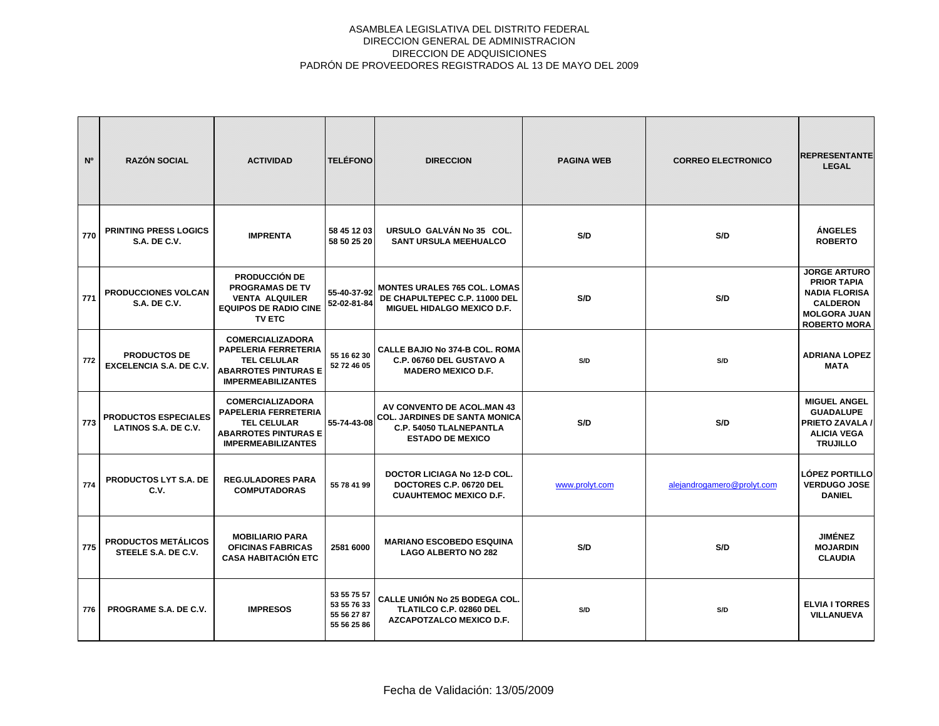| N <sup>o</sup> | <b>RAZÓN SOCIAL</b>                                        | <b>ACTIVIDAD</b>                                                                                                                  | <b>TELÉFONO</b>                                          | <b>DIRECCION</b>                                                                                                                | <b>PAGINA WEB</b> | <b>CORREO ELECTRONICO</b>  | <b>REPRESENTANTE</b><br><b>LEGAL</b>                                                                                               |
|----------------|------------------------------------------------------------|-----------------------------------------------------------------------------------------------------------------------------------|----------------------------------------------------------|---------------------------------------------------------------------------------------------------------------------------------|-------------------|----------------------------|------------------------------------------------------------------------------------------------------------------------------------|
| 770            | <b>PRINTING PRESS LOGICS</b><br><b>S.A. DE C.V.</b>        | <b>IMPRENTA</b>                                                                                                                   | 58 45 12 03<br>58 50 25 20                               | URSULO GALVÁN No 35 COL.<br><b>SANT URSULA MEEHUALCO</b>                                                                        | S/D               | S/D                        | <b>ÁNGELES</b><br><b>ROBERTO</b>                                                                                                   |
| 771            | <b>PRODUCCIONES VOLCAN</b><br><b>S.A. DE C.V.</b>          | <b>PRODUCCIÓN DE</b><br><b>PROGRAMAS DE TV</b><br><b>VENTA ALQUILER</b><br><b>EQUIPOS DE RADIO CINE</b><br><b>TV ETC</b>          | 55-40-37-92<br>52-02-81-84                               | <b>MONTES URALES 765 COL. LOMAS</b><br>DE CHAPULTEPEC C.P. 11000 DEL<br>MIGUEL HIDALGO MEXICO D.F.                              | S/D               | S/D                        | <b>JORGE ARTURO</b><br><b>PRIOR TAPIA</b><br><b>NADIA FLORISA</b><br><b>CALDERON</b><br><b>MOLGORA JUAN</b><br><b>ROBERTO MORA</b> |
| 772            | <b>PRODUCTOS DE</b><br><b>EXCELENCIA S.A. DE C.V.</b>      | <b>COMERCIALIZADORA</b><br>PAPELERIA FERRETERIA<br><b>TEL CELULAR</b><br><b>ABARROTES PINTURAS E</b><br><b>IMPERMEABILIZANTES</b> | 55 16 62 30<br>52 72 46 05                               | <b>CALLE BAJIO No 374-B COL. ROMA</b><br>C.P. 06760 DEL GUSTAVO A<br><b>MADERO MEXICO D.F.</b>                                  | S/D               | S/D                        | <b>ADRIANA LOPEZ</b><br><b>MATA</b>                                                                                                |
| 773            | <b>PRODUCTOS ESPECIALES</b><br><b>LATINOS S.A. DE C.V.</b> | <b>COMERCIALIZADORA</b><br>PAPELERIA FERRETERIA<br><b>TEL CELULAR</b><br><b>ABARROTES PINTURAS E</b><br><b>IMPERMEABILIZANTES</b> | 55-74-43-08                                              | AV CONVENTO DE ACOL.MAN 43<br><b>COL. JARDINES DE SANTA MONICA</b><br><b>C.P. 54050 TLALNEPANTLA</b><br><b>ESTADO DE MEXICO</b> | S/D               | S/D                        | <b>MIGUEL ANGEL</b><br><b>GUADALUPE</b><br><b>PRIETO ZAVALA /</b><br><b>ALICIA VEGA</b><br><b>TRUJILLO</b>                         |
| 774            | PRODUCTOS LYT S.A. DE<br>C.V.                              | <b>REG.ULADORES PARA</b><br><b>COMPUTADORAS</b>                                                                                   | 55 78 41 99                                              | <b>DOCTOR LICIAGA No 12-D COL.</b><br>DOCTORES C.P. 06720 DEL<br><b>CUAUHTEMOC MEXICO D.F.</b>                                  | www.prolyt.com    | alejandrogamero@prolyt.com | LÓPEZ PORTILLO<br><b>VERDUGO JOSE</b><br><b>DANIEL</b>                                                                             |
| 775            | <b>PRODUCTOS METÁLICOS</b><br>STEELE S.A. DE C.V.          | <b>MOBILIARIO PARA</b><br><b>OFICINAS FABRICAS</b><br><b>CASA HABITACIÓN ETC</b>                                                  | 2581 6000                                                | <b>MARIANO ESCOBEDO ESQUINA</b><br><b>LAGO ALBERTO NO 282</b>                                                                   | S/D               | S/D                        | <b>JIMÉNEZ</b><br><b>MOJARDIN</b><br><b>CLAUDIA</b>                                                                                |
| 776            | <b>PROGRAME S.A. DE C.V.</b>                               | <b>IMPRESOS</b>                                                                                                                   | 53 55 75 57<br>53 55 76 33<br>55 56 27 87<br>55 56 25 86 | <b>CALLE UNIÓN No 25 BODEGA COL.</b><br>TLATILCO C.P. 02860 DEL<br><b>AZCAPOTZALCO MEXICO D.F.</b>                              | S/D               | S/D                        | <b>ELVIA I TORRES</b><br><b>VILLANUEVA</b>                                                                                         |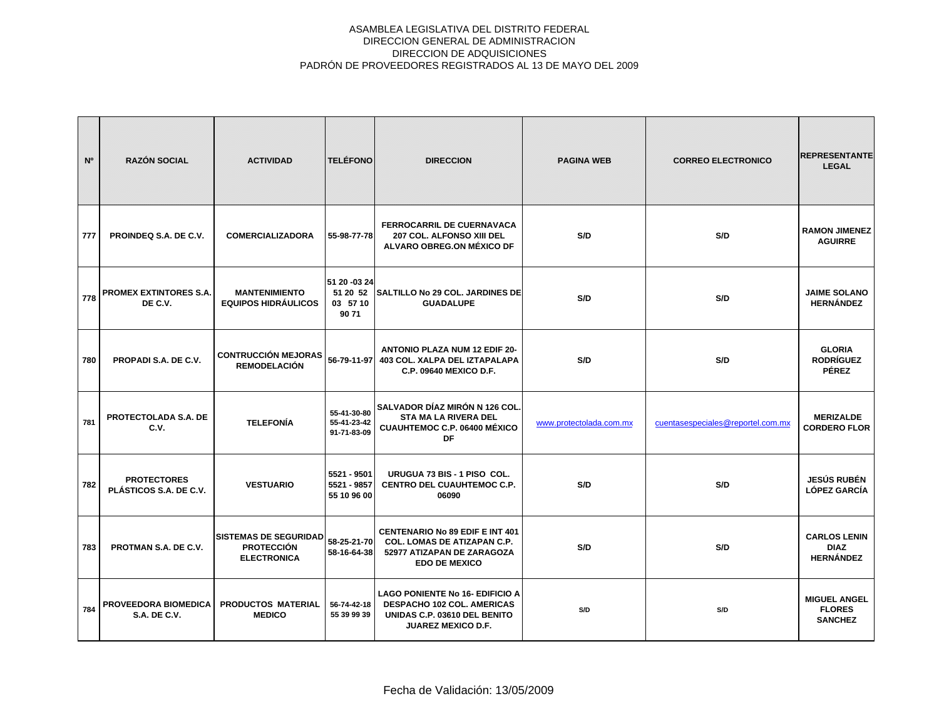| N <sup>o</sup> | <b>RAZÓN SOCIAL</b>                                | <b>ACTIVIDAD</b>                                                        | <b>TELÉFONO</b>                              | <b>DIRECCION</b>                                                                                                                         | <b>PAGINA WEB</b>       | <b>CORREO ELECTRONICO</b>         | <b>REPRESENTANTE</b><br><b>LEGAL</b>                   |
|----------------|----------------------------------------------------|-------------------------------------------------------------------------|----------------------------------------------|------------------------------------------------------------------------------------------------------------------------------------------|-------------------------|-----------------------------------|--------------------------------------------------------|
| 777            | PROINDEQ S.A. DE C.V.                              | <b>COMERCIALIZADORA</b>                                                 | 55-98-77-78                                  | <b>FERROCARRIL DE CUERNAVACA</b><br>207 COL. ALFONSO XIII DEL<br>ALVARO OBREG.ON MÉXICO DF                                               | S/D                     | S/D                               | <b>RAMON JIMENEZ</b><br><b>AGUIRRE</b>                 |
| 778            | <b>PROMEX EXTINTORES S.A.</b><br>DE C.V.           | <b>MANTENIMIENTO</b><br><b>EQUIPOS HIDRÁULICOS</b>                      | 51 20 -03 24<br>51 20 52<br>03 57 10<br>9071 | SALTILLO No 29 COL. JARDINES DE<br><b>GUADALUPE</b>                                                                                      | S/D                     | S/D                               | <b>JAIME SOLANO</b><br><b>HERNÁNDEZ</b>                |
| 780            | PROPADI S.A. DE C.V.                               | <b>CONTRUCCIÓN MEJORAS</b><br><b>REMODELACIÓN</b>                       | 56-79-11-97                                  | <b>ANTONIO PLAZA NUM 12 EDIF 20-</b><br>403 COL. XALPA DEL IZTAPALAPA<br><b>C.P. 09640 MEXICO D.F.</b>                                   | S/D                     | S/D                               | <b>GLORIA</b><br><b>RODRÍGUEZ</b><br><b>PÉREZ</b>      |
| 781            | PROTECTOLADA S.A. DE<br>C.V.                       | <b>TELEFONÍA</b>                                                        | 55-41-30-80<br>55-41-23-42<br>91-71-83-09    | SALVADOR DÍAZ MIRÓN N 126 COL<br><b>STA MA LA RIVERA DEL</b><br><b>CUAUHTEMOC C.P. 06400 MÉXICO</b><br>DF                                | www.protectolada.com.mx | cuentasespeciales@reportel.com.mx | <b>MERIZALDE</b><br><b>CORDERO FLOR</b>                |
| 782            | <b>PROTECTORES</b><br>PLÁSTICOS S.A. DE C.V.       | <b>VESTUARIO</b>                                                        | 5521 - 9501<br>5521 - 9857<br>55 10 96 00    | URUGUA 73 BIS - 1 PISO COL.<br><b>CENTRO DEL CUAUHTEMOC C.P.</b><br>06090                                                                | S/D                     | S/D                               | <b>JESÚS RUBÉN</b><br><b>LÓPEZ GARCÍA</b>              |
| 783            | PROTMAN S.A. DE C.V.                               | <b>SISTEMAS DE SEGURIDAD</b><br><b>PROTECCIÓN</b><br><b>ELECTRONICA</b> | 58-25-21-70<br>58-16-64-38                   | <b>CENTENARIO No 89 EDIF E INT 401</b><br><b>COL. LOMAS DE ATIZAPAN C.P.</b><br>52977 ATIZAPAN DE ZARAGOZA<br><b>EDO DE MEXICO</b>       | S/D                     | S/D                               | <b>CARLOS LENIN</b><br><b>DIAZ</b><br><b>HERNÁNDEZ</b> |
| 784            | <b>PROVEEDORA BIOMEDICA</b><br><b>S.A. DE C.V.</b> | <b>PRODUCTOS MATERIAL</b><br><b>MEDICO</b>                              | 56-74-42-18<br>55 39 99 39                   | <b>LAGO PONIENTE No 16- EDIFICIO A</b><br><b>DESPACHO 102 COL. AMERICAS</b><br>UNIDAS C.P. 03610 DEL BENITO<br><b>JUAREZ MEXICO D.F.</b> | S/D                     | S/D                               | <b>MIGUEL ANGEL</b><br><b>FLORES</b><br><b>SANCHEZ</b> |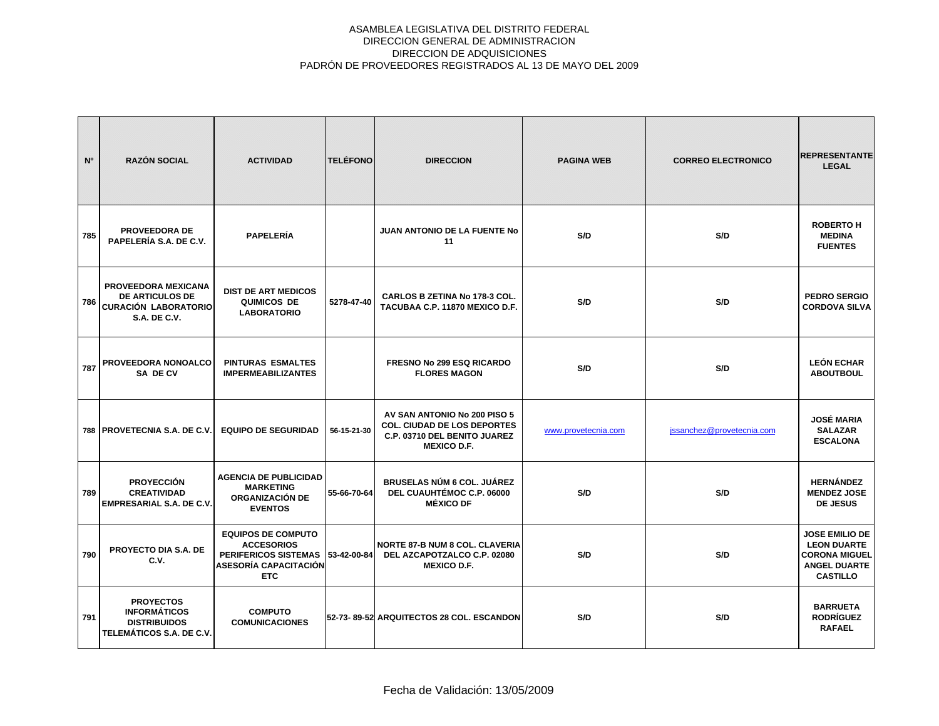| N <sup>o</sup> | <b>RAZÓN SOCIAL</b>                                                                                 | <b>ACTIVIDAD</b>                                                                                                                 | <b>TELÉFONO</b> | <b>DIRECCION</b>                                                                                                         | <b>PAGINA WEB</b>   | <b>CORREO ELECTRONICO</b> | <b>REPRESENTANTE</b><br><b>LEGAL</b>                                                                          |
|----------------|-----------------------------------------------------------------------------------------------------|----------------------------------------------------------------------------------------------------------------------------------|-----------------|--------------------------------------------------------------------------------------------------------------------------|---------------------|---------------------------|---------------------------------------------------------------------------------------------------------------|
| 785            | <b>PROVEEDORA DE</b><br>PAPELERÍA S.A. DE C.V.                                                      | <b>PAPELERÍA</b>                                                                                                                 |                 | <b>JUAN ANTONIO DE LA FUENTE No</b><br>11                                                                                | S/D                 | S/D                       | <b>ROBERTO H</b><br><b>MEDINA</b><br><b>FUENTES</b>                                                           |
| 786            | PROVEEDORA MEXICANA<br><b>DE ARTICULOS DE</b><br><b>CURACIÓN LABORATORIO</b><br><b>S.A. DE C.V.</b> | <b>DIST DE ART MEDICOS</b><br>QUIMICOS DE<br><b>LABORATORIO</b>                                                                  | 5278-47-40      | <b>CARLOS B ZETINA No 178-3 COL.</b><br>TACUBAA C.P. 11870 MEXICO D.F.                                                   | S/D                 | S/D                       | <b>PEDRO SERGIO</b><br><b>CORDOVA SILVA</b>                                                                   |
| 787            | PROVEEDORA NONOALCO<br>SA DE CV                                                                     | <b>PINTURAS ESMALTES</b><br><b>IMPERMEABILIZANTES</b>                                                                            |                 | <b>FRESNO No 299 ESQ RICARDO</b><br><b>FLORES MAGON</b>                                                                  | S/D                 | S/D                       | <b>LEÓN ECHAR</b><br><b>ABOUTBOUL</b>                                                                         |
|                | 788   PROVETECNIA S.A. DE C.V.                                                                      | <b>EQUIPO DE SEGURIDAD</b>                                                                                                       | 56-15-21-30     | AV SAN ANTONIO No 200 PISO 5<br><b>COL. CIUDAD DE LOS DEPORTES</b><br>C.P. 03710 DEL BENITO JUAREZ<br><b>MEXICO D.F.</b> | www.provetecnia.com | jssanchez@provetecnia.com | <b>JOSÉ MARIA</b><br><b>SALAZAR</b><br><b>ESCALONA</b>                                                        |
| 789            | <b>PROYECCIÓN</b><br><b>CREATIVIDAD</b><br><b>EMPRESARIAL S.A. DE C.V.</b>                          | <b>AGENCIA DE PUBLICIDAD</b><br><b>MARKETING</b><br><b>ORGANIZACIÓN DE</b><br><b>EVENTOS</b>                                     | 55-66-70-64     | <b>BRUSELAS NÚM 6 COL. JUÁREZ</b><br>DEL CUAUHTÉMOC C.P. 06000<br><b>MÉXICO DF</b>                                       | S/D                 | S/D                       | <b>HERNÁNDEZ</b><br><b>MENDEZ JOSE</b><br><b>DE JESUS</b>                                                     |
| 790            | PROYECTO DIA S.A. DE<br>C.V.                                                                        | <b>EQUIPOS DE COMPUTO</b><br><b>ACCESORIOS</b><br>PERIFERICOS SISTEMAS 53-42-00-84<br><b>ASESORÍA CAPACITACIÓN</b><br><b>ETC</b> |                 | <b>NORTE 87-B NUM 8 COL. CLAVERIA</b><br>DEL AZCAPOTZALCO C.P. 02080<br><b>MEXICO D.F.</b>                               | S/D                 | S/D                       | <b>JOSE EMILIO DE</b><br><b>LEON DUARTE</b><br><b>CORONA MIGUEL</b><br><b>ANGEL DUARTE</b><br><b>CASTILLO</b> |
| 791            | <b>PROYECTOS</b><br><b>INFORMÁTICOS</b><br><b>DISTRIBUIDOS</b><br>TELEMÁTICOS S.A. DE C.V.          | <b>COMPUTO</b><br><b>COMUNICACIONES</b>                                                                                          |                 | 52-73-89-52 ARQUITECTOS 28 COL. ESCANDON                                                                                 | S/D                 | S/D                       | <b>BARRUETA</b><br><b>RODRÍGUEZ</b><br><b>RAFAEL</b>                                                          |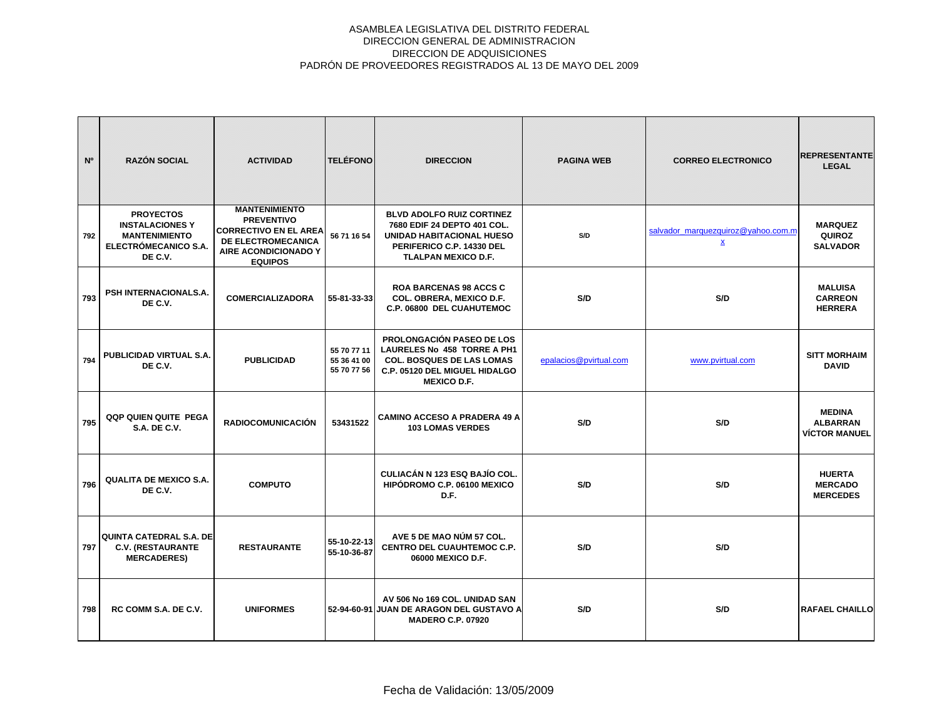| N <sup>o</sup> | <b>RAZÓN SOCIAL</b>                                                                                   | <b>ACTIVIDAD</b>                                                                                                                          | <b>TELÉFONO</b>                           | <b>DIRECCION</b>                                                                                                                                               | <b>PAGINA WEB</b>      | <b>CORREO ELECTRONICO</b>                             | <b>REPRESENTANTE</b><br><b>LEGAL</b>                     |
|----------------|-------------------------------------------------------------------------------------------------------|-------------------------------------------------------------------------------------------------------------------------------------------|-------------------------------------------|----------------------------------------------------------------------------------------------------------------------------------------------------------------|------------------------|-------------------------------------------------------|----------------------------------------------------------|
| 792            | <b>PROYECTOS</b><br><b>INSTALACIONES Y</b><br><b>MANTENIMIENTO</b><br>ELECTRÓMECANICO S.A.<br>DE C.V. | <b>MANTENIMIENTO</b><br><b>PREVENTIVO</b><br><b>CORRECTIVO EN EL AREA</b><br>DE ELECTROMECANICA<br>AIRE ACONDICIONADO Y<br><b>EQUIPOS</b> | 56 71 16 54                               | <b>BLVD ADOLFO RUIZ CORTINEZ</b><br>7680 EDIF 24 DEPTO 401 COL.<br><b>UNIDAD HABITACIONAL HUESO</b><br>PERIFERICO C.P. 14330 DEL<br><b>TLALPAN MEXICO D.F.</b> | S/D                    | salvador marquezquiroz@vahoo.com.m<br>$\underline{x}$ | <b>MARQUEZ</b><br><b>QUIROZ</b><br><b>SALVADOR</b>       |
| 793            | <b>PSH INTERNACIONALS.A.</b><br>DE C.V.                                                               | <b>COMERCIALIZADORA</b>                                                                                                                   | 55-81-33-33                               | <b>ROA BARCENAS 98 ACCS C</b><br>COL. OBRERA, MEXICO D.F.<br>C.P. 06800 DEL CUAHUTEMOC                                                                         | S/D                    | S/D                                                   | <b>MALUISA</b><br><b>CARREON</b><br><b>HERRERA</b>       |
| 794            | PUBLICIDAD VIRTUAL S.A.<br>DE C.V.                                                                    | <b>PUBLICIDAD</b>                                                                                                                         | 55 70 77 11<br>55 36 41 00<br>55 70 77 56 | <b>PROLONGACIÓN PASEO DE LOS</b><br>LAURELES No 458 TORRE A PH1<br><b>COL. BOSQUES DE LAS LOMAS</b><br>C.P. 05120 DEL MIGUEL HIDALGO<br><b>MEXICO D.F.</b>     | epalacios@pvirtual.com | www.pvirtual.com                                      | <b>SITT MORHAIM</b><br><b>DAVID</b>                      |
| 795            | <b>QQP QUIEN QUITE PEGA</b><br>S.A. DE C.V.                                                           | <b>RADIOCOMUNICACIÓN</b>                                                                                                                  | 53431522                                  | <b>CAMINO ACCESO A PRADERA 49 A</b><br><b>103 LOMAS VERDES</b>                                                                                                 | S/D                    | S/D                                                   | <b>MEDINA</b><br><b>ALBARRAN</b><br><b>VÍCTOR MANUEL</b> |
| 796            | <b>QUALITA DE MEXICO S.A.</b><br>DE C.V.                                                              | <b>COMPUTO</b>                                                                                                                            |                                           | <b>CULIACÁN N 123 ESQ BAJÍO COL.</b><br>HIPÓDROMO C.P. 06100 MEXICO<br>D.F.                                                                                    | S/D                    | S/D                                                   | <b>HUERTA</b><br><b>MERCADO</b><br><b>MERCEDES</b>       |
| 797            | <b>QUINTA CATEDRAL S.A. DE</b><br><b>C.V. (RESTAURANTE</b><br><b>MERCADERES)</b>                      | <b>RESTAURANTE</b>                                                                                                                        | 55-10-22-13<br>55-10-36-87                | AVE 5 DE MAO NÚM 57 COL.<br>CENTRO DEL CUAUHTEMOC C.P.<br>06000 MEXICO D.F.                                                                                    | S/D                    | S/D                                                   |                                                          |
| 798            | <b>RC COMM S.A. DE C.V.</b>                                                                           | <b>UNIFORMES</b>                                                                                                                          |                                           | AV 506 No 169 COL, UNIDAD SAN<br>52-94-60-91 JUAN DE ARAGON DEL GUSTAVO A<br><b>MADERO C.P. 07920</b>                                                          | S/D                    | S/D                                                   | <b>RAFAEL CHAILLO</b>                                    |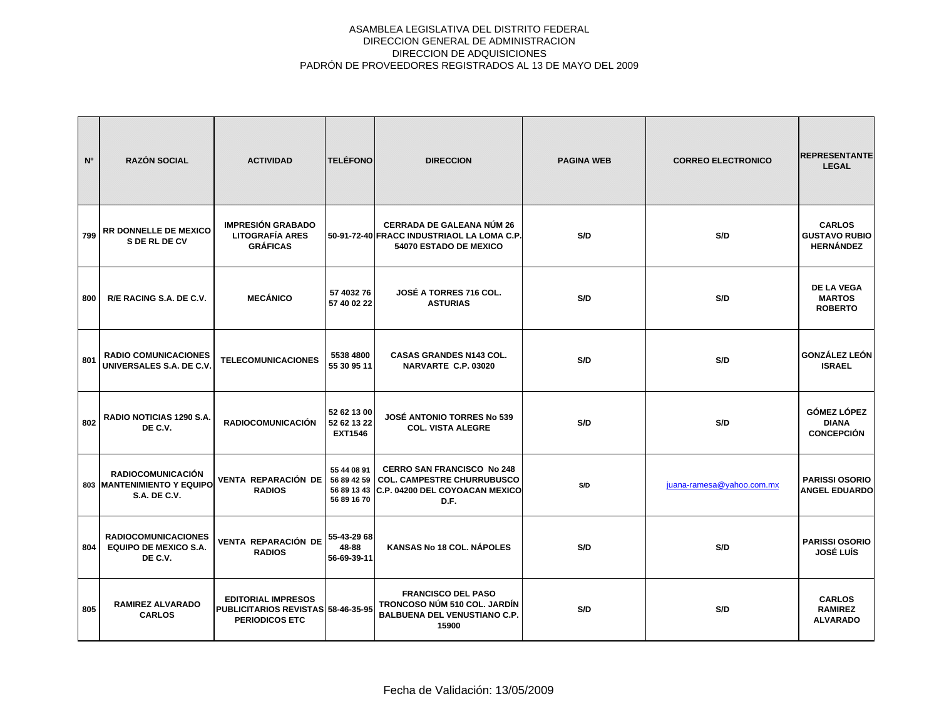| N°  | <b>RAZÓN SOCIAL</b>                                                                  | <b>ACTIVIDAD</b>                                                                         | <b>TELÉFONO</b>                              | <b>DIRECCION</b>                                                                                                             | <b>PAGINA WEB</b> | <b>CORREO ELECTRONICO</b> | <b>REPRESENTANTE</b><br><b>LEGAL</b>                      |
|-----|--------------------------------------------------------------------------------------|------------------------------------------------------------------------------------------|----------------------------------------------|------------------------------------------------------------------------------------------------------------------------------|-------------------|---------------------------|-----------------------------------------------------------|
| 799 | <b>RR DONNELLE DE MEXICO</b><br>S DE RL DE CV                                        | <b>IMPRESIÓN GRABADO</b><br><b>LITOGRAFÍA ARES</b><br><b>GRÁFICAS</b>                    |                                              | <b>CERRADA DE GALEANA NÚM 26</b><br>50-91-72-40 FRACC INDUSTRIAOL LA LOMA C.P.<br>54070 ESTADO DE MEXICO                     | S/D               | S/D                       | <b>CARLOS</b><br><b>GUSTAVO RUBIO</b><br><b>HERNÁNDEZ</b> |
| 800 | R/E RACING S.A. DE C.V.                                                              | <b>MECÁNICO</b>                                                                          | 57 4032 76<br>57 40 02 22                    | <b>JOSÉ A TORRES 716 COL.</b><br><b>ASTURIAS</b>                                                                             | S/D               | S/D                       | <b>DE LA VEGA</b><br><b>MARTOS</b><br><b>ROBERTO</b>      |
| 801 | <b>RADIO COMUNICACIONES</b><br>UNIVERSALES S.A. DE C.V.                              | <b>TELECOMUNICACIONES</b>                                                                | 5538 4800<br>55 30 95 11                     | <b>CASAS GRANDES N143 COL.</b><br>NARVARTE C.P. 03020                                                                        | S/D               | S/D                       | <b>GONZÁLEZ LEÓN</b><br><b>ISRAEL</b>                     |
| 802 | RADIO NOTICIAS 1290 S.A.<br>DE C.V.                                                  | <b>RADIOCOMUNICACIÓN</b>                                                                 | 52 62 13 00<br>52 62 13 22<br><b>EXT1546</b> | <b>JOSÉ ANTONIO TORRES No 539</b><br><b>COL. VISTA ALEGRE</b>                                                                | S/D               | S/D                       | <b>GÓMEZ LÓPEZ</b><br><b>DIANA</b><br><b>CONCEPCIÓN</b>   |
|     | <b>RADIOCOMUNICACIÓN</b><br><b>803 MANTENIMIENTO Y EQUIPO</b><br><b>S.A. DE C.V.</b> | <b>VENTA REPARACIÓN DE</b><br><b>RADIOS</b>                                              | 55 44 08 91<br>56 89 42 59<br>56 89 16 70    | <b>CERRO SAN FRANCISCO No 248</b><br><b>COL. CAMPESTRE CHURRUBUSCO</b><br>56 89 13 43 C.P. 04200 DEL COYOACAN MEXICO<br>D.F. | S/D               | juana-ramesa@yahoo.com.mx | <b>PARISSI OSORIO</b><br><b>ANGEL EDUARDO</b>             |
| 804 | <b>RADIOCOMUNICACIONES</b><br><b>EQUIPO DE MEXICO S.A.</b><br>DE C.V.                | VENTA REPARACIÓN DE<br><b>RADIOS</b>                                                     | 55-43-29 68<br>48-88<br>56-69-39-11          | KANSAS No 18 COL. NÁPOLES                                                                                                    | S/D               | S/D                       | <b>PARISSI OSORIO</b><br><b>JOSÉ LUÍS</b>                 |
| 805 | <b>RAMIREZ ALVARADO</b><br><b>CARLOS</b>                                             | <b>EDITORIAL IMPRESOS</b><br>PUBLICITARIOS REVISTAS 58-46-35-95<br><b>PERIODICOS ETC</b> |                                              | <b>FRANCISCO DEL PASO</b><br>TRONCOSO NÚM 510 COL. JARDÍN<br><b>BALBUENA DEL VENUSTIANO C.P.</b><br>15900                    | S/D               | S/D                       | <b>CARLOS</b><br><b>RAMIREZ</b><br><b>ALVARADO</b>        |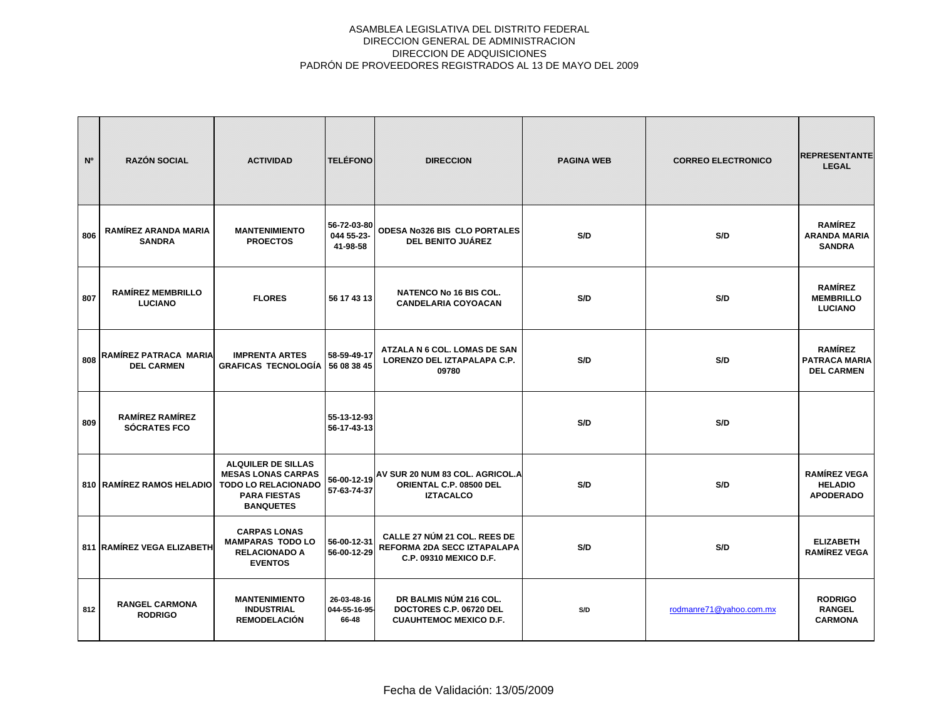| N <sup>o</sup> | <b>RAZÓN SOCIAL</b>                          | <b>ACTIVIDAD</b>                                                                                                                | <b>TELÉFONO</b>                       | <b>DIRECCION</b>                                                                           | <b>PAGINA WEB</b> | <b>CORREO ELECTRONICO</b> | <b>REPRESENTANTE</b><br><b>LEGAL</b>                        |
|----------------|----------------------------------------------|---------------------------------------------------------------------------------------------------------------------------------|---------------------------------------|--------------------------------------------------------------------------------------------|-------------------|---------------------------|-------------------------------------------------------------|
| 806            | <b>RAMÍREZ ARANDA MARIA</b><br><b>SANDRA</b> | <b>MANTENIMIENTO</b><br><b>PROECTOS</b>                                                                                         | 56-72-03-80<br>044 55-23-<br>41-98-58 | ODESA No326 BIS CLO PORTALES<br><b>DEL BENITO JUÁREZ</b>                                   | S/D               | S/D                       | <b>RAMÍREZ</b><br><b>ARANDA MARIA</b><br><b>SANDRA</b>      |
| 807            | <b>RAMÍREZ MEMBRILLO</b><br><b>LUCIANO</b>   | <b>FLORES</b>                                                                                                                   | 56 17 43 13                           | <b>NATENCO No 16 BIS COL.</b><br><b>CANDELARIA COYOACAN</b>                                | S/D               | S/D                       | <b>RAMÍREZ</b><br><b>MEMBRILLO</b><br><b>LUCIANO</b>        |
| 808            | RAMÍREZ PATRACA MARIA<br><b>DEL CARMEN</b>   | <b>IMPRENTA ARTES</b><br><b>GRAFICAS TECNOLOGÍA</b>                                                                             | 58-59-49-17<br>56 08 38 45            | ATZALA N 6 COL. LOMAS DE SAN<br>LORENZO DEL IZTAPALAPA C.P.<br>09780                       | S/D               | S/D                       | <b>RAMÍREZ</b><br><b>PATRACA MARIA</b><br><b>DEL CARMEN</b> |
| 809            | <b>RAMÍREZ RAMÍREZ</b><br>SÓCRATES FCO       |                                                                                                                                 | 55-13-12-93<br>56-17-43-13            |                                                                                            | S/D               | S/D                       |                                                             |
|                | 810   RAMÍREZ RAMOS HELADIO                  | <b>ALQUILER DE SILLAS</b><br><b>MESAS LONAS CARPAS</b><br><b>TODO LO RELACIONADO</b><br><b>PARA FIESTAS</b><br><b>BANQUETES</b> | 57-63-74-37                           | 56-00-12-19 AV SUR 20 NUM 83 COL. AGRICOL.A<br>ORIENTAL C.P. 08500 DEL<br><b>IZTACALCO</b> | S/D               | S/D                       | <b>RAMÍREZ VEGA</b><br><b>HELADIO</b><br><b>APODERADO</b>   |
|                | 811 RAMÍREZ VEGA ELIZABETH                   | <b>CARPAS LONAS</b><br><b>MAMPARAS TODO LO</b><br><b>RELACIONADO A</b><br><b>EVENTOS</b>                                        | 56-00-12-31<br>56-00-12-29            | CALLE 27 NÚM 21 COL. REES DE<br>REFORMA 2DA SECC IZTAPALAPA<br>C.P. 09310 MEXICO D.F.      | S/D               | S/D                       | <b>ELIZABETH</b><br><b>RAMÍREZ VEGA</b>                     |
| 812            | <b>RANGEL CARMONA</b><br><b>RODRIGO</b>      | <b>MANTENIMIENTO</b><br><b>INDUSTRIAL</b><br><b>REMODELACIÓN</b>                                                                | 26-03-48-16<br>044-55-16-95-<br>66-48 | DR BALMIS NÚM 216 COL.<br>DOCTORES C.P. 06720 DEL<br><b>CUAUHTEMOC MEXICO D.F.</b>         | S/D               | rodmanre71@yahoo.com.mx   | <b>RODRIGO</b><br><b>RANGEL</b><br><b>CARMONA</b>           |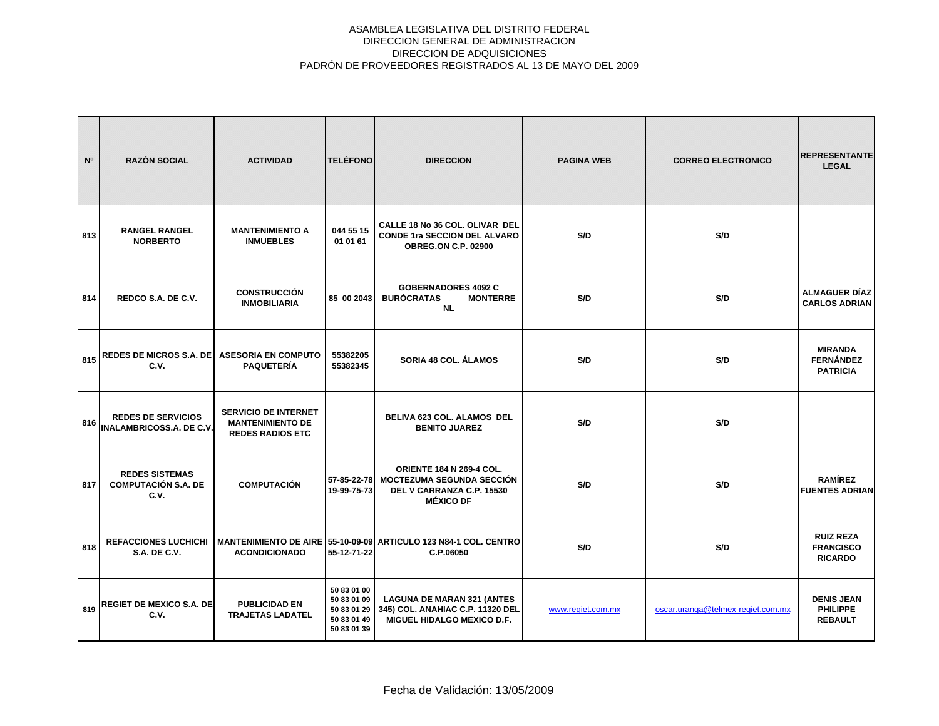| N <sup>o</sup> | <b>RAZÓN SOCIAL</b>                                          | <b>ACTIVIDAD</b>                                                                  | <b>TELÉFONO</b>                                                         | <b>DIRECCION</b>                                                                                                          | <b>PAGINA WEB</b> | <b>CORREO ELECTRONICO</b>         | <b>REPRESENTANTE</b><br><b>LEGAL</b>                   |
|----------------|--------------------------------------------------------------|-----------------------------------------------------------------------------------|-------------------------------------------------------------------------|---------------------------------------------------------------------------------------------------------------------------|-------------------|-----------------------------------|--------------------------------------------------------|
| 813            | <b>RANGEL RANGEL</b><br><b>NORBERTO</b>                      | <b>MANTENIMIENTO A</b><br><b>INMUEBLES</b>                                        | 044 55 15<br>01 01 61                                                   | CALLE 18 No 36 COL, OLIVAR DEL<br><b>CONDE 1ra SECCION DEL ALVARO</b><br><b>OBREG.ON C.P. 02900</b>                       | S/D               | S/D                               |                                                        |
| 814            | REDCO S.A. DE C.V.                                           | <b>CONSTRUCCIÓN</b><br><b>INMOBILIARIA</b>                                        | 85 00 2043                                                              | <b>GOBERNADORES 4092 C</b><br><b>BURÓCRATAS</b><br><b>MONTERRE</b><br><b>NL</b>                                           | S/D               | S/D                               | <b>ALMAGUER DÍAZ</b><br><b>CARLOS ADRIAN</b>           |
| 815            | <b>REDES DE MICROS S.A. DE</b><br>C.V.                       | <b>ASESORIA EN COMPUTO</b><br><b>PAQUETERÍA</b>                                   | 55382205<br>55382345                                                    | SORIA 48 COL. ÁLAMOS                                                                                                      | S/D               | S/D                               | <b>MIRANDA</b><br><b>FERNÁNDEZ</b><br><b>PATRICIA</b>  |
| 816            | <b>REDES DE SERVICIOS</b><br><b>INALAMBRICOSS.A. DE C.V.</b> | <b>SERVICIO DE INTERNET</b><br><b>MANTENIMIENTO DE</b><br><b>REDES RADIOS ETC</b> |                                                                         | BELIVA 623 COL. ALAMOS DEL<br><b>BENITO JUAREZ</b>                                                                        | S/D               | S/D                               |                                                        |
| 817            | <b>REDES SISTEMAS</b><br><b>COMPUTACIÓN S.A. DE</b><br>C.V.  | <b>COMPUTACIÓN</b>                                                                | 19-99-75-73                                                             | <b>ORIENTE 184 N 269-4 COL.</b><br>57-85-22-78 MOCTEZUMA SEGUNDA SECCIÓN<br>DEL V CARRANZA C.P. 15530<br><b>MÉXICO DF</b> | S/D               | S/D                               | <b>RAMÍREZ</b><br><b>FUENTES ADRIAN</b>                |
| 818            | <b>REFACCIONES LUCHICHI</b><br><b>S.A. DE C.V.</b>           | <b>ACONDICIONADO</b>                                                              | 55-12-71-22                                                             | MANTENIMIENTO DE AIRE 55-10-09-09 ARTICULO 123 N84-1 COL. CENTRO<br>C.P.06050                                             | S/D               | S/D                               | <b>RUIZ REZA</b><br><b>FRANCISCO</b><br><b>RICARDO</b> |
| 819            | <b>REGIET DE MEXICO S.A. DE</b><br>C.V.                      | <b>PUBLICIDAD EN</b><br><b>TRAJETAS LADATEL</b>                                   | 50 83 01 00<br>50 83 01 09<br>50 83 01 29<br>50 83 01 49<br>50 83 01 39 | <b>LAGUNA DE MARAN 321 (ANTES</b><br>345) COL. ANAHIAC C.P. 11320 DEL<br><b>MIGUEL HIDALGO MEXICO D.F.</b>                | www.regiet.com.mx | oscar.uranga@telmex-regiet.com.mx | <b>DENIS JEAN</b><br><b>PHILIPPE</b><br><b>REBAULT</b> |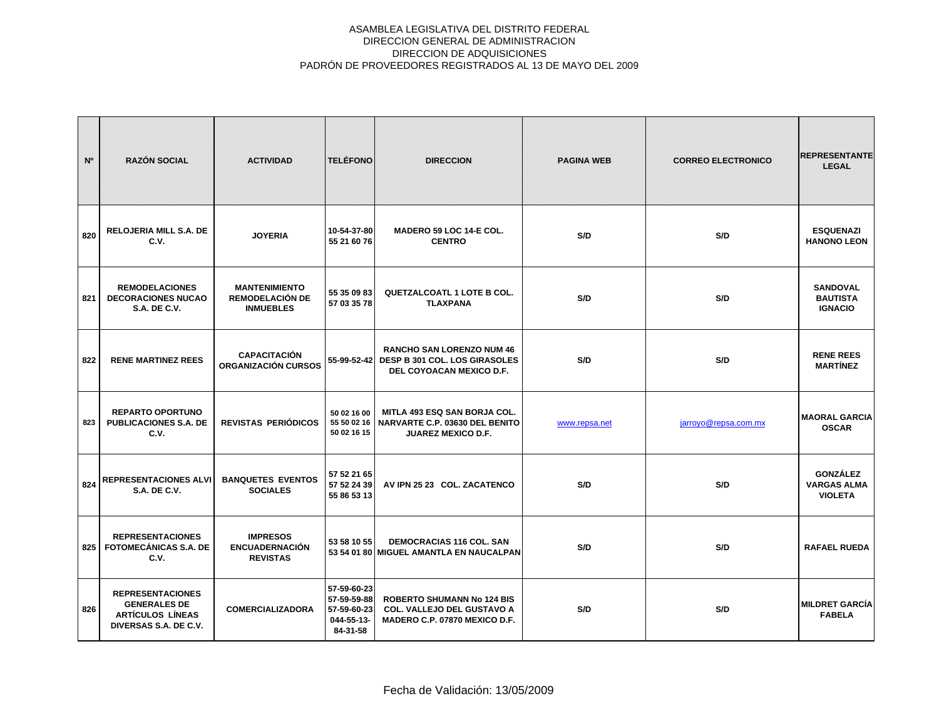| N <sup>o</sup> | <b>RAZÓN SOCIAL</b>                                                                                | <b>ACTIVIDAD</b>                                                   | <b>TELÉFONO</b>                                                     | <b>DIRECCION</b>                                                                                          | <b>PAGINA WEB</b> | <b>CORREO ELECTRONICO</b> | <b>REPRESENTANTE</b><br><b>LEGAL</b>                    |
|----------------|----------------------------------------------------------------------------------------------------|--------------------------------------------------------------------|---------------------------------------------------------------------|-----------------------------------------------------------------------------------------------------------|-------------------|---------------------------|---------------------------------------------------------|
| 820            | <b>RELOJERIA MILL S.A. DE</b><br>C.V.                                                              | <b>JOYERIA</b>                                                     | 10-54-37-80<br>55 21 60 76                                          | MADERO 59 LOC 14-E COL.<br><b>CENTRO</b>                                                                  | S/D               | S/D                       | <b>ESQUENAZI</b><br><b>HANONO LEON</b>                  |
| 821            | <b>REMODELACIONES</b><br><b>DECORACIONES NUCAO</b><br><b>S.A. DE C.V.</b>                          | <b>MANTENIMIENTO</b><br><b>REMODELACIÓN DE</b><br><b>INMUEBLES</b> | 55 35 09 83<br>57 03 35 78                                          | <b>QUETZALCOATL 1 LOTE B COL.</b><br><b>TLAXPANA</b>                                                      | S/D               | S/D                       | <b>SANDOVAL</b><br><b>BAUTISTA</b><br><b>IGNACIO</b>    |
| 822            | <b>RENE MARTINEZ REES</b>                                                                          | <b>CAPACITACIÓN</b><br><b>ORGANIZACIÓN CURSOS</b>                  |                                                                     | <b>RANCHO SAN LORENZO NUM 46</b><br>55-99-52-42 DESP B 301 COL. LOS GIRASOLES<br>DEL COYOACAN MEXICO D.F. | S/D               | S/D                       | <b>RENE REES</b><br><b>MARTÍNEZ</b>                     |
| 823            | <b>REPARTO OPORTUNO</b><br><b>PUBLICACIONES S.A. DE</b><br>C.V.                                    | <b>REVISTAS PERIÓDICOS</b>                                         | 50 02 16 00<br>55 50 02 16<br>50 02 16 15                           | MITLA 493 ESQ SAN BORJA COL.<br><b>NARVARTE C.P. 03630 DEL BENITO</b><br><b>JUAREZ MEXICO D.F.</b>        | www.repsa.net     | jarroyo@repsa.com.mx      | <b>MAORAL GARCIA</b><br><b>OSCAR</b>                    |
| 824            | <b>REPRESENTACIONES ALVI</b><br><b>S.A. DE C.V.</b>                                                | <b>BANQUETES EVENTOS</b><br><b>SOCIALES</b>                        | 57 52 21 65<br>57 52 24 39<br>55 86 53 13                           | AV IPN 25 23 COL. ZACATENCO                                                                               | S/D               | S/D                       | <b>GONZÁLEZ</b><br><b>VARGAS ALMA</b><br><b>VIOLETA</b> |
| 825            | <b>REPRESENTACIONES</b><br><b>FOTOMECÁNICAS S.A. DE</b><br>C.V.                                    | <b>IMPRESOS</b><br><b>ENCUADERNACIÓN</b><br><b>REVISTAS</b>        | 53 58 10 55                                                         | <b>DEMOCRACIAS 116 COL. SAN</b><br>53 54 01 80 MIGUEL AMANTLA EN NAUCALPAN                                | S/D               | S/D                       | <b>RAFAEL RUEDA</b>                                     |
| 826            | <b>REPRESENTACIONES</b><br><b>GENERALES DE</b><br><b>ARTÍCULOS LÍNEAS</b><br>DIVERSAS S.A. DE C.V. | <b>COMERCIALIZADORA</b>                                            | 57-59-60-23<br>57-59-59-88<br>57-59-60-23<br>044-55-13-<br>84-31-58 | ROBERTO SHUMANN No 124 BIS<br><b>COL. VALLEJO DEL GUSTAVO A</b><br>MADERO C.P. 07870 MEXICO D.F.          | S/D               | S/D                       | <b>MILDRET GARCÍA</b><br><b>FABELA</b>                  |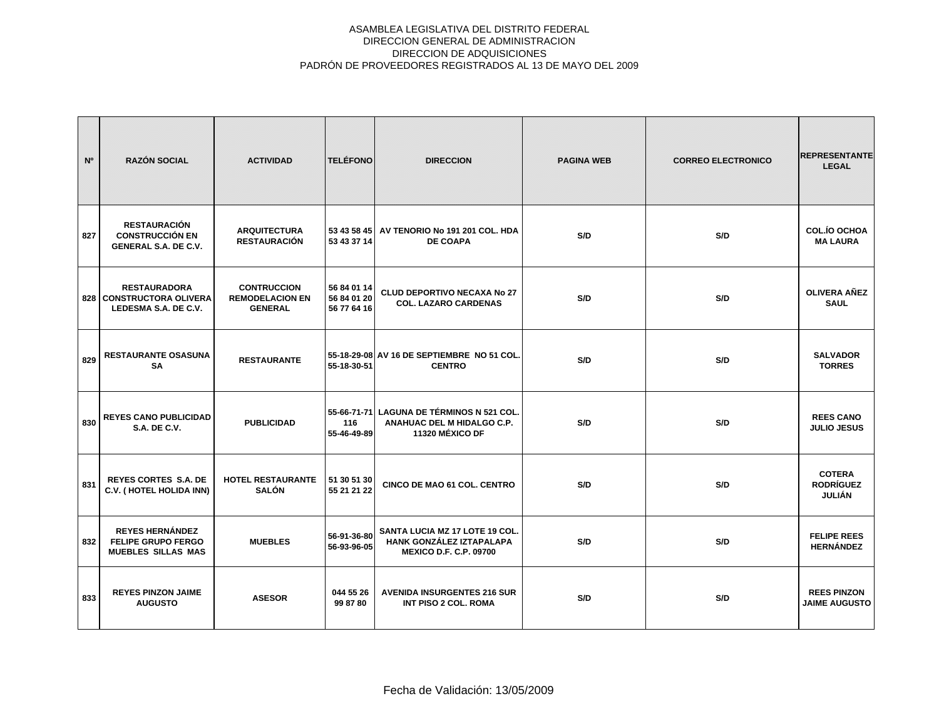| N <sup>o</sup> | <b>RAZÓN SOCIAL</b>                                                              | <b>ACTIVIDAD</b>                                               | <b>TELÉFONO</b>                           | <b>DIRECCION</b>                                                                            | <b>PAGINA WEB</b> | <b>CORREO ELECTRONICO</b> | <b>REPRESENTANTE</b><br><b>LEGAL</b>        |
|----------------|----------------------------------------------------------------------------------|----------------------------------------------------------------|-------------------------------------------|---------------------------------------------------------------------------------------------|-------------------|---------------------------|---------------------------------------------|
| 827            | <b>RESTAURACIÓN</b><br><b>CONSTRUCCIÓN EN</b><br><b>GENERAL S.A. DE C.V.</b>     | <b>ARQUITECTURA</b><br><b>RESTAURACIÓN</b>                     | 53 43 58 45<br>53 43 37 14                | AV TENORIO No 191 201 COL. HDA<br><b>DE COAPA</b>                                           | S/D               | S/D                       | <b>COL.IO OCHOA</b><br><b>MA LAURA</b>      |
|                | <b>RESTAURADORA</b><br>828 CONSTRUCTORA OLIVERA<br>LEDESMA S.A. DE C.V.          | <b>CONTRUCCION</b><br><b>REMODELACION EN</b><br><b>GENERAL</b> | 56 84 01 14<br>56 84 01 20<br>56 77 64 16 | <b>CLUD DEPORTIVO NECAXA No 27</b><br><b>COL. LAZARO CARDENAS</b>                           | S/D               | S/D                       | <b>OLIVERA AÑEZ</b><br><b>SAUL</b>          |
| 829            | <b>RESTAURANTE OSASUNA</b><br><b>SA</b>                                          | <b>RESTAURANTE</b>                                             | 55-18-30-51                               | 55-18-29-08 AV 16 DE SEPTIEMBRE NO 51 COL.<br><b>CENTRO</b>                                 | S/D               | S/D                       | <b>SALVADOR</b><br><b>TORRES</b>            |
| 830            | <b>REYES CANO PUBLICIDAD</b><br><b>S.A. DE C.V.</b>                              | <b>PUBLICIDAD</b>                                              | 116<br>55-46-49-89                        | 55-66-71-71 LAGUNA DE TÉRMINOS N 521 COL.<br>ANAHUAC DEL M HIDALGO C.P.<br>11320 MÉXICO DF  | S/D               | S/D                       | <b>REES CANO</b><br><b>JULIO JESUS</b>      |
| 831            | <b>REYES CORTES S.A. DE</b><br>C.V. (HOTEL HOLIDA INN)                           | <b>HOTEL RESTAURANTE</b><br><b>SALÓN</b>                       | 51 30 51 30<br>55 21 21 22                | CINCO DE MAO 61 COL. CENTRO                                                                 | S/D               | S/D                       | <b>COTERA</b><br><b>RODRÍGUEZ</b><br>JULIÁN |
| 832            | <b>REYES HERNÁNDEZ</b><br><b>FELIPE GRUPO FERGO</b><br><b>MUEBLES SILLAS MAS</b> | <b>MUEBLES</b>                                                 | 56-91-36-80<br>56-93-96-05                | SANTA LUCIA MZ 17 LOTE 19 COL.<br>HANK GONZÁLEZ IZTAPALAPA<br><b>MEXICO D.F. C.P. 09700</b> | S/D               | S/D                       | <b>FELIPE REES</b><br><b>HERNÁNDEZ</b>      |
| 833            | <b>REYES PINZON JAIME</b><br><b>AUGUSTO</b>                                      | <b>ASESOR</b>                                                  | 044 55 26<br>99 87 80                     | <b>AVENIDA INSURGENTES 216 SUR</b><br><b>INT PISO 2 COL. ROMA</b>                           | S/D               | S/D                       | <b>REES PINZON</b><br><b>JAIME AUGUSTO</b>  |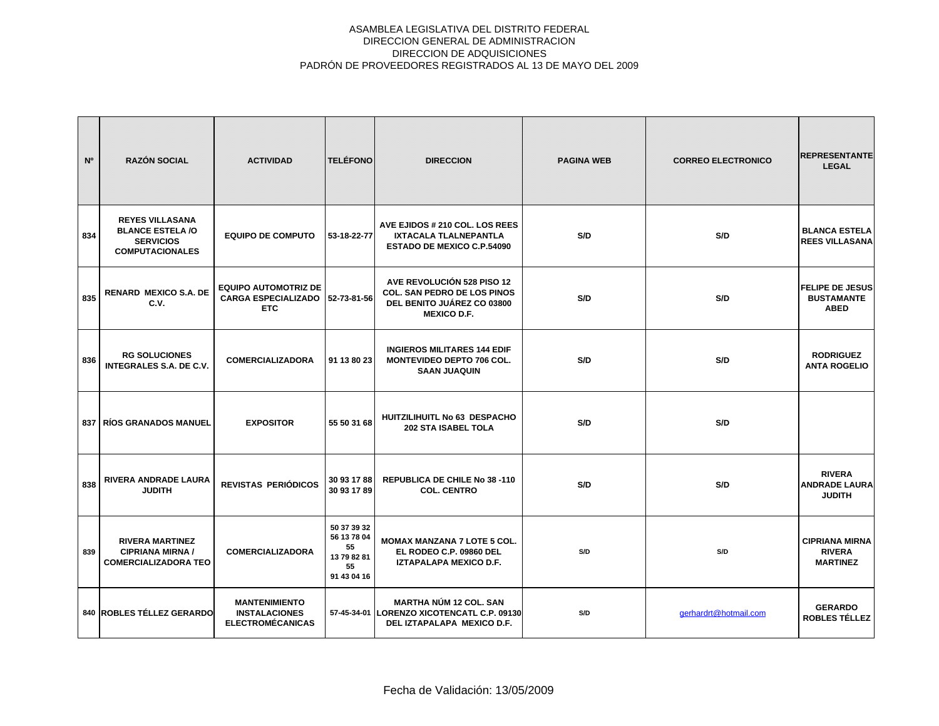| N°  | <b>RAZÓN SOCIAL</b>                                                                             | <b>ACTIVIDAD</b>                                                        | <b>TELÉFONO</b>                                                      | <b>DIRECCION</b>                                                                                                     | <b>PAGINA WEB</b> | <b>CORREO ELECTRONICO</b> | <b>REPRESENTANTE</b><br><b>LEGAL</b>                       |
|-----|-------------------------------------------------------------------------------------------------|-------------------------------------------------------------------------|----------------------------------------------------------------------|----------------------------------------------------------------------------------------------------------------------|-------------------|---------------------------|------------------------------------------------------------|
| 834 | <b>REYES VILLASANA</b><br><b>BLANCE ESTELA /O</b><br><b>SERVICIOS</b><br><b>COMPUTACIONALES</b> | <b>EQUIPO DE COMPUTO</b>                                                | 53-18-22-77                                                          | AVE EJIDOS # 210 COL. LOS REES<br>IXTACALA TLALNEPANTLA<br><b>ESTADO DE MEXICO C.P.54090</b>                         | S/D               | S/D                       | <b>BLANCA ESTELA</b><br><b>REES VILLASANA</b>              |
| 835 | <b>RENARD MEXICO S.A. DE</b><br>C.V.                                                            | <b>EQUIPO AUTOMOTRIZ DE</b><br><b>CARGA ESPECIALIZADO</b><br><b>ETC</b> | 52-73-81-56                                                          | AVE REVOLUCIÓN 528 PISO 12<br><b>COL. SAN PEDRO DE LOS PINOS</b><br>DEL BENITO JUÁREZ CO 03800<br><b>MEXICO D.F.</b> | S/D               | S/D                       | <b>FELIPE DE JESUS</b><br><b>BUSTAMANTE</b><br><b>ABED</b> |
| 836 | <b>RG SOLUCIONES</b><br><b>INTEGRALES S.A. DE C.V.</b>                                          | <b>COMERCIALIZADORA</b>                                                 | 91 13 80 23                                                          | <b>INGIEROS MILITARES 144 EDIF</b><br><b>MONTEVIDEO DEPTO 706 COL.</b><br><b>SAAN JUAQUIN</b>                        | S/D               | S/D                       | <b>RODRIGUEZ</b><br><b>ANTA ROGELIO</b>                    |
|     | <b>837   RÍOS GRANADOS MANUEL</b>                                                               | <b>EXPOSITOR</b>                                                        | 55 50 31 68                                                          | HUITZILIHUITL No 63 DESPACHO<br><b>202 STA ISABEL TOLA</b>                                                           | S/D               | S/D                       |                                                            |
| 838 | <b>RIVERA ANDRADE LAURA</b><br><b>JUDITH</b>                                                    | REVISTAS PERIÓDICOS                                                     | 30 93 17 88<br>30 93 17 89                                           | REPUBLICA DE CHILE No 38 -110<br><b>COL. CENTRO</b>                                                                  | S/D               | S/D                       | <b>RIVERA</b><br><b>ANDRADE LAURA</b><br><b>JUDITH</b>     |
| 839 | <b>RIVERA MARTINEZ</b><br><b>CIPRIANA MIRNA /</b><br><b>COMERCIALIZADORA TEO</b>                | <b>COMERCIALIZADORA</b>                                                 | 50 37 39 32<br>56 13 78 04<br>55<br>13 79 82 81<br>55<br>91 43 04 16 | <b>MOMAX MANZANA 7 LOTE 5 COL.</b><br>EL RODEO C.P. 09860 DEL<br><b>IZTAPALAPA MEXICO D.F.</b>                       | S/D               | S/D                       | <b>CIPRIANA MIRNA</b><br><b>RIVERA</b><br><b>MARTINEZ</b>  |
|     | 840 ROBLES TÉLLEZ GERARDO                                                                       | <b>MANTENIMIENTO</b><br><b>INSTALACIONES</b><br><b>ELECTROMÉCANICAS</b> |                                                                      | <b>MARTHA NÚM 12 COL. SAN</b><br>57-45-34-01 LORENZO XICOTENCATL C.P. 09130<br>DEL IZTAPALAPA MEXICO D.F.            | S/D               | gerhardrt@hotmail.com     | <b>GERARDO</b><br>ROBLES TÉLLEZ                            |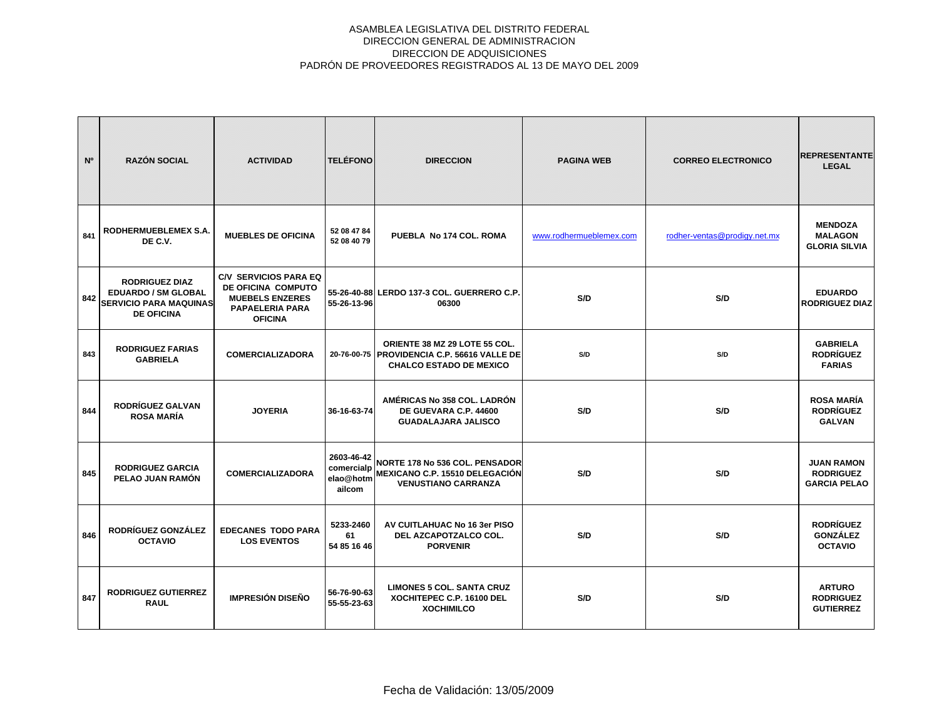| N <sup>o</sup> | <b>RAZÓN SOCIAL</b>                                                                                       | <b>ACTIVIDAD</b>                                                                                                         | <b>TELÉFONO</b>                                 | <b>DIRECCION</b>                                                                                               | <b>PAGINA WEB</b>       | <b>CORREO ELECTRONICO</b>    | <b>REPRESENTANTE</b><br><b>LEGAL</b>                         |
|----------------|-----------------------------------------------------------------------------------------------------------|--------------------------------------------------------------------------------------------------------------------------|-------------------------------------------------|----------------------------------------------------------------------------------------------------------------|-------------------------|------------------------------|--------------------------------------------------------------|
| 841            | RODHERMUEBLEMEX S.A.<br>DE C.V.                                                                           | <b>MUEBLES DE OFICINA</b>                                                                                                | 52 08 47 84<br>52 08 40 79                      | PUEBLA No 174 COL. ROMA                                                                                        | www.rodhermueblemex.com | rodher-ventas@prodigy.net.mx | <b>MENDOZA</b><br><b>MALAGON</b><br><b>GLORIA SILVIA</b>     |
| 842            | <b>RODRIGUEZ DIAZ</b><br><b>EDUARDO / SM GLOBAL</b><br><b>SERVICIO PARA MAQUINAS</b><br><b>DE OFICINA</b> | <b>C/V SERVICIOS PARA EQ</b><br>DE OFICINA COMPUTO<br><b>MUEBELS ENZERES</b><br><b>PAPAELERIA PARA</b><br><b>OFICINA</b> | 55-26-13-96                                     | 55-26-40-88 LERDO 137-3 COL. GUERRERO C.P.<br>06300                                                            | S/D                     | S/D                          | <b>EDUARDO</b><br><b>RODRIGUEZ DIAZ</b>                      |
| 843            | <b>RODRIGUEZ FARIAS</b><br><b>GABRIELA</b>                                                                | <b>COMERCIALIZADORA</b>                                                                                                  |                                                 | ORIENTE 38 MZ 29 LOTE 55 COL.<br>20-76-00-75 PROVIDENCIA C.P. 56616 VALLE DE<br><b>CHALCO ESTADO DE MEXICO</b> | S/D                     | S/D                          | <b>GABRIELA</b><br><b>RODRÍGUEZ</b><br><b>FARIAS</b>         |
| 844            | <b>RODRÍGUEZ GALVAN</b><br><b>ROSA MARÍA</b>                                                              | <b>JOYERIA</b>                                                                                                           | 36-16-63-74                                     | AMÉRICAS No 358 COL. LADRÓN<br>DE GUEVARA C.P. 44600<br><b>GUADALAJARA JALISCO</b>                             | S/D                     | S/D                          | <b>ROSA MARÍA</b><br><b>RODRÍGUEZ</b><br><b>GALVAN</b>       |
| 845            | <b>RODRIGUEZ GARCIA</b><br>PELAO JUAN RAMÓN                                                               | <b>COMERCIALIZADORA</b>                                                                                                  | 2603-46-42<br>comercialp<br>elao@hotm<br>ailcom | <b>NORTE 178 No 536 COL. PENSADOR</b><br><b>MEXICANO C.P. 15510 DELEGACIÓN</b><br><b>VENUSTIANO CARRANZA</b>   | S/D                     | S/D                          | <b>JUAN RAMON</b><br><b>RODRIGUEZ</b><br><b>GARCIA PELAO</b> |
| 846            | RODRÍGUEZ GONZÁLEZ<br><b>OCTAVIO</b>                                                                      | <b>EDECANES TODO PARA</b><br><b>LOS EVENTOS</b>                                                                          | 5233-2460<br>61<br>54 85 16 46                  | AV CUITLAHUAC No 16 3er PISO<br>DEL AZCAPOTZALCO COL.<br><b>PORVENIR</b>                                       | S/D                     | S/D                          | <b>RODRÍGUEZ</b><br><b>GONZÁLEZ</b><br><b>OCTAVIO</b>        |
| 847            | <b>RODRIGUEZ GUTIERREZ</b><br><b>RAUL</b>                                                                 | <b>IMPRESIÓN DISEÑO</b>                                                                                                  | 56-76-90-63<br>55-55-23-63                      | <b>LIMONES 5 COL. SANTA CRUZ</b><br>XOCHITEPEC C.P. 16100 DEL<br><b>XOCHIMILCO</b>                             | S/D                     | S/D                          | <b>ARTURO</b><br><b>RODRIGUEZ</b><br><b>GUTIERREZ</b>        |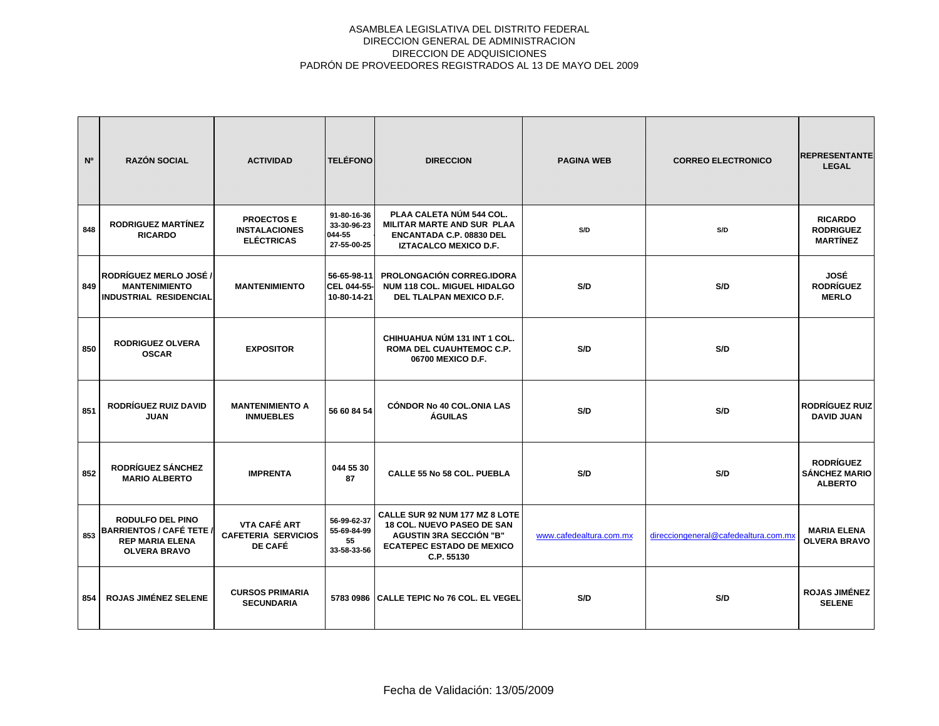| N <sup>o</sup> | <b>RAZÓN SOCIAL</b>                                                                                         | <b>ACTIVIDAD</b>                                              | <b>TELÉFONO</b>                                     | <b>DIRECCION</b>                                                                                                                                        | <b>PAGINA WEB</b>       | <b>CORREO ELECTRONICO</b>            | <b>REPRESENTANTE</b><br><b>LEGAL</b>                       |
|----------------|-------------------------------------------------------------------------------------------------------------|---------------------------------------------------------------|-----------------------------------------------------|---------------------------------------------------------------------------------------------------------------------------------------------------------|-------------------------|--------------------------------------|------------------------------------------------------------|
| 848            | <b>RODRIGUEZ MARTÍNEZ</b><br><b>RICARDO</b>                                                                 | <b>PROECTOSE</b><br><b>INSTALACIONES</b><br><b>ELÉCTRICAS</b> | 91-80-16-36<br>33-30-96-23<br>044-55<br>27-55-00-25 | PLAA CALETA NÚM 544 COL.<br><b>MILITAR MARTE AND SUR PLAA</b><br><b>ENCANTADA C.P. 08830 DEL</b><br><b>IZTACALCO MEXICO D.F.</b>                        | S/D                     | S/D                                  | <b>RICARDO</b><br><b>RODRIGUEZ</b><br><b>MARTÍNEZ</b>      |
| 849            | <b>RODRÍGUEZ MERLO JOSÉ /</b><br><b>MANTENIMIENTO</b><br>INDUSTRIAL RESIDENCIAL                             | <b>MANTENIMIENTO</b>                                          | 56-65-98-11<br>CEL 044-55-<br>10-80-14-21           | PROLONGACIÓN CORREG.IDORA<br><b>NUM 118 COL. MIGUEL HIDALGO</b><br>DEL TLALPAN MEXICO D.F.                                                              | S/D                     | S/D                                  | JOSÉ<br><b>RODRÍGUEZ</b><br><b>MERLO</b>                   |
| 850            | <b>RODRIGUEZ OLVERA</b><br><b>OSCAR</b>                                                                     | <b>EXPOSITOR</b>                                              |                                                     | CHIHUAHUA NÚM 131 INT 1 COL.<br>ROMA DEL CUAUHTEMOC C.P.<br>06700 MEXICO D.F.                                                                           | S/D                     | S/D                                  |                                                            |
| 851            | RODRÍGUEZ RUIZ DAVID<br><b>JUAN</b>                                                                         | <b>MANTENIMIENTO A</b><br><b>INMUEBLES</b>                    | 56 60 84 54                                         | <b>CÓNDOR No 40 COL.ONIA LAS</b><br><b>ÁGUILAS</b>                                                                                                      | S/D                     | S/D                                  | <b>RODRÍGUEZ RUIZ</b><br><b>DAVID JUAN</b>                 |
| 852            | RODRÍGUEZ SÁNCHEZ<br><b>MARIO ALBERTO</b>                                                                   | <b>IMPRENTA</b>                                               | 044 55 30<br>87                                     | <b>CALLE 55 No 58 COL. PUEBLA</b>                                                                                                                       | S/D                     | S/D                                  | <b>RODRÍGUEZ</b><br><b>SÁNCHEZ MARIO</b><br><b>ALBERTO</b> |
| 853            | <b>RODULFO DEL PINO</b><br><b>BARRIENTOS / CAFÉ TETE /</b><br><b>REP MARIA ELENA</b><br><b>OLVERA BRAVO</b> | VTA CAFÉ ART<br><b>CAFETERIA SERVICIOS</b><br>DE CAFÉ         | 56-99-62-37<br>55-69-84-99<br>55<br>33-58-33-56     | CALLE SUR 92 NUM 177 MZ 8 LOTE<br><b>18 COL. NUEVO PASEO DE SAN</b><br><b>AGUSTIN 3RA SECCIÓN "B"</b><br><b>ECATEPEC ESTADO DE MEXICO</b><br>C.P. 55130 | www.cafedealtura.com.mx | direcciongeneral@cafedealtura.com.mx | <b>MARIA ELENA</b><br><b>OLVERA BRAVO</b>                  |
| 854            | <b>ROJAS JIMÉNEZ SELENE</b>                                                                                 | <b>CURSOS PRIMARIA</b><br><b>SECUNDARIA</b>                   |                                                     | 5783 0986 CALLE TEPIC No 76 COL. EL VEGEL                                                                                                               | S/D                     | S/D                                  | <b>ROJAS JIMÉNEZ</b><br><b>SELENE</b>                      |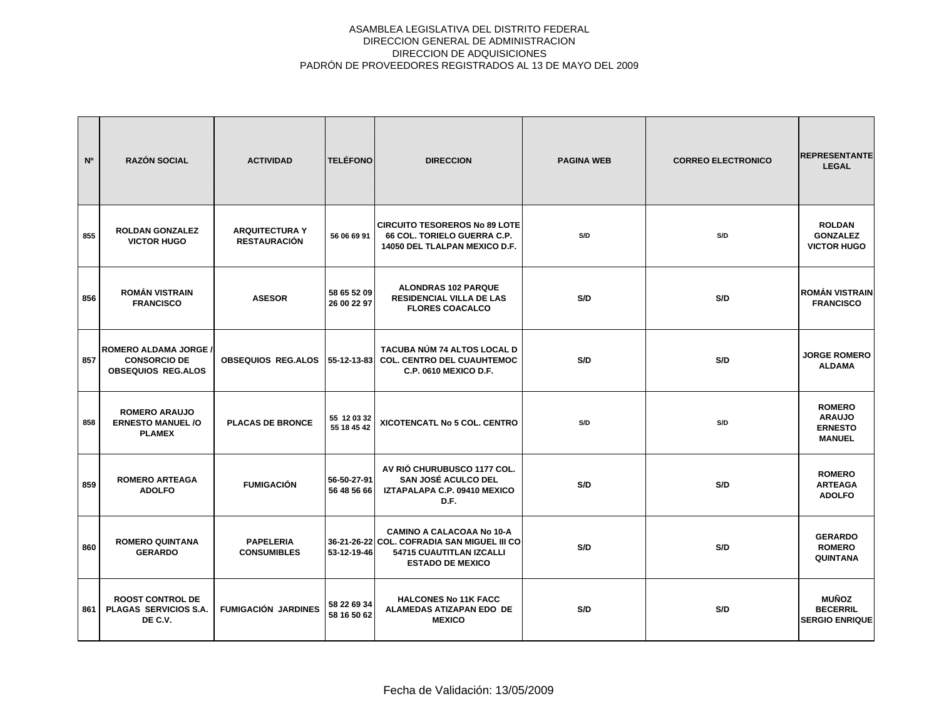| N <sup>o</sup> | <b>RAZÓN SOCIAL</b>                                                              | <b>ACTIVIDAD</b>                             | <b>TELÉFONO</b>            | <b>DIRECCION</b>                                                                                                                       | <b>PAGINA WEB</b> | <b>CORREO ELECTRONICO</b> | <b>REPRESENTANTE</b><br><b>LEGAL</b>                              |
|----------------|----------------------------------------------------------------------------------|----------------------------------------------|----------------------------|----------------------------------------------------------------------------------------------------------------------------------------|-------------------|---------------------------|-------------------------------------------------------------------|
| 855            | <b>ROLDAN GONZALEZ</b><br><b>VICTOR HUGO</b>                                     | <b>ARQUITECTURA Y</b><br><b>RESTAURACIÓN</b> | 56 06 69 91                | <b>CIRCUITO TESOREROS No 89 LOTE</b><br>66 COL. TORIELO GUERRA C.P.<br><b>14050 DEL TLALPAN MEXICO D.F.</b>                            | S/D               | S/D                       | <b>ROLDAN</b><br><b>GONZALEZ</b><br><b>VICTOR HUGO</b>            |
| 856            | <b>ROMÁN VISTRAIN</b><br><b>FRANCISCO</b>                                        | <b>ASESOR</b>                                | 58 65 52 09<br>26 00 22 97 | <b>ALONDRAS 102 PARQUE</b><br><b>RESIDENCIAL VILLA DE LAS</b><br><b>FLORES COACALCO</b>                                                | S/D               | S/D                       | <b>ROMÁN VISTRAIN</b><br><b>FRANCISCO</b>                         |
| 857            | <b>ROMERO ALDAMA JORGE /</b><br><b>CONSORCIO DE</b><br><b>OBSEQUIOS REG.ALOS</b> | <b>OBSEQUIOS REG.ALOS</b>                    | 55-12-13-83                | <b>TACUBA NÚM 74 ALTOS LOCAL D</b><br><b>COL. CENTRO DEL CUAUHTEMOC</b><br><b>C.P. 0610 MEXICO D.F.</b>                                | S/D               | S/D                       | <b>JORGE ROMERO</b><br><b>ALDAMA</b>                              |
| 858            | <b>ROMERO ARAUJO</b><br><b>ERNESTO MANUEL/O</b><br><b>PLAMEX</b>                 | <b>PLACAS DE BRONCE</b>                      | 55 12 03 32<br>55 18 45 42 | XICOTENCATL No 5 COL. CENTRO                                                                                                           | S/D               | S/D                       | <b>ROMERO</b><br><b>ARAUJO</b><br><b>ERNESTO</b><br><b>MANUEL</b> |
| 859            | <b>ROMERO ARTEAGA</b><br><b>ADOLFO</b>                                           | <b>FUMIGACIÓN</b>                            | 56-50-27-91<br>56 48 56 66 | AV RIÓ CHURUBUSCO 1177 COL.<br>SAN JOSÉ ACULCO DEL<br>IZTAPALAPA C.P. 09410 MEXICO<br>D.F.                                             | S/D               | S/D                       | <b>ROMERO</b><br><b>ARTEAGA</b><br><b>ADOLFO</b>                  |
| 860            | <b>ROMERO QUINTANA</b><br><b>GERARDO</b>                                         | <b>PAPELERIA</b><br><b>CONSUMIBLES</b>       | 53-12-19-46                | <b>CAMINO A CALACOAA No 10-A</b><br>36-21-26-22 COL. COFRADIA SAN MIGUEL III CO<br>54715 CUAUTITLAN IZCALLI<br><b>ESTADO DE MEXICO</b> | S/D               | S/D                       | <b>GERARDO</b><br><b>ROMERO</b><br><b>QUINTANA</b>                |
| 861            | <b>ROOST CONTROL DE</b><br><b>PLAGAS SERVICIOS S.A.</b><br>DE C.V.               | <b>FUMIGACIÓN JARDINES</b>                   | 58 22 69 34<br>58 16 50 62 | <b>HALCONES No 11K FACC</b><br>ALAMEDAS ATIZAPAN EDO DE<br><b>MEXICO</b>                                                               | S/D               | S/D                       | <b>MUÑOZ</b><br><b>BECERRIL</b><br><b>SERGIO ENRIQUE</b>          |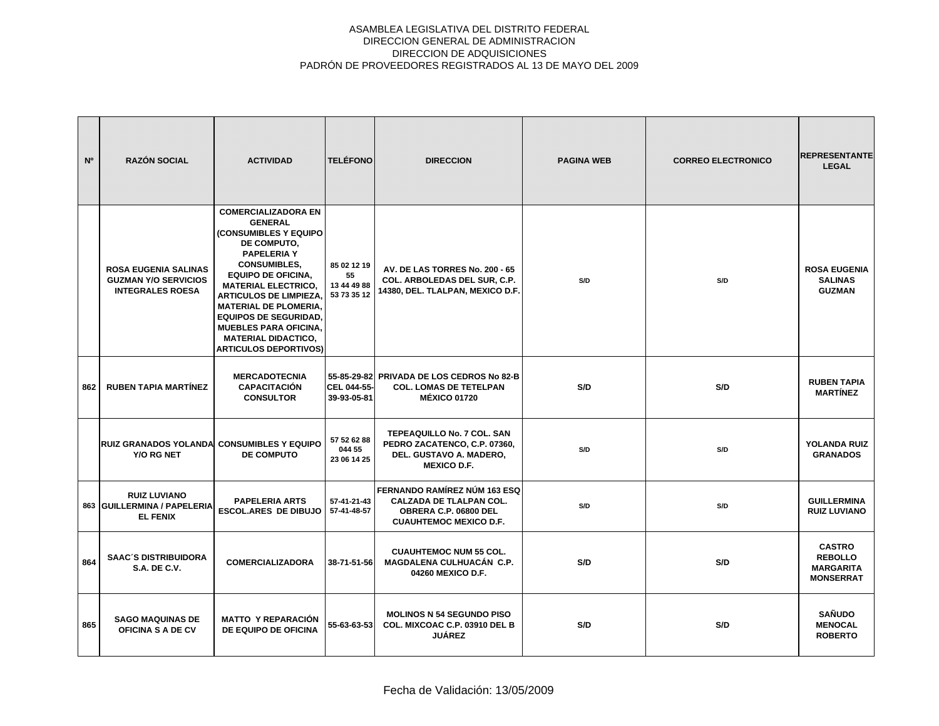| N <sup>o</sup> | <b>RAZÓN SOCIAL</b>                                                                   | <b>ACTIVIDAD</b>                                                                                                                                                                                                                                                                                                                                                                            | <b>TELÉFONO</b>                                 | <b>DIRECCION</b>                                                                                                         | <b>PAGINA WEB</b> | <b>CORREO ELECTRONICO</b> | <b>REPRESENTANTE</b><br><b>LEGAL</b>                                    |
|----------------|---------------------------------------------------------------------------------------|---------------------------------------------------------------------------------------------------------------------------------------------------------------------------------------------------------------------------------------------------------------------------------------------------------------------------------------------------------------------------------------------|-------------------------------------------------|--------------------------------------------------------------------------------------------------------------------------|-------------------|---------------------------|-------------------------------------------------------------------------|
|                | <b>ROSA EUGENIA SALINAS</b><br><b>GUZMAN Y/O SERVICIOS</b><br><b>INTEGRALES ROESA</b> | <b>COMERCIALIZADORA EN</b><br><b>GENERAL</b><br>(CONSUMIBLES Y EQUIPO<br>DE COMPUTO.<br><b>PAPELERIA Y</b><br><b>CONSUMIBLES,</b><br><b>EQUIPO DE OFICINA,</b><br><b>MATERIAL ELECTRICO,</b><br><b>ARTICULOS DE LIMPIEZA.</b><br><b>MATERIAL DE PLOMERIA.</b><br><b>EQUIPOS DE SEGURIDAD.</b><br><b>MUEBLES PARA OFICINA,</b><br><b>MATERIAL DIDACTICO,</b><br><b>ARTICULOS DEPORTIVOS)</b> | 85 02 12 19<br>55<br>13 44 49 88<br>53 73 35 12 | AV. DE LAS TORRES No. 200 - 65<br>COL. ARBOLEDAS DEL SUR, C.P.<br>14380, DEL. TLALPAN, MEXICO D.F.                       | S/D               | S/D                       | <b>ROSA EUGENIA</b><br><b>SALINAS</b><br><b>GUZMAN</b>                  |
| 862            | <b>RUBEN TAPIA MARTÍNEZ</b>                                                           | <b>MERCADOTECNIA</b><br><b>CAPACITACIÓN</b><br><b>CONSULTOR</b>                                                                                                                                                                                                                                                                                                                             | CEL 044-55-<br>39-93-05-81                      | 55-85-29-82 PRIVADA DE LOS CEDROS No 82-B<br><b>COL. LOMAS DE TETELPAN</b><br><b>MÉXICO 01720</b>                        | S/D               | S/D                       | <b>RUBEN TAPIA</b><br><b>MARTÍNEZ</b>                                   |
|                | <b>RUIZ GRANADOS YOLANDAI CONSUMIBLES Y EQUIPO</b><br>Y/O RG NET                      | <b>DE COMPUTO</b>                                                                                                                                                                                                                                                                                                                                                                           | 57 52 62 88<br>044 55<br>23 06 14 25            | TEPEAQUILLO No. 7 COL. SAN<br>PEDRO ZACATENCO, C.P. 07360,<br>DEL. GUSTAVO A. MADERO,<br><b>MEXICO D.F.</b>              | S/D               | S/D                       | <b>YOLANDA RUIZ</b><br><b>GRANADOS</b>                                  |
|                | <b>RUIZ LUVIANO</b><br>863 GUILLERMINA / PAPELERIA<br><b>EL FENIX</b>                 | <b>PAPELERIA ARTS</b><br><b>ESCOL.ARES DE DIBUJO</b>                                                                                                                                                                                                                                                                                                                                        | 57-41-21-43<br>57-41-48-57                      | FERNANDO RAMÍREZ NÚM 163 ESQ<br><b>CALZADA DE TLALPAN COL.</b><br>OBRERA C.P. 06800 DEL<br><b>CUAUHTEMOC MEXICO D.F.</b> | S/D               | S/D                       | <b>GUILLERMINA</b><br><b>RUIZ LUVIANO</b>                               |
| 864            | <b>SAAC'S DISTRIBUIDORA</b><br><b>S.A. DE C.V.</b>                                    | <b>COMERCIALIZADORA</b>                                                                                                                                                                                                                                                                                                                                                                     | 38-71-51-56                                     | <b>CUAUHTEMOC NUM 55 COL.</b><br>MAGDALENA CULHUACÁN C.P.<br>04260 MEXICO D.F.                                           | S/D               | S/D                       | <b>CASTRO</b><br><b>REBOLLO</b><br><b>MARGARITA</b><br><b>MONSERRAT</b> |
| 865            | <b>SAGO MAQUINAS DE</b><br><b>OFICINA S A DE CV</b>                                   | <b>MATTO Y REPARACIÓN</b><br>DE EQUIPO DE OFICINA                                                                                                                                                                                                                                                                                                                                           | 55-63-63-53                                     | <b>MOLINOS N 54 SEGUNDO PISO</b><br>COL. MIXCOAC C.P. 03910 DEL B<br><b>JUÁREZ</b>                                       | S/D               | S/D                       | <b>SAÑUDO</b><br><b>MENOCAL</b><br><b>ROBERTO</b>                       |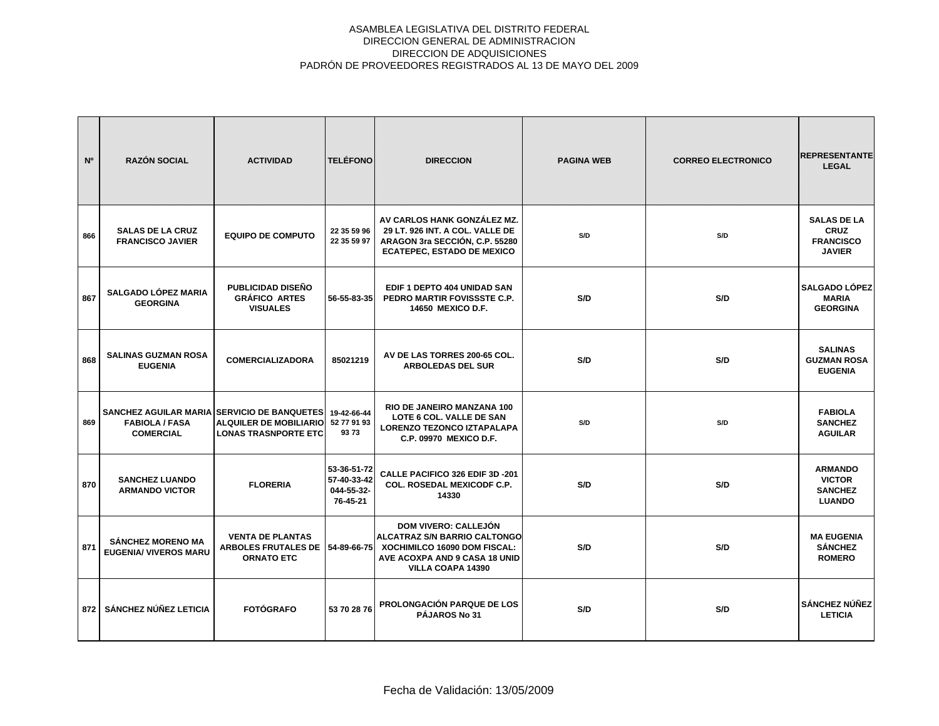| N <sup>o</sup> | <b>RAZÓN SOCIAL</b>                                      | <b>ACTIVIDAD</b>                                                                                                     | <b>TELÉFONO</b>                                      | <b>DIRECCION</b>                                                                                                                                         | <b>PAGINA WEB</b> | <b>CORREO ELECTRONICO</b> | <b>REPRESENTANTE</b><br><b>LEGAL</b>                                   |
|----------------|----------------------------------------------------------|----------------------------------------------------------------------------------------------------------------------|------------------------------------------------------|----------------------------------------------------------------------------------------------------------------------------------------------------------|-------------------|---------------------------|------------------------------------------------------------------------|
| 866            | <b>SALAS DE LA CRUZ</b><br><b>FRANCISCO JAVIER</b>       | <b>EQUIPO DE COMPUTO</b>                                                                                             | 22 35 59 96<br>22 35 59 97                           | AV CARLOS HANK GONZÁLEZ MZ.<br>29 LT. 926 INT. A COL. VALLE DE<br>ARAGON 3ra SECCIÓN, C.P. 55280<br><b>ECATEPEC, ESTADO DE MEXICO</b>                    | S/D               | S/D                       | <b>SALAS DE LA</b><br><b>CRUZ</b><br><b>FRANCISCO</b><br><b>JAVIER</b> |
| 867            | <b>SALGADO LÓPEZ MARIA</b><br><b>GEORGINA</b>            | PUBLICIDAD DISEÑO<br><b>GRÁFICO ARTES</b><br><b>VISUALES</b>                                                         | 56-55-83-35                                          | EDIF 1 DEPTO 404 UNIDAD SAN<br>PEDRO MARTIR FOVISSSTE C.P.<br>14650 MEXICO D.F.                                                                          | S/D               | S/D                       | <b>SALGADO LÓPEZ</b><br><b>MARIA</b><br><b>GEORGINA</b>                |
| 868            | <b>SALINAS GUZMAN ROSA</b><br><b>EUGENIA</b>             | <b>COMERCIALIZADORA</b>                                                                                              | 85021219                                             | AV DE LAS TORRES 200-65 COL.<br><b>ARBOLEDAS DEL SUR</b>                                                                                                 | S/D               | S/D                       | <b>SALINAS</b><br><b>GUZMAN ROSA</b><br><b>EUGENIA</b>                 |
| 869            | <b>FABIOLA / FASA</b><br><b>COMERCIAL</b>                | <b>SANCHEZ AGUILAR MARIA SERVICIO DE BANQUETES I</b><br><b>ALQUILER DE MOBILIARIO</b><br><b>LONAS TRASNPORTE ETC</b> | 19-42-66-44<br>52 77 91 93<br>9373                   | <b>RIO DE JANEIRO MANZANA 100</b><br>LOTE 6 COL. VALLE DE SAN<br>LORENZO TEZONCO IZTAPALAPA<br>C.P. 09970 MEXICO D.F.                                    | S/D               | S/D                       | <b>FABIOLA</b><br><b>SANCHEZ</b><br><b>AGUILAR</b>                     |
| 870            | <b>SANCHEZ LUANDO</b><br><b>ARMANDO VICTOR</b>           | <b>FLORERIA</b>                                                                                                      | 53-36-51-72<br>57-40-33-42<br>044-55-32-<br>76-45-21 | CALLE PACIFICO 326 EDIF 3D -201<br><b>COL. ROSEDAL MEXICODF C.P.</b><br>14330                                                                            | S/D               | S/D                       | <b>ARMANDO</b><br><b>VICTOR</b><br><b>SANCHEZ</b><br><b>LUANDO</b>     |
| 871            | <b>SÁNCHEZ MORENO MA</b><br><b>EUGENIA/ VIVEROS MARU</b> | <b>VENTA DE PLANTAS</b><br><b>ARBOLES FRUTALES DE</b><br><b>ORNATO ETC</b>                                           | 54-89-66-75                                          | <b>DOM VIVERO: CALLEJÓN</b><br><b>ALCATRAZ S/N BARRIO CALTONGO</b><br>XOCHIMILCO 16090 DOM FISCAL:<br>AVE ACOXPA AND 9 CASA 18 UNID<br>VILLA COAPA 14390 | S/D               | S/D                       | <b>MA EUGENIA</b><br><b>SÁNCHEZ</b><br><b>ROMERO</b>                   |
| 872            | SÁNCHEZ NÚÑEZ LETICIA                                    | <b>FOTÓGRAFO</b>                                                                                                     | 53 70 28 76                                          | <b>PROLONGACIÓN PARQUE DE LOS</b><br><b>PÁJAROS No 31</b>                                                                                                | S/D               | S/D                       | <b>SÁNCHEZ NÚÑEZ</b><br><b>LETICIA</b>                                 |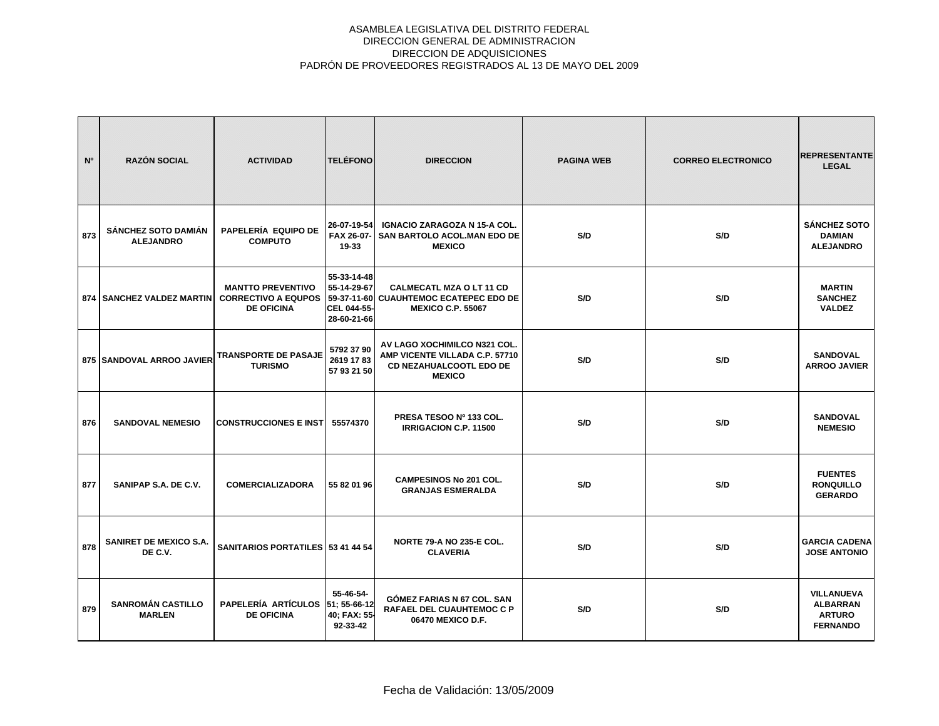| N <sup>o</sup> | <b>RAZÓN SOCIAL</b>                            | <b>ACTIVIDAD</b>                                                            | <b>TELÉFONO</b>                                                         | <b>DIRECCION</b>                                                                                                  | <b>PAGINA WEB</b> | <b>CORREO ELECTRONICO</b> | <b>REPRESENTANTE</b><br><b>LEGAL</b>                                     |
|----------------|------------------------------------------------|-----------------------------------------------------------------------------|-------------------------------------------------------------------------|-------------------------------------------------------------------------------------------------------------------|-------------------|---------------------------|--------------------------------------------------------------------------|
| 873            | <b>SÁNCHEZ SOTO DAMIÁN</b><br><b>ALEJANDRO</b> | PAPELERÍA EQUIPO DE<br><b>COMPUTO</b>                                       | 26-07-19-54<br>FAX 26-07-<br>19-33                                      | <b>IGNACIO ZARAGOZA N 15-A COL.</b><br>SAN BARTOLO ACOL.MAN EDO DE<br><b>MEXICO</b>                               | S/D               | S/D                       | <b>SÁNCHEZ SOTO</b><br><b>DAMIAN</b><br><b>ALEJANDRO</b>                 |
|                | 874   SANCHEZ VALDEZ MARTIN                    | <b>MANTTO PREVENTIVO</b><br><b>CORRECTIVO A EQUPOS</b><br><b>DE OFICINA</b> | 55-33-14-48<br>55-14-29-67<br>59-37-11-60<br>CEL 044-55-<br>28-60-21-66 | <b>CALMECATL MZA O LT 11 CD</b><br><b>CUAUHTEMOC ECATEPEC EDO DE</b><br><b>MEXICO C.P. 55067</b>                  | S/D               | S/D                       | <b>MARTIN</b><br><b>SANCHEZ</b><br><b>VALDEZ</b>                         |
|                | 875   SANDOVAL ARROO JAVIER                    | <b>TRANSPORTE DE PASAJE</b><br><b>TURISMO</b>                               | 5792 37 90<br>2619 17 83<br>57 93 21 50                                 | AV LAGO XOCHIMILCO N321 COL.<br>AMP VICENTE VILLADA C.P. 57710<br><b>CD NEZAHUALCOOTL EDO DE</b><br><b>MEXICO</b> | S/D               | S/D                       | <b>SANDOVAL</b><br><b>ARROO JAVIER</b>                                   |
| 876            | <b>SANDOVAL NEMESIO</b>                        | <b>CONSTRUCCIONES E INST</b>                                                | 55574370                                                                | PRESA TESOO Nº 133 COL.<br><b>IRRIGACION C.P. 11500</b>                                                           | S/D               | S/D                       | <b>SANDOVAL</b><br><b>NEMESIO</b>                                        |
| 877            | SANIPAP S.A. DE C.V.                           | <b>COMERCIALIZADORA</b>                                                     | 55 82 01 96                                                             | <b>CAMPESINOS No 201 COL.</b><br><b>GRANJAS ESMERALDA</b>                                                         | S/D               | S/D                       | <b>FUENTES</b><br><b>RONQUILLO</b><br><b>GERARDO</b>                     |
| 878            | <b>SANIRET DE MEXICO S.A.</b><br>DE C.V.       | SANITARIOS PORTATILES 53 41 44 54                                           |                                                                         | <b>NORTE 79-A NO 235-E COL.</b><br><b>CLAVERIA</b>                                                                | S/D               | S/D                       | <b>GARCIA CADENA</b><br><b>JOSE ANTONIO</b>                              |
| 879            | <b>SANROMÁN CASTILLO</b><br><b>MARLEN</b>      | <b>PAPELERÍA ARTÍCULOS</b><br><b>DE OFICINA</b>                             | 55-46-54-<br>51: 55-66-12<br>40; FAX: 55-<br>92-33-42                   | GÓMEZ FARIAS N 67 COL. SAN<br>RAFAEL DEL CUAUHTEMOC C P<br>06470 MEXICO D.F.                                      | S/D               | S/D                       | <b>VILLANUEVA</b><br><b>ALBARRAN</b><br><b>ARTURO</b><br><b>FERNANDO</b> |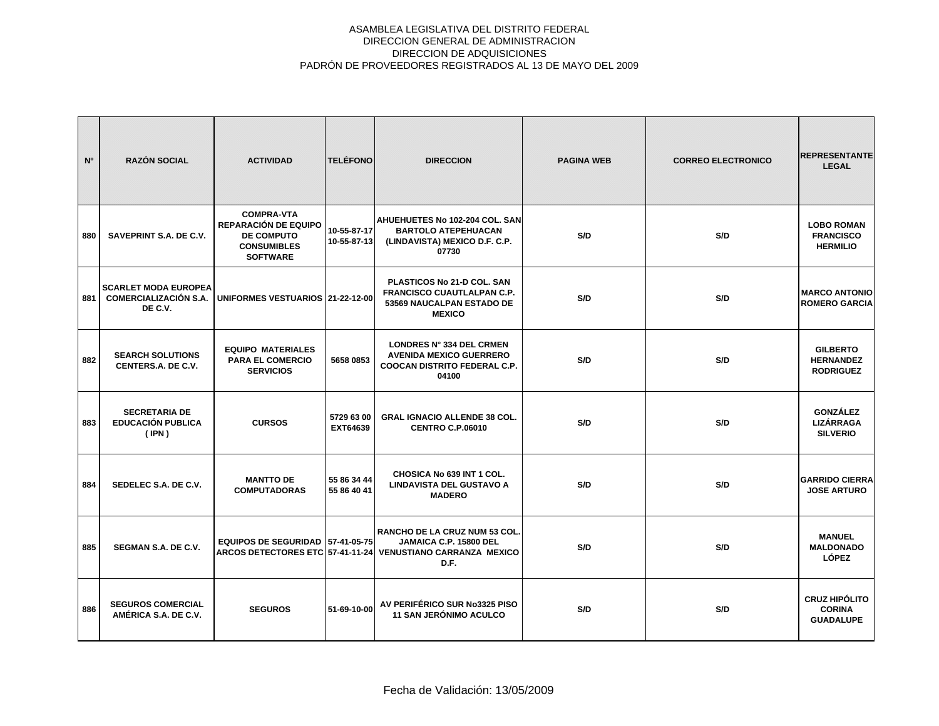| N <sup>o</sup> | <b>RAZÓN SOCIAL</b>                                                    | <b>ACTIVIDAD</b>                                                                                               | <b>TELÉFONO</b>            | <b>DIRECCION</b>                                                                                                               | <b>PAGINA WEB</b> | <b>CORREO ELECTRONICO</b> | <b>REPRESENTANTE</b><br><b>LEGAL</b>                      |
|----------------|------------------------------------------------------------------------|----------------------------------------------------------------------------------------------------------------|----------------------------|--------------------------------------------------------------------------------------------------------------------------------|-------------------|---------------------------|-----------------------------------------------------------|
| 880            | SAVEPRINT S.A. DE C.V.                                                 | <b>COMPRA-VTA</b><br><b>REPARACIÓN DE EQUIPO</b><br><b>DE COMPUTO</b><br><b>CONSUMIBLES</b><br><b>SOFTWARE</b> | 10-55-87-17<br>10-55-87-13 | AHUEHUETES No 102-204 COL. SAN<br><b>BARTOLO ATEPEHUACAN</b><br>(LINDAVISTA) MEXICO D.F. C.P.<br>07730                         | S/D               | S/D                       | <b>LOBO ROMAN</b><br><b>FRANCISCO</b><br><b>HERMILIO</b>  |
| 881            | <b>SCARLET MODA EUROPEA</b><br><b>COMERCIALIZACIÓN S.A.</b><br>DE C.V. | UNIFORMES VESTUARIOS 21-22-12-00                                                                               |                            | PLASTICOS No 21-D COL. SAN<br><b>FRANCISCO CUAUTLALPAN C.P.</b><br>53569 NAUCALPAN ESTADO DE<br><b>MEXICO</b>                  | S/D               | S/D                       | <b>MARCO ANTONIO</b><br><b>ROMERO GARCIA</b>              |
| 882            | <b>SEARCH SOLUTIONS</b><br>CENTERS.A. DE C.V.                          | <b>EQUIPO MATERIALES</b><br><b>PARA EL COMERCIO</b><br><b>SERVICIOS</b>                                        | 5658 0853                  | LONDRES N° 334 DEL CRMEN<br><b>AVENIDA MEXICO GUERRERO</b><br><b>COOCAN DISTRITO FEDERAL C.P.</b><br>04100                     | S/D               | S/D                       | <b>GILBERTO</b><br><b>HERNANDEZ</b><br><b>RODRIGUEZ</b>   |
| 883            | <b>SECRETARIA DE</b><br><b>EDUCACIÓN PUBLICA</b><br>(IPN)              | <b>CURSOS</b>                                                                                                  | 5729 63 00<br>EXT64639     | <b>GRAL IGNACIO ALLENDE 38 COL.</b><br><b>CENTRO C.P.06010</b>                                                                 | S/D               | S/D                       | <b>GONZÁLEZ</b><br><b>LIZÁRRAGA</b><br><b>SILVERIO</b>    |
| 884            | SEDELEC S.A. DE C.V.                                                   | <b>MANTTO DE</b><br><b>COMPUTADORAS</b>                                                                        | 55 86 34 44<br>55 86 40 41 | CHOSICA No 639 INT 1 COL.<br><b>LINDAVISTA DEL GUSTAVO A</b><br><b>MADERO</b>                                                  | S/D               | S/D                       | <b>GARRIDO CIERRA</b><br><b>JOSE ARTURO</b>               |
| 885            | SEGMAN S.A. DE C.V.                                                    | EQUIPOS DE SEGURIDAD 57-41-05-75                                                                               |                            | RANCHO DE LA CRUZ NUM 53 COL.<br>JAMAICA C.P. 15800 DEL<br>ARCOS DETECTORES ETC 57-41-11-24 VENUSTIANO CARRANZA MEXICO<br>D.F. | S/D               | S/D                       | <b>MANUEL</b><br><b>MALDONADO</b><br><b>LÓPEZ</b>         |
| 886            | <b>SEGUROS COMERCIAL</b><br>AMÉRICA S.A. DE C.V.                       | <b>SEGUROS</b>                                                                                                 | 51-69-10-00                | AV PERIFÉRICO SUR No3325 PISO<br><b>11 SAN JERÓNIMO ACULCO</b>                                                                 | S/D               | S/D                       | <b>CRUZ HIPÓLITO</b><br><b>CORINA</b><br><b>GUADALUPE</b> |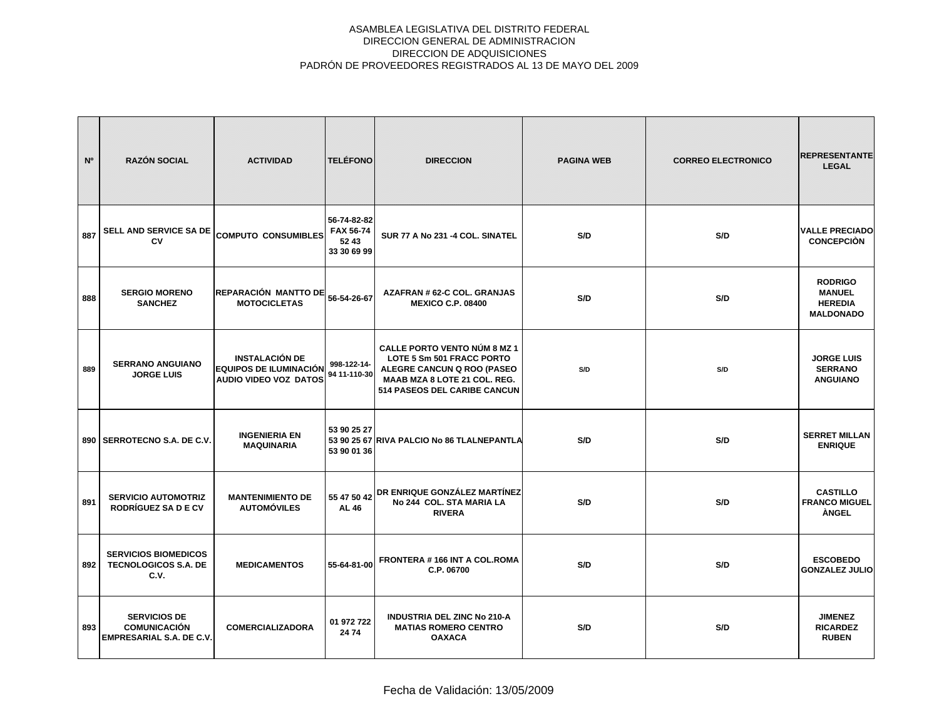| N°  | <b>RAZÓN SOCIAL</b>                                                           | <b>ACTIVIDAD</b>                                                                | <b>TELÉFONO</b>                                 | <b>DIRECCION</b>                                                                                                                                               | <b>PAGINA WEB</b> | <b>CORREO ELECTRONICO</b> | <b>REPRESENTANTE</b><br><b>LEGAL</b>                                  |
|-----|-------------------------------------------------------------------------------|---------------------------------------------------------------------------------|-------------------------------------------------|----------------------------------------------------------------------------------------------------------------------------------------------------------------|-------------------|---------------------------|-----------------------------------------------------------------------|
| 887 | SELL AND SERVICE SA DE<br>CV                                                  | <b>COMPUTO CONSUMIBLES</b>                                                      | 56-74-82-82<br>FAX 56-74<br>5243<br>33 30 69 99 | SUR 77 A No 231 -4 COL. SINATEL                                                                                                                                | S/D               | S/D                       | <b>VALLE PRECIADO</b><br><b>CONCEPCIÓN</b>                            |
| 888 | <b>SERGIO MORENO</b><br><b>SANCHEZ</b>                                        | REPARACIÓN MANTTO DE<br><b>MOTOCICLETAS</b>                                     | 56-54-26-67                                     | AZAFRAN # 62-C COL. GRANJAS<br><b>MEXICO C.P. 08400</b>                                                                                                        | S/D               | S/D                       | <b>RODRIGO</b><br><b>MANUEL</b><br><b>HEREDIA</b><br><b>MALDONADO</b> |
| 889 | <b>SERRANO ANGUIANO</b><br><b>JORGE LUIS</b>                                  | <b>INSTALACIÓN DE</b><br><b>EQUIPOS DE ILUMINACIÓN</b><br>AUDIO VIDEO VOZ DATOS | 998-122-14-<br>94 11-110-30                     | <b>CALLE PORTO VENTO NÚM 8 MZ 1</b><br>LOTE 5 Sm 501 FRACC PORTO<br>ALEGRE CANCUN Q ROO (PASEO<br>MAAB MZA 8 LOTE 21 COL. REG.<br>514 PASEOS DEL CARIBE CANCUN | S/D               | S/D                       | <b>JORGE LUIS</b><br><b>SERRANO</b><br><b>ANGUIANO</b>                |
|     | 890   SERROTECNO S.A. DE C.V.                                                 | <b>INGENIERIA EN</b><br><b>MAQUINARIA</b>                                       | 53 90 25 27<br>53 90 01 36                      | 53 90 25 67 RIVA PALCIO No 86 TLALNEPANTLA                                                                                                                     | S/D               | S/D                       | <b>SERRET MILLAN</b><br><b>ENRIQUE</b>                                |
| 891 | <b>SERVICIO AUTOMOTRIZ</b><br>RODRÍGUEZ SA D E CV                             | <b>MANTENIMIENTO DE</b><br><b>AUTOMÓVILES</b>                                   | <b>AL 46</b>                                    | 55 47 50 42 DR ENRIQUE GONZÁLEZ MARTÍNEZ<br>No 244 COL. STA MARIA LA<br><b>RIVERA</b>                                                                          | S/D               | S/D                       | <b>CASTILLO</b><br><b>FRANCO MIGUEL</b><br>ÀNGEL                      |
| 892 | <b>SERVICIOS BIOMEDICOS</b><br><b>TECNOLOGICOS S.A. DE</b><br>C.V.            | <b>MEDICAMENTOS</b>                                                             | 55-64-81-00                                     | FRONTERA #166 INT A COL.ROMA<br>C.P. 06700                                                                                                                     | S/D               | S/D                       | <b>ESCOBEDO</b><br><b>GONZALEZ JULIO</b>                              |
| 893 | <b>SERVICIOS DE</b><br><b>COMUNICACIÓN</b><br><b>EMPRESARIAL S.A. DE C.V.</b> | <b>COMERCIALIZADORA</b>                                                         | 01 972 722<br>24 74                             | <b>INDUSTRIA DEL ZINC No 210-A</b><br><b>MATIAS ROMERO CENTRO</b><br><b>OAXACA</b>                                                                             | S/D               | S/D                       | <b>JIMENEZ</b><br><b>RICARDEZ</b><br><b>RUBEN</b>                     |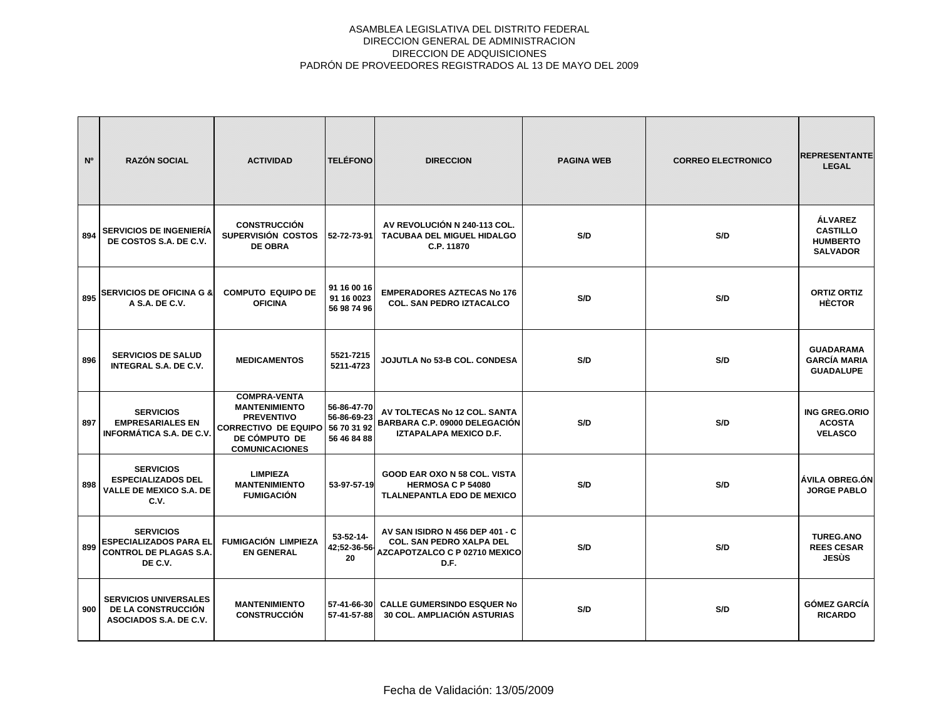| N°  | <b>RAZÓN SOCIAL</b>                                                                           | <b>ACTIVIDAD</b>                                                                                                                          | <b>TELÉFONO</b>                                          | <b>DIRECCION</b>                                                                                                   | <b>PAGINA WEB</b> | <b>CORREO ELECTRONICO</b> | <b>REPRESENTANTE</b><br><b>LEGAL</b>                                    |
|-----|-----------------------------------------------------------------------------------------------|-------------------------------------------------------------------------------------------------------------------------------------------|----------------------------------------------------------|--------------------------------------------------------------------------------------------------------------------|-------------------|---------------------------|-------------------------------------------------------------------------|
| 894 | <b>SERVICIOS DE INGENIERIA</b><br>DE COSTOS S.A. DE C.V.                                      | <b>CONSTRUCCIÓN</b><br>SUPERVISIÓN COSTOS<br><b>DE OBRA</b>                                                                               | 52-72-73-91                                              | AV REVOLUCIÓN N 240-113 COL.<br><b>TACUBAA DEL MIGUEL HIDALGO</b><br>C.P. 11870                                    | S/D               | S/D                       | <b>ÁLVAREZ</b><br><b>CASTILLO</b><br><b>HUMBERTO</b><br><b>SALVADOR</b> |
| 895 | <b>SERVICIOS DE OFICINA G &amp;</b><br>A S.A. DE C.V.                                         | <b>COMPUTO EQUIPO DE</b><br><b>OFICINA</b>                                                                                                | 91 16 00 16<br>91 16 0023<br>56 98 74 96                 | <b>EMPERADORES AZTECAS No 176</b><br><b>COL. SAN PEDRO IZTACALCO</b>                                               | S/D               | S/D                       | <b>ORTIZ ORTIZ</b><br><b>HÈCTOR</b>                                     |
| 896 | <b>SERVICIOS DE SALUD</b><br><b>INTEGRAL S.A. DE C.V.</b>                                     | <b>MEDICAMENTOS</b>                                                                                                                       | 5521-7215<br>5211-4723                                   | JOJUTLA No 53-B COL. CONDESA                                                                                       | S/D               | S/D                       | <b>GUADARAMA</b><br><b>GARCÍA MARIA</b><br><b>GUADALUPE</b>             |
| 897 | <b>SERVICIOS</b><br><b>EMPRESARIALES EN</b><br><b>INFORMÁTICA S.A. DE C.V.</b>                | <b>COMPRA-VENTA</b><br><b>MANTENIMIENTO</b><br><b>PREVENTIVO</b><br><b>CORRECTIVO DE EQUIPO</b><br>DE CÓMPUTO DE<br><b>COMUNICACIONES</b> | 56-86-47-70<br>56-86-69-23<br>56 70 31 92<br>56 46 84 88 | AV TOLTECAS No 12 COL. SANTA<br>BARBARA C.P. 09000 DELEGACIÓN<br>IZTAPALAPA MEXICO D.F.                            | S/D               | S/D                       | <b>ING GREG.ORIO</b><br><b>ACOSTA</b><br><b>VELASCO</b>                 |
| 898 | <b>SERVICIOS</b><br><b>ESPECIALIZADOS DEL</b><br><b>VALLE DE MEXICO S.A. DE</b><br>C.V.       | <b>LIMPIEZA</b><br><b>MANTENIMIENTO</b><br><b>FUMIGACIÓN</b>                                                                              | 53-97-57-19                                              | GOOD EAR OXO N 58 COL. VISTA<br><b>HERMOSA C P 54080</b><br>TLALNEPANTLA EDO DE MEXICO                             | S/D               | S/D                       | ÁVILA OBREG.ÓN<br><b>JORGE PABLO</b>                                    |
| 899 | <b>SERVICIOS</b><br><b>ESPECIALIZADOS PARA EL</b><br><b>CONTROL DE PLAGAS S.A.</b><br>DE C.V. | <b>FUMIGACIÓN LIMPIEZA</b><br><b>EN GENERAL</b>                                                                                           | $53 - 52 - 14 -$<br>42;52-36-56-<br>20                   | AV SAN ISIDRO N 456 DEP 401 - C<br><b>COL. SAN PEDRO XALPA DEL</b><br><b>AZCAPOTZALCO C P 02710 MEXICO</b><br>D.F. | S/D               | S/D                       | <b>TUREG.ANO</b><br><b>REES CESAR</b><br>JESÙS                          |
| 900 | <b>SERVICIOS UNIVERSALES</b><br>DE LA CONSTRUCCIÓN<br>ASOCIADOS S.A. DE C.V.                  | <b>MANTENIMIENTO</b><br><b>CONSTRUCCIÓN</b>                                                                                               | 57-41-66-30<br>57-41-57-88                               | <b>CALLE GUMERSINDO ESQUER No</b><br><b>30 COL. AMPLIACIÓN ASTURIAS</b>                                            | S/D               | S/D                       | <b>GÓMEZ GARCÍA</b><br><b>RICARDO</b>                                   |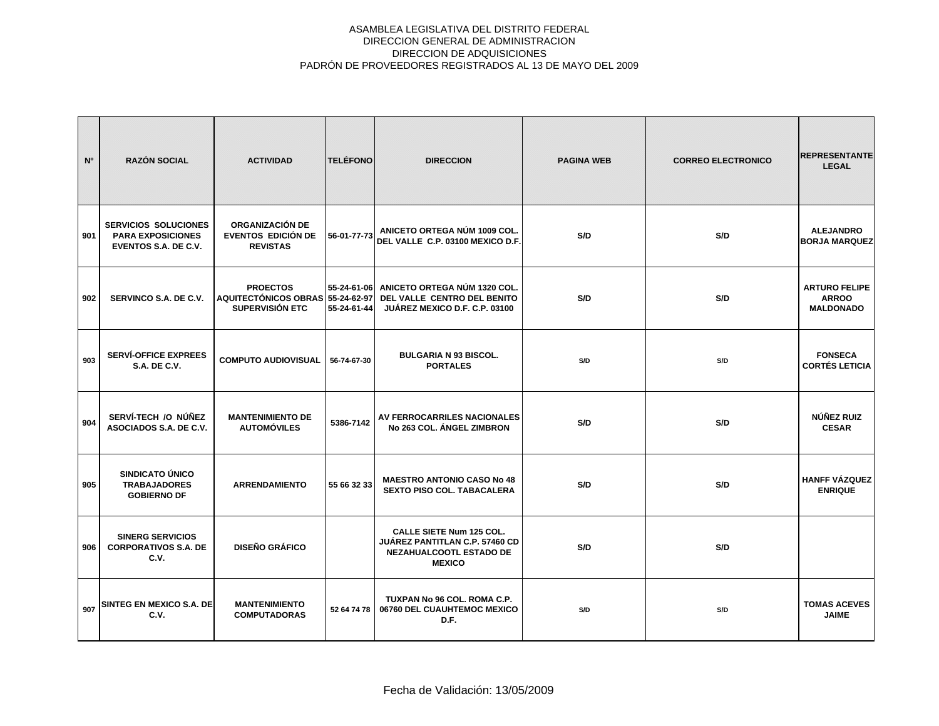| N <sup>o</sup> | <b>RAZÓN SOCIAL</b>                                                                    | <b>ACTIVIDAD</b>                                                              | <b>TELÉFONO</b>            | <b>DIRECCION</b>                                                                                                     | <b>PAGINA WEB</b> | <b>CORREO ELECTRONICO</b> | <b>REPRESENTANTE</b><br><b>LEGAL</b>                     |
|----------------|----------------------------------------------------------------------------------------|-------------------------------------------------------------------------------|----------------------------|----------------------------------------------------------------------------------------------------------------------|-------------------|---------------------------|----------------------------------------------------------|
| 901            | <b>SERVICIOS SOLUCIONES</b><br><b>PARA EXPOSICIONES</b><br><b>EVENTOS S.A. DE C.V.</b> | ORGANIZACIÓN DE<br><b>EVENTOS EDICIÓN DE</b><br><b>REVISTAS</b>               | 56-01-77-73                | ANICETO ORTEGA NÚM 1009 COL.<br>DEL VALLE C.P. 03100 MEXICO D.F.                                                     | S/D               | S/D                       | <b>ALEJANDRO</b><br><b>BORJA MARQUEZ</b>                 |
| 902            | SERVINCO S.A. DE C.V.                                                                  | <b>PROECTOS</b><br>AQUITECTÓNICOS OBRAS 55-24-62-97<br><b>SUPERVISIÓN ETC</b> | 55-24-61-06<br>55-24-61-44 | ANICETO ORTEGA NÚM 1320 COL.<br>DEL VALLE CENTRO DEL BENITO<br>JUÁREZ MEXICO D.F. C.P. 03100                         | S/D               | S/D                       | <b>ARTURO FELIPE</b><br><b>ARROO</b><br><b>MALDONADO</b> |
| 903            | <b>SERVÍ-OFFICE EXPREES</b><br><b>S.A. DE C.V.</b>                                     | <b>COMPUTO AUDIOVISUAL</b>                                                    | 56-74-67-30                | <b>BULGARIA N 93 BISCOL.</b><br><b>PORTALES</b>                                                                      | S/D               | S/D                       | <b>FONSECA</b><br><b>CORTÉS LETICIA</b>                  |
| 904            | SERVÍ-TECH /O NÚÑEZ<br>ASOCIADOS S.A. DE C.V.                                          | <b>MANTENIMIENTO DE</b><br><b>AUTOMÓVILES</b>                                 | 5386-7142                  | AV FERROCARRILES NACIONALES<br>No 263 COL. ÁNGEL ZIMBRON                                                             | S/D               | S/D                       | NÚÑEZ RUIZ<br><b>CESAR</b>                               |
| 905            | SINDICATO ÚNICO<br><b>TRABAJADORES</b><br><b>GOBIERNO DF</b>                           | <b>ARRENDAMIENTO</b>                                                          | 55 66 32 33                | <b>MAESTRO ANTONIO CASO No 48</b><br><b>SEXTO PISO COL. TABACALERA</b>                                               | S/D               | S/D                       | <b>HANFF VÁZQUEZ</b><br><b>ENRIQUE</b>                   |
| 906            | <b>SINERG SERVICIOS</b><br><b>CORPORATIVOS S.A. DE</b><br>C.V.                         | <b>DISEÑO GRÁFICO</b>                                                         |                            | <b>CALLE SIETE Num 125 COL.</b><br><b>JUÁREZ PANTITLAN C.P. 57460 CD</b><br>NEZAHUALCOOTL ESTADO DE<br><b>MEXICO</b> | S/D               | S/D                       |                                                          |
| 907            | SINTEG EN MEXICO S.A. DE<br>C.V.                                                       | <b>MANTENIMIENTO</b><br><b>COMPUTADORAS</b>                                   | 52 64 74 78                | TUXPAN No 96 COL. ROMA C.P.<br>06760 DEL CUAUHTEMOC MEXICO<br>D.F.                                                   | S/D               | S/D                       | <b>TOMAS ACEVES</b><br><b>JAIME</b>                      |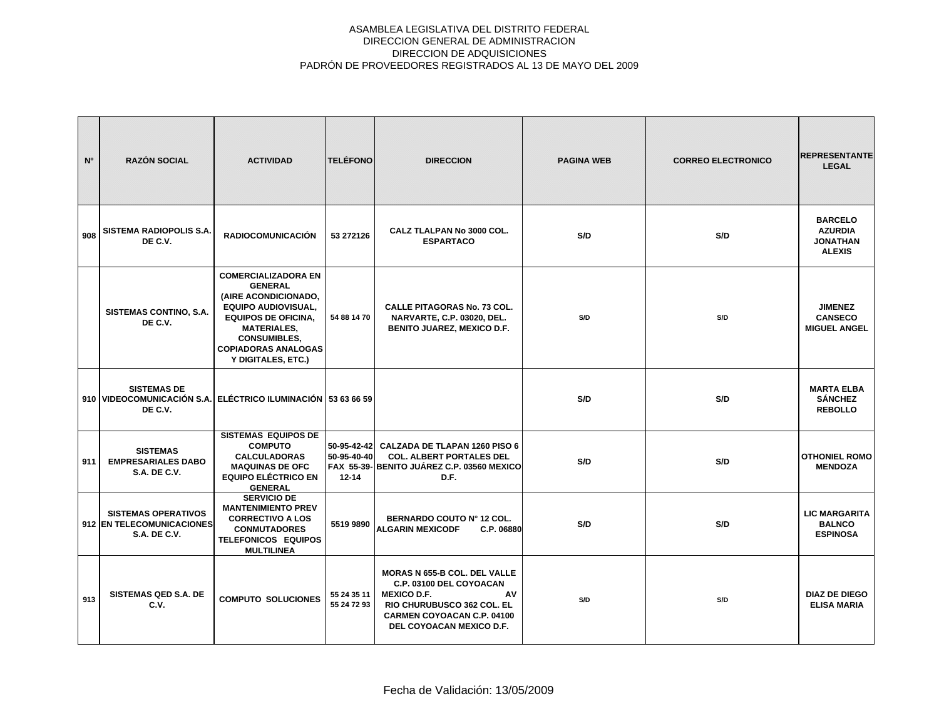| N <sup>o</sup> | <b>RAZÓN SOCIAL</b>                                                                           | <b>ACTIVIDAD</b>                                                                                                                                                                                                                  | <b>TELÉFONO</b>                         | <b>DIRECCION</b>                                                                                                                                                                          | <b>PAGINA WEB</b> | <b>CORREO ELECTRONICO</b> | <b>REPRESENTANTE</b><br><b>LEGAL</b>                                 |
|----------------|-----------------------------------------------------------------------------------------------|-----------------------------------------------------------------------------------------------------------------------------------------------------------------------------------------------------------------------------------|-----------------------------------------|-------------------------------------------------------------------------------------------------------------------------------------------------------------------------------------------|-------------------|---------------------------|----------------------------------------------------------------------|
| 908            | <b>SISTEMA RADIOPOLIS S.A.</b><br>DE C.V.                                                     | <b>RADIOCOMUNICACIÓN</b>                                                                                                                                                                                                          | 53 272126                               | CALZ TLALPAN No 3000 COL.<br><b>ESPARTACO</b>                                                                                                                                             | S/D               | S/D                       | <b>BARCELO</b><br><b>AZURDIA</b><br><b>JONATHAN</b><br><b>ALEXIS</b> |
|                | SISTEMAS CONTINO, S.A.<br>DE C.V.                                                             | <b>COMERCIALIZADORA EN</b><br><b>GENERAL</b><br>(AIRE ACONDICIONADO,<br><b>EQUIPO AUDIOVISUAL,</b><br><b>EQUIPOS DE OFICINA,</b><br><b>MATERIALES,</b><br><b>CONSUMIBLES,</b><br><b>COPIADORAS ANALOGAS</b><br>Y DIGITALES, ETC.) | 54 88 14 70                             | <b>CALLE PITAGORAS No. 73 COL.</b><br><b>NARVARTE, C.P. 03020, DEL.</b><br><b>BENITO JUAREZ, MEXICO D.F.</b>                                                                              | S/D               | S/D                       | <b>JIMENEZ</b><br><b>CANSECO</b><br><b>MIGUEL ANGEL</b>              |
|                | <b>SISTEMAS DE</b><br>910 VIDEOCOMUNICACIÓN S.A. ELÉCTRICO ILUMINACIÓN 53 63 66 59<br>DE C.V. |                                                                                                                                                                                                                                   |                                         |                                                                                                                                                                                           | S/D               | S/D                       | <b>MARTA ELBA</b><br><b>SÁNCHEZ</b><br><b>REBOLLO</b>                |
| 911            | <b>SISTEMAS</b><br><b>EMPRESARIALES DABO</b><br><b>S.A. DE C.V.</b>                           | <b>SISTEMAS EQUIPOS DE</b><br><b>COMPUTO</b><br><b>CALCULADORAS</b><br><b>MAQUINAS DE OFC</b><br><b>EQUIPO ELÉCTRICO EN</b><br><b>GENERAL</b>                                                                                     | 50-95-42-42<br>50-95-40-40<br>$12 - 14$ | CALZADA DE TLAPAN 1260 PISO 6<br><b>COL. ALBERT PORTALES DEL</b><br>FAX 55-39- BENITO JUÁREZ C.P. 03560 MEXICO<br>D.F.                                                                    | S/D               | S/D                       | <b>OTHONIEL ROMO</b><br><b>MENDOZA</b>                               |
|                | <b>SISTEMAS OPERATIVOS</b><br>912 EN TELECOMUNICACIONES<br><b>S.A. DE C.V.</b>                | <b>SERVICIO DE</b><br><b>MANTENIMIENTO PREV</b><br><b>CORRECTIVO A LOS</b><br><b>CONMUTADORES</b><br><b>TELEFONICOS EQUIPOS</b><br><b>MULTILINEA</b>                                                                              | 5519 9890                               | BERNARDO COUTO Nº 12 COL.<br><b>ALGARIN MEXICODF</b><br>C.P. 06880                                                                                                                        | S/D               | S/D                       | <b>LIC MARGARITA</b><br><b>BALNCO</b><br><b>ESPINOSA</b>             |
| 913            | <b>SISTEMAS QED S.A. DE</b><br>C.V.                                                           | <b>COMPUTO SOLUCIONES</b>                                                                                                                                                                                                         | 55 24 35 11<br>55 24 72 93              | <b>MORAS N 655-B COL. DEL VALLE</b><br>C.P. 03100 DEL COYOACAN<br>AV<br><b>MEXICO D.F.</b><br>RIO CHURUBUSCO 362 COL. EL<br><b>CARMEN COYOACAN C.P. 04100</b><br>DEL COYOACAN MEXICO D.F. | S/D               | S/D                       | <b>DIAZ DE DIEGO</b><br><b>ELISA MARIA</b>                           |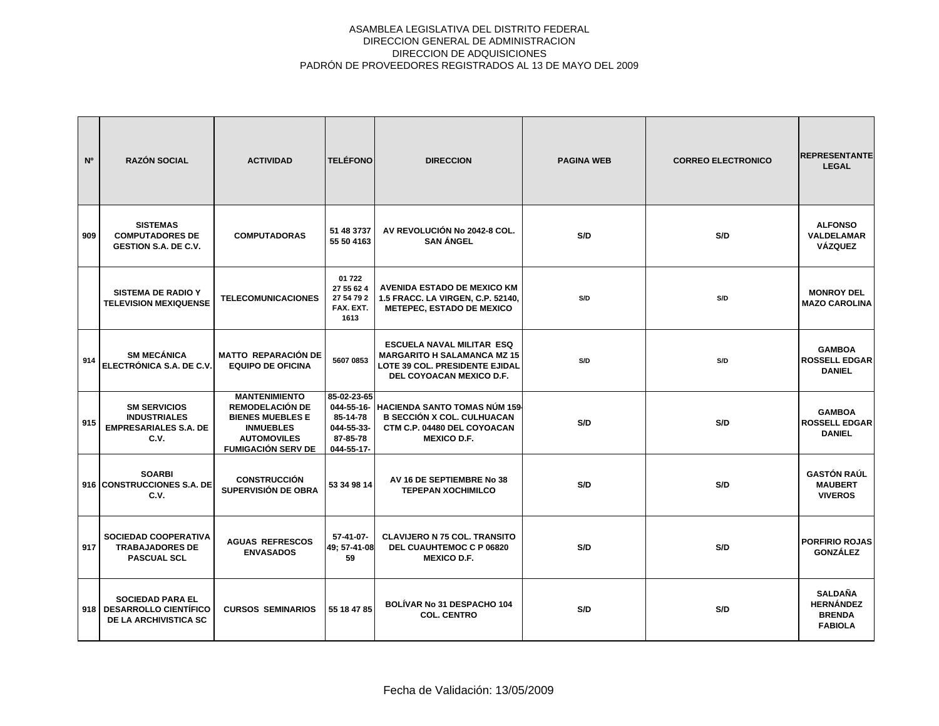| N <sup>o</sup> | <b>RAZÓN SOCIAL</b>                                                                    | <b>ACTIVIDAD</b>                                                                                                                          | <b>TELÉFONO</b>                                                               | <b>DIRECCION</b>                                                                                                                            | <b>PAGINA WEB</b> | <b>CORREO ELECTRONICO</b> | <b>REPRESENTANTE</b><br><b>LEGAL</b>                                  |
|----------------|----------------------------------------------------------------------------------------|-------------------------------------------------------------------------------------------------------------------------------------------|-------------------------------------------------------------------------------|---------------------------------------------------------------------------------------------------------------------------------------------|-------------------|---------------------------|-----------------------------------------------------------------------|
| 909            | <b>SISTEMAS</b><br><b>COMPUTADORES DE</b><br><b>GESTION S.A. DE C.V.</b>               | <b>COMPUTADORAS</b>                                                                                                                       | 51 48 3737<br>55 50 4163                                                      | AV REVOLUCIÓN No 2042-8 COL.<br><b>SAN ÁNGEL</b>                                                                                            | S/D               | S/D                       | <b>ALFONSO</b><br>VALDELAMAR<br><b>VÁZQUEZ</b>                        |
|                | <b>SISTEMA DE RADIO Y</b><br><b>TELEVISION MEXIQUENSE</b>                              | <b>TELECOMUNICACIONES</b>                                                                                                                 | 01 722<br>27 55 62 4<br>27 54 79 2<br>FAX. EXT.<br>1613                       | <b>AVENIDA ESTADO DE MEXICO KM</b><br>1.5 FRACC. LA VIRGEN, C.P. 52140,<br><b>METEPEC, ESTADO DE MEXICO</b>                                 | S/D               | S/D                       | <b>MONROY DEL</b><br><b>MAZO CAROLINA</b>                             |
| 914            | <b>SM MECÁNICA</b><br>ELECTRÓNICA S.A. DE C.V.                                         | <b>MATTO REPARACIÓN DE</b><br><b>EQUIPO DE OFICINA</b>                                                                                    | 5607 0853                                                                     | <b>ESCUELA NAVAL MILITAR ESQ</b><br><b>MARGARITO H SALAMANCA MZ 15</b><br><b>LOTE 39 COL. PRESIDENTE EJIDAL</b><br>DEL COYOACAN MEXICO D.F. | S/D               | S/D                       | <b>GAMBOA</b><br><b>ROSSELL EDGAR</b><br><b>DANIEL</b>                |
| 915            | <b>SM SERVICIOS</b><br><b>INDUSTRIALES</b><br><b>EMPRESARIALES S.A. DE</b><br>C.V.     | <b>MANTENIMIENTO</b><br>REMODELACIÓN DE<br><b>BIENES MUEBLES E</b><br><b>INMUEBLES</b><br><b>AUTOMOVILES</b><br><b>FUMIGACIÓN SERV DE</b> | 85-02-23-65<br>044-55-16-<br>85-14-78<br>044-55-33-<br>87-85-78<br>044-55-17- | HACIENDA SANTO TOMAS NÚM 159-<br><b>B SECCIÓN X COL. CULHUACAN</b><br>CTM C.P. 04480 DEL COYOACAN<br><b>MEXICO D.F.</b>                     | S/D               | S/D                       | <b>GAMBOA</b><br><b>ROSSELL EDGAR</b><br><b>DANIEL</b>                |
|                | <b>SOARBI</b><br>916 CONSTRUCCIONES S.A. DE<br>C.V.                                    | <b>CONSTRUCCIÓN</b><br>SUPERVISIÓN DE OBRA                                                                                                | 53 34 98 14                                                                   | AV 16 DE SEPTIEMBRE No 38<br><b>TEPEPAN XOCHIMILCO</b>                                                                                      | S/D               | S/D                       | <b>GASTÓN RAÚL</b><br><b>MAUBERT</b><br><b>VIVEROS</b>                |
| 917            | SOCIEDAD COOPERATIVA<br><b>TRABAJADORES DE</b><br><b>PASCUAL SCL</b>                   | <b>AGUAS REFRESCOS</b><br><b>ENVASADOS</b>                                                                                                | $57-41-07-$<br>49: 57-41-08<br>59                                             | <b>CLAVIJERO N 75 COL. TRANSITO</b><br>DEL CUAUHTEMOC C P 06820<br><b>MEXICO D.F.</b>                                                       | S/D               | S/D                       | <b>PORFIRIO ROJAS</b><br><b>GONZÁLEZ</b>                              |
|                | <b>SOCIEDAD PARA EL</b><br>918   DESARROLLO CIENTÍFICO<br><b>DE LA ARCHIVISTICA SC</b> | <b>CURSOS SEMINARIOS</b>                                                                                                                  | 55 18 47 85                                                                   | BOLÍVAR No 31 DESPACHO 104<br><b>COL. CENTRO</b>                                                                                            | S/D               | S/D                       | <b>SALDAÑA</b><br><b>HERNÁNDEZ</b><br><b>BRENDA</b><br><b>FABIOLA</b> |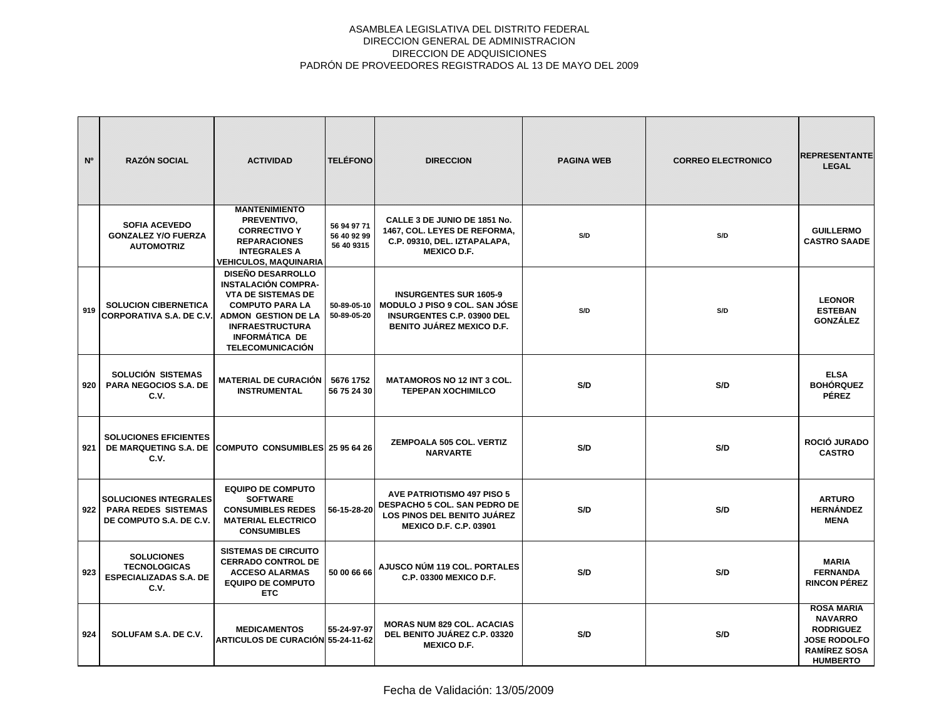| N <sup>o</sup> | <b>RAZÓN SOCIAL</b>                                                                   | <b>ACTIVIDAD</b>                                                                                                                                                                                                          | <b>TELÉFONO</b>                          | <b>DIRECCION</b>                                                                                                                                | <b>PAGINA WEB</b> | <b>CORREO ELECTRONICO</b> | <b>REPRESENTANTE</b><br><b>LEGAL</b>                                                                                     |
|----------------|---------------------------------------------------------------------------------------|---------------------------------------------------------------------------------------------------------------------------------------------------------------------------------------------------------------------------|------------------------------------------|-------------------------------------------------------------------------------------------------------------------------------------------------|-------------------|---------------------------|--------------------------------------------------------------------------------------------------------------------------|
|                | <b>SOFIA ACEVEDO</b><br><b>GONZALEZ Y/O FUERZA</b><br><b>AUTOMOTRIZ</b>               | <b>MANTENIMIENTO</b><br>PREVENTIVO,<br><b>CORRECTIVO Y</b><br><b>REPARACIONES</b><br><b>INTEGRALES A</b><br><b>VEHICULOS, MAQUINARIA</b>                                                                                  | 56 94 97 71<br>56 40 92 99<br>56 40 9315 | CALLE 3 DE JUNIO DE 1851 No.<br>1467, COL. LEYES DE REFORMA,<br>C.P. 09310, DEL. IZTAPALAPA,<br><b>MEXICO D.F.</b>                              | S/D               | S/D                       | <b>GUILLERMO</b><br><b>CASTRO SAADE</b>                                                                                  |
| 919            | <b>SOLUCION CIBERNETICA</b><br><b>CORPORATIVA S.A. DE C.V.</b>                        | <b>DISEÑO DESARROLLO</b><br><b>INSTALACIÓN COMPRA-</b><br><b>VTA DE SISTEMAS DE</b><br><b>COMPUTO PARA LA</b><br><b>ADMON GESTION DE LA</b><br><b>INFRAESTRUCTURA</b><br><b>INFORMÁTICA DE</b><br><b>TELECOMUNICACIÓN</b> | 50-89-05-10<br>50-89-05-20               | <b>INSURGENTES SUR 1605-9</b><br><b>MODULO J PISO 9 COL. SAN JÓSE</b><br><b>INSURGENTES C.P. 03900 DEL</b><br><b>BENITO JUÁREZ MEXICO D.F.</b>  | S/D               | S/D                       | <b>LEONOR</b><br><b>ESTEBAN</b><br><b>GONZÁLEZ</b>                                                                       |
| 920            | SOLUCIÓN SISTEMAS<br><b>PARA NEGOCIOS S.A. DE</b><br>C.V.                             | <b>MATERIAL DE CURACIÓN</b><br><b>INSTRUMENTAL</b>                                                                                                                                                                        | 5676 1752<br>56 75 24 30                 | <b>MATAMOROS NO 12 INT 3 COL.</b><br><b>TEPEPAN XOCHIMILCO</b>                                                                                  | S/D               | S/D                       | <b>ELSA</b><br><b>BOHÓRQUEZ</b><br><b>PÉREZ</b>                                                                          |
| 921            | <b>SOLUCIONES EFICIENTES</b><br>DE MARQUETING S.A. DE<br>C.V.                         | COMPUTO CONSUMIBLES 25 95 64 26                                                                                                                                                                                           |                                          | ZEMPOALA 505 COL. VERTIZ<br><b>NARVARTE</b>                                                                                                     | S/D               | S/D                       | ROCIÓ JURADO<br><b>CASTRO</b>                                                                                            |
| 922            | <b>SOLUCIONES INTEGRALES</b><br><b>PARA REDES SISTEMAS</b><br>DE COMPUTO S.A. DE C.V. | <b>EQUIPO DE COMPUTO</b><br><b>SOFTWARE</b><br><b>CONSUMIBLES REDES</b><br><b>MATERIAL ELECTRICO</b><br><b>CONSUMIBLES</b>                                                                                                | 56-15-28-20                              | <b>AVE PATRIOTISMO 497 PISO 5</b><br><b>DESPACHO 5 COL. SAN PEDRO DE</b><br><b>LOS PINOS DEL BENITO JUÁREZ</b><br><b>MEXICO D.F. C.P. 03901</b> | S/D               | S/D                       | <b>ARTURO</b><br><b>HERNÁNDEZ</b><br><b>MENA</b>                                                                         |
| 923            | <b>SOLUCIONES</b><br><b>TECNOLOGICAS</b><br><b>ESPECIALIZADAS S.A. DE</b><br>C.V.     | <b>SISTEMAS DE CIRCUITO</b><br><b>CERRADO CONTROL DE</b><br><b>ACCESO ALARMAS</b><br><b>EQUIPO DE COMPUTO</b><br><b>ETC</b>                                                                                               | 50 00 66 66                              | AJUSCO NÚM 119 COL. PORTALES<br>C.P. 03300 MEXICO D.F.                                                                                          | S/D               | S/D                       | <b>MARIA</b><br><b>FERNANDA</b><br><b>RINCON PÉREZ</b>                                                                   |
| 924            | SOLUFAM S.A. DE C.V.                                                                  | <b>MEDICAMENTOS</b><br>ARTICULOS DE CURACIÓN 55-24-11-62                                                                                                                                                                  | 55-24-97-97                              | <b>MORAS NUM 829 COL. ACACIAS</b><br>DEL BENITO JUÁREZ C.P. 03320<br><b>MEXICO D.F.</b>                                                         | S/D               | S/D                       | <b>ROSA MARIA</b><br><b>NAVARRO</b><br><b>RODRIGUEZ</b><br><b>JOSE RODOLFO</b><br><b>RAMÍREZ SOSA</b><br><b>HUMBERTO</b> |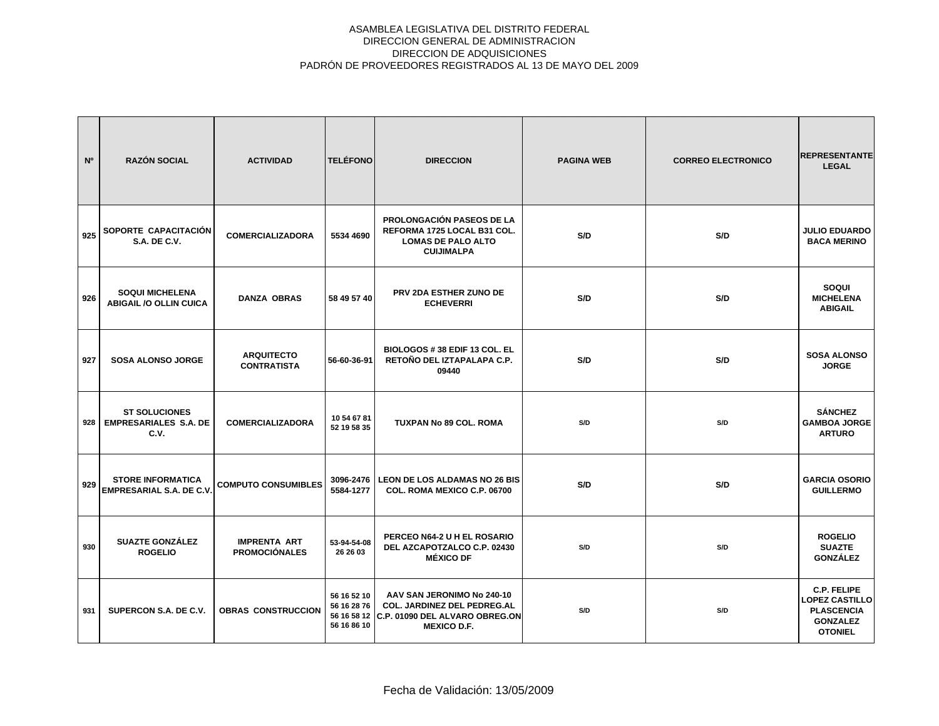| N°  | <b>RAZÓN SOCIAL</b>                                          | <b>ACTIVIDAD</b>                            | <b>TELÉFONO</b>                           | <b>DIRECCION</b>                                                                                                              | <b>PAGINA WEB</b> | <b>CORREO ELECTRONICO</b> | <b>REPRESENTANTE</b><br><b>LEGAL</b>                                                                  |
|-----|--------------------------------------------------------------|---------------------------------------------|-------------------------------------------|-------------------------------------------------------------------------------------------------------------------------------|-------------------|---------------------------|-------------------------------------------------------------------------------------------------------|
| 925 | SOPORTE CAPACITACIÓN<br><b>S.A. DE C.V.</b>                  | <b>COMERCIALIZADORA</b>                     | 5534 4690                                 | <b>PROLONGACIÓN PASEOS DE LA</b><br>REFORMA 1725 LOCAL B31 COL.<br><b>LOMAS DE PALO ALTO</b><br><b>CUIJIMALPA</b>             | S/D               | S/D                       | <b>JULIO EDUARDO</b><br><b>BACA MERINO</b>                                                            |
| 926 | <b>SOQUI MICHELENA</b><br><b>ABIGAIL /O OLLIN CUICA</b>      | <b>DANZA OBRAS</b>                          | 58 49 57 40                               | PRV 2DA ESTHER ZUNO DE<br><b>ECHEVERRI</b>                                                                                    | S/D               | S/D                       | SOQUI<br><b>MICHELENA</b><br><b>ABIGAIL</b>                                                           |
| 927 | <b>SOSA ALONSO JORGE</b>                                     | <b>ARQUITECTO</b><br><b>CONTRATISTA</b>     | 56-60-36-91                               | BIOLOGOS # 38 EDIF 13 COL. EL<br>RETOÑO DEL IZTAPALAPA C.P.<br>09440                                                          | S/D               | S/D                       | <b>SOSA ALONSO</b><br><b>JORGE</b>                                                                    |
| 928 | <b>ST SOLUCIONES</b><br><b>EMPRESARIALES S.A. DE</b><br>C.V. | <b>COMERCIALIZADORA</b>                     | 10 54 67 81<br>52 19 58 35                | TUXPAN No 89 COL. ROMA                                                                                                        | S/D               | S/D                       | <b>SÁNCHEZ</b><br><b>GAMBOA JORGE</b><br><b>ARTURO</b>                                                |
| 929 | <b>STORE INFORMATICA</b><br><b>EMPRESARIAL S.A. DE C.V.</b>  | <b>COMPUTO CONSUMIBLES</b>                  | 3096-2476<br>5584-1277                    | <b>LEON DE LOS ALDAMAS NO 26 BIS</b><br>COL. ROMA MEXICO C.P. 06700                                                           | S/D               | S/D                       | <b>GARCIA OSORIO</b><br><b>GUILLERMO</b>                                                              |
| 930 | <b>SUAZTE GONZÁLEZ</b><br><b>ROGELIO</b>                     | <b>IMPRENTA ART</b><br><b>PROMOCIÓNALES</b> | 53-94-54-08<br>26 26 03                   | PERCEO N64-2 U H EL ROSARIO<br>DEL AZCAPOTZALCO C.P. 02430<br><b>MÉXICO DF</b>                                                | S/D               | S/D                       | <b>ROGELIO</b><br><b>SUAZTE</b><br><b>GONZÁLEZ</b>                                                    |
| 931 | SUPERCON S.A. DE C.V.                                        | <b>OBRAS CONSTRUCCION</b>                   | 56 16 52 10<br>56 16 28 76<br>56 16 86 10 | AAV SAN JERONIMO No 240-10<br>COL. JARDINEZ DEL PEDREG.AL<br>56 16 58 12 C.P. 01090 DEL ALVARO OBREG.ON<br><b>MEXICO D.F.</b> | S/D               | S/D                       | <b>C.P. FELIPE</b><br><b>LOPEZ CASTILLO</b><br><b>PLASCENCIA</b><br><b>GONZALEZ</b><br><b>OTONIEL</b> |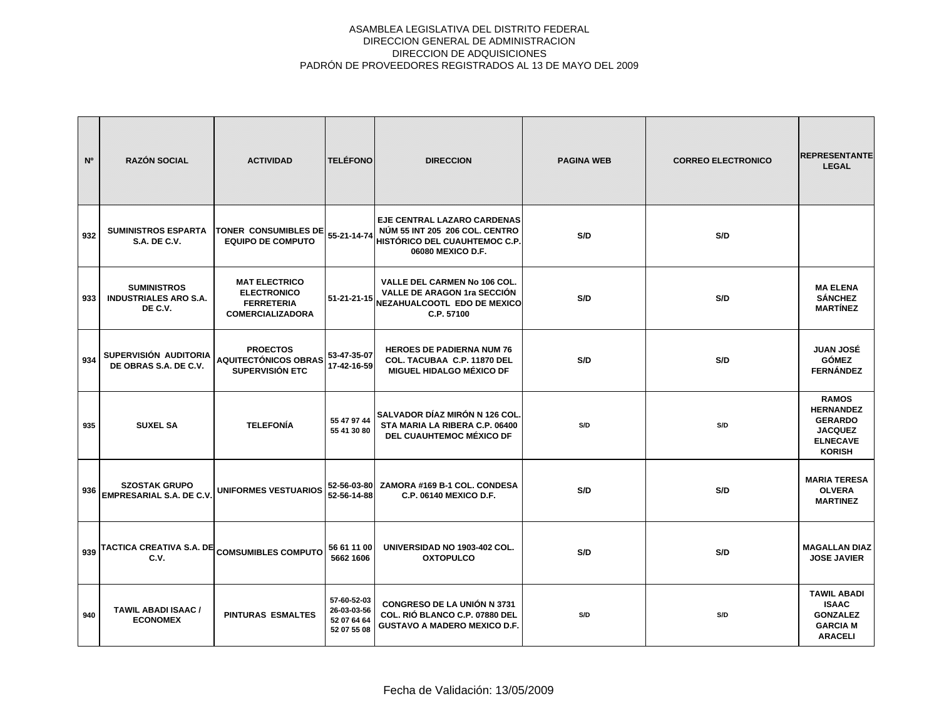| N°  | <b>RAZÓN SOCIAL</b>                                           | <b>ACTIVIDAD</b>                                                                           | <b>TELÉFONO</b>                                          | <b>DIRECCION</b>                                                                                                                  | <b>PAGINA WEB</b> | <b>CORREO ELECTRONICO</b> | <b>REPRESENTANTE</b><br><b>LEGAL</b>                                                                     |
|-----|---------------------------------------------------------------|--------------------------------------------------------------------------------------------|----------------------------------------------------------|-----------------------------------------------------------------------------------------------------------------------------------|-------------------|---------------------------|----------------------------------------------------------------------------------------------------------|
| 932 | <b>SUMINISTROS ESPARTA</b><br><b>S.A. DE C.V.</b>             | <b>TONER CONSUMIBLES DE</b><br><b>EQUIPO DE COMPUTO</b>                                    | 55-21-14-74                                              | <b>EJE CENTRAL LAZARO CARDENAS</b><br>NÚM 55 INT 205 206 COL. CENTRO<br><b>HISTÓRICO DEL CUAUHTEMOC C.P.</b><br>06080 MEXICO D.F. | S/D               | S/D                       |                                                                                                          |
| 933 | <b>SUMINISTROS</b><br><b>INDUSTRIALES ARO S.A.</b><br>DE C.V. | <b>MAT ELECTRICO</b><br><b>ELECTRONICO</b><br><b>FERRETERIA</b><br><b>COMERCIALIZADORA</b> | 51-21-21-15                                              | VALLE DEL CARMEN No 106 COL.<br>VALLE DE ARAGON 1ra SECCIÓN<br>NEZAHUALCOOTL EDO DE MEXICO<br>C.P. 57100                          | S/D               | S/D                       | <b>MA ELENA</b><br><b>SÁNCHEZ</b><br><b>MARTÍNEZ</b>                                                     |
| 934 | SUPERVISIÓN AUDITORIA<br>DE OBRAS S.A. DE C.V.                | <b>PROECTOS</b><br><b>AQUITECTÓNICOS OBRAS</b><br>SUPERVISIÓN ETC                          | 53-47-35-07<br>17-42-16-59                               | <b>HEROES DE PADIERNA NUM 76</b><br>COL. TACUBAA C.P. 11870 DEL<br><b>MIGUEL HIDALGO MÉXICO DF</b>                                | S/D               | S/D                       | <b>JUAN JOSÉ</b><br><b>GÓMEZ</b><br><b>FERNÁNDEZ</b>                                                     |
| 935 | <b>SUXEL SA</b>                                               | <b>TELEFONÍA</b>                                                                           | 55 47 97 44<br>55 41 30 80                               | SALVADOR DÍAZ MIRÓN N 126 COL<br>STA MARIA LA RIBERA C.P. 06400<br>DEL CUAUHTEMOC MÉXICO DF                                       | S/D               | S/D                       | <b>RAMOS</b><br><b>HERNANDEZ</b><br><b>GERARDO</b><br><b>JACQUEZ</b><br><b>ELNECAVE</b><br><b>KORISH</b> |
| 936 | <b>SZOSTAK GRUPO</b><br>EMPRESARIAL S.A. DE C.V.              | <b>UNIFORMES VESTUARIOS</b>                                                                | 52-56-03-80<br>52-56-14-88                               | ZAMORA #169 B-1 COL. CONDESA<br>C.P. 06140 MEXICO D.F.                                                                            | S/D               | S/D                       | <b>MARIA TERESA</b><br><b>OLVERA</b><br><b>MARTINEZ</b>                                                  |
| 939 | TACTICA CREATIVA S.A. DE<br>C.V.                              | <b>COMSUMIBLES COMPUTO</b>                                                                 | 56 61 11 00<br>5662 1606                                 | UNIVERSIDAD NO 1903-402 COL.<br><b>OXTOPULCO</b>                                                                                  | S/D               | S/D                       | <b>MAGALLAN DIAZ</b><br><b>JOSE JAVIER</b>                                                               |
| 940 | <b>TAWIL ABADI ISAAC /</b><br><b>ECONOMEX</b>                 | <b>PINTURAS ESMALTES</b>                                                                   | 57-60-52-03<br>26-03-03-56<br>52 07 64 64<br>52 07 55 08 | <b>CONGRESO DE LA UNIÓN N 3731</b><br>COL. RIÓ BLANCO C.P. 07880 DEL<br><b>GUSTAVO A MADERO MEXICO D.F.</b>                       | S/D               | S/D                       | <b>TAWIL ABADI</b><br><b>ISAAC</b><br><b>GONZALEZ</b><br><b>GARCIA M</b><br><b>ARACELI</b>               |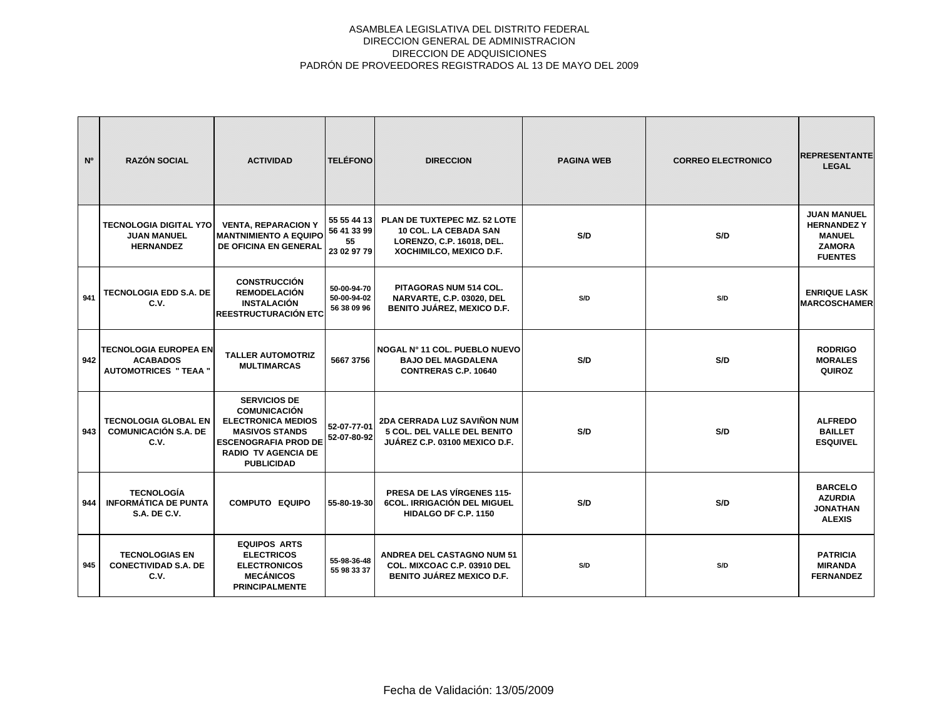| N°  | <b>RAZÓN SOCIAL</b>                                                      | <b>ACTIVIDAD</b>                                                                                                                                                                   | <b>TELÉFONO</b>                                 | <b>DIRECCION</b>                                                                                                     | <b>PAGINA WEB</b> | <b>CORREO ELECTRONICO</b> | <b>REPRESENTANTE</b><br><b>LEGAL</b>                                                        |
|-----|--------------------------------------------------------------------------|------------------------------------------------------------------------------------------------------------------------------------------------------------------------------------|-------------------------------------------------|----------------------------------------------------------------------------------------------------------------------|-------------------|---------------------------|---------------------------------------------------------------------------------------------|
|     | <b>TECNOLOGIA DIGITAL Y7O</b><br><b>JUAN MANUEL</b><br><b>HERNANDEZ</b>  | <b>VENTA, REPARACION Y</b><br><b>MANTNIMIENTO A EQUIPO</b><br><b>DE OFICINA EN GENERAL</b>                                                                                         | 55 55 44 13<br>56 41 33 99<br>55<br>23 02 97 79 | PLAN DE TUXTEPEC MZ. 52 LOTE<br><b>10 COL. LA CEBADA SAN</b><br>LORENZO, C.P. 16018, DEL.<br>XOCHIMILCO, MEXICO D.F. | S/D               | S/D                       | <b>JUAN MANUEL</b><br><b>HERNANDEZY</b><br><b>MANUEL</b><br><b>ZAMORA</b><br><b>FUENTES</b> |
| 941 | <b>TECNOLOGIA EDD S.A. DE</b><br>C.V.                                    | <b>CONSTRUCCIÓN</b><br><b>REMODELACIÓN</b><br><b>INSTALACIÓN</b><br><b>IREESTRUCTURACIÓN ETC</b>                                                                                   | 50-00-94-70<br>50-00-94-02<br>56 38 09 96       | PITAGORAS NUM 514 COL.<br>NARVARTE, C.P. 03020, DEL<br><b>BENITO JUÁREZ, MEXICO D.F.</b>                             | S/D               | S/D                       | <b>ENRIQUE LASK</b><br><b>MARCOSCHAMER</b>                                                  |
| 942 | TECNOLOGIA EUROPEA EN<br><b>ACABADOS</b><br><b>AUTOMOTRICES " TEAA "</b> | <b>TALLER AUTOMOTRIZ</b><br><b>MULTIMARCAS</b>                                                                                                                                     | 5667 3756                                       | ∣NOGAL N° 11 COL. PUEBLO NUEVO<br><b>BAJO DEL MAGDALENA</b><br><b>CONTRERAS C.P. 10640</b>                           | S/D               | S/D                       | <b>RODRIGO</b><br><b>MORALES</b><br>QUIROZ                                                  |
| 943 | <b>TECNOLOGIA GLOBAL EN</b><br><b>COMUNICACIÓN S.A. DE</b><br>C.V.       | <b>SERVICIOS DE</b><br><b>COMUNICACIÓN</b><br><b>ELECTRONICA MEDIOS</b><br><b>MASIVOS STANDS</b><br><b>ESCENOGRAFIA PROD DE</b><br><b>RADIO TV AGENCIA DE</b><br><b>PUBLICIDAD</b> | 52-07-77-01<br>52-07-80-92                      | 2DA CERRADA LUZ SAVIÑON NUM<br>5 COL. DEL VALLE DEL BENITO<br>JUÁREZ C.P. 03100 MEXICO D.F.                          | S/D               | S/D                       | <b>ALFREDO</b><br><b>BAILLET</b><br><b>ESQUIVEL</b>                                         |
| 944 | <b>TECNOLOGÍA</b><br><b>INFORMÁTICA DE PUNTA</b><br><b>S.A. DE C.V.</b>  | <b>COMPUTO EQUIPO</b>                                                                                                                                                              | 55-80-19-30                                     | PRESA DE LAS VÍRGENES 115-<br><b>6COL. IRRIGACIÓN DEL MIGUEL</b><br><b>HIDALGO DF C.P. 1150</b>                      | S/D               | S/D                       | <b>BARCELO</b><br><b>AZURDIA</b><br><b>JONATHAN</b><br><b>ALEXIS</b>                        |
| 945 | <b>TECNOLOGIAS EN</b><br><b>CONECTIVIDAD S.A. DE</b><br>C.V.             | <b>EQUIPOS ARTS</b><br><b>ELECTRICOS</b><br><b>ELECTRONICOS</b><br><b>MECÁNICOS</b><br><b>PRINCIPALMENTE</b>                                                                       | 55-98-36-48<br>55 98 33 37                      | <b>ANDREA DEL CASTAGNO NUM 51</b><br>COL. MIXCOAC C.P. 03910 DEL<br><b>BENITO JUÁREZ MEXICO D.F.</b>                 | S/D               | S/D                       | <b>PATRICIA</b><br><b>MIRANDA</b><br><b>FERNANDEZ</b>                                       |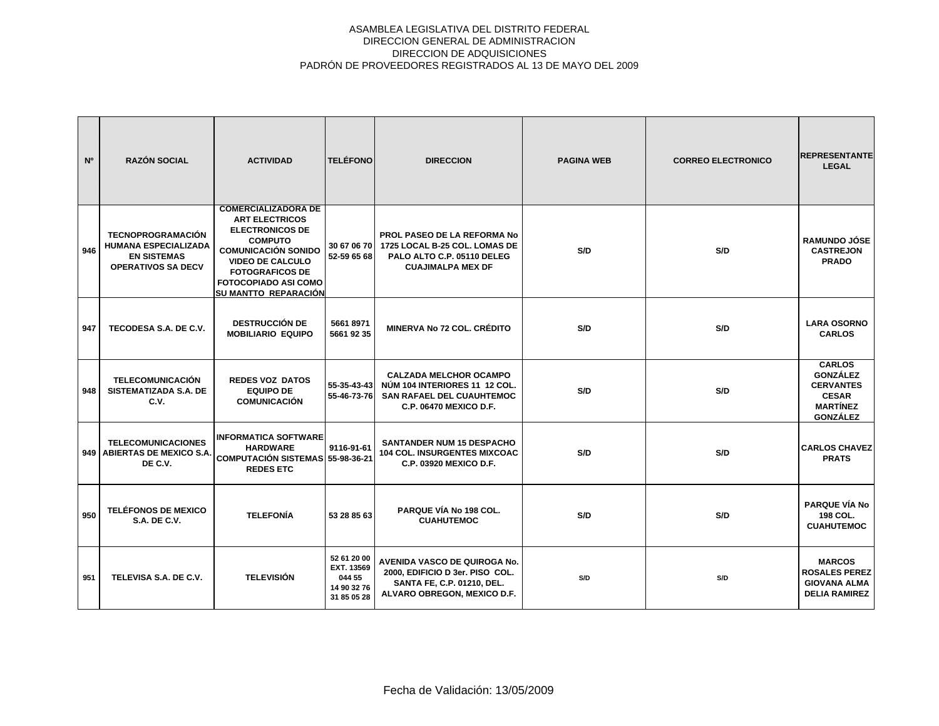| N <sup>o</sup> | <b>RAZÓN SOCIAL</b>                                                                                        | <b>ACTIVIDAD</b>                                                                                                                                                                                                                                 | <b>TELÉFONO</b>                                                   | <b>DIRECCION</b>                                                                                                                    | <b>PAGINA WEB</b> | <b>CORREO ELECTRONICO</b> | <b>REPRESENTANTE</b><br><b>LEGAL</b>                                                                       |
|----------------|------------------------------------------------------------------------------------------------------------|--------------------------------------------------------------------------------------------------------------------------------------------------------------------------------------------------------------------------------------------------|-------------------------------------------------------------------|-------------------------------------------------------------------------------------------------------------------------------------|-------------------|---------------------------|------------------------------------------------------------------------------------------------------------|
| 946            | <b>TECNOPROGRAMACIÓN</b><br><b>HUMANA ESPECIALIZADA</b><br><b>EN SISTEMAS</b><br><b>OPERATIVOS SA DECV</b> | <b>COMERCIALIZADORA DE</b><br><b>ART ELECTRICOS</b><br><b>ELECTRONICOS DE</b><br><b>COMPUTO</b><br><b>COMUNICACIÓN SONIDO</b><br><b>VIDEO DE CALCULO</b><br><b>FOTOGRAFICOS DE</b><br><b>FOTOCOPIADO ASI COMO</b><br><b>SU MANTTO REPARACIÓN</b> | 30 67 06 70<br>52-59 65 68                                        | PROL PASEO DE LA REFORMA No<br>1725 LOCAL B-25 COL. LOMAS DE<br>PALO ALTO C.P. 05110 DELEG<br><b>CUAJIMALPA MEX DF</b>              | S/D               | S/D                       | <b>RAMUNDO JÓSE</b><br><b>CASTREJON</b><br><b>PRADO</b>                                                    |
| 947            | TECODESA S.A. DE C.V.                                                                                      | <b>DESTRUCCIÓN DE</b><br><b>MOBILIARIO EQUIPO</b>                                                                                                                                                                                                | 56618971<br>5661 92 35                                            | <b>MINERVA No 72 COL. CRÉDITO</b>                                                                                                   | S/D               | S/D                       | <b>LARA OSORNO</b><br><b>CARLOS</b>                                                                        |
| 948            | <b>TELECOMUNICACIÓN</b><br><b>SISTEMATIZADA S.A. DE</b><br>C.V.                                            | <b>REDES VOZ DATOS</b><br><b>EQUIPO DE</b><br><b>COMUNICACIÓN</b>                                                                                                                                                                                | 55-35-43-43<br>55-46-73-76                                        | <b>CALZADA MELCHOR OCAMPO</b><br>NÚM 104 INTERIORES 11 12 COL.<br><b>SAN RAFAEL DEL CUAUHTEMOC</b><br><b>C.P. 06470 MEXICO D.F.</b> | S/D               | S/D                       | <b>CARLOS</b><br><b>GONZÁLEZ</b><br><b>CERVANTES</b><br><b>CESAR</b><br><b>MARTÍNEZ</b><br><b>GONZÁLEZ</b> |
|                | <b>TELECOMUNICACIONES</b><br>949   ABIERTAS DE MEXICO S.A.<br>DE C.V.                                      | <b>INFORMATICA SOFTWARE</b><br><b>HARDWARE</b><br><b>COMPUTACIÓN SISTEMAS 55-98-36-21</b><br><b>REDES ETC</b>                                                                                                                                    | 9116-91-61                                                        | <b>SANTANDER NUM 15 DESPACHO</b><br><b>104 COL. INSURGENTES MIXCOAC</b><br><b>C.P. 03920 MEXICO D.F.</b>                            | S/D               | S/D                       | <b>CARLOS CHAVEZ</b><br><b>PRATS</b>                                                                       |
| 950            | <b>TELÉFONOS DE MEXICO</b><br><b>S.A. DE C.V.</b>                                                          | <b>TELEFONÍA</b>                                                                                                                                                                                                                                 | 53 28 85 63                                                       | PARQUE VÍA No 198 COL.<br><b>CUAHUTEMOC</b>                                                                                         | S/D               | S/D                       | <b>PARQUE VÍA No</b><br>198 COL.<br><b>CUAHUTEMOC</b>                                                      |
| 951            | TELEVISA S.A. DE C.V.                                                                                      | <b>TELEVISIÓN</b>                                                                                                                                                                                                                                | 52 61 20 00<br>EXT. 13569<br>044 55<br>14 90 32 76<br>31 85 05 28 | AVENIDA VASCO DE QUIROGA No.<br>2000, EDIFICIO D 3er. PISO COL.<br>SANTA FE, C.P. 01210, DEL.<br>ALVARO OBREGON, MEXICO D.F.        | S/D               | S/D                       | <b>MARCOS</b><br><b>ROSALES PEREZ</b><br><b>GIOVANA ALMA</b><br><b>DELIA RAMIREZ</b>                       |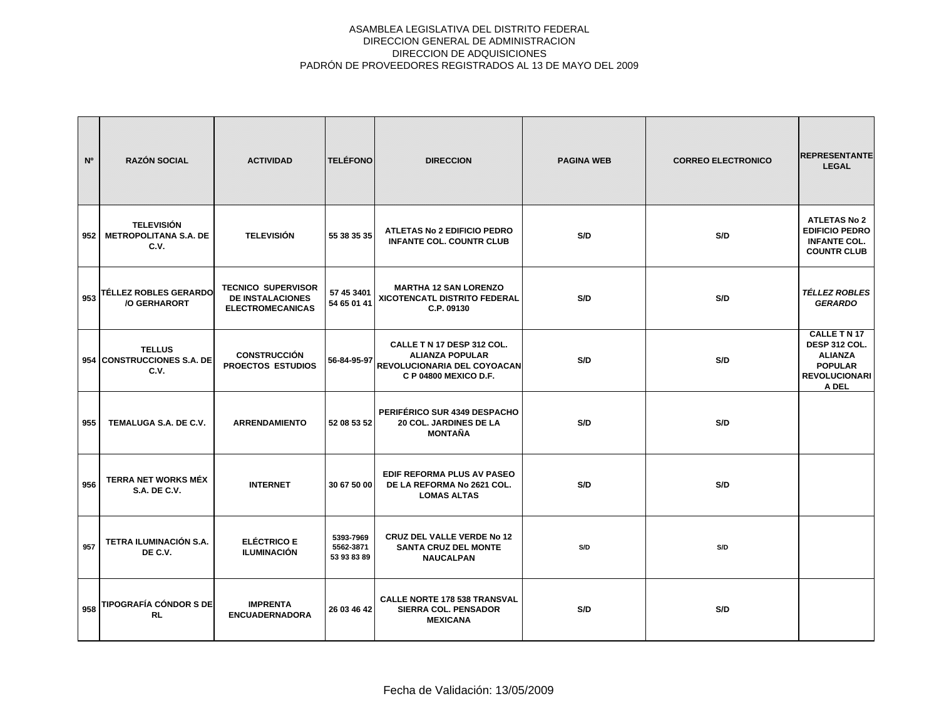| N <sup>o</sup> | <b>RAZÓN SOCIAL</b>                                       | <b>ACTIVIDAD</b>                                                                | <b>TELÉFONO</b>                       | <b>DIRECCION</b>                                                                                             | <b>PAGINA WEB</b> | <b>CORREO ELECTRONICO</b> | <b>REPRESENTANTE</b><br><b>LEGAL</b>                                                                    |
|----------------|-----------------------------------------------------------|---------------------------------------------------------------------------------|---------------------------------------|--------------------------------------------------------------------------------------------------------------|-------------------|---------------------------|---------------------------------------------------------------------------------------------------------|
| 952            | <b>TELEVISIÓN</b><br><b>METROPOLITANA S.A. DE</b><br>C.V. | <b>TELEVISIÓN</b>                                                               | 55 38 35 35                           | <b>ATLETAS No 2 EDIFICIO PEDRO</b><br><b>INFANTE COL. COUNTR CLUB</b>                                        | S/D               | S/D                       | <b>ATLETAS No 2</b><br><b>EDIFICIO PEDRO</b><br><b>INFANTE COL.</b><br><b>COUNTR CLUB</b>               |
| 953            | <b>TÉLLEZ ROBLES GERARDO</b><br>/O GERHARORT              | <b>TECNICO SUPERVISOR</b><br><b>DE INSTALACIONES</b><br><b>ELECTROMECANICAS</b> | 57 45 3401<br>54 65 01 41             | <b>MARTHA 12 SAN LORENZO</b><br>XICOTENCATL DISTRITO FEDERAL<br>C.P. 09130                                   | S/D               | S/D                       | <b>TÉLLEZ ROBLES</b><br><b>GERARDO</b>                                                                  |
|                | <b>TELLUS</b><br>954 CONSTRUCCIONES S.A. DE<br>C.V.       | <b>CONSTRUCCIÓN</b><br><b>PROECTOS ESTUDIOS</b>                                 | 56-84-95-97                           | CALLE T N 17 DESP 312 COL.<br><b>ALIANZA POPULAR</b><br>REVOLUCIONARIA DEL COYOACAN<br>C P 04800 MEXICO D.F. | S/D               | S/D                       | <b>CALLE TN17</b><br>DESP 312 COL.<br><b>ALIANZA</b><br><b>POPULAR</b><br><b>REVOLUCIONARI</b><br>A DEL |
| 955            | TEMALUGA S.A. DE C.V.                                     | <b>ARRENDAMIENTO</b>                                                            | 52 08 53 52                           | PERIFÉRICO SUR 4349 DESPACHO<br>20 COL. JARDINES DE LA<br><b>MONTAÑA</b>                                     | S/D               | S/D                       |                                                                                                         |
| 956            | TERRA NET WORKS MÉX<br><b>S.A. DE C.V.</b>                | <b>INTERNET</b>                                                                 | 30 67 50 00                           | EDIF REFORMA PLUS AV PASEO<br>DE LA REFORMA No 2621 COL.<br><b>LOMAS ALTAS</b>                               | S/D               | S/D                       |                                                                                                         |
| 957            | TETRA ILUMINACIÓN S.A.<br>DE C.V.                         | <b>ELÉCTRICO E</b><br><b>ILUMINACIÓN</b>                                        | 5393-7969<br>5562-3871<br>53 93 83 89 | <b>CRUZ DEL VALLE VERDE No 12</b><br><b>SANTA CRUZ DEL MONTE</b><br><b>NAUCALPAN</b>                         | S/D               | S/D                       |                                                                                                         |
| 958            | <b>TIPOGRAFÍA CÓNDOR S DE</b><br><b>RL</b>                | <b>IMPRENTA</b><br><b>ENCUADERNADORA</b>                                        | 26 03 46 42                           | <b>CALLE NORTE 178 538 TRANSVAL</b><br><b>SIERRA COL. PENSADOR</b><br><b>MEXICANA</b>                        | S/D               | S/D                       |                                                                                                         |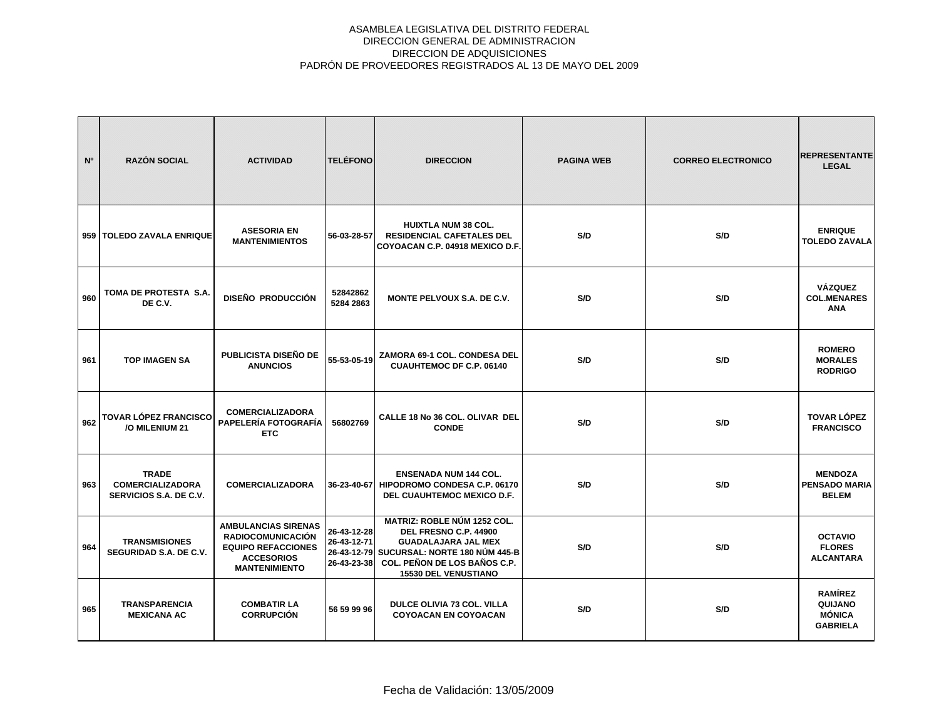| N°  | <b>RAZÓN SOCIAL</b>                                               | <b>ACTIVIDAD</b>                                                                                                                 | <b>TELÉFONO</b>                                          | <b>DIRECCION</b>                                                                                                                                                                                 | <b>PAGINA WEB</b> | <b>CORREO ELECTRONICO</b> | <b>REPRESENTANTE</b><br><b>LEGAL</b>                   |
|-----|-------------------------------------------------------------------|----------------------------------------------------------------------------------------------------------------------------------|----------------------------------------------------------|--------------------------------------------------------------------------------------------------------------------------------------------------------------------------------------------------|-------------------|---------------------------|--------------------------------------------------------|
|     | 959   TOLEDO ZAVALA ENRIQUE                                       | <b>ASESORIA EN</b><br><b>MANTENIMIENTOS</b>                                                                                      | 56-03-28-57                                              | <b>HUIXTLA NUM 38 COL.</b><br><b>RESIDENCIAL CAFETALES DEL</b><br>COYOACAN C.P. 04918 MEXICO D.F.                                                                                                | S/D               | S/D                       | <b>ENRIQUE</b><br><b>TOLEDO ZAVALA</b>                 |
| 960 | TOMA DE PROTESTA S.A.<br>DE C.V.                                  | DISEÑO PRODUCCIÓN                                                                                                                | 52842862<br>5284 2863                                    | <b>MONTE PELVOUX S.A. DE C.V.</b>                                                                                                                                                                | S/D               | S/D                       | <b>VÁZQUEZ</b><br><b>COL.MENARES</b><br><b>ANA</b>     |
| 961 | <b>TOP IMAGEN SA</b>                                              | <b>PUBLICISTA DISEÑO DE</b><br><b>ANUNCIOS</b>                                                                                   | 55-53-05-19                                              | ZAMORA 69-1 COL. CONDESA DEL<br><b>CUAUHTEMOC DF C.P. 06140</b>                                                                                                                                  | S/D               | S/D                       | <b>ROMERO</b><br><b>MORALES</b><br><b>RODRIGO</b>      |
| 962 | <b>TOVAR LÓPEZ FRANCISCO</b><br>/O MILENIUM 21                    | <b>COMERCIALIZADORA</b><br>PAPELERÍA FOTOGRAFÍA<br><b>ETC</b>                                                                    | 56802769                                                 | CALLE 18 No 36 COL. OLIVAR DEL<br><b>CONDE</b>                                                                                                                                                   | S/D               | S/D                       | <b>TOVAR LÓPEZ</b><br><b>FRANCISCO</b>                 |
| 963 | <b>TRADE</b><br><b>COMERCIALIZADORA</b><br>SERVICIOS S.A. DE C.V. | <b>COMERCIALIZADORA</b>                                                                                                          |                                                          | <b>ENSENADA NUM 144 COL.</b><br>36-23-40-67 HIPODROMO CONDESA C.P. 06170<br>DEL CUAUHTEMOC MEXICO D.F.                                                                                           | S/D               | S/D                       | <b>MENDOZA</b><br><b>PENSADO MARIA</b><br><b>BELEM</b> |
| 964 | <b>TRANSMISIONES</b><br>SEGURIDAD S.A. DE C.V.                    | <b>AMBULANCIAS SIRENAS</b><br><b>RADIOCOMUNICACIÓN</b><br><b>EQUIPO REFACCIONES</b><br><b>ACCESORIOS</b><br><b>MANTENIMIENTO</b> | 26-43-12-28<br>26-43-12-71<br>26-43-12-79<br>26-43-23-38 | <b>MATRIZ: ROBLE NÚM 1252 COL.</b><br>DEL FRESNO C.P. 44900<br><b>GUADALAJARA JAL MEX</b><br>SUCURSAL: NORTE 180 NÚM 445-B<br><b>COL. PEÑON DE LOS BAÑOS C.P.</b><br><b>15530 DEL VENUSTIANO</b> | S/D               | S/D                       | <b>OCTAVIO</b><br><b>FLORES</b><br><b>ALCANTARA</b>    |
| 965 | <b>TRANSPARENCIA</b><br><b>MEXICANA AC</b>                        | <b>COMBATIR LA</b><br><b>CORRUPCIÓN</b>                                                                                          | 56 59 99 96                                              | <b>DULCE OLIVIA 73 COL. VILLA</b><br><b>COYOACAN EN COYOACAN</b>                                                                                                                                 | S/D               | S/D                       | <b>RAMÍREZ</b><br>QUIJANO<br>MÓNICA<br><b>GABRIELA</b> |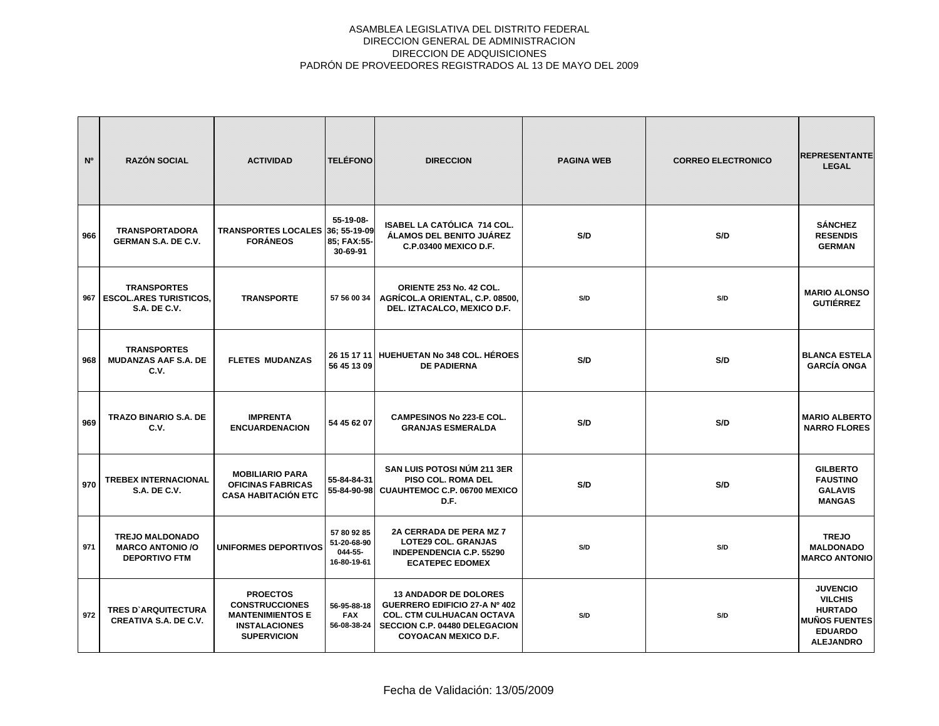| N <sup>o</sup> | <b>RAZÓN SOCIAL</b>                                                        | <b>ACTIVIDAD</b>                                                                                                  | <b>TELÉFONO</b>                                      | <b>DIRECCION</b>                                                                                                                                                  | <b>PAGINA WEB</b> | <b>CORREO ELECTRONICO</b> | <b>REPRESENTANTE</b><br><b>LEGAL</b>                                                                              |
|----------------|----------------------------------------------------------------------------|-------------------------------------------------------------------------------------------------------------------|------------------------------------------------------|-------------------------------------------------------------------------------------------------------------------------------------------------------------------|-------------------|---------------------------|-------------------------------------------------------------------------------------------------------------------|
| 966            | <b>TRANSPORTADORA</b><br><b>GERMAN S.A. DE C.V.</b>                        | TRANSPORTES LOCALES 36; 55-19-09<br><b>FORÁNEOS</b>                                                               | 55-19-08-<br>85; FAX:55-<br>30-69-91                 | ISABEL LA CATÓLICA 714 COL.<br>ÁLAMOS DEL BENITO JUÁREZ<br><b>C.P.03400 MEXICO D.F.</b>                                                                           | S/D               | S/D                       | <b>SÁNCHEZ</b><br><b>RESENDIS</b><br><b>GERMAN</b>                                                                |
| 967            | <b>TRANSPORTES</b><br><b>ESCOL.ARES TURISTICOS.</b><br><b>S.A. DE C.V.</b> | <b>TRANSPORTE</b>                                                                                                 | 57 56 00 34                                          | ORIENTE 253 No. 42 COL.<br>AGRÍCOL.A ORIENTAL, C.P. 08500,<br>DEL. IZTACALCO, MEXICO D.F.                                                                         | S/D               | S/D                       | <b>MARIO ALONSO</b><br><b>GUTIÉRREZ</b>                                                                           |
| 968            | <b>TRANSPORTES</b><br><b>MUDANZAS AAF S.A. DE</b><br>C.V.                  | <b>FLETES MUDANZAS</b>                                                                                            | 26 15 17 11<br>56 45 13 09                           | <b>HUEHUETAN No 348 COL. HÉROES</b><br><b>DE PADIERNA</b>                                                                                                         | S/D               | S/D                       | <b>BLANCA ESTELA</b><br><b>GARCÍA ONGA</b>                                                                        |
| 969            | <b>TRAZO BINARIO S.A. DE</b><br>C.V.                                       | <b>IMPRENTA</b><br><b>ENCUARDENACION</b>                                                                          | 54 45 62 07                                          | <b>CAMPESINOS No 223-E COL.</b><br><b>GRANJAS ESMERALDA</b>                                                                                                       | S/D               | S/D                       | <b>MARIO ALBERTO</b><br><b>NARRO FLORES</b>                                                                       |
| 970            | <b>TREBEX INTERNACIONAL</b><br><b>S.A. DE C.V.</b>                         | <b>MOBILIARIO PARA</b><br><b>OFICINAS FABRICAS</b><br><b>CASA HABITACIÓN ETC</b>                                  | 55-84-84-31<br>55-84-90-98                           | <b>SAN LUIS POTOSI NÚM 211 3ER</b><br>PISO COL. ROMA DEL<br>CUAUHTEMOC C.P. 06700 MEXICO<br>D.F.                                                                  | S/D               | S/D                       | <b>GILBERTO</b><br><b>FAUSTINO</b><br><b>GALAVIS</b><br><b>MANGAS</b>                                             |
| 971            | <b>TREJO MALDONADO</b><br><b>MARCO ANTONIO /O</b><br><b>DEPORTIVO FTM</b>  | <b>UNIFORMES DEPORTIVOS</b>                                                                                       | 57 80 92 85<br>51-20-68-90<br>044-55-<br>16-80-19-61 | 2A CERRADA DE PERA MZ 7<br><b>LOTE29 COL. GRANJAS</b><br><b>INDEPENDENCIA C.P. 55290</b><br><b>ECATEPEC EDOMEX</b>                                                | S/D               | S/D                       | <b>TREJO</b><br><b>MALDONADO</b><br><b>MARCO ANTONIO</b>                                                          |
| 972            | <b>TRES D'ARQUITECTURA</b><br><b>CREATIVA S.A. DE C.V.</b>                 | <b>PROECTOS</b><br><b>CONSTRUCCIONES</b><br><b>MANTENIMIENTOS E</b><br><b>INSTALACIONES</b><br><b>SUPERVICION</b> | 56-95-88-18<br><b>FAX</b><br>56-08-38-24             | <b>13 ANDADOR DE DOLORES</b><br>GUERRERO EDIFICIO 27-A Nº 402<br><b>COL. CTM CULHUACAN OCTAVA</b><br>SECCION C.P. 04480 DELEGACION<br><b>COYOACAN MEXICO D.F.</b> | S/D               | S/D                       | <b>JUVENCIO</b><br><b>VILCHIS</b><br><b>HURTADO</b><br><b>MUÑOS FUENTES</b><br><b>EDUARDO</b><br><b>ALEJANDRO</b> |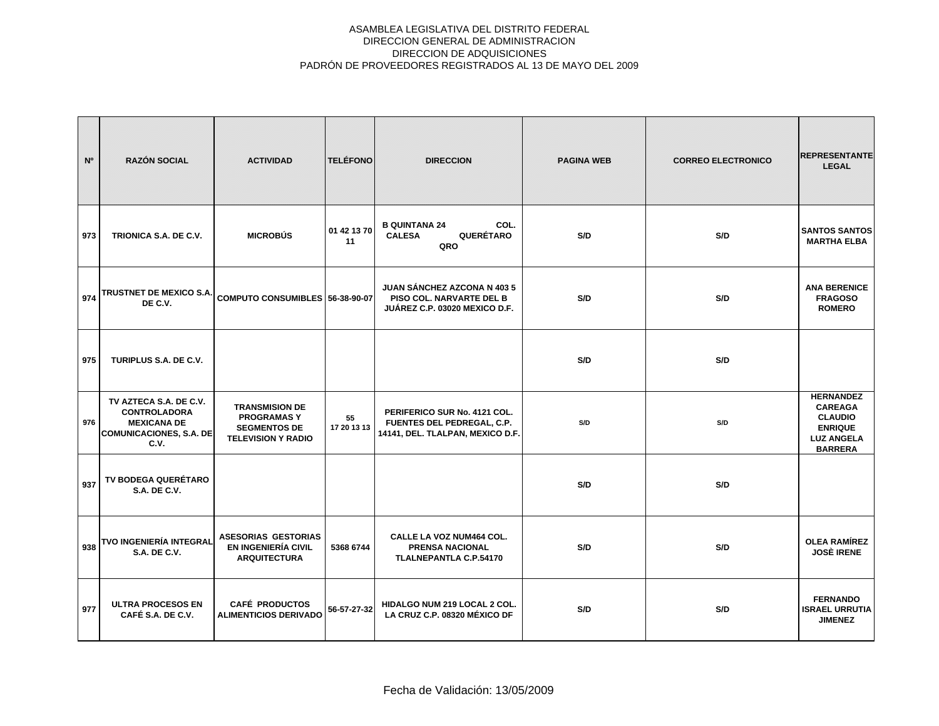| N <sup>o</sup> | <b>RAZÓN SOCIAL</b>                                                                                           | <b>ACTIVIDAD</b>                                                                               | <b>TELÉFONO</b>   | <b>DIRECCION</b>                                                                                | <b>PAGINA WEB</b> | <b>CORREO ELECTRONICO</b> | <b>REPRESENTANTE</b><br><b>LEGAL</b>                                                                          |
|----------------|---------------------------------------------------------------------------------------------------------------|------------------------------------------------------------------------------------------------|-------------------|-------------------------------------------------------------------------------------------------|-------------------|---------------------------|---------------------------------------------------------------------------------------------------------------|
| 973            | TRIONICA S.A. DE C.V.                                                                                         | <b>MICROBÚS</b>                                                                                | 01 42 13 70<br>11 | <b>B QUINTANA 24</b><br>COL.<br>QUERÉTARO<br><b>CALESA</b><br>QRO                               | S/D               | S/D                       | <b>SANTOS SANTOS</b><br><b>MARTHA ELBA</b>                                                                    |
| 974            | TRUSTNET DE MEXICO S.A. COMPUTO CONSUMIBLES 56-38-90-07<br>DE C.V.                                            |                                                                                                |                   | <b>JUAN SÁNCHEZ AZCONA N 403 5</b><br>PISO COL. NARVARTE DEL B<br>JUÁREZ C.P. 03020 MEXICO D.F. | S/D               | S/D                       | <b>ANA BERENICE</b><br><b>FRAGOSO</b><br><b>ROMERO</b>                                                        |
| 975            | TURIPLUS S.A. DE C.V.                                                                                         |                                                                                                |                   |                                                                                                 | S/D               | S/D                       |                                                                                                               |
| 976            | TV AZTECA S.A. DE C.V.<br><b>CONTROLADORA</b><br><b>MEXICANA DE</b><br><b>COMUNICACIONES, S.A. DE</b><br>C.V. | <b>TRANSMISION DE</b><br><b>PROGRAMASY</b><br><b>SEGMENTOS DE</b><br><b>TELEVISION Y RADIO</b> | 55<br>17 20 13 13 | PERIFERICO SUR No. 4121 COL.<br>FUENTES DEL PEDREGAL, C.P.<br>14141, DEL. TLALPAN, MEXICO D.F.  | S/D               | S/D                       | <b>HERNANDEZ</b><br><b>CAREAGA</b><br><b>CLAUDIO</b><br><b>ENRIQUE</b><br><b>LUZ ANGELA</b><br><b>BARRERA</b> |
| 937            | TV BODEGA QUERÉTARO<br><b>S.A. DE C.V.</b>                                                                    |                                                                                                |                   |                                                                                                 | S/D               | S/D                       |                                                                                                               |
| 938            | TVO INGENIERÍA INTEGRAL<br><b>S.A. DE C.V.</b>                                                                | <b>ASESORIAS GESTORIAS</b><br><b>EN INGENIERÍA CIVIL</b><br><b>ARQUITECTURA</b>                | 5368 6744         | CALLE LA VOZ NUM464 COL.<br><b>PRENSA NACIONAL</b><br><b>TLALNEPANTLA C.P.54170</b>             | S/D               | S/D                       | <b>OLEA RAMÍREZ</b><br><b>JOSÈ IRENE</b>                                                                      |
| 977            | <b>ULTRA PROCESOS EN</b><br>CAFÉ S.A. DE C.V.                                                                 | <b>CAFÉ PRODUCTOS</b><br><b>ALIMENTICIOS DERIVADO</b>                                          | 56-57-27-32       | HIDALGO NUM 219 LOCAL 2 COL.<br>LA CRUZ C.P. 08320 MÉXICO DF                                    | S/D               | S/D                       | <b>FERNANDO</b><br><b>ISRAEL URRUTIA</b><br><b>JIMENEZ</b>                                                    |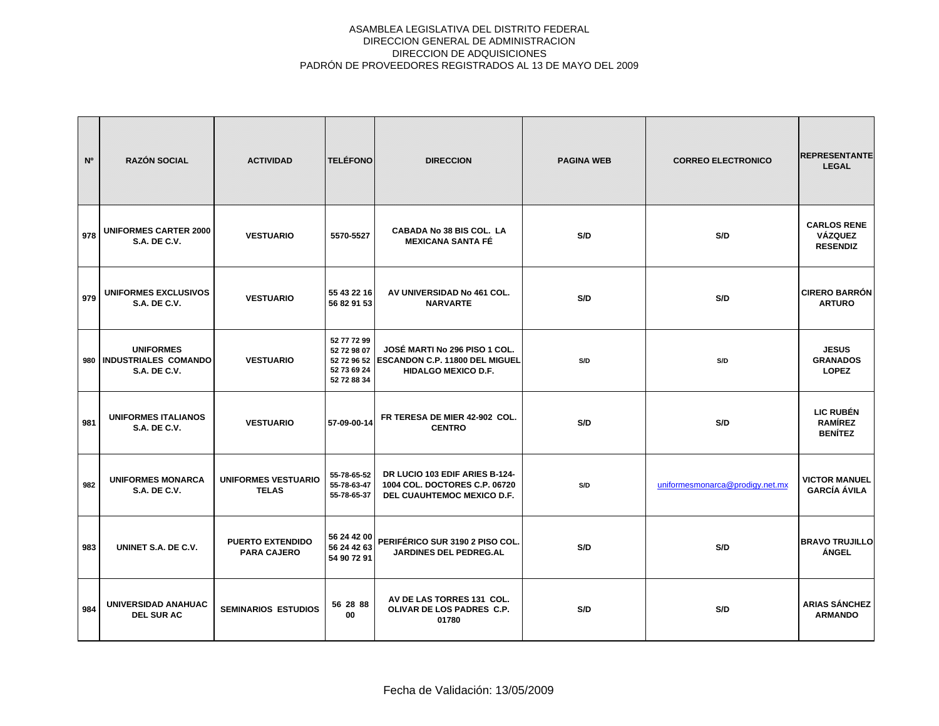| N <sup>o</sup> | <b>RAZÓN SOCIAL</b>                                             | <b>ACTIVIDAD</b>                              | <b>TELÉFONO</b>                                          | <b>DIRECCION</b>                                                                                          | <b>PAGINA WEB</b> | <b>CORREO ELECTRONICO</b>       | <b>REPRESENTANTE</b><br><b>LEGAL</b>                    |
|----------------|-----------------------------------------------------------------|-----------------------------------------------|----------------------------------------------------------|-----------------------------------------------------------------------------------------------------------|-------------------|---------------------------------|---------------------------------------------------------|
| 978            | <b>UNIFORMES CARTER 2000</b><br><b>S.A. DE C.V.</b>             | <b>VESTUARIO</b>                              | 5570-5527                                                | CABADA No 38 BIS COL. LA<br><b>MEXICANA SANTA FÉ</b>                                                      | S/D               | S/D                             | <b>CARLOS RENE</b><br><b>VÁZQUEZ</b><br><b>RESENDIZ</b> |
| 979            | <b>UNIFORMES EXCLUSIVOS</b><br><b>S.A. DE C.V.</b>              | <b>VESTUARIO</b>                              | 55 43 22 16<br>56 82 91 53                               | AV UNIVERSIDAD No 461 COL.<br><b>NARVARTE</b>                                                             | S/D               | S/D                             | <b>CIRERO BARRÓN</b><br><b>ARTURO</b>                   |
| 980            | <b>UNIFORMES</b><br>INDUSTRIALES COMANDO<br><b>S.A. DE C.V.</b> | <b>VESTUARIO</b>                              | 52 77 72 99<br>52 72 98 07<br>52 73 69 24<br>52 72 88 34 | JOSÉ MARTI No 296 PISO 1 COL.<br>52 72 96 52 ESCANDON C.P. 11800 DEL MIGUEL<br><b>HIDALGO MEXICO D.F.</b> | S/D               | S/D                             | <b>JESUS</b><br><b>GRANADOS</b><br><b>LOPEZ</b>         |
| 981            | <b>UNIFORMES ITALIANOS</b><br><b>S.A. DE C.V.</b>               | <b>VESTUARIO</b>                              | 57-09-00-14                                              | FR TERESA DE MIER 42-902 COL.<br><b>CENTRO</b>                                                            | S/D               | S/D                             | <b>LIC RUBÉN</b><br><b>RAMÍREZ</b><br><b>BENÍTEZ</b>    |
| 982            | <b>UNIFORMES MONARCA</b><br><b>S.A. DE C.V.</b>                 | <b>UNIFORMES VESTUARIO</b><br><b>TELAS</b>    | 55-78-65-52<br>55-78-63-47<br>55-78-65-37                | DR LUCIO 103 EDIF ARIES B-124-<br>1004 COL. DOCTORES C.P. 06720<br>DEL CUAUHTEMOC MEXICO D.F.             | S/D               | uniformesmonarca@prodigy.net.mx | <b>VICTOR MANUEL</b><br><b>GARCÍA ÁVILA</b>             |
| 983            | UNINET S.A. DE C.V.                                             | <b>PUERTO EXTENDIDO</b><br><b>PARA CAJERO</b> | 56 24 42 00<br>56 24 42 63<br>54 90 72 91                | PERIFÉRICO SUR 3190 2 PISO COL.<br><b>JARDINES DEL PEDREG.AL</b>                                          | S/D               | S/D                             | <b>BRAVO TRUJILLO</b><br>ÁNGEL                          |
| 984            | UNIVERSIDAD ANAHUAC<br><b>DEL SUR AC</b>                        | <b>SEMINARIOS ESTUDIOS</b>                    | 56 28 88<br>00                                           | AV DE LAS TORRES 131 COL.<br>OLIVAR DE LOS PADRES C.P.<br>01780                                           | S/D               | S/D                             | <b>ARIAS SÁNCHEZ</b><br><b>ARMANDO</b>                  |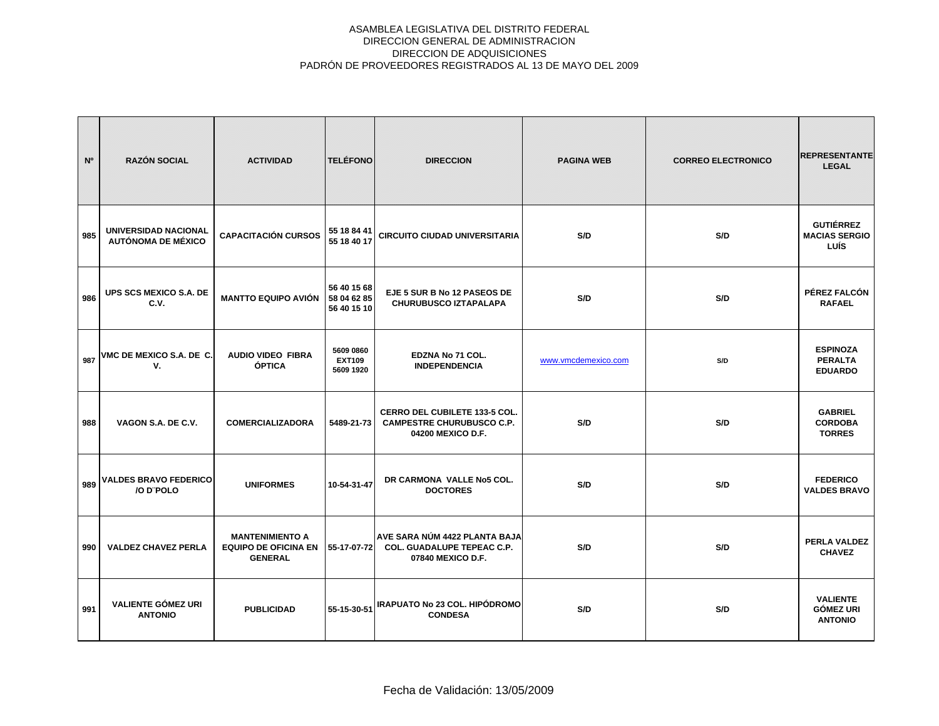| N°  | <b>RAZÓN SOCIAL</b>                               | <b>ACTIVIDAD</b>                                                        | <b>TELÉFONO</b>                           | <b>DIRECCION</b>                                                                              | <b>PAGINA WEB</b>   | <b>CORREO ELECTRONICO</b> | <b>REPRESENTANTE</b><br><b>LEGAL</b>                  |
|-----|---------------------------------------------------|-------------------------------------------------------------------------|-------------------------------------------|-----------------------------------------------------------------------------------------------|---------------------|---------------------------|-------------------------------------------------------|
| 985 | UNIVERSIDAD NACIONAL<br><b>AUTÓNOMA DE MÉXICO</b> | <b>CAPACITACIÓN CURSOS</b>                                              | 55 18 84 41<br>55 18 40 17                | <b>CIRCUITO CIUDAD UNIVERSITARIA</b>                                                          | S/D                 | S/D                       | <b>GUTIÉRREZ</b><br><b>MACIAS SERGIO</b><br>LUÍS      |
| 986 | UPS SCS MEXICO S.A. DE<br>C.V.                    | <b>MANTTO EQUIPO AVIÓN</b>                                              | 56 40 15 68<br>58 04 62 85<br>56 40 15 10 | EJE 5 SUR B No 12 PASEOS DE<br><b>CHURUBUSCO IZTAPALAPA</b>                                   | S/D                 | S/D                       | PÉREZ FALCÓN<br><b>RAFAEL</b>                         |
| 987 | VMC DE MEXICO S.A. DE C.<br>V.                    | <b>AUDIO VIDEO FIBRA</b><br>ÓPTICA                                      | 5609 0860<br><b>EXT109</b><br>5609 1920   | EDZNA No 71 COL.<br><b>INDEPENDENCIA</b>                                                      | www.vmcdemexico.com | S/D                       | <b>ESPINOZA</b><br><b>PERALTA</b><br><b>EDUARDO</b>   |
| 988 | VAGON S.A. DE C.V.                                | <b>COMERCIALIZADORA</b>                                                 | 5489-21-73                                | <b>CERRO DEL CUBILETE 133-5 COL.</b><br><b>CAMPESTRE CHURUBUSCO C.P.</b><br>04200 MEXICO D.F. | S/D                 | S/D                       | <b>GABRIEL</b><br><b>CORDOBA</b><br><b>TORRES</b>     |
| 989 | <b>VALDES BRAVO FEDERICO</b><br>/O D'POLO         | <b>UNIFORMES</b>                                                        | 10-54-31-47                               | DR CARMONA VALLE No5 COL.<br><b>DOCTORES</b>                                                  | S/D                 | S/D                       | <b>FEDERICO</b><br><b>VALDES BRAVO</b>                |
| 990 | <b>VALDEZ CHAVEZ PERLA</b>                        | <b>MANTENIMIENTO A</b><br><b>EQUIPO DE OFICINA EN</b><br><b>GENERAL</b> | 55-17-07-72                               | AVE SARA NÚM 4422 PLANTA BAJA<br><b>COL. GUADALUPE TEPEAC C.P.</b><br>07840 MEXICO D.F.       | S/D                 | S/D                       | PERLA VALDEZ<br><b>CHAVEZ</b>                         |
| 991 | <b>VALIENTE GÓMEZ URI</b><br><b>ANTONIO</b>       | <b>PUBLICIDAD</b>                                                       | 55-15-30-51                               | IRAPUATO No 23 COL. HIPÓDROMO<br><b>CONDESA</b>                                               | S/D                 | S/D                       | <b>VALIENTE</b><br><b>GÓMEZ URI</b><br><b>ANTONIO</b> |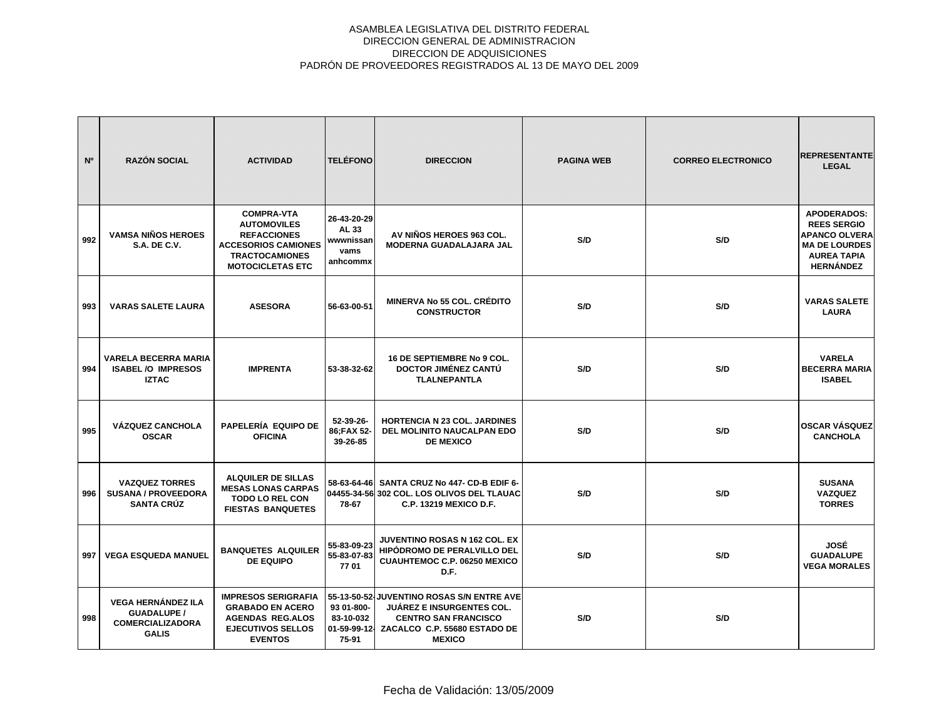| N <sup>o</sup> | <b>RAZÓN SOCIAL</b>                                                                        | <b>ACTIVIDAD</b>                                                                                                                                | <b>TELÉFONO</b>                                       | <b>DIRECCION</b>                                                                                                                                              | <b>PAGINA WEB</b> | <b>CORREO ELECTRONICO</b> | <b>REPRESENTANTE</b><br><b>LEGAL</b>                                                                                               |
|----------------|--------------------------------------------------------------------------------------------|-------------------------------------------------------------------------------------------------------------------------------------------------|-------------------------------------------------------|---------------------------------------------------------------------------------------------------------------------------------------------------------------|-------------------|---------------------------|------------------------------------------------------------------------------------------------------------------------------------|
| 992            | <b>VAMSA NIÑOS HEROES</b><br><b>S.A. DE C.V.</b>                                           | <b>COMPRA-VTA</b><br><b>AUTOMOVILES</b><br><b>REFACCIONES</b><br><b>ACCESORIOS CAMIONES</b><br><b>TRACTOCAMIONES</b><br><b>MOTOCICLETAS ETC</b> | 26-43-20-29<br>AL 33<br>wwwnissan<br>vams<br>anhcommx | AV NIÑOS HEROES 963 COL.<br>MODERNA GUADALAJARA JAL                                                                                                           | S/D               | S/D                       | <b>APODERADOS:</b><br><b>REES SERGIO</b><br><b>APANCO OLVERA</b><br><b>MA DE LOURDES</b><br><b>AUREA TAPIA</b><br><b>HERNÁNDEZ</b> |
| 993            | <b>VARAS SALETE LAURA</b>                                                                  | <b>ASESORA</b>                                                                                                                                  | 56-63-00-51                                           | <b>MINERVA No 55 COL. CRÉDITO</b><br><b>CONSTRUCTOR</b>                                                                                                       | S/D               | S/D                       | <b>VARAS SALETE</b><br><b>LAURA</b>                                                                                                |
| 994            | <b>VARELA BECERRA MARIA</b><br><b>ISABEL /O IMPRESOS</b><br><b>IZTAC</b>                   | <b>IMPRENTA</b>                                                                                                                                 | 53-38-32-62                                           | 16 DE SEPTIEMBRE No 9 COL.<br>DOCTOR JIMÉNEZ CANTÚ<br><b>TLALNEPANTLA</b>                                                                                     | S/D               | S/D                       | <b>VARELA</b><br><b>BECERRA MARIA</b><br><b>ISABEL</b>                                                                             |
| 995            | <b>VÁZQUEZ CANCHOLA</b><br><b>OSCAR</b>                                                    | PAPELERÍA EQUIPO DE<br><b>OFICINA</b>                                                                                                           | 52-39-26-<br>86;FAX 52-<br>39-26-85                   | <b>HORTENCIA N 23 COL. JARDINES</b><br><b>DEL MOLINITO NAUCALPAN EDO</b><br><b>DE MEXICO</b>                                                                  | S/D               | S/D                       | <b>OSCAR VÁSQUEZ</b><br><b>CANCHOLA</b>                                                                                            |
| 996            | <b>VAZQUEZ TORRES</b><br><b>SUSANA / PROVEEDORA</b><br><b>SANTA CRÚZ</b>                   | <b>ALQUILER DE SILLAS</b><br><b>MESAS LONAS CARPAS</b><br><b>TODO LO REL CON</b><br><b>FIESTAS BANQUETES</b>                                    | 78-67                                                 | 58-63-64-46 SANTA CRUZ No 447- CD-B EDIF 6-<br>04455-34-56 302 COL. LOS OLIVOS DEL TLAUAC<br>C.P. 13219 MEXICO D.F.                                           | S/D               | S/D                       | <b>SUSANA</b><br><b>VAZQUEZ</b><br><b>TORRES</b>                                                                                   |
| 997            | <b>VEGA ESQUEDA MANUEL</b>                                                                 | <b>BANQUETES ALQUILER</b><br><b>DE EQUIPO</b>                                                                                                   | 55-83-09-23<br>55-83-07-83<br>7701                    | <b>JUVENTINO ROSAS N 162 COL. EX</b><br><b>HIPÓDROMO DE PERALVILLO DEL</b><br>CUAUHTEMOC C.P. 06250 MEXICO<br>D.F.                                            | S/D               | S/D                       | JOSÉ<br><b>GUADALUPE</b><br><b>VEGA MORALES</b>                                                                                    |
| 998            | <b>VEGA HERNÁNDEZ ILA</b><br><b>GUADALUPE /</b><br><b>COMERCIALIZADORA</b><br><b>GALIS</b> | <b>IMPRESOS SERIGRAFIA</b><br><b>GRABADO EN ACERO</b><br><b>AGENDAS REG.ALOS</b><br><b>EJECUTIVOS SELLOS</b><br><b>EVENTOS</b>                  | 93 01-800-<br>83-10-032<br>01-59-99-12-<br>75-91      | 55-13-50-52-JUVENTINO ROSAS S/N ENTRE AVE<br><b>JUÁREZ E INSURGENTES COL.</b><br><b>CENTRO SAN FRANCISCO</b><br>ZACALCO C.P. 55680 ESTADO DE<br><b>MEXICO</b> | S/D               | S/D                       |                                                                                                                                    |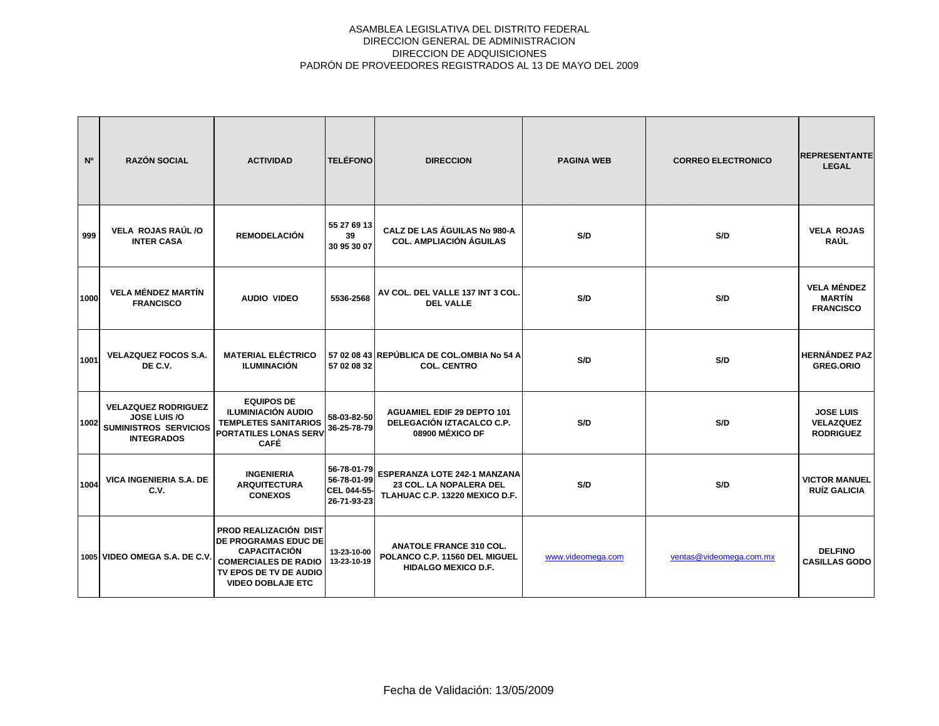| N°   | <b>RAZÓN SOCIAL</b>                                                                                    | <b>ACTIVIDAD</b>                                                                                                                                                 | <b>TELÉFONO</b>                                          | <b>DIRECCION</b>                                                                                 | <b>PAGINA WEB</b> | <b>CORREO ELECTRONICO</b> | <b>REPRESENTANTE</b><br><b>LEGAL</b>                     |
|------|--------------------------------------------------------------------------------------------------------|------------------------------------------------------------------------------------------------------------------------------------------------------------------|----------------------------------------------------------|--------------------------------------------------------------------------------------------------|-------------------|---------------------------|----------------------------------------------------------|
| 999  | VELA ROJAS RAÚL /O<br><b>INTER CASA</b>                                                                | <b>REMODELACIÓN</b>                                                                                                                                              | 55 27 69 13<br>39<br>30 95 30 07                         | CALZ DE LAS ÁGUILAS No 980-A<br><b>COL. AMPLIACIÓN ÁGUILAS</b>                                   | S/D               | S/D                       | <b>VELA ROJAS</b><br><b>RAÚL</b>                         |
| 1000 | <b>VELA MÉNDEZ MARTÍN</b><br><b>FRANCISCO</b>                                                          | <b>AUDIO VIDEO</b>                                                                                                                                               | 5536-2568                                                | AV COL. DEL VALLE 137 INT 3 COL.<br><b>DEL VALLE</b>                                             | S/D               | S/D                       | <b>VELA MÉNDEZ</b><br><b>MARTÍN</b><br><b>FRANCISCO</b>  |
| 1001 | <b>VELAZQUEZ FOCOS S.A.</b><br>DE C.V.                                                                 | <b>MATERIAL ELÉCTRICO</b><br><b>ILUMINACIÓN</b>                                                                                                                  | 57 02 08 32                                              | 57 02 08 43 REPÚBLICA DE COL.OMBIA No 54 A<br><b>COL. CENTRO</b>                                 | S/D               | S/D                       | <b>HERNÁNDEZ PAZ</b><br><b>GREG.ORIO</b>                 |
| 1002 | <b>VELAZQUEZ RODRIGUEZ</b><br><b>JOSE LUIS /O</b><br><b>SUMINISTROS SERVICIOS</b><br><b>INTEGRADOS</b> | <b>EQUIPOS DE</b><br><b>ILUMINIACIÓN AUDIO</b><br><b>TEMPLETES SANITARIOS</b><br><b>PORTATILES LONAS SERV</b><br><b>CAFÉ</b>                                     | 58-03-82-50<br>36-25-78-79                               | <b>AGUAMIEL EDIF 29 DEPTO 101</b><br>DELEGACIÓN IZTACALCO C.P.<br>08900 MÉXICO DF                | S/D               | S/D                       | <b>JOSE LUIS</b><br><b>VELAZQUEZ</b><br><b>RODRIGUEZ</b> |
| 1004 | <b>VICA INGENIERIA S.A. DE</b><br>C.V.                                                                 | <b>INGENIERIA</b><br><b>ARQUITECTURA</b><br><b>CONEXOS</b>                                                                                                       | 56-78-01-79<br>56-78-01-99<br>CEL 044-55-<br>26-71-93-23 | <b>ESPERANZA LOTE 242-1 MANZANA</b><br>23 COL. LA NOPALERA DEL<br>TLAHUAC C.P. 13220 MEXICO D.F. | S/D               | S/D                       | <b>VICTOR MANUEL</b><br><b>RUÍZ GALICIA</b>              |
|      | 1005 VIDEO OMEGA S.A. DE C.V.                                                                          | PROD REALIZACIÓN DIST<br><b>DE PROGRAMAS EDUC DE</b><br><b>CAPACITACIÓN</b><br><b>COMERCIALES DE RADIO</b><br>TV EPOS DE TV DE AUDIO<br><b>VIDEO DOBLAJE ETC</b> | 13-23-10-00<br>13-23-10-19                               | <b>ANATOLE FRANCE 310 COL.</b><br>POLANCO C.P. 11560 DEL MIGUEL<br><b>HIDALGO MEXICO D.F.</b>    | www.videomega.com | ventas@videomega.com.mx   | <b>DELFINO</b><br><b>CASILLAS GODO</b>                   |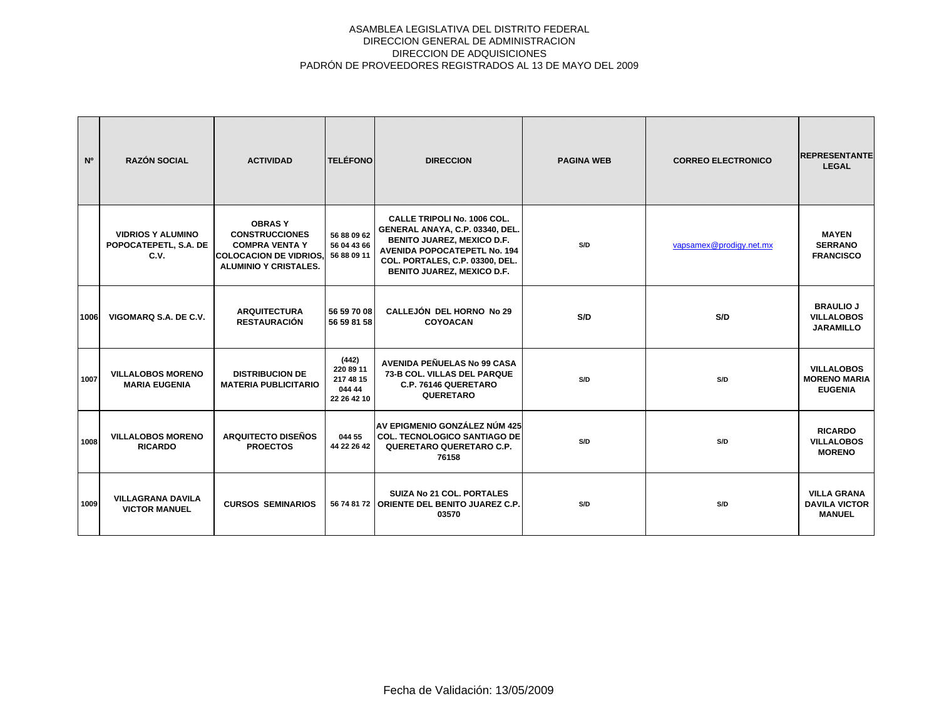| N <sup>o</sup> | <b>RAZÓN SOCIAL</b>                                       | <b>ACTIVIDAD</b>                                                                                                                | <b>TELÉFONO</b>                                          | <b>DIRECCION</b>                                                                                                                                                                                                          | <b>PAGINA WEB</b> | <b>CORREO ELECTRONICO</b> | <b>REPRESENTANTE</b><br><b>LEGAL</b>                        |
|----------------|-----------------------------------------------------------|---------------------------------------------------------------------------------------------------------------------------------|----------------------------------------------------------|---------------------------------------------------------------------------------------------------------------------------------------------------------------------------------------------------------------------------|-------------------|---------------------------|-------------------------------------------------------------|
|                | <b>VIDRIOS Y ALUMINO</b><br>POPOCATEPETL, S.A. DE<br>C.V. | <b>OBRASY</b><br><b>CONSTRUCCIONES</b><br><b>COMPRA VENTA Y</b><br><b>COLOCACION DE VIDRIOS</b><br><b>ALUMINIO Y CRISTALES.</b> | 56 88 09 62<br>56 04 43 66<br>56 88 09 11                | <b>CALLE TRIPOLI No. 1006 COL.</b><br>GENERAL ANAYA, C.P. 03340, DEL.<br><b>BENITO JUAREZ, MEXICO D.F.</b><br><b>AVENIDA POPOCATEPETL No. 194</b><br>COL. PORTALES, C.P. 03300, DEL.<br><b>BENITO JUAREZ, MEXICO D.F.</b> | S/D               | vapsamex@prodigy.net.mx   | <b>MAYEN</b><br><b>SERRANO</b><br><b>FRANCISCO</b>          |
| 1006           | VIGOMARQ S.A. DE C.V.                                     | <b>ARQUITECTURA</b><br><b>RESTAURACIÓN</b>                                                                                      | 56 59 70 08<br>56 59 81 58                               | <b>CALLEJÓN DEL HORNO No 29</b><br><b>COYOACAN</b>                                                                                                                                                                        | S/D               | S/D                       | <b>BRAULIO J</b><br><b>VILLALOBOS</b><br><b>JARAMILLO</b>   |
| 1007           | <b>VILLALOBOS MORENO</b><br><b>MARIA EUGENIA</b>          | <b>DISTRIBUCION DE</b><br><b>MATERIA PUBLICITARIO</b>                                                                           | (442)<br>220 89 11<br>217 48 15<br>044 44<br>22 26 42 10 | AVENIDA PEÑUELAS No 99 CASA<br>73-B COL. VILLAS DEL PARQUE<br>C.P. 76146 QUERETARO<br>QUERETARO                                                                                                                           | S/D               | S/D                       | <b>VILLALOBOS</b><br><b>MORENO MARIA</b><br><b>EUGENIA</b>  |
| 1008           | <b>VILLALOBOS MORENO</b><br><b>RICARDO</b>                | <b>ARQUITECTO DISEÑOS</b><br><b>PROECTOS</b>                                                                                    | 044 55<br>44 22 26 42                                    | AV EPIGMENIO GONZÁLEZ NÚM 425<br><b>COL. TECNOLOGICO SANTIAGO DE</b><br>QUERETARO QUERETARO C.P.<br>76158                                                                                                                 | S/D               | S/D                       | <b>RICARDO</b><br><b>VILLALOBOS</b><br><b>MORENO</b>        |
| 1009           | <b>VILLAGRANA DAVILA</b><br><b>VICTOR MANUEL</b>          | <b>CURSOS SEMINARIOS</b>                                                                                                        |                                                          | <b>SUIZA No 21 COL. PORTALES</b><br>56 74 81 72 ORIENTE DEL BENITO JUAREZ C.P.<br>03570                                                                                                                                   | S/D               | S/D                       | <b>VILLA GRANA</b><br><b>DAVILA VICTOR</b><br><b>MANUEL</b> |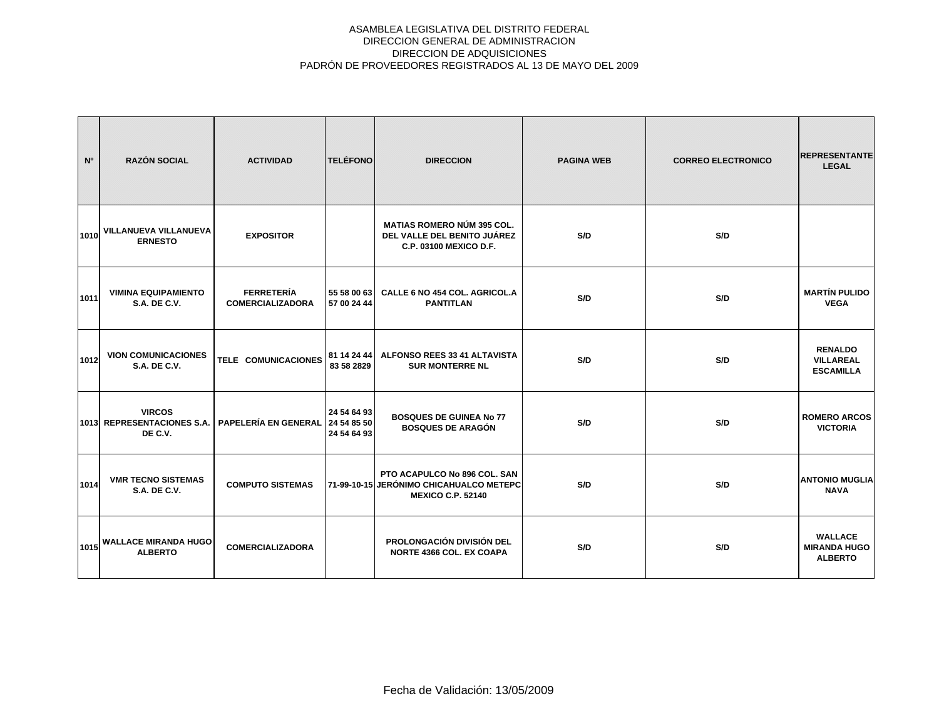| N <sup>o</sup> | <b>RAZÓN SOCIAL</b>                                    | <b>ACTIVIDAD</b>                             | <b>TELÉFONO</b>                           | <b>DIRECCION</b>                                                                                    | <b>PAGINA WEB</b> | <b>CORREO ELECTRONICO</b> | <b>REPRESENTANTE</b><br><b>LEGAL</b>                    |
|----------------|--------------------------------------------------------|----------------------------------------------|-------------------------------------------|-----------------------------------------------------------------------------------------------------|-------------------|---------------------------|---------------------------------------------------------|
| 1010           | VILLANUEVA VILLANUEVA<br><b>ERNESTO</b>                | <b>EXPOSITOR</b>                             |                                           | <b>MATIAS ROMERO NÚM 395 COL.</b><br>DEL VALLE DEL BENITO JUÁREZ<br>C.P. 03100 MEXICO D.F.          | S/D               | S/D                       |                                                         |
| 1011           | <b>VIMINA EQUIPAMIENTO</b><br><b>S.A. DE C.V.</b>      | <b>FERRETERÍA</b><br><b>COMERCIALIZADORA</b> | 55 58 00 63<br>57 00 24 44                | CALLE 6 NO 454 COL. AGRICOL.A<br><b>PANTITLAN</b>                                                   | S/D               | S/D                       | <b>MARTÍN PULIDO</b><br><b>VEGA</b>                     |
| 1012           | <b>VION COMUNICACIONES</b><br>S.A. DE C.V.             | TELE COMUNICACIONES                          | 81 14 24 44<br>83 58 2829                 | ALFONSO REES 33 41 ALTAVISTA<br><b>SUR MONTERRE NL</b>                                              | S/D               | S/D                       | <b>RENALDO</b><br><b>VILLAREAL</b><br><b>ESCAMILLA</b>  |
|                | <b>VIRCOS</b><br>1013 REPRESENTACIONES S.A.<br>DE C.V. | PAPELERÍA EN GENERAL                         | 24 54 64 93<br>24 54 85 50<br>24 54 64 93 | <b>BOSQUES DE GUINEA No 77</b><br><b>BOSQUES DE ARAGÓN</b>                                          | S/D               | S/D                       | <b>ROMERO ARCOS</b><br><b>VICTORIA</b>                  |
| 1014           | <b>VMR TECNO SISTEMAS</b><br><b>S.A. DE C.V.</b>       | <b>COMPUTO SISTEMAS</b>                      |                                           | PTO ACAPULCO No 896 COL. SAN<br>71-99-10-15 JERÓNIMO CHICAHUALCO METEPC<br><b>MEXICO C.P. 52140</b> | S/D               | S/D                       | <b>ANTONIO MUGLIA</b><br><b>NAVA</b>                    |
| 1015           | <b>WALLACE MIRANDA HUGO</b><br><b>ALBERTO</b>          | <b>COMERCIALIZADORA</b>                      |                                           | <b>PROLONGACIÓN DIVISIÓN DEL</b><br><b>NORTE 4366 COL. EX COAPA</b>                                 | S/D               | S/D                       | <b>WALLACE</b><br><b>MIRANDA HUGO</b><br><b>ALBERTO</b> |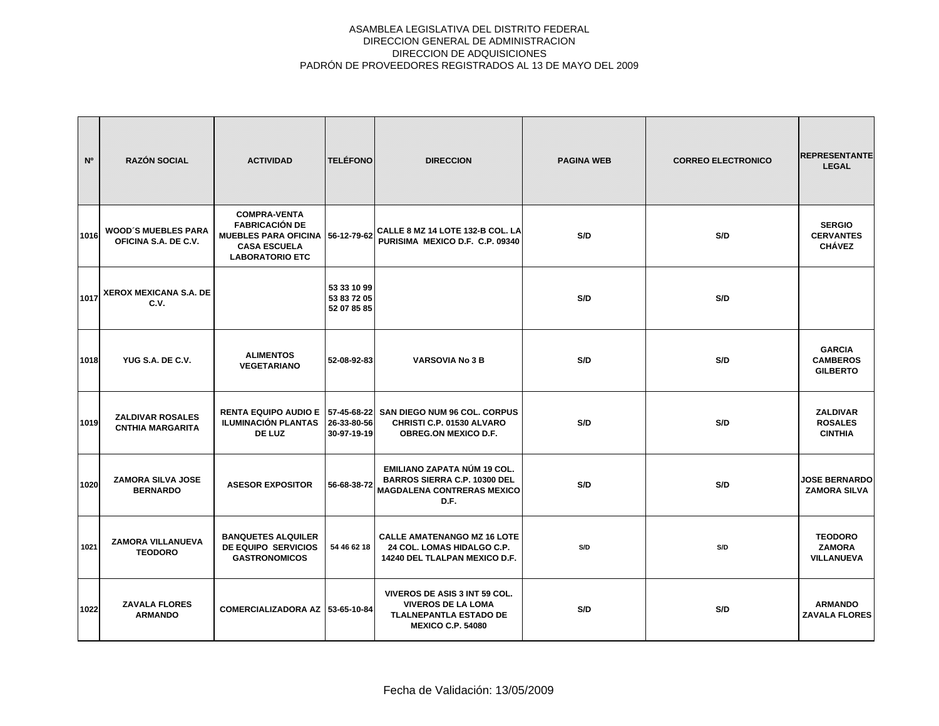| N <sup>o</sup> | <b>RAZÓN SOCIAL</b>                                | <b>ACTIVIDAD</b>                                                                                                                  | <b>TELÉFONO</b>                           | <b>DIRECCION</b>                                                                                                        | <b>PAGINA WEB</b> | <b>CORREO ELECTRONICO</b> | <b>REPRESENTANTE</b><br><b>LEGAL</b>                 |
|----------------|----------------------------------------------------|-----------------------------------------------------------------------------------------------------------------------------------|-------------------------------------------|-------------------------------------------------------------------------------------------------------------------------|-------------------|---------------------------|------------------------------------------------------|
| 1016           | <b>WOOD'S MUEBLES PARA</b><br>OFICINA S.A. DE C.V. | <b>COMPRA-VENTA</b><br><b>FABRICACIÓN DE</b><br>MUEBLES PARA OFICINA 56-12-79-62<br><b>CASA ESCUELA</b><br><b>LABORATORIO ETC</b> |                                           | CALLE 8 MZ 14 LOTE 132-B COL. LA<br>PURISIMA MEXICO D.F. C.P. 09340                                                     | S/D               | S/D                       | <b>SERGIO</b><br><b>CERVANTES</b><br><b>CHÁVEZ</b>   |
| 1017           | XEROX MEXICANA S.A. DE<br>C.V.                     |                                                                                                                                   | 53 33 10 99<br>53 83 72 05<br>52 07 85 85 |                                                                                                                         | S/D               | S/D                       |                                                      |
| 1018           | YUG S.A. DE C.V.                                   | <b>ALIMENTOS</b><br><b>VEGETARIANO</b>                                                                                            | 52-08-92-83                               | <b>VARSOVIA No 3 B</b>                                                                                                  | S/D               | S/D                       | <b>GARCIA</b><br><b>CAMBEROS</b><br><b>GILBERTO</b>  |
| 1019           | <b>ZALDIVAR ROSALES</b><br><b>CNTHIA MARGARITA</b> | <b>RENTA EQUIPO AUDIO E</b><br><b>ILUMINACIÓN PLANTAS</b><br>DE LUZ                                                               | 26-33-80-56<br>30-97-19-19                | 57-45-68-22 SAN DIEGO NUM 96 COL. CORPUS<br>CHRISTI C.P. 01530 ALVARO<br><b>OBREG.ON MEXICO D.F.</b>                    | S/D               | S/D                       | <b>ZALDIVAR</b><br><b>ROSALES</b><br><b>CINTHIA</b>  |
| 1020           | <b>ZAMORA SILVA JOSE</b><br><b>BERNARDO</b>        | <b>ASESOR EXPOSITOR</b>                                                                                                           | 56-68-38-72                               | EMILIANO ZAPATA NÚM 19 COL.<br><b>BARROS SIERRA C.P. 10300 DEL</b><br><b>MAGDALENA CONTRERAS MEXICO</b><br>D.F.         | S/D               | S/D                       | <b>JOSE BERNARDO</b><br><b>ZAMORA SILVA</b>          |
| 1021           | <b>ZAMORA VILLANUEVA</b><br><b>TEODORO</b>         | <b>BANQUETES ALQUILER</b><br>DE EQUIPO SERVICIOS<br><b>GASTRONOMICOS</b>                                                          | 54 46 62 18                               | <b>CALLE AMATENANGO MZ 16 LOTE</b><br>24 COL. LOMAS HIDALGO C.P.<br>14240 DEL TLALPAN MEXICO D.F.                       | S/D               | S/D                       | <b>TEODORO</b><br><b>ZAMORA</b><br><b>VILLANUEVA</b> |
| 1022           | <b>ZAVALA FLORES</b><br><b>ARMANDO</b>             | COMERCIALIZADORA AZ 53-65-10-84                                                                                                   |                                           | VIVEROS DE ASIS 3 INT 59 COL.<br><b>VIVEROS DE LA LOMA</b><br><b>TLALNEPANTLA ESTADO DE</b><br><b>MEXICO C.P. 54080</b> | S/D               | S/D                       | <b>ARMANDO</b><br><b>ZAVALA FLORES</b>               |